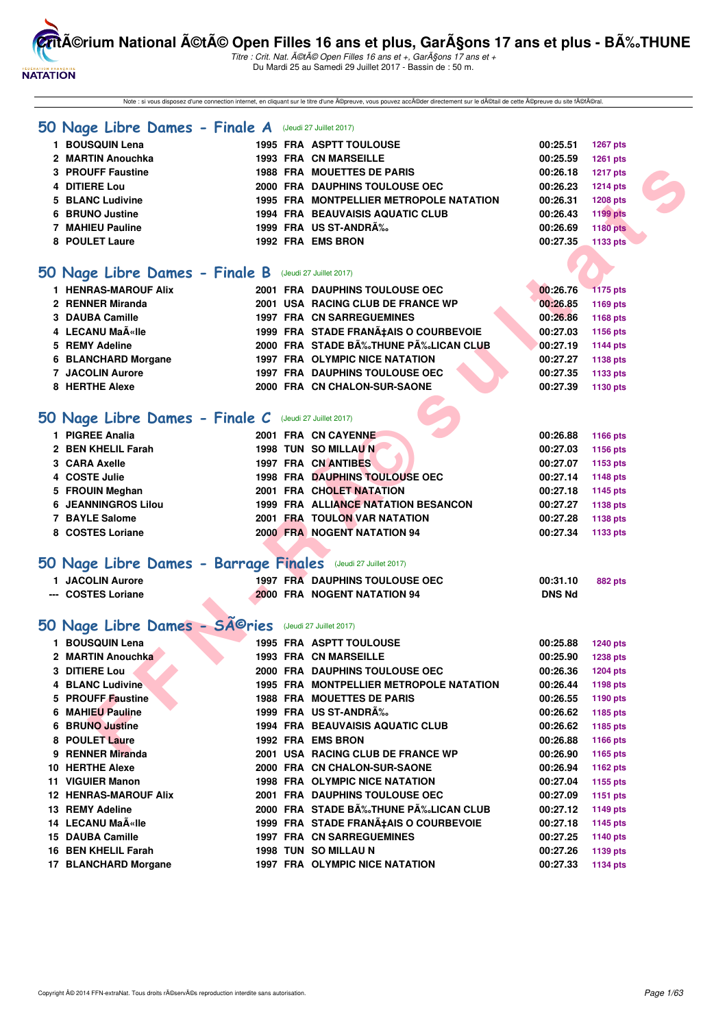

Titre : Crit. Nat. A©tA© Open Filles 16 ans et +, GarA§ons 17 ans et + Du Mardi 25 au Samedi 29 Juillet 2017 - Bassin de : 50 m.

Note : si vous disposez d'une connection internet, en cliquant sur le titre d'une ©preuve, vous pouvez acc©der directement sur le d©tail de cette ©preuve du site f©fral.

|  |  |  | 50 Nage Libre Dames - Finale A |  |  |  |  | (Jeudi 27 Juillet 2017) |  |
|--|--|--|--------------------------------|--|--|--|--|-------------------------|--|
|--|--|--|--------------------------------|--|--|--|--|-------------------------|--|

| 1 BOUSQUIN Lena   |  | <b>1995 FRA ASPTT TOULOUSE</b>          | 00:25.51 | <b>1267 pts</b> |
|-------------------|--|-----------------------------------------|----------|-----------------|
| 2 MARTIN Anouchka |  | <b>1993 FRA CN MARSEILLE</b>            | 00:25.59 | <b>1261 pts</b> |
| 3 PROUFF Faustine |  | <b>1988 FRA MOUETTES DE PARIS</b>       | 00:26.18 | <b>1217 pts</b> |
| 4 DITIERE Lou     |  | 2000 FRA DAUPHINS TOULOUSE OEC          | 00:26.23 | <b>1214 pts</b> |
| 5 BLANC Ludivine  |  | 1995 FRA MONTPELLIER METROPOLE NATATION | 00:26.31 | <b>1208 pts</b> |
| 6 BRUNO Justine   |  | <b>1994 FRA BEAUVAISIS AQUATIC CLUB</b> | 00:26.43 | <b>1199 pts</b> |
| 7 MAHIEU Pauline  |  | 1999 FRA US ST-ANDRÉ                    | 00:26.69 | <b>1180 pts</b> |
| 8 POULET Laure    |  | 1992 FRA EMS BRON                       | 00:27.35 | 1133 pts        |
|                   |  |                                         |          |                 |

#### **[50 Nage Libre Dames - Finale B](http://www.ffnatation.fr/webffn/resultats.php?idact=nat&go=epr&idcpt=47487&idepr=1)** (Jeudi 27 Juillet 2017)

| 1 HENRAS-MAROUF Alix    |  | 2001 FRA DAUPHINS TOULOUSE OEC        | 00:26.76 | <b>1175 pts</b> |
|-------------------------|--|---------------------------------------|----------|-----------------|
| 2 RENNER Miranda        |  | 2001 USA RACING CLUB DE FRANCE WP     | 00:26.85 | 1169 pts        |
| 3 DAUBA Camille         |  | <b>1997 FRA CN SARREGUEMINES</b>      | 00:26.86 | 1168 pts        |
| 4 LECANU MaëIle         |  | 1999 FRA STADE FRANA‡AIS O COURBEVOIE | 00:27.03 | 1156 pts        |
| 5 REMY Adeline          |  | 2000 FRA STADE BÉTHUNE PÉLICAN CLUB   | 00:27.19 | 1144 pts        |
| 6 BLANCHARD Morgane     |  | 1997 FRA OLYMPIC NICE NATATION        | 00:27.27 | 1138 pts        |
| <b>7 JACOLIN Aurore</b> |  | <b>1997 FRA DAUPHINS TOULOUSE OEC</b> | 00:27.35 | 1133 pts        |
| 8 HERTHE Alexe          |  | 2000 FRA CN CHALON-SUR-SAONE          | 00:27.39 | 1130 pts        |

# **[50 Nage Libre Dames - Finale C](http://www.ffnatation.fr/webffn/resultats.php?idact=nat&go=epr&idcpt=47487&idepr=1)** (Jeudi 27 Juillet 2017)

|    | 3 PROUFF Faustine                                             |  | <b>1988 FRA MOUETTES DE PARIS</b>       | 00:26.18      | <b>1217 pts</b> |
|----|---------------------------------------------------------------|--|-----------------------------------------|---------------|-----------------|
|    | 4 DITIERE Lou                                                 |  | 2000 FRA DAUPHINS TOULOUSE OEC          | 00:26.23      | <b>1214 pts</b> |
| 5. | <b>BLANC Ludivine</b>                                         |  | 1995 FRA MONTPELLIER METROPOLE NATATION | 00:26.31      | <b>1208 pts</b> |
| 6  | <b>BRUNO Justine</b>                                          |  | 1994 FRA BEAUVAISIS AQUATIC CLUB        | 00:26.43      | <b>1199 pts</b> |
|    | <b>7 MAHIEU Pauline</b>                                       |  | 1999 FRA US ST-ANDRA%                   | 00:26.69      | <b>1180 pts</b> |
|    | 8 POULET Laure                                                |  | 1992 FRA EMS BRON                       | 00:27.35      | 1133 pts        |
|    |                                                               |  |                                         |               |                 |
|    | 50 Nage Libre Dames - Finale B                                |  | (Jeudi 27 Juillet 2017)                 |               |                 |
|    | <b>1 HENRAS-MAROUF Alix</b>                                   |  | 2001 FRA DAUPHINS TOULOUSE OEC          | 00:26.76      | <b>1175 pts</b> |
|    | 2 RENNER Miranda                                              |  | 2001 USA RACING CLUB DE FRANCE WP       | 00:26.85      | 1169 pts        |
|    | 3 DAUBA Camille                                               |  | <b>1997 FRA CN SARREGUEMINES</b>        | 00:26.86      | 1168 pts        |
|    | 4 LECANU Maīlle                                               |  | 1999 FRA STADE FRANA‡AIS O COURBEVOIE   | 00:27.03      | 1156 pts        |
|    | 5 REMY Adeline                                                |  | 2000 FRA STADE BĉTHUNE PĉLICAN CLUB     | 00:27.19      | 1144 pts        |
|    | 6 BLANCHARD Morgane                                           |  | 1997 FRA OLYMPIC NICE NATATION          | 00:27.27      | 1138 pts        |
|    | <b>7 JACOLIN Aurore</b>                                       |  | <b>1997 FRA DAUPHINS TOULOUSE OEC</b>   | 00:27.35      | 1133 pts        |
|    | 8 HERTHE Alexe                                                |  | 2000 FRA CN CHALON-SUR-SAONE            | 00:27.39      | 1130 pts        |
|    |                                                               |  |                                         |               |                 |
|    | 50 Nage Libre Dames - Finale C (Jeudi 27 Juillet 2017)        |  |                                         |               |                 |
|    | 1 PIGREE Analia                                               |  | 2001 FRA CN CAYENNE                     | 00:26.88      | 1166 pts        |
|    | 2 BEN KHELIL Farah                                            |  | <b>1998 TUN SO MILLAU N</b>             | 00:27.03      | 1156 pts        |
|    | 3 CARA Axelle                                                 |  | 1997 FRA CN ANTIBES                     | 00:27.07      | 1153 pts        |
|    | 4 COSTE Julie                                                 |  | <b>1998 FRA DAUPHINS TOULOUSE OEC</b>   | 00:27.14      | 1148 pts        |
|    | 5 FROUIN Meghan                                               |  | 2001 FRA CHOLET NATATION                | 00:27.18      | 1145 pts        |
|    | <b>6 JEANNINGROS Lilou</b>                                    |  | 1999 FRA ALLIANCE NATATION BESANCON     | 00:27.27      | 1138 pts        |
|    | 7 BAYLE Salome                                                |  | 2001 FRA TOULON VAR NATATION            | 00:27.28      | 1138 pts        |
|    | 8 COSTES Loriane                                              |  | 2000 FRA NOGENT NATATION 94             | 00:27.34      | 1133 pts        |
|    |                                                               |  |                                         |               |                 |
|    | 50 Nage Libre Dames - Barrage Finales (Jeudi 27 Juillet 2017) |  |                                         |               |                 |
|    | 1 JACOLIN Aurore                                              |  | 1997 FRA DAUPHINS TOULOUSE OEC          | 00:31.10      | <b>882 pts</b>  |
|    | --- COSTES Loriane                                            |  | 2000 FRA NOGENT NATATION 94             | <b>DNS Nd</b> |                 |
|    |                                                               |  |                                         |               |                 |
|    | 50 Nage Libre Dames - Séries                                  |  | (Jeudi 27 Juillet 2017)                 |               |                 |
|    | 1 BOUSQUIN Lena                                               |  | 1995 FRA ASPTT TOULOUSE                 | 00:25.88      | 1240 pts        |
|    | 2 MARTIN Anouchka                                             |  | <b>1993 FRA CN MARSEILLE</b>            | 00:25.90      | <b>1238 pts</b> |
|    | 3 DITIERE Lou                                                 |  | 2000 FRA DAUPHINS TOULOUSE OEC          | 00:26.36      | 1204 pts        |
|    | <b>4 BLANC Ludivine</b>                                       |  | 1995 FRA MONTPELLIER METROPOLE NATATION | 00:26.44      | 1198 pts        |
|    | 5 PROUFF Faustine                                             |  | <b>1988 FRA MOUETTES DE PARIS</b>       | 00:26.55      | 1190 pts        |
|    | 6 MAHIEU Pauline                                              |  | 1999 FRA US ST-ANDRA‰                   | 00:26.62      | 1185 pts        |
|    | <b>6 BRUNO Justine</b>                                        |  | <b>1994 FRA BEAUVAISIS AQUATIC CLUB</b> | 00:26.62      | 1185 pts        |
|    | 8 POULET Laure                                                |  | <b>1992 FRA EMS BRON</b>                | 00:26.88      | 1166 pts        |
|    | 9 RENNER Miranda                                              |  | 2001 USA RACING CLUB DE FRANCE WP       | 00:26.90      | 1165 pts        |

| <b>BOUSQUIN Lena</b>         |      | 1995 FRA ASPTT TOULOUSE                 | 00:25.88 | <b>1240 pts</b> |
|------------------------------|------|-----------------------------------------|----------|-----------------|
| 2 MARTIN Anouchka            |      | <b>1993 FRA CN MARSEILLE</b>            | 00:25.90 | <b>1238 pts</b> |
| 3 DITIERE Lou                |      | <b>2000 FRA DAUPHINS TOULOUSE OEC</b>   | 00:26.36 | 1204 pts        |
| <b>4 BLANC Ludivine</b>      |      | 1995 FRA MONTPELLIER METROPOLE NATATION | 00:26.44 | 1198 pts        |
| 5 PROUFF Faustine            |      | <b>1988 FRA MOUETTES DE PARIS</b>       | 00:26.55 | 1190 pts        |
| 6 MAHIEU Pauline             |      | 1999 FRA US ST-ANDR‰                    | 00:26.62 | 1185 pts        |
| <b>6 BRUNO Justine</b>       |      | <b>1994 FRA BEAUVAISIS AQUATIC CLUB</b> | 00:26.62 | 1185 pts        |
| 8 POULET Laure               |      | 1992 FRA EMS BRON                       | 00:26.88 | 1166 pts        |
| 9 RENNER Miranda             |      | 2001 USA RACING CLUB DE FRANCE WP       | 00:26.90 | 1165 pts        |
| 10 HERTHE Alexe              |      | 2000 FRA CN CHALON-SUR-SAONE            | 00:26.94 | 1162 pts        |
| 11 VIGUIER Manon             |      | <b>1998 FRA OLYMPIC NICE NATATION</b>   | 00:27.04 | 1155 pts        |
| <b>12 HENRAS-MAROUF Alix</b> |      | 2001 FRA DAUPHINS TOULOUSE OEC          | 00:27.09 | 1151 pts        |
| 13 REMY Adeline              |      | 2000 FRA STADE B‰THUNE P‰LICAN CLUB     | 00:27.12 | 1149 pts        |
| 14 LECANU Ma«Ile             |      | 1999 FRA STADE FRANA‡AIS O COURBEVOIE   | 00:27.18 | 1145 pts        |
| 15 DAUBA Camille             |      | <b>1997 FRA CN SARREGUEMINES</b>        | 00:27.25 | 1140 pts        |
| 16 BEN KHELIL Farah          | 1998 | TUN SO MILLAU N                         | 00:27.26 | 1139 pts        |
| 17 BLANCHARD Morgane         |      | <b>1997 FRA OLYMPIC NICE NATATION</b>   | 00:27.33 | 1134 pts        |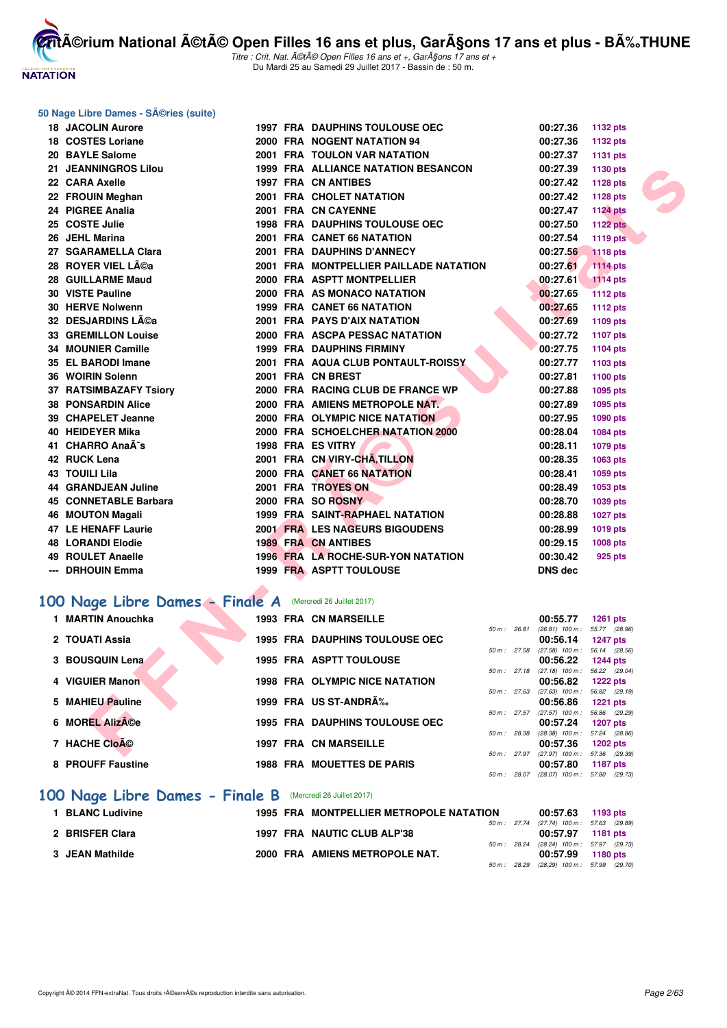

Titre : Crit. Nat. A©tA© Open Filles 16 ans et +, GarA§ons 17 ans et + Du Mardi 25 au Samedi 29 Juillet 2017 - Bassin de : 50 m.

#### **50 Nage Libre Dames - Séries (suite)**

| <b>18 JACOLIN Aurore</b>                                  |  | <b>1997 FRA DAUPHINS TOULOUSE OEC</b>  |              | 00:27.36                                   | <b>1132 pts</b>                     |  |
|-----------------------------------------------------------|--|----------------------------------------|--------------|--------------------------------------------|-------------------------------------|--|
| 18 COSTES Loriane                                         |  | 2000 FRA NOGENT NATATION 94            |              | 00:27.36                                   | <b>1132 pts</b>                     |  |
| 20 BAYLE Salome                                           |  | 2001 FRA TOULON VAR NATATION           |              | 00:27.37                                   | <b>1131 pts</b>                     |  |
| <b>21 JEANNINGROS Lilou</b>                               |  | 1999 FRA ALLIANCE NATATION BESANCON    |              | 00:27.39                                   | 1130 pts                            |  |
| 22 CARA Axelle                                            |  | <b>1997 FRA CN ANTIBES</b>             |              | 00:27.42                                   | 1128 pts                            |  |
| 22 FROUIN Meghan                                          |  | 2001 FRA CHOLET NATATION               |              | 00:27.42                                   | 1128 pts                            |  |
| 24 PIGREE Analia                                          |  | 2001 FRA CN CAYENNE                    |              | 00:27.47                                   | <b>1124 pts</b>                     |  |
| 25 COSTE Julie                                            |  | <b>1998 FRA DAUPHINS TOULOUSE OEC</b>  |              | 00:27.50                                   | <b>1122 pts</b>                     |  |
| 26 JEHL Marina                                            |  | 2001 FRA CANET 66 NATATION             |              | 00:27.54                                   | <b>1119 pts</b>                     |  |
| 27 SGARAMELLA Clara                                       |  | 2001 FRA DAUPHINS D'ANNECY             |              | 00:27.56                                   | <b>1118 pts</b>                     |  |
| 28   ROYER VIEL Léa                                       |  | 2001 FRA MONTPELLIER PAILLADE NATATION |              | 00:27.61                                   | <b>1114 pts</b>                     |  |
| 28 GUILLARME Maud                                         |  | 2000 FRA ASPTT MONTPELLIER             |              | 00:27.61                                   | <b>1114 pts</b>                     |  |
| <b>30 VISTE Pauline</b>                                   |  | 2000 FRA AS MONACO NATATION            |              | 00:27.65                                   | 1112 pts                            |  |
| 30 HERVE Nolwenn                                          |  | 1999 FRA CANET 66 NATATION             |              | 00:27.65                                   | <b>1112 pts</b>                     |  |
| 32 DESJARDINS Lĩa                                         |  | <b>2001 FRA PAYS D'AIX NATATION</b>    |              | 00:27.69                                   | 1109 pts                            |  |
| <b>33 GREMILLON Louise</b>                                |  | 2000 FRA ASCPA PESSAC NATATION         |              | 00:27.72                                   | 1107 pts                            |  |
| 34 MOUNIER Camille                                        |  | <b>1999 FRA DAUPHINS FIRMINY</b>       |              | 00:27.75                                   | 1104 pts                            |  |
| 35 EL BARODI Imane                                        |  | 2001 FRA AQUA CLUB PONTAULT-ROISSY     |              | 00:27.77                                   | 1103 pts                            |  |
| 36 WOIRIN Solenn                                          |  | 2001 FRA CN BREST                      |              | 00:27.81                                   | 1100 pts                            |  |
| 37 RATSIMBAZAFY Tsiory                                    |  | 2000 FRA RACING CLUB DE FRANCE WP      |              | 00:27.88                                   | 1095 pts                            |  |
| <b>38 PONSARDIN Alice</b>                                 |  | 2000 FRA AMIENS METROPOLE NAT.         |              | 00:27.89                                   | 1095 pts                            |  |
| 39 CHAPELET Jeanne                                        |  | 2000 FRA OLYMPIC NICE NATATION         |              | 00:27.95                                   | 1090 pts                            |  |
| 40 HEIDEYER Mika                                          |  | 2000 FRA SCHOELCHER NATATION 2000      |              | 00:28.04                                   | 1084 pts                            |  |
| 41 CHARRO AnaÃ <sup>-</sup> s                             |  | 1998 FRA ES VITRY                      |              | 00:28.11                                   | 1079 pts                            |  |
| 42 RUCK Lena                                              |  | 2001 FRA CN VIRY-CHA, TILLON           |              | 00:28.35                                   | 1063 pts                            |  |
| 43 TOUILI Lila                                            |  | 2000 FRA CANET 66 NATATION             |              | 00:28.41                                   | 1059 pts                            |  |
| 44 GRANDJEAN Juline                                       |  | 2001 FRA TROYES ON                     |              | 00:28.49                                   | 1053 pts                            |  |
| 45 CONNETABLE Barbara                                     |  | 2000 FRA SO ROSNY                      |              | 00:28.70                                   | 1039 pts                            |  |
| 46 MOUTON Magali                                          |  | 1999 FRA SAINT-RAPHAEL NATATION        |              | 00:28.88                                   | <b>1027 pts</b>                     |  |
| 47 LE HENAFF Laurie                                       |  | <b>2001 FRA LES NAGEURS BIGOUDENS</b>  |              | 00:28.99                                   | 1019 pts                            |  |
| 48 LORANDI Elodie                                         |  | <b>1989 FRA CN ANTIBES</b>             |              | 00:29.15                                   | 1008 pts                            |  |
| 49 ROULET Anaelle                                         |  | 1996 FRA LA ROCHE-SUR-YON NATATION     |              | 00:30.42                                   | 925 pts                             |  |
| --- DRHOUIN Emma                                          |  | 1999 FRA ASPTT TOULOUSE                |              | <b>DNS dec</b>                             |                                     |  |
|                                                           |  |                                        |              |                                            |                                     |  |
| 00 Nage Libre Dames - Finale A (Mercredi 26 Juillet 2017) |  |                                        |              |                                            |                                     |  |
| 1 MARTIN Anouchka                                         |  | 1993 FRA CN MARSEILLE                  |              | 00:55.77                                   | <b>1261 pts</b>                     |  |
| 2 TOUATI Assia                                            |  | <b>1995 FRA DAUPHINS TOULOUSE OEC</b>  | 50 m : 26.81 | $(26.81)$ 100 m :<br>00:56.14              | 55.77 (28.96)                       |  |
|                                                           |  |                                        | 50 m: 27.58  | $(27.58)$ 100 m :                          | <b>1247 pts</b><br>56.14 (28.56)    |  |
| 3 BOUSQUIN Lena                                           |  | <b>1995 FRA ASPTT TOULOUSE</b>         |              | 00:56.22                                   | <b>1244 pts</b>                     |  |
| 4 VIGUIER Manon                                           |  | <b>1998 FRA OLYMPIC NICE NATATION</b>  | 50 m: 27.18  | $(27.18)$ 100 m :<br>00:56.82              | 56.22 (29.04)                       |  |
|                                                           |  |                                        | 50 m: 27.63  | $(27.63)$ 100 m :                          | <b>1222 pts</b><br>56.82<br>(29.19) |  |
| 5 MAHIEU Pauline                                          |  | 1999 FRA US ST-ANDRA%                  |              | 00:56.86                                   | <b>1221 pts</b>                     |  |
| 6 MOREL AlizA©e                                           |  | <b>1995 FRA DAUPHINS TOULOUSE OEC</b>  | 50 m: 27.57  | $(27.57)$ 100 m :<br>00:57.24              | 56.86<br>(29.29)                    |  |
|                                                           |  |                                        | 50 m: 28.38  | $(28.38)$ 100 m :                          | <b>1207 pts</b><br>57.24<br>(28.86) |  |
| 7 HACHE CloA <sup>©</sup>                                 |  | <b>1997 FRA CN MARSEILLE</b>           |              | 00:57.36                                   | <b>1202 pts</b>                     |  |
|                                                           |  |                                        |              | 50 m : 27.97 (27.97) 100 m : 57.36 (29.39) |                                     |  |

# [100 Nage Libre Dames - Finale A](http://www.ffnatation.fr/webffn/resultats.php?idact=nat&go=epr&idcpt=47487&idepr=2) (Mercredi 26 Juillet 2017)

| 1 MARTIN Anouchka |  | <b>1993 FRA CN MARSEILLE</b>          |                | 00:55.77                      | <b>1261 pts</b>                  |  |
|-------------------|--|---------------------------------------|----------------|-------------------------------|----------------------------------|--|
|                   |  |                                       | 50 m: 26.81    | $(26.81)$ 100 m :             | 55.77 (28.96)                    |  |
| 2 TOUATI Assia    |  | 1995 FRA DAUPHINS TOULOUSE OEC        |                | 00:56.14                      | <b>1247 pts</b>                  |  |
| 3 BOUSQUIN Lena   |  | <b>1995 FRA ASPTT TOULOUSE</b>        | 50 m: 27.58    | $(27.58)$ 100 m :<br>00:56.22 | 56.14 (28.56)<br><b>1244 pts</b> |  |
| 4 VIGUIER Manon   |  | <b>1998 FRA OLYMPIC NICE NATATION</b> | 50 m: 27.18    | $(27.18)$ 100 m :<br>00:56.82 | 56.22 (29.04)<br><b>1222 pts</b> |  |
|                   |  |                                       | 50 m: 27.63    | $(27.63)$ 100 m :             | 56.82 (29.19)                    |  |
| 5 MAHIEU Pauline  |  | 1999 FRA US ST-ANDRÉ                  |                | 00:56.86                      | <b>1221 pts</b>                  |  |
|                   |  |                                       | $50 m$ : 27.57 | $(27.57)$ 100 m :             | 56.86 (29.29)                    |  |
| 6 MOREL AlizA©e   |  | <b>1995 FRA DAUPHINS TOULOUSE OEC</b> |                | 00:57.24                      | <b>1207 pts</b>                  |  |
|                   |  |                                       | 50 m: 28.38    | $(28.38)$ 100 m :             | 57.24 (28.86)                    |  |
| 7 HACHE Cloé      |  | <b>1997 FRA CN MARSEILLE</b>          |                | 00:57.36                      | <b>1202 pts</b>                  |  |
| 8 PROUFF Faustine |  | <b>1988 FRA MOUETTES DE PARIS</b>     | 50 m: 27.97    | $(27.97)$ 100 m :<br>00:57.80 | 57.36 (29.39)<br><b>1187 pts</b> |  |
|                   |  |                                       | 50 m: 28.07    | $(28.07)$ 100 m :             | 57.80 (29.73)                    |  |
|                   |  |                                       |                |                               |                                  |  |

## **[100 Nage Libre Dames - Finale B](http://www.ffnatation.fr/webffn/resultats.php?idact=nat&go=epr&idcpt=47487&idepr=2)** (Mercredi 26 Juillet 2017)

| 1 BLANC Ludivine |  | 1995 FRA MONTPELLIER METROPOLE NATATION |  | 00:57.63 1193 pts                          |  |
|------------------|--|-----------------------------------------|--|--------------------------------------------|--|
|                  |  |                                         |  | 50 m : 27.74 (27.74) 100 m : 57.63 (29.89) |  |
| 2 BRISFER Clara  |  | 1997 FRA NAUTIC CLUB ALP'38             |  | 00:57.97 1181 pts                          |  |
|                  |  |                                         |  | 50 m: 28.24 (28.24) 100 m: 57.97 (29.73)   |  |
| 3 JEAN Mathilde  |  | 2000 FRA AMIENS METROPOLE NAT.          |  | 00:57.99 1180 pts                          |  |
|                  |  |                                         |  | 50 m: 28.29 (28.29) 100 m: 57.99 (29.70)   |  |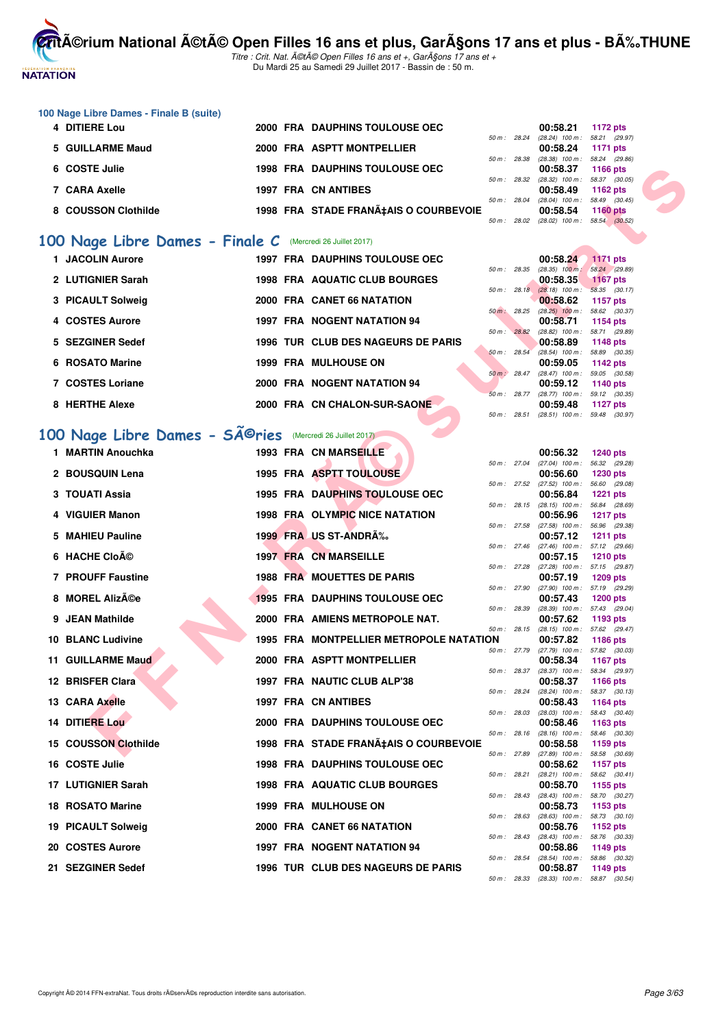

Titre : Crit. Nat. A©tA© Open Filles 16 ans et +, GarA§ons 17 ans et + Du Mardi 25 au Samedi 29 Juillet 2017 - Bassin de : 50 m.

#### **100 Nage Libre Dames - Finale B (suite)**

| 4 DITIERE Lou       |  | 2000 FRA DAUPHINS TOULOUSE OEC        |              |              | 00:58.21                          | 1172 pts        |  |
|---------------------|--|---------------------------------------|--------------|--------------|-----------------------------------|-----------------|--|
|                     |  |                                       | 50 m : 28.24 |              | $(28.24)$ 100 m : 58.21 $(29.97)$ |                 |  |
| 5 GUILLARME Maud    |  | 2000 FRA ASPTT MONTPELLIER            |              |              | 00:58.24                          | 1171 pts        |  |
|                     |  |                                       | 50 m: 28.38  |              | $(28.38)$ 100 m : 58.24 $(29.86)$ |                 |  |
| 6 COSTE Julie       |  | <b>1998 FRA DAUPHINS TOULOUSE OEC</b> |              |              | 00:58.37                          | 1166 pts        |  |
|                     |  |                                       |              | 50 m : 28.32 | $(28.32)$ 100 m : 58.37 $(30.05)$ |                 |  |
| 7 CARA Axelle       |  | 1997 FRA CN ANTIBES                   |              |              | 00:58.49                          | 1162 pts        |  |
|                     |  |                                       | 50 m: 28.04  |              | $(28.04)$ 100 m : 58.49 $(30.45)$ |                 |  |
| 8 COUSSON Clothilde |  | 1998 FRA STADE FRANÇAIS O COURBEVOIE  |              |              | 00:58.54                          | <b>1160 pts</b> |  |
|                     |  |                                       | 50 m : 28.02 |              | $(28.02)$ 100 m : 58.54 $(30.52)$ |                 |  |

## [100 Nage Libre Dames - Finale C](http://www.ffnatation.fr/webffn/resultats.php?idact=nat&go=epr&idcpt=47487&idepr=2) (Mercredi 26 Juillet 2017)

| 1 JACOLIN Aurore  |      |          | <b>1997 FRA DAUPHINS TOULOUSE OEC</b> |             |       | 00:58.24                      | 1171 pts                  |               |
|-------------------|------|----------|---------------------------------------|-------------|-------|-------------------------------|---------------------------|---------------|
|                   |      |          |                                       | 50 m: 28.35 |       | $(28.35)$ 100 m :             |                           | 58.24 (29.89) |
| 2 LUTIGNIER Sarah |      |          | <b>1998 FRA AQUATIC CLUB BOURGES</b>  |             |       | 00:58.35                      | <b>1167 pts</b>           |               |
|                   |      |          |                                       | 50 m: 28.18 |       | $(28.18) 100 m$ :             |                           | 58.35 (30.17) |
| 3 PICAULT Solweig |      |          | 2000 FRA CANET 66 NATATION            |             |       | 00:58.62                      | 1157 pts                  |               |
|                   |      |          |                                       | 50 m: 28.25 |       | $(28.25)$ 100 m :             | 58.62 (30.37)             |               |
| 4 COSTES Aurore   | 1997 |          | <b>FRA NOGENT NATATION 94</b>         |             |       | 00:58.71                      | 1154 pts                  |               |
|                   |      |          |                                       | 50 m: 28.82 |       | $(28.82)$ 100 m :             | 58.71 (29.89)             |               |
| 5 SEZGINER Sedef  |      |          | 1996 TUR CLUB DES NAGEURS DE PARIS    |             |       | 00:58.89                      | 1148 pts                  |               |
| 6 ROSATO Marine   |      | 1999 FRA | <b>MULHOUSE ON</b>                    | 50 m: 28.54 |       | $(28.54)$ 100 m :<br>00:59.05 |                           | 58.89 (30.35) |
|                   |      |          |                                       | $50 m$ :    | 28.47 | $(28.47)$ 100 m :             | 1142 pts                  |               |
| 7 COSTES Loriane  |      |          | 2000 FRA NOGENT NATATION 94           |             |       | 00:59.12                      | 59.05 (30.58)<br>1140 pts |               |
|                   |      |          |                                       | $50 m$ :    | 28.77 | $(28.77)$ 100 m :             | 59.12 (30.35)             |               |
| 8 HERTHE Alexe    |      |          | 2000 FRA CN CHALON-SUR-SAONE          |             |       | 00:59.48                      | 1127 $p$ ts               |               |
|                   |      |          |                                       | 50 m: 28.51 |       | $(28.51)$ 100 m :             | 59.48 (30.97)             |               |
|                   |      |          |                                       |             |       |                               |                           |               |

# 100 Nage Libre Dames - SÃ<sup>©</sup>ries (Mercredi 26 Juillet 2017)

| 6 COSTE Julie            |                                                                                                                                                                                                                                                                                                                         |  |                                                                                                                                                                                                                                                                                                                                                                                                                                                                                                                                                                                                                                                                                                                                                                                                                                                                                                                                                                                                                                                                                                                                                                                                                 |                                         | 00:58.37                                                                                                                                                                                                                                                                                                                               | <b>1166 pts</b>                                                                                                                                                                                                  |                                                                                                                                                                                                                                                                                                                                                                                                                                                                                                                                                                                                                                                                                                                                                                                                                                                                                                                                                                                                                                                                                                                                                                                                                                                                                                                                                                                                                                                                                     |
|--------------------------|-------------------------------------------------------------------------------------------------------------------------------------------------------------------------------------------------------------------------------------------------------------------------------------------------------------------------|--|-----------------------------------------------------------------------------------------------------------------------------------------------------------------------------------------------------------------------------------------------------------------------------------------------------------------------------------------------------------------------------------------------------------------------------------------------------------------------------------------------------------------------------------------------------------------------------------------------------------------------------------------------------------------------------------------------------------------------------------------------------------------------------------------------------------------------------------------------------------------------------------------------------------------------------------------------------------------------------------------------------------------------------------------------------------------------------------------------------------------------------------------------------------------------------------------------------------------|-----------------------------------------|----------------------------------------------------------------------------------------------------------------------------------------------------------------------------------------------------------------------------------------------------------------------------------------------------------------------------------------|------------------------------------------------------------------------------------------------------------------------------------------------------------------------------------------------------------------|-------------------------------------------------------------------------------------------------------------------------------------------------------------------------------------------------------------------------------------------------------------------------------------------------------------------------------------------------------------------------------------------------------------------------------------------------------------------------------------------------------------------------------------------------------------------------------------------------------------------------------------------------------------------------------------------------------------------------------------------------------------------------------------------------------------------------------------------------------------------------------------------------------------------------------------------------------------------------------------------------------------------------------------------------------------------------------------------------------------------------------------------------------------------------------------------------------------------------------------------------------------------------------------------------------------------------------------------------------------------------------------------------------------------------------------------------------------------------------------|
| 7 CARA Axelle            |                                                                                                                                                                                                                                                                                                                         |  |                                                                                                                                                                                                                                                                                                                                                                                                                                                                                                                                                                                                                                                                                                                                                                                                                                                                                                                                                                                                                                                                                                                                                                                                                 |                                         | 00:58.49                                                                                                                                                                                                                                                                                                                               | 1162 $pts$                                                                                                                                                                                                       |                                                                                                                                                                                                                                                                                                                                                                                                                                                                                                                                                                                                                                                                                                                                                                                                                                                                                                                                                                                                                                                                                                                                                                                                                                                                                                                                                                                                                                                                                     |
|                          |                                                                                                                                                                                                                                                                                                                         |  |                                                                                                                                                                                                                                                                                                                                                                                                                                                                                                                                                                                                                                                                                                                                                                                                                                                                                                                                                                                                                                                                                                                                                                                                                 |                                         |                                                                                                                                                                                                                                                                                                                                        |                                                                                                                                                                                                                  |                                                                                                                                                                                                                                                                                                                                                                                                                                                                                                                                                                                                                                                                                                                                                                                                                                                                                                                                                                                                                                                                                                                                                                                                                                                                                                                                                                                                                                                                                     |
|                          |                                                                                                                                                                                                                                                                                                                         |  |                                                                                                                                                                                                                                                                                                                                                                                                                                                                                                                                                                                                                                                                                                                                                                                                                                                                                                                                                                                                                                                                                                                                                                                                                 |                                         |                                                                                                                                                                                                                                                                                                                                        |                                                                                                                                                                                                                  |                                                                                                                                                                                                                                                                                                                                                                                                                                                                                                                                                                                                                                                                                                                                                                                                                                                                                                                                                                                                                                                                                                                                                                                                                                                                                                                                                                                                                                                                                     |
|                          |                                                                                                                                                                                                                                                                                                                         |  |                                                                                                                                                                                                                                                                                                                                                                                                                                                                                                                                                                                                                                                                                                                                                                                                                                                                                                                                                                                                                                                                                                                                                                                                                 |                                         |                                                                                                                                                                                                                                                                                                                                        |                                                                                                                                                                                                                  |                                                                                                                                                                                                                                                                                                                                                                                                                                                                                                                                                                                                                                                                                                                                                                                                                                                                                                                                                                                                                                                                                                                                                                                                                                                                                                                                                                                                                                                                                     |
|                          |                                                                                                                                                                                                                                                                                                                         |  |                                                                                                                                                                                                                                                                                                                                                                                                                                                                                                                                                                                                                                                                                                                                                                                                                                                                                                                                                                                                                                                                                                                                                                                                                 |                                         |                                                                                                                                                                                                                                                                                                                                        |                                                                                                                                                                                                                  |                                                                                                                                                                                                                                                                                                                                                                                                                                                                                                                                                                                                                                                                                                                                                                                                                                                                                                                                                                                                                                                                                                                                                                                                                                                                                                                                                                                                                                                                                     |
|                          |                                                                                                                                                                                                                                                                                                                         |  |                                                                                                                                                                                                                                                                                                                                                                                                                                                                                                                                                                                                                                                                                                                                                                                                                                                                                                                                                                                                                                                                                                                                                                                                                 |                                         |                                                                                                                                                                                                                                                                                                                                        |                                                                                                                                                                                                                  |                                                                                                                                                                                                                                                                                                                                                                                                                                                                                                                                                                                                                                                                                                                                                                                                                                                                                                                                                                                                                                                                                                                                                                                                                                                                                                                                                                                                                                                                                     |
|                          |                                                                                                                                                                                                                                                                                                                         |  |                                                                                                                                                                                                                                                                                                                                                                                                                                                                                                                                                                                                                                                                                                                                                                                                                                                                                                                                                                                                                                                                                                                                                                                                                 |                                         |                                                                                                                                                                                                                                                                                                                                        |                                                                                                                                                                                                                  |                                                                                                                                                                                                                                                                                                                                                                                                                                                                                                                                                                                                                                                                                                                                                                                                                                                                                                                                                                                                                                                                                                                                                                                                                                                                                                                                                                                                                                                                                     |
| 3 PICAULT Solweig        |                                                                                                                                                                                                                                                                                                                         |  |                                                                                                                                                                                                                                                                                                                                                                                                                                                                                                                                                                                                                                                                                                                                                                                                                                                                                                                                                                                                                                                                                                                                                                                                                 |                                         | 00:58.62                                                                                                                                                                                                                                                                                                                               | 1157 pts                                                                                                                                                                                                         |                                                                                                                                                                                                                                                                                                                                                                                                                                                                                                                                                                                                                                                                                                                                                                                                                                                                                                                                                                                                                                                                                                                                                                                                                                                                                                                                                                                                                                                                                     |
| 4 COSTES Aurore          |                                                                                                                                                                                                                                                                                                                         |  |                                                                                                                                                                                                                                                                                                                                                                                                                                                                                                                                                                                                                                                                                                                                                                                                                                                                                                                                                                                                                                                                                                                                                                                                                 |                                         | 00:58.71                                                                                                                                                                                                                                                                                                                               | 1154 pts                                                                                                                                                                                                         |                                                                                                                                                                                                                                                                                                                                                                                                                                                                                                                                                                                                                                                                                                                                                                                                                                                                                                                                                                                                                                                                                                                                                                                                                                                                                                                                                                                                                                                                                     |
|                          |                                                                                                                                                                                                                                                                                                                         |  |                                                                                                                                                                                                                                                                                                                                                                                                                                                                                                                                                                                                                                                                                                                                                                                                                                                                                                                                                                                                                                                                                                                                                                                                                 |                                         |                                                                                                                                                                                                                                                                                                                                        |                                                                                                                                                                                                                  |                                                                                                                                                                                                                                                                                                                                                                                                                                                                                                                                                                                                                                                                                                                                                                                                                                                                                                                                                                                                                                                                                                                                                                                                                                                                                                                                                                                                                                                                                     |
|                          |                                                                                                                                                                                                                                                                                                                         |  |                                                                                                                                                                                                                                                                                                                                                                                                                                                                                                                                                                                                                                                                                                                                                                                                                                                                                                                                                                                                                                                                                                                                                                                                                 |                                         |                                                                                                                                                                                                                                                                                                                                        |                                                                                                                                                                                                                  |                                                                                                                                                                                                                                                                                                                                                                                                                                                                                                                                                                                                                                                                                                                                                                                                                                                                                                                                                                                                                                                                                                                                                                                                                                                                                                                                                                                                                                                                                     |
|                          |                                                                                                                                                                                                                                                                                                                         |  |                                                                                                                                                                                                                                                                                                                                                                                                                                                                                                                                                                                                                                                                                                                                                                                                                                                                                                                                                                                                                                                                                                                                                                                                                 |                                         | 00:59.05                                                                                                                                                                                                                                                                                                                               | <b>1142 pts</b>                                                                                                                                                                                                  |                                                                                                                                                                                                                                                                                                                                                                                                                                                                                                                                                                                                                                                                                                                                                                                                                                                                                                                                                                                                                                                                                                                                                                                                                                                                                                                                                                                                                                                                                     |
| 7 COSTES Loriane         |                                                                                                                                                                                                                                                                                                                         |  |                                                                                                                                                                                                                                                                                                                                                                                                                                                                                                                                                                                                                                                                                                                                                                                                                                                                                                                                                                                                                                                                                                                                                                                                                 |                                         | 00:59.12                                                                                                                                                                                                                                                                                                                               | 1140 pts                                                                                                                                                                                                         |                                                                                                                                                                                                                                                                                                                                                                                                                                                                                                                                                                                                                                                                                                                                                                                                                                                                                                                                                                                                                                                                                                                                                                                                                                                                                                                                                                                                                                                                                     |
|                          |                                                                                                                                                                                                                                                                                                                         |  |                                                                                                                                                                                                                                                                                                                                                                                                                                                                                                                                                                                                                                                                                                                                                                                                                                                                                                                                                                                                                                                                                                                                                                                                                 |                                         |                                                                                                                                                                                                                                                                                                                                        |                                                                                                                                                                                                                  |                                                                                                                                                                                                                                                                                                                                                                                                                                                                                                                                                                                                                                                                                                                                                                                                                                                                                                                                                                                                                                                                                                                                                                                                                                                                                                                                                                                                                                                                                     |
|                          |                                                                                                                                                                                                                                                                                                                         |  |                                                                                                                                                                                                                                                                                                                                                                                                                                                                                                                                                                                                                                                                                                                                                                                                                                                                                                                                                                                                                                                                                                                                                                                                                 |                                         |                                                                                                                                                                                                                                                                                                                                        |                                                                                                                                                                                                                  |                                                                                                                                                                                                                                                                                                                                                                                                                                                                                                                                                                                                                                                                                                                                                                                                                                                                                                                                                                                                                                                                                                                                                                                                                                                                                                                                                                                                                                                                                     |
|                          |                                                                                                                                                                                                                                                                                                                         |  |                                                                                                                                                                                                                                                                                                                                                                                                                                                                                                                                                                                                                                                                                                                                                                                                                                                                                                                                                                                                                                                                                                                                                                                                                 |                                         |                                                                                                                                                                                                                                                                                                                                        |                                                                                                                                                                                                                  |                                                                                                                                                                                                                                                                                                                                                                                                                                                                                                                                                                                                                                                                                                                                                                                                                                                                                                                                                                                                                                                                                                                                                                                                                                                                                                                                                                                                                                                                                     |
| 1 MARTIN Anouchka        |                                                                                                                                                                                                                                                                                                                         |  |                                                                                                                                                                                                                                                                                                                                                                                                                                                                                                                                                                                                                                                                                                                                                                                                                                                                                                                                                                                                                                                                                                                                                                                                                 |                                         | 00:56.32                                                                                                                                                                                                                                                                                                                               |                                                                                                                                                                                                                  |                                                                                                                                                                                                                                                                                                                                                                                                                                                                                                                                                                                                                                                                                                                                                                                                                                                                                                                                                                                                                                                                                                                                                                                                                                                                                                                                                                                                                                                                                     |
|                          |                                                                                                                                                                                                                                                                                                                         |  |                                                                                                                                                                                                                                                                                                                                                                                                                                                                                                                                                                                                                                                                                                                                                                                                                                                                                                                                                                                                                                                                                                                                                                                                                 |                                         |                                                                                                                                                                                                                                                                                                                                        |                                                                                                                                                                                                                  |                                                                                                                                                                                                                                                                                                                                                                                                                                                                                                                                                                                                                                                                                                                                                                                                                                                                                                                                                                                                                                                                                                                                                                                                                                                                                                                                                                                                                                                                                     |
|                          |                                                                                                                                                                                                                                                                                                                         |  |                                                                                                                                                                                                                                                                                                                                                                                                                                                                                                                                                                                                                                                                                                                                                                                                                                                                                                                                                                                                                                                                                                                                                                                                                 |                                         |                                                                                                                                                                                                                                                                                                                                        |                                                                                                                                                                                                                  |                                                                                                                                                                                                                                                                                                                                                                                                                                                                                                                                                                                                                                                                                                                                                                                                                                                                                                                                                                                                                                                                                                                                                                                                                                                                                                                                                                                                                                                                                     |
| 3 TOUATI Assia           |                                                                                                                                                                                                                                                                                                                         |  |                                                                                                                                                                                                                                                                                                                                                                                                                                                                                                                                                                                                                                                                                                                                                                                                                                                                                                                                                                                                                                                                                                                                                                                                                 |                                         | 00:56.84                                                                                                                                                                                                                                                                                                                               | <b>1221 pts</b>                                                                                                                                                                                                  |                                                                                                                                                                                                                                                                                                                                                                                                                                                                                                                                                                                                                                                                                                                                                                                                                                                                                                                                                                                                                                                                                                                                                                                                                                                                                                                                                                                                                                                                                     |
| 4 VIGUIER Manon          |                                                                                                                                                                                                                                                                                                                         |  |                                                                                                                                                                                                                                                                                                                                                                                                                                                                                                                                                                                                                                                                                                                                                                                                                                                                                                                                                                                                                                                                                                                                                                                                                 |                                         | 00:56.96                                                                                                                                                                                                                                                                                                                               | <b>1217 pts</b>                                                                                                                                                                                                  |                                                                                                                                                                                                                                                                                                                                                                                                                                                                                                                                                                                                                                                                                                                                                                                                                                                                                                                                                                                                                                                                                                                                                                                                                                                                                                                                                                                                                                                                                     |
|                          |                                                                                                                                                                                                                                                                                                                         |  |                                                                                                                                                                                                                                                                                                                                                                                                                                                                                                                                                                                                                                                                                                                                                                                                                                                                                                                                                                                                                                                                                                                                                                                                                 |                                         |                                                                                                                                                                                                                                                                                                                                        |                                                                                                                                                                                                                  |                                                                                                                                                                                                                                                                                                                                                                                                                                                                                                                                                                                                                                                                                                                                                                                                                                                                                                                                                                                                                                                                                                                                                                                                                                                                                                                                                                                                                                                                                     |
|                          |                                                                                                                                                                                                                                                                                                                         |  |                                                                                                                                                                                                                                                                                                                                                                                                                                                                                                                                                                                                                                                                                                                                                                                                                                                                                                                                                                                                                                                                                                                                                                                                                 |                                         |                                                                                                                                                                                                                                                                                                                                        |                                                                                                                                                                                                                  |                                                                                                                                                                                                                                                                                                                                                                                                                                                                                                                                                                                                                                                                                                                                                                                                                                                                                                                                                                                                                                                                                                                                                                                                                                                                                                                                                                                                                                                                                     |
|                          |                                                                                                                                                                                                                                                                                                                         |  |                                                                                                                                                                                                                                                                                                                                                                                                                                                                                                                                                                                                                                                                                                                                                                                                                                                                                                                                                                                                                                                                                                                                                                                                                 |                                         |                                                                                                                                                                                                                                                                                                                                        |                                                                                                                                                                                                                  |                                                                                                                                                                                                                                                                                                                                                                                                                                                                                                                                                                                                                                                                                                                                                                                                                                                                                                                                                                                                                                                                                                                                                                                                                                                                                                                                                                                                                                                                                     |
| <b>7 PROUFF Faustine</b> |                                                                                                                                                                                                                                                                                                                         |  |                                                                                                                                                                                                                                                                                                                                                                                                                                                                                                                                                                                                                                                                                                                                                                                                                                                                                                                                                                                                                                                                                                                                                                                                                 |                                         | 00:57.19                                                                                                                                                                                                                                                                                                                               | 1209 pts                                                                                                                                                                                                         |                                                                                                                                                                                                                                                                                                                                                                                                                                                                                                                                                                                                                                                                                                                                                                                                                                                                                                                                                                                                                                                                                                                                                                                                                                                                                                                                                                                                                                                                                     |
| 8 MOREL Alizée           |                                                                                                                                                                                                                                                                                                                         |  |                                                                                                                                                                                                                                                                                                                                                                                                                                                                                                                                                                                                                                                                                                                                                                                                                                                                                                                                                                                                                                                                                                                                                                                                                 |                                         | 00:57.43                                                                                                                                                                                                                                                                                                                               | <b>1200 pts</b>                                                                                                                                                                                                  |                                                                                                                                                                                                                                                                                                                                                                                                                                                                                                                                                                                                                                                                                                                                                                                                                                                                                                                                                                                                                                                                                                                                                                                                                                                                                                                                                                                                                                                                                     |
|                          |                                                                                                                                                                                                                                                                                                                         |  |                                                                                                                                                                                                                                                                                                                                                                                                                                                                                                                                                                                                                                                                                                                                                                                                                                                                                                                                                                                                                                                                                                                                                                                                                 |                                         |                                                                                                                                                                                                                                                                                                                                        |                                                                                                                                                                                                                  |                                                                                                                                                                                                                                                                                                                                                                                                                                                                                                                                                                                                                                                                                                                                                                                                                                                                                                                                                                                                                                                                                                                                                                                                                                                                                                                                                                                                                                                                                     |
|                          |                                                                                                                                                                                                                                                                                                                         |  |                                                                                                                                                                                                                                                                                                                                                                                                                                                                                                                                                                                                                                                                                                                                                                                                                                                                                                                                                                                                                                                                                                                                                                                                                 |                                         |                                                                                                                                                                                                                                                                                                                                        |                                                                                                                                                                                                                  |                                                                                                                                                                                                                                                                                                                                                                                                                                                                                                                                                                                                                                                                                                                                                                                                                                                                                                                                                                                                                                                                                                                                                                                                                                                                                                                                                                                                                                                                                     |
|                          |                                                                                                                                                                                                                                                                                                                         |  |                                                                                                                                                                                                                                                                                                                                                                                                                                                                                                                                                                                                                                                                                                                                                                                                                                                                                                                                                                                                                                                                                                                                                                                                                 |                                         |                                                                                                                                                                                                                                                                                                                                        |                                                                                                                                                                                                                  |                                                                                                                                                                                                                                                                                                                                                                                                                                                                                                                                                                                                                                                                                                                                                                                                                                                                                                                                                                                                                                                                                                                                                                                                                                                                                                                                                                                                                                                                                     |
| <b>11 GUILLARME Maud</b> |                                                                                                                                                                                                                                                                                                                         |  |                                                                                                                                                                                                                                                                                                                                                                                                                                                                                                                                                                                                                                                                                                                                                                                                                                                                                                                                                                                                                                                                                                                                                                                                                 |                                         | 00:58.34                                                                                                                                                                                                                                                                                                                               | 1167 pts                                                                                                                                                                                                         |                                                                                                                                                                                                                                                                                                                                                                                                                                                                                                                                                                                                                                                                                                                                                                                                                                                                                                                                                                                                                                                                                                                                                                                                                                                                                                                                                                                                                                                                                     |
| 12 BRISFER Clara         |                                                                                                                                                                                                                                                                                                                         |  |                                                                                                                                                                                                                                                                                                                                                                                                                                                                                                                                                                                                                                                                                                                                                                                                                                                                                                                                                                                                                                                                                                                                                                                                                 |                                         | 00:58.37                                                                                                                                                                                                                                                                                                                               | <b>1166 pts</b>                                                                                                                                                                                                  |                                                                                                                                                                                                                                                                                                                                                                                                                                                                                                                                                                                                                                                                                                                                                                                                                                                                                                                                                                                                                                                                                                                                                                                                                                                                                                                                                                                                                                                                                     |
|                          |                                                                                                                                                                                                                                                                                                                         |  |                                                                                                                                                                                                                                                                                                                                                                                                                                                                                                                                                                                                                                                                                                                                                                                                                                                                                                                                                                                                                                                                                                                                                                                                                 |                                         |                                                                                                                                                                                                                                                                                                                                        |                                                                                                                                                                                                                  |                                                                                                                                                                                                                                                                                                                                                                                                                                                                                                                                                                                                                                                                                                                                                                                                                                                                                                                                                                                                                                                                                                                                                                                                                                                                                                                                                                                                                                                                                     |
|                          |                                                                                                                                                                                                                                                                                                                         |  |                                                                                                                                                                                                                                                                                                                                                                                                                                                                                                                                                                                                                                                                                                                                                                                                                                                                                                                                                                                                                                                                                                                                                                                                                 |                                         |                                                                                                                                                                                                                                                                                                                                        |                                                                                                                                                                                                                  |                                                                                                                                                                                                                                                                                                                                                                                                                                                                                                                                                                                                                                                                                                                                                                                                                                                                                                                                                                                                                                                                                                                                                                                                                                                                                                                                                                                                                                                                                     |
|                          |                                                                                                                                                                                                                                                                                                                         |  |                                                                                                                                                                                                                                                                                                                                                                                                                                                                                                                                                                                                                                                                                                                                                                                                                                                                                                                                                                                                                                                                                                                                                                                                                 |                                         |                                                                                                                                                                                                                                                                                                                                        |                                                                                                                                                                                                                  |                                                                                                                                                                                                                                                                                                                                                                                                                                                                                                                                                                                                                                                                                                                                                                                                                                                                                                                                                                                                                                                                                                                                                                                                                                                                                                                                                                                                                                                                                     |
| 15 COUSSON Clothilde     |                                                                                                                                                                                                                                                                                                                         |  |                                                                                                                                                                                                                                                                                                                                                                                                                                                                                                                                                                                                                                                                                                                                                                                                                                                                                                                                                                                                                                                                                                                                                                                                                 |                                         | 00:58.58                                                                                                                                                                                                                                                                                                                               | 1159 pts                                                                                                                                                                                                         |                                                                                                                                                                                                                                                                                                                                                                                                                                                                                                                                                                                                                                                                                                                                                                                                                                                                                                                                                                                                                                                                                                                                                                                                                                                                                                                                                                                                                                                                                     |
| 16 COSTE Julie           |                                                                                                                                                                                                                                                                                                                         |  |                                                                                                                                                                                                                                                                                                                                                                                                                                                                                                                                                                                                                                                                                                                                                                                                                                                                                                                                                                                                                                                                                                                                                                                                                 |                                         | 00:58.62                                                                                                                                                                                                                                                                                                                               | 1157 pts                                                                                                                                                                                                         |                                                                                                                                                                                                                                                                                                                                                                                                                                                                                                                                                                                                                                                                                                                                                                                                                                                                                                                                                                                                                                                                                                                                                                                                                                                                                                                                                                                                                                                                                     |
|                          |                                                                                                                                                                                                                                                                                                                         |  |                                                                                                                                                                                                                                                                                                                                                                                                                                                                                                                                                                                                                                                                                                                                                                                                                                                                                                                                                                                                                                                                                                                                                                                                                 |                                         |                                                                                                                                                                                                                                                                                                                                        |                                                                                                                                                                                                                  |                                                                                                                                                                                                                                                                                                                                                                                                                                                                                                                                                                                                                                                                                                                                                                                                                                                                                                                                                                                                                                                                                                                                                                                                                                                                                                                                                                                                                                                                                     |
|                          |                                                                                                                                                                                                                                                                                                                         |  |                                                                                                                                                                                                                                                                                                                                                                                                                                                                                                                                                                                                                                                                                                                                                                                                                                                                                                                                                                                                                                                                                                                                                                                                                 |                                         |                                                                                                                                                                                                                                                                                                                                        |                                                                                                                                                                                                                  |                                                                                                                                                                                                                                                                                                                                                                                                                                                                                                                                                                                                                                                                                                                                                                                                                                                                                                                                                                                                                                                                                                                                                                                                                                                                                                                                                                                                                                                                                     |
| <b>18 ROSATO Marine</b>  |                                                                                                                                                                                                                                                                                                                         |  |                                                                                                                                                                                                                                                                                                                                                                                                                                                                                                                                                                                                                                                                                                                                                                                                                                                                                                                                                                                                                                                                                                                                                                                                                 |                                         | 00:58.73                                                                                                                                                                                                                                                                                                                               | 1153 pts                                                                                                                                                                                                         |                                                                                                                                                                                                                                                                                                                                                                                                                                                                                                                                                                                                                                                                                                                                                                                                                                                                                                                                                                                                                                                                                                                                                                                                                                                                                                                                                                                                                                                                                     |
| 19 PICAULT Solweig       |                                                                                                                                                                                                                                                                                                                         |  |                                                                                                                                                                                                                                                                                                                                                                                                                                                                                                                                                                                                                                                                                                                                                                                                                                                                                                                                                                                                                                                                                                                                                                                                                 |                                         | 00:58.76                                                                                                                                                                                                                                                                                                                               | 1152 pts                                                                                                                                                                                                         |                                                                                                                                                                                                                                                                                                                                                                                                                                                                                                                                                                                                                                                                                                                                                                                                                                                                                                                                                                                                                                                                                                                                                                                                                                                                                                                                                                                                                                                                                     |
|                          |                                                                                                                                                                                                                                                                                                                         |  |                                                                                                                                                                                                                                                                                                                                                                                                                                                                                                                                                                                                                                                                                                                                                                                                                                                                                                                                                                                                                                                                                                                                                                                                                 |                                         |                                                                                                                                                                                                                                                                                                                                        |                                                                                                                                                                                                                  |                                                                                                                                                                                                                                                                                                                                                                                                                                                                                                                                                                                                                                                                                                                                                                                                                                                                                                                                                                                                                                                                                                                                                                                                                                                                                                                                                                                                                                                                                     |
|                          |                                                                                                                                                                                                                                                                                                                         |  |                                                                                                                                                                                                                                                                                                                                                                                                                                                                                                                                                                                                                                                                                                                                                                                                                                                                                                                                                                                                                                                                                                                                                                                                                 |                                         |                                                                                                                                                                                                                                                                                                                                        |                                                                                                                                                                                                                  |                                                                                                                                                                                                                                                                                                                                                                                                                                                                                                                                                                                                                                                                                                                                                                                                                                                                                                                                                                                                                                                                                                                                                                                                                                                                                                                                                                                                                                                                                     |
|                          |                                                                                                                                                                                                                                                                                                                         |  |                                                                                                                                                                                                                                                                                                                                                                                                                                                                                                                                                                                                                                                                                                                                                                                                                                                                                                                                                                                                                                                                                                                                                                                                                 |                                         |                                                                                                                                                                                                                                                                                                                                        |                                                                                                                                                                                                                  |                                                                                                                                                                                                                                                                                                                                                                                                                                                                                                                                                                                                                                                                                                                                                                                                                                                                                                                                                                                                                                                                                                                                                                                                                                                                                                                                                                                                                                                                                     |
|                          | 8 COUSSON Clothilde<br>1 JACOLIN Aurore<br>2 LUTIGNIER Sarah<br>5 SEZGINER Sedef<br>6 ROSATO Marine<br>8 HERTHE Alexe<br>2 BOUSQUIN Lena<br>5 MAHIEU Pauline<br>6 HACHE Cloé<br>9 JEAN Mathilde<br>10 BLANC Ludivine<br>13 CARA Axelle<br>14 DITIERE Lou<br>17 LUTIGNIER Sarah<br>20 COSTES Aurore<br>21 SEZGINER Sedef |  | <b>1998 FRA DAUPHINS TOULOUSE OEC</b><br>1997 FRA CN ANTIBES<br>1998 FRA STADE FRANÇAIS O COURBEVOIE<br><b>00 Nage Libre Dames - Finale C</b> (Mercredi 26 Juillet 2017)<br><b>1997 FRA DAUPHINS TOULOUSE OEC</b><br><b>1998 FRA AQUATIC CLUB BOURGES</b><br>2000 FRA CANET 66 NATATION<br><b>1997 FRA NOGENT NATATION 94</b><br>1996 TUR CLUB DES NAGEURS DE PARIS<br><b>1999 FRA MULHOUSE ON</b><br>2000 FRA NOGENT NATATION 94<br>2000 FRA CN CHALON-SUR-SAONE<br>00 Nage Libre Dames - SÃ <sup>@</sup> ries (Mercredi 26 Juillet 2017)<br>1993 FRA CN MARSEILLE<br>1995 FRA ASPTT TOULOUSE<br><b>1995 FRA DAUPHINS TOULOUSE OEC</b><br>1998 FRA OLYMPIC NICE NATATION<br>1999 FRA US ST-ANDRA%<br>1997 FRA CN MARSEILLE<br><b>1988 FRA MOUETTES DE PARIS</b><br>1995 FRA DAUPHINS TOULOUSE OEC<br>2000 FRA AMIENS METROPOLE NAT.<br>2000 FRA ASPTT MONTPELLIER<br>1997 FRA NAUTIC CLUB ALP'38<br>1997 FRA CN ANTIBES<br>2000 FRA DAUPHINS TOULOUSE OEC<br>1998 FRA STADE FRANA‡AIS O COURBEVOIE<br>1998 FRA DAUPHINS TOULOUSE OEC<br><b>1998 FRA AQUATIC CLUB BOURGES</b><br>1999 FRA MULHOUSE ON<br>2000 FRA CANET 66 NATATION<br><b>1997 FRA NOGENT NATATION 94</b><br>1996 TUR CLUB DES NAGEURS DE PARIS | 1995 FRA MONTPELLIER METROPOLE NATATION | 50 m: 28.32<br>50 m: 28.04<br>50 m : 28.02<br>50 m : 28.35<br>50 m: 28.25<br>50 m : 28.82<br>50 m: 28.54<br>50 m : 28.47<br>50 m : 28.77<br>50 m : 27.28<br>50 m: 27.90<br>50 m : 28.39<br>50 m : 28.15<br>50 m : 27.79<br>50 m : 28.24<br>50 m : 27.89<br>50 m : 28.21<br>50 m : 28.43<br>50 m: 28.63<br>50 m : 28.43<br>50 m : 28.54 | 00:58.54<br>00:58.24<br>00:58.35<br>50 m : 28.18 (28.18) 100 m :<br>00:58.89<br>00:59.48<br>00:56.60<br>00:57.12<br>00:57.15<br>00:57.62<br>00:57.82<br>00:58.43<br>00:58.46<br>00:58.70<br>00:58.86<br>00:58.87 | $(28.32)$ 100 m : 58.37 $(30.05)$<br>$(28.04)$ 100 m : 58.49 $(30.45)$<br><b>1160 pts</b><br>$(28.02)$ 100 m : 58.54 $(30.52)$<br><b>1171 pts</b><br>$(28.35)$ 100 m : 58.24 $(29.89)$<br><b>1167 pts</b><br>58.35 (30.17)<br>$(28.25)$ 100 m : 58.62 $(30.37)$<br>(28.82) 100 m: 58.71 (29.89)<br>1148 pts<br>(28.54) 100 m: 58.89 (30.35)<br>$(28.47)$ 100 m : 59.05 $(30.58)$<br>$(28.77)$ 100 m : 59.12 $(30.35)$<br><b>1127 pts</b><br>50 m: 28.51 (28.51) 100 m: 59.48 (30.97)<br>1240 pts<br>50 m: 27.04 (27.04) 100 m: 56.32 (29.28)<br><b>1230 pts</b><br>50 m : 27.52 (27.52) 100 m : 56.60 (29.08)<br>50 m: 28.15 (28.15) 100 m: 56.84 (28.69)<br>50 m: 27.58 (27.58) 100 m: 56.96 (29.38)<br><b>1211 pts</b><br>50 m: 27.46 (27.46) 100 m: 57.12 (29.66)<br>1210 pts<br>(27.28) 100 m: 57.15 (29.87)<br>(27.90) 100 m: 57.19 (29.29)<br>(28.39) 100 m : 57.43 (29.04)<br>1193 pts<br>$(28.15)$ 100 m : 57.62 $(29.47)$<br>1186 pts<br>(27.79) 100 m: 57.82 (30.03)<br>50 m: 28.37 (28.37) 100 m: 58.34 (29.97)<br>$(28.24)$ 100 m : 58.37 $(30.13)$<br>1164 pts<br>50 m: 28.03 (28.03) 100 m: 58.43 (30.40)<br>1163 pts<br>50 m : 28.16 (28.16) 100 m : 58.46 (30.30)<br>$(27.89)$ 100 m : 58.58 $(30.69)$<br>$(28.21)$ 100 m : 58.62 $(30.41)$<br>1155 pts<br>(28.43) 100 m : 58.70 (30.27)<br>$(28.63)$ 100 m : 58.73 $(30.10)$<br>(28.43) 100 m: 58.76 (30.33)<br>1149 pts<br>(28.54) 100 m: 58.86 (30.32)<br>1149 pts<br>50 m : 28.33 (28.33) 100 m : 58.87 (30.54) |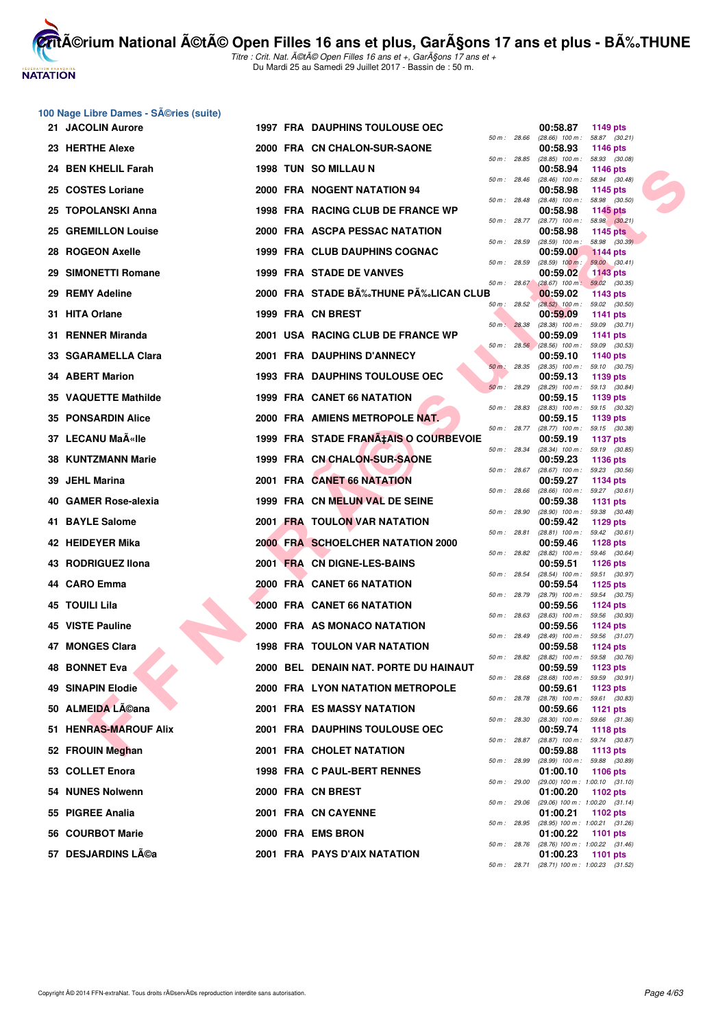

**100 Nage Libre Dames - Séries (suite)** 

**CritA©rium National A©tA© Open Filles 16 ans et plus, GarA§ons 17 ans et plus - BA%.THUNE** Titre : Crit. Nat. A©tA© Open Filles 16 ans et +, GarA§ons 17 ans et +

Du Mardi 25 au Samedi 29 Juillet 2017 - Bassin de : 50 m.

| 21 JACOLIN Aurore     |  | 1997 FRA DAUPHINS TOULOUSE OEC          |              |                | 00:58.87<br>1149 pts                                               |
|-----------------------|--|-----------------------------------------|--------------|----------------|--------------------------------------------------------------------|
| 23 HERTHE Alexe       |  | 2000 FRA CN CHALON-SUR-SAONE            |              | 50 m : 28.66   | $(28.66)$ 100 m : 58.87 $(30.21)$<br>00:58.93<br>1146 pts          |
| 24 BEN KHELIL Farah   |  | 1998 TUN SO MILLAU N                    |              | 50 m : 28.85   | $(28.85)$ 100 m : 58.93 $(30.08)$<br>00:58.94<br>1146 pts          |
| 25 COSTES Loriane     |  | 2000 FRA NOGENT NATATION 94             |              | 50 m : 28.46   | $(28.46)$ 100 m : 58.94 $(30.48)$<br>00:58.98<br>1145 $pts$        |
| 25 TOPOLANSKI Anna    |  | 1998 FRA RACING CLUB DE FRANCE WP       | 50 m : 28.48 |                | 58.98 (30.50)<br>$(28.48)$ 100 m :<br>00:58.98<br><b>1145 pts</b>  |
| 25 GREMILLON Louise   |  | 2000 FRA ASCPA PESSAC NATATION          | 50 m : 28.77 |                | $(28.77)$ 100 m : 58.98 $(30.21)$<br>00:58.98<br>1145 $pts$        |
| 28 ROGEON Axelle      |  | 1999 FRA CLUB DAUPHINS COGNAC           | 50 m : 28.59 |                | $(28.59)$ 100 m : 58.98 $(30.39)$<br>00:59.00<br><b>1144 pts</b>   |
| 29 SIMONETTI Romane   |  | 1999 FRA STADE DE VANVES                | 50 m: 28.59  |                | $(28.59)$ 100 m :<br>59.00 (30.41)<br>00:59.02<br><b>1143 pts</b>  |
| 29 REMY Adeline       |  | 2000 FRA STADE BÉTHUNE PÉLICAN CLUB     |              | $50 m$ : 28.67 | $(28.67)$ 100 m : 59.02 $(30.35)$<br>00:59.02<br>1143 pts          |
| 31 HITA Orlane        |  | 1999 FRA CN BREST                       |              | 50 m: 28.52    | $(28.52)$ 100 m : 59.02 $(30.50)$<br>00:59.09<br><b>1141 pts</b>   |
| 31 RENNER Miranda     |  | 2001 USA RACING CLUB DE FRANCE WP       | 50 m: 28.38  |                | $(28.38)$ 100 m : 59.09 $(30.71)$<br>00:59.09<br>1141 pts          |
| 33 SGARAMELLA Clara   |  | 2001 FRA DAUPHINS D'ANNECY              |              | 50 m: 28.56    | $(28.56)$ 100 m : 59.09 $(30.53)$<br>00:59.10                      |
|                       |  |                                         | 50 m: 28.35  |                | 1140 pts<br>$(28.35)$ 100 m : 59.10 $(30.75)$                      |
| 34 ABERT Marion       |  | <b>1993 FRA DAUPHINS TOULOUSE OEC</b>   | 50 m: 28.29  |                | 00:59.13<br>1139 pts<br>(28.29) 100 m: 59.13 (30.84)               |
| 35 VAQUETTE Mathilde  |  | 1999 FRA CANET 66 NATATION              | 50 m : 28.83 |                | 00:59.15<br>1139 pts<br>$(28.83)$ 100 m : 59.15 $(30.32)$          |
| 35 PONSARDIN Alice    |  | 2000 FRA AMIENS METROPOLE NAT.          |              | 50 m : 28.77   | 00:59.15<br>1139 pts<br>$(28.77)$ 100 m : 59.15 $(30.38)$          |
| 37 LECANU MaëIle      |  | 1999 FRA STADE FRANA‡AIS O COURBEVOIE   |              | 50 m : 28.34   | 00:59.19<br>1137 pts<br>$(28.34)$ 100 m : 59.19 $(30.85)$          |
| 38 KUNTZMANN Marie    |  | 1999 FRA CN CHALON-SUR-SAONE            | 50 m: 28.67  |                | 00:59.23<br><b>1136 pts</b><br>(28.67) 100 m: 59.23 (30.56)        |
| 39 JEHL Marina        |  | 2001 FRA CANET 66 NATATION              |              |                | 00:59.27<br>1134 pts                                               |
| 40 GAMER Rose-alexia  |  | 1999 FRA CN MELUN VAL DE SEINE          | 50 m: 28.66  |                | (28.66) 100 m: 59.27 (30.61)<br>00:59.38<br>1131 pts               |
| 41 BAYLE Salome       |  | 2001 FRA TOULON VAR NATATION            | 50 m : 28.90 |                | $(28.90)$ 100 m : 59.38 $(30.48)$<br>00:59.42<br>1129 pts          |
| 42 HEIDEYER Mika      |  | 2000 FRA SCHOELCHER NATATION 2000       | 50 m : 28.81 |                | $(28.81)$ 100 m : 59.42 $(30.61)$<br>00:59.46<br>1128 $pts$        |
| 43 RODRIGUEZ IIona    |  | 2001 FRA CN DIGNE-LES-BAINS             |              | 50 m : 28.82   | (28.82) 100 m: 59.46 (30.64)<br>00:59.51<br><b>1126 pts</b>        |
| 44 CARO Emma          |  | 2000 FRA CANET 66 NATATION              | 50 m : 28.54 |                | $(28.54)$ 100 m : 59.51 $(30.97)$<br>00:59.54<br>1125 pts          |
| 45 TOUILI Lila        |  | 2000 FRA CANET 66 NATATION              | 50 m : 28.79 |                | $(28.79)$ 100 m : 59.54 $(30.75)$<br>00:59.56<br>1124 pts          |
| 45 VISTE Pauline      |  | 2000 FRA AS MONACO NATATION             | 50 m: 28.63  |                | (28.63) 100 m: 59.56 (30.93)<br>00:59.56<br><b>1124 pts</b>        |
| 47 MONGES Clara       |  | <b>1998 FRA TOULON VAR NATATION</b>     | 50 m : 28.49 |                | $(28.49)$ 100 m : 59.56 $(31.07)$<br>00:59.58<br><b>1124 pts</b>   |
| <b>48 BONNET Eva</b>  |  | 2000 BEL DENAIN NAT. PORTE DU HAINAUT   |              |                | 50 m: 28.82 (28.82) 100 m: 59.58 (30.76)<br>00:59.59               |
|                       |  |                                         |              | 50 m : 28.68   | 1123 pts<br>$(28.68)$ 100 m : 59.59 $(30.91)$                      |
| 49 SINAPIN Elodie     |  | <b>2000 FRA LYON NATATION METROPOLE</b> | 50 m : 28.78 |                | 00:59.61<br>1123 pts<br>$(28.78)$ 100 m : 59.61 $(30.83)$          |
| 50 ALMEIDA LACana     |  | <b>2001 FRA ES MASSY NATATION</b>       | 50 m: 28.30  |                | 00:59.66<br><b>1121 pts</b><br>$(28.30)$ 100 m : 59.66 $(31.36)$   |
| 51 HENRAS-MAROUF Alix |  | 2001 FRA DAUPHINS TOULOUSE OEC          | 50 m : 28.87 |                | 00:59.74<br>1118 pts<br>(28.87) 100 m: 59.74 (30.87)               |
| 52 FROUIN Meghan      |  | 2001 FRA CHOLET NATATION                | 50 m : 28.99 |                | 00:59.88<br>1113 pts<br>(28.99) 100 m: 59.88 (30.89)               |
| 53 COLLET Enora       |  | 1998 FRA C PAUL-BERT RENNES             |              | 50 m : 29.00   | 01:00.10<br><b>1106 pts</b><br>$(29.00)$ 100 m : 1:00.10 $(31.10)$ |
| 54 NUNES Nolwenn      |  | 2000 FRA CN BREST                       | 50 m : 29.06 |                | 01:00.20<br>1102 pts<br>(29.06) 100 m : 1:00.20 (31.14)            |
| 55 PIGREE Analia      |  | 2001 FRA CN CAYENNE                     |              |                | 01:00.21<br>1102 pts                                               |
| 56 COURBOT Marie      |  | 2000 FRA EMS BRON                       |              | 50 m : 28.95   | $(28.95)$ 100 m : 1:00.21 $(31.26)$<br>01:00.22<br><b>1101 pts</b> |
| 57 DESJARDINS Léa     |  | 2001 FRA PAYS D'AIX NATATION            |              | 50 m : 28.76   | $(28.76)$ 100 m : 1:00.22 $(31.46)$<br>01:00.23<br><b>1101 pts</b> |
|                       |  |                                         |              |                | 50 m: 28.71 (28.71) 100 m: 1:00.23 (31.52)                         |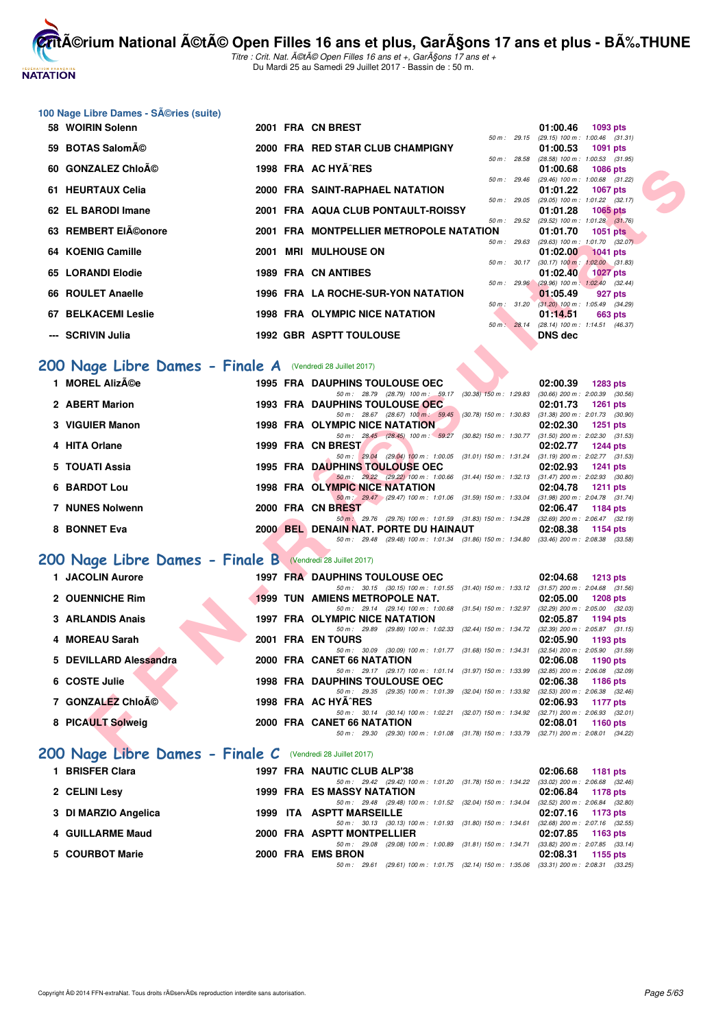# **NATATION**

**CritA©rium National A©tA© Open Filles 16 ans et plus, GarA§ons 17 ans et plus - BA%.THUNE** Titre : Crit. Nat. A©tA© Open Filles 16 ans et +, GarA§ons 17 ans et +

Du Mardi 25 au Samedi 29 Juillet 2017 - Bassin de : 50 m.

|  |  | 100 Nage Libre Dames - SA©ries (suite) |  |  |
|--|--|----------------------------------------|--|--|
|--|--|----------------------------------------|--|--|

| 58 WOIRIN Solenn                                             |  | 2001 FRA CN BREST                                                                                                                     | 01:00.46<br>1093 pts                                                 |
|--------------------------------------------------------------|--|---------------------------------------------------------------------------------------------------------------------------------------|----------------------------------------------------------------------|
| 59 BOTAS Salomé                                              |  | $50 m$ : 29.15<br>2000 FRA RED STAR CLUB CHAMPIGNY                                                                                    | (29.15) 100 m: 1:00.46 (31.31)<br>01:00.53<br>1091 pts               |
| 60 GONZALEZ Chloé                                            |  | 50 m: 28.58<br>1998 FRA AC HYA^RES                                                                                                    | $(28.58)$ 100 m : 1:00.53 $(31.95)$<br>01:00.68<br><b>1086 pts</b>   |
|                                                              |  | 50 m : 29.46                                                                                                                          | (29.46) 100 m: 1:00.68 (31.22)                                       |
| 61 HEURTAUX Celia                                            |  | 2000 FRA SAINT-RAPHAEL NATATION<br>50 m: 29.05                                                                                        | 01:01.22<br><b>1067 pts</b><br>(29.05) 100 m: 1:01.22 (32.17)        |
| 62 EL BARODI Imane                                           |  | 2001 FRA AQUA CLUB PONTAULT-ROISSY<br>50 m : 29.52                                                                                    | 01:01.28<br>$1065$ pts                                               |
| 63 REMBERT EIéonore                                          |  | 2001 FRA MONTPELLIER METROPOLE NATATION                                                                                               | $(29.52)$ 100 m : 1:01.28 $(31.76)$<br>01:01.70<br><b>1051 pts</b>   |
| 64 KOENIG Camille                                            |  | 50 m: 29.63<br>2001 MRI MULHOUSE ON                                                                                                   | (29.63) 100 m: 1:01.70 (32.07)<br>01:02.00<br><b>1041 pts</b>        |
|                                                              |  | 50 m : 30.17                                                                                                                          | $(30.17)$ 100 m : 1:02.00 $(31.83)$                                  |
| 65 LORANDI Elodie                                            |  | <b>1989 FRA CN ANTIBES</b><br>50 m : 29.96                                                                                            | 01:02.40<br><b>1027 pts</b><br>(29.96) 100 m : 1:02.40 (32.44)       |
| 66 ROULET Anaelle                                            |  | 1996 FRA LA ROCHE-SUR-YON NATATION                                                                                                    | 01:05.49<br>927 pts                                                  |
| <b>67 BELKACEMI Leslie</b>                                   |  | 50 m : 31.20<br>1998 FRA OLYMPIC NICE NATATION                                                                                        | $(31.20)$ 100 m : 1:05.49 $(34.29)$<br>01:14.51<br>663 pts           |
| --- SCRIVIN Julia                                            |  | 50 m: 28.14<br><b>1992 GBR ASPTT TOULOUSE</b>                                                                                         | (28.14) 100 m: 1:14.51 (46.37)<br>DNS dec                            |
|                                                              |  |                                                                                                                                       |                                                                      |
| 200 Nage Libre Dames - Finale A (Vendredi 28 Juillet 2017)   |  |                                                                                                                                       |                                                                      |
| 1 MOREL Alizée                                               |  | <b>1995 FRA DAUPHINS TOULOUSE OEC</b>                                                                                                 | 02:00.39<br><b>1283 pts</b>                                          |
|                                                              |  | 50 m: 28.79 (28.79) 100 m: 59.17 (30.38) 150 m: 1:29.83                                                                               | $(30.66)$ 200 m : 2:00.39 $(30.56)$                                  |
| 2 ABERT Marion                                               |  | <b>1993 FRA DAUPHINS TOULOUSE OEC</b><br>50 m: 28.67 (28.67) 100 m: 59.45 (30.78) 150 m: 1:30.83 (31.38) 200 m: 2:01.73 (30.90)       | 02:01.73<br><b>1261 pts</b>                                          |
| 3 VIGUIER Manon                                              |  | <b>1998 FRA OLYMPIC NICE NATATION</b>                                                                                                 | 02:02.30<br>1251 pts                                                 |
| 4 HITA Orlane                                                |  | 50 m: 28.45 (28.45) 100 m: 59.27 (30.82) 150 m: 1:30.77<br>1999 FRA CN BREST                                                          | $(31.50)$ 200 m : 2:02.30 $(31.53)$<br>02:02.77<br><b>1244 pts</b>   |
|                                                              |  | 50 m: 29.04 (29.04) 100 m: 1:00.05 (31.01) 150 m: 1:31.24 (31.19) 200 m: 2:02.77 (31.53)                                              |                                                                      |
| 5 TOUATI Assia                                               |  | <b>1995 FRA DAUPHINS TOULOUSE OEC</b><br>50 m : 29.22 (29.22) 100 m : 1:00.66 (31.44) 150 m : 1:32.13 (31.47) 200 m : 2:02.93 (30.80) | 02:02.93<br><b>1241 pts</b>                                          |
| <b>6 BARDOT Lou</b>                                          |  | 1998 FRA OLYMPIC NICE NATATION                                                                                                        | 02:04.78<br><b>1211 pts</b>                                          |
| 7 NUNES Nolwenn                                              |  | 50 m : 29.47 (29.47) 100 m : 1:01.06 (31.59) 150 m : 1:33.04 (31.98) 200 m : 2:04.78 (31.74)<br>2000 FRA CN BREST                     | 02:06.47<br>1184 pts                                                 |
|                                                              |  | 50 m : 29.76 (29.76) 100 m : 1:01.59 (31.83) 150 m : 1:34.28 (32.69) 200 m : 2:06.47 (32.19)                                          |                                                                      |
| 8 BONNET Eva                                                 |  | 2000 BEL DENAIN NAT. PORTE DU HAINAUT<br>50 m: 29.48 (29.48) 100 m: 1:01.34 (31.86) 150 m: 1:34.80 (33.46) 200 m: 2:08.38 (33.58)     | 02:08.38<br>1154 pts                                                 |
| 200 Nage Libre Dames - Finale B (Vendredi 28 Juillet 2017)   |  |                                                                                                                                       |                                                                      |
| 1 JACOLIN Aurore                                             |  | <b>1997 FRA DAUPHINS TOULOUSE OEC</b>                                                                                                 | 02:04.68                                                             |
|                                                              |  | 50 m: 30.15 (30.15) 100 m: 1:01.55 (31.40) 150 m: 1:33.12 (31.57) 200 m: 2:04.68 (31.56)                                              | <b>1213 pts</b>                                                      |
| 2 OUENNICHE Rim                                              |  | <b>1999 TUN AMIENS METROPOLE NAT.</b><br>50 m: 29.14 (29.14) 100 m: 1:00.68 (31.54) 150 m: 1:32.97 (32.29) 200 m: 2:05.00 (32.03)     | 02:05.00<br><b>1208 pts</b>                                          |
| 3 ARLANDIS Anais                                             |  | <b>1997 FRA OLYMPIC NICE NATATION</b>                                                                                                 | 02:05.87<br>1194 pts                                                 |
| 4 MOREAU Sarah                                               |  | 50 m: 29.89 (29.89) 100 m: 1:02.33 (32.44) 150 m: 1:34.72<br><b>2001 FRA ENTOURS</b>                                                  | $(32.39)$ 200 m : 2:05.87 $(31.15)$<br>02:05.90                      |
|                                                              |  | 50 m: 30.09 (30.09) 100 m: 1:01.77 (31.68) 150 m: 1:34.31                                                                             | 1193 pts<br>$(32.54)$ 200 m : 2:05.90 $(31.59)$                      |
| 5 DEVILLARD Alessandra                                       |  | 2000 FRA CANET 66 NATATION                                                                                                            | 02:06.08<br>1190 pts                                                 |
| 6 COSTE Julie                                                |  | 50 m: 29.17 (29.17) 100 m: 1:01.14 (31.97) 150 m: 1:33.99<br><b>1998 FRA DAUPHINS TOULOUSE OEC</b>                                    | $(32.85)$ 200 m : $2:06.08$ $(32.09)$<br>02:06.38<br><b>1186 pts</b> |
|                                                              |  | 50 m: 29.35 (29.35) 100 m: 1:01.39 (32.04) 150 m: 1:33.92 (32.53) 200 m: 2:06.38 (32.46)                                              |                                                                      |
| 7 GONZALEZ Chloé                                             |  | 1998 FRA AC HYA^RES<br>50 m: 30.14 (30.14) 100 m: 1:02.21 (32.07) 150 m: 1:34.92 (32.71) 200 m: 2:06.93 (32.01)                       | 02:06.93<br>1177 pts                                                 |
| 8 PICAULT Solweig                                            |  | 2000 FRA CANET 66 NATATION                                                                                                            | 02:08.01<br>1160 pts                                                 |
| $200$ Nage Libre Dames - Finale C (Vendredi 28 Juillet 2017) |  | 50 m: 29.30 (29.30) 100 m: 1:01.08 (31.78) 150 m: 1:33.79 (32.71) 200 m: 2:08.01 (34.22)                                              |                                                                      |

## **[200 Nage Libre Dames - Finale A](http://www.ffnatation.fr/webffn/resultats.php?idact=nat&go=epr&idcpt=47487&idepr=3)** (Vendredi 28 Juillet 2017)

| 1 MOREL Alizée         |  | <b>1995 FRA DAUPHINS TOULOUSE OEC</b> |  |                                                 |                                                                                          | 02:00.39                              | 1283 pts        |  |
|------------------------|--|---------------------------------------|--|-------------------------------------------------|------------------------------------------------------------------------------------------|---------------------------------------|-----------------|--|
|                        |  |                                       |  | 50 m : 28.79 (28.79) 100 m : 59.17              | $(30.38)$ 150 m : 1:29.83                                                                | $(30.66)$ 200 m : 2:00.39 $(30.56)$   |                 |  |
| 2 ABERT Marion         |  | 1993 FRA DAUPHINS TOULOUSE OEC        |  |                                                 |                                                                                          | 02:01.73                              | 1261 $pts$      |  |
|                        |  |                                       |  | 50 m: 28.67 (28.67) 100 m: 59.45                | $(30.78)$ 150 m : 1:30.83                                                                | $(31.38)$ 200 m : 2:01.73 $(30.90)$   |                 |  |
| 3 VIGUIER Manon        |  | 1998 FRA OLYMPIC NICE NATATION        |  |                                                 |                                                                                          | 02:02.30                              | $1251$ pts      |  |
|                        |  |                                       |  | 50 m : 28.45 (28.45) 100 m : 59.27              | (30.82) 150 m : 1:30.77                                                                  | $(31.50)$ 200 m : 2:02.30 $(31.53)$   |                 |  |
| 4 HITA Orlane          |  | 1999 FRA CN BREST                     |  |                                                 |                                                                                          | 02:02.77                              | <b>1244 pts</b> |  |
|                        |  |                                       |  | 50 m : 29.04 (29.04) 100 m : 1.00.05            | (31.01) 150 m : 1:31.24                                                                  | $(31.19)$ 200 m : 2:02.77 $(31.53)$   |                 |  |
| 5 TOUATI Assia         |  | <b>1995 FRA DAUPHINS TOULOUSE OEC</b> |  |                                                 |                                                                                          | 02:02.93                              | $1241$ pts      |  |
|                        |  |                                       |  | 50 m : 29.22 (29.22) 100 m : 1:00.66            | (31.44) 150 m : 1:32.13                                                                  | $(31.47)$ 200 m : 2:02.93 $(30.80)$   |                 |  |
| 6 BARDOT Lou           |  | <b>1998 FRA OLYMPIC NICE NATATION</b> |  |                                                 |                                                                                          | 02:04.78                              | 1211 $pts$      |  |
|                        |  |                                       |  | $50 \text{ m}$ : $29.47$ (29.47) 100 m: 1:01.06 | $(31.59)$ 150 m : 1:33.04                                                                | $(31.98)$ 200 m : 2:04.78 $(31.74)$   |                 |  |
| <b>7 NUNES Nolwenn</b> |  | 2000 FRA CN BREST                     |  |                                                 |                                                                                          | 02:06.47                              | 1184 pts        |  |
|                        |  |                                       |  |                                                 | 50 m : 29.76 (29.76) 100 m : 1:01.59 (31.83) 150 m : 1:34.28                             | $(32.69)$ 200 m : $2.06.47$ $(32.19)$ |                 |  |
| 8 BONNET Eva           |  | 2000 BEL DENAIN NAT. PORTE DU HAINAUT |  |                                                 |                                                                                          | 02:08.38                              | $1154$ pts      |  |
|                        |  |                                       |  |                                                 | 50 m: 29.48 (29.48) 100 m: 1:01.34 (31.86) 150 m: 1:34.80 (33.46) 200 m: 2:08.38 (33.58) |                                       |                 |  |

## **[200 Nage Libre Dames - Finale B](http://www.ffnatation.fr/webffn/resultats.php?idact=nat&go=epr&idcpt=47487&idepr=3)** (Vendredi 28 Juillet 2017)

| 1 JACOLIN Aurore       |  | <b>1997 FRA DAUPHINS TOULOUSE OEC</b>                                                              |                                                                                 | 02:04.68 | $1213$ pts                                             |
|------------------------|--|----------------------------------------------------------------------------------------------------|---------------------------------------------------------------------------------|----------|--------------------------------------------------------|
| 2 OUENNICHE Rim        |  | 50 m : 30.15 (30.15) 100 m : 1:01.55<br><b>1999 TUN AMIENS METROPOLE NAT.</b>                      | $(31.40)$ 150 m : 1:33.12                                                       | 02:05.00 | $(31.57)$ 200 m : 2:04.68 $(31.56)$<br><b>1208 pts</b> |
| 3 ARLANDIS Anais       |  | 50 m: 29.14 (29.14) 100 m: 1:00.68<br>1997 FRA OLYMPIC NICE NATATION                               | $(31.54)$ 150 m : 1:32.97                                                       | 02:05.87 | $(32.29)$ 200 m : 2:05.00 $(32.03)$<br>1194 pts        |
| 4 MOREAU Sarah         |  | 50 m : 29.89 (29.89) 100 m : 1:02.33<br>2001 FRA EN TOURS                                          | (32.44) 150 m : 1:34.72                                                         | 02:05.90 | $(32.39)$ 200 m : 2:05.87 $(31.15)$<br>1193 $p$ ts     |
| 5 DEVILLARD Alessandra |  | (30.09) 100 m : 1:01.77 (31.68) 150 m : 1:34.31<br>50 m : 30.09<br>2000 FRA CANET 66 NATATION      |                                                                                 | 02:06.08 | $(32.54)$ 200 m : 2:05.90 $(31.59)$<br>1190 pts        |
| 6 COSTE Julie          |  | 50 m: 29.17 (29.17) 100 m: 1:01.14 (31.97) 150 m: 1:33.99<br><b>1998 FRA DAUPHINS TOULOUSE OEC</b> |                                                                                 | 02:06.38 | $(32.85)$ 200 m : $2:06.08$ $(32.09)$<br>1186 $pts$    |
| 7 GONZALEZ Chloé       |  | (29.35) 100 m : 1:01.39 (32.04) 150 m : 1:33.92<br>$50 \text{ m}$ : 29.35<br>1998 FRA AC HYA^RES   |                                                                                 | 02:06.93 | $(32.53)$ 200 m : $2.06.38$ $(32.46)$<br>1177 $p$ ts   |
| 8 PICAULT Solweig      |  | (30.14) 100 m : 1:02.21<br>50 m : 30.14<br>2000 FRA CANET 66 NATATION                              | (32.07) 150 m : 1:34.92                                                         | 02:08.01 | $(32.71)$ 200 m : 2:06.93 $(32.01)$<br>$1160$ pts      |
|                        |  | 50 m : 29.30                                                                                       | (29.30) 100 m : 1:01.08 (31.78) 150 m : 1:33.79 (32.71) 200 m : 2:08.01 (34.22) |          |                                                        |

# **[200 Nage Libre Dames - Finale C](http://www.ffnatation.fr/webffn/resultats.php?idact=nat&go=epr&idcpt=47487&idepr=3)** (Vendredi 28 Juillet 2017)

| 1 BRISFER Clara      |  | 1997 FRA NAUTIC CLUB ALP'38                                                                 |  | 02:06.68 1181 pts                   |
|----------------------|--|---------------------------------------------------------------------------------------------|--|-------------------------------------|
|                      |  | 50 m : 29.42 (29.42) 100 m : 1:01.20 (31.78) 150 m : 1:34.22                                |  | $(33.02)$ 200 m : 2:06.68 $(32.46)$ |
| 2 CELINI Lesy        |  | <b>1999 FRA ES MASSY NATATION</b>                                                           |  | 02:06.84 1178 pts                   |
|                      |  | 50 m: 29.48 (29.48) 100 m: 1:01.52 (32.04) 150 m: 1:34.04 (32.52) 200 m: 2:06.84 (32.80     |  |                                     |
| 3 DI MARZIO Angelica |  | 1999 ITA ASPTT MARSEILLE                                                                    |  | $02:07.16$ 1173 pts                 |
|                      |  | 50 m : 30.13 (30.13) 100 m : 1:01.93 (31.80) 150 m : 1:34.61                                |  | $(32.68)$ 200 m : 2:07.16 $(32.55)$ |
| 4 GUILLARME Maud     |  | 2000 FRA ASPTT MONTPELLIER                                                                  |  | 02:07.85 1163 pts                   |
|                      |  | 50 m: 29.08 (29.08) 100 m: 1:00.89 (31.81) 150 m: 1:34.71 (33.82) 200 m: 2:07.85 (33.14     |  |                                     |
| 5 COURBOT Marie      |  | 2000 FRA EMS BRON                                                                           |  | $02:08.31$ 1155 pts                 |
|                      |  | 50 m : 29.61 (29.61) 100 m : 1:01.75 (32.14) 150 m : 1:35.06 (33.31) 200 m : 2:08.31 (33.25 |  |                                     |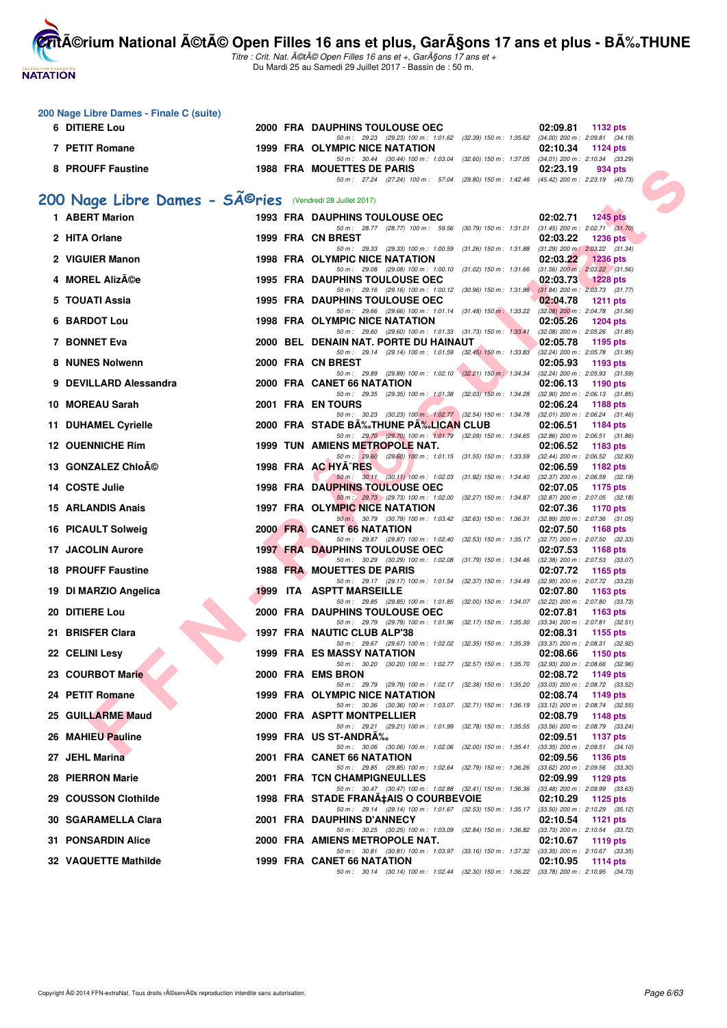# **NATATION FRANÇAISE**

**CritA©rium National A©tA© Open Filles 16 ans et plus, GarA§ons 17 ans et plus - BA%.THUNE** 

|     | 200 Nage Libre Dames - Finale C (suite)                                |  |                                                                                                                                   |                             |
|-----|------------------------------------------------------------------------|--|-----------------------------------------------------------------------------------------------------------------------------------|-----------------------------|
|     | 6 DITIERE Lou                                                          |  | 2000 FRA DAUPHINS TOULOUSE OEC<br>50 m: 29.23 (29.23) 100 m: 1.01.62 (32.39) 150 m: 1.35.62 (34.00) 200 m: 2.09.81 (34.19)        | 02:09.81<br>1132 pts        |
|     | 7 PETIT Romane                                                         |  | 1999 FRA OLYMPIC NICE NATATION<br>50 m: 30.44 (30.44) 100 m: 1:03.04 (32.60) 150 m: 1:37.05 (34.01) 200 m: 2:10.34 (33.29)        | 02:10.34<br>1124 pts        |
|     | 8 PROUFF Faustine                                                      |  | 1988 FRA MOUETTES DE PARIS                                                                                                        | 02:23.19<br>934 pts         |
|     |                                                                        |  | 50 m: 27.24 (27.24) 100 m: 57.04 (29.80) 150 m: 1:42.46 (45.42) 200 m: 2:23.19 (40.73)                                            |                             |
|     | 200 Nage Libre Dames - SÃ <sup>@</sup> ries (Vendredi 28 Juillet 2017) |  |                                                                                                                                   |                             |
|     | 1 ABERT Marion                                                         |  | <b>1993 FRA DAUPHINS TOULOUSE OEC</b><br>50 m: 28.77 (28.77) 100 m: 59.56 (30.79) 150 m: 1.31.01 (31.45) 200 m: 2:02.71 (31.70)   | <b>1245 pts</b><br>02:02.71 |
|     | 2 HITA Orlane                                                          |  | 1999 FRA CN BREST<br>50 m: 29.33 (29.33) 100 m: 1:00.59 (31.26) 150 m: 1:31.88 (31.29) 200 m: 2:03.22 (31.34)                     | 02:03.22<br>1236 $pts$      |
|     | 2 VIGUIER Manon                                                        |  | 1998 FRA OLYMPIC NICE NATATION                                                                                                    | 02:03.22<br><b>1236 pts</b> |
|     | 4 MOREL Alizée                                                         |  | 50 m: 29.08 (29.08) 100 m: 1:00.10 (31.02) 150 m: 1:31.66 (31.56) 200 m: 2:03.22 (31.56)<br>1995 FRA DAUPHINS TOULOUSE OEC        | 02:03.73<br><b>1228 pts</b> |
|     | 5 TOUATI Assia                                                         |  | 50 m: 29.16 (29.16) 100 m: 1:00.12 (30.96) 150 m: 1:31.96 (31.84) 200 m: 2:03.73 (31.77)<br><b>1995 FRA DAUPHINS TOULOUSE OEC</b> | 02:04.78<br><b>1211 pts</b> |
|     | 6 BARDOT Lou                                                           |  | 50 m: 29.66 (29.66) 100 m: 1:01.14 (31.48) 150 m: 1:33.22 (32.08) 200 m: 2:04.78 (31.56)<br>1998 FRA OLYMPIC NICE NATATION        | 02:05.26<br>1204 pts        |
|     | 7 BONNET Eva                                                           |  | 50 m: 29.60 (29.60) 100 m: 1:01.33 (31.73) 150 m: 1:33.41 (32.08) 200 m: 2:05.26 (31.85)<br>2000 BEL DENAIN NAT. PORTE DU HAINAUT | 02:05.78<br>1195 pts        |
|     |                                                                        |  | 50 m: 29.14 (29.14) 100 m: 1:01.59 (32.45) 150 m: 1:33.83 (32.24) 200 m: 2:05.78 (31.95)                                          |                             |
|     | 8 NUNES Nolwenn                                                        |  | 2000 FRA CN BREST<br>50 m: 29.89 (29.89) 100 m: 1:02.10 (32.21) 150 m: 1:34.34 (32.24) 200 m: 2:05.93 (31.59)                     | 02:05.93<br>1193 $pts$      |
| 9   | <b>DEVILLARD Alessandra</b>                                            |  | 2000 FRA CANET 66 NATATION<br>50 m: 29.35 (29.35) 100 m: 1:01.38 (32.03) 150 m: 1:34.28 (32.90) 200 m: 2:06.13 (31.85)            | 02:06.13<br>1190 pts        |
|     | 10 MOREAU Sarah                                                        |  | 2001 FRA EN TOURS<br>50 m: 30.23 (30.23) 100 m: 1:02.77 (32.54) 150 m: 1:34.78 (32.01) 200 m: 2:06.24 (31.46)                     | 02:06.24<br>1188 pts        |
|     | <b>11 DUHAMEL Cyrielle</b>                                             |  | 2000 FRA STADE BA%JHUNE PA%JLICAN CLUB                                                                                            | 02:06.51<br>1184 pts        |
|     | <b>12 OUENNICHE Rim</b>                                                |  | 50 m: 29.70 (29.70) 100 m: 1:01.79 (32.09) 150 m: 1:34.65 (32.86) 200 m: 2:06.51 (31.86)<br><b>1999 TUN AMIENS METROPOLE NAT.</b> | 02:06.52<br>1183 pts        |
|     | 13 GONZALEZ ChloA©                                                     |  | 50 m: 29.60 (29.60) 100 m: 1:01.15 (31.55) 150 m: 1:33.59 (32.44) 200 m: 2:06.52 (32.93)<br>1998 FRA AC HYA^RES                   | 02:06.59<br>1182 pts        |
|     | 14 COSTE Julie                                                         |  | 50 m: 30.11 (30.11) 100 m: 1:02.03 (31.92) 150 m: 1:34.40 (32.37) 200 m: 2:06.59 (32.19)<br><b>1998 FRA DAUPHINS TOULOUSE OEC</b> | 02:07.05<br>1175 pts        |
|     | 15 ARLANDIS Anais                                                      |  | 50 m : 29.73 (29.73) 100 m : 1:02.00 (32.27) 150 m : 1:34.87 (32.87) 200 m : 2:07.05 (32.18)<br>1997 FRA OLYMPIC NICE NATATION    | 02:07.36<br>1170 pts        |
|     |                                                                        |  | 50 m : 30.79 (30.79) 100 m : 1:03.42 (32.63) 150 m : 1:36.31 (32.89) 200 m : 2:07.36 (31.05)                                      |                             |
|     | 16 PICAULT Solweig                                                     |  | 2000 FRA CANET 66 NATATION<br>50 m: 29.87 (29.87) 100 m: 1:02.40 (32.53) 150 m: 1:35.17 (32.77) 200 m: 2:07.50 (32.33)            | 02:07.50<br>1168 pts        |
|     | <b>17 JACOLIN Aurore</b>                                               |  | <b>1997 FRA DAUPHINS TOULOUSE OEC</b><br>50 m: 30.29 (30.29) 100 m: 1:02.08 (31.79) 150 m: 1:34.46 (32.38) 200 m: 2:07.53 (33.07) | 02:07.53<br>1168 pts        |
|     | <b>18 PROUFF Faustine</b>                                              |  | <b>1988 FRA MOUETTES DE PARIS</b><br>50 m: 29.17 (29.17) 100 m: 1:01.54 (32.37) 150 m: 1:34.49 (32.95) 200 m: 2:07.72 (33.23)     | 02:07.72<br>1165 pts        |
|     | 19 DI MARZIO Angelica                                                  |  | <b>1999 ITA ASPTT MARSEILLE</b><br>50 m: 29.85 (29.85) 100 m: 1:01.85 (32.00) 150 m: 1:34.07 (32.22) 200 m: 2:07.80 (33.73)       | 02:07.80<br>1163 $pts$      |
|     | 20 DITIERE Lou                                                         |  | 2000 FRA DAUPHINS TOULOUSE OEC                                                                                                    | 02:07.81<br>1163 $pts$      |
|     | 21 BRISFER Clara                                                       |  | 50 m: 29.79 (29.79) 100 m: 1:01.96 (32.17) 150 m: 1:35.30 (33.34) 200 m: 2:07.81 (32.51)<br>1997 FRA NAUTIC CLUB ALP'38           | 02:08.31<br>1155 pts        |
|     | 22 CELINI Lesy                                                         |  | 50 m: 29.67 (29.67) 100 m: 1:02.02 (32.35) 150 m: 1:35.39 (33.37) 200 m: 2:08.31 (32.92)<br><b>1999 FRA ES MASSY NATATION</b>     | 02:08.66<br>1150 pts        |
|     | 23 COURBOT Marie                                                       |  | 50 m : 30.20 (30.20) 100 m : 1:02.77 (32.57) 150 m : 1:35.70 (32.93) 200 m : 2:08.66 (32.96)<br>2000 FRA EMS BRON                 | 02:08.72<br>1149 pts        |
|     | 24 PETIT Romane                                                        |  | 50 m: 29.79 (29.79) 100 m: 1:02.17 (32.38) 150 m: 1:35.20 (33.03) 200 m: 2:08.72 (33.52)<br>1999 FRA OLYMPIC NICE NATATION        | 02:08.74<br>1149 pts        |
|     |                                                                        |  | 50 m: 30.36 (30.36) 100 m: 1:03.07 (32.71) 150 m: 1:36.19 (33.12) 200 m: 2:08.74 (32.55)                                          |                             |
|     | <b>25 GUILLARME Maud</b>                                               |  | 2000 FRA ASPTT MONTPELLIER<br>50 m: 29.21 (29.21) 100 m: 1:01.99 (32.78) 150 m: 1:35.55 (33.56) 200 m: 2:08.79 (33.24)            | 02:08.79<br>1148 pts        |
|     | 26 MAHIEU Pauline                                                      |  | 1999 FRA US ST-ANDRA%<br>50 m: 30.06 (30.06) 100 m: 1:02.06 (32.00) 150 m: 1:35.41 (33.35) 200 m: 2:09.51 (34.10)                 | 02:09.51<br><b>1137 pts</b> |
|     | <b>JEHL Marina</b>                                                     |  | 2001 FRA CANET 66 NATATION<br>50 m: 29.85 (29.85) 100 m: 1:02.64 (32.79) 150 m: 1:36.26 (33.62) 200 m: 2:09.56 (33.30)            | 02:09.56<br>1136 pts        |
| 28  | <b>PIERRON Marie</b>                                                   |  | 2001 FRA TCN CHAMPIGNEULLES                                                                                                       | 02:09.99<br>1129 pts        |
| 29. | <b>COUSSON Clothilde</b>                                               |  | 50 m: 30.47 (30.47) 100 m: 1:02.88 (32.41) 150 m: 1:36.36 (33.48) 200 m: 2:09.99 (33.63)<br>1998 FRA STADE FRANA‡AIS O COURBEVOIE | 02:10.29<br>1125 pts        |
|     | 30 SGARAMELLA Clara                                                    |  | 50 m: 29.14 (29.14) 100 m: 1.01.67 (32.53) 150 m: 1.35.17 (33.50) 200 m: 2.10.29 (35.12)<br>2001 FRA DAUPHINS D'ANNECY            | 02:10.54<br>1121 pts        |
|     | 31 PONSARDIN Alice                                                     |  | 50 m: 30.25 (30.25) 100 m: 1:03.09 (32.84) 150 m: 1:36.82 (33.73) 200 m: 2:10.54 (33.72)<br>2000 FRA AMIENS METROPOLE NAT.        | 02:10.67 1119 pts           |
|     | 32 VAQUETTE Mathilde                                                   |  | 50 m: 30.81 (30.81) 100 m: 1:03.97 (33.16) 150 m: 1:37.32 (33.35) 200 m: 2:10.67 (33.35)<br>1999 FRA CANET 66 NATATION            | 02:10.95<br>1114 pts        |
|     |                                                                        |  | 50 m: 30.14 (30.14) 100 m: 1:02.44 (32.30) 150 m: 1:36.22 (33.78) 200 m: 2:10.95 (34.73)                                          |                             |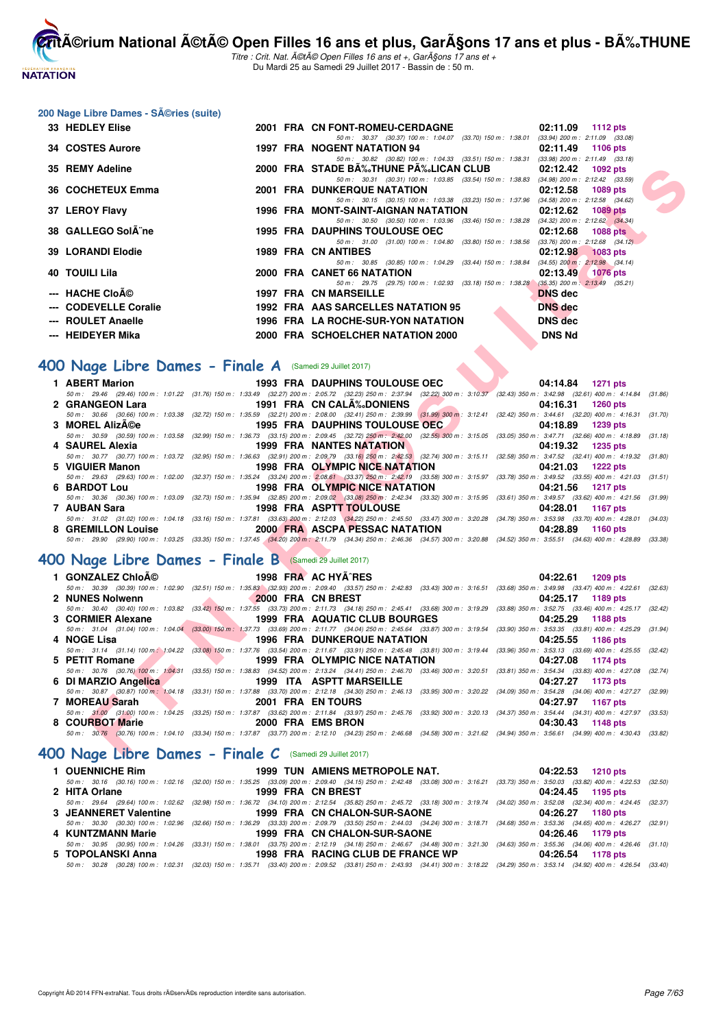

Titre : Crit. Nat. A©tA© Open Filles 16 ans et +, GarA§ons 17 ans et + Du Mardi 25 au Samedi 29 Juillet 2017 - Bassin de : 50 m.

#### 200 Nage Libre Dames - Séries (suite)

| 33 HEDLEY Elise                                                |  | 2001 FRA CN FONT-ROMEU-CERDAGNE<br>02:11.09 1112 pts                                                                                                                                                                                                    |         |
|----------------------------------------------------------------|--|---------------------------------------------------------------------------------------------------------------------------------------------------------------------------------------------------------------------------------------------------------|---------|
| 34 COSTES Aurore                                               |  | 50 m: 30.37 (30.37) 100 m: 1:04.07 (33.70) 150 m: 1:38.01 (33.94) 200 m: 2:11.09 (33.08)<br><b>1997 FRA NOGENT NATATION 94</b><br>02:11.49<br>1106 pts                                                                                                  |         |
| 35 REMY Adeline                                                |  | 50 m: 30.82 (30.82) 100 m: 1:04.33 (33.51) 150 m: 1:38.31 (33.98) 200 m: 2:11.49 (33.18)<br>2000 FRA STADE BA%。THUNE PA%。LICAN CLUB<br>02:12.42<br>1092 pts                                                                                             |         |
| 36 COCHETEUX Emma                                              |  | 50 m: 30.31 (30.31) 100 m: 1:03.85 (33.54) 150 m: 1:38.83 (34.98) 200 m: 2:12.42 (33.59)<br><b>2001 FRA DUNKERQUE NATATION</b><br>02:12.58<br>1089 pts                                                                                                  |         |
|                                                                |  | 50 m: 30.15 (30.15) 100 m: 1:03.38 (33.23) 150 m: 1:37.96<br>$(34.58)$ 200 m : 2:12.58 $(34.62)$                                                                                                                                                        |         |
| 37 LEROY Flavy                                                 |  | 1996 FRA MONT-SAINT-AIGNAN NATATION<br>02:12.62<br><b>1089 pts</b><br>50 m: 30.50 (30.50) 100 m: 1:03.96 (33.46) 150 m: 1:38.28 (34.32) 200 m: 2:12.62 (34.34)                                                                                          |         |
| 38 GALLEGO SolA ne                                             |  | <b>1995 FRA DAUPHINS TOULOUSE OEC</b><br>02:12.68<br><b>1088 pts</b>                                                                                                                                                                                    |         |
| <b>39 LORANDI Elodie</b>                                       |  | 50 m: 31.00 (31.00) 100 m: 1:04.80 (33.80) 150 m: 1:38.56<br>$(33.76)$ 200 m : 2:12.68 $(34.12)$<br><b>1989 FRA CN ANTIBES</b><br>02:12.98<br><b>1083 pts</b>                                                                                           |         |
| <b>40 TOUILI Lila</b>                                          |  | 50 m: 30.85 (30.85) 100 m: 1:04.29 (33.44) 150 m: 1:38.84 (34.55) 200 m: 2:12.98 (34.14)<br>2000 FRA CANET 66 NATATION<br>02:13.49<br><b>1076 pts</b>                                                                                                   |         |
| --- HACHE Cloé                                                 |  | 50 m: 29.75 (29.75) 100 m: 1:02.93 (33.18) 150 m: 1:38.28 (35.35) 200 m: 2:13.49 (35.21)<br><b>DNS</b> dec                                                                                                                                              |         |
| --- CODEVELLE Coralie                                          |  | <b>1997 FRA CN MARSEILLE</b><br>1992 FRA AAS SARCELLES NATATION 95<br><b>DNS</b> dec                                                                                                                                                                    |         |
| --- ROULET Anaelle                                             |  | 1996 FRA LA ROCHE-SUR-YON NATATION<br><b>DNS</b> dec                                                                                                                                                                                                    |         |
| --- HEIDEYER Mika                                              |  | 2000 FRA SCHOELCHER NATATION 2000<br><b>DNS Nd</b>                                                                                                                                                                                                      |         |
|                                                                |  |                                                                                                                                                                                                                                                         |         |
| OO Nage Libre Dames - Finale A (Samedi 29 Juillet 2017)        |  |                                                                                                                                                                                                                                                         |         |
| 1 ABERT Marion                                                 |  | <b>1993 FRA DAUPHINS TOULOUSE OEC</b><br>04:14.84<br>1271 pts                                                                                                                                                                                           |         |
|                                                                |  | 50 m: 29.46 (29.46) 100 m: 1:01.22 (31.76) 150 m: 1:33.49 (32.27) 200 m: 2:05.72 (32.23) 250 m: 2:37.94 (32.22) 300 m: 3:10.37 (32.43) 350 m: 3:42.98 (32.61) 400 m: 4:14.84 (31.86)                                                                    |         |
| 2 GRANGEON Lara                                                |  | 1991 FRA CN CALA‰DONIENS<br>04:16.31<br><b>1260 pts</b><br>50 m : 30.66 (30.66) 100 m : 1:03.38 (32.72) 150 m : 1:35.59 (32.21) 200 m : 2:08.00 (32.41) 250 m : 2:39.99 (31.99) 300 m : 3:12.41 (32.42) 350 m : 3:44.61 (32.20) 400 m : 4:16.31 (31.70) |         |
| 3 MOREL AlizA©e                                                |  | 1995 FRA DAUPHINS TOULOUSE OEC<br>04:18.89<br>1239 pts                                                                                                                                                                                                  |         |
| 4 SAUREL Alexia                                                |  | 50 m: 30.59 (30.59) 100 m: 1:03.58 (32.99) 150 m: 1:36.73 (33.15) 200 m: 2:09.45 (32.72) 250 m: 2:42.00 (32.55) 300 m: 3:15.05 (33.05) 350 m: 3:47.71 (32.66) 400 m: 4:18.89 (31.18)<br><b>1999 FRA NANTES NATATION</b><br>04:19.32<br><b>1235 pts</b>  |         |
|                                                                |  | 50 m: 30.77 (30.77) 100 m: 1:03.72 (32.95) 150 m: 1:36.63 (32.91) 200 m: 2:09.79 (33.16) 250 m: 2:42.53 (32.74) 300 m: 3:15.11 (32.58) 350 m: 3:47.52 (32.41) 400 m: 4:19.32 (31.80)                                                                    |         |
| 5 VIGUIER Manon                                                |  | 1998 FRA OLYMPIC NICE NATATION<br>04:21.03<br>1222 pts<br>50 m: 29.63 (29.63) 100 m: 1:02.00 (32.37) 150 m: 1:35.24 (33.24) 200 m: 2:08.61 (33.37) 250 m: 2:42.19 (33.58) 300 m: 3:15.97 (33.78) 350 m: 3:49.52 (33.55) 400 m: 4:21.03 (31.51)          |         |
| 6 BARDOT Lou                                                   |  | <b>1998 FRA OLYMPIC NICE NATATION</b><br>04:21.56<br><b>1217 pts</b>                                                                                                                                                                                    |         |
|                                                                |  | 50 m: 30.36 (30.36) 100 m: 1:03.09 (32.73) 150 m: 1:35.94 (32.85) 200 m: 2:09.02 (33.08) 250 m: 2:42.34 (33.32) 300 m: 3:15.95 (33.61) 350 m: 3:49.57 (33.62) 400 m: 4:21.56 (31.99)                                                                    |         |
| 7 AUBAN Sara                                                   |  | <b>1998 FRA ASPTT TOULOUSE</b><br>04:28.01<br>1167 pts<br>50 m : 31.02 (31.02) 100 m : 1:04.18 (33.16) 150 m : 1:37.81 (33.63) 200 m : 2:12.03 (34.22) 250 m : 2:45.50 (33.47) 300 m : 3:20.28 (34.78) 350 m : 3:53.98 (33.70) 400 m : 4:28.01 (34.03)  |         |
| 8 GREMILLON Louise                                             |  | 2000 FRA ASCPA PESSAC NATATION<br>04:28.89<br>1160 pts                                                                                                                                                                                                  |         |
|                                                                |  | 50 m : 29.90 (29.90) 100 m : 1:03.25 (33.35) 150 m : 1:37.45 (34.20) 200 m : 2:11.79 (34.34) 250 m : 2:46.36 (34.57) 300 m : 3:20.88 (34.52) 350 m : 3:55.51 (34.63) 400 m : 4:28.89 (33.38)                                                            |         |
| <b>OO Nage Libre Dames - Finale B</b> (Samedi 29 Juillet 2017) |  |                                                                                                                                                                                                                                                         |         |
| 1 GONZALEZ Chloé                                               |  | 1998 FRA AC HYA RES<br>04:22.61<br>1209 pts                                                                                                                                                                                                             |         |
| 2 NUNES Nolwenn                                                |  | 50 m : 30.39 (30.39) 100 m : 1:02.90 (32.51) 150 m : 1:35.83 (32.93) 200 m : 2:09.40 (33.57) 250 m : 2:42.83 (33.43) 300 m : 3:16.51 (33.68) 350 m : 3:49.98 (33.47) 400 m : 4:22.61 (32.63)<br>2000 FRA CN BREST<br>04:25.17<br>1189 pts               |         |
|                                                                |  | 50 m: 30.40 (30.40) 100 m: 1:03.82 (33.42) 150 m: 1:37.55 (33.73) 200 m: 2:11.73 (34.18) 250 m: 2:45.41 (33.68) 300 m: 3:19.29 (33.88) 350 m: 3:52.75 (33.46) 400 m: 4:25.17 (32.42)                                                                    |         |
| 3 CORMIER Alexane                                              |  | 1999 FRA AQUATIC CLUB BOURGES<br>04:25.29<br>1188 pts                                                                                                                                                                                                   |         |
| 4 NOGE Lisa                                                    |  | 50 m: 31.04 (31.04) 100 m: 1:04.04 (33.00) 150 m: 1:37.73 (33.69) 200 m: 2:11.77 (34.04) 250 m: 2:45.64 (33.87) 300 m: 3:19.54 (33.90) 350 m: 3:53.35 (33.81) 400 m: 4:25.29<br><b>1996 FRA DUNKERQUE NATATION</b><br>04:25.55<br>1186 pts              | (31.94) |
|                                                                |  | 50 m: 31.14 (31.14) 100 m: 1:04.22 (33.08) 150 m: 1:37.76 (33.54) 200 m: 2:11.67 (33.91) 250 m: 2:45.48 (33.81) 300 m: 3:19.44 (33.96) 350 m: 3:53.13 (33.69) 400 m: 4:25.55 (32.42)                                                                    |         |
| 5 PETIT Romane                                                 |  | 1999 FRA OLYMPIC NICE NATATION<br>04:27.08<br>1174 pts<br>50 m: 30.76 (30.76) 100 m: 1:04.31 (33.55) 150 m: 1:38.83 (34.52) 200 m: 2:13.24 (34.41) 250 m: 2:46.70 (33.46) 300 m: 3:20.51 (33.81) 350 m: 3:54.34 (33.83) 400 m: 4:27.08 (32.74)          |         |
| 6 DI MARZIO Angelica                                           |  | 1999 ITA ASPTT MARSEILLE<br>04:27.27<br>1173 pts                                                                                                                                                                                                        |         |
|                                                                |  | 50 m : 30.87 (30.87) 100 m : 1:04.18 (33.31) 150 m : 1:37.88 (33.70) 200 m : 2:12.18 (34.30) 250 m : 2:46.13 (33.95) 300 m : 3:20.22 (34.09) 350 m : 3:54.28 (34.06) 400 m : 4:27.27 (32.99)                                                            |         |
| 7 MOREAU Sarah                                                 |  | 2001 FRA EN TOURS<br>04:27.97<br>1167 pts<br>50 m: 31.00 (31.00) 100 m: 1:04.25 (33.25) 150 m: 1:37.87 (33.62) 200 m: 2:11.84 (33.97) 250 m: 2:45.76 (33.92) 300 m: 3:20.13 (34.37) 350 m: 3:54.44 (34.31) 400 m: 4:27.97 (33.53)                       |         |
| 8 COURBOT Marie                                                |  | 2000 FRA EMS BRON<br>04:30.43<br>1148 pts                                                                                                                                                                                                               |         |
|                                                                |  | 50 m: 30.76 (30.76) 100 m: 1:04.10 (33.34) 150 m: 1:37.87 (33.77) 200 m: 2:12.10 (34.23) 250 m: 2:46.68 (34.58) 300 m: 3:21.62 (34.94) 350 m: 3:56.61 (34.99) 400 m: 4:30.43 (33.82)                                                                    |         |
| $SOO$ Nage Libre Dames - Finale C $(Samedi 29$ Juillet 2017)   |  |                                                                                                                                                                                                                                                         |         |

## **[400 Nage Libre Dames - Finale A](http://www.ffnatation.fr/webffn/resultats.php?idact=nat&go=epr&idcpt=47487&idepr=4)** (Samedi 29 Juillet 2017)

| 1 ABERT Marion  | 1993 FRA DAUPHINS TOULOUSE OECNESS AND THE RESERVE TO A LIMIT OF STREET AND THE RESERVE TO A LIMIT OF STREET AND THE RESERVE TO A LIMIT OF STREET AND THE RESERVE TO A LIMIT OF STREET AND THE RESERVE TO A LIMIT OF STREET AN | 04:14.84 1271 pts                                                                                                                                                                            |
|-----------------|--------------------------------------------------------------------------------------------------------------------------------------------------------------------------------------------------------------------------------|----------------------------------------------------------------------------------------------------------------------------------------------------------------------------------------------|
|                 |                                                                                                                                                                                                                                | 50 m: 29.46 (29.46) 100 m: 1:01.22 (31.76) 150 m: 1:33.49 (32.27) 200 m: 2:05.72 (32.23) 250 m: 2:37.94 (32.22) 300 m: 3:10.37 (32.43) 350 m: 3:42.98 (32.61) 400 m: 4:14.84 (31.86)         |
| 2 GRANGEON Lara | 1991 FRA CN CALA‰DONIENS                                                                                                                                                                                                       | 04:16.31 1260 pts                                                                                                                                                                            |
|                 |                                                                                                                                                                                                                                | 50 m: 30.66 (30.66) 100 m: 1:03.38 (32.72) 150 m: 1:35.59 (32.21) 200 m: 2:08.00 (32.41) 250 m: 2:39.99 (31.99) 300 m: 3:12.41 (32.42) 350 m: 3:44.61 (32.20) 400 m: 4:16.31 (31.70)         |
| 3 MOREL AlizA©e | 1995 FRA DAUPHINS TOULOUSE OEC                                                                                                                                                                                                 | 04:18.89 1239 pts                                                                                                                                                                            |
|                 |                                                                                                                                                                                                                                | 50 m: 30.59 (30.59) 100 m: 1:03.58 (32.99) 150 m: 1:36.73 (33.15) 200 m: 2:09.45 (32.72) 250 m: 2:42.00 (32.55) 300 m: 3:15.05 (33.05) 350 m: 3:47.71 (32.66) 400 m: 4:18.89 (31.18)         |
| 4 SAUREL Alexia | 1999 FRA NANTES NATATION                                                                                                                                                                                                       | 04:19.32 1235 pts                                                                                                                                                                            |
|                 |                                                                                                                                                                                                                                | 50 m: 30.77 (30.77) 100 m: 1:03.72 (32.95) 150 m: 1:36.63 (32.91) 200 m: 2:09.79 (33.16) 250 m: 2:42.53 (32.74) 300 m: 3:15.11 (32.58) 350 m: 3:47.52 (32.41) 400 m: 4:19.32 (31.80)         |
| 5 VIGUIER Manon |                                                                                                                                                                                                                                | 1998 FRA OLYMPIC NICE NATATION 04:21.03 1222 pts                                                                                                                                             |
|                 |                                                                                                                                                                                                                                | 50 m: 29.63 (29.63) 100 m: 1:02.00 (32.37) 150 m: 1:35.24 (33.24) 200 m: 2:08.61 (33.37) 250 m: 2:42.19 (33.58) 300 m: 3:15.97 (33.78) 350 m: 3:49.52 (33.55) 400 m: 4:21.03 (31.51)         |
| 6 BARDOT Lou    |                                                                                                                                                                                                                                | 1998 FRA OLYMPIC NICE NATATION 04:21.56 1217 pts                                                                                                                                             |
|                 |                                                                                                                                                                                                                                | 50 m: 30.36 (30.36) 100 m: 1:03.09 (32.73) 150 m: 1:35.94 (32.85) 200 m: 2:09.02 (33.08) 250 m: 2:42.34 (33.32) 300 m: 3:15.95 (33.61) 350 m: 3:49.57 (33.62) 400 m: 4:21.56 (31.99)         |
| 7 AUBAN Sara    | <b>1998 FRA ASPTT TOULOUSE</b>                                                                                                                                                                                                 | 04:28.01 1167 pts                                                                                                                                                                            |
|                 |                                                                                                                                                                                                                                | 50 m : 31.02 (31.02) 100 m : 1:04.18 (33.16) 150 m : 1:37.81 (33.63) 200 m : 2:12.03 (34.22) 250 m : 2:45.50 (33.47) 300 m : 3:20.28 (34.78) 350 m : 3:53.98 (33.70) 400 m : 4:28.01 (34.03) |
|                 |                                                                                                                                                                                                                                | 04:28.89<br>1160 pts                                                                                                                                                                         |
|                 |                                                                                                                                                                                                                                | 50 m : 29.90 (29.90) 100 m : 1:03.25 (33.35) 150 m : 1:37.45 (34.20) 200 m : 2:11.79 (34.34) 250 m : 2:46.36 (34.57) 300 m : 3:20.88 (34.52) 350 m : 3:55.51 (34.63) 400 m : 4:28.89 (33.38) |

# **[400 Nage Libre Dames - Finale B](http://www.ffnatation.fr/webffn/resultats.php?idact=nat&go=epr&idcpt=47487&idepr=4)** (Samedi 29 Juillet 2017)

| 1 GONZALEZ Chloé     |                   | 1998 FRA AC HYA^RES                           | 04:22.61 1209 pts                                                                                                                                                                            |  |
|----------------------|-------------------|-----------------------------------------------|----------------------------------------------------------------------------------------------------------------------------------------------------------------------------------------------|--|
|                      |                   |                                               | 50 m : 30.39 (30.39) 100 m : 1:02.90 (32.51) 150 m : 1:35.83 (32.93) 200 m : 2:09.40 (33.57) 250 m : 2:42.83 (33.43) 300 m : 3:16.51 (33.68) 350 m : 3:49.98 (33.47) 400 m : 4:22.61 (32.63) |  |
| 2 NUNES Nolwenn      | 2000 FRA CN BREST |                                               | 04:25.17 1189 pts                                                                                                                                                                            |  |
|                      |                   |                                               | 50 m : 30.40 (30.40) 100 m : 1:03.82 (33.42) 150 m : 1:37.55 (33.73) 200 m : 2:11.73 (34.18) 250 m : 2:45.41 (33.68) 300 m : 3:19.29 (33.88) 350 m : 3:52.75 (33.46) 400 m : 4:25.17 (32.42) |  |
| 3 CORMIER Alexane    |                   | 1999 FRA AQUATIC CLUB BOURGES                 | 04:25.29 1188 pts                                                                                                                                                                            |  |
|                      |                   |                                               | 50 m: 31.04 (31.04) 100 m: 1:04.04 (33.00) 150 m: 1:37.73 (33.69) 200 m: 2:11.77 (34.04) 250 m: 2:45.64 (33.87) 300 m: 3:19.54 (33.90) 350 m: 3:53.35 (33.81) 400 m: 4:25.29 (31.94)         |  |
| 4 NOGE Lisa          |                   | 1996 FRA DUNKERQUE NATATION                   | 04:25.55 1186 pts                                                                                                                                                                            |  |
|                      |                   |                                               | 50 m: 31.14 (31.14) 100 m; 1:04.22 (33.08) 150 m: 1:37.76 (33.54) 200 m: 2:11.67 (33.91) 250 m: 2:45.48 (33.81) 300 m: 3:19.44 (33.96) 350 m: 3:53.13 (33.69) 400 m: 4:25.55 (32.42)         |  |
| 5 PETIT Romane       |                   | <b>Example 1999 FRA OLYMPIC NICE NATATION</b> | 04:27.08 1174 pts                                                                                                                                                                            |  |
|                      |                   |                                               | 50 m: 30.76 (30.76) 100 m: 1:04.31 (33.55) 150 m: 1:38.83 (34.52) 200 m: 2:13.24 (34.41) 250 m: 2:46.70 (33.46) 300 m: 3:20.51 (33.81) 350 m: 3:54.34 (33.83) 400 m: 4:27.08 (32.74)         |  |
| 6 DI MARZIO Angelica |                   | 1999 ITA ASPTT MARSEILLE                      | 04:27.27 1173 pts                                                                                                                                                                            |  |
|                      |                   |                                               |                                                                                                                                                                                              |  |
|                      |                   |                                               | 50 m: 30.87 (30.87) 100 m: 1:04.18 (33.31) 150 m: 1:37.88 (33.70) 200 m: 2:12.18 (34.30) 250 m: 2:46.13 (33.95) 300 m: 3:20.22 (34.09) 350 m: 3:54.28 (34.06) 400 m: 4:27.27 (32.99)         |  |
| 7 MOREAU Sarah       |                   | 2001 FRA EN TOURS                             | 04:27.97 1167 pts                                                                                                                                                                            |  |
|                      |                   |                                               | 50 m: 31.00 (31.00) 100 m: 1:04.25 (33.25) 150 m: 1:37.87 (33.62) 200 m: 2:11.84 (33.97) 250 m: 2:45.76 (33.92) 300 m: 3:20.13 (34.37) 350 m: 3:54.44 (34.31) 400 m: 4:27.97 (33.53)         |  |
| 8 COURBOT Marie      |                   | 2000 FRA EMS BRON                             | 04:30.43 1148 pts                                                                                                                                                                            |  |

## **[400 Nage Libre Dames - Finale C](http://www.ffnatation.fr/webffn/resultats.php?idact=nat&go=epr&idcpt=47487&idepr=4)** (Samedi 29 Juillet 2017)

| 1 OUENNICHE Rim       | 1999 TUN AMIENS METROPOLE NAT.                                                                                                                                                               | 04:22.53 1210 pts |
|-----------------------|----------------------------------------------------------------------------------------------------------------------------------------------------------------------------------------------|-------------------|
|                       | 50 m : 30.16 (30.16) 100 m : 1:02.16 (32.00) 150 m : 1:35.25 (33.09) 200 m : 2:09.40 (34.15) 250 m : 2:42.48 (33.08) 300 m : 3:16.21 (33.73) 350 m : 3:50.03 (33.82) 400 m : 4:22.53 (32.50) |                   |
| 2 HITA Orlane         | 1999 FRA CN BREST                                                                                                                                                                            | 04:24.45 1195 pts |
|                       | 50 m : 29.64 (29.64) 100 m : 1:02.62 (32.98) 150 m : 1:36.72 (34.10) 200 m : 2:12.54 (35.82) 250 m : 2:45.72 (33.18) 300 m : 3:19.74 (34.02) 350 m : 3:52.08 (32.34) 400 m : 4:24.45 (32.37) |                   |
| 3 JEANNERET Valentine | 1999 FRA CN CHALON-SUR-SAONE                                                                                                                                                                 | 04:26.27 1180 pts |
|                       | 50 m : 30.30 (30.30) 100 m : 1:02.96 (32.66) 150 m : 1:36.29 (33.33) 200 m : 2:09.79 (33.50) 250 m : 2:44.03 (34.24) 300 m : 3:18.71 (34.68) 350 m : 3:53.36 (34.65) 400 m : 4:26.27 (32.91) |                   |
| 4 KUNTZMANN Marie     | 1999 FRA CN CHALON-SUR-SAONE                                                                                                                                                                 | 04:26.46 1179 pts |
|                       | 50 m: 30.95 (30.95) 100 m: 1:04.26 (33.31) 150 m: 1:38.01 (33.75) 200 m: 2:12.19 (34.18) 250 m: 2:46.67 (34.48) 300 m: 3:21.30 (34.63) 350 m: 3:55.36 (34.06) 400 m: 4:26.46 (31.10)         |                   |
| 5 TOPOLANSKI Anna     | 1998 FRA RACING CLUB DE FRANCE WP                                                                                                                                                            | 04:26.54 1178 pts |
| 50 m : 30.28          | (30.28) 100 m : 1:02.31 (32.03) 150 m : 1:35.71 (33.40) 200 m : 2:09.52 (33.81) 250 m : 2:43.93 (34.41) 300 m : 3:18.22 (34.29) 350 m : 3:53.14 (34.92) 400 m : 4:26.54 (33.40)              |                   |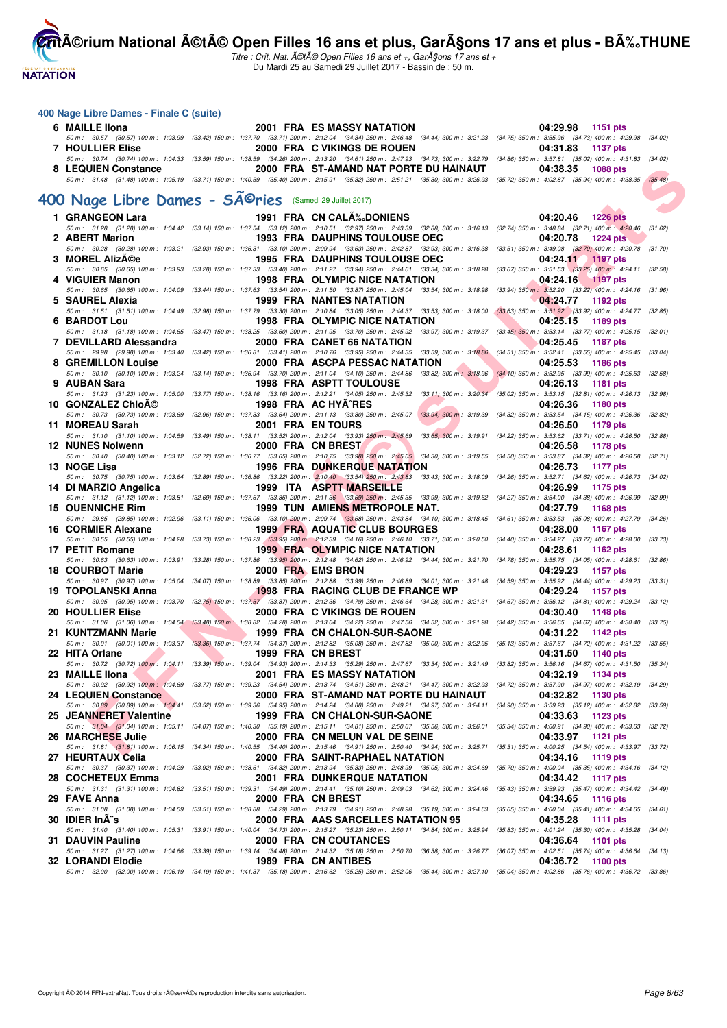**NATATION** 

**itै**ACrium National ÃCtÃC Open Filles 16 ans et plus, Gar§ons 17 ans et plus - B‰THUNE

Titre : Crit. Nat. été Open Filles 16 ans et +, Garçons 17 ans et + Du Mardi 25 au Samedi 29 Juillet 2017 - Bassin de : 50 m.

#### **400 Nage Libre Dames - Finale C (suite)**

URI DOTE DE CONTENE DE CONFERENTE DE CONFERENTE DE CONFERENTE DE CONFERENTE DE CONFERENTE DE CONFERENTE DE CONFERENTE DE CONFERENTE DE CONFERENTE DE CONFERENTE DE CONFERENTE DE CONFERENTE DE CONFERENTE DE CONFERENTE DE CO **6 MAILLE Ilona 2001 FRA ES MASSY NATATION 04:29.98 1151 pts** 50 m : 30.57 (30.57) 100 m : 1:03.99 (33.42) 150 m : 1:37.70 (33.71) 200 m : 2:12.04 (34.34) 250 m : 2:46.48 (34.44) 300 m : 3:21.23 (34.75) 350 m : 3:55.96 (34.73) 400 m : 4:29.98 (34.02) **7 HOULLIER Elise** 2000 FRA C VIKINGS DE ROUEN 04:31.83 1137 pts<br>50 m : 30.74 (30.74) 100 m : 1:04:33 (33.59) 150 m : 1:38.59 (34.69) 260 m : 2:13.20 (34.61) 250 m : 247.83 (34.73) 300 m : 3:27.79 (34.66) 350 m : 3:57.81 ( 50 m : 30.74 (30.74) 100 m : 1:04.33 (33.59) 150 m : 1:38.59 (34.26) 200 m : 2:13.20 (34.61) 250 m : 2:47.93 (34.73) 300 m : 3:27.79 (34.86) 350 m : 3:57.81 (35.02) 400 m : 4:31.83 (34.02) 300 m : 4:31.83 (34.02) 300 m : 4 **8 2000 FRA ST-AMAND NAT PORTE DU HAINAUT** 50 m : 31.48 (31.48) 100 m : 1:05.19 (33.71) 150 m : 1:40.59 (35.40) 200 m : 2:55.91 (35.32) 250 m : 2:51.21 (35.30) 300 m : 3:26.93 (35.72) 350 m : 4:02.87 (35.94) 400 m : 4:38.35 (35.48) 400 Nage Libre Dames - SÃ<sup>©</sup>ries (Samedi 29 Juillet 2017) **1 GRANGEON Lara** 1991 FRA CN CALÉDONIENS 1991 PRA CN CALÉDONIENS 1991 PRA 2004 1226 pts 50 m : 31.28 (31.28) 100 m : 1:04.42 (33.14) 150 m : 1:37.54 (33.12) 200 m : 2:10.51 (32.97) 250 m : 2:43.39 (32.88) 300 m : 3:16.13 (32.74) 350 m : 3:48.84 (32.71) 400 m : 4:20.46 (31.62)<br>2 ABERT Marion 1224 pts **2 ABERT Marion 1993 FRA DAUPHINS TOULOUSE OEC** 04:20.78 **1224 pts**<br>2 *30.28 (30.28)* 100 m: 1:03.21 (32.93) 150 m: 1:36.31 (33.10) 200 m: 2:09.94 (33.63) 250 m: 2:42.87 (32.93) 300 m: 3:16.38 (33.51) 350 m: 3:49.08 (32. 50 m : 30.28 (30.28) 100 m : 1:03.21 (32.93) 150 m : 1:36.31 (33.10) 200 m : 2:09.94 (33.63) 250 m : 2:42.87 (32.93) 300 m : 3:16.38 (33.51) 350 m : 3:49.08 (32.70) 400 m : 4:20.78 (31.70) **3 MOREL Alizée 1995 FRA DAUPHINS TOULOUSE OEC 64:24.11 04:24.11 1197** pts 50 m : 30.65 (30.65) 100 m : 1:03.93 (33.28) 150 m : 1:37.33 (33.40) 200 m : 2:11.27 (33.94) 250 m : 2:44.61 (33.34) 300 m : 3:18.28 (33.67) 350 m : 3:51.53 (33.25) 400 m : 4:24.11 (32.58) 100 m : 4:24.11 (32.58) **4 VIGUIER Manon 1998 FRA OLYMPIC NICE NATATION** 04:24.16 1197 pts<br>50 m: 30.65 (30.65) 100 m: 1:04.09 (33.44) 150 m: 1:37.63 (33.54) 200 m: 2:11.50 (33.67) 250 m: 2:45.04 (33.54) 300 m: 3:18.98 (33.94) 350 m: 3:52.20 (33.2 50 m : 30.65 (30.65) 100 m : 1:04.09 (33.44) 150 m : 1:37.63 (33.54) 200 m : 2:11.50 (33.87) 250 m : 2:45.04 (33.54) 300 m : 3:18.98 (33.94) 350 m : 3:52.20 (33.22) 400 m : 4:24.16 (31.96)<br>**SAUREL Alexia 192 pts 194:24 5 SAUREL Alexia 1999 FRA NANTES NATATION 04:24.77 1192 pts** 50 m : 31.51 (31.51) 100 m : 1:04.49 (32.98) 150 m : 1:37.79 (33.30) 200 m : 2:10.84 (33.05) 250 m : 2:44.37 (33.53) 300 m : 3:18.00 (33.63) 350 m : 3:51.92 (33.92) 400 m : 4:24.77 (32.85) **6 BARDOT LOU** 1998 FRA OLYMPIC NICE NATATION 04:25.15 1189 pts<br>50 m: 31.18 (31.18) 100 m: 1:04.65 (33.47) 150 m: 1:38.25 (33.60) 200 m: 2:11.95 (33.70) 250 m: 2:45.92 (33.97) 300 m: 3:19.37 (33.45) 350 m: 3:53.14 (33.77) 50 m : 31.18 (31.18) 100 m : 1:04.65 (33.47) 150 m : 1:38.25 (33.60) 200 m : 2:11.95 (33.70) 250 m : 2:45.92 (33.97) 300 m : 3:19.37 (33.45) 350 m : 3:53.14 (33.77) 400 m : 4:25.15 (32.01) **7 DEVILLARD Alessandra** 2000 FRA CANET 66 NATATION 04:25.45 1187 pts<br>50 m: 29.98 (29.98) 100 m: 1:03.40 (33.42) 150 m: 1:36.81 (33.41) 200 m: 2:10.76 (33.95) 200 m: 2:44.35 (33.59) 300 m: 3:18.86 (34.51) 350 m: 3:52.41 (3 (29.98) 100 m : 1:03.40 (33.42) 150 m : 1:36.81 (33.41) 200 m : 2:10.76 (33.59) 250 m : 2:44.35 (33.59) 300 m : 3:18.86 (34.51) 350 m : 3:52.41 (33.55) 400 m : 4:25.53 (200 m : 4:25.53 (200 m : 4:25.53 (200 m : 5:15 (33.55 **8 GREMILLON Louise** 2000 FRA ASCPA PESSAC NATATION 04:25.53 1186 pts<br>
50 m: 30.10 (30.10) 100 m: 1:03.24 (33.14) 150 m: 1:36.94 (33.70) 200 m: 2:11.04 (34.10) 250 m: 2:44.86 (33.89) 300 m: 3:18.96 (34.10) 350 m: 3:52.95 ( 50 m : 30.10 (30.10) 100 m : 1:03.24 (33.14) 150 m : 1:36.94 (33.70) 200 m : 2:11.04 (34.10) 250 m : 2:44.86 (33.82) 300 m : 3:18.96 (34.10) 350 m : 3:52.95 (33.99) 400 m : 4:25.53 (32.58) **9 AUBAN Sara** 1998 FRA ASPTT TOULOUSE 04:26.13 1181 pts<br>50 m: 31.23 (31.23) 100 m: 1:05.00 (33.77) 150 m: 1:38.16 (33.16) 200 m: 2:12.21 (34.05) 250 m: 2:45.32 (33.11) 300 m: 3:20.34 (35.02) 350 m: 3:53.15 (32.81) 400 m: 31.23 (31.23) 100 m : 1:05.00 (33.77) 150 m : 1:38.16 (33.16) 200 m : 2:12.21 (34.05) 250 m : 2:45.32 (33.11) 300 m : 3:20.34 (35.02) 350 m : 3:53.15 (32.81) 400 m : 4:26.13 (32.98) **10 GONZALEZ ChloÂ 1998 FRA AC HYÂ^RES 1180 pts 04:26.36 1180 pts** 50 m : 30.73 (30.73) 100 m : 1:03.69 (32.96) 150 m : 1:37.33 (33.64) 200 m : 2:11.13 (33.80) 250 m : 2:45.07 (33.94) 300 m : 3:19.39 (34.32) 350 m : 3:53.54 (34.15) 400 m : 4:26.36 (32.82) **11 MOREAU Sarah 2001 FRA EN TOURS 04:26.50 1179 pts** 50 m : 31.10 (31.10) 100 m : 1:04.59 (33.49) 150 m : 1:38.11 (33.52) 200 m : 2:12.04 (33.93) 250 m : 2:45.69 (33.65) 300 m : 3:19.91 (34.22) 350 m : 3:53.62 (33.71) 400 m : 4:26.50 (32.88) **12 NUNES Nolwenn 2000 FRA CN BREST 04:26.58 1178 pts**<br>50 m: 30.40 (30.40) 100 m: 1:03.12 (32.72) 150 m: 1:36.77 (33.65) 200 m: 2:10.75 (33.98) 250 m: 2:45.05 (34.30) 300 m: 3:19.55 (34.50) 350 m: 3:53.87 (34.32) 400 m 50 m: 3:19.55 (34.50) 350 m : 3:53.87 (34.32) 400 m : 4:26.58 (32.71)<br>**DN 04:26.73** 1177 pts **13 NOGE Lisa 1996 FRA DUNKERQUE NATATION 04:26.73**<br>50 m; 30.75 (30.75) 100 m; 1:03.64 (32.89) 150 m; 1:36.86 (33.22) 200 m; 2:10.40 (33.54) 250 m; 2:43.83 (33.43) 300 m; 3:18.09 (34.26) 350 m; 3:52.71 (34.6 50 m : 30.75 (30.75) 100 m : 1:03.64 (32.89) 150 m : 1:36.86 (33.22) 200 m :  $(31.64)$  250 m :  $(33.43)$  300 m : 3:18.09 (34.26) 350 m : 3:52.71 (34.62) 400 m : 4:26.73 (34.02) 1174 ASPTT MARSEILLE 0 04:26.99 1175 pts **14 DI MARZIO Angelica 1999 ITA ASPTT MARSEILLE 04:26.99 1175 pts**<br>
50 m: 31.12 (31.12) 100 m: 1:03.81 (32.69) 150 m: 1:37.67 (33.86) 200 m: 2:11.36 (33.69) 250 m: 2:45.35 (33.99) 300 m: 3:19.62 (34.27) 350 m: 3:54.00 (3 50 m : 31.12 (31.12) 100 m : 1:03.81 (32.69) 150 m : 1:37.67 (33.66) 200 m : 2:11.36 (33.69) 250 m : 2:45.35 (33.99) 300 m : 3:19.62 (34.27) 350 m : 3:54.00 (34.38) 400 m : 4:2<br>**OUENNICHE Rim** 1999 TUN AMIENS METROPOLE NAT **15 OUENNICHE Rim 1999 TUN AMIENS METROPOLE NAT.** 50 m : 29.85 (29.85) 100 m : 1:02.96 (33.11) 150 m : 1:36.06 (33.10) 200 m : 2:09.74 (33.68) 250 m : 2:43.84 (34.10) 300 m : 3:18.45 (34.61) 350 m : 3:53.53 (35.08) 400 m : 4:27.79 (34.26)<br>**CORMIER Alexane 1167 pts 116 16 CORMIER Alexane 1999 FRA AQUATIC CLUB BOURGES 04:28.00 1167 pts** 50 m : 30.55 (30.55) 100 m : 1:04.28 (33.73) 150 m : 1:38.23 (33.95) 200 m : 2:12.39 (34.16) 250 m : 2:46.10 (33.71) 300 m : 3:20.50 (34.40) 350 m : 3:54.27 (33.77) 400 m : 4:28.00 (33.73) **17 PETIT Romane 1999 FRA OLYMPIC NICE NATATION 04:28.61 1162 pts** 50 m : 30.63 (30.63) 100 m : 1:03.91 (33.28) 150 m : 1:37.86 (33.<mark>95) 20</mark>0 m : 2:12.48 (34.62) 250 m : 2:46.92 (34.44) 300 m : 3:21.70 (34.78) 350 m : 3:55.75 (34.05) 400 m : 4:28.61 (32.86) **18 COURBOT Marie 2000 FRA EMS BRON 04:29.23 1157 pts** 50 m : 30.97 (30.97) 100 m : 1:05.04 (34.07) 150 m : 1:38.89 (33.85) 200 m : 2:12.88 (33.99) 250 m : 2:46.89 (34.01) 300 m : 3:21.48 (34.59) 350 m : 3:55.92 (34.44) 400 m : 4:29.23 (33.31) **19 TOPOLANSKI Anna 1998 FRA RACING CLUB DE FRANCE WP 04:29.24 1157 pts** 50 m : 30.95 (30.95) 100 m : 1:03.70 (32.75) 150 m : 1:37.57 (33.87) 200 m : 2:12.36 (34.79) 250 m : 2:46.64 (34.28) 300 m : 3:21.31 (34.67) 350 m : 3:56.12 (34.81) 400 m : 4:29.24 (33.12)<br>HOULLIER Elise **2000 FRA C VIKING 20 HOULLIER Elise** 2000 FRA C VIKINGS DE ROUEN 04:30.40 1148 pts 04:30.40 1148 pts 50 m: 31.06 (31.06) 100 m: 1:04.54 (33.48) 150 m: 1:04.80 200 m: 2:13.04 (34.22) 250 m: 2:47.56 (34.52) 300 m: 3:21.98 (34.42) 350 m: 3:56  $50 m$  :  $31.06$   $(31.06) 100 m$  :  $1:04.54$   $(33.48) 150 m$  :  $1:38.82$   $(34.28) 200 m$  :  $2:13.04$   $(34.22) 250 m$  :  $2:47.56$ **21 KUNTZMANN Marie** 1999 FRA CN CHALON-SUR-SAONE 04:31.22 1142 pts<br>21 **KUNTZMANN Marie** 04:33.36 150 m : 1:37.74 (34.37) 200 m : 2:12.82 (35.08) 250 m : 2:47.82 (35.09) 300 m : 3:22.95 (35.13) 350 m : 3:57.67 (34.72) 400  $(33.36)$  150 m : 1:37.74  $(34.37)$  200 m : 2:12.82  $(35.08)$  250 m : 2:47.82  $(35.00)$  300 m : 3:22.95  $(35.13)$  350 m : 3:57.67  $(34.72)$  400 m : 4:31.22  $(33.55)$ **22 HITA Orlane 1999 FRA CN BREST 04:31.50 1140 pts** 50 m : 30.72 (30.72) 100 m : 1:04.11 (33.39) 150 m : 1:39.04 (34.93) 200 m : 2:14.33 (35.29) 250 m : 2:47.67 (33.34) 300 m : 3:21.49 (33.82) 350 m : 3:56.16 (34.67) 400 m : 4:31.50 (35.34) **23 MAILLE IIona 23 MAILLE IIOna 2001 FRA ES MASSY NATATION 04:52.19 1134 pts**<br>**50 m:** 30.92 (30.92) 100 m: 1:04.69 (33.77) 150 m: 1:39.23 (34.54) 200 m: 2:13.74 (34.51) 250 m: 2:48.21 (34.47) 300 m: 3:22.93 (34.72) (30.92) 100 m : 1:04.69 (33.77) 150 m : 1:39.23 **24 LEQUIEN Constance** 2000 FRA ST-AMAND NAT PORTE DU HAINAUT 04:32.82 1130 pts<br>
50 m : 30.89 (30.89) 100 m : 1:04.41 (33.52) 150 m : 1:39.36 (34.95) 200 m : 2:14.24 (34.88) 250 m : 2:49.21 (34.97) 300 m : 3:24.11 (34.90) 50 m : 30.89 (30.89) 100 m : 1:04.41 (33.52) 150 m : 1:39.36 (34.95) 200 m : 2:14.24 (34.88) 250 m : 2:49.21 (34.97) 300 m : 3:24.11 (34.90) 350 m : 3:59.23 (35.12) 400 m : 4:32.82 (33.59) **25 JEANNERET Valentine** 1999 FRA CN CHALON-SUR-SAONE 04:33.63 1123 pts<br>
50 m : 31.04 (31.04) 100 m : 1:05.11 (34.07) 150 m : 1:40.30 (35.19) 200 m : 2:15.11 (34.81) 250 m : 2:50.67 (35.56) 300 m : 3:26.01 (35.34) 350 m : 31.04 (31.04) 100 m : 1:05.11 (34.07) 150 m : 1:40.30 **26 MARCHESE Julie** 2000 FRA CN MELUN VAL DE SEINE 04:53.97 1121 pts<br>
50 m: 31.81 (31.81) 100 m: 1:06.15 (34.34) 150 m: 1:40.55 (34.40) 200 m: 2:15.46 (34.91) 250 m: 2:50.40 (34.94) 300 m: 3:25.71 (35.31) 350 m: 4:00.25 (3 50 m : 31.81 (31.81) 100 m : 1:06.15 (34.34) 150 m : 1:40.55 (34.40) 200 m : 2:15.46 (34.91) 250 m : 2:50.40 (34.94) 300 m : 3:25.71 (35.31) 350 m : 4:00.25 (34.54) 400 m : 4:3<br>HEURTAUX Celia 1119 pts **2000 FRA SAINT-RAPHAEL NATATION** 2007 2000 **FRA SAINT-RAPHAEL NATATION** 2007 2007 2008 2009 12:48.99 2005 35.05 50 m : 30.37 (30.37) 100 m : 1:04.29 (33.92) 150 m : 1:38.61 (34.32) 200 m : 2:13.94 (35.33) 250 m : 2:48.99 (35.05) 300 m : 3:24.69 (35.70) 350 m : 4:00.04 (35.35) 400 m : 4:34.16 (34.12) **28 COCHETEUX Emma 2001 FRA DUNKERQUE NATATION 04:34.42 1117 pts**<br>**50 m:** 31.31 (31.31) 100 m: 1:04.82 (33.51) 150 m: 1:39.31 (34.49) 200 m: 2:14.41 (35.10) 250 m: 2:49.03 (34.62) 300 m: 3:24.46 (35.43) 350 m: 3:59.9 50 m : 31.31 (31.31) 100 m : 1:04.82 (33.51) 150 m : 1:39.31 (34.49) 200 m : 2:14.41 (35.10) 250 m : 2:49.03 (34.62) 300 m : 3:24.46 (35.43) 350 m : 3:59.93 (35.47) 400 m : 4:34.42 (34.49) **29 FAVE Anna 04:34.65 1116 pts**<br>**2000 FRA CN BREST 05.59 (34.89 64:29 2000** FRA 2010 66:39 200 m; 2:13.79 (34.91) 250 m; 2:48.98 (35.19) 300 m; 3:24.63 (35.65) 350 m; 4:00.04 (35.41) 400 m; 4:34.65 (34.61) 50 m : 31.08 (31.08) 100 m : 1:04.59 (33.51) 150 m : 1:38.88 (34.29) 200 m : 2:13.79 (34.91) 250 m : 2:48.98 (35.19) 300 m : 3:24.63 (35.65) 350 m : 4:00.04 (35.41) 400 m : 4:3<br>IDIER InÃ'S 04:35.28 1111 pts **30 IDIER INA S**<br>50 m: 31.40 (31.40) 100 m: 1:05.31 (33.91) 150 m: 1:40.04 (34.73) 200 m: 2:15.27 (35.23) 250 m: 2:50.11 (34.84) 300 m: 50 m : 31.40 (31.40) 100 m : 1:05.31 (33.91) 150 m : 1:40.04 (34.73) 200 m : 2:15.27 (35.23) 250 m : 2:50.11 (34.84) 300 m : 3:25.94 (35.83) 350 m : 4:01.24 (35.30) 400 m : 4:35.28 (34.04) **31 DAUVIN Pauline 2000 FRA CN COUTANCES 04:36.64 1101 pts 04:36.64 1101 pts 50 m**: 31.27 (31.27) 100 m: 1:04.66 (33.39) 150 m: 1:30.14 (34.48) 200 m: 2:14.32 (35.18) 250 m: 2:50.70 (36.38) 300 m: 3:26.77 (36.07) 350 50 m : 31.27 (31.27) 100 m : 1:04.66 (33.39) 150 m : 1:39.14 (34.48) 200 m : 2:14.32 (35.18) 250 m : 2:50.70 (36.38) 300 m : 3:26.77 **32 LORANDI Elodie 1989 FRA CN ANTIBES 04:36.72 1100 pts** 50 m : 32.00 (32.00) 100 m : 1:06.19 (34.19) 150 m : 1:41.37 (35.18) 200 m : 2:16.62 (35.25) 250 m : 2:52.06 (35.44) 300 m : 3:27.10 (35.04) 350 m : 4:02.86 (35.76) 400 m : 4:36.72 (33.86)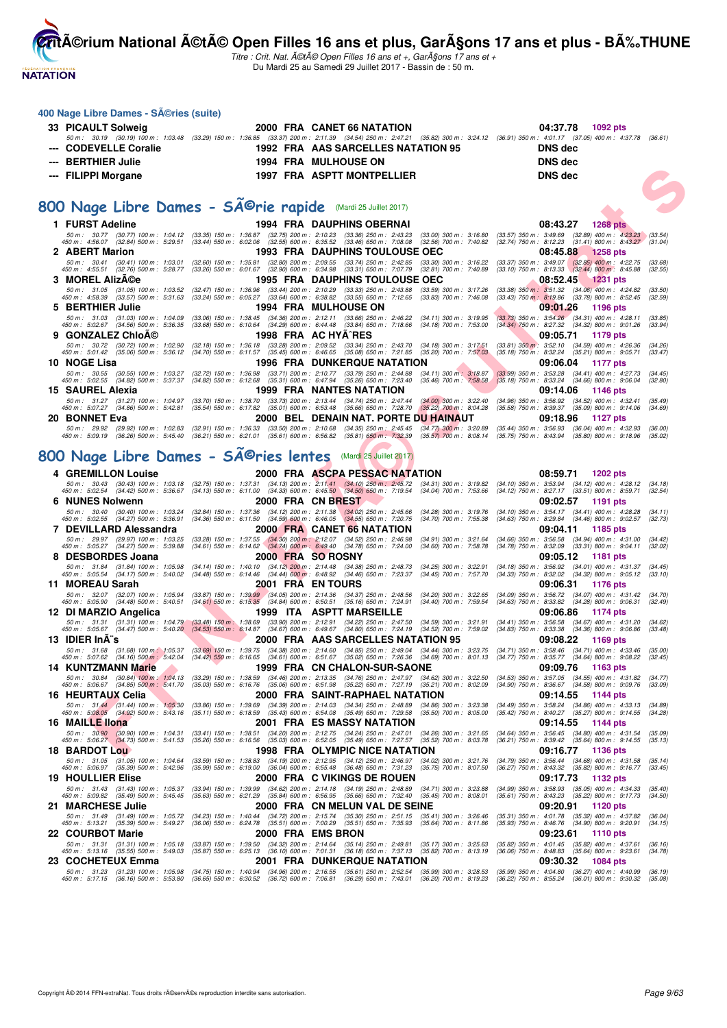**NATATION FRANÇAISE** 

**CritA©rium National A©tA© Open Filles 16 ans et plus, GarA§ons 17 ans et plus - BA%.THUNE** 

|   | 400 Nage Libre Dames - SA @ries (suite)                                                                                                                 |                                                                                                                                                                                                                                                                                                                                |                                                                                                                                                                                                                                                           |                                                                                                                  |                    |
|---|---------------------------------------------------------------------------------------------------------------------------------------------------------|--------------------------------------------------------------------------------------------------------------------------------------------------------------------------------------------------------------------------------------------------------------------------------------------------------------------------------|-----------------------------------------------------------------------------------------------------------------------------------------------------------------------------------------------------------------------------------------------------------|------------------------------------------------------------------------------------------------------------------|--------------------|
|   | 33 PICAULT Solweig                                                                                                                                      |                                                                                                                                                                                                                                                                                                                                | 2000 FRA CANET 66 NATATION                                                                                                                                                                                                                                | 04:37.78<br>1092 pts                                                                                             |                    |
|   | <b>CODEVELLE Coralie</b>                                                                                                                                |                                                                                                                                                                                                                                                                                                                                | 50 m: 30.19 (30.19) 100 m: 1:03.48 (33.29) 150 m: 1:36.85 (33.37) 200 m: 2:11.39 (34.54) 250 m: 2:47.21 (35.82) 300 m: 3:24.12 (36.91) 350 m: 4:01.17 (37.05) 400 m: 4:37.78 (36.61)<br>1992 FRA AAS SARCELLES NATATION 95                                | <b>DNS</b> dec                                                                                                   |                    |
|   | <b>BERTHIER Julie</b>                                                                                                                                   |                                                                                                                                                                                                                                                                                                                                | <b>1994 FRA MULHOUSE ON</b>                                                                                                                                                                                                                               | <b>DNS dec</b>                                                                                                   |                    |
|   | <b>FILIPPI Morgane</b>                                                                                                                                  |                                                                                                                                                                                                                                                                                                                                | 1997 FRA ASPTT MONTPELLIER                                                                                                                                                                                                                                | <b>DNS dec</b>                                                                                                   |                    |
|   |                                                                                                                                                         |                                                                                                                                                                                                                                                                                                                                |                                                                                                                                                                                                                                                           |                                                                                                                  |                    |
|   |                                                                                                                                                         |                                                                                                                                                                                                                                                                                                                                |                                                                                                                                                                                                                                                           |                                                                                                                  |                    |
|   | 800 Nage Libre Dames - SÃ <sup>©</sup> rie rapide (Mardi 25 Juillet 2017)                                                                               |                                                                                                                                                                                                                                                                                                                                |                                                                                                                                                                                                                                                           |                                                                                                                  |                    |
|   | 1 FURST Adeline<br>50 m: 30.77 (30.77) 100 m: 1:04.12 (33.35) 150 m: 1:36.87 (32.75) 200 m: 2:10.23 (33.36) 250 m: 2:43.23                              |                                                                                                                                                                                                                                                                                                                                | <b>1994 FRA DAUPHINS OBERNAI</b>                                                                                                                                                                                                                          | 08:43.27<br><b>1268 pts</b><br>$(33.57)$ 350 m : 3:49.69 $(32.89)$ 400 m : 4:23.23 $(33.54)$                     |                    |
|   | 450 m : 4:56.07 (32.84) 500 m : 5:29.51                                                                                                                 |                                                                                                                                                                                                                                                                                                                                | (33.00) 300 m : 3:16.80<br>$(33.44)$ 550 m : 6:02.06 $(32.55)$ 600 m : 6:35.52 $(33.46)$ 650 m : 7:08.08 $(32.56)$ 700 m : 7:40.82                                                                                                                        | (32.74) 750 m: 8:12.23 (31.41) 800 m: 8:43.27 (31.04)                                                            |                    |
|   | 2 ABERT Marion<br>50 m: 30.41 (30.41) 100 m: 1:03.01                                                                                                    | (32.60) 150 m: 1:35.81 (32.80) 200 m: 2:09.55 (33.74) 250 m: 2:42.85                                                                                                                                                                                                                                                           | <b>1993 FRA DAUPHINS TOULOUSE OEC</b><br>$(33.30)$ 300 m : 3:16.22                                                                                                                                                                                        | 08:45.88<br>1258 pts<br>$(33.37)$ 350 m : 3:49.07 $(32.85)$ 400 m : 4:22.75                                      | (33.68)            |
|   | 450 m :   4:55.51     (32.76)  500 m :   5:28.77                                                                                                        |                                                                                                                                                                                                                                                                                                                                | (33.26) 550 m : 6:01.67 (32.90) 600 m : 6:34.98 (33.31) 650 m : 7:07.79 (32.81) 700 m : 7:40.89                                                                                                                                                           | $(33.10)$ 750 m : 8:13.33 $(32.44)$ 800 m : 8:45.88                                                              | (32.55)            |
| з | <b>MOREL AlizA©e</b><br>50 m: 31.05 (31.05) 100 m: 1:03.52                                                                                              | $(32.47)$ 150 m : 1:36.96                                                                                                                                                                                                                                                                                                      | <b>1995 FRA DAUPHINS TOULOUSE OEC</b><br>(33.44) 200 m : 2:10.29 (33.33) 250 m : 2:43.88<br>$(33.59)$ 300 m : 3:17.26                                                                                                                                     | 08:52.45<br><b>1231 pts</b><br>(33.38) 350 m : 3:51.32 (34.06) 400 m : 4:24.82                                   | (33.50)            |
|   | 450 m : 4:58.39 (33.57) 500 m : 5:31.63                                                                                                                 |                                                                                                                                                                                                                                                                                                                                | $(33.24)$ 550 m : 6:05.27 $(33.64)$ 600 m : 6:38.82 $(33.55)$ 650 m : 7:12.65 $(33.83)$ 700 m : 7:46.08                                                                                                                                                   | $(33.43)$ 750 m : 8:19.86 $(33.78)$ 800 m : 8:52.45                                                              | (32.59)            |
|   | <b>BERTHIER Julie</b><br>50 m: 31.03 (31.03) 100 m: 1:04.09                                                                                             |                                                                                                                                                                                                                                                                                                                                | <b>1994 FRA MULHOUSE ON</b><br>(33.06) 150 m : 1:38.45 (34.36) 200 m : 2:12.11 (33.66) 250 m : 2:46.22<br>$(34.11)$ 300 m : 3:19.95                                                                                                                       | 09:01.26<br>1196 pts<br>$(33.73)$ 350 m : 3:54.26 $(34.31)$ 400 m : 4:28.11                                      | (33.85)            |
|   | 450 m : 5:02.67 (34.56) 500 m : 5:36.35                                                                                                                 | (33.68) 550 m: 6:10.64 (34.29) 600 m: 6:44.48 (33.84) 650 m: 7:18.66                                                                                                                                                                                                                                                           | $(34.18)$ 700 m : 7:53.00                                                                                                                                                                                                                                 | (34.34) 750 m : 8:27.32<br>$(34.32)$ 800 m : 9:01.26                                                             | (33.94)            |
|   | <b>GONZALEZ ChloA©</b><br>50 m : 30.72 (30.72) 100 m : 1:02.90                                                                                          |                                                                                                                                                                                                                                                                                                                                | 1998 FRA AC HYA^RES<br>(32.18) 150 m : 1:36.18 (33.28) 200 m : 2:09.52 (33.34) 250 m : 2:43.70 (34.18) 300 m : 3:17.51                                                                                                                                    | 09:05.71<br>1179 pts<br>$(33.81)$ 350 m $: 3.52.10$ $(34.59)$ 400 m $: 4.26.36$                                  | (34.26)            |
|   | 450 m : 5:01.42 (35.06) 500 m : 5:36.12                                                                                                                 |                                                                                                                                                                                                                                                                                                                                | (34.70) 550 m: 6:11.57 (35.45) 600 m: 6:46.65 (35.08) 650 m: 7:21.85 (35.20) 700 m: 7:57.03                                                                                                                                                               | $(35.18)$ 750 m : 8:32.24<br>$(35.21)$ 800 m : 9:05.71                                                           | (33.47)            |
|   | 10 NOGE Lisa<br>50 m: 30.55 (30.55) 100 m: 1:03.27                                                                                                      | (32.72) 150 m : 1:36.98 (33.71) 200 m : 2:10.77 (33.79) 250 m : 2:44.88                                                                                                                                                                                                                                                        | <b>1996 FRA DUNKERQUE NATATION</b><br>$(34.11)$ 300 m; 3:18.87                                                                                                                                                                                            | 09:06.04<br>1177 pts<br>$(33.99)$ 350 m : 3:53.28<br>$(34.41)$ 400 m : 4:27.73                                   | (34.45)            |
|   | 450 m : 5:02.55 (34.82) 500 m : 5:37.37                                                                                                                 | (34.82) 550 m: 6:12.68 (35.31) 600 m: 6:47.94 (35.26) 650 m: 7:23.40                                                                                                                                                                                                                                                           | $(35.46)$ 700 m : 7:58.58                                                                                                                                                                                                                                 | $(35.18)$ 750 m : 8:33.24<br>$(34.66)$ 800 m : 9:06.04                                                           | (32.80)            |
|   | 15 SAUREL Alexia<br>50 m : 31.27 (31.27) 100 m : 1:04.97                                                                                                | (33.70) 150 m : 1:38.70 (33.73) 200 m : 2:13.44 (34.74) 250 m : 2:47.44                                                                                                                                                                                                                                                        | 1999 FRA NANTES NATATION<br>(34.00) 300 m : 3:22.40                                                                                                                                                                                                       | 09:14.06<br>1146 pts<br>$(34.96)$ 350 m : 3:56.92<br>$(34.52)$ 400 m : 4:32.41                                   | (35.49)            |
|   | 450 m : 5:07.27 (34.86) 500 m : 5:42.81<br>20 BONNET Eva                                                                                                | (35.54) 550 m: 6:17.82 (35.01) 600 m: 6:53.48 (35.66) 650 m: 7:28.70                                                                                                                                                                                                                                                           | $(35.22)$ 700 m : 8:04.28<br>2000 BEL DENAIN NAT. PORTE DU HAINAUT                                                                                                                                                                                        | $(35.58)$ 750 m : 8:39.37<br>$(35.09)$ 800 m : 9:14.06<br>09:18.96                                               | (34.69)            |
|   | 50 m: 29.92                                                                                                                                             |                                                                                                                                                                                                                                                                                                                                | (29.92) 100 m : 1:02.83 (32.91) 150 m : 1:36.33 (33.50) 200 m : 2:10.68 (34.35) 250 m : 2:45.45 (34.77) 300 m : 3:20.89                                                                                                                                   | 1127 pts<br>$(35.44)$ 350 m : 3:56.93<br>$(36.04)$ 400 m : 4:32.93                                               | (36.00)            |
|   | 450 m : 5:09.19 (36.26) 500 m : 5:45.40 (36.21) 550 m : 6:21.01 (35.61) 600 m : 6:56.82 (35.81) 650 m : 7:32.39                                         |                                                                                                                                                                                                                                                                                                                                | $(35.57)$ 700 m : 8:08.14                                                                                                                                                                                                                                 | $(35.75)$ 750 m : 8:43.94<br>$(35.80)$ 800 m : $9:18.96$                                                         | (35.02)            |
|   | 800 Nage Libre Dames - SA@ries lentes                                                                                                                   |                                                                                                                                                                                                                                                                                                                                | (Mardi 25 Juillet 2017)                                                                                                                                                                                                                                   |                                                                                                                  |                    |
|   | <b>4 GREMILLON Louise</b>                                                                                                                               |                                                                                                                                                                                                                                                                                                                                | 2000 FRA ASCPA PESSAC NATATION                                                                                                                                                                                                                            | 08:59.71<br><b>1202 pts</b>                                                                                      |                    |
|   | 50 m: 30.43 (30.43) 100 m: 1:03.18                                                                                                                      |                                                                                                                                                                                                                                                                                                                                | (32.75) 150 m : 1:37.31 (34.13) 200 m : 2:11.41 (34.10) 250 m : 2:45.72 (34.31) 300 m : 3:19.82 (34.10) 350 m : 3:53.94 (34.12) 400 m : 4:28.12 (34.18)                                                                                                   |                                                                                                                  |                    |
| 6 | 450 m : 5:02.54 (34.42) 500 m : 5:36.67<br><b>NUNES Nolwenn</b>                                                                                         | $(34.13)$ 550 m : 6:11.00 $(34.33)$ 600 m : 6:45.50 $(34.50)$ 650 m : 7:19.54                                                                                                                                                                                                                                                  | (34.04) 700 m : 7:53.66<br>2000 FRA CN BREST                                                                                                                                                                                                              | (34.12) 750 m : 8:27.17 (33.51) 800 m : 8:59.71<br>09:02.57<br>1191 pts                                          | (32.54)            |
|   | 50 m: 30.40 (30.40) 100 m: 1:03.24                                                                                                                      | $\begin{array}{cccc} (32.84) \ 150 \ m \ \colon \ \ 1:37.36 \quad \  \  (34.12) \ 200 \ m \ \colon \ \ 2:11.38 \quad \  \  (34.02) \ 250 \ m \ \colon \ \ 2:45.66 \\ (34.36) \ 550 \ m \ \colon \ \ 6:11.50 \quad \  \  (34.59) \ 600 \ m \ \colon \ \ 6:46.05 \quad \  \  (34.55) \ 650 \ m \ \colon \ \ 7:20.75 \end{array}$ | $(34.28)$ 300 m : 3:19.76                                                                                                                                                                                                                                 | (34.10) 350 m : 3:54.17 (34.41) 400 m : 4:28.28                                                                  | (34.11)            |
|   | 450 m : 5:02.55 (34.27) 500 m : 5:36.91<br>7 DEVILLARD Alessandra                                                                                       |                                                                                                                                                                                                                                                                                                                                | $(34.70)$ 700 m : 7:55.38<br><b>2000 FRA CANET 66 NATATION</b>                                                                                                                                                                                            | (34.63) 750 m : 8:29.84 (34.46) 800 m : 9:02.57<br>09:04.11<br>1185 pts                                          | (32.73)            |
|   | 50 m: 29.97 (29.97) 100 m: 1:03.25<br>450 m : 5:05.27 (34.27) 500 m : 5:39.88                                                                           | (33.28) 150 m : 1:37.55 (34.30) 200 m : 2:12.07 (34.52) 250 m : 2:46.98<br>$(34.61)$ 550 m : 6:14.62 $(34.74)$ 600 m : 6:49.40 $(34.78)$ 650 m : 7:24.00                                                                                                                                                                       | $(34.91)$ 300 m : 3:21.64<br>$(34.60)$ 700 m : 7:58.78                                                                                                                                                                                                    | (34.66) 350 m: 3:56.58 (34.94) 400 m: 4:31.00<br>$(34.78)$ 750 m : 8:32.09 $(33.31)$ 800 m : 9:04.11             | (34.42)<br>(32.02) |
|   | <b>DESBORDES Joana</b>                                                                                                                                  |                                                                                                                                                                                                                                                                                                                                | 2000 FRA SO ROSNY                                                                                                                                                                                                                                         | 09:05.12<br>1181 pts                                                                                             |                    |
|   | 50 m: 31.84 (31.84) 100 m: 1:05.98<br>$(34.17)$ 500 m : 5:40.02<br>450 m : 5:05.54                                                                      | (34.14) 150 m: 1:40.10 (34.12) 200 m: 2:14.48 (34.38) 250 m: 2:48.73<br>$(34.48)$ 550 m : 6:14.46 $(34.44)$ 600 m : 6:48.92 $(34.46)$ 650 m : 7:23.37                                                                                                                                                                          | $(34.25)$ 300 m : 3:22.91<br>$(34.45)$ 700 m : 7:57.70                                                                                                                                                                                                    | $(34.18)$ 350 m : 3:56.92<br>$(34.01)$ 400 m : 4:31.37<br>$(34.33)$ 750 m : 8:32.02<br>$(34.32)$ 800 m : 9:05.12 | (34.45)<br>(33.10) |
|   | 11 MOREAU Sarah                                                                                                                                         |                                                                                                                                                                                                                                                                                                                                | <b>2001 FRA ENTOURS</b>                                                                                                                                                                                                                                   | 09:06.31<br>1176 pts                                                                                             |                    |
|   | 50 m: 32.07 (32.07) 100 m: 1:05.94<br>450 m : 5:05.90 (34.48) 500 m : 5:40.51                                                                           | (33.87) 150 m : 1:39.99 (34.05) 200 m : 2:14.36 (34.37) 250 m : 2:48.56<br>(34.61) 550 m: 6:15.35 (34.84) 600 m: 6:50.51 (35.16) 650 m: 7:24.91                                                                                                                                                                                | $(34.20)$ 300 m : 3:22.65<br>$(34.40)$ 700 m : 7:59.54                                                                                                                                                                                                    | $(34.09)$ 350 m : 3:56.72<br>$(34.07)$ 400 m : 4:31.42<br>$(34.63)$ 750 m : 8:33.82<br>$(34.28)$ 800 m : 9:06.31 | (34.70)<br>(32.49) |
|   | 12 DI MARZIO Angelica                                                                                                                                   |                                                                                                                                                                                                                                                                                                                                | 1999 ITA ASPTT MARSEILLE                                                                                                                                                                                                                                  | 09:06.86<br>1174 pts                                                                                             |                    |
|   | 450 m : 5:05.67 (34.47) 500 m : 5:40.20                                                                                                                 |                                                                                                                                                                                                                                                                                                                                | 50 m: 31.31 (31.31) 100 m: 1:04.79 (33.48) 150 m: 1:38.69 (33.90) 200 m: 2:12.91 (34.22) 250 m: 2:47.50 (34.59) 300 m: 3:21.91<br>(34.53) 550 m : 6:14.87 (34.67) 600 m : 6:49.67 (34.80) 650 m : 7:24.19 (34.52) 700 m : 7:59.02                         | $(34.41)$ 350 m : 3:56.58<br>$(34.67)$ 400 m : 4:31.20<br>$(34.83)$ 750 m : 8:33.38<br>$(34.36)$ 800 m : 9:06.86 | (34.62)<br>(33.48) |
|   | 13 IDIER InA"s                                                                                                                                          |                                                                                                                                                                                                                                                                                                                                | 2000 FRA AAS SARCELLES NATATION 95                                                                                                                                                                                                                        | 09:08.22<br>1169 pts                                                                                             |                    |
|   |                                                                                                                                                         |                                                                                                                                                                                                                                                                                                                                | 50 m: 31.68 (31.68) 100 m: 1:05.37 (33. <mark>69)</mark> 150 m: 1:39.75 (34.38) 200 m: 2:14.60 (34.85) 250 m: 2:49.04 (34.44) 300 m: 3:23.75 (34.71) 350 m: 3:58.46 (34.71) 400 m: 4:33.46 (35.00)<br>450 m: 5:07.62 (34.16) 500 <mark>m: 5:42.04 </mark> |                                                                                                                  |                    |
|   | <b>14 KUNTZMANN Marie</b>                                                                                                                               |                                                                                                                                                                                                                                                                                                                                | 1999 FRA CN CHALON-SUR-SAONE                                                                                                                                                                                                                              | 09:09.76<br>1163 pts                                                                                             |                    |
|   | 450 m : 5:06.67 (34.85) 500 m : 5:41.70                                                                                                                 |                                                                                                                                                                                                                                                                                                                                | 50 m: 30.84 (30.84) 100 m: 1:04.13 (33.29) 150 m: 1:38.59 (34.46) 200 m: 2:13.35 (34.76) 250 m: 2:47.97 (34.62) 300 m: 3:22.50<br>(35.03) 550 m : 6:16.76 (35.06) 600 m : 6:51.98 (35.22) 650 m : 7:27.19 (35.21) 700 m : 8:02.09                         | (34.53) 350 m: 3:57.05 (34.55) 400 m: 4:31.82<br>$(34.90)$ 750 m : 8:36.67 $(34.58)$ 800 m : 9:09.76             | (34.77)<br>(33.09) |
|   | 16 HEURTAUX Celia                                                                                                                                       |                                                                                                                                                                                                                                                                                                                                | 2000 FRA SAINT-RAPHAEL NATATION                                                                                                                                                                                                                           | 09:14.55<br>1144 pts                                                                                             |                    |
|   | 50 m : 31.44 (31.44) 100 m : 1:05.30<br>450 m : 5:08.05 (34.92) 500 m : 5:43.16                                                                         | $(35.11)$ 550 m : 6:18.59                                                                                                                                                                                                                                                                                                      | (33.86) 150 m : 1:39.69 (34.39) 200 m : 2:14.03 (34.34) 250 m : 2:48.89 (34.86) 300 m : 3:23.38<br>$(35.43)$ 600 m : 6:54.08 $(35.49)$ 650 m : 7:29.58<br>$(35.50)$ 700 m : 8:05.00                                                                       | (34.49) 350 m: 3:58.24 (34.86) 400 m: 4:33.13<br>(35.42) 750 m: 8:40.27 (35.27) 800 m: 9:14.55                   | (34.89)<br>(34.28) |
|   | 16 MAILLE liona                                                                                                                                         |                                                                                                                                                                                                                                                                                                                                | 2001 FRA ES MASSY NATATION                                                                                                                                                                                                                                | 09:14.55<br>1144 pts                                                                                             |                    |
|   | 50 m : 30.90 (30.90) 100 m : 1:04.31<br>450 m : 5:06.27 (34.73) 500 m : 5:41.53                                                                         | (35.26) 550 m: 6:16.56 (35.03) 600 m: 6:52.05 (35.49) 650 m: 7:27.57                                                                                                                                                                                                                                                           | $(33.41)$ 150 m : 1:38.51 $(34.20)$ 200 m : 2:12.75 $(34.24)$ 250 m : 2:47.01 $(34.26)$ 300 m : 3:21.65<br>$(35.52)$ 700 m : $8:03.78$                                                                                                                    | (34.64) 350 m: 3:56.45 (34.80) 400 m: 4:31.54<br>(36.21) 750 m : 8:39.42 (35.64) 800 m : 9:14.55                 | (35.09)<br>(35.13) |
|   | <b>18 BARDOT Lou</b>                                                                                                                                    |                                                                                                                                                                                                                                                                                                                                | 1998 FRA OLYMPIC NICE NATATION                                                                                                                                                                                                                            | 09:16.77<br><b>1136 pts</b>                                                                                      |                    |
|   | 50 m : 31.05 (31.05) 100 m : 1:04.64<br>450 m : 5:06.97 (35.39) 500 m : 5:42.96                                                                         | (33.59) 150 m : 1:38.83 (34.19) 200 m : 2:12.95 (34.12) 250 m : 2:46.97<br>(35.99) 550 m : 6:19.00 (36.04) 600 m : 6:55.48 (36.48) 650 m : 7:31.23                                                                                                                                                                             | $(34.02)$ 300 m : 3:21.76<br>$(35.75)$ 700 m : 8:07.50                                                                                                                                                                                                    | $(34.79)$ 350 m : 3:56.44 $(34.68)$ 400 m : 4:31.58<br>(36.27) 750 m: 8:43.32 (35.82) 800 m: 9:16.77             | (35.14)<br>(33.45) |
|   | <b>19 HOULLIER Elise</b>                                                                                                                                |                                                                                                                                                                                                                                                                                                                                | 2000 FRA C VIKINGS DE ROUEN<br>$(34.71)$ 300 m : 3:23.88                                                                                                                                                                                                  | 09:17.73<br>1132 pts<br>(34.99) 350 m : 3:58.93 (35.05) 400 m : 4:34.33                                          | (35.40)            |
|   | 50 m : 31.43 (31.43) 100 m : 1:05.37<br>450 m : 5:09.82 (35.49) 500 m : 5:45.45 (35.63) 550 m : 6:21.29 (35.84) 600 m : 6:56.95 (35.66) 650 m : 7:32.40 | (33.94) 150 m : 1:39.99 (34.62) 200 m : 2:14.18 (34.19) 250 m : 2:48.89                                                                                                                                                                                                                                                        | $(35.45)$ 700 m : 8:08.01                                                                                                                                                                                                                                 | (35.61) 750 m: 8:43.23 (35.22) 800 m: 9:17.73                                                                    | (34.50)            |
|   | 21 MARCHESE Julie                                                                                                                                       |                                                                                                                                                                                                                                                                                                                                | 2000 FRA CN MELUN VAL DE SEINE<br>(34.23) 150 m : 1:40.44 (34.72) 200 m : 2:15.74 (35.30) 250 m : 2:51.15 (35.41) 300 m : 3:26.46                                                                                                                         | 09:20.91<br>1120 pts                                                                                             |                    |
|   | 50 m : 31.49 (31.49) 100 m : 1:05.72<br>450 m : 5:13.21 (35.39) 500 m : 5:49.27                                                                         |                                                                                                                                                                                                                                                                                                                                | (36.06) 550 m : 6:24.78 (35.51) 600 m : 7:00.29 (35.51) 650 m : 7:35.93 (35.64) 700 m : 8:11.86                                                                                                                                                           | (35.31) 350 m: 4:01.78 (35.32) 400 m: 4:37.82<br>(35.93) 750 m : 8:46.76 (34.90) 800 m : 9:20.91                 | (36.04)<br>(34.15) |
|   | 22 COURBOT Marie<br>50 m: 31.31 (31.31) 100 m: 1:05.18                                                                                                  |                                                                                                                                                                                                                                                                                                                                | 2000 FRA EMSBRON<br>(33.87) 150 m: 1:39.50 (34.32) 200 m: 2:14.64 (35.14) 250 m: 2:49.81 (35.17) 300 m: 3:25.63                                                                                                                                           | 09:23.61<br>1110 pts<br>(35.82) 350 m: 4:01.45 (35.82) 400 m: 4:37.61                                            | (36.16)            |
|   | 450 m: 5:13.16 (35.55) 500 m: 5:49.03                                                                                                                   |                                                                                                                                                                                                                                                                                                                                | (35.87) 550 m : 6:25.13 (36.10) 600 m : 7:01.31 (36.18) 650 m : 7:37.13 (35.82) 700 m : 8:13.19                                                                                                                                                           | (36.06) 750 m : 8:48.83 (35.64) 800 m : 9:23.61                                                                  | (34.78)            |
|   | 23 COCHETEUX Emma                                                                                                                                       |                                                                                                                                                                                                                                                                                                                                | 2001 FRA DUNKERQUE NATATION<br>50 m : 31.23 (31.23) 100 m : 1:05.98 (34.75) 150 m : 1:40.94 (34.96) 200 m : 2:16.55 (35.61) 250 m : 2:52.54 (35.99) 300 m : 3:28.53 (35.99) 350 m : 4:04.80 (36.27) 400 m : 4:40.99                                       | 09:30.32<br>1084 pts                                                                                             | (36.19)            |
|   |                                                                                                                                                         |                                                                                                                                                                                                                                                                                                                                | 450 m : 5:17.15 (36.16) 500 m : 5:53.80 (36.65) 550 m : 6:30.52 (36.72) 600 m : 7:06.81 (36.29) 650 m : 7:43.01 (36.20) 700 m : 8:19.23 (36.22) 750 m : 8:55.24 (36.01) 800 m : 9:30.32 (35.08)                                                           |                                                                                                                  |                    |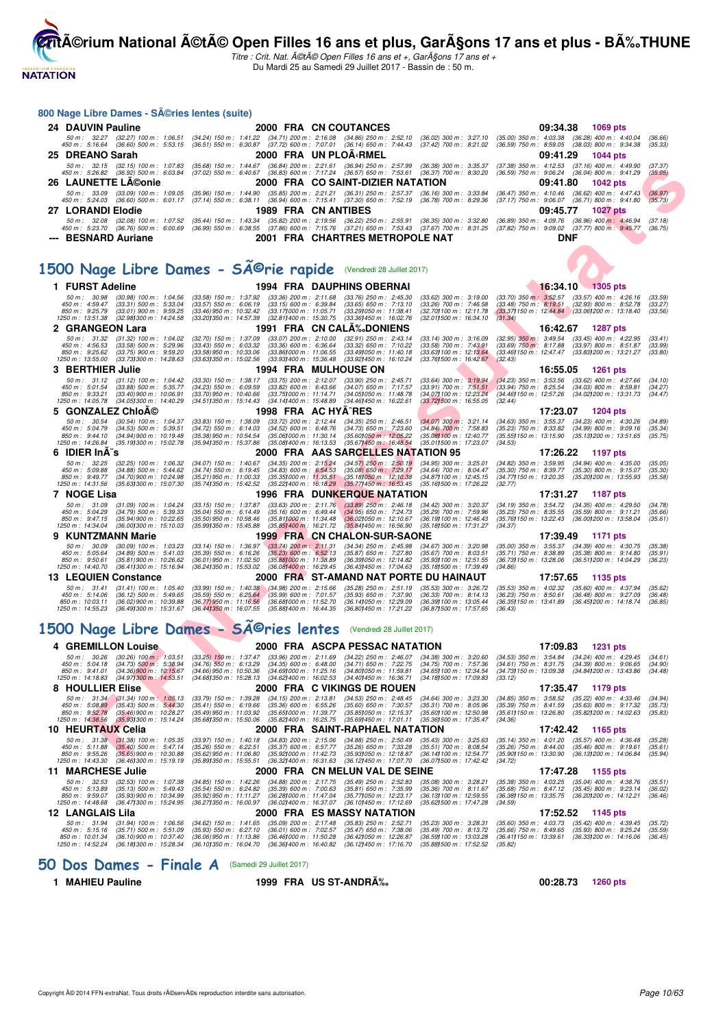

Titre : Crit. Nat. A©tA© Open Filles 16 ans et +, GarA§ons 17 ans et + Du Mardi 25 au Samedi 29 Juillet 2017 - Bassin de : 50 m.

#### **800 Nage Libre Dames - Séries lentes (suite)**

| 24 DAUVIN Pauline          | 2000 FRA CN COUTANCES                                                                                                                                                                                                                                                                                                                           | 09:34.38 1069 pts                                                                                                           |
|----------------------------|-------------------------------------------------------------------------------------------------------------------------------------------------------------------------------------------------------------------------------------------------------------------------------------------------------------------------------------------------|-----------------------------------------------------------------------------------------------------------------------------|
| 450 m : 5:16.64            | 50 m : 32.27 (32.27) 100 m : 1:06.51 (34.24) 150 m : 1:41.22 (34.71) 200 m : 2:16.08 (34.86) 250 m : 2:52.10<br>(36.60) 500 m: 5:53.15 (36.51) 550 m: 6:30.87 (37.72) 600 m: 7:07.01 (36.14) 650 m: 7:44.43 (37.42) 700 m: 8:21.02 (36.59) 750 m: 8:59.05 (38.03) 800 m: 9:34.38                                                                | $(36.02)$ 300 m : 3:27.10 $(35.00)$ 350 m : 4:03.38 $(36.28)$ 400 m : 4:40.04<br>(36.66)<br>(35.33)                         |
| 25 DREANO Sarah            | 2000 FRA UN PLOÄ∢RMEL                                                                                                                                                                                                                                                                                                                           | 09:41.29 1044 pts                                                                                                           |
|                            | 50 m : 32.15 (32.15) 100 m : 1.07.83 (35.68) 150 m : 1.44.67 (36.84) 200 m : 2:21.61 (36.94) 250 m : 2:57.99 (36.38) 300 m : 3:35.37<br>450 m : 5:26.82 (36.92) 500 m : 6:03.84 (37.02) 550 m : 6:40.67 (36.83) 600 m : 7:17.24 (36.57) 650 m : 7:53.61 (36.37) 700 m : 8:30.20                                                                 | (37.38) 350 m : 4:12.53<br>(37.16) 400 m : 4:49.90<br>(37.37)<br>(36.59) 750 m : 9:06.24 (36.04) 800 m : 9:41.29<br>(35.05) |
| <b>26 LAUNETTE LA©onie</b> | 2000 FRA CO SAINT-DIZIER NATATION                                                                                                                                                                                                                                                                                                               | 09:41.80 1042 pts                                                                                                           |
|                            | 50 m : 33.09 (33.09) 100 m : 1:09.05 (35.96) 150 m : 1:44.90 (35.85) 200 m : 2:21.21 (36.31) 250 m : 2:57.37 (36.16) 300 m : 3:33.84 (36.47) 350 m : 4:10.46<br>450 m: 5:24.03 (36.60) 500 m: 6:01.17 (37.14) 550 m: 6:38.11 (36.94) 600 m: 7:15.41 (37.30) 650 m: 7:52.19 (36.78) 700 m: 8:29.36 (37.17) 750 m: 9:06.07 (36.71) 800 m: 9:41.80 | $(36.62)$ 400 m : 4:47.43<br>(36.97)<br>(35.73)                                                                             |
| 27 LORANDI Elodie          | 1989 FRA CN ANTIBES                                                                                                                                                                                                                                                                                                                             | 09:45.77 1027 pts                                                                                                           |
| 450 m : 5:23.70            | 50 m : 32.08 (32.08) 100 m : 1:07.52 (35.44) 150 m : 1:43.34 (35.82) 200 m : 2:19.56 (36.22) 250 m : 2:55.91 (36.35) 300 m : 3:32.80<br>(36.76) 500 m : 6:00.69 (36.99) 550 m : 6:38.55 (37.86) 600 m : 7:15.76 (37.21) 650 m : 7:53.43 (37.67) 700 m : 8:31.25 (37.82) 750 m : 9:09.02 (37.77) 800 m : 9:45.77                                 | $(36.89)$ 350 m : 4:09.76<br>$(36.96)$ 400 m : 4:46.94<br>(37.18)<br>(36.75)                                                |
| --- BESNARD Auriane        | 2001 FRA CHARTRES METROPOLE NAT                                                                                                                                                                                                                                                                                                                 | DNF                                                                                                                         |

# 1500 Nage Libre Dames - SÃ<sup>@</sup>rie rapide (Vendredi 28 Juillet 2017)

| 50 m : 32.15 (32.15) 100 m : 1:07.83 (35.68) 150 m : 1:44.67 (36.84) 200 m : 2:21.61 (36.94) 250 m : 2:57.99 (36.38) 300 m : 3:35.37<br>450 m : 5:26.82 (36.92) 500 m : 6:03.84 (37.02) 550 m : 6:40.67 (36.83) 600 m : 7:17.24 (36.57) 650 m : 7:53.61 (36.37) 700 m : 8:30.20 |                                                                                                                                                                                                |                                                                |                                                                               |                                                              | (37.38) 350 m : 4:12.53                                     | (37.16) 400 m : 4:49.90<br>(36.59) 750 m : 9:06.24 (36.04) 800 m : 9:41.29                             | (37.37)<br>(35.05) |
|---------------------------------------------------------------------------------------------------------------------------------------------------------------------------------------------------------------------------------------------------------------------------------|------------------------------------------------------------------------------------------------------------------------------------------------------------------------------------------------|----------------------------------------------------------------|-------------------------------------------------------------------------------|--------------------------------------------------------------|-------------------------------------------------------------|--------------------------------------------------------------------------------------------------------|--------------------|
| 26 LAUNETTE LA©onie                                                                                                                                                                                                                                                             |                                                                                                                                                                                                |                                                                | 2000 FRA CO SAINT-DIZIER NATATION                                             |                                                              |                                                             | 09:41.80<br>1042 pts                                                                                   |                    |
| 50 m : 33.09<br>$(33.09)$ 100 m : 1:09.05<br>450 m : 5:24.03<br>$(36.60)$ 500 m : 6:01.17                                                                                                                                                                                       | (35.96) 150 m : 1:44.90 (35.85) 200 m : 2:21.21 (36.31) 250 m : 2:57.37 (36.16) 300 m : 3:33.84<br>(37.14) 550 m: 6:38.11 (36.94) 600 m: 7:15.41 (37.30) 650 m: 7:52.19 (36.78) 700 m: 8:29.36 |                                                                |                                                                               |                                                              |                                                             | $(36.47)$ 350 m : 4:10.46 $(36.62)$ 400 m : 4:47.43<br>(37.17) 750 m : 9:06.07 (36.71) 800 m : 9:41.80 | (36.97)<br>(35.73) |
| 27 LORANDI Elodie                                                                                                                                                                                                                                                               |                                                                                                                                                                                                | <b>1989 FRA CN ANTIBES</b>                                     |                                                                               |                                                              |                                                             | 09:45.77<br>1027 pts                                                                                   |                    |
| 50 m : 32.08<br>(32.08) 100 m : 1:07.52                                                                                                                                                                                                                                         | (35.44) 150 m : 1:43.34 (35.82) 200 m : 2:19.56 (36.22) 250 m : 2:55.91 (36.35) 300 m : 3:32.80                                                                                                |                                                                |                                                                               |                                                              |                                                             | (36.89) 350 m : 4:09.76 (36.96) 400 m : 4:46.94                                                        | (37.18)            |
| 450 m: 5:23.70 (36.76) 500 m: 6:00.69                                                                                                                                                                                                                                           | (36.99) 550 m : 6:38.55 (37.86) 600 m : 7:15.76 (37.21) 650 m : 7:53.43 (37.67) 700 m : 8:31.25                                                                                                |                                                                |                                                                               |                                                              |                                                             | (37.82) 750 m : 9:09.02 (37.77) 800 m : 9:45.77                                                        | (36.75)            |
| --- BESNARD Auriane                                                                                                                                                                                                                                                             |                                                                                                                                                                                                |                                                                | 2001 FRA CHARTRES METROPOLE NAT                                               |                                                              |                                                             | DNF                                                                                                    |                    |
| 1500 Nage Libre Dames - SÃ <sup>@</sup> rie rapide (Vendredi 28 Juillet 2017)                                                                                                                                                                                                   |                                                                                                                                                                                                |                                                                |                                                                               |                                                              |                                                             |                                                                                                        |                    |
| 1 FURST Adeline                                                                                                                                                                                                                                                                 |                                                                                                                                                                                                |                                                                | <b>1994 FRA DAUPHINS OBERNAI</b>                                              |                                                              |                                                             | 16:34.10 1305 pts                                                                                      |                    |
| 50 m : 30.98<br>$(30.98)$ 100 m : 1:04.56<br>450 m : 4:59.47<br>$(33.31)$ 500 m : 5:33.04                                                                                                                                                                                       | $(33.58)$ 150 m : 1:37.92 $(33.36)$ 200 m : 2:11.68<br>$(33.57)$ 550 m : 6:06.19                                                                                                               | $(33.15)$ 600 m : 6:39.84                                      | $(33.76)$ 250 m : 2:45.30                                                     | $(33.62)$ 300 m : 3:19.00<br>$(33.26)$ 700 m : 7:46.58       | $(33.48)$ 750 m : 8:19.51                                   | $(33.70)$ 350 m : 3:52.57 $(33.57)$ 400 m : 4:26.16                                                    | (33.59)<br>(33.27) |
| 850 m : 9:25.79<br>$(33.01)$ 900 m : 9:59.25                                                                                                                                                                                                                                    | (33.46) 950 m : 10:32.42                                                                                                                                                                       | $(33.171000 \text{ m} : 11.05.71)$                             | $(33.65)$ 650 m : 7:13.10<br>(33.291050 m : 11:38.41)                         | (32.70) 100 m : 12:11.78                                     |                                                             | $(32.93)$ 800 m : 8:52.78<br>$(33.37)150 \text{ m}: 12.44.84$ $(33.06)200 \text{ m}: 13.18.40$         | (33.56)            |
| 1250 m : 13:51.38<br>(32.98) 300 m : 14:24.58                                                                                                                                                                                                                                   | (33.201350 m : 14:57.39                                                                                                                                                                        | (32.811400 m : 15:30.75                                        | (33.361450 m: 16.02.76)<br>1991 FRA CN CALA%DONIENS                           | (32.011500 m: 16:34.10                                       | (31.34)                                                     |                                                                                                        |                    |
| 2 GRANGEON Lara<br>50 m : 31.32<br>$(31.32)$ 100 m : 1:04.02                                                                                                                                                                                                                    | $(32.70)$ 150 m : 1:37.09                                                                                                                                                                      | $(33.07)$ 200 m : 2:10.00                                      | $(32.91)$ 250 m : 2:43.14                                                     | $(33.14)$ 300 m : 3:16.09                                    | $(32.95)$ 350 m : 3:49.54                                   | 16:42.67<br><b>1287 pts</b><br>$(33.45)$ 400 m : 4:22.95                                               | (33.41)            |
| 450 m : 4:56.53<br>$(33.58)$ 500 m : 5:29.96                                                                                                                                                                                                                                    | $(33.43)$ 550 m : 6:03.32                                                                                                                                                                      | $(33.36)$ 600 m : 6:36.64                                      | $(33.32)$ 650 m : 7:10.22                                                     | $(33.58)$ 700 m : 7:43.91                                    | $(33.69)$ 750 m $\therefore$ 8:17.88                        | $(33.97)$ 800 m : 8:51.87                                                                              | (33.99)            |
| 850 m : 9:25.62<br>$(33.75)$ 900 m : 9:59.20<br>1250 m: 13:55.00<br>(33.73) 300 m : 14:28.63                                                                                                                                                                                    | $(33.58)$ 950 m : 10:33.06<br>(33.63)350 m : 15.02.56                                                                                                                                          | (33.86) 000 m: 11:06.55<br>(33.93) 400 m : 15:36.48            | $(33.49)050 \text{ m}$ : 11:40.18<br>(33.92) 450 m : 16:10.24                 | $(33.63)100 \text{ m}$ : 12:13.64<br>(33.761500 m : 16:42.67 | (33.46) 150 m : 12:47.47<br>(32.43)                         | (33.83) 200 m : 13:21.27                                                                               | (33.80)            |
| <b>BERTHIER Julie</b><br>з                                                                                                                                                                                                                                                      |                                                                                                                                                                                                |                                                                | <b>1994 FRA MULHOUSE ON</b>                                                   |                                                              |                                                             | 16:55.05<br><b>1261 pts</b>                                                                            |                    |
| 50 m: 31.12<br>$(31.12)$ 100 m : 1:04.42                                                                                                                                                                                                                                        | $(33.30)$ 150 m : 1:38.17                                                                                                                                                                      | $(33.75)$ 200 m : 2:12.07                                      | $(33.90)$ 250 m : 2:45.71                                                     | $(33.64)$ 300 m : 3:19.94                                    | $(34.23)$ 350 m : 3:53.56                                   | $(33.62)$ 400 m : 4:27.66                                                                              | (34.10)            |
| 450 m : 5:01.54<br>$(33.88)$ 500 m : 5:35.77<br>850 m: 9:33.21<br>$(33.40)$ 900 m : 10:06.91                                                                                                                                                                                    | $(34.23)$ 550 m : 6:09.59<br>(33.70) 950 m : 10:40.66                                                                                                                                          | $(33.82)$ 600 m : 6:43.66<br>(33.75) 000 m: 11:14.71           | $(34.07)$ 650 m : 7:17.57<br>(34.05) 050 m: 11:48.78                          | $(33.91)$ 700 m : 7:51.51<br>(34.07) 100 m : 12:23.24        | $(33.94)$ 750 m : 8:25.54<br>(34.46) 150 m : 12:57.26       | $(34.03)$ 800 m : 8:59.81<br>(34.02) 200 m : 13:31.73                                                  | (34.27)<br>(34.47) |
| 1250 m : 14:05.78<br>(34.05) 300 m : 14:40.29                                                                                                                                                                                                                                   | (34.511350 m : 15:14.43)                                                                                                                                                                       | (34.141400 m : 15:48.89)                                       | (34.46) 450 m : 16:22.61                                                      | (33.72) 500 m : 16:55.05                                     | (32.44)                                                     |                                                                                                        |                    |
| <b>GONZALEZ ChloA©</b>                                                                                                                                                                                                                                                          |                                                                                                                                                                                                | 1998 FRA AC HYA^RES                                            |                                                                               |                                                              |                                                             | 17:23.07<br>1204 pts                                                                                   |                    |
| 50 m : 30.54<br>$(30.54)$ 100 m : 1:04.37<br>450 m : 5:04.79<br>$(34.53)$ 500 m : 5:39.51                                                                                                                                                                                       | $(33.83)$ 150 m : 1:38.09<br>$(34.72)$ 550 m : 6:14.03                                                                                                                                         | $(33.72)$ 200 m : 2:12.44<br>$(34.52)$ 600 m : 6:48.76         | $(34.35)$ 250 m : 2:46.51<br>$(34.73)$ 650 m : 7:23.60                        | $(34.07)$ 300 m : 3:21.14<br>$(34.84)$ 700 m : 7:58.83       | $(34.63)$ 350 m : 3:55.37<br>$(35.23)$ 750 m : $8:33.82$    | $(34.23)$ 400 m : 4:30.26<br>$(34.99)$ 800 m : 9:09.16                                                 | (34.89)<br>(35.34) |
| 850 m : 9:44.10<br>(34.94) 900 m : 10:19.48<br>1250 m: 14:26.84<br>(35.19) 300 m : 15:02.78                                                                                                                                                                                     | (35.38) 950 m : 10:54.54<br>(35.941350 m : 15:37.86                                                                                                                                            | (35.06) 000 m : 11:30.14<br>$(35.081400 \text{ m} : 16.13.53)$ | $(35.60)050 \text{ m}$ : 12:05.22<br>(35.671450 m : 16:48.54                  | (35.08) 100 m : 12:40.77<br>(35.011500 m: 17:23.07           | (35.55) 150 m : 13:15.90<br>(34.53)                         | $(35.13)200 \text{ m}$ : 13:51.65                                                                      | (35.75)            |
| 6 IDIER InA¨s                                                                                                                                                                                                                                                                   |                                                                                                                                                                                                |                                                                | 2000 FRA AAS SARCELLES NATATION 95                                            |                                                              |                                                             | 17:26.22<br>1197 pts                                                                                   |                    |
| 50 m: 32.25<br>$(32.25)$ 100 m : 1:06.32                                                                                                                                                                                                                                        | $(34.07)$ 150 m : 1:40.67                                                                                                                                                                      | $(34.35)$ 200 m : 2:15.24                                      | $(34.57)$ 250 m : 2:50.19                                                     | $(34.95)$ 300 m : 3:25.01                                    | $(34.82)$ 350 m : 3:59.95                                   | $(34.94)$ 400 m : 4:35.00                                                                              | (35.05)            |
| 450 m : 5:09.88<br>$(34.88)$ 500 m : 5:44.62<br>850 m : 9:49.77<br>(34.70) 900 m : 10:24.98                                                                                                                                                                                     | $(34.74)$ 550 m : 6:19.45<br>$(35.21)$ 950 m : 11:00.33                                                                                                                                        | $(34.83)$ 600 m : 6:54.53                                      | $(35.08)$ 650 m : 7:29.17<br>(35.35) 000 m: 11:35.51 (35.18) 050 m: 12:10.38  | $(34.64)$ 700 m : 8:04.47<br>(34.871100 m : 12:45.15)        | $(35.30)$ 750 m : 8:39.77<br>(34.77) 150 m : 13:20.35       | $(35.30)$ 800 m : 9:15.07<br>(35.201200 m: 13:55.93                                                    | (35.30)<br>(35.58) |
| 1250 m: 14:31.56<br>(35.63) 300 m : 15:07.30                                                                                                                                                                                                                                    | (35.741350 m : 15:42.52                                                                                                                                                                        | $(35.22)$ 400 m : 16:18.29                                     | (35.77) 450 m : 16:53.45                                                      | (35.161500 m : 17:26.22                                      | (32.77)                                                     |                                                                                                        |                    |
| 7 NOGE Lisa                                                                                                                                                                                                                                                                     |                                                                                                                                                                                                |                                                                | <b>1996 FRA DUNKERQUE NATATION</b>                                            |                                                              |                                                             | 17:31.27<br>1187 pts                                                                                   |                    |
| 50 m : 31.09<br>$(31.09)$ 100 m : 1.04.24<br>450 m: 5:04.29<br>$(34.79)$ 500 m : 5:39.33                                                                                                                                                                                        | $(33.15)$ 150 m : 1:37.87<br>(35.04) 550 m : 6:14.49                                                                                                                                           | $(33.63)$ 200 m : 2:11.76<br>$(35.16)$ 600 m : 6:49.44         | $(33.89)$ $250$ m : $2:46.18$<br>$(34.95)$ 650 m : 7:24.73                    | (34.42) 300 m : 3:20.37<br>(35.29) 700 m : 7:59.96           | $(34.19)$ 350 m : 3:54.72<br>(35.23) 750 m : 8:35.55        | $(34.35)$ 400 m : 4:29.50<br>$(35.59)$ 800 m : 9:11.21                                                 | (34.78)<br>(35.66) |
| 850 m: 9:47.15<br>(35.94) 900 m : 10:22.65                                                                                                                                                                                                                                      | (35.50) 950 m : 10:58.46                                                                                                                                                                       | (35.811000 m: 11:34.48)                                        | (36.02) 050 m : 12:10.67                                                      | (36.19) 100 m : 12:46.43                                     | (35.76) 150 m : 13:22.43                                    | (36.00) 200 m : 13:58.04                                                                               | (35.61)            |
| 1250 m : 14:34.04<br>(36.00) 300 m : 15:10.03<br><b>KUNTZMANN Marie</b><br>9                                                                                                                                                                                                    | (35.991350 m : 15:45.88                                                                                                                                                                        | $(35.85)400 \text{ m}$ : 16:21.72                              | (35.84) 450 m : 16:56.90<br><b>1999 FRA CN CHALON-SUR-SAONE</b>               | (35.18) 500 m : 17:31.27                                     | (34.37)                                                     | 17:39.49<br>1171 pts                                                                                   |                    |
| 50 m: 30.09<br>$(30.09)$ 100 m : 1:03.23                                                                                                                                                                                                                                        | $(33.14)$ 150 m : 1:36.97                                                                                                                                                                      | $(33.74)$ 200 m : 2:11.31                                      | $(34.34)$ 250 m : 2:45.98                                                     | $(34.67)$ 300 m : 3:20.98                                    |                                                             | $(35.00)$ 350 m : 3:55.37 $(34.39)$ 400 m : 4:30.75                                                    | (35.38)            |
| 450 m : 5:05.64<br>$(34.89)$ 500 m : 5:41.03<br>850 m : 9:50.61                                                                                                                                                                                                                 | (35.39) 550 m : 6:16.26                                                                                                                                                                        | $(35.23)$ 600 m : 6:52.13<br>(35.881000 m : 11:38.89           | $(35.87)$ 650 m : 7:27.80                                                     | $(35.67)$ 700 m : 8:03.51                                    | $(35.71)$ 750 m : 8:38.89<br>(36.73) 150 m : 13:28.06       | $(35.38)$ 800 m : 9:14.80<br>(36.51) 200 m : 14:04.29                                                  | (35.91)            |
| (35.81) 900 m : 10:26.62<br>1250 m : 14:40.70<br>(36.411300 m: 15:16.94)                                                                                                                                                                                                        | $(36.01)$ 950 m : 11:02.50<br>(36.24) 350 m : 15:53.02                                                                                                                                         | $(36.08)400 \text{ m}$ : 16:29.45                              | (36.39) 050 m : 12:14.82<br>(36.43) 450 m : 17:04.63                          | (35.93) 100 m : 12:51.55<br>(35.181500 m: 17:39.49)          | (34.86)                                                     |                                                                                                        | (36.23)            |
| <b>13 LEQUIEN Constance</b>                                                                                                                                                                                                                                                     |                                                                                                                                                                                                |                                                                | 2000 FRA ' ST-AMAND NAT PORTE DU HAINAUT                                      |                                                              |                                                             | 17:57.65<br>1135 pts                                                                                   |                    |
| $(31.41)$ 100 m : 1:05.40<br>50 m: 31.41<br>450 m : 5:14.06<br>$(36.12)$ 500 m : 5:49.65                                                                                                                                                                                        | (33.99) 150 m : 1:40.38 (34.98) 200 m : 2:15.66<br>$(35.59)$ 550 m : 6:25.64 $(35.99)$ 600 m : 7:01.57                                                                                         |                                                                | $(35.28)$ 250 m : 2:51.19<br>$(35.93)$ 650 m : 7:37.90                        | $(35.53)$ 300 m : 3:26.72<br>$(36.33)$ 700 m : 8:14.13       | (35.53) 350 m : 4:02.32<br>$(36.23)$ 750 m : $8:50.61$      | $(35.60)$ 400 m : 4:37.94<br>$(36.48)$ 800 m : 9:27.09                                                 | (35.62)<br>(36.48) |
| 850 m : 10:03.11<br>$(36.02)$ 900 m : 10:39.88                                                                                                                                                                                                                                  | $(36.77)$ 950 m : 11:16.56                                                                                                                                                                     | (36.681000 m: 11.52.70                                         | (36.14) 050 m: 12:29.09                                                       | (36.39) 100 m : 13:05.44                                     | (36.35) 150 m : 13:41.89                                    | (36.45) 200 m : 14:18.74                                                                               | (36.85)            |
| 1250 m : 14:55.23<br>(36.49) 300 m : 15:31.67                                                                                                                                                                                                                                   | (36.441350 m : 16:07.55                                                                                                                                                                        | (35.88) 400 m : 16:44.35                                       | (36.801450 m : 17:21.22                                                       | (36.871500 m: 17:57.65                                       | (36.43)                                                     |                                                                                                        |                    |
| 1500 Nage Libre Dames - SA©ries lentes                                                                                                                                                                                                                                          |                                                                                                                                                                                                |                                                                | (Vendredi 28 Juillet 2017)                                                    |                                                              |                                                             |                                                                                                        |                    |
|                                                                                                                                                                                                                                                                                 |                                                                                                                                                                                                |                                                                |                                                                               |                                                              |                                                             |                                                                                                        |                    |
| 4 GREMILLON Louise                                                                                                                                                                                                                                                              |                                                                                                                                                                                                |                                                                | 2000 FRA ASCPA PESSAC NATATION                                                |                                                              |                                                             | 17:09.83<br><b>1231 pts</b>                                                                            |                    |
| 50 m : 30.26<br>$(30.26)$ 100 m : 1:03.51<br>$(34.73)$ 500 m : 5:38.94<br>450 m : 5:04.18                                                                                                                                                                                       | $(33.25)$ 150 m : 1:37.47<br>$(34.76)$ 550 m : 6:13.29                                                                                                                                         | $(33.96)$ 200 m : 2:11.69<br>$(34.35)$ 600 m : 6:48.00         | (34.22) 250 m : 2:46.07<br>$(34.71)$ 650 m : 7:22.75                          | $(34.38)$ 300 m : 3:20.60<br>$(34.75)$ 700 m : 7:57.36       | $(34.53)$ 350 m : 3:54.84<br>$(34.61)$ 750 m : $8.31.75$    | $(34.24)$ 400 m : 4:29.45 $(34.61)$<br>$(34.39)$ 800 m : 9:06.65                                       | (34.90)            |
| 850 m : 9:41.01<br>$(34.36)$ 900 m : 10:15.67<br>1250 m: 14:18.83 (34.97) 300 m: 14:53.51                                                                                                                                                                                       | $(34.66)$ 950 m : 10:50.36<br>(34.681350 m : 15.28.13)                                                                                                                                         | (34.691000 m: 11.25.16)                                        | (34.80) 050 m : 11:59.81<br>(34.62) 400 m : 16:02.53 (34.40) 450 m : 16:36.71 | (34.65) 100 m : 12:34.54<br>(34.18) 500 m : 17:09.83         | (34.73) 150 m : 13:09.38<br>(33.12)                         | (34.841200 m : 13:43.86                                                                                | (34.48)            |
| <b>HOULLIER Elise</b><br>8                                                                                                                                                                                                                                                      |                                                                                                                                                                                                |                                                                | 2000 FRA C VIKINGS DE ROUEN                                                   |                                                              |                                                             | 17:35.47<br>1179 pts                                                                                   |                    |
| 50 m: 31.34 (31.34) 100 m: 1:05.13 (33.79) 150 m: 1:39.28 (34.15) 200 m: 2:13.81 (34.53) 250 m: 2:48.45 (34.64) 300 m: 3:23.30 (34.85) 350 m: 3:58.52                                                                                                                           |                                                                                                                                                                                                |                                                                |                                                                               |                                                              |                                                             | $(35.22)$ 400 m : 4:33.46                                                                              | (34.94)            |
| 450 m : 5:08.89 (35.43) 500 m : 5:44.30<br>(35.46) 900 m : 10:28.27<br>850 m : 9:52.78                                                                                                                                                                                          | $(35.41)$ 550 m : 6:19.66<br>$(35.49)$ 950 m : 11:03.92                                                                                                                                        | $(35.36)$ 600 m : 6:55.26<br>(35.65) 000 m : 11:39.77          | (35.60) 650 m : 7:30.57<br>(35.85) 050 m: 12:15.37                            | $(35.31)$ 700 m : 8:05.96<br>(35.60) 100 m : 12:50.98        | (35.39) 750 m : 8:41.59<br>(35.61) 150 m : 13:26.80         | $(35.63)$ 800 m : 9:17.32                                                                              | (35.73)<br>(35.83) |
| 1250 m : 14:38.56 (35.93) 300 m : 15:14.24                                                                                                                                                                                                                                      | (35.68) 350 m : 15:50.06 (35.82) 400 m : 16:25.75 (35.69) 450 m : 17:01.11 (35.36) 500 m : 17:35.47 (34.36)                                                                                    |                                                                |                                                                               |                                                              |                                                             | (35.82) 200 m : 14:02.63                                                                               |                    |
| 10 HEURTAUX Celia                                                                                                                                                                                                                                                               |                                                                                                                                                                                                |                                                                | 2000 FRA SAINT-RAPHAEL NATATION                                               |                                                              |                                                             | 17:42.42<br>1165 pts                                                                                   |                    |
| 50 m: 31.38<br>$(31.38)$ 100 m : 1:05.35<br>$(35.40)$ 500 m : 5:47.14<br>450 m : 5:11.88                                                                                                                                                                                        | $(33.97)$ 150 m : 1:40.18<br>$(35.26)$ 550 m : 6:22.51                                                                                                                                         | $(34.83)$ 200 m : 2:15.06<br>$(35.37)$ 600 m : 6:57.77         | $(34.88)$ 250 m : 2:50.49<br>$(35.26)$ 650 m : 7:33.28                        | $(35.43)$ 300 m : 3:25.63<br>$(35.51)$ 700 m : 8:08.54       | (35.14) 350 m : 4:01.20<br>(35.26) 750 m : 8:44.00          | $(35.57)$ 400 m : 4:36.48<br>$(35.46)$ 800 m : 9:19.61                                                 | (35.28)<br>(35.61) |
| 850 m : 9:55.26<br>$(35.65)$ 900 m : 10:30.88                                                                                                                                                                                                                                   | $(35.62)$ 950 m : 11:06.80                                                                                                                                                                     | (35.92) 000 m: 11:42.73                                        | (35.93) 050 m: 12:18.87                                                       | (36.14) 100 m : 12:54.77                                     |                                                             | (35.90) 150 m : 13:30.90 (36.13) 200 m : 14:06.84                                                      | (35.94)            |
| 1250 m: 14:43.30<br>(36.46) 300 m : 15:19.19                                                                                                                                                                                                                                    | (35.89) 350 m : 15:55.51                                                                                                                                                                       | $(36.32)400 \text{ m}$ : 16:31.63                              | (36.12) 450 m : 17:07.70                                                      | (36.071500 m: 17:42.42)                                      | (34.72)                                                     |                                                                                                        |                    |
| 11 MARCHESE Julie                                                                                                                                                                                                                                                               |                                                                                                                                                                                                |                                                                | 2000 FRA CN MELUN VAL DE SEINE                                                |                                                              |                                                             | 17:47.28<br>1155 pts                                                                                   |                    |
| 50 m : 32.53<br>$(32.53)$ 100 m : 1:07.38<br>450 m: 5:13.89<br>$(35.13)$ 500 m : 5:49.43                                                                                                                                                                                        | $(34.85)$ 150 m : 1:42.26<br>$(35.54)$ 550 m : 6:24.82                                                                                                                                         | $(34.88)$ 200 m : 2:17.75<br>$(35.39)$ 600 m : 7:00.63         | $(35.49)$ 250 m : 2:52.83<br>$(35.81)$ 650 m : 7:35.99                        | $(35.08)$ 300 m : 3:28.21<br>$(35.36)$ 700 m : 8:11.67       | (35.38) 350 m : 4:03.25<br>$(35.68)$ 750 m : $8.47.12$      | $(35.04)$ 400 m : 4:38.76<br>$(35.45)$ 800 m : 9:23.14                                                 | (35.51)<br>(36.02) |
| 850 m : 9:59.07<br>$(35.93)$ 900 m : 10:34.99<br>1250 m : 14:48.68<br>(36.47) 300 m : 15:24.95                                                                                                                                                                                  | $(35.92)$ 950 m : 11:11.27<br>(36.271350 m: 16:00.97                                                                                                                                           | (36.28) 000 m : 11:47.04<br>(36.02) 400 m : 16:37.07           | (35.77) 050 m : 12:23.17<br>(36.10) 450 m : 17:12.69                          | (36.13) 100 m : 12:59.55<br>(35.621500 m: 17:47.28)          | (36.38) 150 m : 13:35.75<br>(34.59)                         | (36.201200 m : 14:12.21                                                                                | (36.46)            |
| 12 LANGLAIS Lila                                                                                                                                                                                                                                                                |                                                                                                                                                                                                |                                                                | 2000 FRA ES MASSY NATATION                                                    |                                                              |                                                             | 17:52.52<br>1145 pts                                                                                   |                    |
| 50 m: 31.94<br>$(31.94)$ 100 m : 1:06.56                                                                                                                                                                                                                                        | $(34.62)$ 150 m : 1:41.65                                                                                                                                                                      | (35.09) 200 m : 2:17.48                                        | $(35.83)$ 250 m : 2:52.71                                                     | $(35.23)$ 300 m : 3:28.31                                    | $(35.60)$ 350 m : 4:03.73                                   | $(35.42)$ 400 m : 4:39.45                                                                              | (35.72)            |
| 450 m : 5:15.16<br>$(35.71)$ 500 m : 5:51.09<br>850 m: 10:01.34<br>$(36.10)$ 900 m : 10:37.40                                                                                                                                                                                   | $(35.93)$ 550 m : 6:27.10<br>$(36.06)$ 950 m : 11:13.86                                                                                                                                        | $(36.01)$ 600 m : 7:02.57<br>(36.461000 m: 11:50.28            | $(35.47)$ 650 m : 7:38.06<br>(36.42) 050 m : 12:26.87                         | $(35.49)$ 700 m : 8:13.72<br>(36.59) 100 m : 13:03.28        | (35.66) 750 m : 8:49.65<br>(36.41 <b>)</b> 150 m : 13:39.61 | $(35.93)$ 800 m : 9:25.24<br>(36.33) 200 m : 14:16.06                                                  | (35.59)<br>(36.45) |
| 1250 m: 14:52.24<br>(36.18) 300 m : 15:28.34                                                                                                                                                                                                                                    | (36.101350 m : 16:04.70                                                                                                                                                                        | (36.36) 400 m : 16:40.82                                       | (36.12) 450 m : 17:16.70                                                      | (35.88) 500 m : 17:52.52                                     | (35.82)                                                     |                                                                                                        |                    |
|                                                                                                                                                                                                                                                                                 |                                                                                                                                                                                                |                                                                |                                                                               |                                                              |                                                             |                                                                                                        |                    |

#### **[50 Dos Dames - Finale A](http://www.ffnatation.fr/webffn/resultats.php?idact=nat&go=epr&idcpt=47487&idepr=11)** (Samedi 29 Juillet 2017)

**1 MAHIEU Pauline 1999 FRA US ST-ANDRÉ** 1999 FRA US ST-ANDRÉ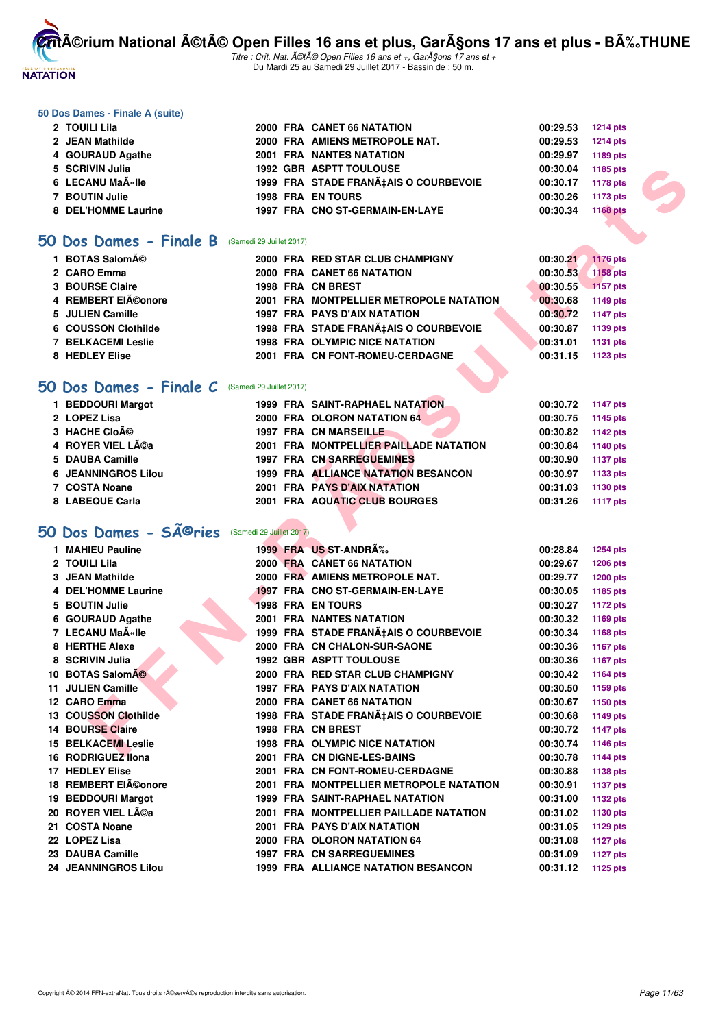

Titre : Crit. Nat. A©tA© Open Filles 16 ans et +, GarA§ons 17 ans et + Du Mardi 25 au Samedi 29 Juillet 2017 - Bassin de : 50 m.

#### **50 Dos Dames - Finale A (suite)**

| 2 TOUILI Lila       |  | 2000 FRA CANET 66 NATATION            | 00:29.53 | <b>1214 pts</b> |
|---------------------|--|---------------------------------------|----------|-----------------|
| 2 JEAN Mathilde     |  | 2000 FRA AMIENS METROPOLE NAT.        | 00:29.53 | <b>1214 pts</b> |
| 4 GOURAUD Agathe    |  | <b>2001 FRA NANTES NATATION</b>       | 00:29.97 | 1189 pts        |
| 5 SCRIVIN Julia     |  | <b>1992 GBR ASPTT TOULOUSE</b>        | 00:30.04 | 1185 pts        |
| 6 LECANU MaëIle     |  | 1999 FRA STADE FRANA‡AIS O COURBEVOIE | 00:30.17 | 1178 pts        |
| 7 BOUTIN Julie      |  | <b>1998 FRA EN TOURS</b>              | 00:30.26 | 1173 pts        |
| 8 DEL'HOMME Laurine |  | 1997 FRA CNO ST-GERMAIN-EN-LAYE       | 00:30.34 | 1168 pts        |

#### **[50 Dos Dames - Finale B](http://www.ffnatation.fr/webffn/resultats.php?idact=nat&go=epr&idcpt=47487&idepr=11)** (Samedi 29 Juillet 2017)

| 1 BOTAS Salomé      |  | 2000 FRA RED STAR CLUB CHAMPIGNY        | 00:30.21 | 1176 pts        |
|---------------------|--|-----------------------------------------|----------|-----------------|
| 2 CARO Emma         |  | 2000 FRA CANET 66 NATATION              | 00:30.53 | <b>1158 pts</b> |
| 3 BOURSE Claire     |  | 1998 FRA CN BREST                       | 00:30.55 | $-1157$ pts     |
| 4 REMBERT EIéonore  |  | 2001 FRA MONTPELLIER METROPOLE NATATION | 00:30.68 | 1149 pts        |
| 5 JULIEN Camille    |  | <b>1997 FRA PAYS D'AIX NATATION</b>     | 00:30.72 | 1147 pts        |
| 6 COUSSON Clothilde |  | 1998 FRA STADE FRANA‡AIS O COURBEVOIE   | 00:30.87 | 1139 pts        |
| 7 BELKACEMI Leslie  |  | <b>1998 FRA OLYMPIC NICE NATATION</b>   | 00:31.01 | 1131 pts        |
| 8 HEDLEY Elise      |  | 2001 FRA CN FONT-ROMEU-CERDAGNE         | 00:31.15 | 1123 pts        |

#### **[50 Dos Dames - Finale C](http://www.ffnatation.fr/webffn/resultats.php?idact=nat&go=epr&idcpt=47487&idepr=11)** (Samedi 29 Juillet 2017)

| 1 BEDDOURI Margot          |  | <b>1999 FRA SAINT-RAPHAEL NATATION.</b> | 00:30.72 | 1147 pts |
|----------------------------|--|-----------------------------------------|----------|----------|
| 2 LOPEZ Lisa               |  | 2000 FRA OLORON NATATION 64             | 00:30.75 | 1145 pts |
| 3 HACHE CIoé               |  | 1997 FRA CN MARSEILLE                   | 00:30.82 | 1142 pts |
| 4 ROYER VIEL Léa           |  | 2001 FRA MONTPELLIER PAILLADE NATATION  | 00:30.84 | 1140 pts |
| 5 DAUBA Camille            |  | <b>1997 FRA CN SARREGUEMINES</b>        | 00:30.90 | 1137 pts |
| <b>6 JEANNINGROS Lilou</b> |  | 1999 FRA ALLIANCE NATATION BESANCON     | 00:30.97 | 1133 pts |
| 7 COSTA Noane              |  | 2001 FRA PAYS D'AIX NATATION            | 00:31.03 | 1130 pts |
| 8 LABEQUE Carla            |  | 2001 FRA AQUATIC CLUB BOURGES           | 00:31.26 | 1117 pts |

# 50 Dos Dames - SÃ<sup>©</sup>ries (Samedi 29 Juillet 2017)

| 5 SCRIVIN Julia                                    |                          | <b>1992 GBR ASPTT TOULOUSE</b>          | 00:30.04 | 1185 pts        |  |
|----------------------------------------------------|--------------------------|-----------------------------------------|----------|-----------------|--|
| 6 LECANU MaA«lle                                   |                          | 1999 FRA STADE FRANÇAIS O COURBEVOIE    | 00:30.17 | 1178 pts        |  |
| 7 BOUTIN Julie                                     |                          | <b>1998 FRA EN TOURS</b>                | 00:30.26 | 1173 pts        |  |
| 8 DEL'HOMME Laurine                                |                          | 1997 FRA CNO ST-GERMAIN-EN-LAYE         | 00:30.34 | 1168 pts        |  |
|                                                    |                          |                                         |          |                 |  |
| i0 Dos Dames - Finale B                            | (Samedi 29 Juillet 2017) |                                         |          |                 |  |
| 1 BOTAS Salomé                                     |                          | 2000 FRA RED STAR CLUB CHAMPIGNY        | 00:30.21 | <b>1176 pts</b> |  |
| 2 CARO Emma                                        |                          | 2000 FRA CANET 66 NATATION              | 00:30.53 | 1158 pts        |  |
| <b>3 BOURSE Claire</b>                             |                          | 1998 FRA CN BREST                       | 00:30.55 | 1157 pts        |  |
| 4 REMBERT EIéonore                                 |                          | 2001 FRA MONTPELLIER METROPOLE NATATION | 00:30.68 | 1149 pts        |  |
| 5 JULIEN Camille                                   |                          | 1997 FRA PAYS D'AIX NATATION            | 00:30.72 | <b>1147 pts</b> |  |
| 6 COUSSON Clothilde                                |                          | 1998 FRA STADE FRANA‡AIS O COURBEVOIE   | 00:30.87 | 1139 pts        |  |
| <b>7 BELKACEMI Leslie</b>                          |                          | <b>1998 FRA OLYMPIC NICE NATATION</b>   | 00:31.01 | <b>1131 pts</b> |  |
| 8 HEDLEY Elise                                     |                          | 2001 FRA CN FONT-ROMEU-CERDAGNE         | 00:31.15 | 1123 pts        |  |
|                                                    |                          |                                         |          |                 |  |
| O Dos Dames - Finale C                             | (Samedi 29 Juillet 2017) |                                         |          |                 |  |
| 1 BEDDOURI Margot                                  |                          | <b>1999 FRA SAINT-RAPHAEL NATATION</b>  | 00:30.72 | <b>1147 pts</b> |  |
| 2 LOPEZ Lisa                                       |                          | <b>2000 FRA OLORON NATATION 64</b>      | 00:30.75 | 1145 pts        |  |
| 3 HACHE CIOÃO                                      |                          | 1997 FRA CN MARSEILLE                   | 00:30.82 | 1142 pts        |  |
| 4 ROYER VIEL Léa                                   |                          | 2001 FRA MONTPELLIER PAILLADE NATATION  | 00:30.84 | 1140 pts        |  |
| 5 DAUBA Camille                                    |                          | <b>1997 FRA CN SARREGUEMINES</b>        | 00:30.90 | <b>1137 pts</b> |  |
| <b>6 JEANNINGROS Lilou</b>                         |                          | 1999 FRA ALLIANCE NATATION BESANCON     | 00:30.97 | 1133 pts        |  |
| 7 COSTA Noane                                      |                          | <b>2001 FRA PAYS D'AIX NATATION</b>     | 00:31.03 | 1130 pts        |  |
| 8 LABEQUE Carla                                    |                          | <b>2001 FRA AQUATIC CLUB BOURGES</b>    | 00:31.26 | <b>1117 pts</b> |  |
|                                                    |                          |                                         |          |                 |  |
| $60$ Dos Dames - S $\widetilde{A}^{\bigcirc}$ ries | (Samedi 29 Juillet 2017) |                                         |          |                 |  |
| 1 MAHIEU Pauline                                   |                          | 1999 FRA US ST-ANDRA%                   | 00:28.84 | <b>1254 pts</b> |  |
| 2 TOUILI Lila                                      |                          | 2000 FRA CANET 66 NATATION              | 00:29.67 | <b>1206 pts</b> |  |
| 3 JEAN Mathilde                                    |                          | 2000 FRA AMIENS METROPOLE NAT.          | 00:29.77 | <b>1200 pts</b> |  |
| 4 DEL'HOMME Laurine                                |                          | 1997 FRA CNO ST-GERMAIN-EN-LAYE         | 00:30.05 | 1185 pts        |  |
| 5 BOUTIN Julie                                     |                          | <b>1998 FRA EN TOURS</b>                | 00:30.27 | <b>1172 pts</b> |  |
| 6 GOURAUD Agathe                                   |                          | <b>2001 FRA NANTES NATATION</b>         | 00:30.32 | 1169 pts        |  |
| 7 LECANU Maīlle                                    |                          | 1999 FRA STADE FRANA‡AIS O COURBEVOIE   | 00:30.34 | 1168 pts        |  |
| 8 HERTHE Alexe                                     |                          | 2000 FRA CN CHALON-SUR-SAONE            | 00:30.36 | 1167 pts        |  |
| 8 SCRIVIN Julia                                    |                          | <b>1992 GBR ASPTT TOULOUSE</b>          | 00:30.36 | 1167 pts        |  |
| 10 BOTAS SalomA©                                   |                          | 2000 FRA RED STAR CLUB CHAMPIGNY        | 00:30.42 | 1164 pts        |  |
| 11 JULIEN Camille                                  |                          | <b>1997 FRA PAYS D'AIX NATATION</b>     | 00:30.50 | 1159 pts        |  |
| 12 CARO Emma                                       |                          | 2000 FRA CANET 66 NATATION              | 00:30.67 | 1150 pts        |  |
| 13 COUSSON Clothilde                               |                          | 1998 FRA STADE FRANÇAIS O COURBEVOIE    | 00:30.68 | 1149 pts        |  |
| <b>14 BOURSE Claire</b>                            |                          | 1998 FRA CN BREST                       | 00:30.72 | <b>1147 pts</b> |  |
| <b>15 BELKACEMI Leslie</b>                         |                          | <b>1998 FRA OLYMPIC NICE NATATION</b>   | 00:30.74 | <b>1146 pts</b> |  |
| 16 RODRIGUEZ Ilona                                 |                          | 2001 FRA CN DIGNE-LES-BAINS             | 00:30.78 | 1144 pts        |  |
| 17 HEDLEY Elise                                    |                          | 2001 FRA CN FONT-ROMEU-CERDAGNE         | 00:30.88 | <b>1138 pts</b> |  |
| 18 REMBERT EIéonore                                |                          | 2001 FRA MONTPELLIER METROPOLE NATATION | 00:30.91 | <b>1137 pts</b> |  |
| 19 BEDDOURI Margot                                 |                          | <b>1999 FRA SAINT-RAPHAEL NATATION</b>  |          |                 |  |
| 20 ROYER VIEL Léa                                  |                          |                                         | 00:31.00 | 1132 pts        |  |
|                                                    |                          | 2001 FRA MONTPELLIER PAILLADE NATATION  | 00:31.02 | 1130 pts        |  |
| 21 COSTA Noane                                     |                          | 2001 FRA PAYS D'AIX NATATION            | 00:31.05 | 1129 pts        |  |
| 22 LOPEZ Lisa                                      |                          | 2000 FRA OLORON NATATION 64             | 00:31.08 | <b>1127 pts</b> |  |
| 23 DAUBA Camille                                   |                          | <b>1997 FRA CN SARREGUEMINES</b>        | 00:31.09 | <b>1127 pts</b> |  |
| 24 JEANNINGROS Lilou                               |                          | 1999 FRA ALLIANCE NATATION BESANCON     | 00:31.12 | 1125 pts        |  |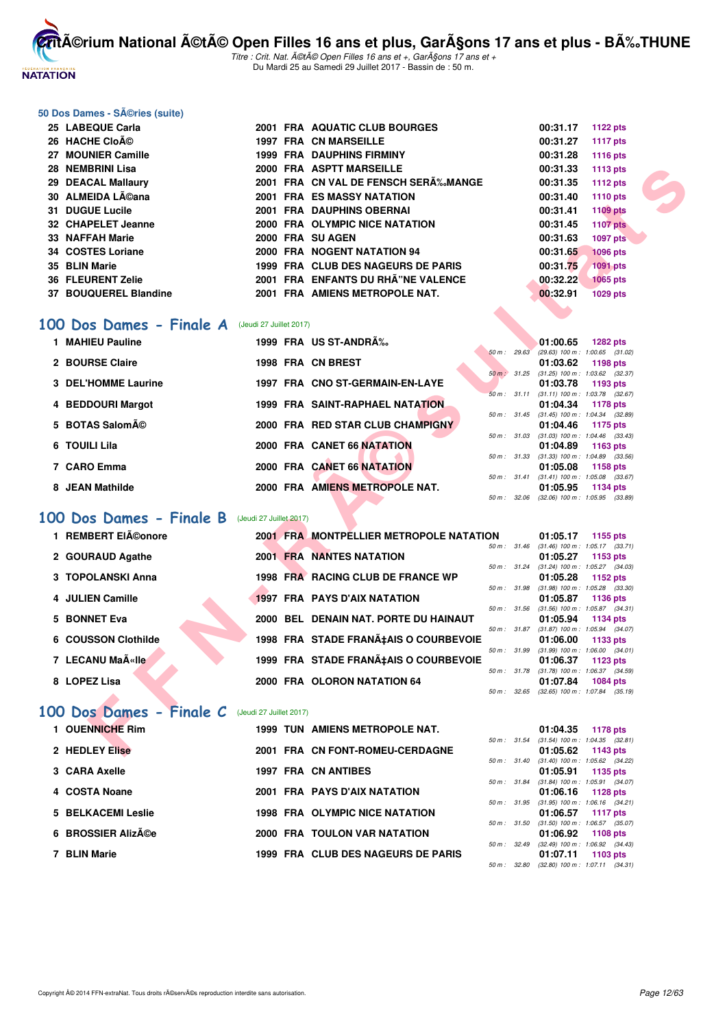

Titre : Crit. Nat. A©tA© Open Filles 16 ans et +, GarA§ons 17 ans et + Du Mardi 25 au Samedi 29 Juillet 2017 - Bassin de : 50 m.

#### **50 Dos Dames - Séries (suite)**

| 25 LABEQUE Carla      | 2001 | <b>FRA AQUATIC CLUB BOURGES</b>     | 00:31.17 | 1122 pts        |
|-----------------------|------|-------------------------------------|----------|-----------------|
| 26 HACHE Cloé         |      | 1997 FRA CN MARSEILLE               | 00:31.27 | 1117 pts        |
| 27 MOUNIER Camille    |      | <b>1999 FRA DAUPHINS FIRMINY</b>    | 00:31.28 | 1116 pts        |
| 28 NEMBRINI Lisa      |      | 2000 FRA ASPTT MARSEILLE            | 00:31.33 | 1113 pts        |
| 29 DEACAL Mallaury    |      | 2001 FRA CN VAL DE FENSCH SER‰MANGE | 00:31.35 | 1112 $pts$      |
| 30 ALMEIDA Léana      |      | <b>2001 FRA ES MASSY NATATION</b>   | 00:31.40 | 1110 pts        |
| 31 DUGUE Lucile       |      | 2001 FRA DAUPHINS OBERNAI           | 00:31.41 | 1109 pts        |
| 32 CHAPELET Jeanne    |      | 2000 FRA OLYMPIC NICE NATATION      | 00:31.45 | <b>1107 pts</b> |
| 33 NAFFAH Marie       |      | 2000 FRA SU AGEN                    | 00:31.63 | 1097 pts        |
| 34 COSTES Loriane     |      | 2000 FRA NOGENT NATATION 94         | 00:31.65 | <b>1096 pts</b> |
| 35 BLIN Marie         | 1999 | FRA CLUB DES NAGEURS DE PARIS       | 00:31.75 | <b>1091 pts</b> |
| 36 FLEURENT Zelie     | 2001 | FRA ENFANTS DU RHÂ"NE VALENCE       | 00:32.22 | <b>1065 pts</b> |
| 37 BOUQUEREL Blandine |      | 2001 FRA AMIENS METROPOLE NAT.      | 00:32.91 | <b>1029 pts</b> |

#### [100 Dos Dames - Finale A](http://www.ffnatation.fr/webffn/resultats.php?idact=nat&go=epr&idcpt=47487&idepr=12) (Jeudi 27 Juillet 2017)

|           | 28 NEMBRINI Lisa                                       |                         | 2000 FRA ASPTT MARSEILLE                      |              | 00:31.33<br><b>1113 pts</b>                                               |  |
|-----------|--------------------------------------------------------|-------------------------|-----------------------------------------------|--------------|---------------------------------------------------------------------------|--|
|           | 29 DEACAL Mallaury                                     |                         | 2001 FRA CN VAL DE FENSCH SERĉMANGE           |              | <b>1112 pts</b><br>00:31.35                                               |  |
|           | 30 ALMEIDA Léana                                       |                         | <b>2001 FRA ES MASSY NATATION</b>             |              | 00:31.40<br>1110 pts                                                      |  |
|           | 31 DUGUE Lucile                                        |                         | 2001 FRA DAUPHINS OBERNAI                     |              | 1109 pts<br>00:31.41                                                      |  |
|           | 32 CHAPELET Jeanne                                     |                         | 2000 FRA OLYMPIC NICE NATATION                |              | 00:31.45<br><b>1107 pts</b>                                               |  |
|           | 33 NAFFAH Marie                                        |                         | 2000 FRA SU AGEN                              |              | <b>1097 pts</b><br>00:31.63                                               |  |
|           | 34 COSTES Loriane                                      |                         | 2000 FRA NOGENT NATATION 94                   |              | 00:31.65<br><b>1096 pts</b>                                               |  |
|           | 35 BLIN Marie                                          |                         | 1999 FRA CLUB DES NAGEURS DE PARIS            |              | 00:31.75<br><b>1091 pts</b>                                               |  |
|           | <b>36 FLEURENT Zelie</b>                               |                         | 2001 FRA ENFANTS DU RHA"NE VALENCE            |              | 00:32.22<br><b>1065 pts</b>                                               |  |
|           | 37 BOUQUEREL Blandine                                  |                         | 2001 FRA AMIENS METROPOLE NAT.                |              | 00:32.91<br>1029 pts                                                      |  |
|           |                                                        |                         |                                               |              |                                                                           |  |
|           |                                                        |                         |                                               |              |                                                                           |  |
|           | <b>00 Dos Dames - Finale A</b> (Jeudi 27 Juillet 2017) |                         |                                               |              |                                                                           |  |
|           | 1 MAHIEU Pauline                                       |                         | 1999 FRA US ST-ANDRA%                         |              | 01:00.65<br><b>1282 pts</b>                                               |  |
|           | 2 BOURSE Claire                                        |                         | 1998 FRA CN BREST                             | 50 m: 29.63  | $(29.63)$ 100 m : 1:00.65 $(31.02)$<br>01:03.62                           |  |
|           |                                                        |                         |                                               | 50 m : 31.25 | 1198 pts<br>$(31.25)$ 100 m : 1:03.62 $(32.37)$                           |  |
|           | 3 DEL'HOMME Laurine                                    |                         | 1997 FRA CNO ST-GERMAIN-EN-LAYE               |              | 01:03.78<br>1193 pts                                                      |  |
|           |                                                        |                         |                                               | 50 m: 31.11  | $(31.11)$ 100 m : 1:03.78 $(32.67)$                                       |  |
|           | 4 BEDDOURI Margot                                      |                         | <b>1999 FRA SAINT-RAPHAEL NATATION</b>        |              | 01:04.34<br>1178 pts                                                      |  |
|           | 5 BOTAS Salomé                                         |                         | 2000 FRA RED STAR CLUB CHAMPIGNY              |              | 50 m: 31.45 (31.45) 100 m: 1:04.34 (32.89)<br>01:04.46<br>1175 pts        |  |
|           |                                                        |                         |                                               |              | 50 m: 31.03 (31.03) 100 m: 1:04.46 (33.43)                                |  |
|           | 6 TOUILI Lila                                          |                         | 2000 FRA CANET 66 NATATION                    |              | 01:04.89<br>1163 pts                                                      |  |
|           | 7 CARO Emma                                            |                         | 2000 FRA CANET 66 NATATION                    | 50 m : 31.33 | $(31.33)$ 100 m : 1:04.89 $(33.56)$                                       |  |
|           |                                                        |                         |                                               |              | 01:05.08<br>1158 pts<br>50 m: 31.41 (31.41) 100 m: 1:05.08 (33.67)        |  |
|           | 8 JEAN Mathilde                                        |                         | 2000 FRA AMIENS METROPOLE NAT.                |              | 01:05.95<br>1134 pts                                                      |  |
|           |                                                        |                         |                                               |              | 50 m: 32.06 (32.06) 100 m: 1:05.95 (33.89)                                |  |
| <b>OO</b> | Dos Dames - Finale B                                   | (Jeudi 27 Juillet 2017) |                                               |              |                                                                           |  |
|           |                                                        |                         |                                               |              |                                                                           |  |
|           | 1 REMBERT EIéonore                                     |                         | <b>2001 FRAMONTPELLIER METROPOLE NATATION</b> |              | 01:05.17<br>1155 pts                                                      |  |
|           | 2 GOURAUD Agathe                                       |                         | <b>2001 FRA NANTES NATATION</b>               |              | 50 m: 31.46 (31.46) 100 m: 1:05.17 (33.71)<br>01:05.27<br>1153 pts        |  |
|           |                                                        |                         |                                               | 50 m: 31.24  | $(31.24)$ 100 m : 1:05.27 $(34.03)$                                       |  |
|           | 3 TOPOLANSKI Anna                                      |                         | 1998 FRA RACING CLUB DE FRANCE WP             |              | 01:05.28<br>1152 pts                                                      |  |
|           |                                                        |                         |                                               |              | 50 m: 31.98 (31.98) 100 m: 1:05.28 (33.30)                                |  |
|           | 4 JULIEN Camille                                       |                         | <b>1997 FRA PAYS D'AIX NATATION</b>           |              | 01:05.87<br>1136 pts<br>50 m: 31.56 (31.56) 100 m: 1:05.87 (34.31)        |  |
|           | <b>5 BONNET Eva</b>                                    |                         | 2000 BEL DENAIN NAT. PORTE DU HAINAUT         |              | 01:05.94<br>1134 pts                                                      |  |
|           |                                                        |                         |                                               | 50 m : 31.87 | $(31.87)$ 100 m : 1:05.94 $(34.07)$                                       |  |
|           | 6 COUSSON Clothilde                                    |                         | 1998 FRA STADE FRANA‡AIS O COURBEVOIE         |              | 01:06.00<br>1133 pts                                                      |  |
|           | 7 LECANU Ma«lle                                        |                         | 1999 FRA STADE FRANÇAIS O COURBEVOIE          |              | 50 m: 31.99 (31.99) 100 m: 1:06.00 (34.01)<br>01:06.37<br><b>1123 pts</b> |  |
|           |                                                        |                         |                                               |              | 50 m: 31.78 (31.78) 100 m: 1:06.37 (34.59)                                |  |
|           | 8 LOPEZ Lisa                                           |                         | 2000 FRA OLORON NATATION 64                   |              | 01:07.84<br>1084 pts                                                      |  |
|           |                                                        |                         |                                               |              | 50 m: 32.65 (32.65) 100 m: 1:07.84 (35.19)                                |  |
|           | <b>00 Dos Dames - Finale C</b> (Jeudi 27 Juillet 2017) |                         |                                               |              |                                                                           |  |
|           |                                                        |                         |                                               |              |                                                                           |  |
|           | 1 OUENNICHE Rim                                        |                         | <b>1999 TUN AMIENS METROPOLE NAT.</b>         |              | 01:04.35<br><b>1178 pts</b>                                               |  |
|           | 2 HEDLEY Elise                                         |                         | 2001 FRA CN FONT-ROMEU-CERDAGNE               |              | 50 m: 31.54 (31.54) 100 m: 1:04.35 (32.81)<br>01:05.62<br>1143 pts        |  |
|           |                                                        |                         |                                               |              |                                                                           |  |

## **[100 Dos Dames - Finale B](http://www.ffnatation.fr/webffn/resultats.php?idact=nat&go=epr&idcpt=47487&idepr=12)** (Jeudi 27 Juillet 2017)

| 1 REMBERT EIéonore                   | 2001 FRA MONTPELLIER METROPOLE NATATION |                  | 01:05.17 | 1155 pts                                                 |
|--------------------------------------|-----------------------------------------|------------------|----------|----------------------------------------------------------|
| 2 GOURAUD Agathe                     | <b>2001 FRA NANTES NATATION</b>         | $50 m$ : $31.46$ | 01:05.27 | $(31.46)$ 100 m : 1:05.17 $(33.71)$<br>1153 pts          |
| 3 TOPOLANSKI Anna                    | 1998 FRA RACING CLUB DE FRANCE WP       |                  | 01:05.28 | 50 m : 31.24 (31.24) 100 m : 1:05.27 (34.03)<br>1152 pts |
| 4 JULIEN Camille                     | <b>1997 FRA PAYS D'AIX NATATION</b>     | 50 m : 31.98     | 01:05.87 | $(31.98)$ 100 m : 1:05.28 $(33.30)$<br>1136 pts          |
| 5 BONNET Eva                         | 2000 BEL DENAIN NAT. PORTE DU HAINAUT   | $50 m$ : $31.56$ |          | $(31.56)$ 100 m : 1:05.87 $(34.31)$<br>01:05.94 1134 pts |
| 6 COUSSON Clothilde                  | 1998 FRA STADE FRANA‡AIS O COURBEVOIE   |                  | 01:06.00 | 50 m: 31.87 (31.87) 100 m: 1:05.94 (34.07)<br>1133 pts   |
| 7 LECANU MaëIle                      | 1999 FRA STADE FRANÇAIS O COURBEVOIE    | 50 m: 31.99      | 01:06.37 | $(31.99)$ 100 m : 1:06.00 $(34.01)$<br>1123 $pts$        |
| 8 LOPEZ Lisa                         | 2000 FRA OLORON NATATION 64             | 50 m: 31.78      | 01:07.84 | $(31.78)$ 100 m : 1:06.37 $(34.59)$<br>1084 pts          |
| <b><i>Contract Contract Ave.</i></b> |                                         |                  |          | 50 m: 32.65 (32.65) 100 m: 1:07.84 (35.19)               |

## [100 Dos Dames - Finale C](http://www.ffnatation.fr/webffn/resultats.php?idact=nat&go=epr&idcpt=47487&idepr=12) (Jeudi 27 Juillet 2017)

| 1 OUENNICHE Rim           | <b>1999 TUN AMIENS METROPOLE NAT.</b> |                        | 01:04.35<br>1178 pts                    |
|---------------------------|---------------------------------------|------------------------|-----------------------------------------|
|                           |                                       |                        | 50 m: 31.54 (31.54) 100 m: 1:04.35 (32. |
| 2 HEDLEY Elise            | 2001 FRA CN FONT-ROMEU-CERDAGNE       |                        | 01:05.62<br>1143 pts                    |
|                           |                                       |                        | 50 m: 31.40 (31.40) 100 m: 1:05.62 (34. |
| 3 CARA Axelle             | 1997 FRA CN ANTIBES                   |                        | 01:05.91<br>1135 pts                    |
|                           |                                       | $50 \text{ m}$ : 31.84 | $(31.84)$ 100 m : 1:05.91 $(34.$        |
| 4 COSTA Noane             | 2001 FRA PAYS D'AIX NATATION          |                        | 01:06.16<br>1128 pts                    |
|                           |                                       |                        | 50 m: 31.95 (31.95) 100 m: 1:06.16 (34. |
| <b>5 BELKACEMI Leslie</b> | <b>1998 FRA OLYMPIC NICE NATATION</b> |                        | 1117 pts<br>01:06.57                    |
|                           |                                       | 50 m: 31.50            | $(31.50)$ 100 m : 1:06.57 (35.          |
| 6 BROSSIER Alizée         | 2000 FRA TOULON VAR NATATION          |                        | 01:06.92<br>1108 pts                    |
|                           |                                       | $50 \text{ m}$ : 32.49 | $(32.49)$ 100 m : 1.06.92 $(34.$        |
| 7 BLIN Marie              | 1999 FRA CLUB DES NAGEURS DE PARIS    |                        | 01:07.11<br>1103 pts                    |
|                           |                                       |                        |                                         |

|          |       | 01:04.35          | 1178 pts            |
|----------|-------|-------------------|---------------------|
| 50 m :   | 31.54 | $(31.54) 100 m$ : | $1:04.35$ $(32.81)$ |
|          |       | 01:05.62          | 1143 pts            |
| $50 m$ : | 31.40 | $(31.40)$ 100 m : | 1:05.62 (34.22)     |
|          |       | 01:05.91          | 1135 pts            |
| $50 m$ : | 31.84 | $(31.84) 100 m$ : | 1:05.91 (34.07)     |
|          |       |                   | 01:06.16 1128 pts   |
| $50 m$ : | 31.95 | $(31.95)$ 100 m : | $1:06.16$ $(34.21)$ |
|          |       | 01:06.57          | 1117 pts            |
| $50 m$ : | 31.50 | $(31.50)$ 100 m : | 1:06.57 (35.07)     |
|          |       | 01:06.92          | 1108 pts            |
| $50 m$ : | 32.49 | $(32.49)$ 100 m : | $1:06.92$ $(34.43)$ |
|          |       | 01:07.11          | 1103 pts            |
| 50 m :   | 32.80 | $(32.80)$ 100 m : | $1:07.11$ $(34.31)$ |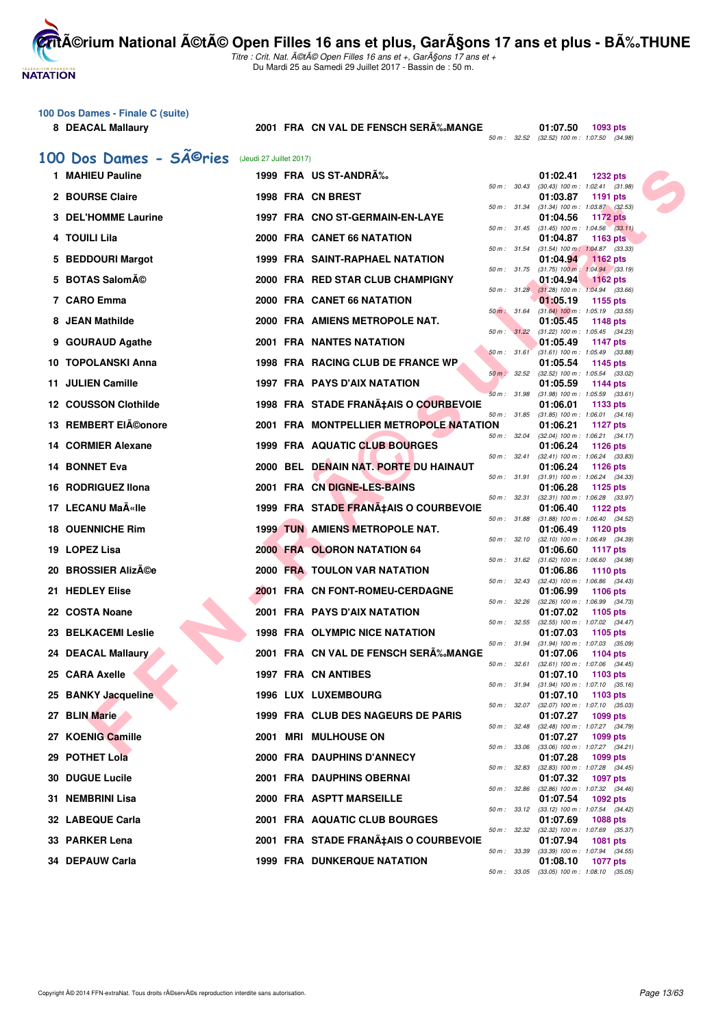Titre : Crit. Nat. A©tA© Open Filles 16 ans et +, GarA§ons 17 ans et + Du Mardi 25 au Samedi 29 Juillet 2017 - Bassin de : 50 m.

#### **100 Dos Dames - Finale C (suite)**

**NATATION** 

8 DEACAL Mallaury 2001 FRA CN VAL DE FENSCH SERÄ%MANGE

**01:07.50** 1093 pts<br>50 m : 32.52 (32.52) 100 m : 1:07.50 (34.98)

# 100 Dos Dames - SÃ<sup>@</sup>ries (Jeudi 27 Juillet 2017)

| 1 MAHIEU Pauline            |  | 1999 FRA US ST-ANDRÉ                    |                  | 01:02.41<br><b>1232 pts</b>                                          |
|-----------------------------|--|-----------------------------------------|------------------|----------------------------------------------------------------------|
| 2 BOURSE Claire             |  | 1998 FRA CN BREST                       |                  | 50 m: 30.43 (30.43) 100 m: 1:02.41 (31.98)<br>01:03.87<br>1191 pts   |
| 3 DEL'HOMME Laurine         |  | 1997 FRA CNO ST-GERMAIN-EN-LAYE         | 50 m: 31.34      | $(31.34)$ 100 m : 1:03.87 $(32.53)$<br>01:04.56<br><b>1172 pts</b>   |
| 4 TOUILI Lila               |  | 2000 FRA CANET 66 NATATION              |                  | 50 m: 31.45 (31.45) 100 m: 1:04.56 (33.11)<br>01:04.87<br>1163 pts   |
|                             |  |                                         |                  | 50 m: 31.54 (31.54) 100 m: 1:04.87 (33.33)                           |
| 5 BEDDOURI Margot           |  | <b>1999 FRA SAINT-RAPHAEL NATATION</b>  |                  | 01:04.94<br>1162 pts<br>50 m : 31.75 (31.75) 100 m : 1:04.94 (33.19) |
| 5 BOTAS Salomé              |  | 2000 FRA RED STAR CLUB CHAMPIGNY        |                  | 01:04.94<br>$1162$ pts<br>50 m: 31.28 (31.28) 100 m: 1:04.94 (33.66) |
| 7 CARO Emma                 |  | 2000 FRA CANET 66 NATATION              |                  | 01:05.19<br>1155 pts                                                 |
| 8 JEAN Mathilde             |  | 2000 FRA AMIENS METROPOLE NAT.          | 50 m : 31.64     | $(31.64)$ 100 m : 1:05.19 $(33.55)$<br>01:05.45<br>1148 pts          |
| 9 GOURAUD Agathe            |  | 2001 FRA NANTES NATATION                | 50 m : 31.22     | $(31.22)$ 100 m : 1:05.45 $(34.23)$<br>01:05.49<br><b>1147 pts</b>   |
| 10 TOPOLANSKI Anna          |  | 1998 FRA RACING CLUB DE FRANCE WP       | 50 m: 31.61      | $(31.61)$ 100 m : 1:05.49 $(33.88)$<br>01:05.54<br>1145 pts          |
| 11 JULIEN Camille           |  | 1997 FRA PAYS D'AIX NATATION            | 50 m : 32.52     | $(32.52)$ 100 m : 1:05.54 $(33.02)$<br>01:05.59                      |
|                             |  |                                         | 50 m : 31.98     | 1144 pts<br>$(31.98)$ 100 m : 1:05.59 $(33.61)$                      |
| <b>12 COUSSON Clothilde</b> |  | 1998 FRA STADE FRANA‡AIS O COURBEVOIE   |                  | 01:06.01<br>1133 pts<br>50 m : 31.85 (31.85) 100 m : 1:06.01 (34.16) |
| 13 REMBERT EIA©onore        |  | 2001 FRA MONTPELLIER METROPOLE NATATION | 50 m: 32.04      | 01:06.21<br><b>1127 pts</b><br>$(32.04)$ 100 m : 1:06.21 $(34.17)$   |
| 14 CORMIER Alexane          |  | 1999 FRA AQUATIC CLUB BOURGES           |                  | 01:06.24<br>1126 pts                                                 |
| 14 BONNET Eva               |  | 2000 BEL DENAIN NAT. PORTE DU HAINAUT   | 50 m: 32.41      | $(32.41)$ 100 m : 1:06.24 $(33.83)$<br>01:06.24<br><b>1126 pts</b>   |
| 16 RODRIGUEZ IIona          |  | 2001 FRA CN DIGNE-LES-BAINS             | 50 m: 31.91      | $(31.91)$ 100 m : 1:06.24 $(34.33)$<br>01:06.28<br>1125 pts          |
|                             |  |                                         | 50 m : 32.31     | $(32.31)$ 100 m : 1:06.28 $(33.97)$                                  |
| 17 LECANU MaA«lle           |  | 1999 FRA STADE FRANA‡AIS O COURBEVOIE   |                  | 01:06.40<br>1122 pts<br>50 m: 31.88 (31.88) 100 m: 1:06.40 (34.52)   |
| <b>18 OUENNICHE Rim</b>     |  | <b>1999 TUN AMIENS METROPOLE NAT.</b>   |                  | 01:06.49<br>1120 pts<br>50 m: 32.10 (32.10) 100 m: 1:06.49 (34.39)   |
| 19 LOPEZ Lisa               |  | 2000 FRA OLORON NATATION 64             |                  | 01:06.60<br><b>1117 pts</b>                                          |
| 20 BROSSIER AlizA©e         |  | 2000 FRA TOULON VAR NATATION            | 50 m: 31.62      | $(31.62)$ 100 m : 1:06.60 $(34.98)$<br>01:06.86<br><b>1110 pts</b>   |
| 21 HEDLEY Elise             |  | <b>2001 FRA CN FONT-ROMEU-CERDAGNE</b>  | $50 m$ : $32.43$ | $(32.43)$ 100 m : 1:06.86 $(34.43)$<br>01:06.99<br>1106 pts          |
| 22 COSTA Noane              |  | 2001 FRA PAYS D'AIX NATATION            | 50 m: 32.26      | (32.26) 100 m: 1:06.99 (34.73)<br>01:07.02<br>1105 pts               |
|                             |  |                                         |                  | 50 m: 32.55 (32.55) 100 m: 1:07.02 (34.47)                           |
| 23 BELKACEMI Leslie         |  | <b>1998 FRA OLYMPIC NICE NATATION</b>   | 50 m : 31.94     | 01:07.03<br>1105 pts<br>$(31.94)$ 100 m : 1:07.03 $(35.09)$          |
| 24 DEACAL Mallaury          |  | 2001 FRA CN VAL DE FENSCH SERA %MANGE   | 50 m : 32.61     | 01:07.06<br>1104 pts<br>$(32.61)$ 100 m : 1:07.06 $(34.45)$          |
| 25 CARA Axelle              |  | 1997 FRA CN ANTIBES                     |                  | 01:07.10<br>1103 pts                                                 |
| 25 BANKY Jacqueline         |  | 1996 LUX LUXEMBOURG                     | 50 m : 31.94     | $(31.94)$ 100 m : 1:07.10 $(35.16)$<br>01:07.10<br>1103 pts          |
| 27 BLIN Marie               |  | 1999 FRA CLUB DES NAGEURS DE PARIS      |                  | 50 m: 32.07 (32.07) 100 m: 1:07.10 (35.03)<br>01:07.27<br>1099 pts   |
| 27 KOENIG Camille           |  | 2001 MRI MULHOUSE ON                    | 50 m : 32.48     | (32.48) 100 m : 1:07.27 (34.79)<br>01:07.27<br>1099 pts              |
|                             |  |                                         |                  | 50 m: 33.06 (33.06) 100 m: 1:07.27 (34.21)                           |
| 29 POTHET Lola              |  | 2000 FRA DAUPHINS D'ANNECY              | 50 m : 32.83     | 01:07.28<br>1099 pts<br>(32.83) 100 m: 1:07.28 (34.45)               |
| <b>30 DUGUE Lucile</b>      |  | 2001 FRA DAUPHINS OBERNAI               |                  | 01:07.32<br>1097 pts<br>50 m: 32.86 (32.86) 100 m: 1:07.32 (34.46)   |
| 31 NEMBRINI Lisa            |  | 2000 FRA ASPTT MARSEILLE                |                  | 01:07.54<br>1092 pts                                                 |
| 32 LABEQUE Carla            |  | 2001 FRA AQUATIC CLUB BOURGES           | 50 m : 33.12     | (33.12) 100 m : 1:07.54 (34.42)<br>01:07.69<br>1088 pts              |
| 33 PARKER Lena              |  | 2001 FRA STADE FRANA‡AIS O COURBEVOIE   | 50 m: 32.32      | (32.32) 100 m: 1:07.69 (35.37)<br>01:07.94<br>1081 pts               |
| 34 DEPAUW Carla             |  | <b>1999 FRA DUNKERQUE NATATION</b>      | 50 m : 33.39     | (33.39) 100 m: 1:07.94 (34.55)<br>01:08.10<br><b>1077 pts</b>        |
|                             |  |                                         |                  | 50 m: 33.05 (33.05) 100 m: 1:08.10 (35.05)                           |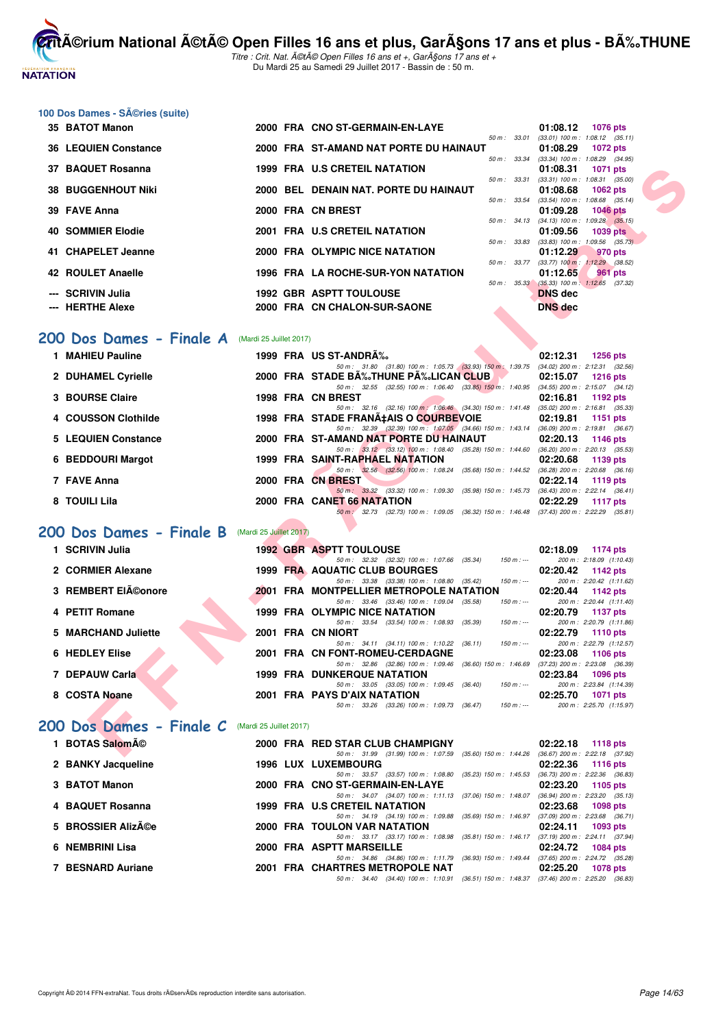

Titre : Crit. Nat. A©tA© Open Filles 16 ans et +, GarA§ons 17 ans et + Du Mardi 25 au Samedi 29 Juillet 2017 - Bassin de : 50 m.

#### 100 Dos Dames - Séries (suite)

| 35 BATOT Manon              |  | 2000 FRA CNO ST-GERMAIN-EN-LAYE        |                  | 01:08.12                                        | <b>1076 pts</b> |  |
|-----------------------------|--|----------------------------------------|------------------|-------------------------------------------------|-----------------|--|
|                             |  |                                        | 50 m: 33.01      | $(33.01)$ 100 m : 1:08.12 $(35.11)$             |                 |  |
| <b>36 LEQUIEN Constance</b> |  | 2000 FRA ST-AMAND NAT PORTE DU HAINAUT |                  | 01:08.29                                        | 1072 pts        |  |
|                             |  |                                        | 50 m : 33.34     | $(33.34)$ 100 m : 1.08.29 $(34.95)$             |                 |  |
| 37 BAQUET Rosanna           |  | 1999 FRA U.S CRETEIL NATATION          |                  | 01:08.31                                        | 1071 pts        |  |
|                             |  |                                        | 50 m: 33.31      | $(33.31)$ 100 m : 1:08.31 $(35.00)$             |                 |  |
| <b>38 BUGGENHOUT Niki</b>   |  | 2000 BEL DENAIN NAT. PORTE DU HAINAUT  |                  | 01:08.68                                        | 1062 $pts$      |  |
|                             |  |                                        | $50 m$ : $33.54$ | $(33.54)$ 100 m : 1:08.68 $(35.14)$             |                 |  |
| 39 FAVE Anna                |  | 2000 FRA CN BREST                      |                  | 01:09.28                                        | $1046$ pts      |  |
|                             |  | 2001 FRA U.S CRETEIL NATATION          | $50 m$ : $34.13$ | $(34.13)$ 100 m : 1:09.28 $(35.15)$             |                 |  |
| <b>40 SOMMIER Elodie</b>    |  |                                        | 50 m: 33.83      | 01:09.56<br>$(33.83)$ 100 m : 1:09.56 $(35.73)$ | 1039 pts        |  |
| 41 CHAPELET Jeanne          |  | 2000 FRA OLYMPIC NICE NATATION         |                  | 01:12.29                                        | 970 pts         |  |
|                             |  |                                        | $50 m$ : $33.77$ | $(33.77)$ 100 m : 1:12.29 $(38.52)$             |                 |  |
| 42 ROULET Anaelle           |  | 1996 FRA LA ROCHE-SUR-YON NATATION     |                  | 01:12.65                                        | 961 pts         |  |
|                             |  |                                        | 50 m: 35.33      | $(35.33)$ 100 m : 1:12.65 $(37.32)$             |                 |  |
| --- SCRIVIN Julia           |  | <b>1992 GBR ASPTT TOULOUSE</b>         |                  | <b>DNS</b> dec                                  |                 |  |
|                             |  |                                        |                  |                                                 |                 |  |
| --- HERTHE Alexe            |  | 2000 FRA CN CHALON-SUR-SAONE           |                  | <b>DNS</b> dec                                  |                 |  |

#### [200 Dos Dames - Finale A](http://www.ffnatation.fr/webffn/resultats.php?idact=nat&go=epr&idcpt=47487&idepr=13) **(Mardi 25 Juillet 2017**)

| 1 MAHIEU Pauline    |  | 1999 FRA US ST-ANDRÉ                                                                                                                                                            | 02:12.31 | $1256$ pts                                                                               |
|---------------------|--|---------------------------------------------------------------------------------------------------------------------------------------------------------------------------------|----------|------------------------------------------------------------------------------------------|
| 2 DUHAMEL Cyrielle  |  | 50 m: 31.80 (31.80) 100 m: 1:05.73 (33.93) 150 m: 1:39.75<br>2000 FRA STADE B‰THUNE P‰LICAN CLUB.                                                                               | 02:15.07 | $(34.02)$ 200 m : 2:12.31 $(32.56)$<br>1216 $pts$                                        |
| 3 BOURSE Claire     |  | (32.55) 100 m : 1:06.40 (33.85) 150 m : 1:40.95<br>50 m : 32.55<br>1998 FRA CN BREST<br>50 m : 32.16 (32.16) 100 m : 1:06.46 (34.30) 150 m : 1:41.48                            | 02:16.81 | $(34.55)$ 200 m : 2:15.07 $(34.12)$<br>1192 $pts$<br>$(35.02)$ 200 m : 2:16.81 $(35.33)$ |
| 4 COUSSON Clothilde |  | 1998 FRA STADE FRANA‡AIS O COURBEVOIE<br>50 m : 32.39 (32.39) 100 m : 1:07.05 (34.66) 150 m : 1:43.14                                                                           | 02:19.81 | 1151 $pts$<br>$(36.09)$ 200 m : 2:19.81 $(36.67)$                                        |
| 5 LEQUIEN Constance |  | 2000 FRA ST-AMAND NAT PORTE DU HAINAUT                                                                                                                                          | 02:20.13 | 1146 pts                                                                                 |
| 6 BEDDOURI Margot   |  | 50 m : 33.12 (33.12) 100 m : 1:08.40 (35.28) 150 m : 1:44.60<br>1999 FRA SAINT-RAPHAEL NATATION<br>$(35.68)$ 150 m : 1:44.52<br>50 m : 32.56 (32.56) 100 m : 1:08.24            | 02:20.68 | $(36.20)$ 200 m : 2:20.13 $(35.53)$<br>1139 pts<br>$(36.28)$ 200 m : 2:20.68 $(36.16)$   |
| 7 FAVE Anna         |  | 2000 FRA CN BREST                                                                                                                                                               | 02:22.14 | 1119 pts                                                                                 |
| 8 TOUILI Lila       |  | (33.32) 100 m : 1:09.30<br>(35.98) 150 m : 1:45.73<br>50 m: 33.32<br>2000 FRA CANET 66 NATATION<br>(36.32) 150 m : 1:46.48<br>(32.73) 100 m : 1:09.05<br>$50 \text{ m}$ : 32.73 | 02:22.29 | $(36.43)$ 200 m : 2:22.14 $(36.41)$<br>1117 $pts$<br>$(37.43)$ 200 m : 2:22.29 $(35.81)$ |

#### **[200 Dos Dames - Finale B](http://www.ffnatation.fr/webffn/resultats.php?idact=nat&go=epr&idcpt=47487&idepr=13)** (Mardi 25 Juillet 2017)

| 37 BAQUET Rosanna                                      | 1999 FRA U.S CRETEIL NATATION                                                                                                                    | 01:08.31<br><b>1071 pts</b>                                         |
|--------------------------------------------------------|--------------------------------------------------------------------------------------------------------------------------------------------------|---------------------------------------------------------------------|
| 38 BUGGENHOUT Niki                                     | 50 m: 33.31<br>2000 BEL DENAIN NAT. PORTE DU HAINAUT                                                                                             | $(33.31)$ 100 m : 1:08.31 $(35.00)$<br>01:08.68<br>1062 pts         |
| 39 FAVE Anna                                           | 50 m : 33.54<br>2000 FRA CN BREST                                                                                                                | $(33.54)$ 100 m : 1:08.68 $(35.14)$<br>01:09.28<br><b>1046 pts</b>  |
| <b>40 SOMMIER Elodie</b>                               | 50 m: 34.13<br>2001 FRA U.S CRETEIL NATATION                                                                                                     | $(34.13)$ 100 m : 1:09.28 $(35.15)$<br>01:09.56<br><b>1039 pts</b>  |
|                                                        | 50 m: 33.83                                                                                                                                      | $(33.83)$ 100 m : 1:09.56 $(35.73)$                                 |
| 41 CHAPELET Jeanne                                     | 2000 FRA OLYMPIC NICE NATATION                                                                                                                   | 01:12.29<br>970 pts<br>50 m: 33.77 (33.77) 100 m: 1:12.29 (38.52)   |
| 42 ROULET Anaelle                                      | 1996 FRA LA ROCHE-SUR-YON NATATION                                                                                                               | 01:12.65<br>961 pts<br>50 m : 35.33 (35.33) 100 m : 1:12.65 (37.32) |
| --- SCRIVIN Julia                                      | <b>1992 GBR ASPTT TOULOUSE</b>                                                                                                                   | <b>DNS</b> dec                                                      |
| --- HERTHE Alexe                                       | 2000 FRA CN CHALON-SUR-SAONE                                                                                                                     | <b>DNS</b> dec                                                      |
| <b>00 Dos Dames - Finale A</b> (Mardi 25 Juillet 2017) |                                                                                                                                                  |                                                                     |
| 1 MAHIEU Pauline                                       | 1999 FRA US ST-ANDRA%                                                                                                                            | 02:12.31<br>1256 pts                                                |
|                                                        | 50 m: 31.80 (31.80) 100 m: 1:05.73 (33.93) 150 m: 1:39.75 (34.02) 200 m: 2:12.31 (32.56)                                                         |                                                                     |
| 2 DUHAMEL Cyrielle                                     | 2000 FRA STADE BĉTHUNE PĉLICAN CLUB<br>$\sim$ $\sim$<br>50 m: 32.55 (32.55) 100 m: 1:06.40 (33.85) 150 m: 1:40.95 (34.55) 200 m: 2:15.07 (34.12) | 02:15.07<br>1216 pts                                                |
| <b>3 BOURSE Claire</b>                                 | 1998 FRA CN BREST                                                                                                                                | 02:16.81<br>1192 pts                                                |
|                                                        | 50 m: 32.16 (32.16) 100 m: 1:06.46 (34.30) 150 m: 1:41.48 (35.02) 200 m: 2:16.81 (35.33)                                                         |                                                                     |
| 4 COUSSON Clothilde                                    | 1998 FRA STADE FRANA‡AIS O COURBEVOIE                                                                                                            | 02:19.81<br><b>1151 pts</b>                                         |
| <b>5 LEQUIEN Constance</b>                             | 50 m: 32.39 (32.39) 100 m: 1:07.05 (34.66) 150 m: 1:43.14 (36.09) 200 m: 2:19.81 (36.67)<br>2000 FRA ST-AMAND NAT PORTE DU HAINAUT               | 02:20.13<br>1146 pts                                                |
|                                                        | 50 m: 33.12 (33.12) 100 m: 1:08.40 (35.28) 150 m: 1:44.60 (36.20) 200 m: 2:20.13 (35.53)                                                         |                                                                     |
| 6 BEDDOURI Margot                                      | 1999 FRA SAINT-RAPHAEL NATATION                                                                                                                  | 02:20.68<br>1139 pts                                                |
| 7 FAVE Anna                                            | 50 m: 32.56 (32.56) 100 m: 1:08.24 (35.68) 150 m: 1:44.52 (36.28) 200 m: 2:20.68 (36.16)                                                         |                                                                     |
|                                                        | 2000 FRA CN BREST<br>50 m: 33.32 (33.32) 100 m: 1:09.30 (35.98) 150 m: 1:45.73 (36.43) 200 m: 2:22.14 (36.41)                                    | 02:22.14<br>1119 pts                                                |
| 8 TOUILI Lila                                          | 2000 FRA CANET 66 NATATION                                                                                                                       | 02:22.29<br><b>1117 pts</b>                                         |
|                                                        | 50 m: 32.73 (32.73) 100 m: 1:09.05 (36.32) 150 m: 1:46.48 (37.43) 200 m: 2:22.29 (35.81)                                                         |                                                                     |
| <b>00 Dos Dames - Finale B</b> (Mardi 25 Juillet 2017) |                                                                                                                                                  |                                                                     |
| 1 SCRIVIN Julia                                        | <b>1992 GBR ASPTT TOULOUSE</b>                                                                                                                   | 02:18.09 1174 pts                                                   |
|                                                        | 50 m: 32.32 (32.32) 100 m: 1:07.66 (35.34)<br>$150 m$ : ---                                                                                      | 200 m: 2:18.09 (1:10.43)                                            |
| 2 CORMIER Alexane                                      | 1999 FRA AQUATIC CLUB BOURGES<br>50 m: 33.38 (33.38) 100 m: 1:08.80 (35.42)<br>$150 m : -$                                                       | 02:20.42<br>1142 pts<br>200 m: 2:20.42 (1:11.62)                    |
| 3 REMBERT EIéonore                                     | 2001 FRA MONTPELLIER METROPOLE NATATION                                                                                                          | 02:20.44<br>1142 pts                                                |
|                                                        | 50 m: 33.46 (33.46) 100 m: 1:09.04 (35.58)<br>$150 m : -$                                                                                        | 200 m: 2:20.44 (1:11.40)                                            |
| 4 PETIT Romane                                         | <b>1999 FRA OLYMPIC NICE NATATION</b><br>50 m: 33.54 (33.54) 100 m: 1:08.93 (35.39)<br>$150 m : -$                                               | 02:20.79<br>1137 pts<br>200 m: 2:20.79 (1:11.86)                    |
| 5 MARCHAND Juliette                                    | 2001 FRA CN NIORT                                                                                                                                | 02:22.79<br><b>1110 pts</b>                                         |
|                                                        | 50 m: 34.11 (34.11) 100 m: 1:10.22 (36.11)<br>$150 m : -$                                                                                        | 200 m: 2:22.79 (1:12.57)                                            |
| 6 HEDLEY Elise                                         | 2001 FRA CN FONT-ROMEU-CERDAGNE                                                                                                                  | 02:23.08<br>1106 pts                                                |
| 7 DEPAUW Carla                                         | 50 m: 32.86 (32.86) 100 m: 1:09.46 (36.60) 150 m: 1:46.69 (37.23) 200 m: 2:23.08 (36.39)<br><b>1999 FRA DUNKERQUE NATATION</b>                   | 02:23.84<br><b>1096 pts</b>                                         |
|                                                        | 50 m: 33.05 (33.05) 100 m: 1:09.45 (36.40)<br>$150 m: -$                                                                                         | 200 m: 2:23.84 (1:14.39)                                            |
| 8 COSTA Noane                                          | 2001 FRA PAYS D'AIX NATATION                                                                                                                     | 02:25.70<br>1071 pts                                                |
|                                                        | 50 m: 33.26 (33.26) 100 m: 1:09.73 (36.47)<br>$150 m : -$                                                                                        | 200 m: 2:25.70 (1:15.97)                                            |
| 00 Dos Dames - Finale C (Mardi 25 Juillet 2017)        |                                                                                                                                                  |                                                                     |
| 1 BOTAS Salomé                                         |                                                                                                                                                  |                                                                     |
|                                                        | 2000 FRA RED STAR CLUB CHAMPIGNY<br>50 m; 31.99 (31.99) 100 m; 1:07.59 (35.60) 150 m; 1:44.26 (36.67) 200 m; 2:22.18 (37.92)                     | 02:22.18 1118 pts                                                   |

#### [200 Dos Dames - Finale C](http://www.ffnatation.fr/webffn/resultats.php?idact=nat&go=epr&idcpt=47487&idepr=13) (Mardi 25 Juillet 2017)

| 1 BOTAS Salomé     |  | 2000 FRA RED STAR CLUB CHAMPIGNY                          |                           | 02:22.18 | 1118 $pts$                          |
|--------------------|--|-----------------------------------------------------------|---------------------------|----------|-------------------------------------|
|                    |  | 50 m: 31.99 (31.99) 100 m: 1:07.59                        | $(35.60)$ 150 m : 1:44.26 |          | (36.67) 200 m : 2:22.18 (37.92      |
| 2 BANKY Jacqueline |  | <b>1996 LUX LUXEMBOURG</b>                                |                           |          | $02:22.36$ 1116 pts                 |
|                    |  | 50 m: 33.57 (33.57) 100 m: 1:08.80 (35.23) 150 m: 1:45.53 |                           |          | $(36.73)$ 200 m : 2:22.36 $(36.83)$ |
| 3 BATOT Manon      |  | 2000 FRA CNO ST-GERMAIN-EN-LAYE                           |                           | 02:23.20 | 1105 pts                            |
|                    |  | 50 m: 34.07 (34.07) 100 m: 1:11.13 (37.06) 150 m: 1:48.07 |                           |          | $(36.94)$ 200 m : 2:23.20 $(35.13)$ |
| 4 BAQUET Rosanna   |  | 1999 FRA U.S CRETEIL NATATION                             |                           | 02:23.68 | 1098 pts                            |
|                    |  | 50 m: 34.19 (34.19) 100 m: 1:09.88 (35.69) 150 m: 1:46.97 |                           |          | $(37.09)$ 200 m : 2:23.68 $(36.71)$ |
| 5 BROSSIER Alizée  |  | <b>2000 FRA TOULON VAR NATATION</b>                       |                           |          | $02:24.11$ 1093 pts                 |
|                    |  | 50 m: 33.17 (33.17) 100 m: 1:08.98                        | (35.81) 150 m : 1:46.17   |          | $(37.19)$ 200 m : 2:24.11 $(37.94)$ |
| 6 NEMBRINI Lisa    |  | 2000 FRA ASPTT MARSEILLE                                  |                           | 02:24.72 | 1084 pts                            |
|                    |  | 50 m: 34.86 (34.86) 100 m: 1:11.79                        | (36.93) 150 m : 1:49.44   |          | (37.65) 200 m : 2:24.72 (35.28      |
| 7 BESNARD Auriane  |  | 2001 FRA CHARTRES METROPOLE NAT                           |                           | 02:25.20 | 1078 pts                            |
|                    |  | 50 m: 34.40 (34.40) 100 m: 1:10.91                        | (36.51) 150 m : 1:48.37   |          | $(37.46)$ 200 m : 2:25.20 $(36.83)$ |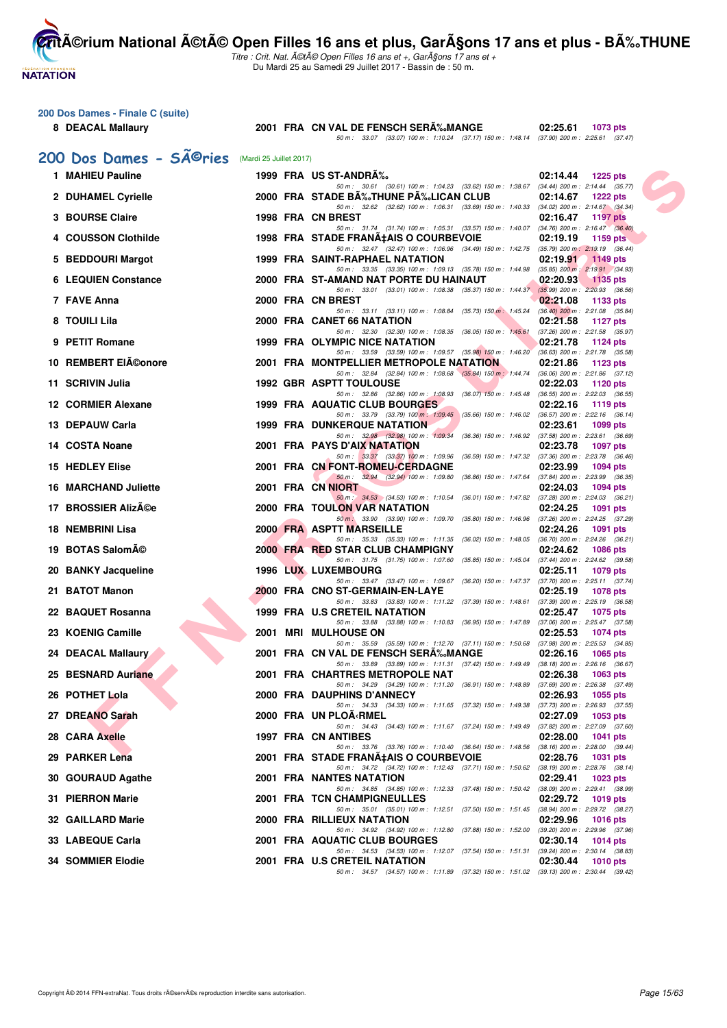Titre : Crit. Nat. A©tA© Open Filles 16 ans et +, GarA§ons 17 ans et + Du Mardi 25 au Samedi 29 Juillet 2017 - Bassin de : 50 m.

|  | 200 Dos Dames - Finale C (suite) |  |  |  |  |
|--|----------------------------------|--|--|--|--|
|--|----------------------------------|--|--|--|--|

**NATATION** 

8 DEACAL Mallaury **2001 FRA CN VAL DE FENSCH SERA** 200 Dos Dames - SÃ<sup>©</sup>rie

| 2001 FRA CN VAL DE FENSCH SERÉMANGE | 02:25.61 1073 pts |                                                                                              |  |  |
|-------------------------------------|-------------------|----------------------------------------------------------------------------------------------|--|--|
|                                     |                   | 50 m : 33.07 (33.07) 100 m : 1:10.24 (37.17) 150 m : 1:48.14 (37.90) 200 m : 2:25.61 (37.47) |  |  |

| <b>DOS DAMES - SAUPIES</b> (Mardi 25 Juillet 2017) |  |                                                                                                                                       |          |                                             |
|----------------------------------------------------|--|---------------------------------------------------------------------------------------------------------------------------------------|----------|---------------------------------------------|
| 1 MAHIEU Pauline                                   |  | 1999 FRA US ST-ANDRA%                                                                                                                 | 02:14.44 | 1225 pts                                    |
| 2 DUHAMEL Cyrielle                                 |  | 50 m: 30.61 (30.61) 100 m: 1:04.23 (33.62) 150 m: 1:38.67 (34.44) 200 m: 2:14.44 (35.77)<br>2000 FRA STADE BA‰THUNE PA‰LICAN CLUB     | 02:14.67 | 1222 pts                                    |
| 3 BOURSE Claire                                    |  | 50 m: 32.62 (32.62) 100 m: 1:06.31 (33.69) 150 m: 1:40.33 (34.02) 200 m: 2:14.67 (34.34)<br>1998 FRA CN BREST                         | 02:16.47 | <b>1197 pts</b>                             |
|                                                    |  | 50 m: 31.74 (31.74) 100 m: 1:05.31 (33.57) 150 m: 1:40.07 (34.76) 200 m: 2:16.47 (36.40)                                              |          |                                             |
| 4 COUSSON Clothilde                                |  | 1998 FRA STADE FRANA‡AIS O COURBEVOIE<br>50 m: 32.47 (32.47) 100 m: 1:06.96 (34.49) 150 m: 1:42.75 (35.79) 200 m: 2:19.19 (36.44)     | 02:19.19 | 1159 pts                                    |
| 5 BEDDOURI Margot                                  |  | 1999 FRA SAINT-RAPHAEL NATATION<br>50 m: 33.35 (33.35) 100 m: 1:09.13 (35.78) 150 m: 1:44.98 (35.85) 200 m: 2:19.91 (34.93)           | 02:19.91 | 1149 pts                                    |
| <b>6 LEQUIEN Constance</b>                         |  | 2000 FRA ST-AMAND NAT PORTE DU HAINAUT                                                                                                | 02:20.93 | $\sim$ 1135 pts                             |
| 7 FAVE Anna                                        |  | 50 m: 33.01 (33.01) 100 m: 1:08.38 (35.37) 150 m: 1:44.37 (35.99) 200 m: 2:20.93 (36.56)<br>2000 FRA CN BREST                         | 02:21.08 | 1133 pts                                    |
| 8 TOUILI Lila                                      |  | 50 m: 33.11 (33.11) 100 m: 1:08.84 (35.73) 150 m: 1:45.24 (36.40) 200 m: 2:21.08 (35.84)<br>2000 FRA CANET 66 NATATION                | 02:21.58 | 1127 pts                                    |
| 9 PETIT Romane                                     |  | 50 m: 32.30 (32.30) 100 m: 1:08.35 (36.05) 150 m: 1:45.61 (37.26) 200 m: 2:21.58 (35.97)<br>1999 FRA OLYMPIC NICE NATATION            | 02:21.78 | 1124 pts                                    |
|                                                    |  | 50 m: 33.59 (33.59) 100 m: 1:09.57 (35.98) 150 m: 1:46.20 (36.63) 200 m: 2:21.78 (35.58)                                              |          |                                             |
| 10 REMBERT EIA©onore                               |  | 2001 FRA MONTPELLIER METROPOLE NATATION<br>50 m: 32.84 (32.84) 100 m: 1:08.68 (35.84) 150 m: 1:44.74 (36.06) 200 m: 2:21.86 (37.12)   | 02:21.86 | 1123 pts                                    |
| 11 SCRIVIN Julia                                   |  | <b>1992 GBR ASPTT TOULOUSE</b><br>50 m: 32.86 (32.86) 100 m: 1:08.93 (36.07) 150 m: 1:45.48 (36.55) 200 m: 2:22.03 (36.55)            | 02:22.03 | 1120 pts                                    |
| 12 CORMIER Alexane                                 |  | 1999 FRA AQUATIC CLUB BOURGES                                                                                                         | 02:22.16 | 1119 pts                                    |
| 13 DEPAUW Carla                                    |  | 50 m: 33.79 (33.79) 100 m: 1:09.45 (35.66) 150 m: 1:46.02 (36.57) 200 m: 2:22.16 (36.14)<br><b>1999 FRA DUNKERQUE NATATION</b>        | 02:23.61 | 1099 pts                                    |
| 14 COSTA Noane                                     |  | 50 m: 32.98 (32.98) 100 m: 1:09.34 (36.36) 150 m: 1:46.92 (37.58) 200 m: 2:23.61 (36.69)<br><b>2001 FRA PAYS D'AIX NATATION</b>       | 02:23.78 | <b>1097 pts</b>                             |
|                                                    |  | 50 m: 33.37 (33.37) 100 m: 1:09.96 (36.59) 150 m: 1:47.32 (37.36) 200 m: 2:23.78 (36.46)                                              |          |                                             |
| 15 HEDLEY Elise                                    |  | 2001 FRA CN FONT-ROMEU-CERDAGNE<br>50 m: 32.94 (32.94) 100 m: 1.09.80 (36.86) 150 m: 1.47.64 (37.84) 200 m: 2:23.99 (36.35)           | 02:23.99 | <b>1094 pts</b>                             |
| 16 MARCHAND Juliette                               |  | 2001 FRA CN NIORT<br>50 m : 34.53 (34.53) 100 m : 1:10.54 (36.01) 150 m : 1:47.82 (37.28) 200 m : 2:24.03 (36.21)                     | 02:24.03 | 1094 pts                                    |
| 17 BROSSIER AlizA©e                                |  | <b>2000 FRA TOULON VAR NATATION</b>                                                                                                   | 02:24.25 | 1091 pts                                    |
| 18 NEMBRINI Lisa                                   |  | 50 m : 33.90 (33.90) 100 m : 1:09.70 (35.80) 150 m : 1:46.96 (37.26) 200 m : 2:24.25 (37.29)<br>2000 FRA ASPTT MARSEILLE              | 02:24.26 | 1091 pts                                    |
| 19 BOTAS SalomA©                                   |  | 50 m: 35.33 (35.33) 100 m: 1:11.35 (36.02) 150 m: 1:48.05 (36.70) 200 m: 2:24.26 (36.21)<br>2000 FRA RED STAR CLUB CHAMPIGNY          | 02:24.62 | <b>1086 pts</b>                             |
|                                                    |  | 50 m: 31.75 (31.75) 100 m: 1:07.60 (35.85) 150 m: 1:45.04 (37.44) 200 m: 2:24.62 (39.58)                                              |          |                                             |
| 20 BANKY Jacqueline                                |  | <b>1996 LUX LUXEMBOURG</b><br>50 m: 33.47 (33.47) 100 m: 1:09.67 (36.20) 150 m: 1:47.37 (37.70) 200 m: 2:25.11 (37.74)                | 02:25.11 | 1079 pts                                    |
| 21 BATOT Manon                                     |  | 2000 FRA CNO ST-GERMAIN-EN-LAYE<br>50 m: 33.83 (33.83) 100 m: 1:11.22 (37.39) 150 m: 1:48.61                                          | 02:25.19 | 1078 pts<br>(37.39) 200 m : 2:25.19 (36.58) |
| 22 BAQUET Rosanna                                  |  | 1999 FRA U.S CRETEIL NATATION<br>50 m: 33.88 (33.88) 100 m: 1:10.83 (36.95) 150 m: 1:47.89 (37.06) 200 m: 2:25.47 (37.58)             | 02:25.47 | 1075 pts                                    |
| 23 KOENIG Camille                                  |  | 2001 MRI MULHOUSE ON                                                                                                                  | 02:25.53 | 1074 pts                                    |
| 24 DEACAL Mallaury                                 |  | 50 m: 35.59 (35.59) 100 m: 1:12.70 (37.11) 150 m: 1:50.68 (37.98) 200 m: 2:25.53 (34.85)<br>2001 FRA CN VAL DE FENSCH SERA‰MANGE      | 02:26.16 | 1065 pts                                    |
| 25 BESNARD Auriane                                 |  | 50 m: 33.89 (33.89) 100 m: 1:11.31 (37.42) 150 m: 1:49.49 (38.18) 200 m: 2:26.16 (36.67)<br>2001 FRA CHARTRES METROPOLE NAT           | 02:26.38 | 1063 pts                                    |
|                                                    |  | 50 m: 34.29 (34.29) 100 m: 1:11.20 (36.91) 150 m: 1:48.89 (37.69) 200 m: 2:26.38 (37.49)                                              |          |                                             |
| 26 POTHET Lola                                     |  | 2000 FRA DAUPHINS D'ANNECY<br>50 m: 34.33 (34.33) 100 m: 1:11.65 (37.32) 150 m: 1:49.38 (37.73) 200 m: 2:26.93 (37.55)                | 02:26.93 | 1055 pts                                    |
| 27 DREANO Sarah                                    |  | 2000 FRA UN PLOA∢RMEL<br>50 m: 34.43 (34.43) 100 m: 1:11.67 (37.24) 150 m: 1:49.49 (37.82) 200 m: 2:27.09 (37.60)                     |          | 02:27.09 1053 pts                           |
| 28 CARA Axelle                                     |  | 1997 FRA CN ANTIBES                                                                                                                   | 02:28.00 | <b>1041 pts</b>                             |
| 29 PARKER Lena                                     |  | 50 m : 33.76 (33.76) 100 m : 1:10.40 (36.64) 150 m : 1:48.56 (38.16) 200 m : 2:28.00 (39.44)<br>2001 FRA STADE FRANA‡AIS O COURBEVOIE | 02:28.76 | <b>1031 pts</b>                             |
| 30 GOURAUD Agathe                                  |  | 50 m: 34.72 (34.72) 100 m: 1:12.43 (37.71) 150 m: 1:50.62 (38.19) 200 m: 2:28.76 (38.14)<br>2001 FRA NANTES NATATION                  | 02:29.41 | 1023 pts                                    |
|                                                    |  | 50 m: 34.85 (34.85) 100 m: 1:12.33 (37.48) 150 m: 1:50.42 (38.09) 200 m: 2:29.41 (38.99)                                              |          |                                             |
| 31 PIERRON Marie                                   |  | 2001 FRA TCN CHAMPIGNEULLES<br>50 m : 35.01 (35.01) 100 m : 1:12.51 (37.50) 150 m : 1:51.45 (38.94) 200 m : 2:29.72 (38.27)           | 02:29.72 | 1019 pts                                    |
| <b>32 GAILLARD Marie</b>                           |  | 2000 FRA RILLIEUX NATATION<br>50 m: 34.92 (34.92) 100 m: 1:12.80 (37.88) 150 m: 1:52.00 (39.20) 200 m: 2:29.96 (37.96)                | 02:29.96 | <b>1016 pts</b>                             |
| 33 LABEQUE Carla                                   |  | 2001 FRA AQUATIC CLUB BOURGES                                                                                                         | 02:30.14 | 1014 pts                                    |
| <b>34 SOMMIER Elodie</b>                           |  | 50 m: 34.53 (34.53) 100 m: 1:12.07 (37.54) 150 m: 1:51.31 (39.24) 200 m: 2:30.14 (38.83)<br>2001 FRA U.S CRETEIL NATATION             | 02:30.44 | <b>1010 pts</b>                             |
|                                                    |  | 50 m: 34.57 (34.57) 100 m: 1:11.89 (37.32) 150 m: 1:51.02 (39.13) 200 m: 2:30.44 (39.42)                                              |          |                                             |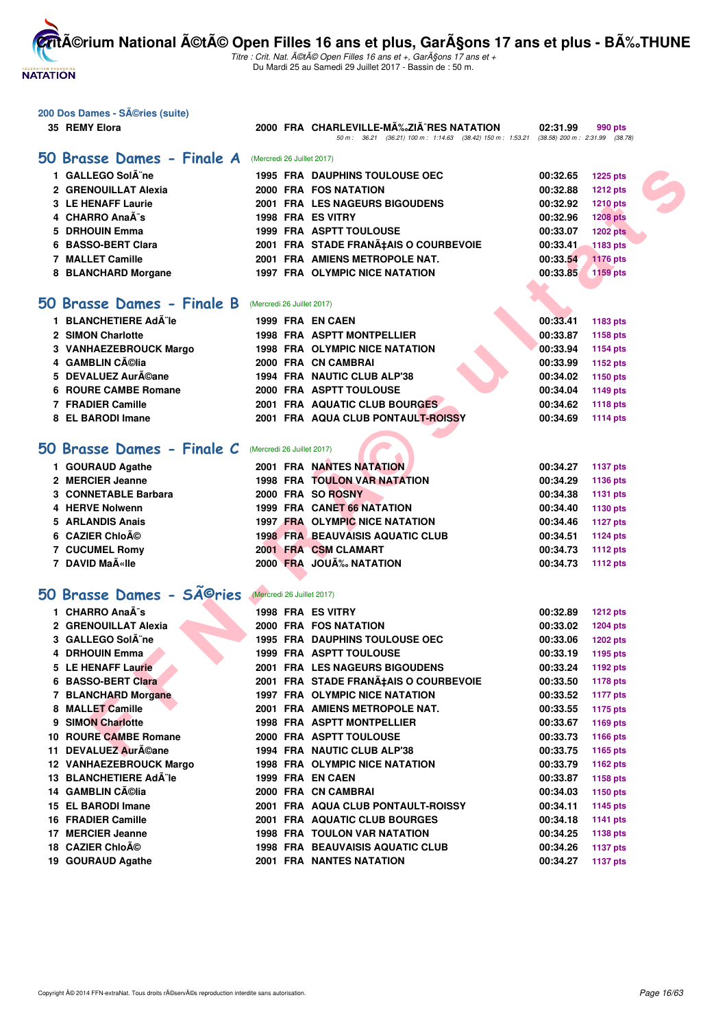**NATATION** 

**CritA©rium National A©tA© Open Filles 16 ans et plus, GarA§ons 17 ans et plus - BA%.THUNE** 

| 200 Dos Dames - SA©ries (suite) |                            |                                                                                                                                     |          |                 |
|---------------------------------|----------------------------|-------------------------------------------------------------------------------------------------------------------------------------|----------|-----------------|
| 35 REMY Elora                   |                            | 2000 FRA CHARLEVILLE-MÉZIÃ^RES NATATION<br>50 m: 36.21 (36.21) 100 m: 1:14.63 (38.42) 150 m: 1:53.21 (38.58) 200 m: 2:31.99 (38.78) | 02:31.99 | 990 pts         |
|                                 |                            |                                                                                                                                     |          |                 |
| 50 Brasse Dames - Finale A      | (Mercredi 26 Juillet 2017) |                                                                                                                                     |          |                 |
| 1 GALLEGO Solà ne               |                            | <b>1995 FRA DAUPHINS TOULOUSE OEC</b>                                                                                               | 00:32.65 | <b>1225 pts</b> |
| 2 GRENOUILLAT Alexia            |                            | 2000 FRA FOS NATATION                                                                                                               | 00:32.88 | <b>1212 pts</b> |
| <b>3 LE HENAFF Laurie</b>       |                            | <b>2001 FRA LES NAGEURS BIGOUDENS</b>                                                                                               | 00:32.92 | <b>1210 pts</b> |
| 4 CHARRO AnaÃ <sup>-</sup> s    |                            | 1998 FRA ES VITRY                                                                                                                   | 00:32.96 | <b>1208 pts</b> |
| 5 DRHOUIN Emma                  |                            | <b>1999 FRA ASPTT TOULOUSE</b>                                                                                                      | 00:33.07 | <b>1202 pts</b> |
| 6 BASSO-BERT Clara              |                            | 2001 FRA STADE FRANA‡AIS O COURBEVOIE                                                                                               | 00:33.41 | <b>1183 pts</b> |
| 7 MALLET Camille                |                            | 2001 FRA AMIENS METROPOLE NAT.                                                                                                      | 00:33.54 | <b>1176 pts</b> |
| 8 BLANCHARD Morgane             |                            | 1997 FRA OLYMPIC NICE NATATION                                                                                                      | 00:33.85 | <b>1159 pts</b> |
| 50 Brasse Dames - Finale B      | (Mercredi 26 Juillet 2017) |                                                                                                                                     |          |                 |
| 1 BLANCHETIERE Ad le            |                            | 1999 FRA EN CAEN                                                                                                                    | 00:33.41 | 1183 pts        |
| 2 SIMON Charlotte               |                            | <b>1998 FRA ASPTT MONTPELLIER</b>                                                                                                   | 00:33.87 | 1158 pts        |
| 3 VANHAEZEBROUCK Margo          |                            | 1998 FRA OLYMPIC NICE NATATION                                                                                                      | 00:33.94 | <b>1154 pts</b> |
| 4 GAMBLIN Célia                 |                            | 2000 FRA CN CAMBRAI                                                                                                                 | 00:33.99 | 1152 pts        |
| 5 DEVALUEZ Auréane              |                            | 1994 FRA NAUTIC CLUB ALP'38                                                                                                         | 00:34.02 | 1150 pts        |
| <b>6 ROURE CAMBE Romane</b>     |                            | 2000 FRA ASPTT TOULOUSE                                                                                                             | 00:34.04 | 1149 pts        |
| <b>7 FRADIER Camille</b>        |                            | <b>2001 FRA AQUATIC CLUB BOURGES</b>                                                                                                | 00:34.62 | <b>1118 pts</b> |
| 8 EL BARODI Imane               |                            | 2001 FRA AQUA CLUB PONTAULT-ROISSY                                                                                                  | 00:34.69 | <b>1114 pts</b> |
|                                 |                            |                                                                                                                                     |          |                 |
| 50 Brasse Dames - Finale C      | (Mercredi 26 Juillet 2017) |                                                                                                                                     |          |                 |
| 1 GOURAUD Agathe                |                            | 2001 FRA NANTES NATATION                                                                                                            | 00:34.27 | <b>1137 pts</b> |
| 2 MERCIER Jeanne                |                            | 1998 FRA TOULON VAR NATATION                                                                                                        | 00:34.29 | 1136 pts        |
| 3 CONNETABLE Barbara            |                            | 2000 FRA SO ROSNY                                                                                                                   | 00:34.38 | 1131 pts        |
| 4 HERVE Nolwenn                 |                            | 1999 FRA CANET 66 NATATION                                                                                                          | 00:34.40 | <b>1130 pts</b> |
| 5 ARLANDIS Anais                |                            | 1997 FRA OLYMPIC NICE NATATION                                                                                                      | 00:34.46 | <b>1127 pts</b> |
| 6 CAZIER Chloé                  |                            | <b>1998 FRA BEAUVAISIS AQUATIC CLUB</b>                                                                                             | 00:34.51 | <b>1124 pts</b> |
| 7 CUCUMEL Romy                  |                            | 2001 FRA CSM CLAMART                                                                                                                | 00:34.73 | 1112 pts        |
| 7 DAVID MaëIle                  |                            | 2000 FRA JOUÉ NATATION                                                                                                              | 00:34.73 | <b>1112 pts</b> |
| 50 Brasse Dames - SA@ries       |                            | (Mercredi 26 Juillet 2017)                                                                                                          |          |                 |
| 1 CHARRO AnaÄ-s                 |                            | 1998 FRA ES VITRY                                                                                                                   | 00:32.89 | <b>1212 pts</b> |
| 2 GRENOUILLAT Alexia            |                            | 2000 FRA FOS NATATION                                                                                                               | 00:33.02 | <b>1204 pts</b> |
| 3 GALLEGO Sol¨ne                |                            | <b>1995 FRA DAUPHINS TOULOUSE OEC</b>                                                                                               | 00:33.06 | <b>1202 pts</b> |
| 4 DRHOUIN Emma                  |                            | 1999 FRA ASPTT TOULOUSE                                                                                                             | 00:33.19 | 1195 pts        |
| 5 LE HENAFF Laurie              |                            | 2001 FRA LES NAGEURS BIGOUDENS                                                                                                      | 00:33.24 | 1192 pts        |
| 6 BASSO-BERT Clara              |                            | 2001 FRA STADE FRANÇAIS O COURBEVOIE                                                                                                | 00:33.50 | 1178 pts        |
| 7 BLANCHARD Morgane             |                            | 1997 FRA OLYMPIC NICE NATATION                                                                                                      | 00:33.52 | <b>1177 pts</b> |
| 8 MALLET Camille                |                            | 2001 FRA AMIENS METROPOLE NAT.                                                                                                      | 00:33.55 | <b>1175 pts</b> |
| 9 SIMON Charlotte               |                            | 1998 FRA ASPTT MONTPELLIER                                                                                                          | 00:33.67 | <b>1169 pts</b> |
| 10 ROURE CAMBE Romane           |                            | 2000 FRA ASPTT TOULOUSE                                                                                                             | 00:33.73 | <b>1166 pts</b> |
| 11 DEVALUEZ Auréane             |                            | 1994 FRA NAUTIC CLUB ALP'38                                                                                                         | 00:33.75 | 1165 pts        |
| 12 VANHAEZEBROUCK Margo         |                            | <b>1998 FRA OLYMPIC NICE NATATION</b>                                                                                               | 00:33.79 | 1162 pts        |
| 13 BLANCHETIERE Ad¨le           |                            | 1999 FRA EN CAEN                                                                                                                    | 00:33.87 | 1158 pts        |
| 14 GAMBLIN Célia                |                            | 2000 FRA CN CAMBRAI                                                                                                                 | 00:34.03 | <b>1150 pts</b> |
| 15 EL BARODI Imane              |                            | 2001 FRA AQUA CLUB PONTAULT-ROISSY                                                                                                  | 00:34.11 | 1145 pts        |
| 16 FRADIER Camille              |                            | 2001 FRA AQUATIC CLUB BOURGES                                                                                                       | 00:34.18 | <b>1141 pts</b> |
| 17 MERCIER Jeanne               |                            | <b>1998 FRA TOULON VAR NATATION</b>                                                                                                 | 00:34.25 | 1138 pts        |
| 18 CAZIER Chloé                 |                            | <b>1998 FRA BEAUVAISIS AQUATIC CLUB</b>                                                                                             | 00:34.26 | <b>1137 pts</b> |
| 19 GOURAUD Agathe               |                            | 2001 FRA NANTES NATATION                                                                                                            | 00:34.27 | <b>1137 pts</b> |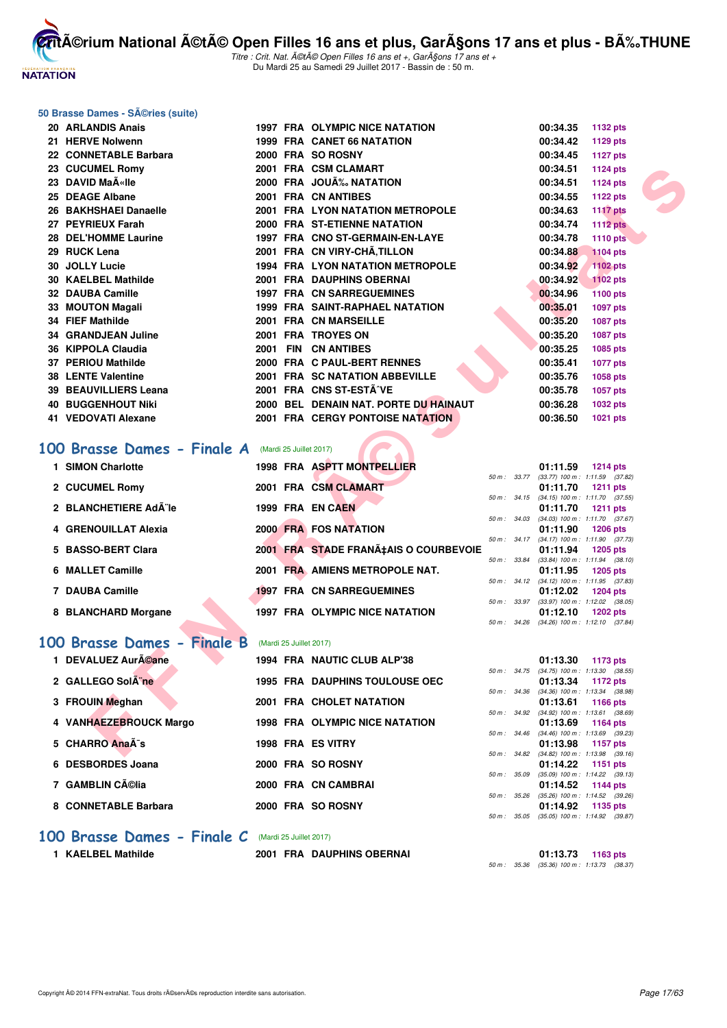

Titre : Crit. Nat. A©tA© Open Filles 16 ans et +, GarA§ons 17 ans et + Du Mardi 25 au Samedi 29 Juillet 2017 - Bassin de : 50 m.

#### **50 Brasse Dames - Séries (suite)**

| 20 ARLANDIS Anais                                         |                         | 1997 FRA OLYMPIC NICE NATATION          |              | 00:34.35 | <b>1132 pts</b>                                               |  |
|-----------------------------------------------------------|-------------------------|-----------------------------------------|--------------|----------|---------------------------------------------------------------|--|
| 21 HERVE Nolwenn                                          |                         | 1999 FRA CANET 66 NATATION              |              | 00:34.42 | 1129 pts                                                      |  |
| 22 CONNETABLE Barbara                                     |                         | 2000 FRA SO ROSNY                       |              | 00:34.45 | <b>1127 pts</b>                                               |  |
| 23 CUCUMEL Romy                                           |                         | 2001 FRA CSM CLAMART                    |              | 00:34.51 | <b>1124 pts</b>                                               |  |
| 23 DAVID MaA«Ile                                          |                         | 2000 FRA JOUA% NATATION                 |              | 00:34.51 | <b>1124 pts</b>                                               |  |
| 25 DEAGE Albane                                           |                         | 2001 FRA CN ANTIBES                     |              | 00:34.55 | 1122 pts                                                      |  |
| 26 BAKHSHAEI Danaelle                                     |                         | <b>2001 FRA LYON NATATION METROPOLE</b> |              | 00:34.63 | <b>1117 pts</b>                                               |  |
| 27 PEYRIEUX Farah                                         |                         | 2000 FRA ST-ETIENNE NATATION            |              | 00:34.74 | <b>1112 pts</b>                                               |  |
| 28 DEL'HOMME Laurine                                      |                         | 1997 FRA CNO ST-GERMAIN-EN-LAYE         |              | 00:34.78 | <b>1110 pts</b>                                               |  |
| 29 RUCK Lena                                              |                         | 2001 FRA CN VIRY-CHÂ, TILLON            |              | 00:34.88 | <b>1104 pts</b>                                               |  |
| 30 JOLLY Lucie                                            |                         | 1994 FRA LYON NATATION METROPOLE        |              | 00:34.92 | 1102 pts                                                      |  |
| <b>30 KAELBEL Mathilde</b>                                |                         | 2001 FRA DAUPHINS OBERNAI               |              | 00:34.92 | <b>1102 pts</b>                                               |  |
| 32 DAUBA Camille                                          |                         | <b>1997 FRA CN SARREGUEMINES</b>        |              | 00:34.96 | 1100 pts                                                      |  |
| 33 MOUTON Magali                                          |                         | <b>1999 FRA SAINT-RAPHAEL NATATION</b>  |              | 00:35.01 | 1097 pts                                                      |  |
| <b>34 FIEF Mathilde</b>                                   |                         | 2001 FRA CN MARSEILLE                   |              | 00:35.20 | 1087 pts                                                      |  |
| <b>34 GRANDJEAN Juline</b>                                |                         | 2001 FRA TROYES ON                      |              | 00:35.20 | <b>1087 pts</b>                                               |  |
| 36 KIPPOLA Claudia                                        |                         | 2001 FIN CN ANTIBES                     |              | 00:35.25 | 1085 pts                                                      |  |
| 37 PERIOU Mathilde                                        |                         | 2000 FRA C PAUL-BERT RENNES             |              | 00:35.41 | <b>1077 pts</b>                                               |  |
| <b>38 LENTE Valentine</b>                                 |                         | 2001 FRA SC NATATION ABBEVILLE          |              | 00:35.76 | 1058 pts                                                      |  |
| 39 BEAUVILLIERS Leana                                     |                         | 2001 FRA CNS ST-ESTÂ^VE                 |              | 00:35.78 | 1057 pts                                                      |  |
| <b>40 BUGGENHOUT Niki</b>                                 |                         | 2000 BEL DENAIN NAT. PORTE DU HAINAUT   |              | 00:36.28 | 1032 pts                                                      |  |
| 41 VEDOVATI Alexane                                       |                         | 2001 FRA CERGY PONTOISE NATATION        |              | 00:36.50 | 1021 pts                                                      |  |
|                                                           |                         |                                         |              |          |                                                               |  |
| <b>00 Brasse Dames - Finale A</b> (Mardi 25 Juillet 2017) |                         |                                         |              |          |                                                               |  |
| 1 SIMON Charlotte                                         |                         | 1998 FRA ASPTT MONTPELLIER              |              |          |                                                               |  |
|                                                           |                         |                                         |              | 01:11.59 | <b>1214 pts</b><br>50 m: 33.77 (33.77) 100 m: 1:11.59 (37.82) |  |
| 2 CUCUMEL Romy                                            |                         | 2001 FRA CSM CLAMART                    |              | 01:11.70 | <b>1211 pts</b>                                               |  |
| 2 BLANCHETIERE AdA le                                     |                         | 1999 FRA EN CAEN                        |              |          | 50 m: 34.15 (34.15) 100 m: 1:11.70 (37.55)                    |  |
|                                                           |                         |                                         |              | 01:11.70 | <b>1211 pts</b><br>50 m: 34.03 (34.03) 100 m: 1:11.70 (37.67) |  |
| 4 GRENOUILLAT Alexia                                      |                         | 2000 FRA FOS NATATION                   |              | 01:11.90 | <b>1206 pts</b>                                               |  |
| 5 BASSO-BERT Clara                                        |                         |                                         |              |          | 50 m: 34.17 (34.17) 100 m: 1:11.90 (37.73)                    |  |
|                                                           |                         | 2001 FRA STADE FRANA‡AIS O COURBEVOIE   | 50 m : 33.84 | 01:11.94 | <b>1205 pts</b><br>$(33.84)$ 100 m : 1:11.94 $(38.10)$        |  |
| 6 MALLET Camille                                          |                         | 2001 FRA AMIENS METROPOLE NAT.          |              | 01:11.95 | 1205 pts                                                      |  |
| 7 DAUBA Camille                                           |                         | <b>1997 FRA CN SARREGUEMINES</b>        |              |          | 50 m: 34.12 (34.12) 100 m: 1:11.95 (37.83)                    |  |
|                                                           |                         |                                         |              | 01:12.02 | <b>1204 pts</b><br>50 m: 33.97 (33.97) 100 m: 1:12.02 (38.05) |  |
| 8 BLANCHARD Morgane                                       |                         | 1997 FRA OLYMPIC NICE NATATION          |              | 01:12.10 | 1202 pts                                                      |  |
|                                                           |                         |                                         |              |          | 50 m: 34.26 (34.26) 100 m: 1:12.10 (37.84)                    |  |
| 00 Brasse Dames - Finale B                                | (Mardi 25 Juillet 2017) |                                         |              |          |                                                               |  |
| 1 DEVALUEZ Auréane                                        |                         | 1994 FRA NAUTIC CLUB ALP'38             |              | 01:13.30 | 1173 pts                                                      |  |
| 2 GALLEGO Sol ne                                          |                         | <b>1995 FRA DAUPHINS TOULOUSE OEC</b>   |              | 01:13.34 | 50 m: 34.75 (34.75) 100 m: 1:13.30 (38.55)<br>1172 pts        |  |
|                                                           |                         |                                         | 50 m : 34.36 |          | $(34.36)$ 100 m : 1:13.34 $(38.98)$                           |  |
| 3 FROUIN Meghan                                           |                         | 2001 FRA CHOLET NATATION                |              | 01:13.61 | 1166 pts                                                      |  |
| 4 VANHAEZEBROUCK Margo                                    |                         | <b>1998 FRA OLYMPIC NICE NATATION</b>   | 50 m: 34.92  | 01:13.69 | $(34.92)$ 100 m : 1:13.61 $(38.69)$<br>1164 pts               |  |
|                                                           |                         |                                         |              |          | 50 m: 34.46 (34.46) 100 m: 1:13.69 (39.23)                    |  |
| 5 CHARRO AnaÄ-s                                           |                         | 1998 FRA ES VITRY                       |              | 01:13.98 | 1157 pts                                                      |  |
|                                                           |                         |                                         |              |          | 50 m: 34.82 (34.82) 100 m: 1:13.98 (39.16)                    |  |

# **[100 Brasse Dames - Finale A](http://www.ffnatation.fr/webffn/resultats.php?idact=nat&go=epr&idcpt=47487&idepr=22)** (Mardi 25 Juillet 2017)

| 1 SIMON Charlotte    |  | 1998 FRA ASPTT MONTPELLIER            |                  | 01:11.59                                        | $1214$ pts      |  |
|----------------------|--|---------------------------------------|------------------|-------------------------------------------------|-----------------|--|
| 2 CUCUMEL Romy       |  | 2001 FRA CSM CLAMART                  | $50 m$ : $33.77$ | $(33.77)$ 100 m : 1:11.59 $(37.82)$<br>01:11.70 | $1211$ pts      |  |
| 2 BLANCHETIERE Ad¨le |  | 1999 FRA EN CAEN                      | $50 m$ : $34.15$ | $(34.15)$ 100 m : 1:11.70 $(37.55)$<br>01:11.70 | $1211$ pts      |  |
| 4 GRENOUILLAT Alexia |  | <b>2000 FRA FOS NATATION</b>          | 50 m: 34.03      | $(34.03)$ 100 m : 1:11.70 $(37.67)$<br>01:11.90 | <b>1206 pts</b> |  |
| 5 BASSO-BERT Clara   |  | 2001 FRA STADE FRANA‡AIS O COURBEVOIE | $50 m$ : $34.17$ | $(34.17)$ 100 m : 1:11.90 $(37.73)$<br>01:11.94 | 1205 pts        |  |
| 6 MALLET Camille     |  | 2001 FRA AMIENS METROPOLE NAT.        | 50 m: 33.84      | $(33.84)$ 100 m : 1:11.94 $(38.10)$<br>01:11.95 | 1205 pts        |  |
| 7 DAUBA Camille      |  | <b>1997 FRA CN SARREGUEMINES</b>      | $50 m$ : $34.12$ | $(34.12)$ 100 m : 1:11.95 $(37.83)$<br>01:12.02 | <b>1204 pts</b> |  |
| 8 BLANCHARD Morgane  |  | <b>1997 FRA OLYMPIC NICE NATATION</b> | $50 m$ : $33.97$ | $(33.97)$ 100 m : 1:12.02 $(38.05)$<br>01:12.10 | <b>1202 pts</b> |  |
|                      |  |                                       | 50 m : 34.26     | $(34.26)$ 100 m : 1:12.10 $(37.84)$             |                 |  |

## **[100 Brasse Dames - Finale B](http://www.ffnatation.fr/webffn/resultats.php?idact=nat&go=epr&idcpt=47487&idepr=22)** (Mardi 25 Juillet 2017)

|  | <b>DEVALUEZ AurA©ane</b> |  | 1994 FRA NAUTIC CLUB ALP'38           |                  | 01:13.30                         | 1173 pts |  |
|--|--------------------------|--|---------------------------------------|------------------|----------------------------------|----------|--|
|  |                          |  |                                       | $50 m$ : $34.75$ | $(34.75)$ 100 m : 1:13.30 (38.   |          |  |
|  | 2 GALLEGO Sol ne         |  | <b>1995 FRA DAUPHINS TOULOUSE OEC</b> |                  | 01:13.34                         | 1172 pts |  |
|  |                          |  |                                       | 50 m: 34.36      | $(34.36)$ 100 m : 1:13.34 $(38.$ |          |  |
|  | 3 FROUIN Meghan          |  | 2001 FRA CHOLET NATATION              |                  | 01:13.61 1166 pts                |          |  |
|  |                          |  |                                       | 50 m: 34.92      | $(34.92)$ 100 m : 1:13.61 (38.   |          |  |
|  | 4 VANHAEZEBROUCK Margo   |  | <b>1998 FRA OLYMPIC NICE NATATION</b> |                  | 01:13.69 1164 pts                |          |  |
|  |                          |  |                                       | $50 m$ : $34.46$ | $(34.46)$ 100 m : 1:13.69 (39.   |          |  |
|  | 5 CHARRO Anaà s          |  | 1998 FRA ES VITRY                     |                  | 01:13.98 1157 pts                |          |  |
|  |                          |  |                                       | 50 m : 34.82     | (34.82) 100 m : 1:13.98 (39.     |          |  |
|  | 6 DESBORDES Joana        |  | 2000 FRA SO ROSNY                     |                  | 01:14.22 1151 pts                |          |  |
|  |                          |  |                                       | 50 m: 35.09      | $(35.09)$ 100 m : 1:14.22 (39.   |          |  |
|  | 7 GAMBLIN Célia          |  | 2000 FRA CN CAMBRAI                   |                  | 01:14.52 1144 pts                |          |  |
|  |                          |  |                                       | $50 m$ : $35.26$ | (35.26) 100 m : 1:14.52 (39.     |          |  |
|  | 8 CONNETABLE Barbara     |  | 2000 FRA SO ROSNY                     |                  | 01:14.92 1135 pts                |          |  |
|  |                          |  |                                       |                  |                                  |          |  |

|                  |                  | 01:13.30          | 1173 pts                       |
|------------------|------------------|-------------------|--------------------------------|
|                  | $50 m$ : $34.75$ | $(34.75)$ 100 m : | $1:13.30$ $(38.55)$            |
|                  |                  |                   | 01:13.34 1172 pts              |
| $50 m$ : $34.36$ |                  | $(34.36)$ 100 m : | 1:13.34 (38.98)                |
|                  |                  |                   | 01:13.61 1166 pts              |
| 50 m: 34.92      |                  | $(34.92)$ 100 m : | $1:13.61$ (38.69)              |
|                  |                  |                   | 01:13.69 1164 pts              |
| $50 m$ : 34.46   |                  | $(34.46)$ 100 m : | $1:13.69$ (39.23)              |
|                  |                  |                   | 01:13.98 1157 pts              |
| $50 m$ : $34.82$ |                  | $(34.82)$ 100 m : | $1:13.98$ $(39.16)$            |
|                  |                  |                   | 01:14.22 1151 pts              |
| 50 m: 35.09      |                  | $(35.09)$ 100 m : | $1:14.22$ $(39.13)$            |
|                  |                  |                   | 01:14.52 1144 pts              |
|                  | 50 m : 35.26     |                   | (35.26) 100 m: 1:14.52 (39.26) |
|                  |                  |                   | 01:14.92 1135 pts              |
|                  | 50 m : 35.05     |                   | (35.05) 100 m: 1:14.92 (39.87) |

#### [100 Brasse Dames - Finale C](http://www.ffnatation.fr/webffn/resultats.php?idact=nat&go=epr&idcpt=47487&idepr=22) (Mardi 25 Juillet 2017)

**1 KAELBEL Mathilde 1 2001 FRA DAUPHINS OBERNAI** 

|  | 01:13.73                                    | 1163 pts |  |
|--|---------------------------------------------|----------|--|
|  | 50 m : 35.36 (35.36) 100 m : 1:13.73 (38.37 |          |  |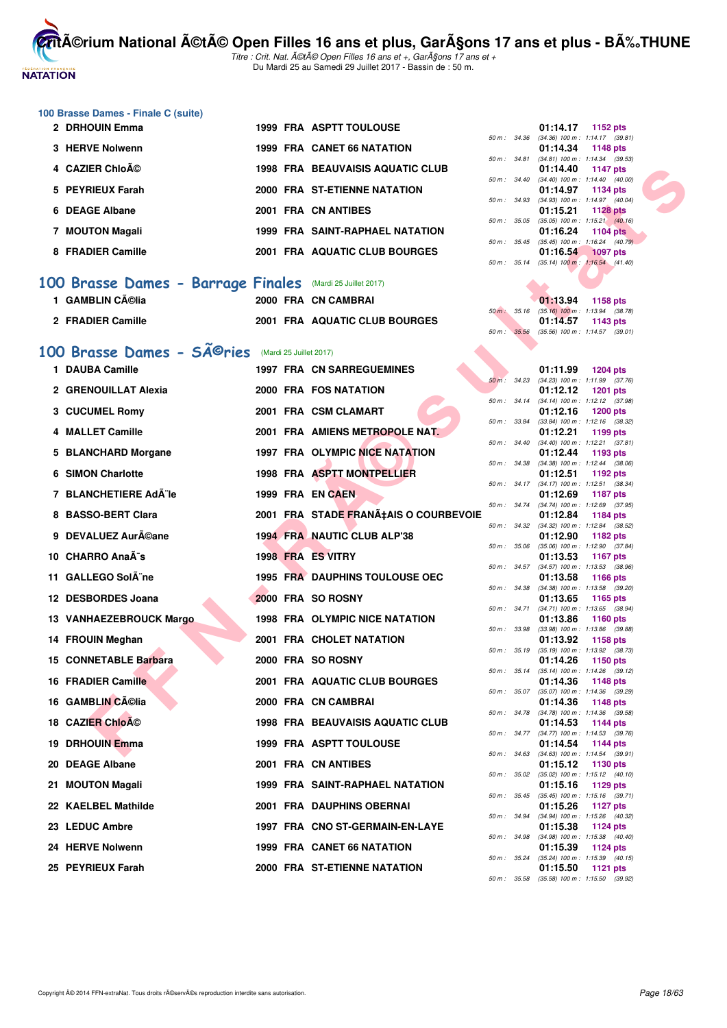

Titre : Crit. Nat. A©tA© Open Filles 16 ans et +, GarA§ons 17 ans et + Du Mardi 25 au Samedi 29 Juillet 2017 - Bassin de : 50 m.

| 100 Brasse Dames - Finale C (suite)                             |  |                                         |              |              |                                                                           |
|-----------------------------------------------------------------|--|-----------------------------------------|--------------|--------------|---------------------------------------------------------------------------|
| 2 DRHOUIN Emma                                                  |  | <b>1999 FRA ASPTT TOULOUSE</b>          | 50 m : 34.36 |              | 01:14.17<br>1152 pts<br>$(34.36)$ 100 m : 1:14.17 $(39.81)$               |
| 3 HERVE Nolwenn                                                 |  | 1999 FRA CANET 66 NATATION              |              |              | 01:14.34<br>1148 pts                                                      |
| 4 CAZIER Chloé                                                  |  | <b>1998 FRA BEAUVAISIS AQUATIC CLUB</b> | 50 m : 34.81 |              | $(34.81)$ 100 m : 1:14.34 $(39.53)$<br>01:14.40<br>1147 pts               |
| 5 PEYRIEUX Farah                                                |  | 2000 FRA ST-ETIENNE NATATION            | 50 m: 34.40  |              | $(34.40)$ 100 m : 1:14.40 $(40.00)$<br>01:14.97<br>1134 pts               |
| 6 DEAGE Albane                                                  |  | 2001 FRA CN ANTIBES                     | 50 m: 34.93  |              | $(34.93)$ 100 m : 1:14.97 $(40.04)$<br>01:15.21<br><b>1128 pts</b>        |
| 7 MOUTON Magali                                                 |  | <b>1999 FRA SAINT-RAPHAEL NATATION</b>  | 50 m : 35.05 |              | $(35.05)$ 100 m : 1:15.21 $(40.16)$<br>01:16.24<br>1104 $pts$             |
| 8 FRADIER Camille                                               |  | 2001 FRA AQUATIC CLUB BOURGES           | 50 m : 35.45 |              | $(35.45)$ 100 m : 1:16.24 $(40.79)$<br>01:16.54<br><b>1097 pts</b>        |
|                                                                 |  |                                         |              |              | 50 m: 35.14 (35.14) 100 m: 1:16.54 (41.40)                                |
| 100 Brasse Dames - Barrage Finales                              |  | (Mardi 25 Juillet 2017)                 |              |              |                                                                           |
| 1 GAMBLIN Célia                                                 |  | 2000 FRA CN CAMBRAI                     |              |              | 01:13.94<br>1158 pts                                                      |
| 2 FRADIER Camille                                               |  | 2001 FRA AQUATIC CLUB BOURGES           | 50 m: 35.16  |              | $(35.16)$ 100 m : 1:13.94 $(38.78)$<br>01:14.57<br>1143 pts               |
|                                                                 |  |                                         | 50 m : 35.56 |              | $(35.56)$ 100 m : 1:14.57 $(39.01)$                                       |
| 100 Brasse Dames - SÃ <sup>©</sup> ries (Mardi 25 Juillet 2017) |  |                                         |              |              |                                                                           |
| 1 DAUBA Camille                                                 |  | <b>1997 FRA CN SARREGUEMINES</b>        | 50 m: 34.23  |              | 01:11.99<br><b>1204 pts</b><br>$(34.23)$ 100 m : 1:11.99 $(37.76)$        |
| 2 GRENOUILLAT Alexia                                            |  | 2000 FRA FOS NATATION                   | 50 m: 34.14  |              | 01:12.12<br><b>1201 pts</b><br>(34.14) 100 m: 1:12.12 (37.98)             |
| 3 CUCUMEL Romy                                                  |  | 2001 FRA CSM CLAMART                    |              |              | 01:12.16<br><b>1200 pts</b>                                               |
| 4 MALLET Camille                                                |  | 2001 FRA AMIENS METROPOLE NAT.          | 50 m : 33.84 |              | $(33.84)$ 100 m : 1:12.16 $(38.32)$<br>01:12.21<br>1199 pts               |
| 5 BLANCHARD Morgane                                             |  | <b>1997 FRA OLYMPIC NICE NATATION</b>   | 50 m: 34.40  |              | $(34.40)$ 100 m : 1:12.21 $(37.81)$<br>01:12.44<br>1193 pts               |
| <b>6 SIMON Charlotte</b>                                        |  | 1998 FRA ASPTT MONTPELLIER              | 50 m : 34.38 |              | $(34.38)$ 100 m : 1:12.44 $(38.06)$<br>01:12.51<br>1192 $pts$             |
| 7 BLANCHETIERE Ad¨le                                            |  | 1999 FRA EN CAEN                        | 50 m : 34.17 |              | $(34.17)$ 100 m : 1:12.51 $(38.34)$<br>01:12.69<br><b>1187 pts</b>        |
| 8 BASSO-BERT Clara                                              |  | 2001 FRA STADE FRANÇAIS O COURBEVOIE    | 50 m : 34.74 |              | (34.74) 100 m: 1:12.69 (37.95)<br>01:12.84<br>1184 pts                    |
|                                                                 |  |                                         | 50 m : 34.32 |              | $(34.32)$ 100 m : 1:12.84 $(38.52)$                                       |
| 9 DEVALUEZ Auréane                                              |  | 1994 FRA NAUTIC CLUB ALP'38             | 50 m: 35.06  |              | 01:12.90<br>1182 pts<br>$(35.06)$ 100 m : 1:12.90 $(37.84)$               |
| 10 CHARRO AnaÃ <sup>-</sup> s                                   |  | 1998 FRA ES VITRY                       |              |              | 01:13.53<br><b>1167 pts</b><br>50 m: 34.57 (34.57) 100 m: 1:13.53 (38.96) |
| 11 GALLEGO Sol ne                                               |  | <b>1995 FRA DAUPHINS TOULOUSE OEC</b>   | 50 m : 34.38 |              | 01:13.58<br><b>1166 pts</b><br>$(34.38)$ 100 m : 1:13.58 $(39.20)$        |
| 12 DESBORDES Joana                                              |  | 2000 FRA SO ROSNY                       | 50 m : 34.71 |              | 01:13.65<br>1165 pts<br>$(34.71)$ 100 m : 1:13.65 $(38.94)$               |
| 13 VANHAEZEBROUCK Margo                                         |  | <b>1998 FRA OLYMPIC NICE NATATION</b>   |              |              | 01:13.86<br><b>1160 pts</b><br>50 m: 33.98 (33.98) 100 m: 1:13.86 (39.88) |
| 14 FROUIN Meghan                                                |  | 2001 FRA CHOLET NATATION                |              |              | 01:13.92<br>1158 pts                                                      |
| <b>15 CONNETABLE Barbara</b>                                    |  | 2000 FRA SO ROSNY                       |              |              | 50 m: 35.19 (35.19) 100 m: 1:13.92 (38.73)<br>01:14.26<br>1150 pts        |
| <b>16 FRADIER Camille</b>                                       |  | 2001 FRA AQUATIC CLUB BOURGES           |              | 50 m : 35.14 | $(35.14)$ 100 m : 1:14.26 $(39.12)$<br>01:14.36<br>1148 pts               |
| 16 GAMBLIN Célia                                                |  | 2000 FRA CN CAMBRAI                     | 50 m : 35.07 |              | $(35.07)$ 100 m : 1:14.36 $(39.29)$<br>01:14.36<br>1148 pts               |
| 18 CAZIER Chloé                                                 |  | <b>1998 FRA BEAUVAISIS AQUATIC CLUB</b> | 50 m : 34.78 |              | $(34.78)$ 100 m : 1:14.36 $(39.58)$<br>01:14.53<br>1144 pts               |
| 19 DRHOUIN Emma                                                 |  |                                         | 50 m : 34.77 |              | $(34.77)$ 100 m : 1:14.53 $(39.76)$<br><b>1144 pts</b>                    |
|                                                                 |  | 1999 FRA ASPTT TOULOUSE                 | 50 m: 34.63  |              | 01:14.54<br>$(34.63)$ 100 m : 1:14.54 $(39.91)$                           |
| 20 DEAGE Albane                                                 |  | 2001 FRA CN ANTIBES                     | 50 m : 35.02 |              | 01:15.12<br>1130 pts<br>$(35.02)$ 100 m : 1:15.12 $(40.10)$               |
| 21 MOUTON Magali                                                |  | 1999 FRA SAINT-RAPHAEL NATATION         |              |              | 01:15.16<br>1129 pts<br>50 m: 35.45 (35.45) 100 m: 1:15.16 (39.71)        |
| 22 KAELBEL Mathilde                                             |  | 2001 FRA DAUPHINS OBERNAI               | 50 m : 34.94 |              | 01:15.26<br>1127 $pts$<br>(34.94) 100 m: 1:15.26 (40.32)                  |
| 23 LEDUC Ambre                                                  |  | 1997 FRA CNO ST-GERMAIN-EN-LAYE         |              |              | 01:15.38<br>1124 pts<br>$(34.98)$ 100 m : 1:15.38 $(40.40)$               |
| 24 HERVE Nolwenn                                                |  | 1999 FRA CANET 66 NATATION              | 50 m : 34.98 |              | 01:15.39<br>1124 pts                                                      |
| 25 PEYRIEUX Farah                                               |  | 2000 FRA ST-ETIENNE NATATION            | 50 m: 35.24  |              | (35.24) 100 m: 1:15.39 (40.15)<br>01:15.50<br>1121 $pts$                  |
|                                                                 |  |                                         |              |              | 50 m: 35.58 (35.58) 100 m: 1:15.50 (39.92)                                |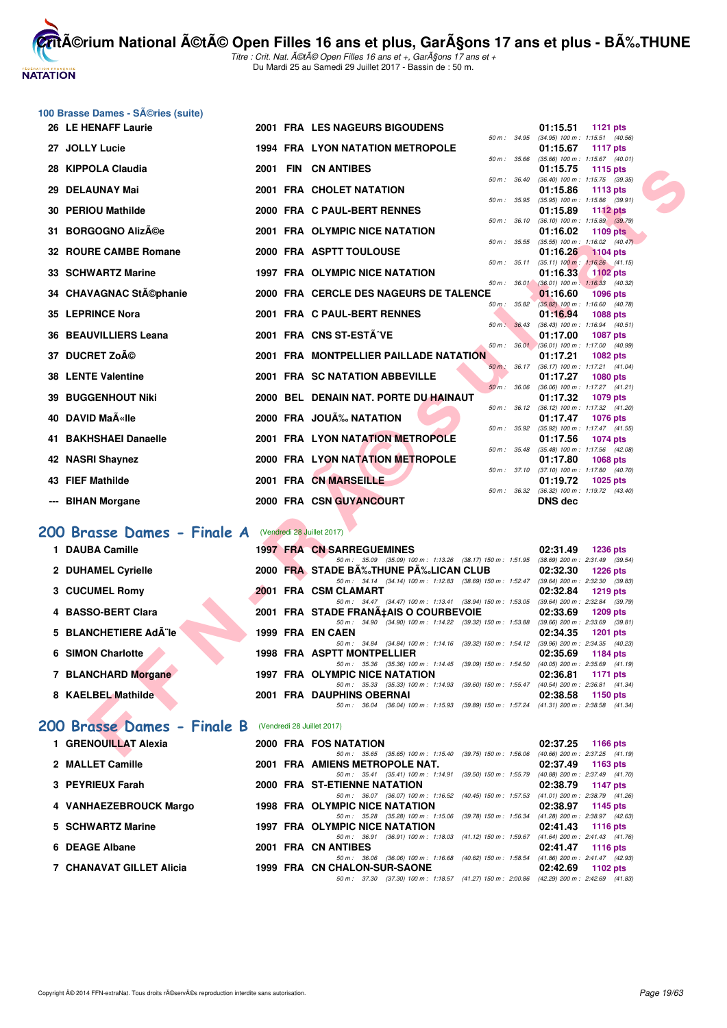

Titre : Crit. Nat. A©tA© Open Filles 16 ans et +, GarA§ons 17 ans et + Du Mardi 25 au Samedi 29 Juillet 2017 - Bassin de : 50 m.

|                          | 100 Brasse Dames - SA©ries (suite)                     |  |                                                                                                                                   |                                                                             |
|--------------------------|--------------------------------------------------------|--|-----------------------------------------------------------------------------------------------------------------------------------|-----------------------------------------------------------------------------|
|                          | 26 LE HENAFF Laurie                                    |  | <b>2001 FRA LES NAGEURS BIGOUDENS</b>                                                                                             | 01:15.51<br><b>1121 pts</b>                                                 |
|                          | 27 JOLLY Lucie                                         |  | 50 m : 34.95<br><b>1994 FRA LYON NATATION METROPOLE</b>                                                                           | $(34.95)$ 100 m : 1:15.51 $(40.56)$<br>01:15.67<br><b>1117 pts</b>          |
|                          |                                                        |  | 50 m : 35.66                                                                                                                      | $(35.66)$ 100 m : 1:15.67 $(40.01)$                                         |
| 28                       | <b>KIPPOLA Claudia</b>                                 |  | 2001 FIN CN ANTIBES                                                                                                               | 01:15.75<br>1115 pts                                                        |
| 29                       | <b>DELAUNAY Mai</b>                                    |  | 50 m: 36.40<br>2001 FRA CHOLET NATATION                                                                                           | $(36.40)$ 100 m : 1:15.75 $(39.35)$<br>01:15.86<br>1113 pts                 |
|                          |                                                        |  | 50 m : 35.95                                                                                                                      | $(35.95)$ 100 m : 1:15.86 $(39.91)$                                         |
| 30                       | <b>PERIOU Mathilde</b>                                 |  | 2000 FRA C PAUL-BERT RENNES                                                                                                       | 01:15.89<br><b>1112 pts</b>                                                 |
| 31.                      | <b>BORGOGNO Alizée</b>                                 |  | 50 m: 36.10<br>2001 FRA OLYMPIC NICE NATATION                                                                                     | $(36.10)$ 100 m : 1:15.89 $(39.79)$<br>01:16.02<br>1109 pts                 |
|                          |                                                        |  | 50 m : 35.55                                                                                                                      | $(35.55)$ 100 m : 1:16.02 $(40.47)$                                         |
| 32.                      | <b>ROURE CAMBE Romane</b>                              |  | 2000 FRA ASPTT TOULOUSE<br>50 m : 35.11                                                                                           | 01:16.26<br><b>1104 pts</b><br>$(35.11)$ 100 m : 1:16.26 $(41.15)$          |
|                          | 33 SCHWARTZ Marine                                     |  | 1997 FRA OLYMPIC NICE NATATION                                                                                                    | 01:16.33<br><b>1102 pts</b>                                                 |
|                          |                                                        |  | 50 m: 36.01                                                                                                                       | $(36.01)$ 100 m : 1:16.33 (40.32)                                           |
|                          | 34 CHAVAGNAC StA©phanie                                |  | 2000 FRA CERCLE DES NAGEURS DE TALENCE<br>50 m : 35.82                                                                            | 01:16.60<br>1096 pts<br>$(35.82)$ 100 m : 1:16.60 $(40.78)$                 |
|                          | 35 LEPRINCE Nora                                       |  | 2001 FRA C PAUL-BERT RENNES                                                                                                       | 01:16.94<br><b>1088 pts</b>                                                 |
|                          | 36 BEAUVILLIERS Leana                                  |  | 50 m: 36.43<br>2001 FRA CNS ST-ESTÂ^VE                                                                                            | $(36.43)$ 100 m : 1:16.94 $(40.51)$                                         |
|                          |                                                        |  |                                                                                                                                   | 01:17.00<br><b>1087 pts</b><br>50 m : 36.01 (36.01) 100 m : 1:17.00 (40.99) |
| 37                       | <b>DUCRET Zoé</b>                                      |  | 2001 FRA MONTPELLIER PAILLADE NATATION                                                                                            | 01:17.21<br><b>1082 pts</b>                                                 |
|                          | <b>38 LENTE Valentine</b>                              |  | 50 m : 36.17<br>2001 FRA SC NATATION ABBEVILLE                                                                                    | $(36.17)$ 100 m : 1:17.21 $(41.04)$<br>01:17.27<br>1080 pts                 |
|                          |                                                        |  | 50 m: 36.06                                                                                                                       | (36.06) 100 m: 1:17.27 (41.21)                                              |
| 39                       | <b>BUGGENHOUT Niki</b>                                 |  | 2000 BEL DENAIN NAT. PORTE DU HAINAUT                                                                                             | 01:17.32<br><b>1079 pts</b>                                                 |
|                          | 40 DAVID MaA«Ile                                       |  | 50 m : 36.12<br>2000 FRA JOUÃ% NATATION                                                                                           | $(36.12)$ 100 m : 1:17.32 $(41.20)$<br>01:17.47<br><b>1076 pts</b>          |
|                          |                                                        |  | 50 m : 35.92                                                                                                                      | $(35.92)$ 100 m : 1:17.47 $(41.55)$                                         |
|                          | 41 BAKHSHAEI Danaelle                                  |  | <b>2001 FRA LYON NATATION METROPOLE</b><br>50 m : 35.48                                                                           | 01:17.56<br>1074 pts<br>(35.48) 100 m: 1:17.56 (42.08)                      |
| 42                       | <b>NASRI Shaynez</b>                                   |  | 2000 FRA LYON NATATION METROPOLE                                                                                                  | 01:17.80<br><b>1068 pts</b>                                                 |
|                          |                                                        |  | 50 m : 37.10                                                                                                                      | $(37.10)$ 100 m : 1:17.80 $(40.70)$                                         |
|                          | 43 FIEF Mathilde                                       |  | 2001 FRA CN MARSEILLE                                                                                                             | 01:19.72<br>1025 pts<br>50 m: 36.32 (36.32) 100 m: 1:19.72 (43.40)          |
| $\hspace{0.05cm} \cdots$ | <b>BIHAN Morgane</b>                                   |  | 2000 FRA CSN GUYANCOURT                                                                                                           | <b>DNS</b> dec                                                              |
|                          |                                                        |  |                                                                                                                                   |                                                                             |
|                          | 200 Brasse Dames - Finale A (Vendredi 28 Juillet 2017) |  |                                                                                                                                   |                                                                             |
|                          | 1 DAUBA Camille                                        |  | <b>1997 FRA CN SARREGUEMINES</b>                                                                                                  | 02:31.49<br><b>1236 pts</b>                                                 |
|                          |                                                        |  | 50 m: 35.09 (35.09) 100 m: 1:13.26 (38.17) 150 m: 1:51.95 (38.69) 200 m: 2:31.49 (39.54)                                          |                                                                             |
|                          | 2 DUHAMEL Cyrielle                                     |  | 2000 FRA STADE BA‰THUNE PA‰LICAN CLUB<br>50 m: 34.14 (34.14) 100 m: 1:12.83 (38.69) 150 m: 1:52.47                                | 02:32.30<br><b>1226 pts</b><br>(39.64) 200 m : 2:32.30 (39.83)              |
|                          | 3 CUCUMEL Romy                                         |  | 2001 FRA CSM CLAMART                                                                                                              | 02:32.84<br><b>1219 pts</b>                                                 |
|                          | 4 BASSO-BERT Clara                                     |  | 50 m: 34.47 (34.47) 100 m: 1:13.41 (38.94) 150 m: 1:53.05 (39.64) 200 m: 2:32.84 (39.79)<br>2001 FRA STADE FRANA‡AIS O COURBEVOIE | 02:33.69<br>1209 pts                                                        |
|                          |                                                        |  | 50 m: 34.90 (34.90) 100 m: 1:14.22 (39.32) 150 m: 1:53.88                                                                         | (39.66) 200 m : 2:33.69 (39.81)                                             |
|                          | 5 BLANCHETIERE AdÃ"le                                  |  | 1999 FRA EN CAEN                                                                                                                  | 02:34.35<br><b>1201 pts</b>                                                 |
|                          | 6 SIMON Charlotte                                      |  | 50 m: 34.84 (34.84) 100 m: 1:14.16 (39.32) 150 m: 1:54.12 (39.96) 200 m: 2:34.35 (40.23)<br>1998 FRA ASPTT MONTPELLIER            | 02:35.69 1184 pts                                                           |
|                          |                                                        |  | 50 m: 35.36 (35.36) 100 m: 1:14.45 (39.09) 150 m: 1:54.50 (40.05) 200 m: 2:35.69 (41.19)                                          |                                                                             |
|                          | 7 BLANCHARD Morgane                                    |  | 1997 FRA OLYMPIC NICE NATATION                                                                                                    | 02:36.81<br>1171 pts                                                        |
|                          | 8 KAELBEL Mathilde                                     |  | 50 m: 35.33 (35.33) 100 m: 1:14.93 (39.60) 150 m: 1:55.47 (40.54) 200 m: 2:36.81 (41.34)<br>2001 FRA DAUPHINS OBERNAI             | 02:38.58<br>1150 pts                                                        |
|                          |                                                        |  | 50 m: 36.04 (36.04) 100 m: 1:15.93 (39.89) 150 m: 1:57.24 (41.31) 200 m: 2:38.58 (41.34)                                          |                                                                             |
|                          | 200 Brasse Dames - Finale B                            |  | (Vendredi 28 Juillet 2017)                                                                                                        |                                                                             |
|                          | 1 GRENOUILLAT Alexia                                   |  |                                                                                                                                   |                                                                             |
|                          |                                                        |  | 2000 FRA FOS NATATION<br>50 m: 35.65 (35.65) 100 m: 1:15.40 (39.75) 150 m: 1:56.06 (40.66) 200 m: 2:37.25 (41.19)                 | 02:37.25<br>1166 pts                                                        |

#### [200 Brasse Dames - Finale A](http://www.ffnatation.fr/webffn/resultats.php?idact=nat&go=epr&idcpt=47487&idepr=23) **(Vendredi 28 Juillet 2017)**

| 1 DAUBA Camille       | <b>1997 FRA CN SARREGUEMINES</b>                                                                                                               | 02:31.49<br><b>1236 pts</b>                                                                  |  |
|-----------------------|------------------------------------------------------------------------------------------------------------------------------------------------|----------------------------------------------------------------------------------------------|--|
| 2 DUHAMEL Cyrielle    | 50 m: 35.09 (35.09) 100 m: 1:13.26 (38.17) 150 m: 1:51.95<br>2000 FRA STADE B‰THUNE P‰LICAN CLUB                                               | (38.69) 200 m : 2:31.49 (39.54)<br>02:32.30<br>1226 pts                                      |  |
| 3 CUCUMEL Romy        | 50 m: 34.14 (34.14) 100 m: 1:12.83 (38.69) 150 m: 1:52.47<br>2001 FRA CSM CLAMART<br>50 m: 34.47 (34.47) 100 m: 1:13.41 (38.94) 150 m: 1:53.05 | (39.64) 200 m : 2:32.30 (39.83)<br>02:32.84<br>$1219$ pts<br>(39.64) 200 m : 2:32.84 (39.79) |  |
| 4 BASSO-BERT Clara    | 2001 FRA STADE FRANA‡AIS O COURBEVOIE                                                                                                          | 02:33.69<br>1209 pts                                                                         |  |
| 5 BLANCHETIERE AdÂ"le | 50 m: 34.90 (34.90) 100 m: 1:14.22 (39.32) 150 m: 1:53.88<br>1999 FRA EN CAEN                                                                  | $(39.66)$ 200 m : 2:33.69 $(39.81)$<br>02:34.35<br>$1201$ pts                                |  |
| 6 SIMON Charlotte     | 50 m: 34.84 (34.84) 100 m: 1:14.16 (39.32) 150 m: 1:54.12<br><b>1998 FRA ASPTT MONTPELLIER</b>                                                 | (39.96) 200 m : 2:34.35 (40.23)<br>02:35.69<br>1184 $pts$                                    |  |
| 7 BLANCHARD Morgane   | 50 m: 35.36 (35.36) 100 m: 1:14.45 (39.09) 150 m: 1:54.50<br><b>1997 FRA OLYMPIC NICE NATATION</b>                                             | (40.05) 200 m: 2:35.69 (41.19)<br>02:36.81<br>1171 $pts$                                     |  |
| 8 KAELBEL Mathilde    | 50 m: 35.33 (35.33) 100 m: 1:14.93 (39.60) 150 m: 1:55.47<br>2001 FRA DAUPHINS OBERNAI                                                         | (40.54) 200 m : 2:36.81 (41.34)<br>02:38.58<br>$1150$ pts                                    |  |
|                       | (36.04) 100 m : 1:15.93 (39.89) 150 m : 1:57.24<br>50 m : 36.04                                                                                | (41.31) 200 m : 2:38.58 (41.34)                                                              |  |

# **[200 Brasse Dames - Finale B](http://www.ffnatation.fr/webffn/resultats.php?idact=nat&go=epr&idcpt=47487&idepr=23)** (Vendredi 28 Juillet 2017)

| 1 GRENOUILLAT Alexia     | 2000 FRA FOS NATATION                                                                       | 02:37.25<br>1166 $pts$                                                                |
|--------------------------|---------------------------------------------------------------------------------------------|---------------------------------------------------------------------------------------|
|                          | 50 m: 35.65 (35.65) 100 m: 1:15.40                                                          | (40.66) 200 m : 2:37.25 (41.19<br>$(39.75)$ 150 m : 1:56.06                           |
| 2 MALLET Camille         | 2001 FRA AMIENS METROPOLE NAT.                                                              | 02:37.49<br>1163 $pts$                                                                |
|                          | 50 m: 35.41 (35.41) 100 m: 1:14.91 (39.50) 150 m: 1:55.79                                   | (40.88) 200 m : 2:37.49 (41.70                                                        |
| 3 PEYRIEUX Farah         | 2000 FRA ST-ETIENNE NATATION                                                                | 02:38.79 1147 pts                                                                     |
|                          | 50 m: 36.07 (36.07) 100 m: 1:16.52 (40.45) 150 m: 1:57.53                                   | (41.01) 200 m : 2:38.79 (41.26                                                        |
| 4 VANHAEZEBROUCK Margo   | <b>1998 FRA OLYMPIC NICE NATATION</b>                                                       | 02:38.97<br>1145 pts                                                                  |
| 5 SCHWARTZ Marine        | 50 m: 35.28 (35.28) 100 m: 1:15.06 (39.78) 150 m: 1:56.34<br>1997 FRA OLYMPIC NICE NATATION | (41.28) 200 m : 2:38.97 (42.63<br>02:41.43<br>1116 pts                                |
|                          | 50 m : 36.91                                                                                | (41.64) 200 m : 2:41.43 (41.76<br>$(36.91)$ 100 m : 1:18.03 $(41.12)$ 150 m : 1:59.67 |
| 6 DEAGE Albane           | 2001 FRA CN ANTIBES                                                                         | 02:41.47<br>1116 $pts$                                                                |
|                          | $(36.06)$ 100 m : 1:16.68<br>50 m : 36.06                                                   | $(41.86)$ 200 m : 2:41.47 $(42.93)$<br>(40.62) 150 m : 1:58.54                        |
| 7 CHANAVAT GILLET Alicia | 1999 FRA CN CHALON-SUR-SAONE                                                                | 02:42.69<br>1102 $pts$                                                                |
|                          | 50 m: 37.30 (37.30) 100 m: 1:18.57 (41.27) 150 m: 2:00.86                                   | (42.29) 200 m : 2:42.69 (41.83                                                        |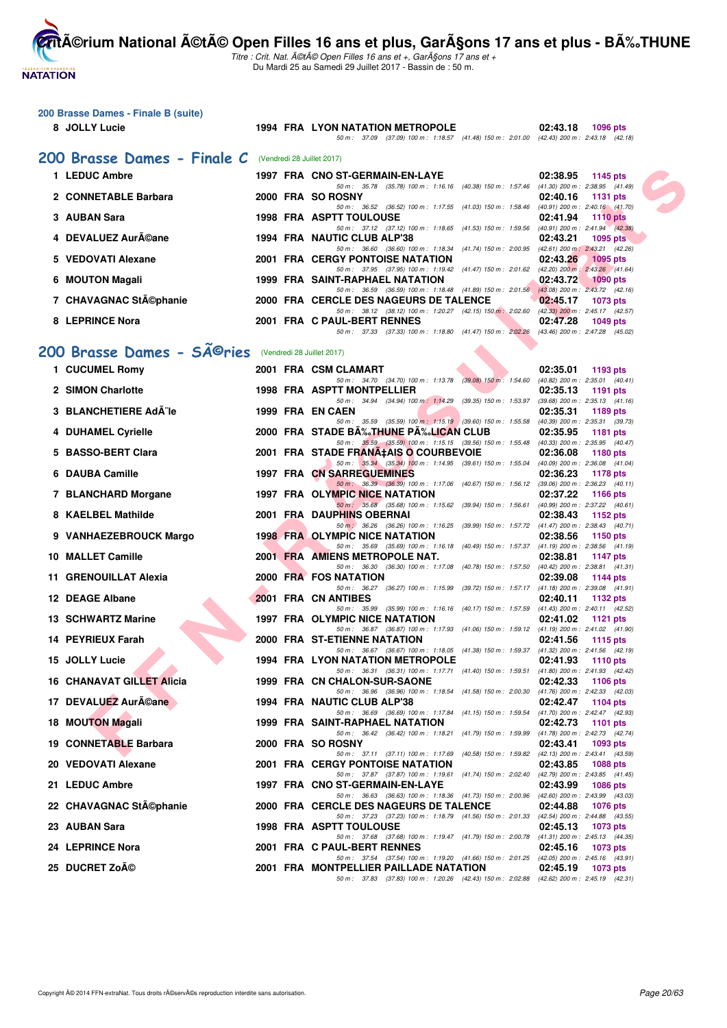**NATATION FRANÇAISE** 

**200 Brasse Dames - Finale B (suite)**

**CritA©rium National A©tA© Open Filles 16 ans et plus, GarA§ons 17 ans et plus - BA%.THUNE** 

|    | 8 JOLLY Lucie                                                      |  | <b>1994 FRA LYON NATATION METROPOLE</b><br>50 m: 37.09 (37.09) 100 m: 1:18.57 (41.48) 150 m: 2:01.00 (42.43) 200 m: 2:43.18 (42.18)    | 02:43.18<br>1096 pts                                    |
|----|--------------------------------------------------------------------|--|----------------------------------------------------------------------------------------------------------------------------------------|---------------------------------------------------------|
|    |                                                                    |  |                                                                                                                                        |                                                         |
|    | 200 Brasse Dames - Finale C                                        |  | (Vendredi 28 Juillet 2017)                                                                                                             |                                                         |
|    | 1 LEDUC Ambre                                                      |  | 1997 FRA CNO ST-GERMAIN-EN-LAYE<br>50 m: 35.78 (35.78) 100 m: 1:16.16 (40.38) 150 m: 1:57.46 (41.30) 200 m: 2:38.95 (41.49)            | 02:38.95<br>1145 pts                                    |
|    | 2 CONNETABLE Barbara                                               |  | 2000 FRA SO ROSNY<br>50 m: 36.52 (36.52) 100 m: 1:17.55 (41.03) 150 m: 1:58.46 (40.91) 200 m: 2:40.16 (41.70)                          | 02:40.16<br><b>1131 pts</b>                             |
| 3. | <b>AUBAN Sara</b>                                                  |  | <b>1998 FRA ASPTT TOULOUSE</b>                                                                                                         | 02:41.94<br><b>1110 pts</b>                             |
|    | <b>DEVALUEZ AurACane</b>                                           |  | 50 m: 37.12 (37.12) 100 m: 1:18.65 (41.53) 150 m: 1:59.56 (40.91) 200 m: 2:41.94 (42.38)<br>1994 FRA NAUTIC CLUB ALP'38                | 02:43.21<br>1095 pts                                    |
| 5. | <b>VEDOVATI Alexane</b>                                            |  | 50 m: 36.60 (36.60) 100 m: 1:18.34 (41.74) 150 m: 2:00.95 (42.61) 200 m: 2:43.21 (42.26)<br><b>2001 FRA CERGY PONTOISE NATATION</b>    | 02:43.26<br>1095 pts                                    |
| 6  | <b>MOUTON Magali</b>                                               |  | 50 m: 37.95 (37.95) 100 m: 1:19.42 (41.47) 150 m: 2:01.62 (42.20) 200 m: 2:43.26 (41.64)<br>1999 FRA SAINT-RAPHAEL NATATION            | 02:43.72<br>$1090$ pts                                  |
|    | 7 CHAVAGNAC Stĩphanie                                              |  | 50 m : 36.59 (36.59) 100 m : 1:18.48 (41.89) 150 m : 2:01.56 (43.08) 200 m : 2:43.72 (42.16)<br>2000 FRA CERCLE DES NAGEURS DE TALENCE | 02:45.17<br>1073 pts                                    |
|    |                                                                    |  | 50 m: 38.12 (38.12) 100 m: 1:20.27 (42.15) 150 m: 2:02.60 (42.33) 200 m: 2:45.17 (42.57)                                               |                                                         |
|    | 8 LEPRINCE Nora                                                    |  | 2001 FRA C PAUL-BERT RENNES<br>50 m: 37.33 (37.33) 100 m: 1:18.80 (41.47) 150 m: 2:02.26 (43.46) 200 m: 2:47.28 (45.02)                | 02:47.28<br>1049 $pts$                                  |
|    | 200 Brasse Dames - SÃ <sup>©</sup> ries (Vendredi 28 Juillet 2017) |  |                                                                                                                                        |                                                         |
|    | 1 CUCUMEL Romy                                                     |  | 2001 FRA CSM CLAMART                                                                                                                   | 02:35.01<br>1193 pts                                    |
|    | 2 SIMON Charlotte                                                  |  | 50 m: 34.70 (34.70) 100 m: 1:13.78 (39.08) 150 m: 1:54.60 (40.82) 200 m: 2:35.01 (40.41)<br><b>1998 FRA ASPTT MONTPELLIER</b>          | 02:35.13<br>1191 pts                                    |
|    |                                                                    |  | 50 m: 34.94 (34.94) 100 m: 1:14.29 (39.35) 150 m: 1:53.97 (39.68) 200 m: 2:35.13 (41.16)                                               |                                                         |
|    | <b>BLANCHETIERE Ad¨le</b>                                          |  | 1999 FRA EN CAEN<br>50 m: 35.59 (35.59) 100 m: 1:15.19 (39.60) 150 m: 1:55.58 (40.39) 200 m: 2:35.31 (39.73)                           | 02:35.31<br>1189 pts                                    |
|    | 4 DUHAMEL Cyrielle                                                 |  | 2000 FRA STADE B‰THUNE P‰LICAN CLUB<br>50 m: 35.59 (35.59) 100 m: 1:15.15 (39.56) 150 m: 1:55.48 (40.33) 200 m: 2:35.95 (40.47)        | 02:35.95<br>1181 pts                                    |
|    | <b>BASSO-BERT Clara</b>                                            |  | 2001 FRA STADE FRANA‡AIS O COURBEVOIE<br>50 m: 35.34 (35.34) 100 m: 1:14.95 (39.61) 150 m: 1:55.04 (40.09) 200 m: 2:36.08 (41.04)      | 02:36.08<br>1180 pts                                    |
| 6  | <b>DAUBA Camille</b>                                               |  | <b>1997 FRA CN SARREGUEMINES</b>                                                                                                       | 02:36.23<br>1178 pts                                    |
|    | 7 BLANCHARD Morgane                                                |  | 50 m : 36.39 (36.39) 100 m : 1:17.06 (40.67) 150 m : 1:56.12 (39.06) 200 m : 2:36.23 (40.11)<br>1997 FRA OLYMPIC NICE NATATION         | 02:37.22<br>1166 pts                                    |
| 8  | <b>KAELBEL Mathilde</b>                                            |  | 50 m: 35.68 (35.68) 100 m: 1:15.62 (39.94) 150 m: 1:56.61 (40.99) 200 m: 2:37.22 (40.61)<br>2001 FRA DAUPHINS OBERNAI                  | 02:38.43<br>1152 pts                                    |
|    | 9 VANHAEZEBROUCK Margo                                             |  | 50 m : 36.26 (36.26) 100 m : 1:16.25 (39.99) 150 m : 1:57.72 (41.47) 200 m : 2:38.43 (40.71)<br><b>1998 FRA OLYMPIC NICE NATATION</b>  | 02:38.56<br>1150 pts                                    |
|    |                                                                    |  | 50 m: 35.69 (35.69) 100 m: 1:16.18 (40.49) 150 m: 1:57.37 (41.19) 200 m: 2:38.56 (41.19)                                               |                                                         |
|    | 10 MALLET Camille                                                  |  | 2001 FRA AMIENS METROPOLE NAT.<br>50 m: 36.30 (36.30) 100 m: 1:17.08 (40.78) 150 m: 1:57.50 (40.42) 200 m: 2:38.81 (41.31)             | 02:38.81<br>1147 pts                                    |
|    | 11 GRENOUILLAT Alexia                                              |  | 2000 FRA FOS NATATION<br>50 m: 36.27 (36.27) 100 m: 1:15.99 (39.72) 150 m: 1:57.17 (41.18) 200 m: 2:39.08 (41.91)                      | 02:39.08<br>1144 pts                                    |
|    | 12 DEAGE Albane                                                    |  | 2001 FRA CN ANTIBES<br>50 m : 35.99 (35.99) 100 m : 1:16.16 (40.17) 150 m : 1:57.59 (41.43) 200 m : 2:40.11 (42.52)                    | 02:40.11<br>1132 pts                                    |
|    | 13 SCHWARTZ Marine                                                 |  | 1997 FRA OLYMPIC NICE NATATION                                                                                                         | 02:41.02<br>1121 pts                                    |
|    | 14 PEYRIEUX Farah                                                  |  | 50 m: 36.87 (36.87) 100 m: 1:17.93 (41.06) 150 m: 1:59.12 (41.19) 200 m: 2:41.02 (41.90)<br>2000 FRA ST-ETIENNE NATATION               | 02:41.56<br>1115 pts                                    |
|    | 15 JOLLY Lucie                                                     |  | 50 m: 36.67 (36.67) 100 m: 1:18.05 (41.38) 150 m: 1:59.37 (41.32) 200 m: 2:41.56 (42.19)<br><b>1994 FRA LYON NATATION METROPOLE</b>    | 02:41.93<br>1110 pts                                    |
|    | <b>16 CHANAVAT GILLET Alicia</b>                                   |  | 50 m : 36.31 (36.31) 100 m : 1:17.71 (41.40) 150 m : 1:59.51<br>1999 FRA CN CHALON-SUR-SAONE                                           | (41.80) 200 m : 2:41.93 (42.42)<br>02:42.33<br>1106 pts |
|    |                                                                    |  | 50 m: 36.96 (36.96) 100 m: 1:18.54 (41.58) 150 m: 2:00.30 (41.76) 200 m: 2:42.33 (42.03)                                               |                                                         |
|    | 17 DEVALUEZ Auréane                                                |  | 1994 FRA NAUTIC CLUB ALP'38<br>50 m : 36.69 (36.69) 100 m : 1:17.84 (41.15) 150 m : 1:59.54 (41.70) 200 m : 2:42.47 (42.93)            | 02:42.47<br>1104 pts                                    |
|    | <b>18 MOUTON Magali</b>                                            |  | 1999 FRA SAINT-RAPHAEL NATATION<br>50 m: 36.42 (36.42) 100 m: 1:18.21 (41.79) 150 m: 1:59.99 (41.78) 200 m: 2:42.73 (42.74)            | 02:42.73<br>1101 pts                                    |
|    | 19 CONNETABLE Barbara                                              |  | 2000 FRA SO ROSNY<br>50 m: 37.11 (37.11) 100 m: 1:17.69 (40.58) 150 m: 1:59.82 (42.13) 200 m: 2:43.41 (43.59)                          | 02:43.41<br>1093 pts                                    |
|    | 20 VEDOVATI Alexane                                                |  | <b>2001 FRA CERGY PONTOISE NATATION</b>                                                                                                | 02:43.85<br>1088 pts                                    |
|    | 21 LEDUC Ambre                                                     |  | 50 m : 37.87 (37.87) 100 m : 1:19.61 (41.74) 150 m : 2:02.40 (42.79) 200 m : 2:43.85 (41.45)<br>1997 FRA CNO ST-GERMAIN-EN-LAYE        | 02:43.99<br>1086 pts                                    |
|    | 22 CHAVAGNAC St©phanie                                             |  | 50 m : 36.63 (36.63) 100 m : 1:18.36 (41.73) 150 m : 2:00.96 (42.60) 200 m : 2:43.99 (43.03)<br>2000 FRA CERCLE DES NAGEURS DE TALENCE | 02:44.88<br>1076 pts                                    |
|    | 23 AUBAN Sara                                                      |  | 50 m: 37.23 (37.23) 100 m: 1:18.79 (41.56) 150 m: 2:01.33 (42.54) 200 m: 2:44.88 (43.55)<br>1998 FRA ASPTT TOULOUSE                    | 02:45.13<br>1073 pts                                    |
|    |                                                                    |  | 50 m : 37.68 (37.68) 100 m : 1:19.47 (41.79) 150 m : 2:00.78 (41.31) 200 m : 2:45.13 (44.35)                                           |                                                         |
|    | 24 LEPRINCE Nora                                                   |  | 2001 FRA C PAUL-BERT RENNES<br>50 m : 37.54 (37.54) 100 m : 1:19.20 (41.66) 150 m : 2:01.25 (42.05) 200 m : 2:45.16 (43.91)            | 02:45.16<br>1073 pts                                    |
|    | 25 DUCRET Zoé                                                      |  | 2001 FRA MONTPELLIER PAILLADE NATATION<br>50 m: 37.83 (37.83) 100 m: 1:20.26 (42.43) 150 m: 2:02.88 (42.62) 200 m: 2:45.19 (42.31)     | 02:45.19<br>1073 pts                                    |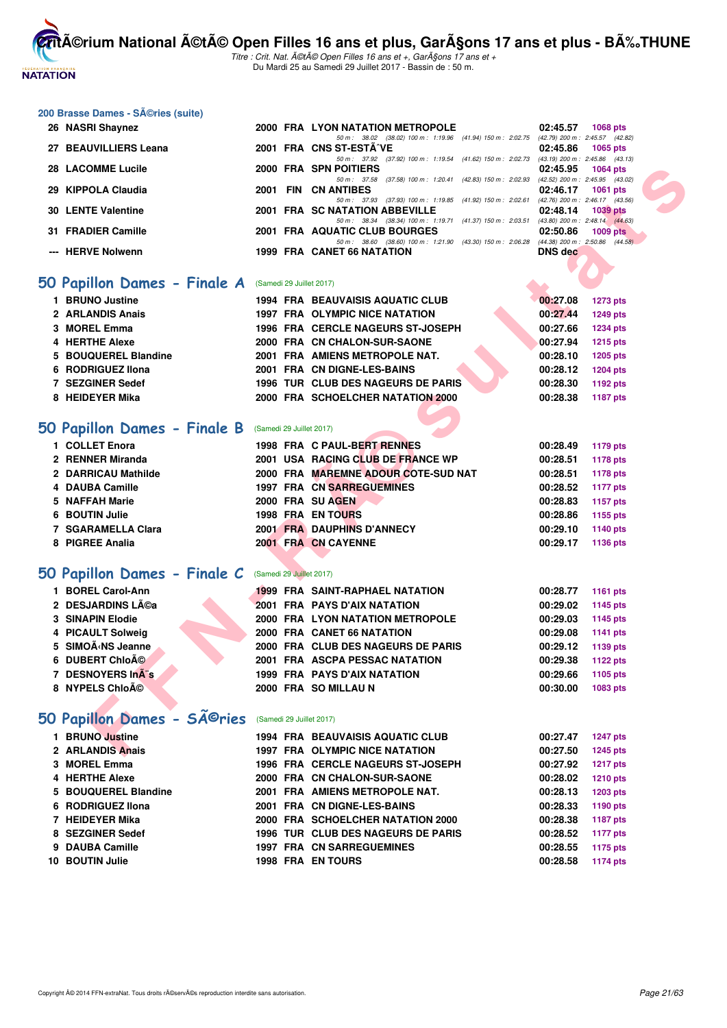

| 200 Brasse Dames - Séries (suite)                                                                                    |                          |                                                                                                                        |                                                                |
|----------------------------------------------------------------------------------------------------------------------|--------------------------|------------------------------------------------------------------------------------------------------------------------|----------------------------------------------------------------|
| 26 NASRI Shaynez                                                                                                     |                          | 2000 FRA LYON NATATION METROPOLE                                                                                       | 02:45.57<br><b>1068 pts</b>                                    |
| 27 BEAUVILLIERS Leana                                                                                                |                          | 50 m: 38.02 (38.02) 100 m: 1:19.96 (41.94) 150 m: 2:02.75 (42.79) 200 m: 2:45.57 (42.82)<br>2001 FRA CNS ST-ESTA VE    | 02:45.86<br>1065 pts                                           |
|                                                                                                                      |                          | 50 m: 37.92 (37.92) 100 m: 1:19.54 (41.62) 150 m: 2:02.73 (43.19) 200 m: 2:45.86 (43.13)                               |                                                                |
| <b>28 LACOMME Lucile</b>                                                                                             |                          | 2000 FRA SPN POITIERS                                                                                                  | 02:45.95<br><b>1064 pts</b><br>(42.52) 200 m : 2:45.95 (43.02) |
| 29 KIPPOLA Claudia                                                                                                   |                          | 50 m: 37.58 (37.58) 100 m: 1:20.41 (42.83) 150 m: 2:02.93<br>2001 FIN CN ANTIBES                                       | 02:46.17<br><b>1061 pts</b>                                    |
|                                                                                                                      |                          | 50 m: 37.93 (37.93) 100 m: 1:19.85 (41.92) 150 m: 2:02.61<br>2001 FRA SC NATATION ABBEVILLE                            | (42.76) 200 m : 2:46.17 (43.56)                                |
| <b>30 LENTE Valentine</b>                                                                                            |                          | 50 m: 38.34 (38.34) 100 m: 1:19.71 (41.37) 150 m: 2:03.51 (43.80) 200 m: 2:48.14 (44.63)                               | 02:48.14<br><b>1039 pts</b>                                    |
| 31 FRADIER Camille                                                                                                   |                          | 2001 FRA AQUATIC CLUB BOURGES                                                                                          | 02:50.86<br>$1009$ pts                                         |
| --- HERVE Nolwenn                                                                                                    |                          | 50 m: 38.60 (38.60) 100 m: 1:21.90 (43.30) 150 m: 2:06.28 (44.38) 200 m: 2:50.86 (44.58)<br>1999 FRA CANET 66 NATATION | <b>DNS</b> dec                                                 |
|                                                                                                                      |                          |                                                                                                                        |                                                                |
| 50 Papillon Dames - Finale A                                                                                         | (Samedi 29 Juillet 2017) |                                                                                                                        |                                                                |
| 1 BRUNO Justine                                                                                                      |                          | <b>1994 FRA BEAUVAISIS AQUATIC CLUB</b>                                                                                | 00:27.08<br><b>1273 pts</b>                                    |
| 2 ARLANDIS Anais                                                                                                     |                          | 1997 FRA OLYMPIC NICE NATATION                                                                                         | 00:27.44<br><b>1249 pts</b>                                    |
| 3 MOREL Emma                                                                                                         |                          | 1996 FRA CERCLE NAGEURS ST-JOSEPH                                                                                      | 00:27.66<br><b>1234 pts</b>                                    |
| 4 HERTHE Alexe                                                                                                       |                          | 2000 FRA CN CHALON-SUR-SAONE                                                                                           | 00:27.94<br><b>1215 pts</b>                                    |
| <b>BOUQUEREL Blandine</b><br>5                                                                                       |                          | 2001 FRA AMIENS METROPOLE NAT.                                                                                         | 00:28.10<br><b>1205 pts</b>                                    |
| 6 RODRIGUEZ IIona                                                                                                    |                          | 2001 FRA CN DIGNE-LES-BAINS                                                                                            | 00:28.12<br><b>1204 pts</b>                                    |
| 7 SEZGINER Sedef                                                                                                     |                          | 1996 TUR CLUB DES NAGEURS DE PARIS                                                                                     | 00:28.30<br>1192 pts                                           |
| 8 HEIDEYER Mika                                                                                                      |                          | 2000 FRA SCHOELCHER NATATION 2000                                                                                      | 00:28.38<br>1187 pts                                           |
|                                                                                                                      |                          |                                                                                                                        |                                                                |
| 50 Papillon Dames - Finale B                                                                                         | (Samedi 29 Juillet 2017) |                                                                                                                        |                                                                |
| 1 COLLET Enora                                                                                                       |                          | 1998 FRA C PAUL-BERT RENNES                                                                                            | 00:28.49<br>1179 pts                                           |
| 2 RENNER Miranda                                                                                                     |                          | 2001 USA RACING CLUB DE FRANCE WP                                                                                      | 00:28.51<br><b>1178 pts</b>                                    |
| 2 DARRICAU Mathilde                                                                                                  |                          | 2000 FRA MAREMNE ADOUR COTE-SUD NAT                                                                                    | 00:28.51<br><b>1178 pts</b>                                    |
| 4 DAUBA Camille                                                                                                      |                          | <b>1997 FRA CN SARREGUEMINES</b>                                                                                       | 00:28.52<br>1177 pts                                           |
| 5 NAFFAH Marie                                                                                                       |                          | 2000 FRA SU AGEN                                                                                                       | 00:28.83<br><b>1157 pts</b>                                    |
| 6 BOUTIN Julie                                                                                                       |                          | 1998 FRA EN TOURS                                                                                                      | 00:28.86<br>1155 pts                                           |
| 7 SGARAMELLA Clara                                                                                                   |                          | <b>2001 FRA DAUPHINS D'ANNECY</b>                                                                                      | 00:29.10<br>1140 pts                                           |
| 8 PIGREE Analia                                                                                                      |                          | 2001 FRA CN CAYENNE                                                                                                    | 00:29.17<br>1136 pts                                           |
|                                                                                                                      |                          |                                                                                                                        |                                                                |
| 50 Papillon Dames - Finale C                                                                                         | (Samedi 29 Juillet 2017) |                                                                                                                        |                                                                |
| 1 BOREL Carol-Ann                                                                                                    |                          | <b>1999 FRA SAINT-RAPHAEL NATATION</b>                                                                                 | 00:28.77<br><b>1161 pts</b>                                    |
| 2 DESJARDINS Léa                                                                                                     |                          | <b>2001 FRA PAYS D'AIX NATATION</b>                                                                                    | 00:29.02<br>1145 pts                                           |
| 3 SINAPIN Elodie                                                                                                     |                          | 2000 FRA LYON NATATION METROPOLE                                                                                       | 00:29.03<br>1145 pts                                           |
| <b>PICAULT Solweig</b><br>4                                                                                          |                          | 2000 FRA CANET 66 NATATION                                                                                             | 00:29.08<br><b>1141 pts</b>                                    |
| 5 SIMOÃ <ns jeanne<="" td=""><td></td><td>2000 FRA CLUB DES NAGEURS DE PARIS</td><td>00:29.12<br/>1139 pts</td></ns> |                          | 2000 FRA CLUB DES NAGEURS DE PARIS                                                                                     | 00:29.12<br>1139 pts                                           |
| 6 DUBERT Chloé                                                                                                       |                          | <b>2001 FRA ASCPA PESSAC NATATION</b>                                                                                  | 00:29.38<br><b>1122 pts</b>                                    |
| 7 DESNOYERS InA"s                                                                                                    |                          | 1999 FRA PAYS D'AIX NATATION                                                                                           | 00:29.66<br>1105 pts                                           |
| 8 NYPELS Chloé                                                                                                       |                          | 2000 FRA SO MILLAU N                                                                                                   | 00:30.00<br>1083 pts                                           |
|                                                                                                                      |                          |                                                                                                                        |                                                                |
| 50 Papillon Dames - Sîries                                                                                           | (Samedi 29 Juillet 2017) |                                                                                                                        |                                                                |
| 1 BRUNO Justine                                                                                                      |                          | <b>1994 FRA BEAUVAISIS AQUATIC CLUB</b>                                                                                | 00:27.47<br><b>1247 pts</b>                                    |
| 2 ARLANDIS Anais                                                                                                     |                          | <b>1997 FRA OLYMPIC NICE NATATION</b>                                                                                  | 00:27.50<br><b>1245 pts</b>                                    |
| 3 MOREL Emma                                                                                                         |                          | 1996 FRA CERCLE NAGEURS ST-JOSEPH                                                                                      | 00:27.92<br><b>1217 pts</b>                                    |
| <b>4 HERTHE Alexe</b>                                                                                                |                          | 2000 FRA CN CHALON-SUR-SAONE                                                                                           | 00:28.02<br><b>1210 pts</b>                                    |
| 5 BOUQUEREL Blandine                                                                                                 |                          | 2001 FRA AMIENS METROPOLE NAT.                                                                                         | 00:28.13<br><b>1203 pts</b>                                    |
| 6 RODRIGUEZ IIona                                                                                                    |                          | 2001 FRA CN DIGNE-LES-BAINS                                                                                            | 00:28.33<br><b>1190 pts</b>                                    |
| 7 HEIDEYER Mika                                                                                                      |                          | 2000 FRA SCHOELCHER NATATION 2000                                                                                      | 00:28.38<br><b>1187 pts</b>                                    |
| 8 SEZGINER Sedef                                                                                                     |                          | 1996 TUR CLUB DES NAGEURS DE PARIS                                                                                     | 00:28.52<br><b>1177 pts</b>                                    |
| 9 DAUBA Camille                                                                                                      |                          | <b>1997 FRA CN SARREGUEMINES</b>                                                                                       | 00:28.55<br>1175 pts                                           |
| 10 BOUTIN Julie                                                                                                      |                          | 1998 FRA EN TOURS                                                                                                      | 00:28.58<br>1174 pts                                           |
|                                                                                                                      |                          |                                                                                                                        |                                                                |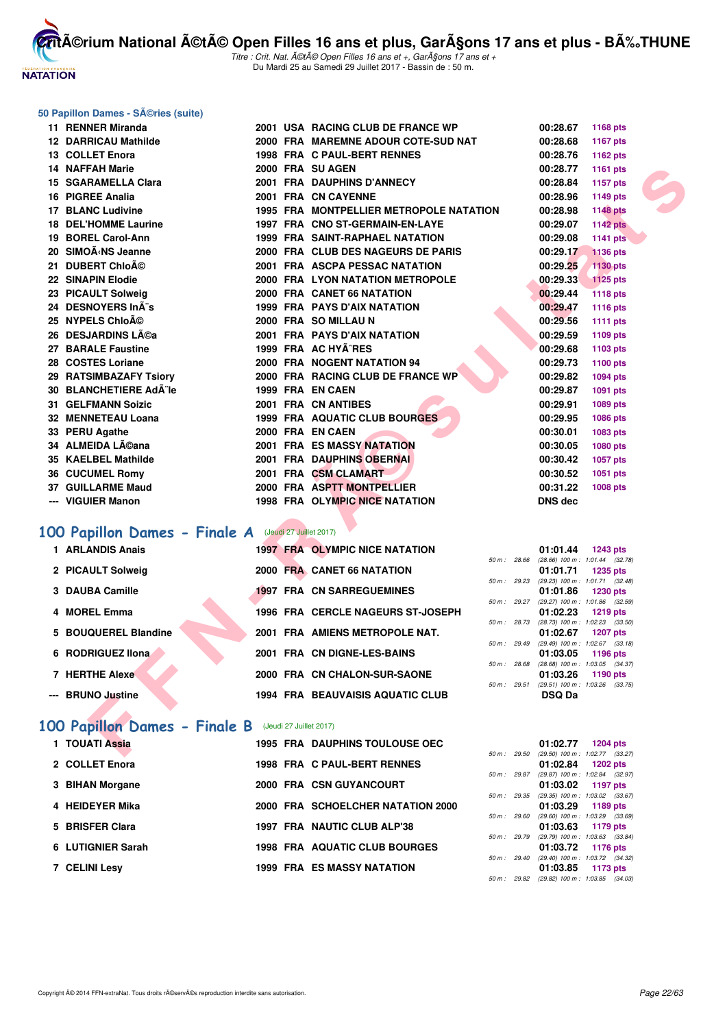

érium National été Open Filles 16 ans et plus, Garçons 17 ans et plus - BÉTHUNE Titre : Crit. Nat. été Open Filles 16 ans et +, Garçons 17 ans et +

Du Mardi 25 au Samedi 29 Juillet 2017 - Bassin de : 50 m.

#### **50 Papillon Dames - Séries (suite)**

| 11 RENNER Miranda                                    |  | 2001 USA RACING CLUB DE FRANCE WP                | 00:28.67          | 1168 pts                                          |  |
|------------------------------------------------------|--|--------------------------------------------------|-------------------|---------------------------------------------------|--|
| 12 DARRICAU Mathilde                                 |  | 2000 FRA MAREMNE ADOUR COTE-SUD NAT              | 00:28.68          | 1167 pts                                          |  |
| 13 COLLET Enora                                      |  | 1998 FRA C PAUL-BERT RENNES                      | 00:28.76          | 1162 pts                                          |  |
| 14 NAFFAH Marie                                      |  | 2000 FRA SU AGEN                                 | 00:28.77          | 1161 pts                                          |  |
| 15 SGARAMELLA Clara                                  |  | 2001 FRA DAUPHINS D'ANNECY                       | 00:28.84          | 1157 pts                                          |  |
| 16 PIGREE Analia                                     |  | 2001 FRA CN CAYENNE                              | 00:28.96          | 1149 pts                                          |  |
| <b>17 BLANC Ludivine</b>                             |  | <b>1995 FRA MONTPELLIER METROPOLE NATATION</b>   | 00:28.98          | <b>1148 pts</b>                                   |  |
| <b>18 DEL'HOMME Laurine</b>                          |  | 1997 FRA CNO ST-GERMAIN-EN-LAYE                  | 00:29.07          | <b>1142 pts</b>                                   |  |
| 19 BOREL Carol-Ann                                   |  | 1999 FRA SAINT-RAPHAEL NATATION                  | 00:29.08          | <b>1141 pts</b>                                   |  |
| 20 SIMOËNS Jeanne                                    |  | 2000 FRA CLUB DES NAGEURS DE PARIS               | 00:29.17          | <b>1136 pts</b>                                   |  |
| 21 DUBERT Chloé                                      |  | 2001 FRA ASCPA PESSAC NATATION                   | 00:29.25          | 1130 pts                                          |  |
| 22 SINAPIN Elodie                                    |  | 2000 FRA LYON NATATION METROPOLE                 | 00:29.33          | <b>1125 pts</b>                                   |  |
| 23 PICAULT Solweig                                   |  | 2000 FRA CANET 66 NATATION                       | 00:29.44          | 1118 pts                                          |  |
| 24 DESNOYERS In¨s                                    |  | <b>1999 FRA PAYS D'AIX NATATION</b>              | 00:29.47          | 1116 pts                                          |  |
| 25   NYPELS Chloé                                    |  | 2000 FRA SO MILLAU N                             | 00:29.56          | 1111 pts                                          |  |
| 26   DESJARDINS Léa                                  |  | 2001 FRA PAYS D'AIX NATATION                     | 00:29.59          | 1109 pts                                          |  |
| 27 BARALE Faustine                                   |  | 1999 FRA AC HYA^RES                              | 00:29.68          | 1103 pts                                          |  |
| 28 COSTES Loriane                                    |  | 2000 FRA NOGENT NATATION 94                      | 00:29.73          | 1100 pts                                          |  |
| 29 RATSIMBAZAFY Tsiory                               |  | 2000 FRA RACING CLUB DE FRANCE WP                | 00:29.82          | <b>1094 pts</b>                                   |  |
| 30   BLANCHETIERE AdA¨le                             |  | 1999 FRA EN CAEN                                 | 00:29.87          | 1091 pts                                          |  |
| 31 GELFMANN Soizic                                   |  | 2001 FRA CN ANTIBES                              | 00:29.91          | 1089 pts                                          |  |
| 32 MENNETEAU Loana                                   |  | <b>1999 FRA AQUATIC CLUB BOURGES</b>             | 00:29.95          | 1086 pts                                          |  |
| 33 PERU Agathe                                       |  | 2000 FRA EN CAEN                                 | 00:30.01          | 1083 pts                                          |  |
| 34 ALMEIDA Lĩana                                     |  | <b>2001 FRA ES MASSY NATATION</b>                | 00:30.05          | 1080 pts                                          |  |
| 35 KAELBEL Mathilde                                  |  | 2001 FRA DAUPHINS OBERNAL                        | 00:30.42          | 1057 pts                                          |  |
| 36 CUCUMEL Romy                                      |  | 2001 FRA CSM CLAMART                             | 00:30.52          | 1051 pts                                          |  |
| 37 GUILLARME Maud                                    |  | 2000 FRA ASPTT MONTPELLIER                       | 00:31.22          | 1008 pts                                          |  |
| --- VIGUIER Manon                                    |  | 1998 FRA OLYMPIC NICE NATATION                   | <b>DNS dec</b>    |                                                   |  |
| OO Papillon Dames - Finale A (Jeudi 27 Juillet 2017) |  |                                                  |                   |                                                   |  |
| 1 ARLANDIS Anais                                     |  | <b>1997 FRA OLYMPIC NICE NATATION</b>            | 01:01.44          | 1243 pts                                          |  |
|                                                      |  | 50 m: 28.66                                      |                   | $(28.66)$ 100 m : 1:01.44 $(32.78)$               |  |
| 2 PICAULT Solweig                                    |  | 2000 FRA CANET 66 NATATION<br>50 m: 29.23        | 01:01.71          | <b>1235 pts</b><br>(29.23) 100 m: 1:01.71 (32.48) |  |
| 3 DAUBA Camille                                      |  | <b>1997 FRA CN SARREGUEMINES</b>                 | 01:01.86          | 1230 pts                                          |  |
|                                                      |  | 50 m : 29.27                                     |                   | (29.27) 100 m: 1:01.86 (32.59)                    |  |
| 4 MOREL Emma                                         |  | 1996 FRA CERCLE NAGEURS ST-JOSEPH<br>50 m: 28.73 | 01:02.23          | 1219 pts<br>(28.73) 100 m: 1:02.23 (33.50)        |  |
| 5 BOUQUEREL Blandine                                 |  | 2001 FRA AMIENS METROPOLE NAT.                   | 01:02.67          | <b>1207 pts</b>                                   |  |
|                                                      |  | 50 m: 29.49                                      |                   | (29.49) 100 m: 1:02.67 (33.18)                    |  |
| 6 RODRIGUEZ Ilona                                    |  | 2001 FRA CN DIGNE-LES-BAINS<br>50 m : 28.68      | 01:03.05          | 1196 pts<br>(28.68) 100 m: 1:03.05 (34.37)        |  |
| 7 HERTHE Alexe                                       |  | 2000 FRA CN CHALON-SUR-SAONE                     | 01:03.26          | 1190 pts                                          |  |
|                                                      |  |                                                  |                   | 50 m: 29.51 (29.51) 100 m: 1:03.26 (33.75)        |  |
| --- BRUNO Justine                                    |  | <b>1994 FRA BEAUVAISIS AQUATIC CLUB</b>          | <b>DSQ Da</b>     |                                                   |  |
| OO Papillon Dames - Finale B (Jeudi 27 Juillet 2017) |  |                                                  |                   |                                                   |  |
| 1 TOUATI Assia                                       |  | <b>1995 FRA DAUPHINS TOULOUSE OEC</b>            | 01:02.77 1204 pts |                                                   |  |
|                                                      |  |                                                  |                   | 50 m : 29.50 (29.50) 100 m : 1:02.77 (33.27)      |  |

#### **[100 Papillon Dames - Finale A](http://www.ffnatation.fr/webffn/resultats.php?idact=nat&go=epr&idcpt=47487&idepr=32)** (Jeudi 27 Juillet 2017)

| 1 ARLANDIS Anais      |  | <b>1997 FRA OLYMPIC NICE NATATION</b>   |                |                | 01:01.44                                   | 1243 pts |  |
|-----------------------|--|-----------------------------------------|----------------|----------------|--------------------------------------------|----------|--|
|                       |  |                                         |                | 50 m: 28.66    | $(28.66)$ 100 m : 1:01.44 (32.             |          |  |
| 2 PICAULT Solweig     |  | 2000 FRA CANET 66 NATATION              | 50 m :         | 29.23          | 01:01.71<br>(29.23) 100 m : 1:01.71 (32.   | 1235 pts |  |
| 3 DAUBA Camille       |  | <b>1997 FRA CN SARREGUEMINES</b>        |                |                | 01:01.86                                   | 1230 pts |  |
|                       |  |                                         |                | $50 m$ : 29.27 | (29.27) 100 m : 1:01.86 (32.               |          |  |
| 4 MOREL Emma          |  | 1996 FRA CERCLE NAGEURS ST-JOSEPH       |                | 50 m : 28.73   | 01:02.23<br>(28.73) 100 m : 1:02.23 (33.   | 1219 pts |  |
| 5 BOUQUEREL Blandine  |  | 2001 FRA AMIENS METROPOLE NAT.          |                |                | 01:02.67                                   | 1207 pts |  |
|                       |  |                                         |                | 50 m: 29.49    | (29.49) 100 m : 1:02.67 (33.               |          |  |
| 6 RODRIGUEZ Ilona     |  | 2001 FRA CN DIGNE-LES-BAINS             | 50 m :         | 28.68          | 01:03.05<br>$(28.68)$ 100 m : 1:03.05 (34. | 1196 pts |  |
| <b>7 HERTHE Alexe</b> |  | 2000 FRA CN CHALON-SUR-SAONE            |                |                | 01:03.26                                   | 1190 pts |  |
|                       |  |                                         | $50 m$ : 29.51 |                | (29.51) 100 m : 1:03.26 (33.               |          |  |
| --- BRUNO Justine     |  | <b>1994 FRA BEAUVAISIS AQUATIC CLUB</b> |                |                | <b>DSQ Da</b>                              |          |  |

## [100 Papillon Dames - Finale B](http://www.ffnatation.fr/webffn/resultats.php?idact=nat&go=epr&idcpt=47487&idepr=32) (Jeudi 27 Juillet 2017)

|  |                                                                                                                                                                                                                                                  | 01:02.77<br>1204 pts                                       |
|--|--------------------------------------------------------------------------------------------------------------------------------------------------------------------------------------------------------------------------------------------------|------------------------------------------------------------|
|  |                                                                                                                                                                                                                                                  | 50 m: 29.50 (29.50) 100 m: 1:02.77 (33.                    |
|  |                                                                                                                                                                                                                                                  | 01:02.84 1202 pts                                          |
|  |                                                                                                                                                                                                                                                  | 50 m: 29.87 (29.87) 100 m: 1:02.84 (32.                    |
|  |                                                                                                                                                                                                                                                  | 01:03.02 1197 pts                                          |
|  |                                                                                                                                                                                                                                                  | (29.35) 100 m : 1:03.02 (33.                               |
|  |                                                                                                                                                                                                                                                  | 01:03.29 1189 pts                                          |
|  |                                                                                                                                                                                                                                                  | (29.60) 100 m : 1:03.29 (33.                               |
|  |                                                                                                                                                                                                                                                  | 1179 pts<br>01:03.63                                       |
|  |                                                                                                                                                                                                                                                  | (29.79) 100 m : 1:03.63 (33.                               |
|  |                                                                                                                                                                                                                                                  | 01:03.72<br>1176 pts                                       |
|  |                                                                                                                                                                                                                                                  | $(29.40)$ 100 m : 1:03.72 $(34.1)$                         |
|  |                                                                                                                                                                                                                                                  | 01:03.85<br>1173 pts                                       |
|  | <b>1995 FRA DAUPHINS TOULOUSE OEC</b><br>1998 FRA C PAUL-BERT RENNES<br>2000 FRA CSN GUYANCOURT<br>2000 FRA SCHOELCHER NATATION 2000<br>1997 FRA NAUTIC CLUB ALP'38<br><b>1998 FRA AQUATIC CLUB BOURGES</b><br><b>1999 FRA ES MASSY NATATION</b> | 50 m: 29.35<br>50 m: 29.60<br>50 m : 29.79<br>50 m : 29.40 |

|                |             | 01:02.77          | <b>1204 pts</b>                       |
|----------------|-------------|-------------------|---------------------------------------|
|                | 50 m: 29.50 | $(29.50)$ 100 m : | 1:02.77 (33.27)                       |
|                |             | 01:02.84          | 1202 pts                              |
| 50 m: 29.87    |             | $(29.87)$ 100 m : | 1:02.84 (32.97)                       |
|                |             | 01:03.02          | 1197 pts                              |
| $50 m$ : 29.35 |             | $(29.35)$ 100 m : | 1:03.02 (33.67)                       |
|                |             | 01:03.29          | 1189 pts                              |
| 50 m: 29.60    |             | $(29.60)$ 100 m : | 1:03.29 (33.69)                       |
|                |             | 01:03.63          | 1179 pts                              |
| 50 m: 29.79    |             | $(29.79)$ 100 m : | 1:03.63 (33.84)                       |
|                |             |                   | 01:03.72 1176 pts                     |
| $50 m$ : 29.40 |             | $(29.40)$ 100 m : | 1:03.72 (34.32)                       |
|                |             | 01:03.85          | 1173 pts                              |
| $50 m - 2982$  |             |                   | $(29.82)$ 100 m $(1.03.85)$ $(34.03)$ |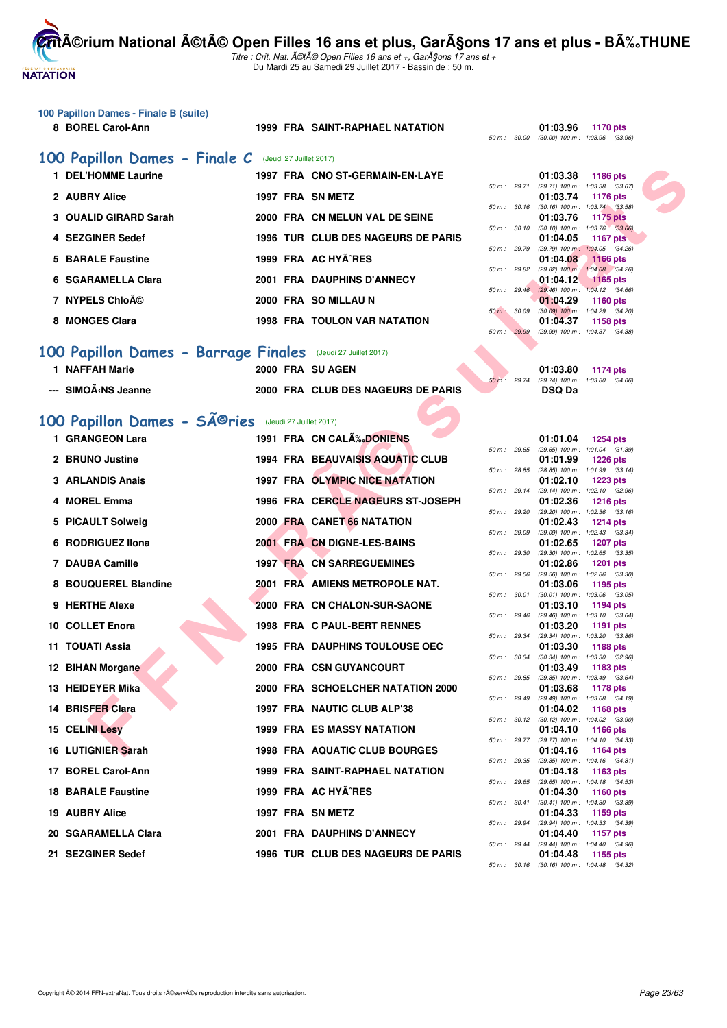

Titre : Crit. Nat. A©tA© Open Filles 16 ans et +, GarA§ons 17 ans et + Du Mardi 25 au Samedi 29 Juillet 2017 - Bassin de : 50 m.

| 100 Papillon Dames - Finale B (suite) |  |  |  |
|---------------------------------------|--|--|--|
|---------------------------------------|--|--|--|

**8 BOREL Carol-Ann 1999 FRA SAINT-RAPHAEL NATATION 01:03.96 1170 pts**

50 m : 30.00 (30.00) 100 m : 1:03.96 (33.96)

#### [100 Papillon Dames - Finale C](http://www.ffnatation.fr/webffn/resultats.php?idact=nat&go=epr&idcpt=47487&idepr=32) (Jeudi 27 Juillet 2017)

| 1 DEL'HOMME Laurine   | 1997 FRA CNO ST-GERMAIN-EN-LAYE     | 01:03.38<br>1186 pts                                                             |
|-----------------------|-------------------------------------|----------------------------------------------------------------------------------|
| 2 AUBRY Alice         | 1997 FRA SN METZ                    | (29.71) 100 m: 1:03.38 (33.<br>$50 m$ : 29.71<br>01:03.74<br>1176 pts            |
| 3 OUALID GIRARD Sarah | 2000 FRA CN MELUN VAL DE SEINE      | $(30.16)$ 100 m : 1:03.74 (33.<br>$50 m$ : $30.16$<br>01:03.76<br>1175 pts       |
| 4 SEZGINER Sedef      | 1996 TUR CLUB DES NAGEURS DE PARIS  | $(30.10)$ 100 m : 1:03.76 (33.<br>50 m : 30.10<br>01:04.05<br>1167 pts           |
| 5 BARALE Faustine     | 1999 FRA AC HYÃ RES                 | (29.79) 100 m: 1:04.05 (34.<br>50 m : 29.79<br>01:04.08<br><b>1166 pts</b>       |
| 6 SGARAMELLA Clara    | 2001 FRA DAUPHINS D'ANNECY          | $(29.82)$ 100 m : 1:04.08 (34.<br>50 m: 29.82<br>01:04.12<br>$1165$ pts          |
| 7 NYPELS Chloé        | 2000 FRA SO MILLAU N                | $(29.46)$ 100 m : 1:04.12 (34.<br>$50 \text{ m}$ : 29.46<br>01:04.29<br>1160 pts |
| 8 MONGES Clara        | <b>1998 FRA TOULON VAR NATATION</b> | $50 m$ :<br>$(30.09)$ 100 m : 1:04.29 $(34.$<br>30.09<br>01:04.37<br>1158 pts    |
|                       |                                     | $50 m + 2980 (2980) 100 m + 10127 (21)$                                          |

## **[100 Papillon Dames - Barrage Finales](http://www.ffnatation.fr/webffn/resultats.php?idact=nat&go=epr&idcpt=47487&idepr=32)** (Jeudi 27 Juillet 2017)

| 1 NAFFAH Marie      | 2000 FRA SU AGEN                   |  | 01:03.80                                  | 1174 pts |  |
|---------------------|------------------------------------|--|-------------------------------------------|----------|--|
|                     |                                    |  | 50 m : 29.74 (29.74) 100 m : 1:03.80 (34. |          |  |
| --- SIMOÃ∢NS Jeanne | 2000 FRA CLUB DES NAGEURS DE PARIS |  | <b>DSQ Da</b>                             |          |  |

# 100 Papillon Dames - SÃ<sup>@</sup>ries (Jeudi 27 Juillet 2017)

| 1 DEL'HOMME Laurine                                                                                                                                                    |  | 1997 FRA CNO ST-GERMAIN-EN-LAYE        |              | 01:03.38<br>1186 pts                                                        |
|------------------------------------------------------------------------------------------------------------------------------------------------------------------------|--|----------------------------------------|--------------|-----------------------------------------------------------------------------|
| 2 AUBRY Alice                                                                                                                                                          |  | 1997 FRA SN METZ                       |              | 50 m: 29.71 (29.71) 100 m: 1:03.38 (33.67)<br>01:03.74<br>1176 pts          |
| 3 OUALID GIRARD Sarah                                                                                                                                                  |  | 2000 FRA CN MELUN VAL DE SEINE         |              | 50 m : 30.16 (30.16) 100 m : 1:03.74 (33.58)<br>01:03.76<br><b>1175 pts</b> |
| 4 SEZGINER Sedef                                                                                                                                                       |  | 1996 TUR CLUB DES NAGEURS DE PARIS     | 50 m : 30.10 | $(30.10)$ 100 m : 1:03.76 $(33.66)$<br>01:04.05<br>1167 pts                 |
|                                                                                                                                                                        |  | 1999 FRA AC HYA RES                    | 50 m : 29.79 | (29.79) 100 m: 1:04.05 (34.26)                                              |
| 5 BARALE Faustine                                                                                                                                                      |  |                                        | 50 m : 29.82 | 01:04.08<br>1166 pts<br>$(29.82)$ 100 m : 1:04.08 $(34.26)$                 |
| 6 SGARAMELLA Clara                                                                                                                                                     |  | 2001 FRA DAUPHINS D'ANNECY             |              | 01:04.12<br>$1165$ pts<br>50 m : 29.46 (29.46) 100 m : 1:04.12 (34.66)      |
| 7 NYPELS Chloé                                                                                                                                                         |  | 2000 FRA SO MILLAU N                   | 50 m : 30.09 | 01:04.29<br><b>1160 pts</b><br>$(30.09)$ 100 m : 1:04.29 $(34.20)$          |
| 8 MONGES Clara                                                                                                                                                         |  | 1998 FRA TOULON VAR NATATION           | 50 m : 29.99 | 01:04.37<br>1158 pts<br>(29.99) 100 m: 1:04.37 (34.38)                      |
| <b>00 Papillon Dames - Barrage Finales</b> (Jeudi 27 Juillet 2017)                                                                                                     |  |                                        |              |                                                                             |
| 1 NAFFAH Marie                                                                                                                                                         |  | 2000 FRA SU AGEN                       |              | 01:03.80 1174 pts                                                           |
| --- SIMOÃ <ns jeanne<="" td=""><td></td><td>2000 FRA CLUB DES NAGEURS DE PARIS</td><td></td><td>50 m: 29.74 (29.74) 100 m: 1:03.80 (34.06)<br/><b>DSQ Da</b></td></ns> |  | 2000 FRA CLUB DES NAGEURS DE PARIS     |              | 50 m: 29.74 (29.74) 100 m: 1:03.80 (34.06)<br><b>DSQ Da</b>                 |
|                                                                                                                                                                        |  |                                        |              |                                                                             |
| 00 Papillon Dames - SÃ <sup>©</sup> ries (Jeudi 27 Juillet 2017)                                                                                                       |  |                                        |              |                                                                             |
| 1 GRANGEON Lara                                                                                                                                                        |  | 1991 FRA CN CALÃ% DONIENS              |              | 01:01.04 1254 pts                                                           |
| 2 BRUNO Justine                                                                                                                                                        |  | 1994 FRA BEAUVAISIS AQUATIC CLUB       |              | 50 m: 29.65 (29.65) 100 m: 1:01.04 (31.39)<br>01:01.99<br><b>1226 pts</b>   |
|                                                                                                                                                                        |  |                                        | 50 m : 28.85 | (28.85) 100 m: 1:01.99 (33.14)                                              |
| 3 ARLANDIS Anais                                                                                                                                                       |  | 1997 FRA OLYMPIC NICE NATATION         |              | 01:02.10<br>1223 pts<br>50 m : 29.14 (29.14) 100 m : 1:02.10 (32.96)        |
| 4 MOREL Emma                                                                                                                                                           |  | 1996 FRA CERCLE NAGEURS ST-JOSEPH      |              | 01:02.36<br>1216 pts                                                        |
| 5 PICAULT Solweig                                                                                                                                                      |  | 2000 FRA CANET 66 NATATION             | 50 m : 29.20 | $(29.20)$ 100 m : 1:02.36 $(33.16)$<br>01:02.43<br><b>1214 pts</b>          |
| 6 RODRIGUEZ IIona                                                                                                                                                      |  | 2001 FRA CN DIGNE-LES-BAINS            | 50 m : 29.09 | (29.09) 100 m : 1:02.43 (33.34)<br>01:02.65<br>1207 pts                     |
| 7 DAUBA Camille                                                                                                                                                        |  | <b>1997 FRA CN SARREGUEMINES</b>       | 50 m : 29.30 | $(29.30)$ 100 m : 1:02.65 $(33.35)$<br>01:02.86<br><b>1201 pts</b>          |
| 8 BOUQUEREL Blandine                                                                                                                                                   |  | 2001 FRA AMIENS METROPOLE NAT.         | 50 m: 29.56  | (29.56) 100 m: 1:02.86 (33.30)<br>01:03.06<br>1195 pts                      |
|                                                                                                                                                                        |  |                                        | 50 m: 30.01  | $(30.01)$ 100 m : 1:03.06 $(33.05)$                                         |
| 9 HERTHE Alexe                                                                                                                                                         |  | 2000 FRA CN CHALON-SUR-SAONE           | 50 m: 29.46  | 01:03.10<br>1194 pts<br>(29.46) 100 m : 1:03.10 (33.64)                     |
| 10 COLLET Enora                                                                                                                                                        |  | 1998 FRA C PAUL-BERT RENNES            |              | 01:03.20<br>1191 pts                                                        |
| 11 TOUATI Assia                                                                                                                                                        |  | <b>1995 FRA DAUPHINS TOULOUSE OEC</b>  | 50 m : 29.34 | (29.34) 100 m : 1:03.20 (33.86)<br>01:03.30<br>1188 pts                     |
| 12 BIHAN Morgane                                                                                                                                                       |  | 2000 FRA CSN GUYANCOURT                |              | 50 m : 30.34 (30.34) 100 m : 1:03.30 (32.96)<br>01:03.49<br>1183 pts        |
| 13 HEIDEYER Mika                                                                                                                                                       |  | 2000 FRA SCHOELCHER NATATION 2000      | 50 m : 29.85 | (29.85) 100 m : 1:03.49 (33.64)<br>01:03.68                                 |
|                                                                                                                                                                        |  |                                        |              | 1178 pts<br>50 m: 29.49 (29.49) 100 m: 1:03.68 (34.19)                      |
| 14 BRISFER Clara                                                                                                                                                       |  | 1997 FRA NAUTIC CLUB ALP'38            |              | 01:04.02<br>1168 pts<br>50 m: 30.12 (30.12) 100 m: 1:04.02 (33.90)          |
| <b>15 CELINI Lesy</b>                                                                                                                                                  |  | <b>1999 FRA ES MASSY NATATION</b>      |              | 01:04.10<br>1166 pts<br>50 m: 29.77 (29.77) 100 m: 1:04.10 (34.33)          |
| 16 LUTIGNIER Sarah                                                                                                                                                     |  | 1998 FRA AQUATIC CLUB BOURGES          |              | 01:04.16<br>1164 pts                                                        |
| 17 BOREL Carol-Ann                                                                                                                                                     |  | <b>1999 FRA SAINT-RAPHAEL NATATION</b> |              | 50 m: 29.35 (29.35) 100 m: 1:04.16 (34.81)<br>01:04.18<br>1163 pts          |
| <b>18 BARALE Faustine</b>                                                                                                                                              |  | 1999 FRA AC HYA RES                    |              | 50 m: 29.65 (29.65) 100 m: 1:04.18 (34.53)<br>01:04.30<br>1160 pts          |
| 19 AUBRY Alice                                                                                                                                                         |  | 1997 FRA SN METZ                       | 50 m: 30.41  | $(30.41)$ 100 m : 1:04.30 $(33.89)$<br>01:04.33<br>1159 pts                 |
| 20 SGARAMELLA Clara                                                                                                                                                    |  | 2001 FRA DAUPHINS D'ANNECY             | 50 m : 29.94 | (29.94) 100 m: 1:04.33 (34.39)<br>01:04.40<br><b>1157 pts</b>               |
| 21 SEZGINER Sedef                                                                                                                                                      |  | 1996 TUR CLUB DES NAGEURS DE PARIS     | 50 m : 29.44 | (29.44) 100 m : 1:04.40 (34.96)<br>01:04.48                                 |
|                                                                                                                                                                        |  |                                        |              | 1155 pts                                                                    |

|              |       | 01:03.38          | <b>1186 pts</b>     |  |
|--------------|-------|-------------------|---------------------|--|
| $50 m$ :     | 29.71 | (29.71) 100 m :   | 1:03.38 (33.67)     |  |
|              |       | 01:03.74          | <b>1176 pts</b>     |  |
| 50 m :       | 30.16 | $(30.16) 100 m$ : | $1:03.74$ $(33.58)$ |  |
|              |       | 01:03.76          | 1175 pts            |  |
| $50 m$ :     | 30.10 | $(30.10)$ 100 m : | $1:03.76$ $(33.66)$ |  |
|              |       |                   | 01:04.05 1167 pts   |  |
| 50 m : 29.79 |       | (29.79) 100 m:    | $1:04.05$ $(34.26)$ |  |
|              |       | 01:04.08 1166 pts |                     |  |
| 50 m : 29.82 |       | $(29.82)$ 100 m : | $1:04.08$ (34.26)   |  |
|              |       | 01:04.12 1165 pts |                     |  |
| 50 m :       | 29.46 | $(29.46)$ 100 m : | $1:04.12$ $(34.66)$ |  |
|              |       | 01:04.29          | <b>1160 pts</b>     |  |
| $50 m$ :     | 30.09 | $(30.09)$ 100 m : | 1:04.29 (34.20)     |  |
|              |       | 01:04.37          | 1158 pts            |  |
| $50 m$ :     | 29.99 | $(29.99)$ 100 m : | 1:04.37 (34.38)     |  |
|              |       |                   |                     |  |

|              | 01:03.80                        | 1174 pts |  |
|--------------|---------------------------------|----------|--|
| 50 m : 29.74 | (29.74) 100 m : 1:03.80 (34.06) |          |  |
|              | <b>DSQ Da</b>                   |          |  |

|                |       | 01:01.04                    | 1254 pts            |
|----------------|-------|-----------------------------|---------------------|
| $50 m$ : 29.65 |       | (29.65) 100 m :             | (31.39)<br>1:01.04  |
|                |       | 01:01.99                    | 1226 pts            |
| $50 m$ :       | 28.85 | $(28.85)$ 100 m :           | 1:01.99<br>(33.14)  |
|                |       | 01:02.10                    | <b>1223 pts</b>     |
| $50 m$ :       | 29.14 | $(29.14) 100 m$ :           | 1:02.10<br>(32.96)  |
|                |       | 01:02.36                    | 1216 pts            |
| $50 m$ :       | 29.20 | $(29.20)$ 100 m :           | 1:02.36<br>(33.16)  |
|                |       | 01:02.43                    | <b>1214 pts</b>     |
| $50 m$ :       | 29.09 | $(29.09)$ 100 m :           | 1:02.43<br>(33.34)  |
|                |       | 01:02.65                    | 1207 pts            |
| $50 m$ :       | 29.30 | (29.30) 100 m :             | 1:02.65<br>(33.35)  |
|                |       | 01:02.86                    | 1201<br>pts         |
| $50 m$ :       | 29.56 | (29.56) 100 m :             | 1:02.86<br>(33.30)  |
|                |       | 01:03.06                    | 1195 pts            |
| $50 m$ :       | 30.01 | $(30.01)$ 100 m :           | 1:03.06<br>(33.05)  |
|                |       | 01:03.10                    | 1194 pts            |
| $50 m$ :       | 29.46 | (29.46) 100 m :             | 1:03.10<br>(33.64)  |
|                |       | 01:03.20                    | 1191<br>pts         |
| $50 m$ :       | 29.34 | $(29.34) 100 m$ :           | (33.86)<br>1:03.20  |
|                |       | 01:03.30                    | 1188 pts            |
| $50 m$ :       | 30.34 | $(30.34) 100 m$ :           | 1:03.30<br>(32.96)  |
|                |       | 01:03.49                    | 1183 pts            |
| $50 m$ :       | 29.85 | $(29.85) 100 m$ :           | (33.64)<br>1:03.49  |
|                |       | 01:03.68                    | 1178 pts            |
| $50 m$ :       | 29.49 | $(29.49)$ 100 m :           | (34.19)<br>1:03.68  |
|                |       | 01:04.02                    | 1168 pts            |
| $50 m$ :       | 30.12 | $(30.12)$ 100 m :           | 1:04.02<br>(33.90)  |
|                | 29.77 | 01:04.10                    | 1166 pts<br>1:04.10 |
| 50 m :         |       | (29.77) 100 m :<br>01:04.16 | (34.33)             |
| $50 m$ :       | 29.35 | $(29.35)$ 100 m :           | 1164 pts<br>1:04.16 |
|                |       | 01:04.18                    | (34.81)<br>1163 pts |
| 50 m :         | 29.65 | $(29.65)$ 100 m :           | 1:04.18<br>(34.53)  |
|                |       | 01:04.30                    | 1160<br>pts         |
| $50 m$ :       | 30.41 | $(30.41)$ 100 m :           | 1:04.30<br>(33.89)  |
|                |       | 01:04.33                    | 1159 pts            |
| 50 m :         | 29.94 | (29.94) 100 m :             | (34.39)<br>1:04.33  |
|                |       | 01:04.40                    | <b>1157 pts</b>     |
| $50 m$ :       | 29.44 | $(29.44)$ 100 m :           | (34.96)<br>1:04.40  |
|                |       | 01:04.48                    | 1155<br>pts         |
| $50 m$ :       | 30.16 | $(30.16)$ 100 m :           | (34.32)<br>1:04.48  |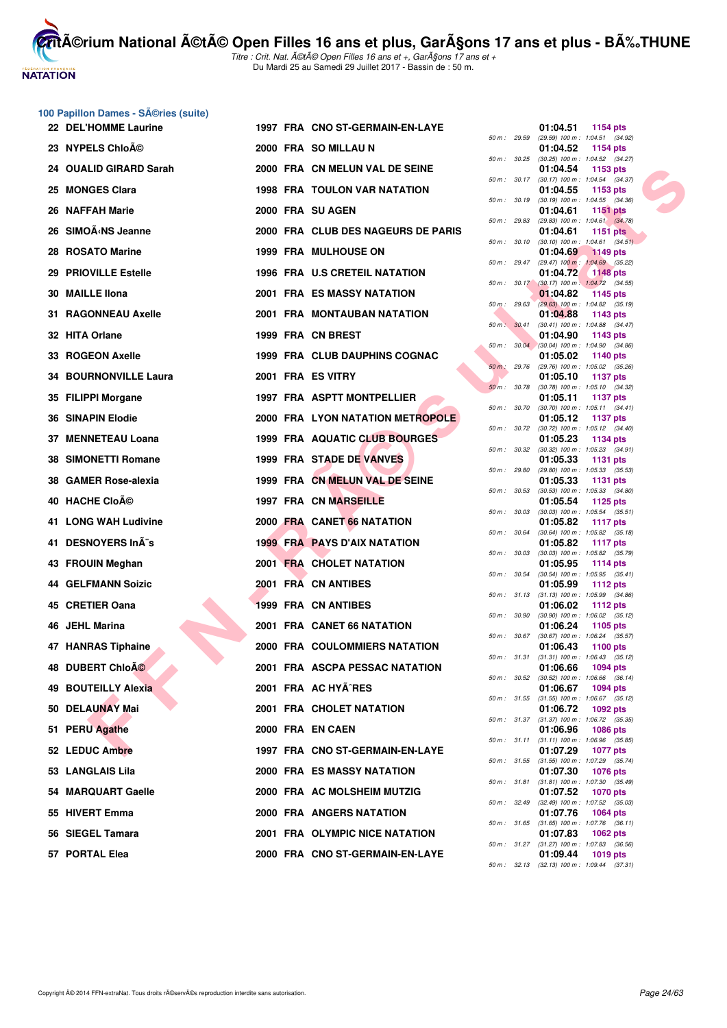

**CritA©rium National A©tA© Open Filles 16 ans et plus, GarA§ons 17 ans et plus - BA%.THUNE** Titre : Crit. Nat. A©tA© Open Filles 16 ans et +, GarA§ons 17 ans et +

Du Mardi 25 au Samedi 29 Juillet 2017 - Bassin de : 50 m.

# **100 Papillon Dames - Séries (suite)**

| 22 DEL'HOMME Laurine                                                                                                                                                            |  | 1997 FRA CNO ST-GERMAIN-EN-LAYE      |              | 01:04.51<br>1154 pts                                                        |
|---------------------------------------------------------------------------------------------------------------------------------------------------------------------------------|--|--------------------------------------|--------------|-----------------------------------------------------------------------------|
| 23 NYPELS Chloé                                                                                                                                                                 |  | 2000 FRA SO MILLAU N                 |              | 50 m: 29.59 (29.59) 100 m: 1:04.51 (34.92)<br>01:04.52<br>1154 pts          |
| 24 OUALID GIRARD Sarah                                                                                                                                                          |  | 2000 FRA CN MELUN VAL DE SEINE       |              | 50 m: 30.25 (30.25) 100 m: 1:04.52 (34.27)<br>01:04.54<br>1153 pts          |
| 25 MONGES Clara                                                                                                                                                                 |  | <b>1998 FRA TOULON VAR NATATION</b>  |              | 50 m: 30.17 (30.17) 100 m: 1:04.54 (34.37)<br>01:04.55<br>1153 pts          |
| 26 NAFFAH Marie                                                                                                                                                                 |  | 2000 FRA SU AGEN                     |              | 50 m : 30.19 (30.19) 100 m : 1:04.55 (34.36)<br>01:04.61<br><b>1151 pts</b> |
| 26 SIMOÃ <ns jeanne<="" td=""><td></td><td>2000 FRA CLUB DES NAGEURS DE PARIS</td><td></td><td>50 m : 29.83 (29.83) 100 m : 1:04.61 (34.78)<br/>01:04.61<br/>1151 pts</td></ns> |  | 2000 FRA CLUB DES NAGEURS DE PARIS   |              | 50 m : 29.83 (29.83) 100 m : 1:04.61 (34.78)<br>01:04.61<br>1151 pts        |
| 28 ROSATO Marine                                                                                                                                                                |  | 1999 FRA MULHOUSE ON                 | 50 m : 30.10 | $(30.10)$ 100 m : 1:04.61 $(34.51)$<br>01:04.69                             |
|                                                                                                                                                                                 |  |                                      |              | 1149 pts<br>50 m : 29.47 (29.47) 100 m : 1:04.69 (35.22)                    |
| 29 PRIOVILLE Estelle                                                                                                                                                            |  | 1996 FRA U.S CRETEIL NATATION        |              | 01:04.72<br><b>1148 pts</b><br>50 m : 30.17 (30.17) 100 m : 1:04.72 (34.55) |
| 30 MAILLE Ilona                                                                                                                                                                 |  | <b>2001 FRA ES MASSY NATATION</b>    |              | 01:04.82<br>1145 pts<br>50 m : 29.63 (29.63) 100 m : 1:04.82 (35.19)        |
| 31 RAGONNEAU Axelle                                                                                                                                                             |  | 2001 FRA MONTAUBAN NATATION          |              | 01:04.88<br>1143 pts<br>50 m: 30.41 (30.41) 100 m: 1:04.88 (34.47)          |
| 32 HITA Orlane                                                                                                                                                                  |  | 1999 FRA CN BREST                    |              | 01:04.90<br>1143 pts                                                        |
| 33 ROGEON Axelle                                                                                                                                                                |  | 1999 FRA CLUB DAUPHINS COGNAC        |              | 50 m : 30.04 (30.04) 100 m : 1:04.90 (34.86)<br>01:05.02<br>1140 pts        |
| <b>34 BOURNONVILLE Laura</b>                                                                                                                                                    |  | 2001 FRA ES VITRY                    | 50 m: 29.76  | (29.76) 100 m : 1:05.02 (35.26)<br>01:05.10<br>1137 pts                     |
| 35 FILIPPI Morgane                                                                                                                                                              |  | 1997 FRA ASPTT MONTPELLIER           | 50 m : 30.78 | (30.78) 100 m: 1:05.10 (34.32)<br>01:05.11<br>1137 pts                      |
|                                                                                                                                                                                 |  |                                      | 50 m : 30.70 | $(30.70)$ 100 m : 1:05.11 $(34.41)$                                         |
| <b>36 SINAPIN Elodie</b>                                                                                                                                                        |  | 2000 FRA LYON NATATION METROPOLE     |              | 01:05.12<br>1137 pts<br>50 m: 30.72 (30.72) 100 m: 1:05.12 (34.40)          |
| 37 MENNETEAU Loana                                                                                                                                                              |  | <b>1999 FRA AQUATIC CLUB BOURGES</b> |              | 01:05.23<br>1134 pts<br>50 m: 30.32 (30.32) 100 m: 1:05.23 (34.91)          |
| <b>38 SIMONETTI Romane</b>                                                                                                                                                      |  | 1999 FRA STADE DE VANVES             | 50 m : 29.80 | 01:05.33<br>1131 pts<br>(29.80) 100 m : 1:05.33 (35.53)                     |
| 38 GAMER Rose-alexia                                                                                                                                                            |  | 1999 FRA CN MELUN VAL DE SEINE       |              | 01:05.33<br>1131 pts                                                        |
| 40 HACHE CloAO                                                                                                                                                                  |  | <b>1997 FRA CN MARSEILLE</b>         | 50 m: 30.53  | $(30.53)$ 100 m : 1:05.33 $(34.80)$<br>01:05.54<br>1125 pts                 |
| 41 LONG WAH Ludivine                                                                                                                                                            |  | 2000 FRA CANET 66 NATATION           | 50 m: 30.03  | $(30.03)$ 100 m : 1:05.54 $(35.51)$<br>01:05.82<br>1117 $pts$               |
| 41 DESNOYERS InÃ"s                                                                                                                                                              |  | <b>1999 FRA PAYS D'AIX NATATION</b>  | 50 m : 30.64 | $(30.64)$ 100 m : 1:05.82 $(35.18)$<br>01:05.82<br><b>1117 pts</b>          |
| 43 FROUIN Meghan                                                                                                                                                                |  | 2001 FRA CHOLET NATATION             | 50 m : 30.03 | $(30.03)$ 100 m : 1:05.82 $(35.79)$<br>01:05.95<br>1114 pts                 |
| <b>44 GELFMANN Soizic</b>                                                                                                                                                       |  | 2001 FRA CN ANTIBES                  |              | 50 m: 30.54 (30.54) 100 m: 1:05.95 (35.41)                                  |
|                                                                                                                                                                                 |  |                                      |              | 01:05.99<br>1112 pts<br>50 m: 31.13 (31.13) 100 m: 1:05.99 (34.86)          |
| 45 CRETIER Oana                                                                                                                                                                 |  | 1999 FRA CN ANTIBES                  | 50 m : 30.90 | 01:06.02<br>1112 pts<br>$(30.90)$ 100 m : 1:06.02 $(35.12)$                 |
| 46 JEHL Marina                                                                                                                                                                  |  | 2001 FRA CANET 66 NATATION           | 50 m: 30.67  | 01:06.24<br>1105 pts<br>$(30.67)$ 100 m : 1:06.24 $(35.57)$                 |
| <b>47 HANRAS Tiphaine</b>                                                                                                                                                       |  | <b>2000 FRA COULOMMIERS NATATION</b> |              | 01:06.43<br>1100 pts                                                        |
| 48 DUBERT ChloÃO                                                                                                                                                                |  | 2001 FRA ASCPA PESSAC NATATION       |              | 50 m: 31.31 (31.31) 100 m: 1:06.43 (35.12)<br>01:06.66<br>1094 pts          |
| 49 BOUTEILLY Alexia                                                                                                                                                             |  | 2001 FRA AC HYA^RES                  |              | 50 m: 30.52 (30.52) 100 m: 1:06.66 (36.14)<br>01:06.67<br><b>1094 pts</b>   |
| 50 DELAUNAY Mai                                                                                                                                                                 |  | 2001 FRA CHOLET NATATION             |              | 50 m: 31.55 (31.55) 100 m: 1:06.67 (35.12)<br>01:06.72<br>1092 pts          |
| 51 PERU Agathe                                                                                                                                                                  |  | 2000 FRA EN CAEN                     |              | 50 m: 31.37 (31.37) 100 m: 1:06.72 (35.35)<br>01:06.96<br><b>1086 pts</b>   |
|                                                                                                                                                                                 |  | 1997 FRA CNO ST-GERMAIN-EN-LAYE      | 50 m: 31.11  | $(31.11)$ 100 m : 1:06.96 $(35.85)$                                         |
| 52 LEDUC Ambre                                                                                                                                                                  |  |                                      | 50 m: 31.55  | 01:07.29<br><b>1077 pts</b><br>$(31.55)$ 100 m : 1:07.29 $(35.74)$          |
| 53 LANGLAIS Lila                                                                                                                                                                |  | <b>2000 FRA ES MASSY NATATION</b>    | 50 m : 31.81 | 01:07.30<br><b>1076 pts</b><br>$(31.81)$ 100 m : 1:07.30 $(35.49)$          |
| 54 MARQUART Gaelle                                                                                                                                                              |  | 2000 FRA AC MOLSHEIM MUTZIG          |              | 01:07.52<br><b>1070 pts</b><br>50 m: 32.49 (32.49) 100 m: 1:07.52 (35.03)   |
| 55 HIVERT Emma                                                                                                                                                                  |  | 2000 FRA ANGERS NATATION             |              | 01:07.76<br><b>1064 pts</b><br>50 m: 31.65 (31.65) 100 m: 1:07.76 (36.11)   |
| 56 SIEGEL Tamara                                                                                                                                                                |  | 2001 FRA OLYMPIC NICE NATATION       |              | 01:07.83<br><b>1062 pts</b>                                                 |
| 57 PORTAL Elea                                                                                                                                                                  |  | 2000 FRA CNO ST-GERMAIN-EN-LAYE      |              | 50 m: 31.27 (31.27) 100 m: 1:07.83 (36.56)<br>01:09.44<br>1019 pts          |

|          |       | 01:04.51                      | 1154 pts                              |  |
|----------|-------|-------------------------------|---------------------------------------|--|
| 50 m :   | 29.59 | (29.59) 100 m :               | 1:04.51<br>(34.92)                    |  |
|          |       | 01:04.52                      | 1154 pts                              |  |
| 50 m :   | 30.25 | $(30.25)$ 100 m :<br>01:04.54 | 1:04.52<br>(34.27)                    |  |
| 50 m :   | 30.17 | $(30.17) 100 m$ :             | 1153 pts<br>1:04.54<br>(34.37)        |  |
|          |       | 01:04.55                      | 1153 pts                              |  |
| $50 m$ : | 30.19 | (30.19) 100 m :               | 1:04.55<br>(34.36)                    |  |
|          |       | 01:04.61                      | 1151 pts                              |  |
| 50 m :   | 29.83 | $(29.83) 100 m$ :             | 1.04.61<br>(34.78)                    |  |
| 50 m :   | 30.10 | 01:04.61<br>$(30.10)$ 100 m : | <b>1151 pts</b><br>1:04.61<br>(34.51) |  |
|          |       | 01:04.69                      | <b>1149 pts</b>                       |  |
| $50 m$ : | 29.47 | $(29.47) 100 m$ :             | 1:04.69<br>(35.22)                    |  |
|          |       | 01:04.72                      | <b>1148 pts</b>                       |  |
| 50 m :   | 30.17 | $(30.17) 100 m$ :             | 1:04.72<br>(34.55)                    |  |
| 50 m :   | 29.63 | 01:04.82<br>$(29.63) 100 m$ : | 1145 pts<br>1:04.82<br>(35.19)        |  |
|          |       | 01:04.88                      | 1143 pts                              |  |
| $50 m$ : | 30.41 | $(30.41)$ 100 m :             | 1:04.88<br>(34.47)                    |  |
|          |       | 01:04.90                      | 1143 pts                              |  |
| 50 m :   | 30.04 | $(30.04)$ 100 m :             | 1:04.90<br>(34.86)                    |  |
| $50 m$ : | 29.76 | 01:05.02<br>$(29.76)$ 100 m : | 1140 pts<br>1:05.02<br>(35.26)        |  |
|          |       | 01:05.10                      | <b>1137 pts</b>                       |  |
| $50 m$ : | 30.78 | $(30.78)$ 100 m :             | 1:05.10<br>(34.32)                    |  |
|          |       | 01:05.11                      | <b>1137 pts</b>                       |  |
| $50 m$ : | 30.70 | $(30.70)$ 100 m :             | 1:05.11<br>(34.41)                    |  |
| $50 m$ : | 30.72 | 01:05.12<br>$(30.72)$ 100 m : | <b>1137 pts</b><br>1:05.12<br>(34.40) |  |
|          |       | 01:05.23                      | 1134 pts                              |  |
| $50 m$ : | 30.32 | (30.32) 100 m :               | 1:05.23<br>(34.91)                    |  |
|          |       | 01:05.33                      | 1131 pts                              |  |
| 50 m :   | 29.80 | $(29.80)$ 100 m :             | 1:05.33<br>(35.53)                    |  |
| 50 m :   | 30.53 | 01:05.33<br>$(30.53)$ 100 m : | 1131 pts<br>1:05.33<br>(34.80)        |  |
|          |       | 01:05.54                      | 1125 pts                              |  |
| $50 m$ : | 30.03 | $(30.03)$ 100 m :             | 1:05.54<br>(35.51)                    |  |
|          |       | 01:05.82                      | 1117 pts                              |  |
| 50 m :   | 30.64 | $(30.64) 100 m$ :             | (35.18)<br>1:05.82                    |  |
| 50 m :   | 30.03 | 01:05.82<br>$(30.03)$ 100 m : | 1117 pts<br>1:05.82<br>(35.79)        |  |
|          |       | 01:05.95                      | 1114 pts                              |  |
| 50 m :   | 30.54 | $(30.54)$ 100 m :             | 1:05.95<br>(35.41)                    |  |
|          |       | 01:05.99                      | 1112 pts                              |  |
| 50 m :   | 31.13 | $(31.13) 100 m$ :<br>01:06.02 | 1:05.99<br>(34.86)                    |  |
| 50 m :   | 30.90 | $(30.90)$ 100 m :             | 1112 pts<br>1:06.02<br>(35.12)        |  |
|          |       | 01:06.24                      | 1105 pts                              |  |
| $50 m$ : | 30.67 | (30.67) 100 m :               | 1:06.24<br>(35.57)                    |  |
|          |       | 01:06.43                      | 1100 pts                              |  |
| 50 m :   | 31.31 | (31.31) 100 m :<br>01:06.66   | 1:06.43<br>(35.12)<br>1094 pts        |  |
| $50 m$ : | 30.52 | $(30.52)$ 100 m :             | 1:06.66<br>(36.14)                    |  |
|          |       | 01:06.67                      | 1094 pts                              |  |
| $50 m$ : | 31.55 | $(31.55)$ 100 m :             | 1:06.67<br>(35.12)                    |  |
|          |       | 01:06.72                      | 1092 pts                              |  |
| $50 m$ : | 31.37 | $(31.37) 100 m$ :<br>01:06.96 | (35.35)<br>1:06.72<br>1086 pts        |  |
| 50 m :   | 31.11 | $(31.11) 100 m$ :             | 1:06.96<br>(35.85)                    |  |
|          |       | 01:07.29                      | 1077 pts                              |  |
| $50 m$ : | 31.55 | $(31.55) 100 m$ :             | 1:07.29<br>(35.74)                    |  |
| $50 m$ : |       | 01:07.30                      | 1076 pts                              |  |
|          | 31.81 | $(31.81) 100 m$ :<br>01:07.52 | 1:07.30<br>(35.49)<br>1070 pts        |  |
| $50 m$ : | 32.49 | $(32.49)$ 100 m :             | 1:07.52<br>(35.03)                    |  |
|          |       | 01:07.76                      | 1064 pts                              |  |
| $50 m$ : | 31.65 | $(31.65) 100 m$ :             | 1:07.76<br>(36.11)                    |  |
| 50 m :   | 31.27 | 01:07.83<br>$(31.27) 100 m$ : | 1062 pts<br>(36.56)<br>1:07.83        |  |
|          |       | 01:09.44                      | 1019 pts                              |  |
| 50 m :   | 32.13 | (32.13) 100 m :               | 1:09.44<br>(37.31)                    |  |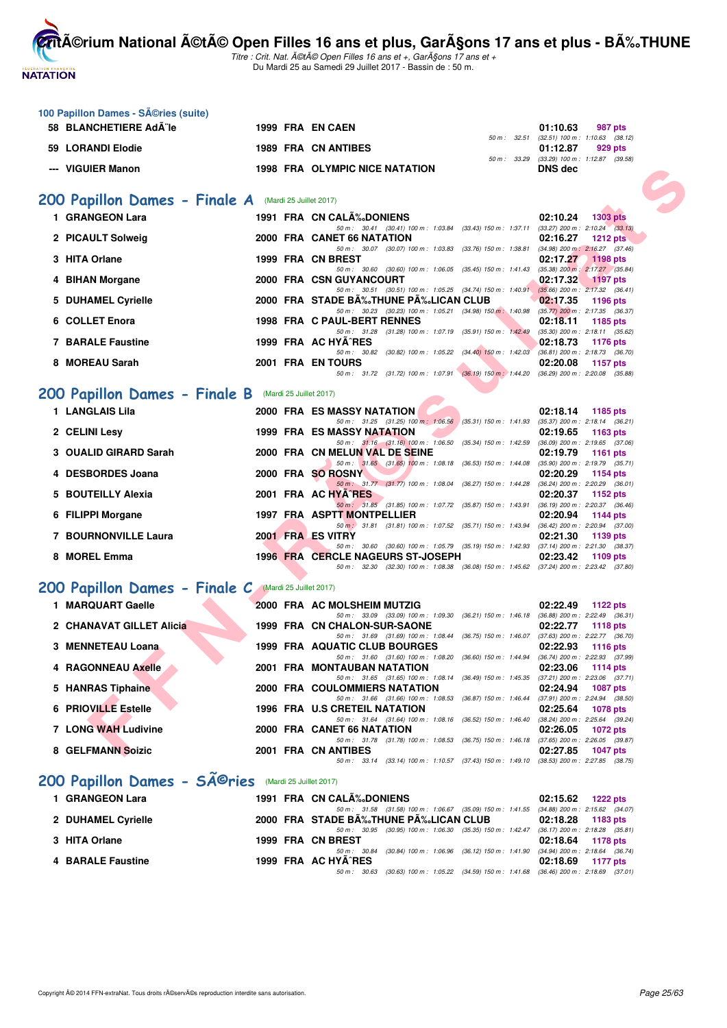

**100 Papillon Dames - Séries (suite)** 

**CritA©rium National A©tA© Open Filles 16 ans et plus, GarA§ons 17 ans et plus - BA%.THUNE** 

| 58 BLANCHETIERE Ad¨le                                 |  | 1999 FRA EN CAEN                                                                                                                     | 01:10.63<br>987 pts                                          |
|-------------------------------------------------------|--|--------------------------------------------------------------------------------------------------------------------------------------|--------------------------------------------------------------|
| 59 LORANDI Elodie                                     |  | 50 m : 32.51<br>1989 FRA CN ANTIBES                                                                                                  | $(32.51)$ 100 m : 1:10.63 $(38.12)$<br>01:12.87<br>929 pts   |
| --- VIGUIER Manon                                     |  | 1998 FRA OLYMPIC NICE NATATION                                                                                                       | 50 m: 33.29 (33.29) 100 m: 1:12.87 (39.58)<br><b>DNS</b> dec |
|                                                       |  |                                                                                                                                      |                                                              |
| 200 Papillon Dames - Finale A (Mardi 25 Juillet 2017) |  |                                                                                                                                      |                                                              |
| 1 GRANGEON Lara                                       |  | 1991 FRA CN CALA%DONIENS                                                                                                             | 02:10.24<br><b>1303 pts</b>                                  |
| 2 PICAULT Solweig                                     |  | 50 m: 30.41 (30.41) 100 m: 1:03.84 (33.43) 150 m: 1:37.11 (33.27) 200 m: 2:10.24 (33.13)<br>2000 FRA CANET 66 NATATION               | 02:16.27<br>1212 pts                                         |
|                                                       |  | 50 m: 30.07 (30.07) 100 m: 1:03.83 (33.76) 150 m: 1:38.81 (34.98) 200 m: 2:16.27 (37.46)                                             |                                                              |
| 3 HITA Orlane                                         |  | 1999 FRA CN BREST<br>50 m: 30.60 (30.60) 100 m: 1:06.05 (35.45) 150 m: 1:41.43 (35.38) 200 m: 2:17.27 (35.84)                        | 02:17.27 1198 pts                                            |
| 4 BIHAN Morgane                                       |  | 2000 FRA CSN GUYANCOURT<br>50 m: 30.51 (30.51) 100 m: 1:05.25 (34.74) 150 m: 1:40.91 (35.66) 200 m: 2:17.32 (36.41)                  | 02:17.32<br>$1197$ pts                                       |
| 5 DUHAMEL Cyrielle                                    |  | 2000 FRA STADE BA‰THUNE PA‰LICAN CLUB                                                                                                | 02:17.35<br>1196 pts                                         |
| 6 COLLET Enora                                        |  | 50 m: 30.23 (30.23) 100 m: 1:05.21 (34.98) 150 m: 1:40.98 (35.77) 200 m: 2:17.35 (36.37)<br>1998 FRA C PAUL-BERT RENNES              | 02:18.11<br>1185 pts                                         |
| <b>7 BARALE Faustine</b>                              |  | 50 m: 31.28 (31.28) 100 m: 1:07.19 (35.91) 150 m: 1:42.49 (35.30) 200 m: 2:18.11 (35.62)<br>1999 FRA AC HYA^RES                      | 02:18.73<br>1176 pts                                         |
|                                                       |  | 50 m: 30.82 (30.82) 100 m: 1:05.22 (34.40) 150 m: 1:42.03 (36.81) 200 m: 2:18.73 (36.70)                                             |                                                              |
| 8 MOREAU Sarah                                        |  | 2001 FRA EN TOURS<br>50 m: 31.72 (31.72) 100 m: 1:07.91 (36.19) 150 m: 1:44.20 (36.29) 200 m: 2:20.08 (35.88)                        | 02:20.08<br>1157 pts                                         |
| 200 Papillon Dames - Finale B (Mardi 25 Juillet 2017) |  |                                                                                                                                      |                                                              |
| 1 LANGLAIS Lila                                       |  | 2000 FRA ES MASSY NATATION                                                                                                           | 02:18.14 1185 pts                                            |
| 2 CELINI Lesy                                         |  | 50 m: 31.25 (31.25) 100 m: 1:06.56 (35.31) 150 m: 1:41.93 (35.37) 200 m: 2:18.14 (36.21)<br>1999 FRA ES MASSY NATATION               | 02:19.65<br>1163 pts                                         |
|                                                       |  | 50 m: 31.16 (31.16) 100 m: 1:06.50 (35.34) 150 m: 1:42.59 (36.09) 200 m: 2:19.65 (37.06)                                             |                                                              |
| 3 OUALID GIRARD Sarah                                 |  | 2000 FRA CN MELUN VAL DE SEINE<br>50 m: 31.65 (31.65) 100 m: 1:08.18 (36.53) 150 m: 1:44.08 (35.90) 200 m: 2:19.79 (35.71)           | 02:19.79<br>1161 pts                                         |
| 4 DESBORDES Joana                                     |  | 2000 FRA SO ROSNY<br>50 m: 31.77 (31.77) 100 m: 1:08.04 (36.27) 150 m: 1:44.28 (36.24) 200 m: 2:20.29 (36.01)                        | 02:20.29<br>1154 pts                                         |
| 5 BOUTEILLY Alexia                                    |  | 2001 FRA AC HYA^RES                                                                                                                  | 02:20.37<br>1152 pts                                         |
| 6 FILIPPI Morgane                                     |  | 50 m: 31.85 (31.85) 100 m: 1:07.72 (35.87) 150 m: 1:43.91 (36.19) 200 m: 2:20.37 (36.46)<br>1997 FRA ASPTT MONTPELLIER               | 02:20.94<br>1144 pts                                         |
| 7 BOURNONVILLE Laura                                  |  | 50 m : 31.81 (31.81) 100 m : 1:07.52 (35.71) 150 m : 1:43.94 (36.42) 200 m : 2:20.94 (37.00)<br>2001 FRA ES VITRY                    | 02:21.30<br>1139 pts                                         |
|                                                       |  | 50 m: 30.60 (30.60) 100 m: 1:05.79 (35.19) 150 m: 1:42.93 (37.14) 200 m: 2:21.30 (38.37)                                             |                                                              |
| 8 MOREL Emma                                          |  | <b>1996 FRA CERCLE NAGEURS ST-JOSEPH</b><br>50 m: 32.30 (32.30) 100 m: 1:08.38 (36.08) 150 m: 1:45.62 (37.24) 200 m: 2:23.42 (37.80) | 02:23.42<br>1109 pts                                         |
| 200 Papillon Dames - Finale C (Mardi 25 Juillet 2017) |  |                                                                                                                                      |                                                              |
| 1 MARQUART Gaelle                                     |  | 2000 FRA AC MOLSHEIM MUTZIG                                                                                                          | 02:22.49<br>1122 pts                                         |
| 2 CHANAVAT GILLET Alicia                              |  | 50 m: 33.09 (33.09) 100 m: 1:09.30 (36.21) 150 m: 1:46.18 (36.88) 200 m: 2:22.49 (36.31)<br>1999 FRA CN CHALON-SUR-SAONE             | 02:22.77<br>1118 pts                                         |
|                                                       |  | 50 m: 31.69 (31.69) 100 m: 1:08.44 (36.75) 150 m: 1:46.07 (37.63) 200 m: 2:22.77 (36.70)                                             |                                                              |
| 3 MENNETEAU Loana                                     |  | <b>1999 FRA AQUATIC CLUB BOURGES</b><br>50 m: 31.60 (31.60) 100 m: 1:08.20 (36.60) 150 m: 1:44.94 (36.74) 200 m: 2:22.93 (37.99)     | 02:22.93<br>1116 pts                                         |
| 4 RAGONNEAU Axelle                                    |  | 2001 FRA MONTAUBAN NATATION<br>50 m: 31.65 (31.65) 100 m: 1:08.14 (36.49) 150 m: 1:45.35 (37.21) 200 m: 2:23.06 (37.71)              | 02:23.06 1114 pts                                            |
| 5 HANRAS Tiphaine                                     |  | 2000 FRA COULOMMIERS NATATION                                                                                                        | 02:24.94<br>1087 pts                                         |
| 6 PRIOVILLE Estelle                                   |  | 50 m: 31.66 (31.66) 100 m: 1:08.53 (36.87) 150 m: 1:46.44 (37.91) 200 m: 2:24.94 (38.50)<br>1996 FRA U.S CRETEIL NATATION            | 02:25.64<br>1078 pts                                         |
| 7 LONG WAH Ludivine                                   |  | 50 m: 31.64 (31.64) 100 m: 1:08.16 (36.52) 150 m: 1:46.40 (38.24) 200 m: 2:25.64 (39.24)<br>2000 FRA CANET 66 NATATION               | 02:26.05<br>1072 pts                                         |
|                                                       |  | 50 m: 31.78 (31.78) 100 m: 1:08.53 (36.75) 150 m: 1:46.18 (37.65) 200 m: 2:26.05 (39.87)                                             |                                                              |
| 8 GELFMANN Soizic                                     |  | 2001 FRA CN ANTIBES<br>50 m: 33.14 (33.14) 100 m: 1:10.57 (37.43) 150 m: 1:49.10 (38.53) 200 m: 2:27.85 (38.75)                      | 02:27.85<br>1047 pts                                         |
| 200 Papillon Dames - SA@ries                          |  | (Mardi 25 Juillet 2017)                                                                                                              |                                                              |
| 1 GRANGEON Lara                                       |  | 1991 FRA CN CALA‰DONIENS                                                                                                             | 02:15.62<br>1222 pts                                         |
| 2 DUHAMEL Cyrielle                                    |  | 50 m: 31.58 (31.58) 100 m: 1:06.67 (35.09) 150 m: 1:41.55 (34.88) 200 m: 2:15.62 (34.07)<br>2000 FRA STADE BA‰THUNE PA‰LICAN CLUB    | 02:18.28                                                     |
|                                                       |  | 50 m: 30.95 (30.95) 100 m: 1:06.30 (35.35) 150 m: 1:42.47 (36.17) 200 m: 2:18.28 (35.81)                                             | 1183 pts                                                     |
| 3 HITA Orlane                                         |  | 1999 FRA CN BREST<br>50 m : 30.84 (30.84) 100 m : 1:06.96 (36.12) 150 m : 1:41.90 (34.94) 200 m : 2:18.64 (36.74)                    | 02:18.64<br>1178 pts                                         |
| 4 BARALE Faustine                                     |  | 1999 FRA AC HYA^RES<br>50 m: 30.63 (30.63) 100 m: 1:05.22 (34.59) 150 m: 1:41.68 (36.46) 200 m: 2:18.69 (37.01)                      | 02:18.69<br>1177 pts                                         |
|                                                       |  |                                                                                                                                      |                                                              |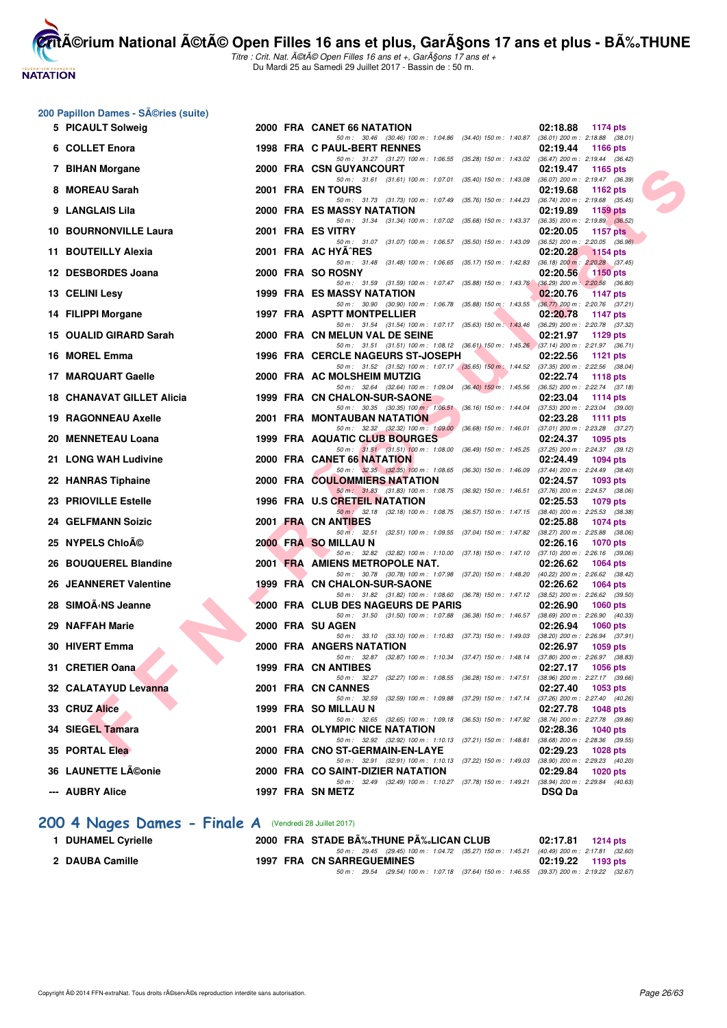# **NATATION FRANÇAISE**

**CritA©rium National A©tA© Open Filles 16 ans et plus, GarA§ons 17 ans et plus - BA%.THUNE** Titre : Crit. Nat. A©tA© Open Filles 16 ans et +, GarA§ons 17 ans et +

Du Mardi 25 au Samedi 29 Juillet 2017 - Bassin de : 50 m.

#### 200 Papillon Dames - Séries (suite)

| 5 PICAULT Solweig            |  | 2000 FRA CANET 66 NATATION                                                                                                     | 02:18.88<br>1174 pts                                    |
|------------------------------|--|--------------------------------------------------------------------------------------------------------------------------------|---------------------------------------------------------|
| 6 COLLET Enora               |  | 50 m: 30.46 (30.46) 100 m: 1:04.86 (34.40) 150 m: 1:40.87 (36.01) 200 m: 2:18.88 (38.01)<br>1998 FRA C PAUL-BERT RENNES        | 02:19.44<br>1166 pts                                    |
| 7 BIHAN Morgane              |  | 50 m : 31.27 (31.27) 100 m : 1:06.55 (35.28) 150 m : 1:43.02 (36.47) 200 m : 2:19.44 (36.42)<br>2000 FRA CSN GUYANCOURT        | 02:19.47<br>1165 $pts$                                  |
| 8 MOREAU Sarah               |  | 50 m: 31.61 (31.61) 100 m: 1:07.01 (35.40) 150 m: 1:43.08 (36.07) 200 m: 2:19.47 (36.39)<br>2001 FRA EN TOURS                  | 02:19.68<br>1162 pts                                    |
| 9 LANGLAIS Lila              |  | 50 m: 31.73 (31.73) 100 m: 1:07.49 (35.76) 150 m: 1:44.23 (36.74) 200 m: 2:19.68 (35.45)<br>2000 FRA ES MASSY NATATION         | 02:19.89<br>1159 pts                                    |
| <b>10 BOURNONVILLE Laura</b> |  | 50 m: 31.34 (31.34) 100 m: 1:07.02 (35.68) 150 m: 1:43.37 (36.35) 200 m: 2:19.89 (36.52)<br>2001 FRA ES VITRY                  | 02:20.05<br>1157 pts                                    |
| 11 BOUTEILLY Alexia          |  | 50 m: 31.07 (31.07) 100 m: 1:06.57 (35.50) 150 m: 1:43.09 (36.52) 200 m: 2:20.05 (36.96)<br>2001 FRA AC HYA^RES                | 02:20.28<br><b>1154 pts</b>                             |
| 12 DESBORDES Joana           |  | 50 m: 31.48 (31.48) 100 m: 1:06.65 (35.17) 150 m: 1:42.83 (36.18) 200 m: 2:20.28 (37.45)<br>2000 FRA SO ROSNY                  | 02:20.56<br>$1150$ pts                                  |
| 13 CELINI Lesy               |  | 50 m: 31.59 (31.59) 100 m: 1:07.47 (35.88) 150 m: 1:43.76 (36.29) 200 m: 2:20.56 (36.80)<br>1999 FRA ES MASSY NATATION         | 02:20.76<br>1147 pts                                    |
|                              |  | 50 m : 30.90 (30.90) 100 m : 1:06.78 (35.88) 150 m : 1:43.55 (36.77) 200 m : 2:20.76 (37.21)                                   | 02:20.78                                                |
| 14 FILIPPI Morgane           |  | 1997 FRA ASPTT MONTPELLIER<br>50 m: 31.54 (31.54) 100 m: 1:07.17 (35.63) 150 m: 1:43.46 (36.29) 200 m: 2:20.78 (37.32)         | <b>1147 pts</b>                                         |
| 15 OUALID GIRARD Sarah       |  | 2000 FRA CN MELUN VAL DE SEINE<br>50 m : 31.51 (31.51) 100 m : 1:08.12 (36.61) 150 m : 1:45.26 (37.14) 200 m : 2:21.97 (36.71) | 02:21.97<br>1129 pts                                    |
| 16 MOREL Emma                |  | 1996 FRA CERCLE NAGEURS ST-JOSEPH<br>50 m: 31.52 (31.52) 100 m: 1:07.17 (35.65) 150 m: 1:44.52 (37.35) 200 m: 2:22.56 (38.04)  | 02:22.56<br>1121 $pts$                                  |
| 17 MARQUART Gaelle           |  | 2000 FRA AC MOLSHEIM MUTZIG                                                                                                    | 02:22.74<br><b>1118 pts</b>                             |
| 18 CHANAVAT GILLET Alicia    |  | 50 m: 32.64 (32.64) 100 m: 1:09.04 (36.40) 150 m: 1:45.56 (36.52) 200 m: 2:22.74 (37.18)<br>1999 FRA CN CHALON-SUR-SAONE       | 02:23.04<br>1114 pts                                    |
|                              |  | 50 m: 30.35 (30.35) 100 m: 1:06.51 (36.16) 150 m: 1:44.04 (37.53) 200 m: 2:23.04 (39.00)                                       |                                                         |
| <b>19 RAGONNEAU Axelle</b>   |  | 2001 FRA MONTAUBAN NATATION<br>50 m: 32.32 (32.32) 100 m: 1:09.00 (36.68) 150 m: 1:46.01 (37.01) 200 m: 2:23.28 (37.27)        | 02:23.28<br><b>1111 pts</b>                             |
| 20 MENNETEAU Loana           |  | 1999 FRA AQUATIC CLUB BOURGES                                                                                                  | 02:24.37<br>1095 pts                                    |
| 21 LONG WAH Ludivine         |  | 50 m: 31.51 (31.51) 100 m: 1:08.00 (36.49) 150 m: 1:45.25 (37.25) 200 m: 2:24.37 (39.12)<br>2000 FRA CANET 66 NATATION         | 02:24.49<br>1094 pts                                    |
|                              |  | 50 m : 32.35 (32.35) 100 m : 1:08.65 (36.30) 150 m : 1:46.09 (37.44) 200 m : 2:24.49 (38.40)                                   |                                                         |
| 22 HANRAS Tiphaine           |  | 2000 FRA COULOMMIERS NATATION<br>50 m : 31.83 (31.83) 100 m : 1:08.75 (36.92) 150 m : 1:46.51 (37.76) 200 m : 2:24.57 (38.06)  | 02:24.57<br>1093 pts                                    |
| 23 PRIOVILLE Estelle         |  | 1996 FRA U.S CRETEIL NATATION                                                                                                  | 02:25.53<br>1079 pts                                    |
| <b>24 GELFMANN Soizic</b>    |  | 50 m : 32.18 (32.18) 100 m : 1:08.75 (36.57) 150 m : 1:47.15 (38.40) 200 m : 2:25.53 (38.38)<br>2001 FRA CN ANTIBES            | 02:25.88<br>1074 pts                                    |
|                              |  | 50 m: 32.51 (32.51) 100 m: 1:09.55 (37.04) 150 m: 1:47.82 (38.27) 200 m: 2:25.88 (38.06)                                       |                                                         |
| 25 NYPELS ChloA©             |  | 2000 FRA SO MILLAU N<br>50 m: 32.82 (32.82) 100 m: 1:10.00 (37.18) 150 m: 1:47.10 (37.10) 200 m: 2:26.16 (39.06)               | 02:26.16<br>1070 pts                                    |
| 26 BOUQUEREL Blandine        |  | 2001 FRA AMIENS METROPOLE NAT.                                                                                                 | 02:26.62<br>1064 pts                                    |
| 26 JEANNERET Valentine       |  | 50 m: 30.78 (30.78) 100 m: 1:07.98 (37.20) 150 m: 1:48.20 (40.22) 200 m: 2:26.62 (38.42)<br>1999 FRA CN CHALON-SUR-SAONE       | 02:26.62<br>1064 pts                                    |
|                              |  | 50 m: 31.82 (31.82) 100 m: 1:08.60 (36.78) 150 m: 1:47.12 (38.52) 200 m: 2:26.62 (39.50)                                       |                                                         |
| 28 SIMOÃ < NS Jeanne         |  | 2000 FRA CLUB DES NAGEURS DE PARIS<br>50 m: 31.50 (31.50) 100 m: 1:07.88 (36.38) 150 m: 1:46.57 (38.69) 200 m: 2:26.90 (40.33) | 02:26.90<br>1060 $pts$                                  |
| 29 NAFFAH Marie              |  | 2000 FRA SU AGEN                                                                                                               | 02:26.94<br><b>1060 pts</b>                             |
| 30 HIVERT Emma               |  | 50 m: 33.10 (33.10) 100 m: 1:10.83 (37.73) 150 m: 1:49.03 (38.20) 200 m: 2:26.94 (37.91)<br>2000 FRA ANGERS NATATION           | 02:26.97<br>1059 pts                                    |
| 31 CRETIER Oana              |  | 50 m: 32.87 (32.87) 100 m: 1:10.34 (37.47) 150 m: 1:48.14 (37.80) 200 m: 2:26.97 (38.83)<br>1999 FRA CN ANTIBES                | 02:27.17<br><b>1056 pts</b>                             |
|                              |  | 50 m: 32.27 (32.27) 100 m: 1:08.55 (36.28) 150 m: 1:47.51 (38.96) 200 m: 2:27.17 (39.66)                                       |                                                         |
| 32 CALATAYUD Levanna         |  | 2001 FRA CN CANNES<br>50 m: 32.59 (32.59) 100 m: 1:09.88 (37.29) 150 m: 1:47.14 (37.26) 200 m: 2:27.40 (40.26)                 | 02:27.40<br>1053 pts                                    |
| 33 CRUZ Alice                |  | 1999 FRA SO MILLAU N                                                                                                           | 02:27.78<br><b>1048 pts</b>                             |
| 34 SIEGEL Tamara             |  | 50 m : 32.65 (32.65) 100 m : 1:09.18 (36.53) 150 m : 1:47.92 (38.74) 200 m : 2:27.78 (39.86)<br>2001 FRA OLYMPIC NICE NATATION | 02:28.36<br><b>1040 pts</b>                             |
|                              |  | 50 m : 32.92 (32.92) 100 m : 1:10.13 (37.21) 150 m : 1:48.81 (38.68) 200 m : 2:28.36 (39.55)                                   |                                                         |
| 35 PORTAL Elea               |  | 2000 FRA CNO ST-GERMAIN-EN-LAYE<br>50 m : 32.91 (32.91) 100 m : 1:10.13 (37.22) 150 m : 1:49.03                                | 02:29.23<br>1028 pts<br>(38.90) 200 m : 2:29.23 (40.20) |
| 36 LAUNETTE Léonie           |  | 2000 FRA CO SAINT-DIZIER NATATION                                                                                              | 02:29.84<br><b>1020 pts</b>                             |
| --- AUBRY Alice              |  | 50 m : 32.49 (32.49) 100 m : 1:10.27 (37.78) 150 m : 1:49.21<br>1997 FRA SN METZ                                               | $(38.94)$ 200 m : 2:29.84 $(40.63)$<br><b>DSQ Da</b>    |
|                              |  |                                                                                                                                |                                                         |

# [200 4 Nages Dames - Finale A](http://www.ffnatation.fr/webffn/resultats.php?idact=nat&go=epr&idcpt=47487&idepr=41) **(Vendredi 28 Juillet 2017**)

| <b>DUHAMEL Cyrielle</b> | 2000 FRA STADE B‰THUNE P‰LICAN CLUB                                                          | 02:17.81 1214 pts   |
|-------------------------|----------------------------------------------------------------------------------------------|---------------------|
|                         | 50 m : 29.45 (29.45) 100 m : 1:04.72 (35.27) 150 m : 1:45.21 (40.49) 200 m : 2:17.81 (32.60) |                     |
| 2 DAUBA Camille         | <b>1997 FRA CN SARREGUEMINES</b>                                                             | $02:19.22$ 1193 pts |
|                         | 50 m : 29.54 (29.54) 100 m : 1:07.18 (37.64) 150 m : 1:46.55 (39.37) 200 m : 2:19.22 (32.67) |                     |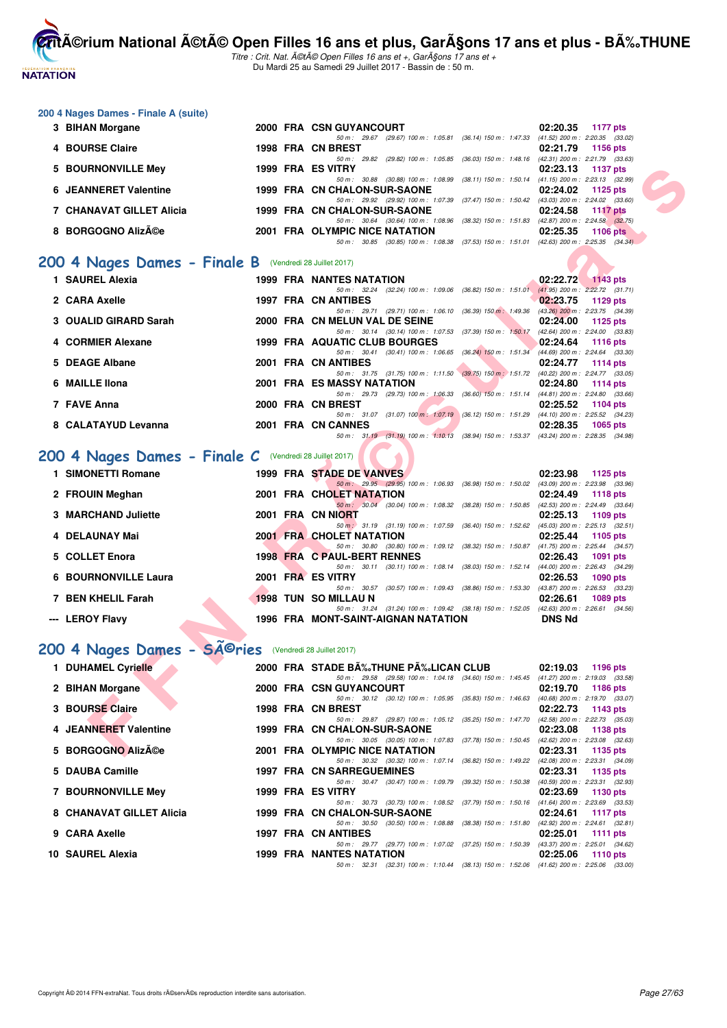**NATATION** 

**CritA©rium National A©tA© Open Filles 16 ans et plus, GarA§ons 17 ans et plus - BA%.THUNE** Titre : Crit. Nat. A©tA© Open Filles 16 ans et +, GarA§ons 17 ans et +

Du Mardi 25 au Samedi 29 Juillet 2017 - Bassin de : 50 m.

#### **200 4 Nages Dames - Finale A (suite)**

| 3 BIHAN Morgane              |  | 2000 FRA CSN GUYANCOURT                                                     | 02:20.35 1177 pts |                                     |
|------------------------------|--|-----------------------------------------------------------------------------|-------------------|-------------------------------------|
|                              |  | (29.67) 100 m: 1:05.81 (36.14) 150 m: 1:47.33<br>$50 \text{ m}$ : 29.67     |                   | $(41.52)$ 200 m : 2:20.35 $(33.02)$ |
| 4 BOURSE Claire              |  | 1998 FRA CN BREST                                                           | 02:21.79 1156 pts |                                     |
|                              |  | (29.82) 100 m : 1:05.85 (36.03) 150 m : 1:48.16<br>50 m : 29.82             |                   | $(42.31)$ 200 m : 2:21.79 $(33.63)$ |
| 5 BOURNONVILLE Mey           |  | 1999 FRA ES VITRY                                                           | 02:23.13 1137 pts |                                     |
|                              |  | 50 m: 30.88 (30.88) 100 m: 1:08.99 (38.11) 150 m: 1:50.14                   |                   | $(41.15)$ 200 m : 2:23.13 $(32.99)$ |
| <b>6 JEANNERET Valentine</b> |  | 1999 FRA CN CHALON-SUR-SAONE                                                | 02:24.02 1125 pts |                                     |
|                              |  | 50 m: 29.92 (29.92) 100 m: 1:07.39 (37.47) 150 m: 1:50.42                   |                   | $(43.03)$ 200 m : 2:24.02 $(33.60)$ |
| 7 CHANAVAT GILLET Alicia     |  | 1999 FRA CN CHALON-SUR-SAONE                                                | 02:24.58 1117 pts |                                     |
|                              |  | (30.64) 100 m : 1:08.96 (38.32) 150 m : 1:51.83<br>$50 \text{ m}$ : $30.64$ |                   | $(42.87)$ 200 m : 2:24.58 $(32.75)$ |
| 8 BORGOGNO Alizée            |  | 2001 FRA OLYMPIC NICE NATATION                                              | 02:25.35 1106 pts |                                     |
|                              |  | 50 m: 30.85 (30.85) 100 m: 1:08.38 (37.53) 150 m: 1:51.01                   |                   | $(42.63)$ 200 m : 2:25.35 $(34.34)$ |

#### [200 4 Nages Dames - Finale B](http://www.ffnatation.fr/webffn/resultats.php?idact=nat&go=epr&idcpt=47487&idepr=41) (Vendredi 28 Juillet 2017)

| 5 BOURNONVILLE Mey                                       |  | 1999 FRA ES VITRY                                                                                                          | 02:23.13      | 1137 pts                            |
|----------------------------------------------------------|--|----------------------------------------------------------------------------------------------------------------------------|---------------|-------------------------------------|
| <b>6 JEANNERET Valentine</b>                             |  | 50 m: 30.88 (30.88) 100 m: 1:08.99 (38.11) 150 m: 1:50.14 (41.15) 200 m: 2:23.13 (32.99)<br>1999 FRA CN CHALON-SUR-SAONE   | 02:24.02      | 1125 pts                            |
|                                                          |  | 50 m: 29.92 (29.92) 100 m: 1:07.39 (37.47) 150 m: 1:50.42 (43.03) 200 m: 2:24.02 (33.60)                                   |               |                                     |
| 7 CHANAVAT GILLET Alicia                                 |  | 1999 FRA CN CHALON-SUR-SAONE<br>50 m: 30.64 (30.64) 100 m: 1:08.96 (38.32) 150 m: 1:51.83 (42.87) 200 m: 2:24.58 (32.75)   | 02:24.58      | <b>1117 pts</b>                     |
| 8 BORGOGNO AlizA©e                                       |  | 2001 FRA OLYMPIC NICE NATATION                                                                                             | 02:25.35      | <b>1106 pts</b>                     |
|                                                          |  | 50 m: 30.85 (30.85) 100 m: 1:08.38 (37.53) 150 m: 1:51.01 (42.63) 200 m: 2:25.35 (34.34)                                   |               |                                     |
|                                                          |  |                                                                                                                            |               |                                     |
| 00 4 Nages Dames - Finale B (Vendredi 28 Juillet 2017)   |  |                                                                                                                            |               |                                     |
| 1 SAUREL Alexia                                          |  | <b>1999 FRA NANTES NATATION</b>                                                                                            |               | 02:22.72 1143 pts                   |
|                                                          |  | 50 m: 32.24 (32.24) 100 m: 1:09.06 (36.82) 150 m: 1:51.01 (41.95) 200 m: 2:22.72 (31.71)                                   |               |                                     |
| 2 CARA Axelle                                            |  | 1997 FRA CN ANTIBES                                                                                                        | 02:23.75      | 1129 pts                            |
| 3 OUALID GIRARD Sarah                                    |  | 50 m: 29.71 (29.71) 100 m: 1:06.10 (36.39) 150 m: 1:49.36 (43.26) 200 m: 2:23.75 (34.39)<br>2000 FRA CN MELUN VAL DE SEINE | 02:24.00      | 1125 pts                            |
|                                                          |  | 50 m: 30.14 (30.14) 100 m: 1:07.53 (37.39) 150 m: 1:50.17 (42.64) 200 m: 2:24.00 (33.83)                                   |               |                                     |
| 4 CORMIER Alexane                                        |  | 1999 FRA AQUATIC CLUB BOURGES                                                                                              | 02:24.64      | <b>1116 pts</b>                     |
|                                                          |  | 50 m: 30.41 (30.41) 100 m: 1:06.65 (36.24) 150 m: 1:51.34 (44.69) 200 m: 2:24.64 (33.30)                                   |               |                                     |
| 5 DEAGE Albane                                           |  | 2001 FRA CN ANTIBES                                                                                                        | 02:24.77      | 1114 pts                            |
|                                                          |  | 50 m: 31.75 (31.75) 100 m: 1:11.50 (39.75) 150 m: 1:51.72 (40.22) 200 m: 2:24.77 (33.05)                                   |               |                                     |
| 6 MAILLE IIona                                           |  | 2001 FRA ES MASSY NATATION<br>50 m: 29.73 (29.73) 100 m: 1:06.33 (36.60) 150 m: 1:51.14 (44.81) 200 m: 2:24.80 (33.66)     | 02:24.80      | 1114 pts                            |
| 7 FAVE Anna                                              |  | 2000 FRA CN BREST                                                                                                          | 02:25.52      | <b>1104 pts</b>                     |
|                                                          |  | 50 m: 31.07 (31.07) 100 m: 1:07.19 (36.12) 150 m: 1:51.29 (44.10) 200 m: 2:25.52 (34.23)                                   |               |                                     |
| 8 CALATAYUD Levanna                                      |  | 2001 FRA CN CANNES                                                                                                         | 02:28.35      | 1065 pts                            |
|                                                          |  | 50 m: 31.19 (31.19) 100 m: 1:10.13 (38.94) 150 m: 1:53.37 (43.24) 200 m: 2:28.35 (34.98)                                   |               |                                     |
| 00 4 Nages Dames - Finale $C$ (Vendredi 28 Juillet 2017) |  |                                                                                                                            |               |                                     |
|                                                          |  |                                                                                                                            |               |                                     |
| 1 SIMONETTI Romane                                       |  | 1999 FRA STADE DE VANVES                                                                                                   | 02:23.98      | 1125 pts                            |
|                                                          |  | 50 m : 29.95 (29.95) 100 m : 1:06.93 (36.98) 150 m : 1:50.02 (43.09) 200 m : 2:23.98 (33.96)                               |               |                                     |
| 2 FROUIN Meghan                                          |  | 2001 FRA CHOLET NATATION<br>50 m: 30.04 (30.04) 100 m: 1:08.32 (38.28) 150 m: 1:50.85 (42.53) 200 m: 2:24.49 (33.64)       | 02:24.49      | 1118 pts                            |
| 3 MARCHAND Juliette                                      |  | 2001 FRA CN NIORT                                                                                                          | 02:25.13      | 1109 pts                            |
|                                                          |  | 50 m : 31.19 (31.19) 100 m : 1:07.59 (36.40) 150 m : 1:52.62 (45.03) 200 m : 2:25.13 (32.51)                               |               |                                     |
| 4 DELAUNAY Mai                                           |  | <b>2001 FRA CHOLET NATATION</b>                                                                                            | 02:25.44      | 1105 pts                            |
|                                                          |  | 50 m: 30.80 (30.80) 100 m: 1:09.12 (38.32) 150 m: 1:50.87 (41.75) 200 m: 2:25.44 (34.57)                                   |               |                                     |
| 5 COLLET Enora                                           |  | 1998 FRA C PAUL-BERT RENNES                                                                                                | 02:26.43      | 1091 pts                            |
| <b>6 BOURNONVILLE Laura</b>                              |  | 50 m: 30.11 (30.11) 100 m: 1:08.14 (38.03) 150 m: 1:52.14                                                                  |               | $(44.00)$ 200 m : 2:26.43 $(34.29)$ |
|                                                          |  | 2001 FRA ES VITRY<br>50 m: 30.57 (30.57) 100 m: 1:09.43 (38.86) 150 m: 1:53.30 (43.87) 200 m: 2:26.53 (33.23)              | 02:26.53      | <b>1090 pts</b>                     |
| 7 BEN KHELIL Farah                                       |  | <b>1998 TUN SO MILLAU N</b>                                                                                                | 02:26.61      | <b>1089 pts</b>                     |
|                                                          |  | 50 m: 31.24 (31.24) 100 m: 1:09.42 (38.18) 150 m: 1:52.05 (42.63) 200 m: 2:26.61 (34.56)                                   |               |                                     |
| --- LEROY Flavy                                          |  | 1996 FRA MONT-SAINT-AIGNAN NATATION                                                                                        | <b>DNS Nd</b> |                                     |
|                                                          |  |                                                                                                                            |               |                                     |
| 00 4 Nages Dames - SA©ries                               |  | (Vendredi 28 Juillet 2017)                                                                                                 |               |                                     |
|                                                          |  |                                                                                                                            |               |                                     |
| 1 DUHAMEL Cyrielle                                       |  | 2000 FRA STADE BĉTHUNE PĉLICAN CLUB                                                                                        | 02:19.03      | 1196 pts                            |
| 2 BIHAN Morgane                                          |  | 50 m: 29.58 (29.58) 100 m: 1:04.18 (34.60) 150 m: 1:45.45 (41.27) 200 m: 2:19.03 (33.58)<br>2000 FRA CSN GUYANCOURT        | 02:19.70      | <b>1186 pts</b>                     |
|                                                          |  | 50 m: 30.12 (30.12) 100 m: 1:05.95 (35.83) 150 m: 1:46.63 (40.68) 200 m: 2:19.70 (33.07)                                   |               |                                     |
| 3 BOURSE Claire                                          |  | 1998 FRA CN BREST                                                                                                          | 02:22.73      | 1143 pts                            |
|                                                          |  | 50 m: 29.87 (29.87) 100 m: 1:05.12 (35.25) 150 m: 1:47.70 (42.58) 200 m: 2:22.73 (35.03)                                   |               |                                     |
| 4 JEANNERET Valentine                                    |  | 1999 FRA CN CHALON-SUR-SAONE                                                                                               | 02:23.08      | 1138 pts                            |
|                                                          |  | 50 m: 30.05 (30.05) 100 m: 1:07.83 (37.78) 150 m: 1:50.45 (42.62) 200 m: 2:23.08 (32.63)                                   |               |                                     |
| 5 BORGOGNO AlizA©e                                       |  | 2001 FRA OLYMPIC NICE NATATION                                                                                             | 02:23.31      | 1135 pts                            |

# [200 4 Nages Dames - Finale C](http://www.ffnatation.fr/webffn/resultats.php?idact=nat&go=epr&idcpt=47487&idepr=41) (Vendredi 28 Juillet 2017)

| 1 SIMONETTI Romane          |  | <b>1999 FRA STADE DE VANVES</b>                                             | 02:23.98      | 1125 pts                        |
|-----------------------------|--|-----------------------------------------------------------------------------|---------------|---------------------------------|
|                             |  | 50 m: 29.95 (29.95) 100 m: 1:06.93 (36.98) 150 m: 1:50.02                   |               | (43.09) 200 m : 2:23.98 (33.96  |
| 2 FROUIN Meghan             |  | 2001 FRA CHOLET NATATION                                                    | 02:24.49      | 1118 pts                        |
|                             |  | (30.04) 100 m : 1:08.32 (38.28) 150 m : 1:50.85<br>$50 \text{ m}$ : $30.04$ |               | (42.53) 200 m : 2:24.49 (33.64) |
| 3 MARCHAND Juliette         |  | 2001 FRA CN NIORT                                                           | 02:25.13      | 1109 pts                        |
|                             |  | 50 m : 31.19 (31.19) 100 m : 1:07.59 (36.40) 150 m : 1:52.62                |               | (45.03) 200 m : 2:25.13 (32.51  |
| 4 DELAUNAY Mai              |  | <b>2001 FRA CHOLET NATATION</b>                                             | 02:25.44      | 1105 pts                        |
|                             |  | 50 m: 30.80 (30.80) 100 m: 1:09.12 (38.32) 150 m: 1:50.87                   |               | (41.75) 200 m : 2:25.44 (34.57) |
| 5 COLLET Enora              |  | <b>1998 FRA C PAUL-BERT RENNES</b>                                          | 02:26.43      | 1091 pts                        |
|                             |  | (30.11) 100 m : 1:08.14 (38.03) 150 m : 1:52.14<br>50 m : 30.11             |               | (44.00) 200 m : 2:26.43 (34.29  |
| <b>6 BOURNONVILLE Laura</b> |  | 2001 FRA ES VITRY                                                           | 02:26.53      | 1090 pts                        |
|                             |  | (30.57) 100 m : 1:09.43 (38.86) 150 m : 1:53.30<br>50 m : 30.57             |               | (43.87) 200 m : 2:26.53 (33.23  |
| 7 BEN KHELIL Farah          |  | <b>1998 TUN SO MILLAU N</b>                                                 | 02:26.61      | 1089 pts                        |
|                             |  | 50 m: 31.24 (31.24) 100 m: 1:09.42 (38.18) 150 m: 1:52.05                   |               | (42.63) 200 m : 2:26.61 (34.56  |
| --- LEROY Flavy             |  | 1996 FRA MONT-SAINT-AIGNAN NATATION                                         | <b>DNS Nd</b> |                                 |

# 200 4 Nages Dames - SÃ<sup>@</sup>ries (Vendredi 28 Juillet 2017)

| 1 DUHAMEL Cyrielle        |  | 2000 FRA STADE BÉTHUNE PÉLICAN CLUB<br>02:19.03<br>1196 pts                                            |
|---------------------------|--|--------------------------------------------------------------------------------------------------------|
|                           |  | 50 m : 29.58 (29.58) 100 m : 1:04.18 (34.60) 150 m : 1:45.45<br>(41.27) 200 m : 2:19.03 (33.58)        |
| 2 BIHAN Morgane           |  | 2000 FRA CSN GUYANCOURT<br>02:19.70<br>1186 $pts$                                                      |
|                           |  | (40.68) 200 m : 2:19.70 (33.07)<br>50 m : 30.12 (30.12) 100 m : 1:05.95 (35.83) 150 m : 1:46.63        |
| 3 BOURSE Claire           |  | 1998 FRA CN BREST<br>02:22.73<br>1143 pts                                                              |
|                           |  | (42.58) 200 m : 2:22.73 (35.03)<br>50 m: 29.87 (29.87) 100 m: 1:05.12 (35.25) 150 m: 1:47.70           |
| 4 JEANNERET Valentine     |  | 1999 FRA CN CHALON-SUR-SAONE<br>02:23.08<br>1138 pts                                                   |
|                           |  | $(42.62)$ 200 m : 2:23.08 $(32.63)$<br>50 m: 30.05 (30.05) 100 m: 1:07.83 (37.78) 150 m: 1:50.45       |
| 5 BORGOGNO Alizée         |  | 2001 FRA OLYMPIC NICE NATATION<br>02:23.31<br>1135 pts                                                 |
|                           |  | (42.08) 200 m : 2:23.31 (34.09)<br>50 m : 30.32 (30.32) 100 m : 1:07.14 (36.82) 150 m : 1:49.22        |
| 5 DAUBA Camille           |  | <b>1997 FRA CN SARREGUEMINES</b><br>02:23.31<br>1135 pts                                               |
|                           |  | (40.59) 200 m : 2:23.31 (32.93)<br>50 m: 30.47 (30.47) 100 m: 1:09.79 (39.32) 150 m: 1:50.38           |
| <b>7 BOURNONVILLE Mey</b> |  | 1999 FRA ES VITRY<br>02:23.69<br>1130 pts                                                              |
|                           |  | $(41.64)$ 200 m : 2:23.69 $(33.53)$<br>50 m : 30.73 (30.73) 100 m : 1:08.52 (37.79) 150 m : 1:50.16    |
| 8 CHANAVAT GILLET Alicia  |  | 1999 FRA CN CHALON-SUR-SAONE<br>02:24.61<br>1117 pts                                                   |
|                           |  | (42.92) 200 m : 2:24.61 (32.81)<br>$(30.50)$ 100 m : 1:08.88 $(38.38)$ 150 m : 1:51.80<br>50 m : 30.50 |
| 9 CARA Axelle             |  | 1997 FRA CN ANTIBES<br>02:25.01<br>1111 $pts$                                                          |
|                           |  | (43.37) 200 m : 2:25.01 (34.62)<br>50 m : 29.77 (29.77) 100 m : 1:07.02 (37.25) 150 m : 1:50.39        |
| 10 SAUREL Alexia          |  | 02:25.06<br><b>1999 FRA NANTES NATATION</b><br>1110 $pts$                                              |
|                           |  | 50 m: 32.31 (32.31) 100 m: 1:10.44 (38.13) 150 m: 1:52.06 (41.62) 200 m: 2:25.06 (33.00                |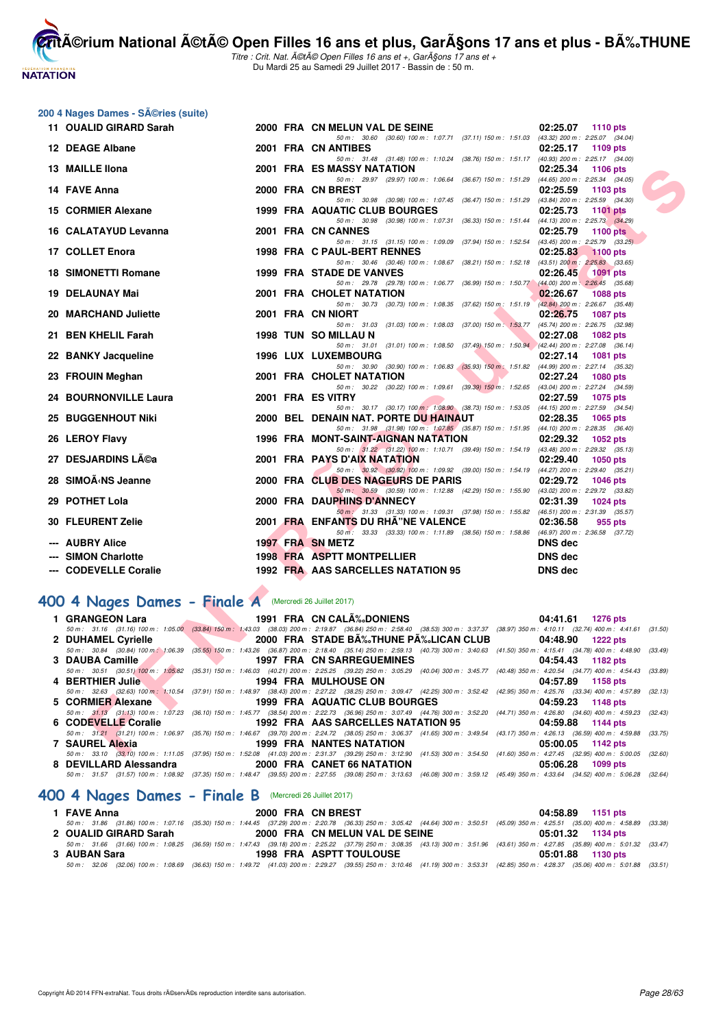

Titre : Crit. Nat. A©tA© Open Filles 16 ans et +, GarA§ons 17 ans et + Du Mardi 25 au Samedi 29 Juillet 2017 - Bassin de : 50 m.

# **200 4 Nages Dames - Séries (suite)**

| 11 OUALID GIRARD Sarah                                                                                                                                                                                                                                                         |  | 2000 FRA CN MELUN VAL DE SEINE                                                                                                                                                                                              | 02:25.07<br><b>1110 pts</b> |  |
|--------------------------------------------------------------------------------------------------------------------------------------------------------------------------------------------------------------------------------------------------------------------------------|--|-----------------------------------------------------------------------------------------------------------------------------------------------------------------------------------------------------------------------------|-----------------------------|--|
| 12 DEAGE Albane                                                                                                                                                                                                                                                                |  | 50 m: 30.60 (30.60) 100 m: 1:07.71 (37.11) 150 m: 1:51.03 (43.32) 200 m: 2:25.07 (34.04)<br>2001 FRA CN ANTIBES                                                                                                             | 02:25.17<br>1109 pts        |  |
| 13 MAILLE Ilona                                                                                                                                                                                                                                                                |  | 50 m: 31.48 (31.48) 100 m: 1:10.24 (38.76) 150 m: 1:51.17 (40.93) 200 m: 2:25.17 (34.00)<br>2001 FRA ES MASSY NATATION                                                                                                      | 02:25.34<br>1106 $pts$      |  |
|                                                                                                                                                                                                                                                                                |  | 50 m: 29.97 (29.97) 100 m: 1:06.64 (36.67) 150 m: 1:51.29 (44.65) 200 m: 2:25.34 (34.05)                                                                                                                                    |                             |  |
| 14 FAVE Anna                                                                                                                                                                                                                                                                   |  | 2000 FRA CN BREST<br>50 m: 30.98 (30.98) 100 m: 1:07.45 (36.47) 150 m: 1:51.29 (43.84) 200 m: 2:25.59 (34.30)                                                                                                               | 02:25.59<br>1103 pts        |  |
| 15 CORMIER Alexane                                                                                                                                                                                                                                                             |  | 1999 FRA AQUATIC CLUB BOURGES<br>50 m: 30.98 (30.98) 100 m: 1:07.31 (36.33) 150 m: 1:51.44 (44.13) 200 m: 2:25.73 (34.29)                                                                                                   | 02:25.73<br><b>1101 pts</b> |  |
| 16 CALATAYUD Levanna                                                                                                                                                                                                                                                           |  | 2001 FRA CN CANNES                                                                                                                                                                                                          | 02:25.79<br><b>1100 pts</b> |  |
| 17 COLLET Enora                                                                                                                                                                                                                                                                |  | 50 m: 31.15 (31.15) 100 m: 1.09.09 (37.94) 150 m: 1.52.54 (43.45) 200 m: 2:25.79 (33.25)<br>1998 FRA C PAUL-BERT RENNES                                                                                                     | 02:25.83<br>$1100$ pts      |  |
|                                                                                                                                                                                                                                                                                |  | 50 m: 30.46 (30.46) 100 m: 1:08.67 (38.21) 150 m: 1:52.18 (43.51) 200 m: 2:25.83 (33.65)                                                                                                                                    |                             |  |
| <b>18 SIMONETTI Romane</b>                                                                                                                                                                                                                                                     |  | 1999 FRA STADE DE VANVES<br>50 m: 29.78 (29.78) 100 m: 1:06.77 (36.99) 150 m: 1:50.77 (44.00) 200 m: 2:26.45 (35.68)                                                                                                        | 02:26.45<br><b>1091 pts</b> |  |
| 19 DELAUNAY Mai                                                                                                                                                                                                                                                                |  | 2001 FRA CHOLET NATATION                                                                                                                                                                                                    | 02:26.67<br><b>1088 pts</b> |  |
| 20 MARCHAND Juliette                                                                                                                                                                                                                                                           |  | 50 m: 30.73 (30.73) 100 m: 1:08.35 (37.62) 150 m: 1:51.19 (42.84) 200 m: 2:26.67 (35.48)<br>2001 FRA CN NIORT                                                                                                               | 02:26.75<br><b>1087 pts</b> |  |
|                                                                                                                                                                                                                                                                                |  | 50 m: 31.03 (31.03) 100 m: 1:08.03 (37.00) 150 m: 1:53.77 (45.74) 200 m: 2:26.75 (32.98)                                                                                                                                    |                             |  |
| 21 BEN KHELIL Farah                                                                                                                                                                                                                                                            |  | 1998 TUN SO MILLAU N<br>50 m: 31.01 (31.01) 100 m: 1:08.50 (37.49) 150 m: 1:50.94 (42.44) 200 m: 2:27.08 (36.14)                                                                                                            | 02:27.08<br>1082 pts        |  |
| 22 BANKY Jacqueline                                                                                                                                                                                                                                                            |  | <b>1996 LUX LUXEMBOURG</b>                                                                                                                                                                                                  | 02:27.14<br>1081 pts        |  |
| 23 FROUIN Meghan                                                                                                                                                                                                                                                               |  | 50 m: 30.90 (30.90) 100 m: 1:06.83 (35.93) 150 m: 1:51.82 (44.99) 200 m: 2:27.14 (35.32)<br>2001 FRA CHOLET NATATION                                                                                                        | 02:27.24<br><b>1080 pts</b> |  |
|                                                                                                                                                                                                                                                                                |  | 50 m: 30.22 (30.22) 100 m: 1:09.61 (39.39) 150 m: 1:52.65 (43.04) 200 m: 2:27.24 (34.59)                                                                                                                                    |                             |  |
| 24 BOURNONVILLE Laura                                                                                                                                                                                                                                                          |  | 2001 FRA ES VITRY<br>50 m: 30.17 (30.17) 100 m: 1:08.90 (38.73) 150 m: 1:53.05 (44.15) 200 m: 2:27.59 (34.54)                                                                                                               | 02:27.59<br>1075 pts        |  |
| <b>25 BUGGENHOUT Niki</b>                                                                                                                                                                                                                                                      |  | 2000 BEL DENAIN NAT. PORTE DU HAINAUT                                                                                                                                                                                       | 02:28.35<br>1065 pts        |  |
| 26 LEROY Flavy                                                                                                                                                                                                                                                                 |  | 50 m: 31.98 (31.98) 100 m: 1:07.85 (35.87) 150 m: 1:51.95 (44.10) 200 m: 2:28.35 (36.40)<br>1996 FRA MONT-SAINT-AIGNAN NATATION                                                                                             | 02:29.32<br>1052 pts        |  |
|                                                                                                                                                                                                                                                                                |  | 50 m: 31.22 (31.22) 100 m: 1:10.71 (39.49) 150 m: 1:54.19 (43.48) 200 m: 2:29.32 (35.13)                                                                                                                                    |                             |  |
| 27 DESJARDINS Lĩa                                                                                                                                                                                                                                                              |  | 2001 FRA PAYS D'AIX NATATION<br>50 m: 30.92 (30.92) 100 m: 1:09.92 (39.00) 150 m: 1:54.19 (44.27) 200 m: 2:29.40 (35.21)                                                                                                    | 02:29.40<br><b>1050 pts</b> |  |
| 28 SIMOÄ NS Jeanne                                                                                                                                                                                                                                                             |  | 2000 FRA CLUB DES NAGEURS DE PARIS                                                                                                                                                                                          | 02:29.72<br><b>1046 pts</b> |  |
| 29 POTHET Lola                                                                                                                                                                                                                                                                 |  | 50 m: 30.59 (30.59) 100 m: 1:12.88 (42.29) 150 m: 1:55.90 (43.02) 200 m: 2:29.72 (33.82)<br>2000 FRA DAUPHINS D'ANNECY                                                                                                      | 02:31.39<br><b>1024 pts</b> |  |
|                                                                                                                                                                                                                                                                                |  | 50 m: 31.33 (31.33) 100 m: 1:09.31 (37.98) 150 m: 1:55.82 (46.51) 200 m: 2:31.39 (35.57)                                                                                                                                    |                             |  |
| 30 FLEURENT Zelie                                                                                                                                                                                                                                                              |  | 2001 FRA ENFANTS DU RHÂ"NE VALENCE                                                                                                                                                                                          | 02:36.58<br>955 pts         |  |
| --- AUBRY Alice                                                                                                                                                                                                                                                                |  | 50 m: 33.33 (33.33) 100 m: 1:11.89 (38.56) 150 m: 1:58.86 (46.97) 200 m: 2:36.58 (37.72)<br>1997 FRA SN METZ                                                                                                                | <b>DNS dec</b>              |  |
| --- SIMON Charlotte                                                                                                                                                                                                                                                            |  | 1998 FRA ASPTT MONTPELLIER                                                                                                                                                                                                  | <b>DNS</b> dec              |  |
| --- CODEVELLE Coralie                                                                                                                                                                                                                                                          |  | 1992 FRA AAS SARCELLES NATATION 95                                                                                                                                                                                          | <b>DNS dec</b>              |  |
|                                                                                                                                                                                                                                                                                |  |                                                                                                                                                                                                                             |                             |  |
| 00 4 Nages Dames - Finale A (Mercredi 26 Juillet 2017)                                                                                                                                                                                                                         |  |                                                                                                                                                                                                                             |                             |  |
| 1 GRANGEON Lara                                                                                                                                                                                                                                                                |  | 1991 FRA CN CALA‰DONIENS                                                                                                                                                                                                    | 04:41.61 1276 pts           |  |
| 2 DUHAMEL Cyrielle<br>$\blacksquare$ .<br><u>the contract of the contract of the contract of the contract of the contract of the contract of the contract of the contract of the contract of the contract of the contract of the contract of the contract of the contract </u> |  | 50 m: 31.16 (31.16) 100 m: 1:05.00 (33.84) 150 m: 1:43.03 (38.03) 200 m: 2:19.87 (36.84) 250 m: 2:58.40 (38.53) 300 m: 3:37.37 (38.97) 350 m: 4:10.11 (32.74) 400 m: 4:41.61 (31.50)<br>2000 FRA STADE BĉTHUNE PĉLICAN CLUB | 04:48.90 1222 pts           |  |
|                                                                                                                                                                                                                                                                                |  | 50 m: 30.84 (30.84) 100 m; 1:06.39 (35.55) 150 m: 1:43.26 (36.87) 200 m: 2:18.40 (35.14) 250 m: 2:59.13 (40.73) 300 m: 3:40.63 (41.50) 350 m: 4:15.41 (34.78) 400 m: 4:48.90 (33.49)                                        |                             |  |
| 3 DAUBA Camille                                                                                                                                                                                                                                                                |  | <b>1997 FRA CN SARREGUEMINES</b>                                                                                                                                                                                            | 04:54.43<br>1182 pts        |  |
| 4 BERTHIER Julie                                                                                                                                                                                                                                                               |  | 50 m: 30.51 (30.51) 100 m: 1:05.82 (35.31) 150 m: 1:46.03 (40.21) 200 m: 2:25.25 (39.22) 250 m: 3:05.29 (40.04) 300 m: 3:45.77 (40.48) 350 m: 4:20.54 (34.77) 400 m: 4:54.43 (33.89)<br><b>1994 FRA MULHOUSE ON</b>         | 04:57.89<br>1158 pts        |  |
|                                                                                                                                                                                                                                                                                |  | 50 m: 32.63 (32.63) 100 m: 1:10.54 (37.91) 150 m: 1:48.97 (38.43) 200 m: 2:27.22 (38.25) 250 m: 3:09.47 (42.25) 300 m: 3:52.42 (42.95) 350 m: 4:25.76 (33.34) 400 m: 4:57.89 (32.13)                                        |                             |  |
| $\mathbf{L}$<br>5 CORMIER Alexane                                                                                                                                                                                                                                              |  | 1999 FRA AQUATIC CLUB BOURGES<br>50 m: 31.13 (31.13) 100 m: 1:07.23 (36.10) 150 m: 1:45.77 (36.54) 200 m: 2:22.73 (36.96) 250 m: 3:07.49 (44.76) 300 m: 3:52.20 (44.71) 350 m: 4:26.80 (34.60) 400 m: 4:59.23 (32.43)       | 04:59.23<br><b>1148 pts</b> |  |
| 6 CODEVELLE Coralie                                                                                                                                                                                                                                                            |  | 1992 FRA AAS SARCELLES NATATION 95                                                                                                                                                                                          | 04:59.88<br>1144 pts        |  |
| 7 SAUREL Alexia                                                                                                                                                                                                                                                                |  | 50 m: 31.21 (31.21) 100 m: 1:06.97 (35.76) 150 m: 1:46.67 (39.70) 200 m: 2:24.72 (38.05) 250 m: 3:06.37 (41.65) 300 m: 3:49.54 (43.17) 350 m: 4:26.13 (36.59) 400 m: 4:59.88 (33.75)<br><b>1999 FRA NANTES NATATION</b>     | 05:00.05 1142 pts           |  |
|                                                                                                                                                                                                                                                                                |  | 50 m; 33.10 (33.10) 100 m; 1:11.05 (37.95) 150 m; 1:52.08 (41.03) 200 m; 2:31.37 (39.29) 250 m; 3:12.90 (41.53) 300 m; 3:54.50 (41.60) 350 m; 4:27.45 (32.95) 400 m; 5:00.05 (32.60)                                        |                             |  |

# **[400 4 Nages Dames - Finale A](http://www.ffnatation.fr/webffn/resultats.php?idact=nat&go=epr&idcpt=47487&idepr=42)** (Mercredi 26 Juillet 2017)

| 1 GRANGEON Lara     |                                            | 1991 FRA CN CALÉDONIENS 04:41.61 1276 pts                                                                                                                                            |                   |
|---------------------|--------------------------------------------|--------------------------------------------------------------------------------------------------------------------------------------------------------------------------------------|-------------------|
|                     |                                            | 50 m: 31.16 (31.16) 100 m: 1:05.00 (33.84) 150 m: 1:43.03 (38.03) 200 m: 2:19.87 (36.84) 250 m: 2:58.40 (38.53) 300 m: 3:37.37 (38.97) 350 m: 4:10.11 (32.74) 400 m: 4:41.61 (31.50) |                   |
| 2 DUHAMEL Cyrielle  |                                            | 2000 FRA STADE BA%THUNE PA%LICAN CLUB 04:48.90 1222 pts                                                                                                                              |                   |
|                     |                                            | 50 m: 30.84 (30.84) 100 m; 1:06.39 (35.55) 150 m: 1:43.26 (36.87) 200 m: 2:18.40 (35.14) 250 m: 2:59.13 (40.73) 300 m: 3:40.63 (41.50) 350 m: 4:15.41 (34.78) 400 m: 4:48.90 (33.49) |                   |
| 3 DAUBA Camille     | <b>1997 FRA CN SARREGUEMINES</b>           |                                                                                                                                                                                      | 04:54.43 1182 pts |
|                     |                                            | 50 m: 30.51 (30.51) 100 m: 1:05.82 (35.31) 150 m: 1:46.03 (40.21) 200 m: 2:25.25 (39.22) 250 m: 3:05.29 (40.04) 300 m: 3:45.77 (40.48) 350 m: 4:20.54 (34.77) 400 m: 4:54.43 (33.89) |                   |
|                     | 4 BERTHIER Julie 2007 1994 FRA MULHOUSE ON |                                                                                                                                                                                      | 04:57.89 1158 pts |
|                     |                                            | 50 m: 32.63 (32.63) 100 m: 1:10.54 (37.91) 150 m: 1:48.97 (38.43) 200 m: 2:27.22 (38.25) 250 m: 3:09.47 (42.25) 300 m: 3:52.42 (42.95) 350 m: 4:25.76 (33.34) 400 m: 4:57.89 (32.13) |                   |
| 5 CORMIER Alexane   |                                            |                                                                                                                                                                                      |                   |
|                     |                                            | 50 m: 31.13 (31.13) 100 m: 1:07.23 (36.10) 150 m: 1:45.77 (38.54) 200 m: 2:22.73 (36.96) 250 m: 3:07.49 (44.76) 300 m: 3:52.20 (44.71) 350 m: 4:26.80 (34.60) 400 m: 4:59.23 (32.43) |                   |
| 6 CODEVELLE Coralie |                                            | 1992 FRA AAS SARCELLES NATATION 95 04:59.88 1144 pts                                                                                                                                 |                   |
|                     |                                            | 50 m: 31.21 (31.21) 100 m: 1:06.97 (35.76) 150 m: 1:46.67 (39.70) 200 m: 2:24.72 (38.05) 250 m: 3:06.37 (41.65) 300 m: 3:49.54 (43.17) 350 m: 4:26.13 (36.59) 400 m: 4:59.88 (33.75) |                   |
| 7 SAUREL Alexia     | 1999 FRA NANTES NATATION                   |                                                                                                                                                                                      | 05:00.05 1142 pts |
|                     |                                            | 50 m: 33.10 (33.10) 100 m: 1:11.05 (37.95) 150 m: 1:52.08 (41.03) 200 m: 2:31.37 (39.29) 250 m: 3:12.90 (41.53) 300 m: 3:54.50 (41.60) 350 m: 4:27.45 (32.95) 400 m: 5:00.05 (32.60) |                   |
|                     |                                            |                                                                                                                                                                                      | 05:06.28 1099 pts |
|                     |                                            | 50 m: 31.57 (31.57) 100 m: 1:08.92 (37.35) 150 m: 1:48.47 (39.55) 200 m: 2:27.55 (39.08) 250 m: 3:13.63 (46.08) 300 m: 3:59.12 (45.49) 350 m: 4:33.64 (34.52) 400 m: 5:06.28 (32.64) |                   |

## **[400 4 Nages Dames - Finale B](http://www.ffnatation.fr/webffn/resultats.php?idact=nat&go=epr&idcpt=47487&idepr=42)** (Mercredi 26 Juillet 2017)

| 1 FAVE Anna           | 2000 FRA CN BREST                                                                                                                                                                            | 04:58.89 1151 pts |
|-----------------------|----------------------------------------------------------------------------------------------------------------------------------------------------------------------------------------------|-------------------|
|                       | 50 m : 31.86 (31.86) 100 m : 1:07.16 (35.30) 150 m : 1:44.45 (37.29) 200 m : 2:20.78 (36.33) 250 m : 3:05.42 (44.64) 300 m : 3:50.51 (45.09) 350 m : 4:25.51 (35.00) 400 m : 4:58.89 (33.38) |                   |
| 2 OUALID GIRARD Sarah | 2000 FRA CN MELUN VAL DE SEINE                                                                                                                                                               | 05:01.32 1134 pts |
|                       | 50 m: 31.66 (31.66) 100 m: 1:08.25 (36.59) 150 m: 1:47.43 (39.18) 200 m: 2:25.22 (37.79) 250 m: 3:08.35 (43.13) 300 m: 3:51.96 (43.61) 350 m: 4:27.85 (35.89) 400 m: 5:01.32 (33.47)         |                   |
| 3 AUBAN Sara          | <b>1998 FRA ASPTT TOULOUSE</b>                                                                                                                                                               | 05:01.88 1130 pts |
|                       | 50 m: 32.06 (32.06) 100 m: 1:08.69 (36.63) 150 m: 1:49.72 (41.03) 200 m: 2:29.27 (39.55) 250 m: 3:10.46 (41.19) 300 m: 3:53.31 (42.85) 350 m: 4:28.37 (35.06) 400 m: 5:01.88 (33.51)         |                   |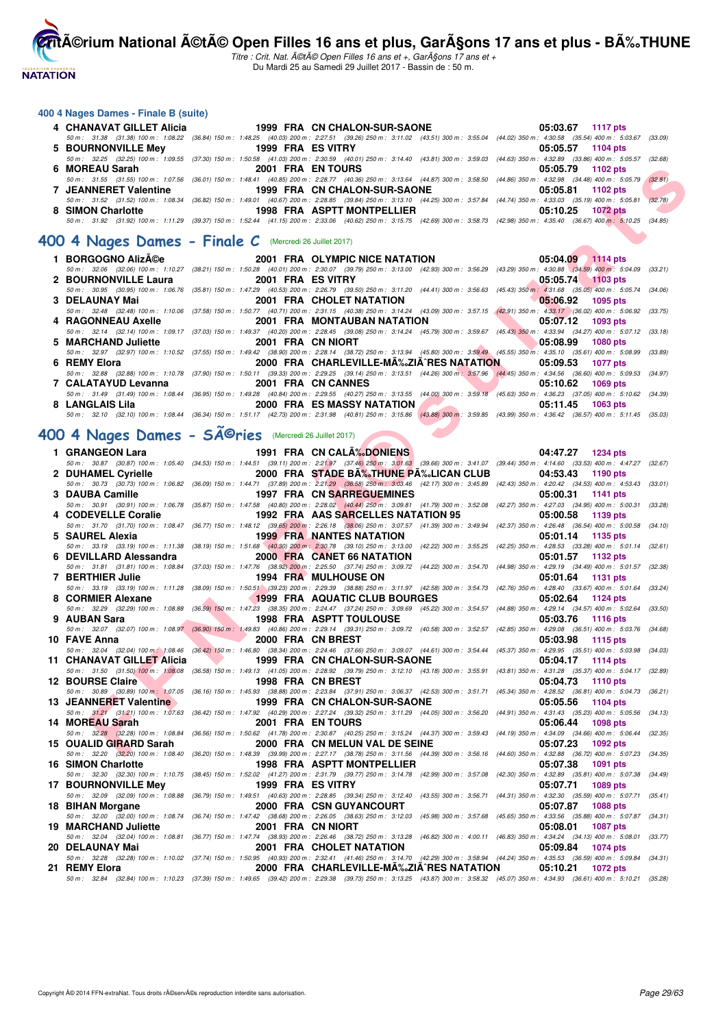**NATATION** 

**CritA©rium National A©tA© Open Filles 16 ans et plus, GarA§ons 17 ans et plus - BA%.THUNE** 

Titre : Crit. Nat. A©tA© Open Filles 16 ans et +, GarA§ons 17 ans et + Du Mardi 25 au Samedi 29 Juillet 2017 - Bassin de : 50 m.

#### **400 4 Nages Dames - Finale B (suite)**

| 4 CHANAVAT GILLET Alicia | 1999 FRA CN CHALON-SUR-SAONE                                                                                                                                                                 | 05:03.67 1117 pts   |
|--------------------------|----------------------------------------------------------------------------------------------------------------------------------------------------------------------------------------------|---------------------|
|                          | 50 m : 31.38 (31.38) 100 m : 1:08.22 (36.84) 150 m : 1:48.25 (40.03) 200 m : 2:27.51 (39.26) 250 m : 3:11.02 (43.51) 300 m : 3:55.04 (44.02) 350 m : 4:30.58 (35.54) 400 m : 5:03.67 (33.09) |                     |
| 5 BOURNONVILLE Mey       | 1999 FRA ES VITRY                                                                                                                                                                            | 05:05.57 1104 pts   |
|                          | 50 m: 32.25 (32.25) 100 m: 1:09.55 (37.30) 150 m: 1:50.58 (41.03) 200 m: 2:30.59 (40.01) 250 m: 3:14.40 (43.81) 300 m: 3:59.03 (44.63) 350 m: 4:32.89 (33.86) 400 m: 5:05.57 (32.68)         |                     |
| 6 MOREAU Sarah           | 2001 FRA EN TOURS                                                                                                                                                                            | 05:05.79 1102 pts   |
|                          | 50 m: 31.55 (31.55) 100 m: 1:07.56 (36.01) 150 m: 1:48.41 (40.85) 200 m: 2:28.77 (40.36) 250 m: 3:13.64 (44.87) 300 m: 3:58.50 (44.86) 350 m: 4:32.98 (34.48) 400 m: 5:05.79 (32.81)         |                     |
| 7 JEANNERET Valentine    | 1999 FRA CN CHALON-SUR-SAONE                                                                                                                                                                 | 05:05.81 1102 pts   |
|                          | 50 m : 31.52 (31.52) 100 m : 1:08.34 (36.82) 150 m : 1:49.01 (40.67) 200 m : 2:28.85 (39.84) 250 m : 3:13.10 (44.25) 300 m : 3:57.84 (44.74) 350 m : 4:33.03 (35.19) 400 m : 5:05.81         | (32.78)             |
| 8 SIMON Charlotte        | 1998 FRA ASPTT MONTPELLIER                                                                                                                                                                   | $05:10.25$ 1072 pts |
|                          | 50 m: 31.92 (31.92) 100 m: 1:11.29 (39.37) 150 m: 1:52.44 (41.15) 200 m: 2:33.06 (40.62) 250 m: 3:15.75 (42.69) 300 m: 3:58.73 (42.98) 350 m: 4:35.40 (36.67) 400 m: 5:10.25 (34.85)         |                     |

#### **[400 4 Nages Dames - Finale C](http://www.ffnatation.fr/webffn/resultats.php?idact=nat&go=epr&idcpt=47487&idepr=42)** (Mercredi 26 Juillet 2017)

|                      |                   | 1 BORGOGNO Alizée 2001 FRA OLYMPIC NICE NATATION                                                                                                                                                                               | $05:04.09$ 1114 pts          |
|----------------------|-------------------|--------------------------------------------------------------------------------------------------------------------------------------------------------------------------------------------------------------------------------|------------------------------|
|                      |                   | 50 m : 32.06 (32.06) 100 m : 1:10.27 (38.21) 150 m : 1:50.28 (40.01) 200 m : 2:30.07 (39.79) 250 m : 3:13.00 (42.93) 300 m : 3:56.29 (43.29) 350 m : 4:30.88 (34.59) 400 m : 5:04.09 (33.21)                                   |                              |
| 2 BOURNONVILLE Laura | 2001 FRA ES VITRY |                                                                                                                                                                                                                                | 05:05.74 1103 pts            |
|                      |                   | 50 m : 30.95 (30.95) 100 m : 1:06.76 (35.81) 150 m : 1:47.29 (40.53) 200 m : 2:26.79 (39.50) 250 m : 3:11.20 (44.41) 300 m : 3:56.63 (45.43) 350 m : 4:31.68 (35.05) 400 m : 5:05.74 (34.06)                                   |                              |
| 3 DELAUNAY Mai       |                   | 2001 FRA CHOLET NATATION                                                                                                                                                                                                       | $\bigcirc$ 05:06.92 1095 pts |
|                      |                   | 50 m : 32.48 (32.48) 100 m : 1:10.06 (37.58) 150 m : 1:50.77 (40.71) 200 m : 2:31.15 (40.38) 250 m : 3:14.24 (43.09) 300 m : 3:57.15 (42.91) 350 m : 4:33.17 (36.02) 400 m : 5:06.92 (33.75)                                   |                              |
| 4 RAGONNEAU Axelle   |                   | 2001 FRA MONTAUBAN NATATION 05:07.12 1093 pts                                                                                                                                                                                  |                              |
|                      |                   | 50 m : 32.14 (32.14) 100 m : 1:09.17 (37.03) 150 m : 1:49.37 (40.20) 200 m : 2:28.45 (39.08) 250 m : 3:14.24 (45.79) 300 m : 3:59.67 (45.43) 350 m : 4:33.94 (34.27) 400 m : 5:07.12 (33.18)                                   |                              |
| 5 MARCHAND Juliette  |                   | 2001 FRA CN NIORT AND RESIDENCE AND RESIDENCE AND RESIDENCE AND RESIDENCE AND RESIDENCE AND RESIDENCE AND RESIDENCE AND RESIDENCE AND RESIDENCE AND RESIDENCE AND RESIDENCE AND RESIDENCE AND RESIDENCE AND RESIDENCE AND RESI | $05:08.99$ 1080 pts          |
|                      |                   | 50 m: 32.97 (32.97) 100 m: 1:10.52 (37.55) 150 m: 1:49.42 (38.90) 200 m: 2:28.14 (38.72) 250 m: 3:13.94 (45.80) 300 m: 3:59.49 (45.55) 350 m: 4:35.10 (35.61) 400 m: 5:08.99 (33.89)                                           |                              |
| 6 REMY Elora         |                   | 2000 FRA CHARLEVILLE-MA‰ZIA RES NATATION 05:09.53 1077 pts                                                                                                                                                                     |                              |
|                      |                   | 50 m: 32.88 (32.88) 100 m: 1:10.78 (37.90) 150 m: 1:50.11 (39.33) 200 m: 2:29.25 (39.14) 250 m: 3:13.51 (44.26) 300 m: 3:57.96 (44.45) 350 m: 4:34.56 (36.60) 400 m: 5:09.53 (34.97)                                           |                              |
| 7 CALATAYUD Levanna  |                   | 2001 FRA CN CANNES                                                                                                                                                                                                             | 05:10.62 1069 pts            |
|                      |                   | 50 m : 31.49 (31.49) 100 m : 1:08.44 (36.95) 150 m : 1:49.28 (40.84) 200 m : 2:29.55 (40.27) 250 m : 3:13.55 (44.00) 300 m : 3:59.18 (45.63) 350 m : 4:36.23 (37.05) 400 m : 5:10.62 (34.39)                                   |                              |
| 8 LANGLAIS Lila      |                   | 2000 FRA ES MASSY NATATION                                                                                                                                                                                                     | 05:11.45 1063 pts            |
|                      |                   | 50 m : 32.10 (32.10) 100 m : 1:08.44 (36.34) 150 m : 1:51.17 (42.73) 200 m : 2:31.98 (40.81) 250 m : 3:15.86 (43.88) 300 m : 3:59.85 (43.99) 350 m : 4:36.42 (36.57) 400 m : 5:11.45 (35.03)                                   |                              |

# **400 4 Nages Dames - Sîries** (Mercredi 26 Juillet 2017)

| 6 | <b>MOREAU Sarah</b>                                                |                |                   | 2001 FRA EN TOURS                                                                                                                                                                                                                        | 05:05.79 1102 pts |                 |         |
|---|--------------------------------------------------------------------|----------------|-------------------|------------------------------------------------------------------------------------------------------------------------------------------------------------------------------------------------------------------------------------------|-------------------|-----------------|---------|
|   | 7 JEANNERET Valentine                                              |                |                   | 50 m: 31.55 (31.55) 100 m: 1:07.56 (36.01) 150 m: 1:48.41 (40.85) 200 m: 2:28.77 (40.36) 250 m: 3:13.64 (44.87) 300 m: 3:58.50 (44.86) 350 m: 4:32.98 (34.48) 400 m: 5:05.79 (32.81)<br>1999 FRA CN CHALON-SUR-SAONE                     | 05:05.81          | 1102 pts        |         |
|   |                                                                    |                |                   | 50 m: 31.52 (31.52) 100 m: 1:08.34 (36.82) 150 m: 1:49.01 (40.67) 200 m: 2:28.85 (39.84) 250 m: 3:13.10 (44.25) 300 m: 3:57.84 (44.74) 350 m: 4:33.03 (35.19) 400 m: 5:05.81                                                             |                   |                 | (32.78) |
|   | 8 SIMON Charlotte                                                  |                |                   | 1998 FRA ASPTT MONTPELLIER<br>50 m : 31.92 (31.92) 100 m : 1:11.29 (39.37) 150 m : 1:52.44 (41.15) 200 m : 2:33.06 (40.62) 250 m : 3:15.75 (42.69) 300 m : 3:58.73 (42.98) 350 m : 4:35.40 (36.67) 400 m : 5:10.25 (34.85)               | 05:10.25          | 1072 pts        |         |
|   |                                                                    |                |                   |                                                                                                                                                                                                                                          |                   |                 |         |
|   | 00 4 Nages Dames - Finale C (Mercredi 26 Juillet 2017)             |                |                   |                                                                                                                                                                                                                                          |                   |                 |         |
|   | 1 BORGOGNO Alizée                                                  |                |                   | 2001 FRA OLYMPIC NICE NATATION                                                                                                                                                                                                           | 05:04.09 1114 pts |                 |         |
|   | 2 BOURNONVILLE Laura                                               |                | 2001 FRA ES VITRY | 50 m: 32.06 (32.06) 100 m: 1:10.27 (38.21) 150 m: 1:50.28 (40.01) 200 m: 2:30.07 (39.79) 250 m: 3:13.00 (42.93) 300 m: 3:56.29 (43.29) 350 m: 4:30.88 (34.59) 400 m: 5:04.09 (33.21)                                                     | 05:05.74 1103 pts |                 |         |
|   |                                                                    |                |                   | 50 m : 30.95 (30.95) 100 m : 1:06.76 (35.81) 150 m : 1:47.29 (40.53) 200 m : 2:26.79 (39.50) 250 m : 3:11.20 (44.41) 300 m : 3:56.63 (45.43) 350 m : 4:31.68 (35.05) 400 m : 5:05.74 (34.06)                                             |                   |                 |         |
|   | 3 DELAUNAY Mai                                                     |                |                   | 2001 FRA CHOLET NATATION<br>50 m: 32.48 (32.48) 100 m: 1:10.06 (37.58) 150 m: 1:50.77 (40.71) 200 m: 2:31.15 (40.38) 250 m: 3:14.24 (43.09) 300 m: 3:57.15 (42.91) 350 m: 4:33.17 (36.02) 400 m: 5:06.92 (33.75)                         | $\n  05:06.92\n$  | 1095 pts        |         |
|   | 4 RAGONNEAU Axelle                                                 |                |                   | <b>The Second Service</b><br>2001 FRA MONTAUBAN NATATION                                                                                                                                                                                 | 05:07.12          | 1093 pts        |         |
|   |                                                                    |                |                   | 50 m : 32.14 (32.14) 100 m : 1:09.17 (37.03) 150 m : 1:49.37 (40.20) 200 m : 2:28.45 (39.08) 250 m : 3:14.24 (45.79) 300 m : 3:59.67 (45.43) 350 m : 4:33.94 (34.27) 400 m : 5:07.12 (33.18)                                             |                   |                 |         |
|   | 5 MARCHAND Juliette                                                |                |                   | 2001 FRA CN NIORT<br>50 m : 32.97 (32.97) 100 m : 1:10.52 (37.55) 150 m : 1:49.42 (38.90) 200 m : 2:28.14 (38.72) 250 m : 3:13.94 (45.80) 300 m : 3:59.49 (45.55) 350 m : 4:35.10 (35.61) 400 m : 5:08.99 (33.89)                        | 05:08.99          | 1080 pts        |         |
|   | 6 REMY Elora                                                       |                |                   | 2000 FRA CHARLEVILLE-MA‰ZIAˆRES NATATION                                                                                                                                                                                                 | 05:09.53          | 1077 pts        |         |
|   |                                                                    |                |                   | 50 m : 32.88 (32.88) 100 m : 1:10.78 (37.90) 150 m : 1:50.11 (39.33) 200 m : 2:29.25 (39.14) 250 m : 3:13.51 (44.26) 300 m : 3:57.96 (44.45) 350 m : 4:34.56 (36.60) 400 m : 5:09.53 (34.97)                                             |                   |                 |         |
|   | 7 CALATAYUD Levanna                                                |                |                   | 2001 FRA CN CANNES<br>50 m: 31.49 (31.49) 100 m: 1:08.44 (36.95) 150 m: 1:49.28 (40.84) 200 m: 2:29.55 (40.27) 250 m: 3:13.55 (44.00) 300 m: 3:59.18 (45.63) 350 m: 4:36.23 (37.05) 400 m: 5:10.62 (34.39)                               | 05:10.62          | 1069 pts        |         |
|   | 8 LANGLAIS Lila                                                    |                |                   | 2000 FRA ES MASSY NATATION                                                                                                                                                                                                               | 05:11.45          | 1063 pts        |         |
|   |                                                                    |                |                   | 50 m : 32.10 (32.10) 100 m : 1:08.44 (36.34) 150 m : 1:51.17 (42.73) 200 m : 2:31.98 (40.81) 250 m : 3:55.86 (43.88) 300 m : 3:59.85 (43.99) 350 m : 4:36.42 (36.57) 400 m : 5:11.45 (35.03)                                             |                   |                 |         |
|   | 00 4 Nages Dames - SÃ <sup>©</sup> ries (Mercredi 26 Juillet 2017) |                |                   |                                                                                                                                                                                                                                          |                   |                 |         |
|   | 1 GRANGEON Lara                                                    |                |                   | <b>1991 FRA CN CALA%DONIENS</b>                                                                                                                                                                                                          | 04:47.27 1234 pts |                 |         |
|   |                                                                    |                |                   | 50 m : 30.87 (30.87) 100 m : 1:05.40 (34.53) 150 m : 1:44.51 (39.11) 200 m : 2:21.97 (37.46) 250 m : 3:01.63 (39.66) 300 m : 3:41.07 (39.44) 350 m : 4:14.60 (33.53) 400 m : 4:47.27 (32.67)                                             |                   |                 |         |
|   |                                                                    |                |                   | 50 m: 30.73 (30.73) 100 m: 1:06.82 (36.09) 150 m: 1:44.71 (37.89) 200 m: 2:21.29 (36.58) 250 m: 3:03.46 (42.17) 300 m: 3:45.89 (42.43) 350 m: 4:20.42 (34.53) 400 m: 4:53.43 (33.01)                                                     | 04:53.43 1190 pts |                 |         |
|   | 3 DAUBA Camille                                                    |                |                   | <b>1997 FRA CN SARREGUEMINES</b>                                                                                                                                                                                                         | 05:00.31          | 1141 pts        |         |
|   |                                                                    |                |                   | 50 m: 30.91 (30.91) 100 m: 1:06.78 (35.87) 150 m: 1:47.58 (40.80) 200 m: 2:28.02 (40.44) 250 m: 3:99.81 (41.79) 300 m: 3:52.08 (42.27) 350 m: 4:27.03 (34.95) 400 m: 5:00.31 (33.28)                                                     |                   |                 |         |
|   | 4 CODEVELLE Coralie                                                |                |                   | 1992 FRA AAS SARCELLES NATATION 95<br>50 m: 31.70 (31.70) 100 m: 1:08.47 (36.77) 150 m: 1:48.12 (39.65) 200 m: 2:26.18 (38.06) 250 m: 3:07.57 (41.39) 300 m: 3:49.94 (42.37) 350 m: 4:26.48 (36.54) 400 m: 5:00.58 (34.10)               | 05:00.58          | 1139 pts        |         |
|   | 5 SAUREL Alexia                                                    |                |                   | <b>1999 FRA NANTES NATATION</b>                                                                                                                                                                                                          | 05:01.14 1135 pts |                 |         |
|   |                                                                    |                |                   | 50 m : 33.19 (33.19) 100 m : 1:11.38 (38.19) 150 m : 1:51.68 (40.30) 200 m : 2:30.78 (39.10) 250 m : 3:13.00 (42.22) 300 m : 3:55.25 (42.25) 350 m : 4:28.53 (33.28) 400 m : 5:01.14 (32.61)                                             |                   |                 |         |
|   | 6 DEVILLARD Alessandra                                             |                |                   | 2000 FRA CANET 66 NATATION<br>50 m: 31.81 (31.81) 100 m: 1:08.84 (37.03) 150 m: 1:47.76 (38.92) 200 m: 2:25.50 (37.74) 250 m: 3:09.72 (44.22) 300 m: 3:54.70 (44.98) 350 m: 4:29.19 (34.49) 400 m: 5:01.57 (32.38)                       | 05:01.57 1132 pts |                 |         |
|   | 7 BERTHIER Julie                                                   |                |                   | 1994 FRA MULHOUSE ON                                                                                                                                                                                                                     | 05:01.64 1131 pts |                 |         |
|   | 8 CORMIER Alexane                                                  |                |                   | 50 m: 33.19 (33.19) 100 m: 1:11.28 (38.09) 150 m: 1:50.51 (39.23) 200 m: 2:29.39 (38.88) 250 m: 3:11.97 (42.58) 300 m: 3:54.73 (42.76) 350 m: 4:28.40 (33.67) 400 m: 5:01.64 (33.24)<br>1999 FRA AQUATIC CLUB BOURGES                    | 05:02.64 1124 pts |                 |         |
|   |                                                                    |                |                   | 50 m : 32.29 (32.29) 100 m : 1:08.88 (36.59) 150 m : 1:47.23 (38.35) 200 m : 2:24.47 (37.24) 250 m : 3:09.69 (45.22) 300 m : 3:54.57 (44.88) 350 m : 4:29.14 (34.57) 400 m : 5:02.64 (33.50)                                             |                   |                 |         |
|   | 9 AUBAN Sara                                                       | $\blacksquare$ |                   | <b>1998 FRA ASPTT TOULOUSE</b>                                                                                                                                                                                                           | 05:03.76          | 1116 pts        |         |
|   | 10 FAVE Anna                                                       |                |                   | 50 m: 32.07 (32.07) 100 m: 1:08.97 (36.90) 150 m: 1:49.83 (40.86) 200 m: 2:29.14 (39.31) 250 m: 3:09.72 (40.58) 300 m: 3:52.57 (42.85) 350 m: 4:29.08 (36.51) 400 m: 5:03.76 (34.68)<br>2000 FRA CN BREST                                | 05:03.98          | 1115 pts        |         |
|   |                                                                    |                |                   | 50 m : 32.04 (32.04) 100 m : 1:08.46 (36.42) 150 m : 1:46.80 (38.34) 200 m : 2:24.46 (37.66) 250 m : 3:09.07 (44.61) 300 m : 3:54.44 (45.37) 350 m : 4:29.95 (35.51) 400 m : 5:03.98 (34.03)                                             |                   |                 |         |
|   | 11   CHANAVAT GILLET Alicia                                        | v.             |                   | 1999 FRA CN CHALON-SUR-SAONE                                                                                                                                                                                                             | 05:04.17 1114 pts |                 |         |
|   | 12 BOURSE Claire                                                   |                |                   | 50 m: 31.50 (31.50) 100 m: 1:08,08 (36.58) 150 m: 1:49.13 (41.05) 200 m: 2:28.92 (39.79) 250 m: 3:12.10 (43.18) 300 m: 3:55.91 (43.81) 350 m: 4:31.28 (35.37) 400 m: 5:04.17 (32.89)<br>1998 FRA CN BREST                                | 05:04.73          | 1110 pts        |         |
|   |                                                                    |                |                   | 50 m : 30.89 (30.89) 100 m : 1:07.05 (36.16) 150 m : 1:45.93 (38.88) 200 m : 2:23.84 (37.91) 250 m : 3:06.37 (42.53) 300 m : 3:51.71 (45.34) 350 m : 4:28.52 (36.81) 400 m : 5:04.73 (36.21)                                             |                   |                 |         |
|   | 13 JEANNERET Valentine                                             |                |                   | <b>1999 FRA CN CHALON-SUR-SAONE</b><br>50 m: 31.21 (31.21) 100 m: 1:07.63 (36.42) 150 m: 1:47.92 (40.29) 200 m: 2:27.24 (39.32) 250 m: 3:11.29 (44.05) 300 m: 3:56.20 (44.91) 350 m: 4:31.43 (35.23) 400 m: 5:05.56 (34.13)              | 05:05.56 1104 pts |                 |         |
|   | 14 MOREAU Sarah                                                    |                |                   | 2001 FRA EN TOURS                                                                                                                                                                                                                        | 05:06.44 1098 pts |                 |         |
|   |                                                                    |                |                   | 50 m: 32.28 (32.28) 100 m: 1:08.84 (36.56) 150 m: 1:50.62 (41.78) 200 m: 2:30.87 (40.25) 250 m: 3:15.24 (44.37) 300 m: 3:59.43 (44.19) 350 m: 4:34.09 (34.66) 400 m: 5:06.44 (32.35)                                                     |                   |                 |         |
|   | 15 OUALID GIRARD Sarah                                             |                |                   | 2000 FRA CN MELUN VAL DE SEINE<br>50 m: 32.20 (32.20) 100 m: 1:08.40 (36.20) 150 m: 1:48.39 (39.99) 200 m: 2:27.17 (38.78) 250 m: 3:11.56 (44.39) 300 m: 3:56.16 (44.60) 350 m: 4:32.88 (36.72) 400 m: 5:07.23 (34.35)                   | 05:07.23          | 1092 pts        |         |
|   | <b>16 SIMON Charlotte</b>                                          |                |                   | 1998 FRA ASPTT MONTPELLIER                                                                                                                                                                                                               | 05:07.38          | 1091 pts        |         |
|   |                                                                    |                |                   | 50 m : 32.30 (32.30) 100 m : 1:10.75 (38.45) 150 m : 1:52.02 (41.27) 200 m : 2:31.79 (39.77) 250 m : 3:14.78 (42.99) 300 m : 3:57.08 (42.30) 350 m : 4:32.89 (35.81) 400 m : 5:07.38 (34.49)                                             |                   |                 |         |
|   | <b>17 BOURNONVILLE Mey</b>                                         |                | 1999 FRA ES VITRY | 50 m: 32.09 (32.09) 100 m: 1:08.88 (36.79) 150 m: 1:49.51 (40.63) 200 m: 2:28.85 (39.34) 250 m: 3:12.40 (43.55) 300 m: 3:56.71 (44.31) 350 m: 4:32.30 (35.59) 400 m: 5:07.71 (35.41)                                                     | 05:07.71          | 1089 pts        |         |
|   | 18 BIHAN Morgane                                                   |                |                   | 2000 FRA CSN GUYANCOURT                                                                                                                                                                                                                  | 05:07.87          | <b>1088 pts</b> |         |
|   |                                                                    |                |                   | 50 m: 32.00 (32.00) 100 m: 1:08.74 (36.74) 150 m: 1:47.42 (38.68) 200 m: 2:26.05 (38.63) 250 m: 3:12.03 (45.98) 300 m: 3:57.68 (45.65) 350 m: 4:33.56 (35.88) 400 m: 5:07.87 (34.31)                                                     |                   |                 |         |
|   | 19 MARCHAND Juliette                                               |                |                   | 2001 FRA CN NIORT<br>50 m: 32.04 (32.04) 100 m: 1:08.81 (36.77) 150 m: 1:47.74 (38.93) 200 m: 2:26.46 (38.72) 250 m: 3:13.28 (46.82) 300 m: 4:00.11 (46.83) 350 m: 4:34.24 (34.13) 400 m: 5:08.01 (33.77)                                | 05:08.01          | <b>1087 pts</b> |         |
|   | 20 DELAUNAY Mai                                                    |                |                   | 2001 FRA CHOLET NATATION                                                                                                                                                                                                                 | 05:09.84          | 1074 pts        |         |
|   |                                                                    |                |                   | 50 m : 32.28 (32.28) 100 m : 1:10.02 (37.74) 150 m : 1:50.95 (40.93) 200 m : 2:32.41 (41.46) 250 m : 3:14.70 (42.29) 300 m : 3:58.94 (44.24) 350 m : 4:35.53 (36.59) 400 m : 5:09.84 (34.31)                                             |                   |                 |         |
|   | 21 REMY Elora                                                      |                |                   | 2000 FRA CHARLEVILLE-MA‰ZIA^RES NATATION<br>50 m : 32.84 (32.84) 100 m : 1:10.23 (37.39) 150 m : 1:49.65 (39.42) 200 m : 2:29.38 (39.73) 250 m : 3:13.25 (43.87) 300 m : 3:58.32 (45.07) 350 m : 4:34.93 (36.61) 400 m : 5:10.21 (35.28) | 05:10.21          | 1072 pts        |         |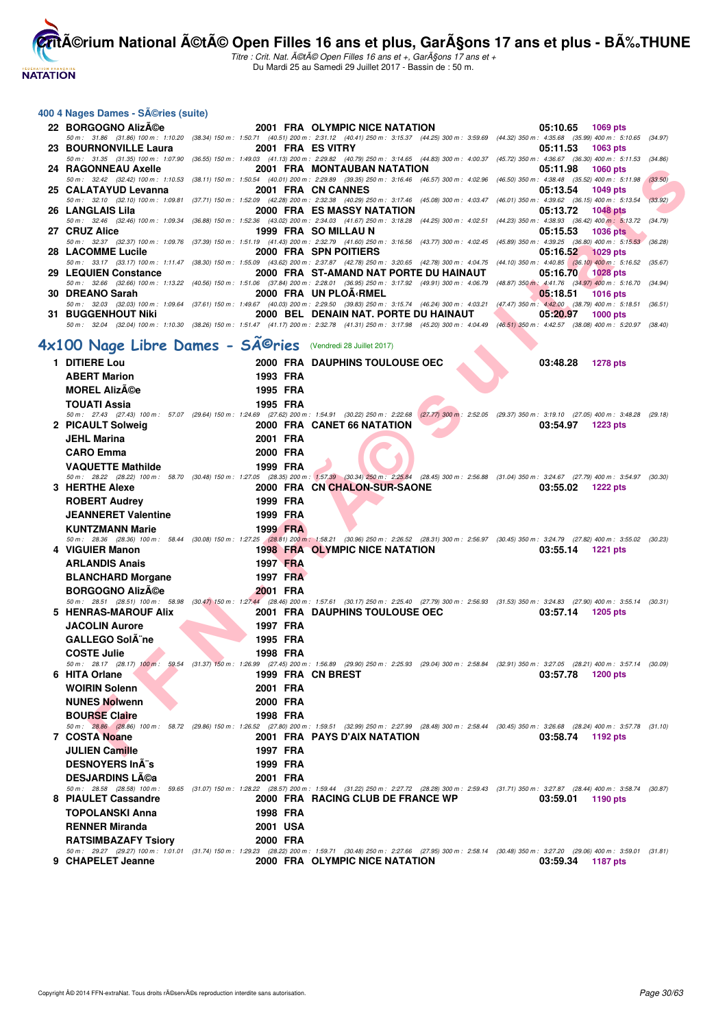**NATATION** 

**CritA©rium National A©tA© Open Filles 16 ans et plus, GarA§ons 17 ans et plus - BA%.THUNE** 

Titre : Crit. Nat. A©tA© Open Filles 16 ans et +, GarA§ons 17 ans et + Du Mardi 25 au Samedi 29 Juillet 2017 - Bassin de : 50 m.

#### **400 4 Nages Dames - Séries (suite)**

|                                         |                              |                                                                                                                                                                                              | 05:10.65 1069 pts      |
|-----------------------------------------|------------------------------|----------------------------------------------------------------------------------------------------------------------------------------------------------------------------------------------|------------------------|
|                                         |                              | 50 m: 31.86 (31.86) 100 m: 1:10.20 (38.34) 150 m: 1:50.71 (40.51) 200 m: 2:31.12 (40.41) 250 m: 3:15.37 (44.25) 300 m: 3:59.69 (44.32) 350 m: 4:35.68 (35.99) 400 m: 5:10.65 (34.97)         |                        |
| 23 BOURNONVILLE Laura                   |                              | 2001 FRA ES VITRY                                                                                                                                                                            | $05:11.53$ 1063 pts    |
|                                         |                              | 50 m: 31.35 (31.35) 100 m: 1:07.90 (36.55) 150 m: 1:49.03 (41.13) 200 m: 2:29.82 (40.79) 250 m: 3:14.65 (44.83) 300 m: 4:00.37 (45.72) 350 m: 4:36.67 (36.30) 400 m: 5:11.53 (34.86)         |                        |
|                                         |                              | 2001 FRA MONTAUBAN NATATION                                                                                                                                                                  | 05:11.98 1060 pts      |
|                                         |                              | 50 m: 32.42 (32.42) 100 m: 1:10.53 (38.11) 150 m: 1:50.54 (40.01) 200 m: 2:29.89 (39.35) 250 m: 3:16.46 (46.57) 300 m: 4:02.96 (46.50) 350 m: 4:38.48 (35.52) 400 m: 5:11.98 (33.50)         |                        |
| 25 CALATAYUD Levanna 2001 FRA CN CANNES |                              |                                                                                                                                                                                              | 05:13.54 1049 pts      |
|                                         |                              | 50 m: 32.10 (32.10) 100 m: 1:09.81 (37.71) 150 m: 1:52.09 (42.28) 200 m: 2:32.38 (40.29) 250 m: 3:17.46 (45.08) 300 m: 4:03.47 (46.01) 350 m: 4:39.62 (36.15) 400 m: 5:13.54                 | (33.92)                |
| 26 LANGLAIS Lila                        |                              | 2000 FRA ES MASSY NATATION                                                                                                                                                                   | 05:13.72 1048 pts      |
|                                         |                              | 50 m: 32.46 (32.46) 100 m: 1:09.34 (36.88) 150 m: 1:52.36 (43.02) 200 m: 2:34.03 (41.67) 250 m: 3:18.28 (44.25) 300 m: 4:02.51 (44.23) 350 m: 4:38.93 (36.42) 400 m: 5:13.72 (34.79)         |                        |
| 27 CRUZ Alice                           |                              | 1999 FRA SO MILLAU N                                                                                                                                                                         | 05:15.53 1036 pts      |
|                                         |                              | 50 m: 32.37 (32.37) 100 m: 1:09.76 (37.39) 150 m: 1:51.19 (41.43) 200 m: 2:32.79 (41.60) 250 m: 3:16.56 (43.77) 300 m: 4:02.45 (45.89) 350 m: 4:39.25 (36.80) 400 m: 5:15.53 (36.28)         |                        |
| 28 LACOMME Lucile                       | <b>2000 FRA SPN POITIERS</b> |                                                                                                                                                                                              | 05:16.52 1029 pts      |
|                                         |                              | 50 m: 33.17 (33.17) 100 m: 1:11.47 (38.30) 150 m: 1:55.09 (43.62) 200 m: 2:37.87 (42.78) 250 m: 3:20.65 (42.78) 300 m: 4:04.75 (44.10) 350 m: 4:40.85 (36.10) 400 m: 5:16.52 (35.67)         |                        |
| 29 LEQUIEN Constance                    |                              | 2000 FRA  ST-AMAND NAT PORTE DU HAINAUT                                                                                                                                                      | 05:16.70 1028 pts      |
|                                         |                              | 50 m: 32.66 (32.66) 100 m: 1:13.22 (40.56) 150 m: 1:51.06 (37.84) 200 m: 2:28.01 (36.95) 250 m: 3:17.92 (49.91) 300 m: 4:06.79 (48.87) 350 m: 4:41.76 (34.97) 400 m: 5:16.70 (34.94)         |                        |
| 30 DREANO Sarah                         |                              | 2000 FRA UN PLOA RMEL                                                                                                                                                                        | 05:18.51 1016 pts      |
|                                         |                              | 50 m: 32.03 (32.03) 100 m: 1:09.64 (37.61) 150 m: 1:49.67 (40.03) 200 m: 2:29.50 (39.83) 250 m: 3:15.74 (46.24) 300 m: 4:03.21 (47.47) 350 m: 4:42.00 (38.79) 400 m: 5:18.51 (36.51)         |                        |
| <b>31 BUGGENHOUT Niki</b>               |                              | 2000 BEL DENAIN NAT. PORTE DU HAINAUT                                                                                                                                                        | 05:20.97<br>$1000$ pts |
|                                         |                              | 50 m : 32.04 (32.04) 100 m : 1:10.30 (38.26) 150 m : 1:51.47 (41.17) 200 m : 2:32.78 (41.31) 250 m : 3:17.98 (45.20) 300 m : 4:04.49 (46.51) 350 m : 4:42.57 (38.08) 400 m : 5:20.97 (38.40) |                        |

# **4x100 Nage Libre Dames - SÃ<sup>@</sup>ries** (Vendredi 28 Juillet 2017)

| 24   RAGONNEAU Axelle          |                 | 2001 FRA MONTAUBAN NATATION                                                                                                                                                                                                                                                        | 05:11.98<br>1060 pts                                                                   |         |
|--------------------------------|-----------------|------------------------------------------------------------------------------------------------------------------------------------------------------------------------------------------------------------------------------------------------------------------------------------|----------------------------------------------------------------------------------------|---------|
|                                |                 | 50 m : 32.42 (32.42) 100 m : 1:10.53 (38.11) 150 m : 1:50.54 (40.01) 200 m : 2:29.89 (39.35) 250 m : 3:16.46 (46.57) 300 m : 4:02.96 (46.50) 350 m : 4:38.48 (35.52) 400 m : 5:11.98<br>2001 FRA CN CANNES                                                                         |                                                                                        | (33.50) |
| <b>25 CALATAYUD Levanna</b>    |                 | 50 m: 32.10 (32.10) 100 m: 1:09.81 (37.71) 150 m: 1:52.09 (42.28) 200 m: 2:32.38 (40.29) 250 m: 3:17.46 (45.08) 300 m: 4:03.47 (46.01) 350 m: 4:39.62 (36.15) 400 m: 5:13.54                                                                                                       | 05:13.54<br>1049 pts                                                                   | (33.92) |
| 26   LANGLAIS Lila             |                 | <b>2000 FRA ES MASSY NATATION</b>                                                                                                                                                                                                                                                  | 05:13.72<br><b>1048 pts</b>                                                            |         |
|                                |                 | 50 m : 32.46 (32.46) 100 m : 1:09.34 (36.88) 150 m : 1:52.36 (43.02) 200 m : 2:34.03 (41.67) 250 m : 3:18.28 (44.25) 300 m : 4:02.51 (44.23) 350 m : 4:38.93 (36.42) 400 m : 5:13.72 (34.79)                                                                                       |                                                                                        |         |
| 27 CRUZ Alice                  |                 | 1999 FRA SO MILLAU N<br>50 m : 32.37 (32.37) 100 m : 1:09.76 (37.39) 150 m : 1:51.19 (41.43) 200 m : 2:32.79 (41.60) 250 m : 3:16.56 (43.77) 300 m : 4:02.45 (45.89) 350 m : 4:39.25 (36.80) 400 m : 5:15.53 (36.28)                                                               | 05:15.53<br><b>1036 pts</b>                                                            |         |
| <b>28 LACOMME Lucile</b>       |                 | 2000 FRA SPN POITIERS                                                                                                                                                                                                                                                              | 05:16.52<br>$1029$ pts                                                                 |         |
|                                |                 | 50 m : 33.17 (33.17) 100 m : 1:11.47 (38.30) 150 m : 1:55.09 (43.62) 200 m : 2:37.87 (42.78) 250 m : 3:20.65 (42.78) 300 m : 4:04.75 (44.10) 350 m : 4:40.85 (36.10) 400 m : 5:16.52 (35.67)                                                                                       |                                                                                        |         |
| <b>29 LEQUIEN Constance</b>    |                 | 2000 FRA ST-AMAND NAT PORTE DU HAINAUT                                                                                                                                                                                                                                             | 05:16.70<br><b>1028 pts</b>                                                            |         |
| 80 DREANO Sarah                |                 | 50 m: 32.66 (32.66) 100 m: 1:13.22 (40.56) 150 m: 1:51.06 (37.84) 200 m: 2:28.01 (36.95) 250 m: 3:17.92 (49.91) 300 m: 4:06.79<br>2000 FRA UN PLOA <rmel< td=""><td>(48.87) 350 m : 4:41.76 (34.97) 400 m : 5:16.70 (34.94)<br/>05:18.51<br/><b>1016 pts</b></td><td></td></rmel<> | (48.87) 350 m : 4:41.76 (34.97) 400 m : 5:16.70 (34.94)<br>05:18.51<br><b>1016 pts</b> |         |
|                                |                 | 50 m : 32.03 (32.03) 100 m : 1:09.64 (37.61) 150 m : 1:49.67 (40.03) 200 m : 2:29.50 (39.83) 250 m : 3:15.74 (46.24) 300 m : 4:03.21 (47.47) 350 m : 4:42.00 (38.79) 400 m : 5:18.51 (36.51)                                                                                       |                                                                                        |         |
| 81 BUGGENHOUT Niki             |                 | 2000 BEL DENAIN NAT. PORTE DU HAINAUT                                                                                                                                                                                                                                              | 05:20.97<br><b>1000 pts</b>                                                            |         |
|                                |                 | 50 m: 32.04 (32.04) 100 m: 1:10.30 (38.26) 150 m: 1:51.47 (41.17) 200 m: 2:32.78 (41.31) 250 m: 3:17.98 (45.20) 300 m: 4:04.49 (46.51) 350 m: 4:42.57 (38.08) 400 m: 5:20.97 (38.40)                                                                                               |                                                                                        |         |
| <100 Nage Libre Dames - Séries |                 | (Vendredi 28 Juillet 2017)                                                                                                                                                                                                                                                         |                                                                                        |         |
| 1 DITIERE Lou                  |                 | 2000 FRA DAUPHINS TOULOUSE OEC                                                                                                                                                                                                                                                     | 03:48.28<br><b>1278 pts</b>                                                            |         |
| <b>ABERT Marion</b>            | 1993 FRA        |                                                                                                                                                                                                                                                                                    |                                                                                        |         |
| <b>MOREL AlizACe</b>           | 1995 FRA        |                                                                                                                                                                                                                                                                                    |                                                                                        |         |
| TOUATI Assia                   | 1995 FRA        |                                                                                                                                                                                                                                                                                    |                                                                                        |         |
|                                |                 | 50 m : 27.43 (27.43) 100 m : 57.07 (29.64) 150 m : 1:24.69 (27.62) 200 m : 1:54.91 (30.22) 250 m : 2:22.68 (27.77) 300 m : 2:52.05 (29.37) 350 m : 3:19.10 (27.05) 400 m : 3:48.28 (29.18)                                                                                         |                                                                                        |         |
| 2 PICAULT Solweig              |                 | 2000 FRA CANET 66 NATATION                                                                                                                                                                                                                                                         | 03:54.97<br>1223 pts                                                                   |         |
| <b>JEHL Marina</b>             | 2001 FRA        |                                                                                                                                                                                                                                                                                    |                                                                                        |         |
| <b>CARO Emma</b>               | 2000 FRA        |                                                                                                                                                                                                                                                                                    |                                                                                        |         |
| <b>VAQUETTE Mathilde</b>       | 1999 FRA        |                                                                                                                                                                                                                                                                                    |                                                                                        |         |
|                                |                 | 50 m: 28.22 (28.22) 100 m: 58.70 (30.48) 150 m: 1:27.05 (28.35) 200 m: 1:57.39 (30.34) 250 m: 2:25.84 (28.45) 300 m: 2:56.88 (31.04) 350 m: 3:24.67 (27.79) 400 m: 3:54.97 (30.30)                                                                                                 |                                                                                        |         |
| 3 HERTHE Alexe                 |                 | 2000 FRA CN CHALON-SUR-SAONE                                                                                                                                                                                                                                                       | 03:55.02<br><b>1222 pts</b>                                                            |         |
| <b>ROBERT Audrey</b>           | 1999 FRA        |                                                                                                                                                                                                                                                                                    |                                                                                        |         |
| <b>JEANNERET Valentine</b>     | 1999 FRA        |                                                                                                                                                                                                                                                                                    |                                                                                        |         |
| <b>KUNTZMANN Marie</b>         | 1999 FRA        | 50 m : 28.36 (28.36) 100 m : 58.44 (30.08) 150 m : 1:27.25 (28.81) 200 m : 1:58.21 (30.96) 250 m : 2:26.52 (28.31) 300 m : 2:56.97 (30.45) 350 m : 3:24.79 (27.82) 400 m : 3:55.02 (30.23)                                                                                         |                                                                                        |         |
| 4 VIGUIER Manon                |                 | <b>1998 FRA OLYMPIC NICE NATATION</b>                                                                                                                                                                                                                                              | 03:55.14<br><b>1221 pts</b>                                                            |         |
| <b>ARLANDIS Anais</b>          | <b>1997 FRA</b> |                                                                                                                                                                                                                                                                                    |                                                                                        |         |
| <b>BLANCHARD Morgane</b>       | <b>1997 FRA</b> |                                                                                                                                                                                                                                                                                    |                                                                                        |         |
| <b>BORGOGNO AlizA©e</b>        | 2001 FRA        |                                                                                                                                                                                                                                                                                    |                                                                                        |         |
|                                |                 | 50 m: 28.51 (28.51) 100 m: 58.98 (30.47) 150 m: 1:27.44 (28.46) 200 m: 1:57.61 (30.17) 250 m: 2:25.40 (27.79) 300 m: 2:56.93 (31.53) 350 m: 3:24.83 (27.90) 400 m: 3:55.14 (30.31)                                                                                                 |                                                                                        |         |
| 5 HENRAS-MAROUF Alix           |                 | 2001 FRA DAUPHINS TOULOUSE OEC                                                                                                                                                                                                                                                     | 03:57.14<br>1205 pts                                                                   |         |
| <b>JACOLIN Aurore</b>          | 1997 FRA        |                                                                                                                                                                                                                                                                                    |                                                                                        |         |
| <b>GALLEGO SolA ne</b>         | 1995 FRA        |                                                                                                                                                                                                                                                                                    |                                                                                        |         |
| <b>COSTE Julie</b>             | 1998 FRA        |                                                                                                                                                                                                                                                                                    |                                                                                        |         |
| 6 HITA Orlane                  |                 | 50 m: 28.17 (28.17) 100 m: 59.54 (31.37) 150 m: 1:26.99 (27.45) 200 m: 1:56.89 (29.90) 250 m: 2:25.93 (29.04) 300 m: 2:58.84 (32.91) 350 m: 3:27.05 (28.21) 400 m: 3:57.14 (30.09)<br>1999 FRA CN BREST                                                                            | 03:57.78<br>1200 pts                                                                   |         |
| <b>WOIRIN Solenn</b>           | 2001 FRA        |                                                                                                                                                                                                                                                                                    |                                                                                        |         |
| <b>NUNES Nolwenn</b>           | 2000 FRA        |                                                                                                                                                                                                                                                                                    |                                                                                        |         |
| <b>BOURSE Claire</b>           | 1998 FRA        |                                                                                                                                                                                                                                                                                    |                                                                                        |         |
|                                |                 | 50 m: 28.86 (28.86) 100 m: 58.72 (29.86) 150 m: 1:26.52 (27.80) 200 m: 1:59.51 (32.99) 250 m: 2:27.99 (28.48) 300 m: 2:58.44 (30.45) 350 m: 3:26.68 (28.24) 400 m: 3:57.78 (31.10)                                                                                                 |                                                                                        |         |
| 7 COSTA Noane                  |                 | 2001 FRA PAYS D'AIX NATATION                                                                                                                                                                                                                                                       | 03:58.74<br>1192 pts                                                                   |         |
| <b>JULIEN Camille</b>          | 1997 FRA        |                                                                                                                                                                                                                                                                                    |                                                                                        |         |
| <b>DESNOYERS In A "s</b>       | 1999 FRA        |                                                                                                                                                                                                                                                                                    |                                                                                        |         |
| <b>DESJARDINS Léa</b>          | 2001 FRA        |                                                                                                                                                                                                                                                                                    |                                                                                        |         |
|                                |                 | 50 m: 28.58 (28.58) 100 m: 59.65 (31.07) 150 m: 1:28.22 (28.57) 200 m: 1:59.44 (31.22) 250 m: 2:27.72 (28.28) 300 m: 2:59.43 (31.71) 350 m: 3:27.87 (28.44) 400 m: 3:58.74 (30.87)                                                                                                 |                                                                                        |         |
| 8 PIAULET Cassandre            |                 | 2000 FRA RACING CLUB DE FRANCE WP                                                                                                                                                                                                                                                  | 03:59.01<br>1190 pts                                                                   |         |
| <b>TOPOLANSKI Anna</b>         | 1998 FRA        |                                                                                                                                                                                                                                                                                    |                                                                                        |         |
| <b>RENNER Miranda</b>          | 2001 USA        |                                                                                                                                                                                                                                                                                    |                                                                                        |         |
| <b>RATSIMBAZAFY Tsiory</b>     | 2000 FRA        |                                                                                                                                                                                                                                                                                    |                                                                                        |         |
| 9 CHAPELET Jeanne              |                 | 50 m: 29.27 (29.27) 100 m: 1:01.01 (31.74) 150 m: 1:29.23 (28.22) 200 m: 1:59.71 (30.48) 250 m: 2:27.66 (27.95) 300 m: 2:58.14 (30.48) 350 m: 3:27.20 (29.06) 400 m: 3:59.01 (31.81)<br>2000 FRA OLYMPIC NICE NATATION                                                             | 03:59.34<br>1187 pts                                                                   |         |
|                                |                 |                                                                                                                                                                                                                                                                                    |                                                                                        |         |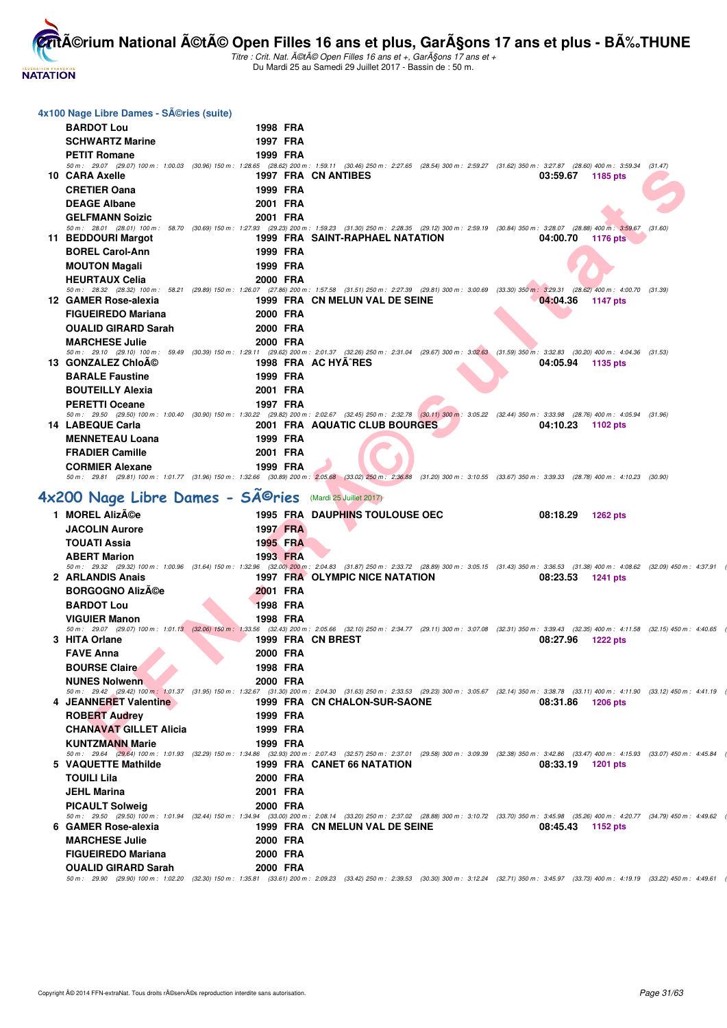

| 4x100 Nage Libre Dames - SA©ries (suite)                              |                      |                                                                                                                                                                                                                                                           |
|-----------------------------------------------------------------------|----------------------|-----------------------------------------------------------------------------------------------------------------------------------------------------------------------------------------------------------------------------------------------------------|
| <b>BARDOT Lou</b>                                                     | 1998 FRA             |                                                                                                                                                                                                                                                           |
| <b>SCHWARTZ Marine</b>                                                | 1997 FRA             |                                                                                                                                                                                                                                                           |
| <b>PETIT Romane</b>                                                   | 1999 FRA             |                                                                                                                                                                                                                                                           |
|                                                                       |                      | 50 m: 29.07 (29.07) 100 m: 1:00.03 (30.96) 150 m: 1:28.65 (28.62) 200 m: 1:59.11 (30.46) 250 m: 2:27.65 (28.54) 300 m: 2:59.27 (31.62) 350 m: 3:27.87 (28.60) 400 m: 3:59.34 (31.47)                                                                      |
| 10 CARA Axelle                                                        |                      | 1997 FRA CN ANTIBES<br>03:59.67<br>1185 pts                                                                                                                                                                                                               |
| <b>CRETIER Oana</b>                                                   | 1999 FRA             |                                                                                                                                                                                                                                                           |
| <b>DEAGE Albane</b>                                                   | 2001 FRA             |                                                                                                                                                                                                                                                           |
| <b>GELFMANN Soizic</b>                                                | 2001 FRA             |                                                                                                                                                                                                                                                           |
| 11 BEDDOURI Margot                                                    |                      | 50 m: 28.01 (28.01) 100 m: 58.70 (30.69) 150 m: 1:27.93 (29.23) 200 m: 1:59.23 (31.30) 250 m: 2:28.35 (29.12) 300 m: 2:59.19 (30.84) 350 m: 3:28.07 (28.88) 400 m: 3:59.67 (31.60)<br>1999 FRA SAINT-RAPHAEL NATATION<br>04:00.70<br>1176 pts             |
| <b>BOREL Carol-Ann</b>                                                | 1999 FRA             |                                                                                                                                                                                                                                                           |
| <b>MOUTON Magali</b>                                                  | 1999 FRA             |                                                                                                                                                                                                                                                           |
| <b>HEURTAUX Celia</b>                                                 | 2000 FRA             |                                                                                                                                                                                                                                                           |
|                                                                       |                      | 50 m: 28.32 (28.32) 100 m: 58.21 (29.89) 150 m: 1:26.07 (27.86) 200 m: 1:57.58 (31.51) 250 m: 2:27.39 (29.81) 300 m: 3:00.69 (33.30) 350 m: 3:29.31 (28.62) 400 m: 4:00.70 (31.39)                                                                        |
| 12 GAMER Rose-alexia                                                  |                      | 1999 FRA CN MELUN VAL DE SEINE<br>04:04.36<br>1147 pts                                                                                                                                                                                                    |
| <b>FIGUEIREDO Mariana</b>                                             | 2000 FRA             |                                                                                                                                                                                                                                                           |
| <b>OUALID GIRARD Sarah</b>                                            | 2000 FRA             |                                                                                                                                                                                                                                                           |
| <b>MARCHESE Julie</b>                                                 | 2000 FRA             |                                                                                                                                                                                                                                                           |
| 13 GONZALEZ ChloA©                                                    |                      | 50 m: 29.10 (29.10) 100 m: 59.49 (30.39) 150 m: 1:29.11 (29.62) 200 m: 2:01.37 (32.26) 250 m: 2:31.04 (29.67) 300 m: 3:02.63 (31.59) 350 m: 3:32.83 (30.20) 400 m: 4:04.36 (31.53)<br>1998 FRA AC HYA^RES                                                 |
|                                                                       |                      | 04:05.94<br>1135 pts                                                                                                                                                                                                                                      |
| <b>BARALE Faustine</b>                                                | 1999 FRA             |                                                                                                                                                                                                                                                           |
| <b>BOUTEILLY Alexia</b><br><b>PERETTI Oceane</b>                      | 2001 FRA<br>1997 FRA |                                                                                                                                                                                                                                                           |
|                                                                       |                      | 50 m: 29.50 (29.50) 100 m: 1:00.40 (30.90) 150 m: 1:30.22 (29.82) 200 m: 2:02.67 (32.45) 250 m: 2:32.78 (30.11) 300 m: 3:05.22 (32.44) 350 m: 3:33.98 (28.76) 400 m: 4:05.94 (31.96)                                                                      |
| 14 LABEQUE Carla                                                      |                      | 2001 FRA AQUATIC CLUB BOURGES.<br>04:10.23<br>1102 pts                                                                                                                                                                                                    |
| <b>MENNETEAU Loana</b>                                                | 1999 FRA             |                                                                                                                                                                                                                                                           |
| <b>FRADIER Camille</b>                                                | 2001 FRA             |                                                                                                                                                                                                                                                           |
| <b>CORMIER Alexane</b>                                                | 1999 FRA             |                                                                                                                                                                                                                                                           |
|                                                                       |                      | 50 m: 29.81 (29.81) 100 m: 1:01.77 (31.96) 150 m: 1:32.66 (30.89) 200 m: 2:05.68 (33.02) 250 m: 2:36.88 (31.20) 300 m: 3:10.55 (33.67) 350 m: 3:39.33 (28.78) 400 m: 4:10.23 (30.90)                                                                      |
| 4x200 Nage Libre Dames - SÃ <sup>©</sup> ries (Mardi 25 Juillet 2017) |                      |                                                                                                                                                                                                                                                           |
| 1 MOREL Alizée                                                        |                      | <b>1995 FRA DAUPHINS TOULOUSE OEC</b><br>08:18.29<br><b>1262 pts</b>                                                                                                                                                                                      |
| <b>JACOLIN Aurore</b>                                                 | 1997 FRA             |                                                                                                                                                                                                                                                           |
| <b>TOUATI Assia</b>                                                   | 1995 FRA             |                                                                                                                                                                                                                                                           |
| <b>ABERT Marion</b>                                                   | 1993 FRA             |                                                                                                                                                                                                                                                           |
|                                                                       |                      | 50 m: 29.32 (29.32) 100 m: 1:00.96 (31.64) 150 m: 1:32.96 (32.00) 200 m: 2:04.83 (31.87) 250 m: 2:33.72 (28.89) 300 m: 3:05.15 (31.43) 350 m: 3:36.53 (31.38) 400 m: 4:08.62 (32.09) 450 m: 4:37.91                                                       |
| 2 ARLANDIS Anais                                                      |                      | 1997 FRA OLYMPIC NICE NATATION<br>08:23.53<br>1241 pts                                                                                                                                                                                                    |
| <b>BORGOGNO Alizée</b>                                                | 2001 FRA             |                                                                                                                                                                                                                                                           |
| <b>BARDOT Lou</b>                                                     | <b>1998 FRA</b>      |                                                                                                                                                                                                                                                           |
| <b>VIGUIER Manon</b>                                                  | 1998 FRA             |                                                                                                                                                                                                                                                           |
| 3 HITA Orlane                                                         |                      | 50 m: 29.07 (29.07) 100 m: 1:01.13 (32.06) 150 m: 1:33.56 (32.43) 200 m: 2:05.66 (32.10) 250 m: 2:34.77 (29.11) 300 m: 3:07.08 (32.31) 350 m: 3:39.43 (32.35) 400 m: 4:11.58 (32.15) 450 m: 4:40.65<br>1999 FRA CN BREST<br>08:27.96<br>1222 pts          |
| <b>FAVE Anna</b>                                                      | 2000 FRA             |                                                                                                                                                                                                                                                           |
| <b>BOURSE Claire</b>                                                  | 1998 FRA             |                                                                                                                                                                                                                                                           |
| <b>NUNES Nolwenn</b>                                                  | 2000 FRA             |                                                                                                                                                                                                                                                           |
|                                                                       |                      | 50 m: 29.42 (29.42) 100 m: 1:01.37 (31.95) 150 m: 1:32.67 (31.30) 200 m: 2:04.30 (31.63) 250 m: 2:33.53 (29.23) 300 m: 3:05.67 (32.14) 350 m: 3:38.78 (33.11) 400 m: 4:11.90 (33.12) 450 m: 4:41.19                                                       |
| 4 JEANNERET Valentine                                                 |                      | 1999 FRA CN CHALON-SUR-SAONE<br>08:31.86<br><b>1206 pts</b>                                                                                                                                                                                               |
| <b>ROBERT Audrey</b>                                                  | 1999 FRA             |                                                                                                                                                                                                                                                           |
| <b>CHANAVAT GILLET Alicia</b>                                         | 1999 FRA             |                                                                                                                                                                                                                                                           |
| <b>KUNTZMANN Marie</b>                                                | 1999 FRA             |                                                                                                                                                                                                                                                           |
| 5 VAQUETTE Mathilde                                                   |                      | 50 m: 29.64 (29.64) 100 m: 1:01.93 (32.29) 150 m: 1:34.86 (32.93) 200 m: 2:07.43 (32.57) 250 m: 2:37.01 (29.58) 300 m: 3:09.39 (32.38) 350 m: 3:42.86 (33.47) 400 m: 4:15.93 (33.07) 450 m: 4:45.84<br>1999 FRA CANET 66 NATATION<br>08:33.19<br>1201 pts |
| TOUILI Lila                                                           | 2000 FRA             |                                                                                                                                                                                                                                                           |
| <b>JEHL Marina</b>                                                    | 2001 FRA             |                                                                                                                                                                                                                                                           |
|                                                                       | 2000 FRA             |                                                                                                                                                                                                                                                           |
|                                                                       |                      |                                                                                                                                                                                                                                                           |
| <b>PICAULT Solweig</b>                                                |                      | 50 m: 29.50 (29.50) 100 m: 1:01.94 (32.44) 150 m: 1:34.94 (33.00) 200 m: 2:08.14 (33.20) 250 m: 2:37.02 (28.88) 300 m: 3:10.72 (33.70) 350 m: 3:45.98 (35.26) 400 m: 4:20.77 (34.79) 450 m: 4:49.62                                                       |
| 6 GAMER Rose-alexia                                                   |                      | 1999 FRA CN MELUN VAL DE SEINE<br>08:45.43<br>1152 pts                                                                                                                                                                                                    |
| <b>MARCHESE Julie</b>                                                 | 2000 FRA             |                                                                                                                                                                                                                                                           |
| <b>FIGUEIREDO Mariana</b>                                             | 2000 FRA             |                                                                                                                                                                                                                                                           |
| <b>OUALID GIRARD Sarah</b>                                            | 2000 FRA             | 50 m: 29.90 (29.90) 100 m: 1:02.20 (32.30) 150 m: 1:35.81 (33.61) 200 m: 2:09.23 (33.42) 250 m: 2:39.53 (30.30) 300 m: 3:12.24 (32.71) 350 m: 3:45.97 (33.73) 400 m: 4:19.19 (33.22) 450 m: 4:49.61                                                       |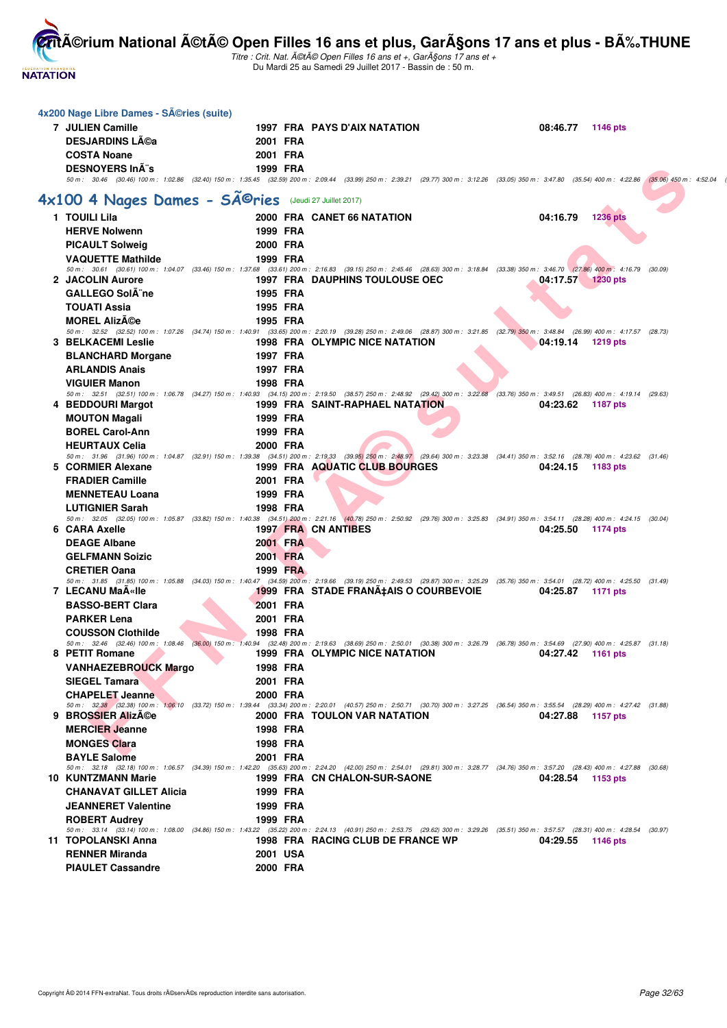

| 4x200 Nage Libre Dames - Séries (suite)                |          |                                                                                                                                                                                                                                                 |                             |  |
|--------------------------------------------------------|----------|-------------------------------------------------------------------------------------------------------------------------------------------------------------------------------------------------------------------------------------------------|-----------------------------|--|
| <b>7 JULIEN Camille</b>                                |          | 1997 FRA PAYS D'AIX NATATION                                                                                                                                                                                                                    | 08:46.77<br>1146 pts        |  |
| <b>DESJARDINS Léa</b>                                  | 2001 FRA |                                                                                                                                                                                                                                                 |                             |  |
| <b>COSTA Noane</b>                                     | 2001 FRA |                                                                                                                                                                                                                                                 |                             |  |
| <b>DESNOYERS In A s</b>                                | 1999 FRA |                                                                                                                                                                                                                                                 |                             |  |
|                                                        |          | 50 m: 30.46 (30.46) 100 m: 1:02.86 (32.40) 150 m: 1:35.45 (32.59) 200 m: 2:09.44 (33.99) 250 m: 2:39.21 (29.77) 300 m: 3:12.26 (33.05) 350 m: 3:47.80 (35.54) 400 m: 4:22.86 (35.06) 450 m: 4:52.04                                             |                             |  |
| $4x100$ 4 Nages Dames - Séries (Jeudi 27 Juillet 2017) |          |                                                                                                                                                                                                                                                 |                             |  |
| 1 TOUILI Lila                                          |          | 2000 FRA CANET 66 NATATION                                                                                                                                                                                                                      | 04:16.79<br><b>1236 pts</b> |  |
| <b>HERVE Nolwenn</b>                                   | 1999 FRA |                                                                                                                                                                                                                                                 |                             |  |
| <b>PICAULT Solweig</b>                                 | 2000 FRA |                                                                                                                                                                                                                                                 |                             |  |
| <b>VAQUETTE Mathilde</b>                               | 1999 FRA |                                                                                                                                                                                                                                                 |                             |  |
| 2 JACOLIN Aurore                                       |          | 50 m: 30.61 (30.61) 100 m: 1:04.07 (33.46) 150 m: 1:37.68 (33.61) 200 m: 2:16.83 (39.15) 250 m: 2:45.46 (28.63) 300 m: 3:16.84 (33.38) 350 m: 3:46.70 (27.86) 400 m: 4:16.79 (30.09)<br>1997 FRA DAUPHINS TOULOUSE OEC                          | 04:17.57 1230 pts           |  |
| <b>GALLEGO SolA</b> ne                                 | 1995 FRA |                                                                                                                                                                                                                                                 |                             |  |
| <b>TOUATI Assia</b>                                    | 1995 FRA |                                                                                                                                                                                                                                                 |                             |  |
| <b>MOREL AlizA©e</b>                                   | 1995 FRA |                                                                                                                                                                                                                                                 |                             |  |
|                                                        |          | 50 m: 32.52 (32.52) 100 m: 1:07.26 (34.74) 150 m: 1:40.91 (33.65) 200 m: 2:20.19 (39.28) 250 m: 2:49.06 (28.87) 300 m: 3:21.85 (32.79) 350 m: 3:48.84 (26.99) 400 m: 4:17.57 (28.73)                                                            |                             |  |
| <b>3 BELKACEMI Leslie</b>                              |          | 1998 FRA OLYMPIC NICE NATATION                                                                                                                                                                                                                  | 04:19.14 1219 pts           |  |
| <b>BLANCHARD Morgane</b>                               | 1997 FRA |                                                                                                                                                                                                                                                 |                             |  |
| <b>ARLANDIS Anais</b>                                  | 1997 FRA |                                                                                                                                                                                                                                                 |                             |  |
| <b>VIGUIER Manon</b>                                   | 1998 FRA |                                                                                                                                                                                                                                                 |                             |  |
| 4 BEDDOURI Margot                                      |          | 50 m: 32.51 (32.51) 100 m: 1:06.78 (34.27) 150 m: 1:40.93 (34.15) 200 m: 2:19.50 (38.57) 250 m: 2:48.92 (29.42) 300 m: 3:22.68 (33.76) 350 m: 3:49.51 (26.83) 400 m: 4:19.14 (29.63)<br><b>1999 FRA SAINT-RAPHAEL NATATION</b>                  | 04:23.62<br>1187 pts        |  |
| <b>MOUTON Magali</b>                                   | 1999 FRA |                                                                                                                                                                                                                                                 |                             |  |
| <b>BOREL Carol-Ann</b>                                 | 1999 FRA |                                                                                                                                                                                                                                                 |                             |  |
| <b>HEURTAUX Celia</b>                                  | 2000 FRA |                                                                                                                                                                                                                                                 |                             |  |
|                                                        |          | 50 m: 31.96 (31.96) 100 m: 1:04.87 (32.91) 150 m: 1:39.38 (34.51) 200 m: 2:19.33 (39.95) 250 m: 2:48.97 (29.64) 300 m: 3:23.38 (34.41) 350 m: 3:52.16 (28.78) 400 m: 4:23.62 (31.46)                                                            |                             |  |
| 5 CORMIER Alexane                                      |          | 1999 FRA AQUATIC CLUB BOURGES                                                                                                                                                                                                                   | 04:24.15 1183 pts           |  |
| <b>FRADIER Camille</b>                                 | 2001 FRA |                                                                                                                                                                                                                                                 |                             |  |
| <b>MENNETEAU Loana</b>                                 | 1999 FRA |                                                                                                                                                                                                                                                 |                             |  |
| <b>LUTIGNIER Sarah</b>                                 | 1998 FRA | 50 m: 32.05 (32.05) 100 m: 1:05.87 (33.82) 150 m: 1:40.38 (34.51) 200 m: 2:21.16 (40.78) 250 m: 2:50.92 (29.76) 300 m: 3:25.83 (34.91) 350 m: 3:54.11 (28.28) 400 m: 4:24.15 (30.04)                                                            |                             |  |
| 6 CARA Axelle                                          |          | <b>1997 FRA CN ANTIBES</b>                                                                                                                                                                                                                      | 04:25.50<br>1174 pts        |  |
| <b>DEAGE Albane</b>                                    | 2001 FRA |                                                                                                                                                                                                                                                 |                             |  |
| <b>GELFMANN Soizic</b>                                 | 2001 FRA |                                                                                                                                                                                                                                                 |                             |  |
| <b>CRETIER Oana</b>                                    | 1999 FRA |                                                                                                                                                                                                                                                 |                             |  |
| 7 LECANU MaA«Ile                                       |          | 50 m: 31.85 (31.85) 100 m: 1:05.88 (34.03) 150 m: 1:40.47 (34.59) 200 m: 2:19.66 (39.19) 250 m: 2:49.53 (29.87) 300 m: 3:25.29 (35.76) 350 m: 3:54.01 (28.72) 400 m: 4:25.50 (31.49)<br>1999 FRA STADE FRANA‡AIS O COURBEVOIE 04:25.87 1171 pts |                             |  |
| <b>BASSO-BERT Clara</b>                                | 2001 FRA |                                                                                                                                                                                                                                                 |                             |  |
| <b>PARKER Lena</b>                                     | 2001 FRA |                                                                                                                                                                                                                                                 |                             |  |
| <b>COUSSON Clothilde</b>                               | 1998 FRA |                                                                                                                                                                                                                                                 |                             |  |
|                                                        |          | 50 m: 32.46 (32.46) 100 m: 1:08.46 (36.00) 150 m: 1:40.94 (32.48) 200 m: 2:19.63 (38.69) 250 m: 2:50.01 (30.38) 300 m: 3:26.79 (36.78) 350 m: 3:54.69 (27.90) 400 m: 4:25.87 (31.18)                                                            |                             |  |
| 8 PETIT Romane                                         |          | 1999 FRA OLYMPIC NICE NATATION                                                                                                                                                                                                                  | 04:27.42 1161 pts           |  |
| <b>VANHAEZEBROUCK Margo</b>                            | 1998 FRA |                                                                                                                                                                                                                                                 |                             |  |
| <b>SIEGEL Tamara</b>                                   | 2001 FRA |                                                                                                                                                                                                                                                 |                             |  |
| <b>CHAPELET Jeanne</b>                                 | 2000 FRA | 50 m: 32,38 (32.38) 100 m: 1:06.10 (33.72) 150 m: 1:39.44 (33.34) 200 m: 2:20.01 (40.57) 250 m: 2:50.71 (30.70) 300 m: 3:27.25 (36.54) 350 m: 3:55.54 (28.29) 400 m: 4:27.42 (31.88)                                                            |                             |  |
| 9 BROSSIER AlizA©e                                     |          | <b>2000 FRA TOULON VAR NATATION</b>                                                                                                                                                                                                             | 04:27.88<br>1157 pts        |  |
| <b>MERCIER Jeanne</b>                                  | 1998 FRA |                                                                                                                                                                                                                                                 |                             |  |
| <b>MONGES Clara</b>                                    | 1998 FRA |                                                                                                                                                                                                                                                 |                             |  |
| <b>BAYLE Salome</b>                                    | 2001 FRA |                                                                                                                                                                                                                                                 |                             |  |
| <b>10 KUNTZMANN Marie</b>                              |          | 50 m: 32.18 (32.18) 100 m: 1:06.57 (34.39) 150 m: 1:42.20 (35.63) 200 m: 2:24.20 (42.00) 250 m: 2:54.01 (29.81) 300 m: 3:28.77 (34.76) 350 m: 3:57.20 (28.43) 400 m: 4:27.88 (30.68)<br>1999 FRA CN CHALON-SUR-SAONE                            | 1153 pts                    |  |
| <b>CHANAVAT GILLET Alicia</b>                          | 1999 FRA |                                                                                                                                                                                                                                                 | 04:28.54                    |  |
| <b>JEANNERET Valentine</b>                             | 1999 FRA |                                                                                                                                                                                                                                                 |                             |  |
| <b>ROBERT Audrey</b>                                   | 1999 FRA |                                                                                                                                                                                                                                                 |                             |  |
|                                                        |          | 50 m: 33.14 (33.14) 100 m: 1:08.00 (34.86) 150 m: 1:43.22 (35.22) 200 m: 2:24.13 (40.91) 250 m: 2:53.75 (29.62) 300 m: 3:29.26 (35.51) 350 m: 3:57.57 (28.31) 400 m: 4:28.54 (30.97)                                                            |                             |  |
| 11 TOPOLANSKI Anna                                     |          | 1998 FRA RACING CLUB DE FRANCE WP                                                                                                                                                                                                               | 04:29.55<br>1146 pts        |  |
| <b>RENNER Miranda</b>                                  | 2001 USA |                                                                                                                                                                                                                                                 |                             |  |
| <b>PIAULET Cassandre</b>                               | 2000 FRA |                                                                                                                                                                                                                                                 |                             |  |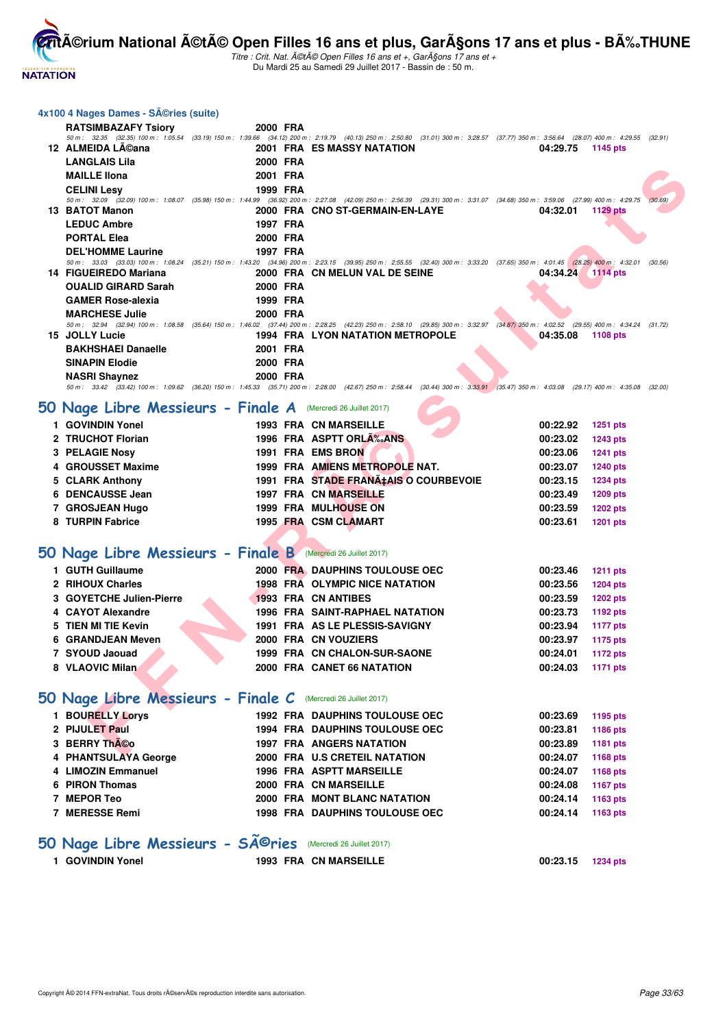

**.**<br>érium National été Open Filles 16 ans et plus, Garçons 17 ans et plus - BÉTHUNE

Titre : Crit. Nat.  $\tilde{A}$ ©t $\tilde{A}$ © Open Filles 16 ans et +, Gar $\tilde{A}$ Sons 17 ans et + Du Mardi 25 au Samedi 29 Juillet 2017 - Bassin de : 50 m.

# **F E DIRECT AND SERVE DE CONFIRMATION DE CHARGE DE CARRE DE CARRE DE CARRE DE CARRE DE CARRE DE CARRE DE CARRE DE CARRE DE CARRE DE CARRE DE CARRE DE CARRE DE CARRE DE CARRE DE CARRE DE CARRE DE CARRE DE CARRE DE CARRE DE 4x100 4 Nages Dames - Séries (suite) RATSIMBAZAFY Tsiory 2000 FRA** 50 m : 32.35 (32.35) 100 m : 1:05.54 (33.19) 150 m : 1:39.66 (34.12) 200 m : 2:19.79 (40.13) 250 m : 2:50.80 (31.01) 300 m : 3:28.57 (37.77) 350 m : 3:56.64 (28.07) 400 m : 4:29.55 (32.91) **12 ALMEIDA Léana 2001 FRA ES MASSY NATATION 04:29.75 1145 pts LANGLAIS Lila 2000 FRA MAILLE Ilona 2001 FRA CELINI Lesy 1999 FRA** 50 m : 32.09 (32.09) 100 m : 1:08.07 (35.98) 150 m : 1:44.99 (36.92) 200 m : 2:27.08 (42.09) 250 m : 2:56.39 (29.31) 300 m : 3:31.07 (34.68) 350 m : 3:59.06 (27.99) 400 m : 4:29.75 (30.69) **13 BATOT Manon 2000 FRA CNO ST-GERMAIN-EN-LAYE 04:32.01 1129 pts LEDUC Ambre 1997 FRA PORTAL Elea 2000 FRA DEL'HOMME Laurine 1997 FRA** 50 m : 33.03 (33.03) 100 m : 1:08.24 (35.21) 150 m : 1:43.20 (34.96) 200 m : 2:23.15 (39.95) 250 m : 2:55.55 (32.40) 300 m : 3:33.20 (37.65) 350 m : 4:01.45 (28.25) 400 m : 4:32.01 (30.56) **14 FIGUEIREDO Mariana 2000 FRA CN MELUN VAL DE SEINE 04:34.24 1114 pts OUALID GIRARD Sarah 2000 FRA** GAMER Rose-alexia 1999 FRA **MARCHESE Julie 2000 FRA** 50 m : 32.94 (32.94) 100 m : 1:08.58 (35.64) 150 m : 1:46.02 (37.44) 200 m : 2:28.25 (42.23) 250 m : 2:58.10 (29.85) 300 m : 3:32.97 (34.87) 350 m : 4:02.52 (29.55) 400 m : 4:34.24 (31.72) **15 JOLLY Lucie 1994 FRA LYON NATATION METROPOLE 04:35.08 1108 pts BAKHSHAEI Danaelle 2001 FRA SINAPIN Elodie 2000 FRA NASRI Shaynez 2000 FRA** 50 m : 33.42 (33.42) 100 m : 1:09.62 (36.20) 150 m : 1:45.33 (35.71) 200 m : 2:28.00 (42.67) 250 m : 2:58.44 (30.44) 300 m : 3:33.91 (35.47) 350 m : 4:03.08 (29.17) 400 m : 4:35.08 (32.00)

## **50 Nage Libre Messieurs - Finale A** (Mercredi 26 Juillet 2017)

| 1 GOVINDIN Yonel      | <b>1993 FRA CN MARSEILLE</b>          | 00:22.92 | <b>1251 pts</b> |
|-----------------------|---------------------------------------|----------|-----------------|
| 2 TRUCHOT Florian     | 1996 FRA ASPTT ORLA <sub>%</sub> ANS  | 00:23.02 | <b>1243 pts</b> |
| <b>3 PELAGIE Nosy</b> | 1991 FRA EMS BRON                     | 00:23.06 | 1241 pts        |
| 4 GROUSSET Maxime     | 1999 FRA AMIENS METROPOLE NAT.        | 00:23.07 | <b>1240 pts</b> |
| 5 CLARK Anthony       | 1991 FRA STADE FRANA‡AIS O COURBEVOIE | 00:23.15 | <b>1234 pts</b> |
| 6 DENCAUSSE Jean      | <b>1997 FRA CN MARSEILLE</b>          | 00:23.49 | 1209 pts        |
| 7 GROSJEAN Hugo       | <b>1999 FRA MULHOUSE ON</b>           | 00:23.59 | <b>1202 pts</b> |
| 8 TURPIN Fabrice      | 1995 FRA CSM CLAMART                  | 00:23.61 | 1201 pts        |
|                       |                                       |          |                 |

#### **50 Nage Libre Messieurs - Finale B** (Mercredi 26 Juillet 2017)

| 1 GUTH Guillaume         |  | 2000 FRA DAUPHINS TOULOUSE OEC         | 00:23.46 | <b>1211 pts</b> |
|--------------------------|--|----------------------------------------|----------|-----------------|
| 2 RIHOUX Charles         |  | 1998 FRA OLYMPIC NICE NATATION         | 00:23.56 | 1204 pts        |
| 3 GOYETCHE Julien-Pierre |  | <b>1993 FRA CN ANTIBES</b>             | 00:23.59 | <b>1202 pts</b> |
| 4 CAYOT Alexandre        |  | <b>1996 FRA SAINT-RAPHAEL NATATION</b> | 00:23.73 | 1192 pts        |
| 5 TIEN MI TIE Kevin      |  | 1991 FRA AS LE PLESSIS-SAVIGNY         | 00:23.94 | <b>1177 pts</b> |
| 6 GRANDJEAN Meven        |  | 2000 FRA CN VOUZIERS                   | 00:23.97 | 1175 pts        |
| 7 SYOUD Jaouad           |  | 1999 FRA CN CHALON-SUR-SAONE           | 00:24.01 | <b>1172 pts</b> |
| 8 VLAOVIC Milan          |  | 2000 FRA CANET 66 NATATION             | 00:24.03 | 1171 pts        |
|                          |  |                                        |          |                 |

#### **50 Nage Libre Messieurs - Finale C** (Mercredi 26 Juillet 2017)

| <b>BOURELLY Lorys</b> |  | <b>1992 FRA DAUPHINS TOULOUSE OEC</b> | 00:23.69 | 1195 pts |
|-----------------------|--|---------------------------------------|----------|----------|
| 2 PIJULET Paul        |  | <b>1994 FRA DAUPHINS TOULOUSE OEC</b> | 00:23.81 | 1186 pts |
| 3 BERRY Th©o          |  | <b>1997 FRA ANGERS NATATION</b>       | 00:23.89 | 1181 pts |
| 4 PHANTSULAYA George  |  | 2000 FRA U.S CRETEIL NATATION         | 00:24.07 | 1168 pts |
| 4 LIMOZIN Emmanuel    |  | <b>1996 FRA ASPTT MARSEILLE</b>       | 00:24.07 | 1168 pts |
| 6 PIRON Thomas        |  | 2000 FRA CN MARSEILLE                 | 00:24.08 | 1167 pts |
| 7 MEPOR Teo           |  | 2000 FRA MONT BLANC NATATION          | 00:24.14 | 1163 pts |
| 7 MERESSE Remi        |  | <b>1998 FRA DAUPHINS TOULOUSE OEC</b> | 00:24.14 | 1163 pts |
|                       |  |                                       |          |          |

## **50 Nage Libre Messieurs - Séries** (Mercredi 26 Juillet 2017)

| 1 GOVINDIN Yonel | <b>1993 FRA CN MARSEILLE</b> | 00:23.15 | 1234 pts |
|------------------|------------------------------|----------|----------|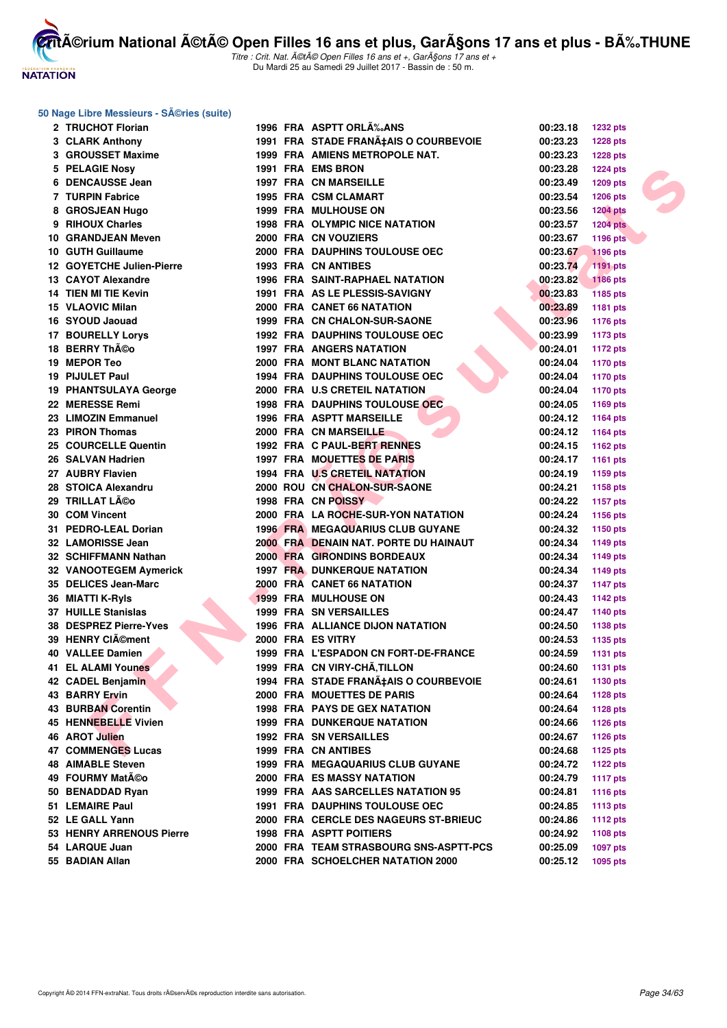

Titre : Crit. Nat. A©tA© Open Filles 16 ans et +, GarA§ons 17 ans et + Du Mardi 25 au Samedi 29 Juillet 2017 - Bassin de : 50 m.

#### **50 Nage Libre Messieurs - Séries (suite)**

|   | 2 TRUCHOT Florian            |  | 1996 FRA ASPTT ORLĉANS                 | 00:23.18 | <b>1232 pts</b> |
|---|------------------------------|--|----------------------------------------|----------|-----------------|
|   | 3 CLARK Anthony              |  | 1991 FRA STADE FRANA‡AIS O COURBEVOIE  | 00:23.23 | <b>1228 pts</b> |
|   | 3 GROUSSET Maxime            |  | 1999 FRA AMIENS METROPOLE NAT.         | 00:23.23 | <b>1228 pts</b> |
|   | 5 PELAGIE Nosy               |  | 1991 FRA EMS BRON                      | 00:23.28 | <b>1224 pts</b> |
| 6 | <b>DENCAUSSE Jean</b>        |  | <b>1997 FRA CN MARSEILLE</b>           | 00:23.49 | <b>1209 pts</b> |
|   | 7 TURPIN Fabrice             |  | 1995 FRA CSM CLAMART                   | 00:23.54 | <b>1206 pts</b> |
| 8 | <b>GROSJEAN Hugo</b>         |  | <b>1999 FRA MULHOUSE ON</b>            | 00:23.56 | <b>1204 pts</b> |
| 9 | <b>RIHOUX Charles</b>        |  | <b>1998 FRA OLYMPIC NICE NATATION</b>  | 00:23.57 | <b>1204 pts</b> |
|   | 10 GRANDJEAN Meven           |  | 2000 FRA CN VOUZIERS                   | 00:23.67 | <b>1196 pts</b> |
|   | 10 GUTH Guillaume            |  | <b>2000 FRA DAUPHINS TOULOUSE OEC</b>  | 00:23.67 | <b>1196 pts</b> |
|   | 12 GOYETCHE Julien-Pierre    |  | <b>1993 FRA CN ANTIBES</b>             | 00:23.74 | 1191 pts        |
|   | 13 CAYOT Alexandre           |  | <b>1996 FRA SAINT-RAPHAEL NATATION</b> | 00:23.82 | <b>1186 pts</b> |
|   | 14 TIEN MI TIE Kevin         |  | 1991 FRA AS LE PLESSIS-SAVIGNY         | 00:23.83 | 1185 pts        |
|   | 15 VLAOVIC Milan             |  | 2000 FRA CANET 66 NATATION             | 00:23.89 | 1181 pts        |
|   | 16 SYOUD Jaouad              |  | 1999 FRA CN CHALON-SUR-SAONE           | 00:23.96 | <b>1176 pts</b> |
|   | <b>17 BOURELLY Lorys</b>     |  | <b>1992 FRA DAUPHINS TOULOUSE OEC</b>  | 00:23.99 | <b>1173 pts</b> |
|   | 18 BERRY Théo                |  | <b>1997 FRA ANGERS NATATION</b>        | 00:24.01 |                 |
|   | 19 MEPOR Teo                 |  | 2000 FRA MONT BLANC NATATION           |          | <b>1172 pts</b> |
|   |                              |  |                                        | 00:24.04 | 1170 pts        |
|   | 19 PIJULET Paul              |  | <b>1994 FRA DAUPHINS TOULOUSE OEC</b>  | 00:24.04 | 1170 pts        |
|   | <b>19 PHANTSULAYA George</b> |  | 2000 FRA U.S CRETEIL NATATION          | 00:24.04 | <b>1170 pts</b> |
|   | 22 MERESSE Remi              |  | <b>1998 FRA DAUPHINS TOULOUSE OEC</b>  | 00:24.05 | 1169 pts        |
|   | 23 LIMOZIN Emmanuel          |  | <b>1996 FRA ASPTT MARSEILLE</b>        | 00:24.12 | <b>1164 pts</b> |
|   | 23 PIRON Thomas              |  | 2000 FRA CN MARSEILLE                  | 00:24.12 | 1164 pts        |
|   | 25 COURCELLE Quentin         |  | 1992 FRA C PAUL-BERT RENNES            | 00:24.15 | 1162 pts        |
|   | 26 SALVAN Hadrien            |  | 1997 FRA MOUETTES DE PARIS             | 00:24.17 | 1161 pts        |
|   | 27 AUBRY Flavien             |  | 1994 FRA U.S CRETEIL NATATION          | 00:24.19 | 1159 pts        |
|   | 28 STOICA Alexandru          |  | 2000 ROU CN CHALON-SUR-SAONE           | 00:24.21 | 1158 pts        |
|   | 29 TRILLAT Léo               |  | 1998 FRA CN POISSY                     | 00:24.22 | 1157 pts        |
|   | 30 COM Vincent               |  | 2000 FRA LA ROCHE-SUR-YON NATATION     | 00:24.24 | 1156 pts        |
|   | 31 PEDRO-LEAL Dorian         |  | 1996 FRA MEGAQUARIUS CLUB GUYANE       | 00:24.32 | 1150 pts        |
|   | 32 LAMORISSE Jean            |  | 2000 FRA DENAIN NAT. PORTE DU HAINAUT  | 00:24.34 | 1149 pts        |
|   | 32 SCHIFFMANN Nathan         |  | 2000 FRA GIRONDINS BORDEAUX            | 00:24.34 | 1149 pts        |
|   | 32 VANOOTEGEM Aymerick       |  | <b>1997 FRA DUNKERQUE NATATION</b>     | 00:24.34 | <b>1149 pts</b> |
|   | 35 DELICES Jean-Marc         |  | 2000 FRA CANET 66 NATATION             | 00:24.37 | <b>1147 pts</b> |
|   | 36 MIATTI K-Ryls             |  | <b>1999 FRA MULHOUSE ON</b>            | 00:24.43 | <b>1142 pts</b> |
|   | <b>37 HUILLE Stanislas</b>   |  | <b>1999 FRA SN VERSAILLES</b>          | 00:24.47 | 1140 pts        |
|   | 38 DESPREZ Pierre-Yves       |  | 1996 FRA ALLIANCE DIJON NATATION       | 00:24.50 | <b>1138 pts</b> |
|   | 39 HENRY CIément             |  | 2000 FRA ES VITRY                      | 00:24.53 | 1135 pts        |
|   | <b>40 VALLEE Damien</b>      |  | 1999 FRA L'ESPADON CN FORT-DE-FRANCE   | 00:24.59 | <b>1131 pts</b> |
|   | <b>41 EL ALAMI Younes</b>    |  | 1999 FRA CN VIRY-CHÂ, TILLON           | 00:24.60 | <b>1131 pts</b> |
|   | 42 CADEL Benjamin            |  | 1994 FRA STADE FRANA‡AIS O COURBEVOIE  | 00:24.61 | 1130 pts        |
|   | 43 BARRY Ervin               |  | 2000 FRA MOUETTES DE PARIS             | 00:24.64 | 1128 pts        |
|   | 43 BURBAN Corentin           |  | <b>1998 FRA PAYS DE GEX NATATION</b>   | 00:24.64 | <b>1128 pts</b> |
|   | 45 HENNEBELLE Vivien         |  | 1999 FRA DUNKERQUE NATATION            | 00:24.66 | <b>1126 pts</b> |
|   | 46 AROT Julien               |  | <b>1992 FRA SN VERSAILLES</b>          | 00:24.67 | 1126 pts        |
|   | 47 COMMENGES Lucas           |  | 1999 FRA CN ANTIBES                    | 00:24.68 | 1125 pts        |
|   | <b>48 AIMABLE Steven</b>     |  | 1999 FRA MEGAQUARIUS CLUB GUYANE       | 00:24.72 | 1122 pts        |
|   | 49 FOURMY Matéo              |  | <b>2000 FRA ES MASSY NATATION</b>      | 00:24.79 | <b>1117 pts</b> |
|   | 50 BENADDAD Ryan             |  | 1999 FRA AAS SARCELLES NATATION 95     | 00:24.81 | <b>1116 pts</b> |
|   | 51 LEMAIRE Paul              |  | <b>1991 FRA DAUPHINS TOULOUSE OEC</b>  | 00:24.85 | <b>1113 pts</b> |
|   | 52 LE GALL Yann              |  | 2000 FRA CERCLE DES NAGEURS ST-BRIEUC  | 00:24.86 | <b>1112 pts</b> |
|   | 53 HENRY ARRENOUS Pierre     |  | <b>1998 FRA ASPTT POITIERS</b>         | 00:24.92 | 1108 pts        |
|   | 54 LARQUE Juan               |  | 2000 FRA TEAM STRASBOURG SNS-ASPTT-PCS | 00:25.09 | <b>1097 pts</b> |
|   | 55 BADIAN Allan              |  | 2000 FRA SCHOELCHER NATATION 2000      | 00:25.12 | <b>1095 pts</b> |
|   |                              |  |                                        |          |                 |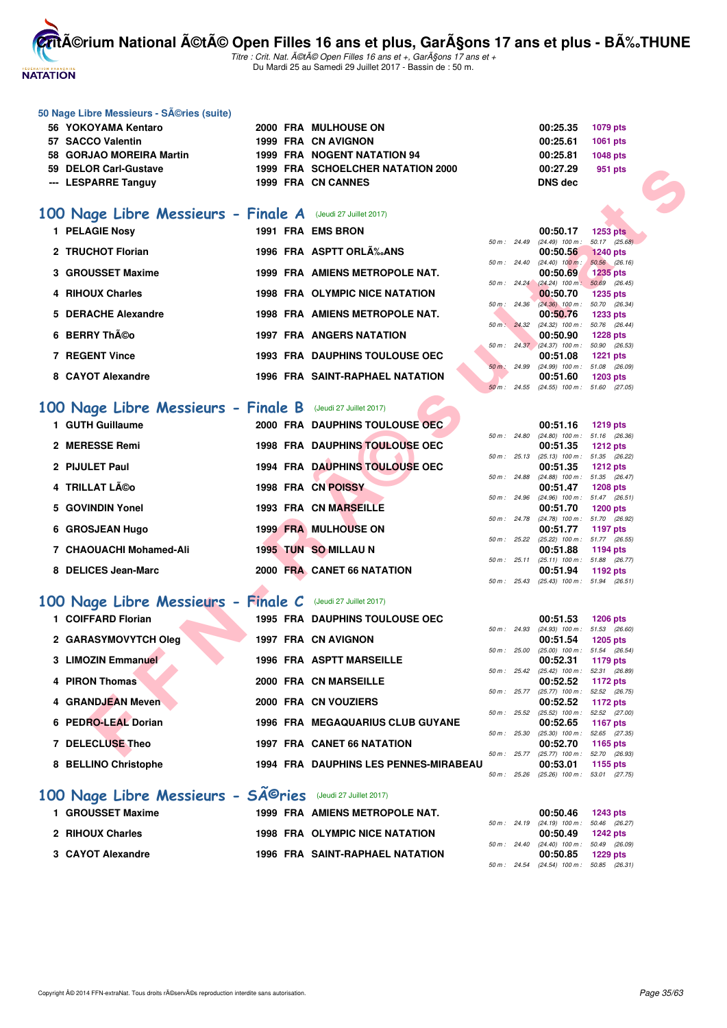

**50 Nage Libre Messieurs - Séries (suite)** 

**CritA©rium National A©tA© Open Filles 16 ans et plus, GarA§ons 17 ans et plus - BA%.THUNE** 

| 56 YOKOYAMA Kentaro                                         |  | 2000 FRA MULHOUSE ON                   |              |              | 00:25.35                                               | 1079 pts        |  |
|-------------------------------------------------------------|--|----------------------------------------|--------------|--------------|--------------------------------------------------------|-----------------|--|
| 57 SACCO Valentin                                           |  | 1999 FRA CN AVIGNON                    |              |              | 00:25.61                                               | <b>1061 pts</b> |  |
| 58 GORJAO MOREIRA Martin                                    |  | 1999 FRA NOGENT NATATION 94            |              |              | 00:25.81                                               | <b>1048 pts</b> |  |
| 59 DELOR Carl-Gustave                                       |  | 1999 FRA SCHOELCHER NATATION 2000      |              |              | 00:27.29                                               | 951 pts         |  |
| --- LESPARRE Tanguy                                         |  | 1999 FRA CN CANNES                     |              |              | DNS dec                                                |                 |  |
|                                                             |  |                                        |              |              |                                                        |                 |  |
| 100 Nage Libre Messieurs - Finale A (Jeudi 27 Juillet 2017) |  |                                        |              |              |                                                        |                 |  |
| 1 PELAGIE Nosy                                              |  | 1991 FRA EMS BRON                      |              |              | 00:50.17                                               | <b>1253 pts</b> |  |
| 2 TRUCHOT Florian                                           |  | 1996 FRA ASPTT ORLA <sub>%</sub> ANS   |              | 50 m : 24.49 | $(24.49)$ 100 m : 50.17 $(25.68)$<br>00:50.56          | <b>1240 pts</b> |  |
|                                                             |  |                                        |              |              | 50 m : 24.40 (24.40) 100 m : 50.56 (26.16)             |                 |  |
| 3 GROUSSET Maxime                                           |  | 1999 FRA AMIENS METROPOLE NAT.         |              |              | 00:50.69                                               | <b>1235 pts</b> |  |
| 4 RIHOUX Charles                                            |  | 1998 FRA OLYMPIC NICE NATATION         |              |              | 50 m : 24.24 (24.24) 100 m : 50.69 (26.45)<br>00:50.70 | <b>1235 pts</b> |  |
|                                                             |  |                                        |              |              | 50 m: 24.36 (24.36) 100 m: 50.70 (26.34)               |                 |  |
| 5 DERACHE Alexandre                                         |  | 1998 FRA AMIENS METROPOLE NAT.         |              |              | 00:50.76<br>50 m: 24.32 (24.32) 100 m: 50.76 (26.44)   | <b>1233 pts</b> |  |
| 6 BERRY Théo                                                |  | <b>1997 FRA ANGERS NATATION</b>        |              |              | 00:50.90                                               | <b>1228 pts</b> |  |
| 7 REGENT Vince                                              |  | 1993 FRA DAUPHINS TOULOUSE OEC         |              |              | 50 m: 24.37 (24.37) 100 m: 50.90 (26.53)<br>00:51.08   | <b>1221 pts</b> |  |
|                                                             |  |                                        |              |              | 50 m: 24.99 (24.99) 100 m: 51.08 (26.09)               |                 |  |
| 8 CAYOT Alexandre                                           |  | <b>1996 FRA SAINT-RAPHAEL NATATION</b> |              |              | 00:51.60<br>50 m: 24.55 (24.55) 100 m: 51.60 (27.05)   | <b>1203 pts</b> |  |
|                                                             |  |                                        |              |              |                                                        |                 |  |
| 100 Nage Libre Messieurs - Finale B (Jeudi 27 Juillet 2017) |  |                                        |              |              |                                                        |                 |  |
| 1 GUTH Guillaume                                            |  | 2000 FRA DAUPHINS TOULOUSE OEC         |              |              | 00:51.16                                               | <b>1219 pts</b> |  |
| 2 MERESSE Remi                                              |  | 1998 FRA DAUPHINS TOULOUSE OEC         |              |              | 50 m: 24.80 (24.80) 100 m: 51.16 (26.36)<br>00:51.35   | <b>1212 pts</b> |  |
|                                                             |  |                                        |              |              | 50 m: 25.13 (25.13) 100 m: 51.35 (26.22)               |                 |  |
| 2 PIJULET Paul                                              |  | 1994 FRA DAUPHINS TOULOUSE OEC         |              |              | 00:51.35<br>50 m: 24.88 (24.88) 100 m: 51.35 (26.47)   | <b>1212 pts</b> |  |
| 4 TRILLAT Léo                                               |  | 1998 FRA CN POISSY                     |              |              | 00:51.47                                               | <b>1208 pts</b> |  |
| 5 GOVINDIN Yonel                                            |  | 1993 FRA CN MARSEILLE                  |              |              | 50 m: 24.96 (24.96) 100 m: 51.47 (26.51)<br>00:51.70   | <b>1200 pts</b> |  |
|                                                             |  |                                        |              |              | 50 m: 24.78 (24.78) 100 m: 51.70 (26.92)               |                 |  |
| 6 GROSJEAN Hugo                                             |  | 1999 FRA MULHOUSE ON                   |              |              | 00:51.77<br>50 m: 25.22 (25.22) 100 m: 51.77 (26.55)   | 1197 pts        |  |
| 7 CHAOUACHI Mohamed-Ali                                     |  | 1995 TUN SO MILLAU N                   |              |              | 00:51.88                                               | 1194 pts        |  |
|                                                             |  |                                        |              | 50 m: 25.11  | $(25.11)$ 100 m : 51.88 $(26.77)$                      |                 |  |
| 8 DELICES Jean-Marc                                         |  | 2000 FRA CANET 66 NATATION             |              |              | 00:51.94<br>50 m: 25.43 (25.43) 100 m: 51.94 (26.51)   | 1192 pts        |  |
|                                                             |  |                                        |              |              |                                                        |                 |  |
| 100 Nage Libre Messieurs - Finale C (Jeudi 27 Juillet 2017) |  |                                        |              |              |                                                        |                 |  |
| 1 COIFFARD Florian                                          |  | <b>1995 FRA DAUPHINS TOULOUSE OEC</b>  |              |              | 00:51.53<br>50 m: 24.93 (24.93) 100 m: 51.53 (26.60)   | <b>1206 pts</b> |  |
| 2 GARASYMOVYTCH Oleg                                        |  | 1997 FRA CN AVIGNON                    |              |              | 00:51.54                                               | <b>1205 pts</b> |  |
| 3 LIMOZIN Emmanuel                                          |  | <b>1996 FRA ASPTT MARSEILLE</b>        |              | 50 m : 25.00 | $(25.00)$ 100 m : 51.54 (26.54)<br>00:52.31            | 1179 pts        |  |
|                                                             |  |                                        | 50 m : 25.42 |              | (25.42) 100 m: 52.31 (26.89)                           |                 |  |
| 4 PIRON Thomas                                              |  | 2000 FRA CN MARSEILLE                  |              |              | 00:52.52<br>50 m: 25.77 (25.77) 100 m: 52.52 (26.75)   | 1172 pts        |  |
| 4 GRANDJEAN Meven                                           |  | 2000 FRA CN VOUZIERS                   |              |              | 00:52.52                                               | 1172 pts        |  |
| 6 PEDRO-LEAL Dorian                                         |  | 1996 FRA MEGAQUARIUS CLUB GUYANE       | 50 m: 25.52  |              | $(25.52)$ 100 m : 52.52 $(27.00)$                      |                 |  |
|                                                             |  |                                        | 50 m : 25.30 |              | 00:52.65<br>(25.30) 100 m: 52.65 (27.35)               | <b>1167 pts</b> |  |
| 7 DELECLUSE Theo                                            |  | 1997 FRA CANET 66 NATATION             |              |              | 00:52.70                                               | 1165 pts        |  |
| 8 BELLINO Christophe                                        |  | 1994 FRA DAUPHINS LES PENNES-MIRABEAU  |              | 50 m : 25.77 | (25.77) 100 m : 52.70 (26.93)<br>00:53.01              | 1155 pts        |  |
|                                                             |  |                                        |              |              | 50 m : 25.26 (25.26) 100 m : 53.01 (27.75)             |                 |  |
| 100 Nage Libre Messieurs - Sîries (Jeudi 27 Juillet 2017)   |  |                                        |              |              |                                                        |                 |  |
| 1 GROUSSET Maxime                                           |  | 1999 FRA AMIENS METROPOLE NAT.         |              |              |                                                        |                 |  |
|                                                             |  |                                        |              |              | 00:50.46<br>50 m: 24.19 (24.19) 100 m: 50.46 (26.27)   | <b>1243 pts</b> |  |
| 2 RIHOUX Charles                                            |  | <b>1998 FRA OLYMPIC NICE NATATION</b>  |              |              | 00:50.49                                               | <b>1242 pts</b> |  |
| 3 CAYOT Alexandre                                           |  | 1996 FRA SAINT-RAPHAEL NATATION        |              | 50 m : 24.40 | (24.40) 100 m: 50.49 (26.09)<br>00:50.85               | 1229 pts        |  |
|                                                             |  |                                        |              |              | 50 m: 24.54 (24.54) 100 m: 50.85 (26.31)               |                 |  |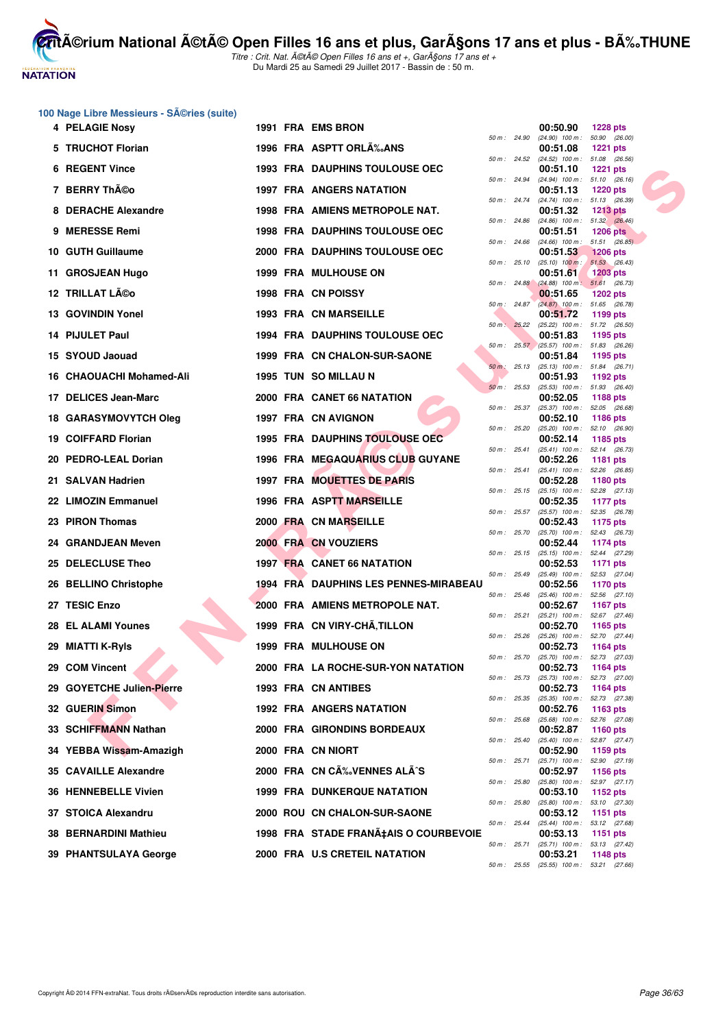

Titre : Crit. Nat. A©tA© Open Filles 16 ans et +, GarA§ons 17 ans et + Du Mardi 25 au Samedi 29 Juillet 2017 - Bassin de : 50 m.

#### **100 Nage Libre Messieurs - Séries (suite)**

| 4 PELAGIE Nosy               |  | 1991 FRA EMS BRON                            |              |              | 00:50.90                                               | <b>1228 pts</b>                  |  |
|------------------------------|--|----------------------------------------------|--------------|--------------|--------------------------------------------------------|----------------------------------|--|
| 5 TRUCHOT Florian            |  | 1996 FRA ASPTT ORLA %ANS                     | 50 m: 24.90  |              | $(24.90)$ 100 m : 50.90 $(26.00)$<br>00:51.08          | <b>1221 pts</b>                  |  |
| <b>6 REGENT Vince</b>        |  | <b>1993 FRA DAUPHINS TOULOUSE OEC</b>        | 50 m: 24.52  |              | (24.52) 100 m: 51.08 (26.56)<br>00:51.10               | <b>1221 pts</b>                  |  |
| 7 BERRY Th©o                 |  | <b>1997 FRA ANGERS NATATION</b>              | 50 m : 24.94 |              | $(24.94)$ 100 m : 51.10 $(26.16)$<br>00:51.13          | <b>1220 pts</b>                  |  |
| 8 DERACHE Alexandre          |  | 1998 FRA AMIENS METROPOLE NAT.               |              |              | 50 m: 24.74 (24.74) 100 m: 51.13 (26.39)<br>00:51.32   | <b>1213 pts</b>                  |  |
|                              |  |                                              |              |              | 50 m : 24.86 (24.86) 100 m : 51.32 (26.46)             |                                  |  |
| 9 MERESSE Remi               |  | <b>1998 FRA DAUPHINS TOULOUSE OEC</b>        |              |              | 00:51.51<br>50 m: 24.66 (24.66) 100 m: 51.51 (26.85)   | <b>1206 pts</b>                  |  |
| 10 GUTH Guillaume            |  | 2000 FRA DAUPHINS TOULOUSE OEC               | 50 m: 25.10  |              | 00:51.53<br>$(25.10)$ 100 m :                          | <b>1206 pts</b><br>51.53 (26.43) |  |
| 11 GROSJEAN Hugo             |  | <b>1999 FRA MULHOUSE ON</b>                  | 50 m: 24.88  |              | 00:51.61<br>$(24.88)$ 100 m : 51.61 (26.73)            | <b>1203 pts</b>                  |  |
| 12 TRILLAT Léo               |  | 1998 FRA CN POISSY                           |              |              | 00:51.65                                               | <b>1202 pts</b>                  |  |
| 13 GOVINDIN Yonel            |  | 1993 FRA CN MARSEILLE                        |              |              | 50 m: 24.87 (24.87) 100 m: 51.65 (26.78)<br>00:51.72   | 1199 pts                         |  |
| 14 PIJULET Paul              |  | <b>1994 FRA DAUPHINS TOULOUSE OEC</b>        |              |              | 50 m: 25.22 (25.22) 100 m: 51.72 (26.50)<br>00:51.83   | 1195 pts                         |  |
| 15 SYOUD Jaouad              |  | 1999 FRA CN CHALON-SUR-SAONE                 |              |              | 50 m : 25.57 (25.57) 100 m : 51.83 (26.26)<br>00:51.84 | 1195 pts                         |  |
|                              |  |                                              |              |              | 50 m: 25.13 (25.13) 100 m: 51.84 (26.71)               |                                  |  |
| 16 CHAOUACHI Mohamed-Ali     |  | 1995 TUN SO MILLAU N                         | 50 m: 25.53  |              | 00:51.93<br>$(25.53)$ 100 m : 51.93 $(26.40)$          | 1192 pts                         |  |
| 17 DELICES Jean-Marc         |  | 2000 FRA CANET 66 NATATION                   | 50 m: 25.37  |              | 00:52.05<br>$(25.37)$ 100 m : 52.05 $(26.68)$          | 1188 pts                         |  |
| <b>18 GARASYMOVYTCH Oleg</b> |  | 1997 FRA CN AVIGNON                          | 50 m: 25.20  |              | 00:52.10<br>$(25.20)$ 100 m : 52.10 $(26.90)$          | 1186 pts                         |  |
| 19 COIFFARD Florian          |  | <b>1995 FRA DAUPHINS TOULOUSE OEC</b>        |              |              | 00:52.14                                               | 1185 pts                         |  |
| 20 PEDRO-LEAL Dorian         |  | 1996 FRA MEGAQUARIUS CLUB GUYANE             |              | 50 m : 25.41 | $(25.41)$ 100 m : 52.14 $(26.73)$<br>00:52.26          | 1181 pts                         |  |
| 21 SALVAN Hadrien            |  | 1997 FRA MOUETTES DE PARIS                   |              |              | 50 m: 25.41 (25.41) 100 m: 52.26 (26.85)<br>00:52.28   | 1180 pts                         |  |
| 22 LIMOZIN Emmanuel          |  | 1996 FRA ASPTT MARSEILLE                     |              |              | 50 m: 25.15 (25.15) 100 m: 52.28 (27.13)<br>00:52.35   | 1177 pts                         |  |
| 23 PIRON Thomas              |  | 2000 FRA CN MARSEILLE                        |              |              | 50 m: 25.57 (25.57) 100 m: 52.35 (26.78)<br>00:52.43   | 1175 pts                         |  |
| 24 GRANDJEAN Meven           |  | 2000 FRA CN VOUZIERS                         | 50 m: 25.70  |              | $(25.70)$ 100 m : 52.43 $(26.73)$<br>00:52.44          | 1174 pts                         |  |
|                              |  |                                              |              |              | 50 m: 25.15 (25.15) 100 m: 52.44 (27.29)               |                                  |  |
| 25 DELECLUSE Theo            |  | 1997 FRA CANET 66 NATATION                   |              |              | 00:52.53<br>50 m: 25.49 (25.49) 100 m: 52.53 (27.04)   | 1171 pts                         |  |
| 26 BELLINO Christophe        |  | <b>1994 FRA DAUPHINS LES PENNES-MIRABEAU</b> |              |              | 00:52.56<br>50 m: 25.46 (25.46) 100 m: 52.56 (27.10)   | 1170 pts                         |  |
| 27 TESIC Enzo                |  | 2000 FRA AMIENS METROPOLE NAT.               |              |              | 00:52.67<br>50 m: 25.21 (25.21) 100 m: 52.67 (27.46)   | <b>1167 pts</b>                  |  |
| 28 EL ALAMI Younes           |  | 1999 FRA CN VIRY-CHÂ, TILLON                 |              |              | 00:52.70                                               | 1165 pts                         |  |
| 29 MIATTI K-Ryls             |  | <b>1999 FRA MULHOUSE ON</b>                  | 50 m: 25.26  |              | (25.26) 100 m : 52.70 (27.44)<br>00:52.73              | 1164 pts                         |  |
| 29 COM Vincent               |  | 2000 FRA LA ROCHE-SUR-YON NATATION           |              |              | 50 m: 25.70 (25.70) 100 m: 52.73 (27.03)<br>00:52.73   | <b>1164 pts</b>                  |  |
| 29 GOYETCHE Julien-Pierre    |  | <b>1993 FRA CN ANTIBES</b>                   |              |              | 50 m : 25.73 (25.73) 100 m : 52.73 (27.00)<br>00:52.73 | <b>1164 pts</b>                  |  |
| 32 GUERIN Simon              |  | 1992 FRA ANGERS NATATION                     | 50 m: 25.35  |              | (25.35) 100 m: 52.73 (27.38)<br>00:52.76               | 1163 pts                         |  |
|                              |  |                                              | 50 m : 25.68 |              | (25.68) 100 m: 52.76 (27.08)                           |                                  |  |
| 33 SCHIFFMANN Nathan         |  | 2000 FRA GIRONDINS BORDEAUX                  |              | 50 m : 25.40 | 00:52.87<br>$(25.40)$ 100 m : 52.87 $(27.47)$          | 1160 pts                         |  |
| 34 YEBBA Wissam-Amazigh      |  | 2000 FRA CN NIORT                            | 50 m : 25.71 |              | 00:52.90<br>$(25.71)$ 100 m :                          | 1159 pts<br>52.90 (27.19)        |  |
| 35 CAVAILLE Alexandre        |  | 2000 FRA CN CÉVENNES ALÃ^S                   | 50 m: 25.80  |              | 00:52.97<br>$(25.80)$ 100 m : 52.97 $(27.17)$          | 1156 pts                         |  |
| 36 HENNEBELLE Vivien         |  | 1999 FRA DUNKERQUE NATATION                  |              |              | 00:53.10                                               | 1152 pts                         |  |
| 37 STOICA Alexandru          |  | 2000 ROU CN CHALON-SUR-SAONE                 | 50 m: 25.80  |              | $(25.80)$ 100 m : 53.10 $(27.30)$<br>00:53.12          | 1151 pts                         |  |
| 38 BERNARDINI Mathieu        |  | 1998 FRA STADE FRANA‡AIS O COURBEVOIE        | 50 m : 25.44 |              | (25.44) 100 m: 53.12 (27.68)<br>00:53.13               | 1151 pts                         |  |
| 39 PHANTSULAYA George        |  | 2000 FRA U.S CRETEIL NATATION                | 50 m : 25.71 |              | $(25.71)$ 100 m : 53.13 $(27.42)$<br>00:53.21          | 1148 pts                         |  |
|                              |  |                                              |              |              |                                                        |                                  |  |

| 50 m :   | 24.94 | (24.94) 100 m :               | 51.10<br>(26.16)                    |  |
|----------|-------|-------------------------------|-------------------------------------|--|
|          |       | 00:51.13                      | 1220 pts                            |  |
| 50 m :   | 24.74 | $(24.74)$ 100 m :             | 51.13<br>(26.39)                    |  |
|          |       | 00:51.32                      | 1213 pts                            |  |
| $50 m$ : | 24.86 | $(24.86)$ 100 m :<br>00:51.51 | 51.32<br>(26.46)<br><b>1206 pts</b> |  |
| 50 m :   | 24.66 | $(24.66)$ 100 m :             | 51.51<br>(26.85)                    |  |
|          |       | 00:51.53                      | <b>1206 pts</b>                     |  |
| 50 m :   | 25.10 | $(25.10)$ 100 m :             | 51.53<br>(26.43)                    |  |
|          |       | 00:51.61                      | 1203 pts                            |  |
| 50 m :   | 24.88 | $(24.88)$ 100 m :             | 51.61<br>(26.73)                    |  |
|          |       | 00:51.65                      | 1202 pts                            |  |
| 50 m :   | 24.87 | $(24.87)$ 100 m :             | 51.65<br>(26.78)                    |  |
|          |       | 00:51.72                      | 1199 pts                            |  |
| $50 m$ : | 25.22 | $(25.22)$ 100 m :<br>00:51.83 | 51.72<br>(26.50)<br>1195 pts        |  |
| 50 m :   | 25.57 | $(25.57)$ 100 m :             | 51.83<br>(26.26)                    |  |
|          |       | 00:51.84                      | 1195 pts                            |  |
| $50 m$ : | 25.13 | $(25.13)$ 100 m :             | 51.84<br>(26.71)                    |  |
|          |       | 00:51.93                      | 1192 pts                            |  |
| $50 m$ : | 25.53 | $(25.53)$ 100 m :             | 51.93<br>(26.40)                    |  |
|          |       | 00:52.05                      | 1188 pts                            |  |
| 50 m :   | 25.37 | $(25.37)$ 100 m :             | 52.05<br>(26.68)                    |  |
|          |       | 00:52.10                      | 1186 pts                            |  |
| 50 m :   | 25.20 | $(25.20)$ 100 m :             | 52.10<br>(26.90)                    |  |
| 50 m :   | 25.41 | 00:52.14<br>$(25.41)$ 100 m : | 1185 pts<br>52.14<br>(26.73)        |  |
|          |       | 00:52.26                      | 1181<br>pts                         |  |
| $50 m$ : | 25.41 | $(25.41)$ 100 m :             | 52.26<br>(26.85)                    |  |
|          |       | 00:52.28                      | 1180 pts                            |  |
| $50 m$ : | 25.15 | $(25.15)$ 100 m :             | 52.28<br>(27.13)                    |  |
|          |       | 00:52.35                      | 1177<br>pts                         |  |
| 50 m :   | 25.57 | (25.57) 100 m :               | 52.35<br>(26.78)                    |  |
|          |       | 00:52.43                      | 1175<br>pts                         |  |
| 50 m :   | 25.70 | $(25.70)$ 100 m :             | 52.43<br>(26.73)                    |  |
| 50 m :   | 25.15 | 00:52.44                      | 1174 pts<br>52.44                   |  |
|          |       | (25.15) 100 m :<br>00:52.53   | (27.29)<br>1171<br>pts              |  |
| 50 m :   | 25.49 | (25.49) 100 m :               | 52.53<br>(27.04)                    |  |
|          |       | 00:52.56                      | 1170 pts                            |  |
| 50 m :   | 25.46 | $(25.46)$ 100 m :             | (27.10)<br>52.56                    |  |
|          |       | 00:52.67                      | 1167<br>pts                         |  |
| 50 m :   | 25.21 | $(25.21)$ 100 m :             | 52.67<br>(27.46)                    |  |
|          |       | 00:52.70                      | 1165<br>pts                         |  |
| 50 m :   | 25.26 | (25.26) 100 m :               | 52.70<br>(27.44)                    |  |
| 50 m :   | 25.70 | 00:52.73<br>$(25.70)$ 100 m : | 1164 pts<br>52.73<br>(27.03)        |  |
|          |       | 00:52.73                      | 1164 pts                            |  |
| 50 m :   | 25.73 | $(25.73)$ 100 m :             | 52.73<br>(27.00)                    |  |
|          |       | 00:52.73                      | 1164 pts                            |  |
| $50 m$ : | 25.35 | $(25.35)$ 100 m :             | (27.38)<br>52.73                    |  |
|          |       | 00:52.76                      | 1163 pts                            |  |
| 50 m:    | 25.68 | $(25.68)$ 100 m :             | 52.76<br>(27.08)                    |  |
|          |       | 00:52.87                      | 1160 pts                            |  |
| $50 m$ : | 25.40 | $(25.40)$ 100 m :             | 52.87<br>(27.47)                    |  |
| 50 m :   | 25.71 | 00:52.90<br>$(25.71)$ 100 m : | 1159 pts<br>52.90                   |  |
|          |       | 00:52.97                      | (27.19)<br>1156 pts                 |  |
| $50 m$ : | 25.80 | $(25.80)$ 100 m :             | 52.97<br>(27.17)                    |  |
|          |       | 00:53.10                      | 1152 pts                            |  |
| $50 m$ : | 25.80 | $(25.80)$ 100 m :             | 53.10<br>(27.30)                    |  |
|          |       | 00:53.12                      | 1151<br>pts                         |  |
| $50 m$ : | 25.44 | $(25.44)$ 100 m :             | 53.12<br>(27.68)                    |  |
|          |       | 00:53.13                      | 1151<br>pts                         |  |
| $50 m$ : | 25.71 | $(25.71)$ 100 m :             | 53.13<br>(27.42)                    |  |
|          |       | 00:53.21                      | 1148 pts                            |  |
| $50 m$ : | 25.55 | $(25.55)$ 100 m :             | 53.21<br>(27.66)                    |  |
|          |       |                               |                                     |  |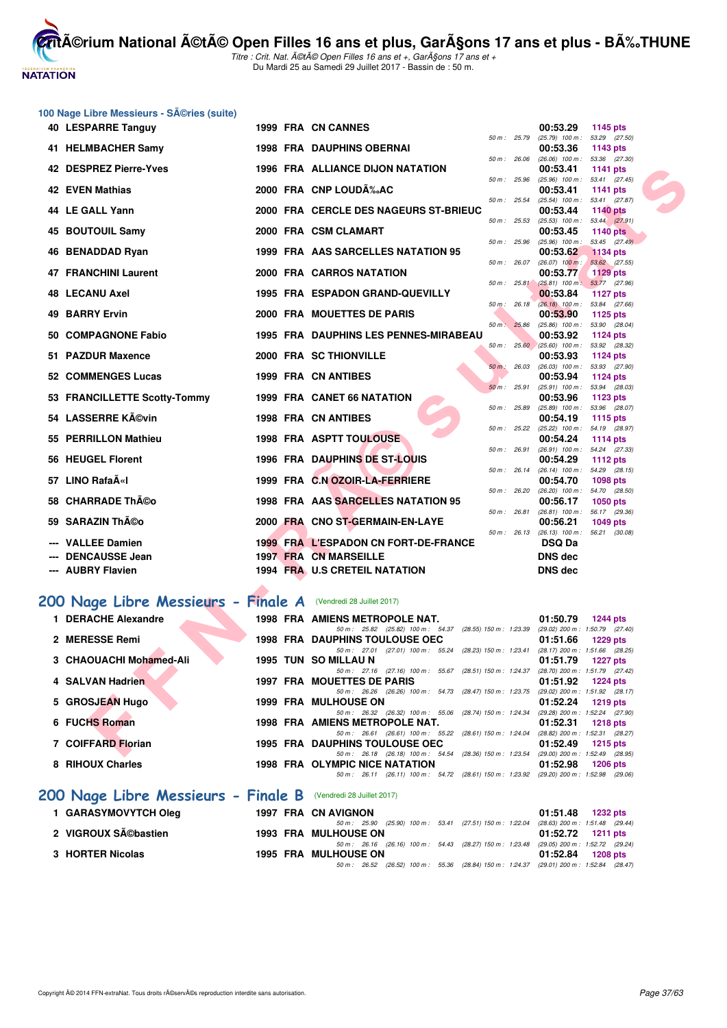# **NATATION FRANÇAISE**

**CritA©rium National A©tA© Open Filles 16 ans et plus, GarA§ons 17 ans et plus - BA%.THUNE** 

|     | 100 Nage Libre Messieurs - Séries (suite)                      |  |                                                                                                                                 |              |             |                                                             |                                  |  |
|-----|----------------------------------------------------------------|--|---------------------------------------------------------------------------------------------------------------------------------|--------------|-------------|-------------------------------------------------------------|----------------------------------|--|
|     | 40 LESPARRE Tanguy                                             |  | 1999 FRA CN CANNES                                                                                                              |              |             | 00:53.29                                                    | 1145 pts                         |  |
|     | 41 HELMBACHER Samy                                             |  | <b>1998 FRA DAUPHINS OBERNAI</b>                                                                                                | 50 m : 25.79 |             | $(25.79)$ 100 m : 53.29 $(27.50)$<br>00:53.36               | 1143 pts                         |  |
|     | 42 DESPREZ Pierre-Yves                                         |  | <b>1996 FRA ALLIANCE DIJON NATATION</b>                                                                                         | 50 m : 26.06 |             | $(26.06)$ 100 m : 53.36 $(27.30)$<br>00:53.41               | 1141 pts                         |  |
|     | <b>42 EVEN Mathias</b>                                         |  | 2000 FRA CNP LOUD‰AC                                                                                                            | 50 m : 25.96 |             | $(25.96)$ 100 m :<br>00:53.41                               | 53.41 (27.45)<br><b>1141 pts</b> |  |
|     | 44 LE GALL Yann                                                |  | 2000 FRA CERCLE DES NAGEURS ST-BRIEUC                                                                                           | 50 m : 25.54 |             | $(25.54)$ 100 m :<br>00:53.44                               | 53.41 (27.87)<br><b>1140 pts</b> |  |
|     | 45 BOUTOUIL Samy                                               |  | 2000 FRA CSM CLAMART                                                                                                            | 50 m : 25.53 |             | $(25.53)$ 100 m : 53.44 $(27.91)$<br>00:53.45               | <b>1140 pts</b>                  |  |
| 46  | <b>BENADDAD Ryan</b>                                           |  | 1999 FRA AAS SARCELLES NATATION 95                                                                                              | 50 m : 25.96 |             | $(25.96)$ 100 m : 53.45 $(27.49)$<br>00:53.62               | <b>1134 pts</b>                  |  |
|     | <b>47 FRANCHINI Laurent</b>                                    |  | 2000 FRA CARROS NATATION                                                                                                        | 50 m : 26.07 |             | $(26.07)$ 100 m :<br>00:53.77                               | 53.62 (27.55)<br><b>1129 pts</b> |  |
|     | 48 LECANU Axel                                                 |  | 1995 FRA ESPADON GRAND-QUEVILLY                                                                                                 |              | 50 m: 25.81 | $(25.81)$ 100 m : 53.77 (27.96)<br>00:53.84                 | <b>1127 pts</b>                  |  |
| 49  | <b>BARRY Ervin</b>                                             |  | 2000 FRA MOUETTES DE PARIS                                                                                                      | 50 m : 26.18 |             | (26.18) 100 m: 53.84 (27.66)<br>00:53.90                    | 1125 pts                         |  |
| 50. | <b>COMPAGNONE Fabio</b>                                        |  | 1995 FRA DAUPHINS LES PENNES-MIRABEAU                                                                                           | 50 m: 25.86  |             | $(25.86)$ 100 m :<br>00:53.92                               | 53.90 (28.04)<br><b>1124 pts</b> |  |
| 51  | <b>PAZDUR Maxence</b>                                          |  | 2000 FRA SC THIONVILLE                                                                                                          |              |             | 50 m : 25.60 (25.60) 100 m : 53.92 (28.32)<br>00:53.93      | 1124 pts                         |  |
|     | 52 COMMENGES Lucas                                             |  | 1999 FRA CN ANTIBES                                                                                                             | 50 m: 26.03  |             | $(26.03)$ 100 m : 53.93 $(27.90)$<br>00:53.94               | 1124 pts                         |  |
|     | 53 FRANCILLETTE Scotty-Tommy                                   |  | 1999 FRA CANET 66 NATATION                                                                                                      | 50 m: 25.91  |             | $(25.91)$ 100 m : 53.94 $(28.03)$<br>00:53.96               | 1123 pts                         |  |
|     | 54 LASSERRE Kévin                                              |  | <b>1998 FRA CN ANTIBES</b>                                                                                                      | 50 m : 25.89 |             | $(25.89)$ 100 m : 53.96 $(28.07)$<br>00:54.19               | 1115 pts                         |  |
|     | <b>PERRILLON Mathieu</b>                                       |  | <b>1998 FRA ASPTT TOULOUSE</b>                                                                                                  | 50 m: 25.22  |             | $(25.22)$ 100 m : 54.19 $(28.97)$<br>00:54.24               | 1114 pts                         |  |
| 56. | <b>HEUGEL Florent</b>                                          |  | 1996 FRA DAUPHINS DE ST-LOUIS                                                                                                   | 50 m : 26.91 |             | (26.91) 100 m: 54.24 (27.33)<br>00:54.29                    | 1112 pts                         |  |
|     | 57 LINO RafaīI                                                 |  | 1999 FRA C.N OZOIR-LA-FERRIERE                                                                                                  | 50 m : 26.14 |             | $(26.14)$ 100 m : 54.29 $(28.15)$<br>00:54.70               | 1098 pts                         |  |
| 58  | <b>CHARRADE Théo</b>                                           |  | 1998 FRA AAS SARCELLES NATATION 95                                                                                              | 50 m : 26.20 |             | (26.20) 100 m: 54.70 (28.50)<br>00:56.17                    | 1050 pts                         |  |
| 59  | <b>SARAZIN Théo</b>                                            |  | 2000 FRA CNO ST-GERMAIN-EN-LAYE                                                                                                 | 50 m : 26.81 |             | $(26.81)$ 100 m : 56.17 $(29.36)$<br>00:56.21               | <b>1049 pts</b>                  |  |
|     | <b>VALLEE Damien</b>                                           |  | 1999 FRA L'ESPADON CN FORT-DE-FRANCE                                                                                            |              |             | 50 m : 26.13 (26.13) 100 m : 56.21 (30.08)<br><b>DSQ Da</b> |                                  |  |
|     | <b>DENCAUSSE Jean</b>                                          |  | <b>1997 FRA CN MARSEILLE</b>                                                                                                    |              |             | <b>DNS dec</b>                                              |                                  |  |
|     | <b>AUBRY Flavien</b>                                           |  | 1994 FRA U.S CRETEIL NATATION                                                                                                   |              |             | <b>DNS dec</b>                                              |                                  |  |
|     | 200 Nage Libre Messieurs - Finale A (Vendredi 28 Juillet 2017) |  |                                                                                                                                 |              |             |                                                             |                                  |  |
|     | 1 DERACHE Alexandre                                            |  | 1998 FRA AMIENS METROPOLE NAT.                                                                                                  |              |             | 01:50.79                                                    | 1244 pts                         |  |
|     | 2 MERESSE Remi                                                 |  | 50 m: 25.82 (25.82) 100 m: 54.37 (28.55) 150 m: 1:23.39 (29.02) 200 m: 1:50.79 (27.40)<br><b>1998 FRA DAUPHINS TOULOUSE OEC</b> |              |             | 01:51.66                                                    | <b>1229 pts</b>                  |  |
|     | 3 CHAOUACHI Mohamed-Ali                                        |  | 50 m: 27.01 (27.01) 100 m: 55.24 (28.23) 150 m: 1:23.41 (28.17) 200 m: 1:51.66 (28.25)<br>1995 TUN SO MILLAU N                  |              |             | 01:51.79                                                    | 1227 pts                         |  |
|     | 4 SALVAN Hadrien                                               |  | 50 m: 27.16 (27.16) 100 m: 55.67 (28.51) 150 m: 1:24.37<br>1997 FRA MOUETTES DE PARIS                                           |              |             | (28.70) 200 m : 1:51.79 (27.42)<br>01:51.92                 | 1224 pts                         |  |
|     | 5 GROSJEAN Hugo                                                |  | 50 m: 26.26 (26.26) 100 m: 54.73 (28.47) 150 m: 1:23.75 (29.02) 200 m: 1:51.92 (28.17)<br><b>1999 FRA MULHOUSE ON</b>           |              |             | 01:52.24                                                    | 1219 pts                         |  |
|     | 6 FUCHS Roman                                                  |  | 50 m: 26.32 (26.32) 100 m: 55.06 (28.74) 150 m: 1:24.34 (29.28) 200 m: 1:52.24 (27.90)<br>1998 FRA AMIENS METROPOLE NAT.        |              |             | 01:52.31                                                    | <b>1218 pts</b>                  |  |
|     | 7 COIFFARD Florian                                             |  | 50 m: 26.61 (26.61) 100 m: 55.22 (28.61) 150 m: 1:24.04 (28.82) 200 m: 1:52.31 (28.27)<br>1995 FRA DAUPHINS TOULOUSE OEC        |              |             | 01:52.49                                                    | <b>1215 pts</b>                  |  |
|     | 8 RIHOUX Charles                                               |  | 50 m: 26.18 (26.18) 100 m: 54.54 (28.36) 150 m: 1:23.54 (29.00) 200 m: 1:52.49 (28.95)<br>1998 FRA OLYMPIC NICE NATATION        |              |             | 01:52.98                                                    | <b>1206 pts</b>                  |  |
|     |                                                                |  | 50 m: 26.11 (26.11) 100 m: 54.72 (28.61) 150 m: 1:23.92 (29.20) 200 m: 1:52.98 (29.06)                                          |              |             |                                                             |                                  |  |
|     | 200 Nage Libre Messieurs - Finale B (Vendredi 28 Juillet 2017) |  |                                                                                                                                 |              |             |                                                             |                                  |  |
|     | 1 GARASYMOVYTCH Oleg                                           |  | 1997 FRA CN AVIGNON<br>50 m : 25.90 (25.90) 100 m : 53.41 (27.51) 150 m : 1:22.04                                               |              |             | 01:51.48<br>(28.63) 200 m: 1:51.48 (29.44)                  | 1232 pts                         |  |
|     | 2 VIGROUX Sébastien                                            |  | <b>1993 FRA MULHOUSE ON</b><br>50 m: 26.16 (26.16) 100 m: 54.43 (28.27) 150 m: 1:23.48 (29.05) 200 m: 1:52.72 (29.24)           |              |             | 01:52.72                                                    | <b>1211 pts</b>                  |  |
|     | 3 HORTER Nicolas                                               |  | 1995 FRA MULHOUSE ON<br>50 m: 26.52 (26.52) 100 m: 55.36 (28.84) 150 m: 1:24.37 (29.01) 200 m: 1:52.84 (28.47)                  |              |             | 01:52.84                                                    | <b>1208 pts</b>                  |  |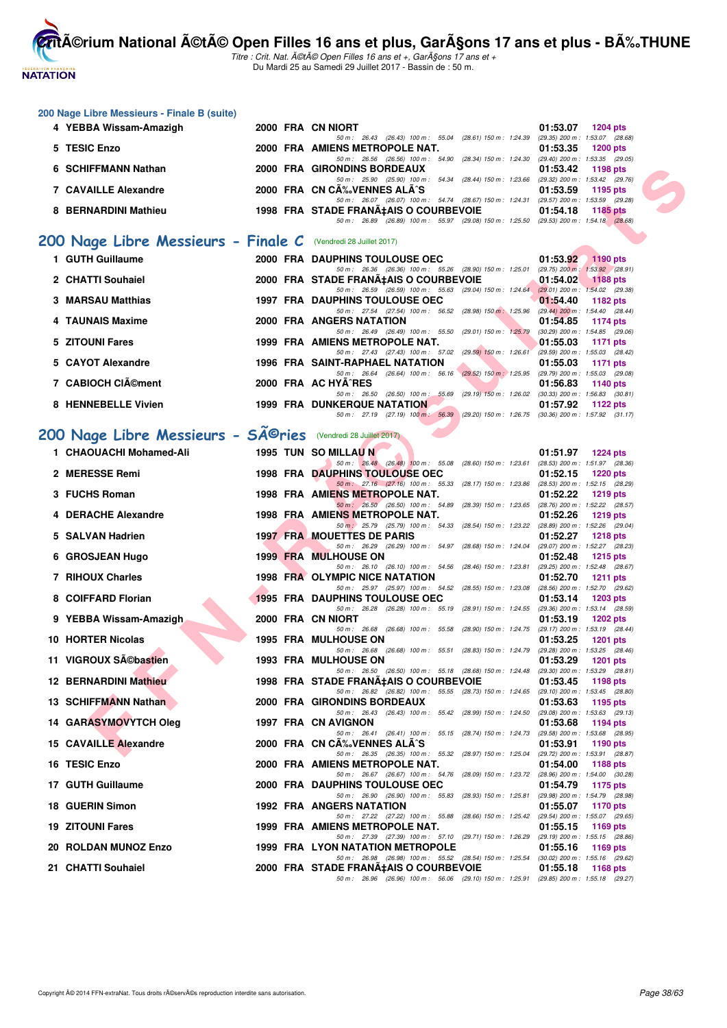**NATATION FRANÇAISE** 

**CritA©rium National A©tA© Open Filles 16 ans et plus, GarA§ons 17 ans et plus - BA%.THUNE** 

|     | 200 Nage Libre Messieurs - Finale B (suite)                                |  |                                                                                                                                 |                                                               |
|-----|----------------------------------------------------------------------------|--|---------------------------------------------------------------------------------------------------------------------------------|---------------------------------------------------------------|
|     | 4 YEBBA Wissam-Amazigh                                                     |  | 2000 FRA CN NIORT<br>50 m: 26.43 (26.43) 100 m: 55.04 (28.61) 150 m: 1:24.39 (29.35) 200 m: 1:53.07 (28.68)                     | 01:53.07<br><b>1204 pts</b>                                   |
|     | 5 TESIC Enzo                                                               |  | 2000 FRA AMIENS METROPOLE NAT.                                                                                                  | 01:53.35<br><b>1200 pts</b>                                   |
|     | 6 SCHIFFMANN Nathan                                                        |  | 50 m: 26.56 (26.56) 100 m: 54.90 (28.34) 150 m: 1:24.30 (29.40) 200 m: 1:53.35 (29.05)<br>2000 FRA GIRONDINS BORDEAUX           | 01:53.42<br>1198 pts                                          |
|     | <b>7 CAVAILLE Alexandre</b>                                                |  | 50 m: 25.90 (25.90) 100 m: 54.34 (28.44) 150 m: 1.23.66 (29.32) 200 m: 1.53.42 (29.76)<br>2000 FRA CN CA‰VENNES ALA^S           | 01:53.59<br>1195 pts                                          |
|     | 8 BERNARDINI Mathieu                                                       |  | 50 m: 26.07 (26.07) 100 m: 54.74 (28.67) 150 m: 1:24.31 (29.57) 200 m: 1:53.59 (29.28)<br>1998 FRA STADE FRANA‡AIS O COURBEVOIE | 01:54.18<br><b>1185 pts</b>                                   |
|     |                                                                            |  | 50 m: 26.89 (26.89) 100 m: 55.97 (29.08) 150 m: 1:25.50 (29.53) 200 m: 1:54.18 (28.68)                                          |                                                               |
|     | 200 Nage Libre Messieurs - Finale C (Vendredi 28 Juillet 2017)             |  |                                                                                                                                 |                                                               |
|     | 1 GUTH Guillaume                                                           |  | <b>2000 FRA DAUPHINS TOULOUSE OEC</b><br>50 m: 26.36 (26.36) 100 m: 55.26 (28.90) 150 m: 1:25.01 (29.75) 200 m: 1:53.92 (28.91) | 01:53.92<br><b>1190 pts</b>                                   |
|     | 2 CHATTI Souhaiel                                                          |  | 2000 FRA STADE FRANA‡AIS O COURBEVOIE                                                                                           | 01:54.02<br><b>1188 pts</b>                                   |
|     | 3 MARSAU Matthias                                                          |  | 50 m: 26.59 (26.59) 100 m: 55.63 (29.04) 150 m: 1:24.64 (29.01) 200 m: 1:54.02 (29.38)<br><b>1997 FRA DAUPHINS TOULOUSE OEC</b> | 01:54.40<br>1182 pts                                          |
|     | 4 TAUNAIS Maxime                                                           |  | 50 m: 27.54 (27.54) 100 m: 56.52 (28.98) 150 m: 1:25.96 (29.44) 200 m: 1:54.40 (28.44)<br>2000 FRA ANGERS NATATION              | 01:54.85<br>1174 pts                                          |
|     | 5 ZITOUNI Fares                                                            |  | 50 m: 26.49 (26.49) 100 m: 55.50 (29.01) 150 m: 1:25.79 (30.29) 200 m: 1:54.85 (29.06)<br>1999 FRA AMIENS METROPOLE NAT.        | 01:55.03<br>1171 pts                                          |
|     | 5 CAYOT Alexandre                                                          |  | 50 m: 27.43 (27.43) 100 m: 57.02 (29.59) 150 m: 1:26.61 (29.59) 200 m: 1:55.03 (28.42)<br>1996 FRA SAINT-RAPHAEL NATATION       | 01:55.03<br>1171 pts                                          |
|     | 7 CABIOCH CIément                                                          |  | 50 m: 26.64 (26.64) 100 m: 56.16 (29.52) 150 m: 1:25.95 (29.79) 200 m: 1:55.03 (29.08)<br>2000 FRA AC HYA^RES                   | 01:56.83<br><b>1140 pts</b>                                   |
|     |                                                                            |  | 50 m : 26.50 (26.50) 100 m : 55.69 (29.19) 150 m : 1:26.02 (30.33) 200 m : 1:56.83 (30.81)                                      |                                                               |
|     | 8 HENNEBELLE Vivien                                                        |  | <b>1999 FRA DUNKERQUE NATATION</b><br>50 m: 27.19 (27.19) 100 m: 56.39 (29.20) 150 m: 1.26.75 (30.36) 200 m: 1.57.92 (31.17)    | 01:57.92<br>1122 pts                                          |
|     | 200 Nage Libre Messieurs - SÃ <sup>@</sup> ries (Vendredi 28 Juillet 2017) |  |                                                                                                                                 |                                                               |
|     | 1 CHAOUACHI Mohamed-Ali                                                    |  | 1995 TUN SO MILLAU N                                                                                                            | 01:51.97<br><b>1224 pts</b>                                   |
|     | 2 MERESSE Remi                                                             |  | 50 m: 26.48 (26.48) 100 m: 55.08 (28.60) 150 m: 1:23.61 (28.53) 200 m: 1:51.97 (28.36)<br><b>1998 FRA DAUPHINS TOULOUSE OEC</b> | 01:52.15<br><b>1220 pts</b>                                   |
|     | 3 FUCHS Roman                                                              |  | 50 m : 27.16 (27.16) 100 m : 55.33 (28.17) 150 m : 1:23.86 (28.53) 200 m : 1:52.15 (28.29)<br>1998 FRA AMIENS METROPOLE NAT.    | 01:52.22<br>1219 pts                                          |
|     | 4 DERACHE Alexandre                                                        |  | 50 m: 26.50 (26.50) 100 m: 54.89 (28.39) 150 m: 1:23.65 (28.76) 200 m: 1:52.22 (28.57)<br>1998 FRA AMIENS METROPOLE NAT.        | 01:52.26<br>1219 pts                                          |
|     |                                                                            |  | 50 m : 25.79 (25.79) 100 m : 54.33 (28.54) 150 m : 1:23.22 (28.89) 200 m : 1:52.26 (29.04)                                      | <b>1218 pts</b>                                               |
|     | 5 SALVAN Hadrien                                                           |  | <b>1997 FRA MOUETTES DE PARIS</b><br>50 m: 26.29 (26.29) 100 m: 54.97 (28.68) 150 m: 1:24.04 (29.07) 200 m: 1:52.27 (28.23)     | 01:52.27                                                      |
|     | 6 GROSJEAN Hugo                                                            |  | <b>1999 FRA MULHOUSE ON</b><br>50 m: 26.10 (26.10) 100 m: 54.56 (28.46) 150 m: 1:23.81                                          | 01:52.48<br><b>1215 pts</b><br>(29.25) 200 m: 1:52.48 (28.67) |
|     | 7 RIHOUX Charles                                                           |  | 1998 FRA OLYMPIC NICE NATATION<br>50 m: 25.97 (25.97) 100 m: 54.52 (28.55) 150 m: 1:23.08                                       | 01:52.70<br>1211 $pts$<br>(28.56) 200 m : 1:52.70 (29.62)     |
|     | 8 COIFFARD Florian                                                         |  | <b>1995 FRA DAUPHINS TOULOUSE OEC</b><br>50 m: 26.28 (26.28) 100 m: 55.19 (28.91) 150 m: 1:24.55 (29.36) 200 m: 1:53.14 (28.59) | 01:53.14<br><b>1203 pts</b>                                   |
|     | 9 YEBBA Wissam-Amazigh                                                     |  | 2000 FRA CN NIORT<br>50 m: 26.68 (26.68) 100 m: 55.58 (28.90) 150 m: 1:24.75 (29.17) 200 m: 1:53.19 (28.44)                     | 01:53.19<br>1202 pts                                          |
|     | 10 HORTER Nicolas                                                          |  | <b>1995 FRA MULHOUSE ON</b>                                                                                                     | 01:53.25<br><b>1201 pts</b>                                   |
|     | 11 VIGROUX SA©bastien                                                      |  | 50 m: 26.68 (26.68) 100 m: 55.51 (28.83) 150 m: 1:24.79 (29.28) 200 m: 1:53.25 (28.46)<br><b>1993 FRA MULHOUSE ON</b>           | 01:53.29<br><b>1201 pts</b>                                   |
|     | <b>12 BERNARDINI Mathieu</b>                                               |  | 50 m: 26.50 (26.50) 100 m: 55.18 (28.68) 150 m: 1:24.48 (29.30) 200 m: 1:53.29 (28.81)<br>1998 FRA STADE FRANA‡AIS O COURBEVOIE | 01:53.45<br>1198 pts                                          |
|     | 13 SCHIFFMANN Nathan                                                       |  | 50 m: 26.82 (26.82) 100 m: 55.55 (28.73) 150 m: 1:24.65 (29.10) 200 m: 1:53.45 (28.80)<br>2000 FRA GIRONDINS BORDEAUX           | 01:53.63<br>1195 pts                                          |
|     | 14 GARASYMOVYTCH Oleg                                                      |  | 50 m: 26.43 (26.43) 100 m: 55.42 (28.99) 150 m: 1:24.50<br>1997 FRA CN AVIGNON                                                  | (29.08) 200 m : 1:53.63 (29.13)<br>01:53.68<br>1194 pts       |
|     | 15 CAVAILLE Alexandre                                                      |  | 50 m: 26.41 (26.41) 100 m: 55.15 (28.74) 150 m: 1:24.73<br>2000 FRA CN CA‰VENNES ALA^S                                          | (29.58) 200 m: 1:53.68 (28.95)<br>01:53.91<br>1190 pts        |
|     |                                                                            |  | 50 m: 26.35 (26.35) 100 m: 55.32 (28.97) 150 m: 1:25.04 (29.72) 200 m: 1:53.91 (28.87)                                          |                                                               |
|     | 16 TESIC Enzo                                                              |  | 2000 FRA AMIENS METROPOLE NAT.<br>50 m : 26.67 (26.67) 100 m : 54.76 (28.09) 150 m : 1:23.72 (28.96) 200 m : 1:54.00 (30.28)    | 01:54.00<br>1188 pts                                          |
|     | 17 GUTH Guillaume                                                          |  | <b>2000 FRA DAUPHINS TOULOUSE OEC</b><br>50 m: 26.90 (26.90) 100 m: 55.83 (28.93) 150 m: 1:25.81                                | 01:54.79<br>1175 pts<br>(29.98) 200 m: 1:54.79 (28.98)        |
|     | <b>18 GUERIN Simon</b>                                                     |  | 1992 FRA ANGERS NATATION<br>50 m: 27.22 (27.22) 100 m: 55.88 (28.66) 150 m: 1:25.42 (29.54) 200 m: 1:55.07 (29.65)              | 01:55.07<br>1170 pts                                          |
|     | <b>19 ZITOUNI Fares</b>                                                    |  | 1999 FRA AMIENS METROPOLE NAT.<br>50 m : 27.39 (27.39) 100 m : 57.10 (29.71) 150 m : 1:26.29 (29.19) 200 m : 1:55.15 (28.86)    | 01:55.15<br>1169 pts                                          |
| 20. | <b>ROLDAN MUNOZ Enzo</b>                                                   |  | 1999 FRA LYON NATATION METROPOLE<br>50 m : 26.98 (26.98) 100 m : 55.52 (28.54) 150 m : 1:25.54 (30.02) 200 m : 1:55.16 (29.62)  | 01:55.16<br>1169 pts                                          |
|     | 21 CHATTI Souhaiel                                                         |  | 2000 FRA STADE FRANA‡AIS O COURBEVOIE<br>50 m: 26.96 (26.96) 100 m: 56.06 (29.10) 150 m: 1:25.91 (29.85) 200 m: 1:55.18 (29.27) | 01:55.18<br><b>1168 pts</b>                                   |
|     |                                                                            |  |                                                                                                                                 |                                                               |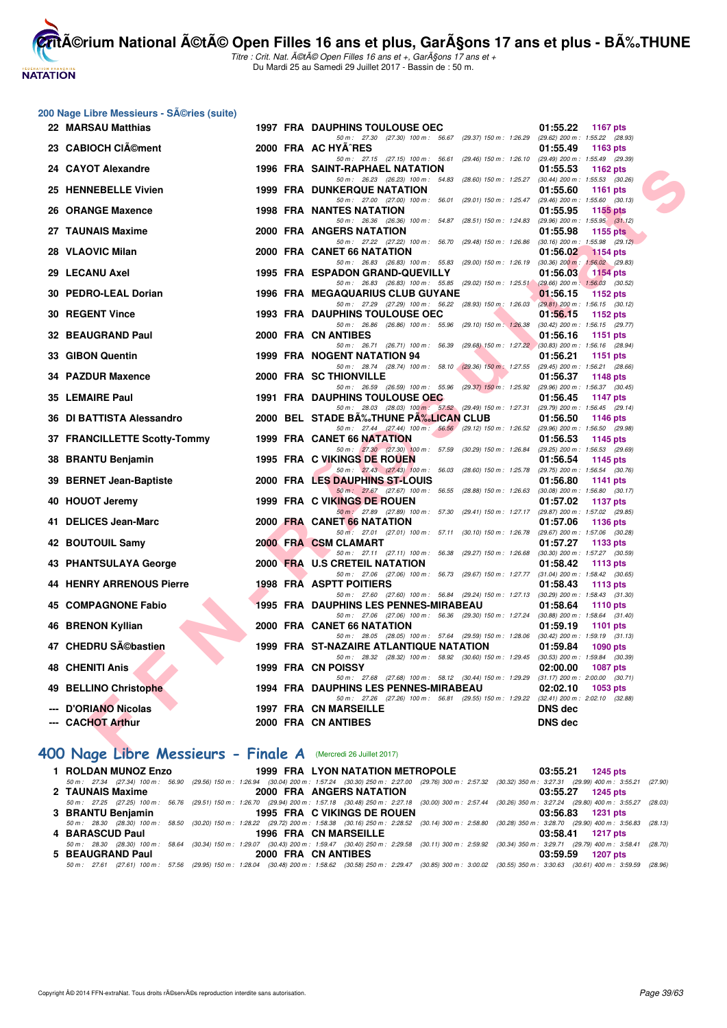

|  |  | 200 Nage Libre Messieurs - SA©ries (suite) |  |  |
|--|--|--------------------------------------------|--|--|
|--|--|--------------------------------------------|--|--|

**NATATION FRANÇAISE** 

|     | 22 MARSAU Matthias                                                    |  | <b>1997 FRA DAUPHINS TOULOUSE OEC</b>   |  |                                                                                        | 01:55.22       | <b>1167 pts</b>                                                |  |
|-----|-----------------------------------------------------------------------|--|-----------------------------------------|--|----------------------------------------------------------------------------------------|----------------|----------------------------------------------------------------|--|
|     | 23 CABIOCH CIAO ment                                                  |  | 2000 FRA AC HYA^RES                     |  | 50 m: 27.30 (27.30) 100 m: 56.67 (29.37) 150 m: 1:26.29                                | 01:55.49       | (29.62) 200 m: 1:55.22 (28.93)<br>1163 pts                     |  |
|     | <b>CAYOT Alexandre</b>                                                |  | <b>1996 FRA SAINT-RAPHAEL NATATION</b>  |  | 50 m: 27.15 (27.15) 100 m: 56.61 (29.46) 150 m: 1:26.10 (29.49) 200 m: 1:55.49 (29.39) | 01:55.53       | 1162 pts                                                       |  |
|     |                                                                       |  |                                         |  | 50 m: 26.23 (26.23) 100 m: 54.83 (28.60) 150 m: 1:25.27                                |                | $(30.44)$ 200 m : 1:55.53 $(30.26)$                            |  |
|     | 25 HENNEBELLE Vivien                                                  |  | <b>1999 FRA DUNKERQUE NATATION</b>      |  | 50 m: 27.00 (27.00) 100 m: 56.01 (29.01) 150 m: 1:25.47                                | 01:55.60       | 1161 $pts$<br>$(29.46)$ 200 m : 1:55.60 $(30.13)$              |  |
|     | 26 ORANGE Maxence                                                     |  | <b>1998 FRA NANTES NATATION</b>         |  |                                                                                        | 01:55.95       | 1155 $pts$                                                     |  |
|     | 27 TAUNAIS Maxime                                                     |  | 2000 FRA ANGERS NATATION                |  | 50 m: 26.36 (26.36) 100 m: 54.87 (28.51) 150 m: 1:24.83                                | 01:55.98       | $(29.96)$ 200 m : 1:55.95 $(31.12)$<br>1155 $pts$              |  |
| 28  | <b>VLAOVIC Milan</b>                                                  |  | 2000 FRA CANET 66 NATATION              |  | 50 m: 27.22 (27.22) 100 m: 56.70 (29.48) 150 m: 1:26.86                                | 01:56.02       | $(30.16)$ 200 m : 1:55.98 $(29.12)$<br><b>1154 pts</b>         |  |
|     |                                                                       |  |                                         |  | 50 m: 26.83 (26.83) 100 m: 55.83 (29.00) 150 m: 1:26.19 (30.36) 200 m: 1:56.02 (29.83) |                |                                                                |  |
| 29  | <b>LECANU Axel</b>                                                    |  | 1995 FRA ESPADON GRAND-QUEVILLY         |  | 50 m: 26.83 (26.83) 100 m: 55.85 (29.02) 150 m: 1:25.51                                | 01:56.03       | <b>1154 pts</b><br>$(29.66) 200 \text{ m}$ : 1:56.03 $(30.52)$ |  |
| 30. | <b>PEDRO-LEAL Dorian</b>                                              |  | <b>1996 FRA MEGAQUARIUS CLUB GUYANE</b> |  |                                                                                        | 01:56.15       | 1152 pts                                                       |  |
|     | <b>30 REGENT Vince</b>                                                |  | <b>1993 FRA DAUPHINS TOULOUSE OEC</b>   |  | 50 m: 27.29 (27.29) 100 m: 56.22 (28.93) 150 m: 1:26.03                                | 01:56.15       | $(29.81)$ 200 m : 1:56.15 $(30.12)$<br>1152 pts                |  |
|     |                                                                       |  |                                         |  | 50 m: 26.86 (26.86) 100 m: 55.96 (29.10) 150 m: 1:26.38                                |                | $(30.42)$ 200 m : 1:56.15 $(29.77)$                            |  |
|     | 32 BEAUGRAND Paul                                                     |  | 2000 FRA CN ANTIBES                     |  | 50 m: 26.71 (26.71) 100 m: 56.39 (29.68) 150 m: 1:27.22 (30.83) 200 m: 1:56.16 (28.94) | 01:56.16       | 1151 pts                                                       |  |
|     | 33 GIBON Quentin                                                      |  | 1999 FRA NOGENT NATATION 94             |  |                                                                                        | 01:56.21       | 1151 pts                                                       |  |
|     |                                                                       |  |                                         |  | 50 m: 28.74 (28.74) 100 m: 58.10 (29.36) 150 m: 1:27.55                                |                | (29.45) 200 m: 1:56.21 (28.66)                                 |  |
|     | 34 PAZDUR Maxence                                                     |  | 2000 FRA SC THIONVILLE                  |  | 50 m: 26.59 (26.59) 100 m: 55.96 (29.37) 150 m: 1:25.92 (29.96) 200 m: 1:56.37 (30.45) | 01:56.37       | 1148 pts                                                       |  |
|     | 35 LEMAIRE Paul                                                       |  | <b>1991 FRA DAUPHINS TOULOUSE OEC</b>   |  |                                                                                        | 01:56.45       | <b>1147 pts</b>                                                |  |
|     | DI BATTISTA Alessandro                                                |  | 2000 BEL STADE BA%JHUNE PA%LICAN CLUB   |  | 50 m: 28.03 (28.03) 100 m: 57.52 (29.49) 150 m: 1:27.31 (29.79) 200 m: 1:56.45 (29.14) |                |                                                                |  |
| 36  |                                                                       |  |                                         |  | 50 m: 27.44 (27.44) 100 m: 56.56 (29.12) 150 m: 1:26.52 (29.96) 200 m: 1:56.50 (29.98) | 01:56.50       | 1146 pts                                                       |  |
|     | 37 FRANCILLETTE Scotty-Tommy                                          |  | <b>1999 FRA CANET 66 NATATION</b>       |  |                                                                                        | 01:56.53       | 1145 pts                                                       |  |
| 38  | <b>BRANTU Benjamin</b>                                                |  | 1995 FRA C VIKINGS DE ROUEN             |  | 50 m: 27.30 (27.30) 100 m: 57.59 (30.29) 150 m: 1:26.84 (29.25) 200 m: 1:56.53 (29.69) | 01:56.54       | 1145 pts                                                       |  |
| 39  | <b>BERNET Jean-Baptiste</b>                                           |  | 2000 FRA LES DAUPHINS ST-LOUIS          |  | 50 m: 27.43 (27.43) 100 m: 56.03 (28.60) 150 m: 1:25.78                                | 01:56.80       | $(29.75)$ 200 m : 1:56.54 $(30.76)$<br>1141 pts                |  |
|     |                                                                       |  |                                         |  | 50 m: 27.67 (27.67) 100 m: 56.55 (28.88) 150 m: 1.26.63 (30.08) 200 m: 1.56.80 (30.17) |                |                                                                |  |
|     | 40 HOUOT Jeremy                                                       |  | 1999 FRA C VIKINGS DE ROUEN             |  | 50 m : 27.89 (27.89) 100 m : 57.30 (29.41) 150 m : 1:27.17                             | 01:57.02       | <b>1137 pts</b><br>(29.87) 200 m : 1:57.02 (29.85)             |  |
|     | <b>DELICES Jean-Marc</b>                                              |  | 2000 FRA CANET 66 NATATION              |  |                                                                                        | 01:57.06       | <b>1136 pts</b>                                                |  |
|     | 42 BOUTOUIL Samy                                                      |  | 2000 FRA CSM CLAMART                    |  | 50 m: 27.01 (27.01) 100 m: 57.11 (30.10) 150 m: 1:26.78                                | 01:57.27       | (29.67) 200 m: 1:57.06 (30.28)<br>1133 pts                     |  |
|     |                                                                       |  |                                         |  | 50 m: 27.11 (27.11) 100 m: 56.38 (29.27) 150 m: 1:26.68                                |                | $(30.30)$ 200 m : 1:57.27 $(30.59)$                            |  |
|     | 43 PHANTSULAYA George                                                 |  | 2000 FRA U.S CRETEIL NATATION           |  |                                                                                        | 01:58.42       | 1113 pts                                                       |  |
|     | <b>44 HENRY ARRENOUS Pierre</b>                                       |  | <b>1998 FRA ASPTT POITIERS</b>          |  | 50 m: 27.06 (27.06) 100 m: 56.73 (29.67) 150 m: 1:27.77 (31.04) 200 m: 1:58.42 (30.65) | 01:58.43       | <b>1113 pts</b>                                                |  |
|     |                                                                       |  |                                         |  | 50 m: 27.60 (27.60) 100 m: 56.84 (29.24) 150 m: 1:27.13 (30.29) 200 m: 1:58.43 (31.30) |                |                                                                |  |
|     | 45 COMPAGNONE Fabio                                                   |  | 1995 FRA DAUPHINS LES PENNES-MIRABEAU   |  | 50 m: 27.06 (27.06) 100 m: 56.36 (29.30) 150 m: 1:27.24 (30.88) 200 m: 1:58.64 (31.40) | 01:58.64       | <b>1110 pts</b>                                                |  |
|     | 46 BRENON Kyllian                                                     |  | 2000 FRA CANET 66 NATATION              |  |                                                                                        | 01:59.19       | 1101 $pts$                                                     |  |
|     | 47 CHEDRU Sébastien                                                   |  | 1999 FRA ST-NAZAIRE ATLANTIQUE NATATION |  | 50 m: 28.05 (28.05) 100 m: 57.64 (29.59) 150 m: 1:28.06 (30.42) 200 m: 1:59.19 (31.13) | 01:59.84       | <b>1090 pts</b>                                                |  |
|     |                                                                       |  |                                         |  | 50 m: 28.32 (28.32) 100 m: 58.92 (30.60) 150 m: 1:29.45                                |                | $(30.53)$ 200 m : 1:59.84 $(30.39)$                            |  |
| 48. | <b>CHENITI Anis</b>                                                   |  | 1999 FRA CN POISSY                      |  |                                                                                        | 02:00.00       | <b>1087 pts</b>                                                |  |
| 49  | <b>BELLINO Christophe</b>                                             |  | 1994 FRA DAUPHINS LES PENNES-MIRABEAU   |  | 50 m: 27.68 (27.68) 100 m: 58.12 (30.44) 150 m: 1:29.29 (31.17) 200 m: 2:00.00 (30.71) | 02:02.10       | 1053 pts                                                       |  |
|     | <b>D'ORIANO Nicolas</b>                                               |  | <b>1997 FRA CN MARSEILLE</b>            |  | 50 m: 27.26 (27.26) 100 m: 56.81 (29.55) 150 m: 1:29.22 (32.41) 200 m: 2:02.10 (32.88) | <b>DNS dec</b> |                                                                |  |
|     | <b>CACHOT Arthur</b>                                                  |  | 2000 FRA CN ANTIBES                     |  |                                                                                        | <b>DNS dec</b> |                                                                |  |
|     |                                                                       |  |                                         |  |                                                                                        |                |                                                                |  |
|     | <b>IOO Nage Libre Messieurs - Finale A</b> (Mercredi 26 Juillet 2017) |  |                                         |  |                                                                                        |                |                                                                |  |

# **[400 Nage Libre Messieurs - Finale A](http://www.ffnatation.fr/webffn/resultats.php?idact=nat&go=epr&idcpt=47487&idepr=54)** (Mercredi 26 Juillet 2017)

| 1 ROLDAN MUNOZ Enzo | 1999 FRA LYON NATATION METROPOLE | 03:55.21 1245 pts                                                                                                                                                                          |
|---------------------|----------------------------------|--------------------------------------------------------------------------------------------------------------------------------------------------------------------------------------------|
|                     |                                  | 50 m : 27.34 (27.34) 100 m : 56.90 (29.56) 150 m : 1:26.94 (30.04) 200 m : 1:57.24 (30.30) 250 m : 2:27.00 (29.76) 300 m : 2:57.32 (30.32) 350 m : 3:27.31 (29.99) 400 m : 3:55.21 (27.90) |
| 2 TAUNAIS Maxime    | 2000 FRA ANGERS NATATION         | $03:55.27$ 1245 pts                                                                                                                                                                        |
|                     |                                  | 50 m: 27.25 (27.25) 100 m: 56.76 (29.51) 150 m: 1:26.70 (29.94) 200 m: 1:57.18 (30.48) 250 m: 2:27.18 (30.00) 300 m: 2:57.44 (30.26) 350 m: 3:27.24 (29.80) 400 m: 3:55.27 (28.03)         |
| 3 BRANTU Benjamin   | 1995 FRA C VIKINGS DE ROUEN      | 03:56.83 1231 pts                                                                                                                                                                          |
|                     |                                  | 50 m : 28.30 (28.30) 100 m : 58.50 (30.20) 150 m : 1:28.22 (29.72) 200 m : 1:58.38 (30.16) 250 m : 2:28.52 (30.14) 300 m : 2:58.80 (30.28) 350 m : 3:28.70 (29.90) 400 m : 3:56.83 (28.13) |
| 4 BARASCUD Paul     | <b>1996 FRA CN MARSEILLE</b>     | 03:58.41 1217 pts                                                                                                                                                                          |
|                     |                                  | 50 m : 28.30 (28.30) 100 m : 58.64 (30.34) 150 m : 1:29.07 (30.43) 200 m : 1:59.47 (30.40) 250 m : 2:29.58 (30.11) 300 m : 2:59.92 (30.34) 350 m : 3:29.71 (29.79) 400 m : 3:58.41 (28.70) |
| 5 BEAUGRAND Paul    | 2000 FRA CN ANTIBES              | 03:59.59 1207 pts                                                                                                                                                                          |
|                     |                                  | 50 m: 27.61 (27.61) 100 m: 57.56 (29.95) 150 m: 1:28.04 (30.48) 200 m: 1:58.62 (30.58) 250 m: 2:29.47 (30.85) 300 m: 3:00.02 (30.55) 350 m: 3:30.63 (30.61) 400 m: 3:59.59 (28.96)         |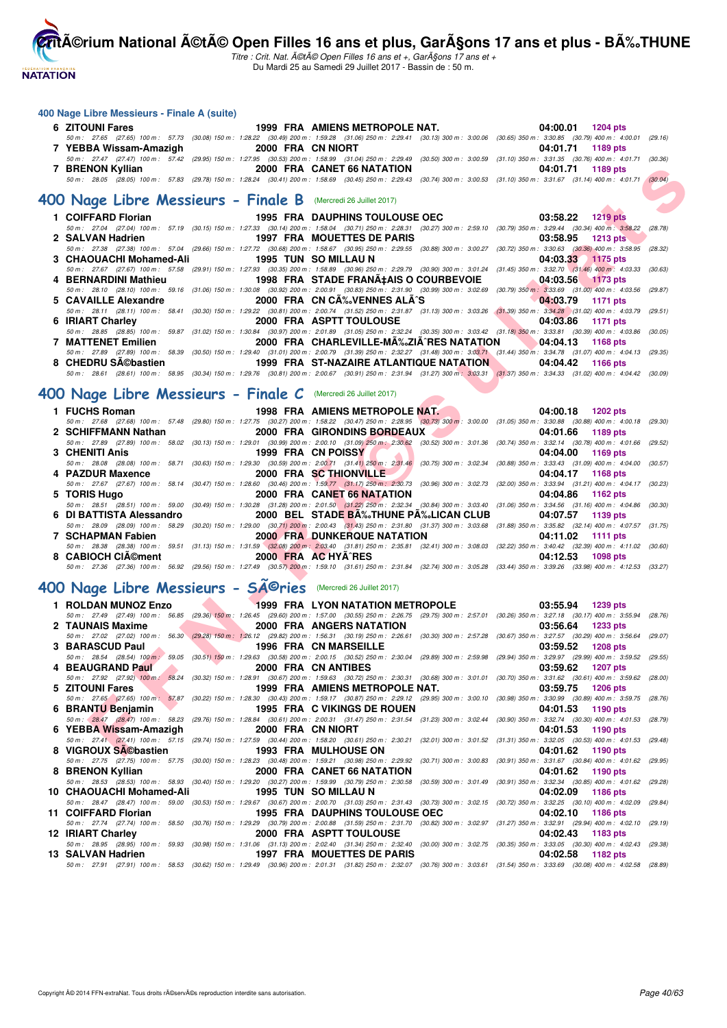**NATATION** 

**CritA©rium National A©tA© Open Filles 16 ans et plus, GarA§ons 17 ans et plus - BA%.THUNE** 

Titre : Crit. Nat. A©tA© Open Filles 16 ans et +, GarA§ons 17 ans et + Du Mardi 25 au Samedi 29 Juillet 2017 - Bassin de : 50 m.

#### **400 Nage Libre Messieurs - Finale A (suite)**

| 6  | <b>ZITOUNI Fares</b>                                                                                                                                                                                              |  |                      | 1999 FRA AMIENS METROPOLE NAT.           |  | 04:00.01          | 1204 pts        |  |
|----|-------------------------------------------------------------------------------------------------------------------------------------------------------------------------------------------------------------------|--|----------------------|------------------------------------------|--|-------------------|-----------------|--|
|    | 50 m: 27.65 (27.65) 100 m: 57.73 (30.08) 150 m: 1:28.22 (30.49) 200 m: 1:59.28 (31.06) 250 m: 2:29.41 (30.13) 300 m: 3:00.06 (30.65) 350 m: 3:30.85 (30.79) 400 m: 4:00.01 (29.16)                                |  |                      |                                          |  |                   |                 |  |
|    | YEBBA Wissam-Amazigh<br>50 m: 27.47 (27.47) 100 m: 57.42 (29.95) 150 m: 1:27.95 (30.53) 200 m: 1:58.99 (31.04) 250 m: 2:29.49 (30.50) 300 m: 3:00.59 (31.10) 350 m: 3:31.35 (30.76) 400 m: 4:01.71 (30.36)        |  | 2000 FRA CN NIORT    |                                          |  | 04:01.71          | 1189 pts        |  |
|    | 7 BRENON Kyllian                                                                                                                                                                                                  |  |                      | 2000 FRA CANET 66 NATATION               |  | 04:01.71          | 1189 pts        |  |
|    | 50 m: 28.05 (28.05) 100 m: 57.83 (29.78) 150 m: 1:28.24 (30.41) 200 m: 1:58.69 (30.45) 250 m: 2:29.43 (30.74) 300 m: 3:00.53 (31.10) 350 m: 3:31.67 (31.14) 400 m: 4:01.71 (30.04)                                |  |                      |                                          |  |                   |                 |  |
|    |                                                                                                                                                                                                                   |  |                      |                                          |  |                   |                 |  |
|    | 400 Nage Libre Messieurs - Finale B (Mercredi 26 Juillet 2017)                                                                                                                                                    |  |                      |                                          |  |                   |                 |  |
|    | 1 COIFFARD Florian                                                                                                                                                                                                |  |                      | <b>1995 FRA DAUPHINS TOULOUSE OEC</b>    |  | 03:58.22          | <b>1219 pts</b> |  |
|    | 50 m: 27.04 (27.04) 100 m: 57.19 (30.15) 150 m: 1:27.33 (30.14) 200 m: 1:58.04 (30.71) 250 m: 2:28.31 (30.27) 300 m: 2:59.10 (30.79) 350 m: 3:29.44 (30.34) 400 m: 3:58.22 (28.78)                                |  |                      |                                          |  |                   |                 |  |
|    | 2 SALVAN Hadrien                                                                                                                                                                                                  |  |                      | <b>1997 FRA MOUETTES DE PARIS</b>        |  | 03:58.95          | <b>1213 pts</b> |  |
|    | 50 m: 27.38 (27.38) 100 m: 57.04 (29.66) 150 m: 1:27.72 (30.68) 200 m: 1:58.67 (30.95) 250 m: 2:29.55 (30.88) 300 m: 3:00.27 (30.72) 350 m: 3:30.63 (30.36) 400 m: 3:58.95 (28.32)                                |  |                      |                                          |  |                   |                 |  |
|    | <b>CHAOUACHI Mohamed-Ali</b>                                                                                                                                                                                      |  | 1995 TUN SO MILLAU N |                                          |  | 04:03.33          | 1175 pts        |  |
|    | 50 m: 27.67 (27.67) 100 m: 57.58 (29.91) 150 m: 1:27.93 (30.35) 200 m: 1:58.89 (30.96) 250 m: 2:29.79 (30.90) 300 m: 3:01.24 (31.45) 350 m: 3:32.70 (31.46) 400 m: 4:03.33 (30.63)                                |  |                      |                                          |  |                   |                 |  |
|    | 4 BERNARDINI Mathieu<br>50 m: 28.10 (28.10) 100 m: 59.16 (31.06) 150 m: 1:30.08 (30.92) 200 m: 2:00.91 (30.83) 250 m: 2:31.90 (30.99) 300 m: 3:02.69 (30.79) 350 m: 3:33.69 (31.00) 400 m: 4:03.56 (29.87)        |  |                      | 1998 FRA STADE FRANA‡AIS O COURBEVOIE    |  | 04:03.56          | 1173 pts        |  |
| 5. | <b>CAVAILLE Alexandre</b>                                                                                                                                                                                         |  |                      | 2000 FRA CN C‰VENNES ALÃ^S               |  | 04:03.79          | 1171 pts        |  |
|    | 50 m: 28.11 (28.11) 100 m: 58.41 (30.30) 150 m: 1:29.22 (30.81) 200 m: 2:00.74 (31.52) 250 m: 2:31.87 (31.13) 300 m: 3:03.26 (31.39) 350 m: 3:34.28 (31.02) 400 m: 4:03.79 (29.51)                                |  |                      |                                          |  |                   |                 |  |
| 6  | <b>IRIART Charley</b>                                                                                                                                                                                             |  |                      | 2000 FRA ASPTT TOULOUSE                  |  | 04:03.86          | 1171 pts        |  |
|    | 50 m: 28.85 (28.85) 100 m: 59.87 (31.02) 150 m: 1:30.84 (30.97) 200 m: 2:01.89 (31.05) 250 m: 2:32.24 (30.35) 300 m: 3:03.42 (31.18) 350 m: 3:33.81 (30.39) 400 m: 4:03.86 (30.05)                                |  |                      |                                          |  |                   |                 |  |
| 7  | <b>MATTENET Emilien</b>                                                                                                                                                                                           |  |                      | 2000 FRA CHARLEVILLE-MA‰ZIA^RES NATATION |  | 04:04.13          | 1168 pts        |  |
|    | 50 m: 27.89 (27.89) 100 m: 58.39 (30.50) 150 m: 1:29.40 (31.01) 200 m: 2:00.79 (31.39) 250 m: 2:32.27 (31.48) 300 m: 3:03.71 (31.44) 350 m: 3:34.78 (31.07) 400 m: 4:04.13 (29.35)                                |  |                      |                                          |  |                   |                 |  |
|    | 8 CHEDRU SA©bastien<br>50 m: 28.61 (28.61) 100 m: 58.95 (30.34) 150 m: 1:29.76 (30.81) 200 m: 2:00.67 (30.91) 250 m: 2:31.94 (31.27) 300 m: 3:03.31 (31.37) 350 m: 3:34.33 (31.02) 400 m: 4:04.42 (30.09)         |  |                      | 1999 FRA ST-NAZAIRE ATLANTIQUE NATATION  |  | 04:04.42          | 1166 pts        |  |
|    |                                                                                                                                                                                                                   |  |                      |                                          |  |                   |                 |  |
|    | 400 Nage Libre Messieurs - Finale C (Mercredi 26 Juillet 2017)                                                                                                                                                    |  |                      |                                          |  |                   |                 |  |
|    |                                                                                                                                                                                                                   |  |                      |                                          |  |                   |                 |  |
|    | 1 FUCHS Roman                                                                                                                                                                                                     |  |                      | 1998 FRA AMIENS METROPOLE NAT.           |  | 04:00.18          | 1202 pts        |  |
|    | 50 m : 27.68 (27.68) 100 m : 57.48 (29.80) 150 m : 1:27.75 (30.27) 200 m : 1:58.22 (30.47) 250 m : 2:28.95 (30.73) 300 m : 3:00.00 (31.05) 350 m : 3:30.88 (30.88) 400 m : 4:00.18 (29.30)<br>2 SCHIFFMANN Nathan |  |                      | 2000 FRA GIRONDINS BORDEAUX              |  | 04:01.66          | 1189 pts        |  |
|    | 50 m: 27.89 (27.89) 100 m: 58.02 (30.13) 150 m: 1:29.01 (30.99) 200 m: 2:00.10 (31.09) 250 m: 2:30.62 (30.52) 300 m: 3:01.36 (30.74) 350 m: 3:32.14 (30.78) 400 m: 4:01.66 (29.52)                                |  |                      |                                          |  |                   |                 |  |
|    | <b>CHENITI Anis</b>                                                                                                                                                                                               |  | 1999 FRA CN POISSY   |                                          |  | 04:04.00          | 1169 pts        |  |
|    | 50 m : 28.08 (28.08) 100 m : 58.71 (30.63) 150 m : 1:29.30 (30.59) 200 m : 2:00.71 (31.41) 250 m : 2:31.46 (30.75) 300 m : 3:02.34 (30.88) 350 m : 3:33.43 (31.09) 400 m : 4:04.00 (30.57)                        |  |                      |                                          |  |                   |                 |  |
|    | 4 PAZDUR Maxence                                                                                                                                                                                                  |  |                      | 2000 FRA SC THIONVILLE                   |  | 04:04.17          | 1168 pts        |  |
|    | 50 m: 27.67 (27.67) 100 m: 58.14 (30.47) 150 m: 1:28.60 (30.46) 200 m: 1:59.77 (31.17) 250 m: 2:30.73 (30.96) 300 m: 3:02.73 (32.00) 350 m: 3:33.94 (31.21) 400 m: 4:04.17 (30.23)                                |  |                      |                                          |  |                   |                 |  |
| 5  | <b>TORIS Hugo</b><br>50 m: 28.51 (28.51) 100 m: 59.00 (30.49) 150 m: 1:30.28 (31.28) 200 m: 2:01.50 (31.22) 250 m: 2:32.34 (30.84) 300 m: 3:03.40 (31.06) 350 m: 3:34.56 (31.16) 400 m: 4:04.86 (30.30)           |  |                      | 2000 FRA CANET 66 NATATION               |  | 04:04.86          | 1162 pts        |  |
| 6. | DI BATTISTA Alessandro                                                                                                                                                                                            |  |                      | 2000 BEL STADE BA‰THUNE PA‰LICAN CLUB    |  | 04:07.57          | 1139 pts        |  |
|    | 50 m: 28.09 (28.09) 100 m: 58.29 (30.20) 150 m: 1:29.00 (30.71) 200 m: 2:00.43 (31.43) 250 m: 2:31.80 (31.37) 300 m: 3:03.68 (31.88) 350 m: 3:35.82 (32.14) 400 m: 4:07.57 (31.75)                                |  |                      |                                          |  |                   |                 |  |
|    | 7 SCHAPMAN Fabien                                                                                                                                                                                                 |  |                      | <b>2000 FRA DUNKERQUE NATATION</b>       |  | 04:11.02          | 1111 pts        |  |
|    | 50 m: 28.38 (28.38) 100 m: 59.51 (31.13) 150 m: 1:31.59 (32.08) 200 m: 2:03.40 (31.81) 250 m: 2:35.81 (32.41) 300 m: 3:08.03 (32.22) 350 m: 3:40.42 (32.39) 400 m: 4:11.02 (30.60)                                |  |                      |                                          |  |                   |                 |  |
|    | 8 CABIOCH CIA©ment                                                                                                                                                                                                |  | 2000 FRA AC HYA^RES  |                                          |  | 04:12.53          | <b>1098 pts</b> |  |
|    | 50 m: 27.36 (27.36) 100 m: 56.92 (29.56) 150 m: 1:27.49 (30.57) 200 m: 1:59.10 (31.61) 250 m: 2:31.84 (32.74) 300 m: 3:05.28 (33.44) 350 m: 3:39.26 (33.98) 400 m: 4:12.53 (33.27)                                |  |                      |                                          |  |                   |                 |  |
|    | 400 Nage Libre Messieurs - SAOries (Mercredi 26 Juillet 2017)                                                                                                                                                     |  |                      |                                          |  |                   |                 |  |
|    |                                                                                                                                                                                                                   |  |                      |                                          |  |                   |                 |  |
|    | 1 ROLDAN MUNOZ Enzo                                                                                                                                                                                               |  |                      | <b>1999 FRA LYON NATATION METROPOLE</b>  |  | 03:55.94          | 1239 pts        |  |
|    | 50 m: 27.49 (27.49) 100 m: 56.85 (29.36) 150 m: 1:26.45 (29.60) 200 m: 1:57.00 (30.55) 250 m: 2:26.75 (29.75) 300 m: 2:57.01 (30.26) 350 m: 3:27.18 (30.17) 400 m: 3:55.94 (28.76)                                |  |                      |                                          |  |                   |                 |  |
|    | 2 TAUNAIS Maxime<br>50 m: 27.02 (27.02) 100 m: 56.30 (29.28) 150 m: 1;26.12 (29.82) 200 m: 1:56.31 (30.19) 250 m: 2:26.61 (30.30) 300 m: 2:57.28 (30.67) 350 m: 3:27.57 (30.29) 400 m: 3:56.64 (29.07)            |  |                      | 2000 FRA ANGERS NATATION                 |  | 03:56.64          | <b>1233 pts</b> |  |
| 3  | <b>BARASCUD Paul</b>                                                                                                                                                                                              |  |                      | <b>1996 FRA CN MARSEILLE</b>             |  | 03:59.52          | <b>1208 pts</b> |  |
|    | 50 m: 28.54 (28.54) 100 m: 59.05 (30.51) 150 m: 1:29.63 (30.58) 200 m: 2:00.15 (30.52) 250 m: 2:30.04 (29.89) 300 m: 2:59.98 (29.94) 350 m: 3:29.97 (29.99) 400 m: 3:59.52 (29.55)                                |  |                      |                                          |  |                   |                 |  |
|    | 4 BEAUGRAND Paul                                                                                                                                                                                                  |  | 2000 FRA CN ANTIBES  |                                          |  | 03:59.62          | <b>1207 pts</b> |  |
|    | 50 m: 27.92 (27.92) 100 m: 58.24 (30.32) 150 m: 1:28.91 (30.67) 200 m: 1:59.63 (30.72) 250 m: 2:30.31 (30.68) 300 m: 3:01.01 (30.70) 350 m: 3:31.62 (30.61) 400 m: 3:59.62 (28.00)                                |  |                      |                                          |  |                   |                 |  |
| 5  | <b>ZITOUNI Fares</b>                                                                                                                                                                                              |  |                      | 1999 FRA AMIENS METROPOLE NAT.           |  | 03:59.75          | 1206 pts        |  |
|    | 50 m: 27.65 (27.65) 100 m: 57.87 (30.22) 150 m: 1:28.30 (30.43) 200 m: 1:59.17 (30.87) 250 m: 2:29.12 (29.95) 300 m: 3:00.10 (30.98) 350 m: 3:30.99 (30.89) 400 m: 3:59.75 (28.76)                                |  |                      |                                          |  |                   |                 |  |
|    | 6 BRANTU Beniamin<br>50 m: 28.47 (28.47) 100 m: 58.23 (29.76) 150 m: 1:28.84 (30.61) 200 m: 2:00.31 (31.47) 250 m: 2:31.54 (31.23) 300 m: 3:02.44 (30.90) 350 m: 3:32.74 (30.30) 400 m: 4:01.53 (28.79)           |  |                      | <b>1995 FRA C VIKINGS DE ROUEN</b>       |  | 04:01.53          | 1190 pts        |  |
| 6  | YEBBA Wissam-Amazigh                                                                                                                                                                                              |  | 2000 FRA CN NIORT    |                                          |  | 04:01.53          | 1190 pts        |  |
|    | 50 m: 27.41 (27.41) 100 m: 57.15 (29.74) 150 m: 1:27.59 (30.44) 200 m: 1:58.20 (30.61) 250 m: 2:30.21 (32.01) 300 m: 3:01.52 (31.31) 350 m: 3:32.05 (30.53) 400 m: 4:01.53 (29.48)                                |  |                      |                                          |  |                   |                 |  |
|    | 8 VIGROUX SA©bastien                                                                                                                                                                                              |  |                      | <b>1993 FRA MULHOUSE ON</b>              |  | 04:01.62 1190 pts |                 |  |
|    |                                                                                                                                                                                                                   |  |                      |                                          |  |                   |                 |  |

| 2 SCHIFFMANN Nathan |                                        | 2000 FRA GIRONDINS BORDEAUX                                                                                    | 04:01.66 1189 pts                                                                                                                                                                         |  |
|---------------------|----------------------------------------|----------------------------------------------------------------------------------------------------------------|-------------------------------------------------------------------------------------------------------------------------------------------------------------------------------------------|--|
|                     |                                        |                                                                                                                | 50 m: 27.89 (27.89) 100 m: 58.02 (30.13) 150 m: 1:29.01 (30.99) 200 m: 2:00.10 (31.09) 250 m: 2:30.62 (30.52) 300 m: 3:01.36 (30.74) 350 m: 3:32.14 (30.78) 400 m: 4:01.66 (29.52)        |  |
| 3 CHENITI Anis      |                                        | 1999 FRA CN POISSY AND ALL THE STATE OF STATE OF STATE OF STATE OF STATE OF STATE OF STATE OF STATE OF STATE O | 04:04.00 1169 pts                                                                                                                                                                         |  |
|                     |                                        |                                                                                                                | 50 m : 28.08 (28.08) 100 m : 58.71 (30.63) 150 m : 1:29.30 (30.59) 200 m : 2:00.71 (31.41) 250 m : 2:31.46 (30.75) 300 m : 3:02.34 (30.88) 350 m : 3:33.43 (31.09) 400 m : 4:04.00 (30.57 |  |
| 4 PAZDUR Maxence    |                                        | 2000 FRA SC THIONVILLE                                                                                         | 04:04.17 1168 pts                                                                                                                                                                         |  |
|                     |                                        |                                                                                                                | 50 m: 27.67 (27.67) 100 m: 58.14 (30.47) 150 m: 1:28.60 (30.46) 200 m: 1:59.77 (31.17) 250 m: 2:30.73 (30.96) 300 m: 3:02.73 (32.00) 350 m: 3:33.94 (31.21) 400 m: 4:04.17 (30.23         |  |
| 5 TORIS Hugo        |                                        | 2000 FRA CANET 66 NATATION                                                                                     | 04:04.86 1162 pts                                                                                                                                                                         |  |
|                     |                                        |                                                                                                                | 50 m: 28.51 (28.51) 100 m: 59.00 (30.49) 150 m: 1:30.28 (31.28) 200 m: 2:01.50 (31.22) 250 m: 2:32.34 (30.84) 300 m: 3:03.40 (31.06) 350 m: 3:34.56 (31.16) 400 m: 4:04.86 (30.30         |  |
|                     |                                        |                                                                                                                | 6 DI BATTISTA Alessandro 2000 BEL STADE BA‰THUNE PA‰LICAN CLUB 04:07.57 1139 pts                                                                                                          |  |
|                     |                                        |                                                                                                                | 50 m: 28.09 (28.09) 100 m: 58.29 (30.20) 150 m: 1:29.00 (30.71) 200 m: 2:00.43 (31.43) 250 m: 2:31.80 (31.37) 300 m: 3:03.68 (31.88) 350 m: 3:35.82 (32.14) 400 m: 4:07.57 (31.75)        |  |
| 7 SCHAPMAN Fabien   |                                        | <b>2000 FRA DUNKERQUE NATATION</b>                                                                             | 04:11.02 1111 pts                                                                                                                                                                         |  |
|                     |                                        |                                                                                                                | 50 m: 28.38 (28.38) 100 m: 59.51 (31.13) 150 m: 1:31.59 (32.08) 200 m: 2:03.40 (31.81) 250 m: 2:35.81 (32.41) 300 m: 3:08.03 (32.22) 350 m: 3:40.42 (32.39) 400 m: 4:11.02 (30.60)        |  |
|                     | 8 CABIOCH CIA©ment 2000 FRA AC HYA^RES |                                                                                                                | 04:12.53 1098 pts                                                                                                                                                                         |  |
|                     |                                        |                                                                                                                | 50 m: 27.36 (27.36) 100 m: 56.92 (29.56) 150 m: 1:27.49 (30.57) 200 m: 1:59.10 (31.61) 250 m: 2:31.84 (32.74) 300 m: 3:05.28 (33.44) 350 m: 3:39.26 (33.98) 400 m: 4:12.53 (33.27)        |  |

## **400 Nage Libre Messieurs - Séries** (Mercredi 26 Juillet 2017)

| 1 ROLDAN MUNOZ Enzo                       | <b>Example 1999 FRA LYON NATATION METROPOLE</b>                                                                                                                                    | 03:55.94 1239 pts |                 |
|-------------------------------------------|------------------------------------------------------------------------------------------------------------------------------------------------------------------------------------|-------------------|-----------------|
|                                           | 50 m: 27.49 (27.49) 100 m: 56.85 (29.36) 150 m: 1:26.45 (29.60) 200 m: 1:57.00 (30.55) 250 m: 2:26.75 (29.75) 300 m: 2:57.01 (30.26) 350 m: 3:27.18 (30.17) 400 m: 3:55.94         |                   | (28.76)         |
| 2 TAUNAIS Maxime                          | 2000 FRA ANGERS NATATION                                                                                                                                                           | 03:56.64          | 1233 pts        |
|                                           | 50 m: 27.02 (27.02) 100 m: 56.30 (29.28) 150 m: 1:26.12 (29.82) 200 m: 1:56.31 (30.19) 250 m: 2:26.61 (30.30) 300 m: 2:57.28 (30.67) 350 m: 3:27.57 (30.29) 400 m: 3:56.64         |                   | (29.07)         |
| 3 BARASCUD Paul                           | 1996 FRA CN MARSEILLE                                                                                                                                                              | 03:59.52          | <b>1208 pts</b> |
|                                           | 50 m: 28.54 (28.54) 100 m: 59.05 (30.51) 150 m: 1:29.63 (30.58) 200 m: 2:00.15 (30.52) 250 m: 2:30.04 (29.89) 300 m: 2:59.98 (29.94) 350 m: 3:29.97 (29.99) 400 m: 3:59.52         |                   | (29.55)         |
| 4 BEAUGRAND Paul                          | 2000 FRA CN ANTIBES                                                                                                                                                                | 03:59.62          | 1207 pts        |
|                                           | 50 m: 27.92 (27.92) 100 m: 58.24 (30.32) 150 m: 1:28.91 (30.67) 200 m: 1:59.63 (30.72) 250 m: 2:30.31 (30.68) 300 m: 3:01.01 (30.70) 350 m: 3:31.62 (30.61) 400 m: 3:59.62         |                   | (28.00)         |
| 5 ZITOUNI Fares                           | 1999 FRA AMIENS METROPOLE NAT.                                                                                                                                                     | 03:59.75          | 1206 pts        |
|                                           | 50 m: 27.65 (27.65) 100 m: 57.87 (30.22) 150 m: 1:28.30 (30.43) 200 m: 1:59.17 (30.87) 250 m: 2:29.12 (29.95) 300 m: 3:00.10 (30.98) 350 m: 3:30.99 (30.89) 400 m: 3:59.75         |                   | (28, 76)        |
| 6 BRANTU Benjamin                         | <b>Example 1995 FRA C VIKINGS DE ROUEN</b>                                                                                                                                         | 04:01.53 1190 pts |                 |
|                                           | 50 m: 28.47 (28.47) 100 m: 58.23 (29.76) 150 m: 1:28.84 (30.61) 200 m: 2:00.31 (31.47) 250 m: 2:31.54 (31.23) 300 m: 3:02.44 (30.90) 350 m: 3:32.74 (30.30) 400 m: 4:01.53 (28.79) |                   |                 |
| 6 YEBBA Wissam-Amazigh 2000 FRA CN NIORT  |                                                                                                                                                                                    | 04:01.53 1190 pts |                 |
|                                           | 50 m: 27.41 (27.41) 100 m: 57.15 (29.74) 150 m: 1:27.59 (30.44) 200 m: 1:58.20 (30.61) 250 m: 2:30.21 (32.01) 300 m: 3:01.52 (31.31) 350 m: 3:32.05 (30.53) 400 m: 4:01.53 (29.48) |                   |                 |
| 8 VIGROUX SA©bastien 1993 FRA MULHOUSE ON |                                                                                                                                                                                    | 04:01.62 1190 pts |                 |
|                                           | 50 m: 27.75 (27.75) 100 m: 57.75 (30.00) 150 m: 1:28.23 (30.48) 200 m: 1:59.21 (30.98) 250 m: 2:29.92 (30.71) 300 m: 3:00.83 (30.91) 350 m: 3:31.67 (30.84) 400 m: 4:01.62         |                   | (29.95)         |
| 8 BRENON Kyllian                          | <b>2000 FRA CANET 66 NATATION</b>                                                                                                                                                  | 04:01.62 1190 pts |                 |
|                                           | 50 m : 28.53 (28.53) 100 m : 58.93 (30.40) 150 m : 1:29.20 (30.27) 200 m : 1:59.99 (30.79) 250 m : 2:30.58 (30.59) 300 m : 3:01.49 (30.91) 350 m : 3:32.34 (30.85) 400 m : 4:01.62 |                   | (29.28)         |
| 10 CHAOUACHI Mohamed-Ali                  | 1995 TUN SO MILLAU N                                                                                                                                                               | 04:02.09          | 1186 pts        |
|                                           | 50 m : 28.47 (28.47) 100 m : 59.00 (30.53) 150 m : 1:29.67 (30.67) 200 m : 2:00.70 (31.03) 250 m : 2:31.43 (30.73) 300 m : 3:02.15 (30.72) 350 m : 3:32.25 (30.10) 400 m : 4:02.09 |                   | (29.84)         |
| 11 COIFFARD Florian                       | 1995 FRA DAUPHINS TOULOUSE OEC                                                                                                                                                     | 04:02.10          | 1186 pts        |
|                                           | 50 m : 27.74 (27.74) 100 m : 58.50 (30.76) 150 m : 1:29.29 (30.79) 200 m : 2:00.88 (31.59) 250 m : 2:31.70 (30.82) 300 m : 3:02.97 (31.27) 350 m : 3:32.91 (29.94) 400 m : 4:02.10 |                   | (29.19)         |
| 12 IRIART Charlev                         | 2000 FRA ASPTT TOULOUSE                                                                                                                                                            | 04:02.43          | 1183 pts        |
|                                           | 50 m: 28.95 (28.95) 100 m: 59.93 (30.98) 150 m: 1:31.06 (31.13) 200 m: 2:02.40 (31.34) 250 m: 2:32.40 (30.00) 300 m: 3:02.75 (30.35) 350 m: 3:33.05 (30.30) 400 m: 4:02.43 (29.38) |                   |                 |
| 13 SALVAN Hadrien                         | <b>1997 FRA MOUETTES DE PARIS</b>                                                                                                                                                  | 04:02.58 1182 pts |                 |
|                                           | 50 m: 27.91 (27.91) 100 m: 58.53 (30.62) 150 m: 1:29.49 (30.96) 200 m: 2:01.31 (31.82) 250 m: 2:32.07 (30.76) 300 m: 3:03.61 (31.54) 350 m: 3:33.69 (30.08) 400 m: 4:02.58         |                   | (28.89)         |
|                                           |                                                                                                                                                                                    |                   |                 |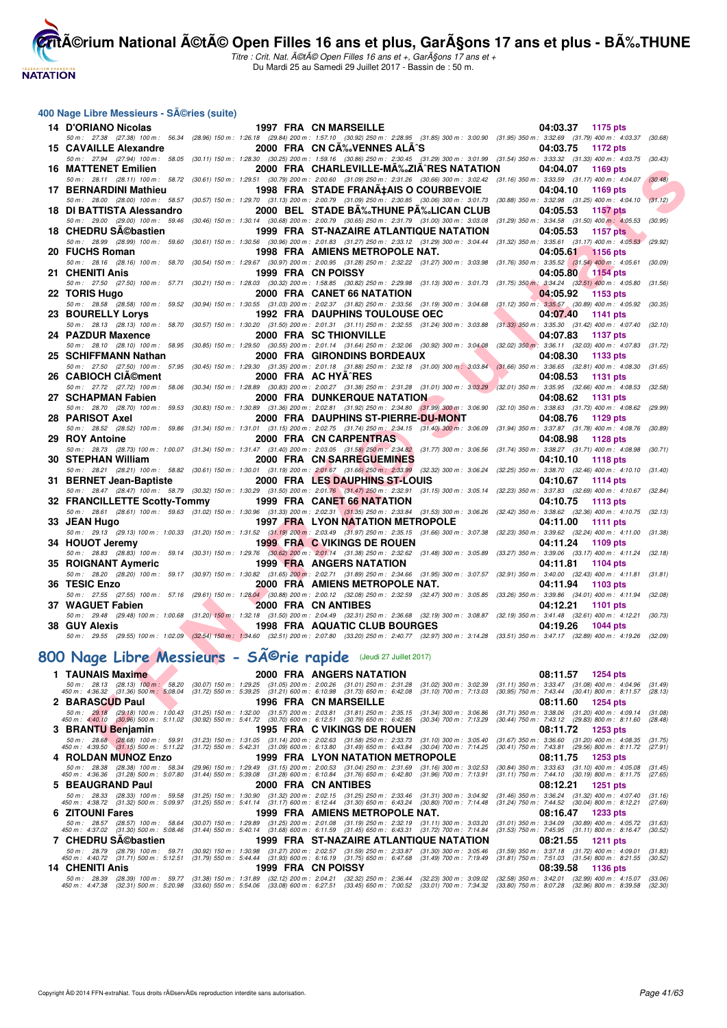

Titre : Crit. Nat. A©tA© Open Filles 16 ans et +, GarA§ons 17 ans et + Du Mardi 25 au Samedi 29 Juillet 2017 - Bassin de : 50 m.

#### **400 Nage Libre Messieurs - Séries (suite)**

|     | 14 D'ORIANO Nicolas                                                                                                                                                                  |                           |              | <b>1997 FRA CN MARSEILLE</b>                                                                                                                       |                                                                                  | 04:03.37<br>1175 pts                                                                                                                                                           |                    |
|-----|--------------------------------------------------------------------------------------------------------------------------------------------------------------------------------------|---------------------------|--------------|----------------------------------------------------------------------------------------------------------------------------------------------------|----------------------------------------------------------------------------------|--------------------------------------------------------------------------------------------------------------------------------------------------------------------------------|--------------------|
|     | 50 m: 27.38 (27.38) 100 m: 56.34                                                                                                                                                     |                           |              |                                                                                                                                                    |                                                                                  | (28.96) 150 m : 1:26.18 (29.84) 200 m : 1:57.10 (30.92) 250 m : 2:28.95 (31.85) 300 m : 3:00.90 (31.95) 350 m : 3:32.69 (31.79) 400 m : 4:03.37                                | (30.68)            |
|     | 15 CAVAILLE Alexandre                                                                                                                                                                |                           |              | 2000 FRA CN CA% VENNES ALA^S                                                                                                                       |                                                                                  | 04:03.75<br>1172 pts                                                                                                                                                           |                    |
|     | 50 m: 27.94 (27.94) 100 m: 58.05<br><b>16 MATTENET Emilien</b>                                                                                                                       |                           |              | 2000 FRA CHARLEVILLE-MA‰ZIA^RES NATATION                                                                                                           |                                                                                  | (30.11) 150 m: 1:28.30 (30.25) 200 m: 1:59.16 (30.86) 250 m: 2:30.45 (31.29) 300 m: 3:01.99 (31.54) 350 m: 3:33.32 (31.33) 400 m: 4:03.75 (30.43)<br>04:04.07<br>1169 pts      |                    |
|     | 50 m: 28.11 (28.11) 100 m: 58.72                                                                                                                                                     |                           |              |                                                                                                                                                    |                                                                                  | (30.61) 150 m : 1:29.51 (30.79) 200 m : 2:00.60 (31.09) 250 m : 2:31.26 (30.66) 300 m : 3:02.42 (31.16) 350 m : 3:33.59 (31.17) 400 m : 4:04.07                                | (30.48)            |
|     | 17 BERNARDINI Mathieu                                                                                                                                                                |                           |              | 1998 FRA STADE FRANA‡AIS O COURBEVOIE                                                                                                              |                                                                                  | 04:04.10<br>1169 pts                                                                                                                                                           |                    |
|     | 50 m: 28.00 (28.00) 100 m: 58.57                                                                                                                                                     |                           |              |                                                                                                                                                    |                                                                                  | (30.57) 150 m: 1:29.70 (31.13) 200 m: 2:00.79 (31.09) 250 m: 2:30.85 (30.06) 300 m: 3:01.73 (30.88) 350 m: 3:32.98 (31.25) 400 m: 4:04.10                                      | (31.12)            |
|     | 18 DI BATTISTA Alessandro                                                                                                                                                            |                           |              | 2000 BEL STADE B‰THUNE P‰LICAN CLUB                                                                                                                |                                                                                  | 04:05.53<br>1157 pts                                                                                                                                                           |                    |
|     | 50 m: 29.00 (29.00) 100 m: 59.46                                                                                                                                                     |                           |              | $(30.46)$ 150 m : 1:30.14 $(30.68)$ 200 m : 2:00.79 $(30.65)$ 250 m : 2:31.79 $(31.00)$ 300 m : 3:03.08                                            |                                                                                  | $(31.29)$ 350 m : 3:34.58 $(31.50)$ 400 m : 4:05.53                                                                                                                            | (30.95)            |
|     | 18 CHEDRU SA©bastien<br>50 m: 28.99 (28.99) 100 m: 59.60                                                                                                                             |                           |              | 1999 FRA ST-NAZAIRE ATLANTIQUE NATATION                                                                                                            |                                                                                  | 04:05.53<br><b>1157 pts</b><br>(30.61) 150 m : 1:30.56 (30.96) 200 m : 2:01.83 (31.27) 250 m : 2:33.12 (31.29) 300 m : 3:04.44 (31.32) 350 m : 3:35.61 (31.17) 400 m : 4:05.53 | (29.92)            |
|     | 20 FUCHS Roman                                                                                                                                                                       |                           |              | 1998 FRA AMIENS METROPOLE NAT.                                                                                                                     |                                                                                  | 04:05.61<br><b>1156 pts</b>                                                                                                                                                    |                    |
|     | 50 m: 28.16 (28.16) 100 m: 58.70                                                                                                                                                     |                           |              | $(30.54)$ 150 m : 1:29.67 $(30.97)$ 200 m : 2:00.95 $(31.28)$ 250 m : 2:32.22 $(31.27)$ 300 m : 3:03.98                                            |                                                                                  | $(31.76)$ 350 m : 3:35.52 $(31.54)$ 400 m : 4:05.61                                                                                                                            | (30.09)            |
|     | 21 CHENITI Anis                                                                                                                                                                      |                           |              | 1999 FRA CN POISSY                                                                                                                                 |                                                                                  | 04:05.80<br>1154 pts                                                                                                                                                           |                    |
|     | 50 m: 27.50 (27.50) 100 m: 57.71                                                                                                                                                     |                           |              | (30.21) 150 m : 1:28.03 (30.32) 200 m : 1:58.85 (30.82) 250 m : 2:29.98 (31.13) 300 m : 3:01.73                                                    |                                                                                  | $(31.75)$ 350 m : 3:34.24 $(32.51)$ 400 m : 4:05.80                                                                                                                            | (31.56)            |
|     | 22 TORIS Hugo                                                                                                                                                                        |                           |              | 2000 FRA CANET 66 NATATION                                                                                                                         |                                                                                  | 04:05.92<br>1153 pts                                                                                                                                                           |                    |
|     | 50 m: 28.58 (28.58) 100 m: 59.52                                                                                                                                                     |                           |              | $(30.94)$ 150 m : 1:30.55 $(31.03)$ 200 m : 2:02.37 $(31.82)$ 250 m : 2:33.56 $(31.19)$ 300 m : 3:04.68                                            |                                                                                  | $(31.12)$ 350 m : 3:35.57 $(30.89)$ 400 m : 4:05.92                                                                                                                            | (30.35)            |
| 23. | <b>BOURELLY Lorys</b><br>50 m: 28.13 (28.13) 100 m: 58.70                                                                                                                            |                           |              | <b>1992 FRA DAUPHINS TOULOUSE OEC</b><br>$(30.57)$ 150 m: 1:30.20 $(31.50)$ 200 m: 2:01.31 $(31.11)$ 250 m: 2:32.55 $(31.24)$ 300 m: 3:03.88       |                                                                                  | 04:07.40<br><b>1141 pts</b><br>$(31.33)$ 350 m : 3:35.30 $(31.42)$ 400 m : 4:07.40                                                                                             | (32.10)            |
|     | 24 PAZDUR Maxence                                                                                                                                                                    |                           |              | 2000 FRA SC THIONVILLE                                                                                                                             |                                                                                  | 04:07.83<br>1137 pts                                                                                                                                                           |                    |
|     | 50 m: 28.10 (28.10) 100 m: 58.95                                                                                                                                                     |                           |              | (30.85) 150 m : 1:29.50 (30.55) 200 m : 2:01.14 (31.64) 250 m : 2:32.06 (30.92) 300 m : 3:04.08                                                    |                                                                                  | $(32.02)$ 350 m : 3:36.11 $(32.03)$ 400 m : 4:07.83 $(31.72)$                                                                                                                  |                    |
|     | 25 SCHIFFMANN Nathan                                                                                                                                                                 |                           |              | 2000 FRA GIRONDINS BORDEAUX                                                                                                                        |                                                                                  | 04:08.30<br>1133 pts                                                                                                                                                           |                    |
|     | 50 m: 27.50 (27.50) 100 m: 57.95                                                                                                                                                     | $(30.45)$ 150 m : 1:29.30 |              | (31.35) 200 m : 2:01.18 (31.88) 250 m : 2:32.18 (31.00) 300 m : 3:03.84                                                                            |                                                                                  | $(31.66)$ 350 m : 3:36.65 $(32.81)$ 400 m : 4:08.30                                                                                                                            | (31.65)            |
|     | 26 CABIOCH CIA©ment                                                                                                                                                                  |                           |              | 2000 FRA AC HYA^RES                                                                                                                                |                                                                                  | 04:08.53<br>1131 pts                                                                                                                                                           |                    |
|     | 50 m: 27.72 (27.72) 100 m: 58.06<br>27 SCHAPMAN Fabien                                                                                                                               |                           |              | $(30.34)$ 150 m : 1:28.89 $(30.83)$ 200 m : 2:00.27 $(31.38)$ 250 m : 2:31.28 $(31.01)$ 300 m : 3:03.29<br><b>2000 FRA DUNKERQUE NATATION</b>      |                                                                                  | (32.01) 350 m : 3:35.95 (32.66) 400 m : 4:08.53 (32.58)<br>04:08.62<br>1131 pts                                                                                                |                    |
|     | 50 m: 28.70 (28.70) 100 m:<br>59.53                                                                                                                                                  |                           |              | (30.83) 150 m: 1:30.89 (31.36) 200 m: 2:02.81 (31.92) 250 m: 2:34.80 (31.99) 300 m: 3:06.90                                                        |                                                                                  | $(32.10)$ 350 m : 3:38.63 $(31.73)$ 400 m : 4:08.62                                                                                                                            | (29.99)            |
|     | 28 PARISOT Axel                                                                                                                                                                      |                           |              | 2000 FRA DAUPHINS ST-PIERRE-DU-MONT                                                                                                                |                                                                                  | 04:08.76<br>1129 pts                                                                                                                                                           |                    |
|     | 50 m: 28.52 (28.52) 100 m: 59.86                                                                                                                                                     |                           |              | (31.34) 150 m: 1:31.01 (31.15) 200 m: 2:02.75 (31.74) 250 m: 2:34.15 (31.40) 300 m: 3:06.09                                                        |                                                                                  | $(31.94)$ 350 m : 3:37.87 $(31.78)$ 400 m : 4:08.76                                                                                                                            | (30.89)            |
|     | 29 ROY Antoine                                                                                                                                                                       |                           |              | 2000 FRA CN CARPENTRAS                                                                                                                             |                                                                                  | 04:08.98<br>1128 pts                                                                                                                                                           |                    |
|     | 50 m: 28.73 (28.73) 100 m: 1:00.07                                                                                                                                                   |                           |              | $(31.34)$ 150 m : 1:31.47 $(31.40)$ 200 m : 2:03.05 $(31.58)$ 250 m : 2:34.82 $(31.77)$ 300 m : 3:06.56                                            |                                                                                  | $(31.74)$ 350 m : 3:38.27 $(31.71)$ 400 m : 4:08.98                                                                                                                            | (30.71)            |
|     | 30 STEPHAN William<br>50 m: 28.21 (28.21) 100 m: 58.82                                                                                                                               |                           |              | 2000 FRA CN SARREGUEMINES<br>(30.61) 150 m : 1:30.01 (31.19) 200 m : 2:01.67 (31.66) 250 m : 2:33.99 (32.32) 300 m : 3:06.24                       |                                                                                  | 04:10.10<br>1118 pts<br>(32.25) 350 m: 3:38.70 (32.46) 400 m: 4:10.10 (31.40)                                                                                                  |                    |
|     | 31 BERNET Jean-Baptiste                                                                                                                                                              |                           |              | <b>2000 FRA LES DAUPHINS ST-LOUIS</b>                                                                                                              |                                                                                  | 04:10.67<br>1114 pts                                                                                                                                                           |                    |
|     | 50 m: 28.47 (28.47) 100 m: 58.79 (30.32) 150 m: 1.30.29 (31.50) 200 m: 2:01.76 (31.47) 250 m: 2:32.91                                                                                |                           |              |                                                                                                                                                    | $(31.15)$ 300 m : 3:05.14                                                        | (32.23) 350 m: 3:37.83 (32.69) 400 m: 4:10.67 (32.84)                                                                                                                          |                    |
|     | 32 FRANCILLETTE Scotty-Tommy                                                                                                                                                         |                           |              | 1999 FRA CANET 66 NATATION                                                                                                                         |                                                                                  | 04:10.75<br>1113 pts                                                                                                                                                           |                    |
|     | 50 m : 28.61 (28.61) 100 m : 59.63 (31.02) 150 m : 1:30.96 (31.33) 200 m : 2:02.31 (31.35) 250 m : 2:33.84 (31.53) 300 m : 3:06.26                                                   |                           |              |                                                                                                                                                    |                                                                                  | $(32.42)$ 350 m : 3:38.62 $(32.36)$ 400 m : 4:10.75                                                                                                                            | (32.13)            |
|     | 33 JEAN Hugo                                                                                                                                                                         |                           |              | 1997 FRA LYON NATATION METROPOLE                                                                                                                   |                                                                                  | 04:11.00<br>1111 pts                                                                                                                                                           |                    |
|     | 50 m : 29.13 (29.13) 100 m : 1:00.33 (31.20) 150 m : 1:31.52 (31.19) 200 m : 2:03.49 (31.97) 250 m : 2:35.15 (31.66) 300 m : 3:07.38<br>34 HOUOT Jeremy                              |                           |              | 1999 FRA C VIKINGS DE ROUEN                                                                                                                        |                                                                                  | (32.23) 350 m: 3:39.62 (32.24) 400 m: 4:11.00 (31.38)<br>04:11.24<br>1109 pts                                                                                                  |                    |
|     | 50 m: 28.83 (28.83) 100 m: 59.14                                                                                                                                                     |                           |              | (30.31) 150 m : 1:29.76 (30.62) 200 m : 2:01.14 (31.38) 250 m : 2:32.62 (31.48) 300 m : 3:05.89                                                    |                                                                                  | $(33.27)$ 350 m : 3:39.06 $(33.17)$ 400 m : 4:11.24                                                                                                                            | (32.18)            |
|     | 35 ROIGNANT Aymeric                                                                                                                                                                  |                           |              | <b>1999 FRA ANGERS NATATION</b>                                                                                                                    |                                                                                  | 04:11.81<br>1104 pts                                                                                                                                                           |                    |
|     | 50 m : 28.20 (28.20) 100 m : 59.17 (30.97) 150 m : 1:30.82 (31.65) 200 m : 2:02.71 (31.89) 250 m : 2:34.66 (31.95) 300 m : 3:07.57                                                   |                           |              |                                                                                                                                                    |                                                                                  | (32.91) 350 m: 3:40.00 (32.43) 400 m: 4:11.81 (31.81)                                                                                                                          |                    |
|     | 36 TESIC Enzo                                                                                                                                                                        |                           |              | 2000 FRA AMIENS METROPOLE NAT.                                                                                                                     |                                                                                  | 04:11.94<br>1103 pts                                                                                                                                                           |                    |
|     | 50 m: 27.55 (27.55) 100 m: 57.16                                                                                                                                                     |                           |              | (29.61) 150 m: 1:28.04 (30.88) 200 m: 2:00.12 (32.08) 250 m: 2:32.59 (32.47) 300 m: 3:05.85                                                        |                                                                                  | (33.26) 350 m: 3:39.86 (34.01) 400 m: 4:11.94                                                                                                                                  | (32.08)            |
|     | 37 WAGUET Fabien<br>50 m: 29.48 (29.48) 100 m: 1:00.68                                                                                                                               |                           |              | 2000 FRA CN ANTIBES<br>$(31.20)$ 150 m : 1:32.18 $(31.50)$ 200 m : 2:04.49 $(32.31)$ 250 m : 2:36.68 $(32.19)$ 300 m : 3:08.87                     |                                                                                  | 04:12.21<br><b>1101 pts</b><br>(32.19) 350 m : 3:41.48 (32.61) 400 m : 4:12.21                                                                                                 | (30.73)            |
|     | 38 GUY Alexis                                                                                                                                                                        |                           |              | <b>1998 FRA AQUATIC CLUB BOURGES</b>                                                                                                               |                                                                                  | 04:19.26<br><b>1044 pts</b>                                                                                                                                                    |                    |
|     | 50 m: 29.55 (29.55) 100 m: 1:02.09 (32.54) 150 m: 1:34.60 (32.51) 200 m: 2:07.80 (33.20) 250 m: 2:40.77 (32.97) 300 m: 3:14.28 (33.51) 350 m: 3:47.17 (32.89) 400 m: 4:19.26 (32.09) |                           |              |                                                                                                                                                    |                                                                                  |                                                                                                                                                                                |                    |
|     |                                                                                                                                                                                      |                           |              |                                                                                                                                                    |                                                                                  |                                                                                                                                                                                |                    |
|     | 100 Nage Libre Messieurs - SÃ <sup>©</sup> rie rapide (Jeudi 27 Juillet 2017)                                                                                                        |                           |              |                                                                                                                                                    |                                                                                  |                                                                                                                                                                                |                    |
|     | 1 TAUNAIS Maxime                                                                                                                                                                     |                           |              | 2000 FRA ANGERS NATATION                                                                                                                           |                                                                                  | 08:11.57<br><b>1254 pts</b>                                                                                                                                                    |                    |
|     | 50 m: 28.13 (28.13) 100 m: 58.20                                                                                                                                                     |                           |              | (30.07) 150 m: 1:29.25 (31.05) 200 m: 2:00.26 (31.01) 250 m: 2:31.28                                                                               | $(31.02)$ 300 m : 3:02.39                                                        | $(31.11)$ 350 m : 3:33.47 $(31.08)$ 400 m : 4:04.96                                                                                                                            | (31.49)            |
|     | 450 m : 4:36.32 (31.36) 500 m : 5:08.04                                                                                                                                              |                           |              | $(31.72)$ 550 m : 5:39.25 $(31.21)$ 600 m : 6:10.98 $(31.73)$ 650 m : 6:42.08                                                                      | $(31.10)$ 700 m : 7:13.03                                                        | $(30.95)$ 750 m : 7:43.44 $(30.41)$ 800 m : 8:11.57                                                                                                                            | (28.13)            |
|     | 2 BARASCUD Paul<br>$(29.18)$ 100 m : 1:00.43<br>50 m: 29.18                                                                                                                          |                           |              | 1996 FRA CN MARSEILLE                                                                                                                              | $(31.34)$ 300 m : 3:06.86                                                        | 08:11.60<br>1254 pts<br>$(31.71)$ 350 m : 3:38.06 $(31.20)$ 400 m : 4:09.14                                                                                                    | (31.08)            |
|     | 450 m : 4:40.10 (30.96) 500 m : 5:11.02                                                                                                                                              |                           |              | (31.25) 150 m : 1:32.00 (31.57) 200 m : 2:03.81 (31.81) 250 m : 2:35.15<br>(30.92) 550 m : 5:41.72 (30.70) 600 m : 6:12.51 (30.79) 650 m : 6:42.85 | $(30.34)$ 700 m : 7:13.29                                                        | (30.44) 750 m : 7:43.12 (29.83) 800 m : 8:11.60                                                                                                                                | (28.48)            |
|     | 3 BRANTU Benjamin                                                                                                                                                                    |                           |              | 1995 FRA C VIKINGS DE ROUEN                                                                                                                        |                                                                                  | 08:11.72<br>1253 pts                                                                                                                                                           |                    |
|     | 50 m : 28.68 (28.68) 100 m : 59.91<br>450 m : 4:39.50 (31.15) 500 m : 5:11.22 (31.72) 550 m : 5:42.31 (31.09) 600 m : 6:13.80 (31.49) 650 m : 6:43.84                                | $(31.23)$ 150 m : 1:31.05 |              | (31.14) 200 m : 2:02.63 (31.58) 250 m : 2:33.73                                                                                                    | $(31.10)$ 300 m : 3:05.40<br>$(30.04)$ 700 m : 7:14.25 $(30.41)$ 750 m : 7:43.81 | $(31.67)$ 350 m : 3:36.60 $(31.20)$ 400 m : 4:08.35<br>$(29.56)$ 800 m : 8:11.72                                                                                               | (31.75)<br>(27.91) |
|     | <b>DOLDAN</b>                                                                                                                                                                        |                           | $0.00$ $FDA$ | <b>I VON MATATION MET</b>                                                                                                                          | <b>ת ומחמר</b>                                                                   | 88.44 TE                                                                                                                                                                       |                    |

# 800 Nage Libre Messieurs - SÃ<sup>©</sup>rie rapide (Jeudi 27 Juillet 2017)

| 1 TAUNAIS Maxime                                      | 2000 FRA ANGERS NATATION                                                                                                                                                                                                                                                                                                                                      |                                                      | 08:11.57 1254 pts                                                                                      |                    |
|-------------------------------------------------------|---------------------------------------------------------------------------------------------------------------------------------------------------------------------------------------------------------------------------------------------------------------------------------------------------------------------------------------------------------------|------------------------------------------------------|--------------------------------------------------------------------------------------------------------|--------------------|
| $50 \text{ m}$ : 28.13                                | (28.13) 100 m : / 58.20 (30.07) 150 m : 1:29.25 (31.05) 200 m : 2:00.26 (31.01) 250 m : 2:31.28<br>450 m : 4:36.32 (31.36) 500 m : 5:08.04 (31.72) 550 m : 5:39.25 (31.21) 600 m : 6:10.98 (31.73) 650 m : 6:42.08                                                                                                                                            | $(31.02)$ 300 m : 3:02.39<br>(31.10) 700 m : 7:13.03 | $(31.11)$ 350 m : 3:33.47 $(31.08)$ 400 m : 4:04.96<br>(30.95) 750 m : 7:43.44 (30.41) 800 m : 8:11.57 | (31.49)<br>(28.13) |
| 2 BARASCUD Paul                                       | <b>1996 FRA CN MARSEILLE</b>                                                                                                                                                                                                                                                                                                                                  |                                                      | 08:11.60 1254 pts                                                                                      |                    |
| $50 \text{ m}$ : 29.18<br>$450 \text{ m}$ : $4.40.10$ | (29.18) 100 m : 1:00.43 (31.25) 150 m : 1:32.00 (31.57) 200 m : 2:03.81 (31.81) 250 m : 2:35.15 (31.34) 300 m : 3:06.86 (31.71) 350 m : 3:38.06 (31.20) 400 m : 4:09.14<br>(30.96) 500 m : 5:11.02 (30.92) 550 m : 5:41.72 (30.70) 600 m : 6:12.51 (30.79) 650 m : 6:42.85 (30.34) 700 m : 7:13.29                                                            |                                                      | $(30.44)$ 750 m : 7:43.12 $(29.83)$ 800 m : 8:11.60                                                    | (31.08)<br>(28.48) |
| 3 BRANTU Benjamin                                     | 1995 FRA C VIKINGS DE ROUEN                                                                                                                                                                                                                                                                                                                                   |                                                      | 08:11.72 1253 pts                                                                                      |                    |
|                                                       | 50 m: 28.68 (28.68) 100 m: 59.91 (31.23) 150 m: 1:31.05 (31.14) 200 m: 2:02.63 (31.58) 250 m: 2:33.73 (31.10) 300 m: 3:05.40 (31.67) 350 m: 3:36.60 (31.20) 400 m: 4:08.35<br>450 m: 4:39.50 (31.15) 500 m: 5:11.22 (31.72) 550 m: 5:42.31 (31.09) 600 m: 6:13.80 (31.49) 650 m: 6:43.84 (30.04) 700 m: 7:14.25 (30.41) 750 m: 7:43.81 (29.56) 800 m: 8:11.72 |                                                      |                                                                                                        | (31.75)<br>(27.91) |
| 4 ROLDAN MUNOZ Enzo                                   | 1999 FRA LYON NATATION METROPOLE                                                                                                                                                                                                                                                                                                                              |                                                      | 08:11.75 1253 pts                                                                                      |                    |
| $50 \text{ m}$ : 28.38                                | (28.38) 100 m: 58.34 (29.96) 150 m: 1:29.49 (31.15) 200 m: 2:00.53 (31.04) 250 m: 2:31.69 (31.16) 300 m: 3:02.53 (30.84) 350 m: 3:33.63 (31.10) 400 m: 4:05.08<br>450 m : 4:36.36 (31.28) 500 m : 5:07.80 (31.44) 550 m : 5:39.08 (31.28) 600 m : 6:10.84 (31.76) 650 m : 6:42.80 (31.96) 700 m : 7:13.91                                                     |                                                      | $(31.11)$ 750 m : 7:44.10 $(30.19)$ 800 m : 8:11.75                                                    | (31.45)<br>(27.65) |
| 5 BEAUGRAND Paul                                      | 2000 FRA CN ANTIBES                                                                                                                                                                                                                                                                                                                                           |                                                      | 08:12.21 1251 pts                                                                                      |                    |
| $50 \text{ m}$ : 28.33                                | (28.33) 100 m :59.58 (31.25) 150 m : 1:30.90 (31.32) 200 m :2:02.15 (31.25) 250 m :2:33.46 (31.31) 300 m :3:04.92 (31.46) 350 m :3:36.24 (31.32) 400 m :4:07.40<br>450 m: 4:38.72 (31.32) 500 m: 5:09.97 (31.25) 550 m: 5:41.14 (31.17) 600 m: 6:12.44 (31.30) 650 m: 6:43.24 (30.80) 700 m: 7:14.48 (31.24) 750 m: 7:44.52 (30.04) 800 m: 8:12.21            |                                                      |                                                                                                        | (31.16)<br>(27.69) |
| 6 ZITOUNI Fares                                       | 1999 FRA AMIENS METROPOLE NAT.                                                                                                                                                                                                                                                                                                                                |                                                      | 08:16.47 1233 pts                                                                                      |                    |
|                                                       | 50 m: 28.57 (28.57) 100 m: 58.64 (30.07) 150 m: 1:29.89 (31.25) 200 m: 2:01.08 (31.19) 250 m: 2:32.19 (31.11) 300 m: 3:03.20 (31.01) 350 m: 3:34.09 (30.89) 400 m: 4:05.72<br>450 m: 4:37.02 (31.30) 500 m: 5:08.46 (31.44) 550 m: 5:40.14 (31.68) 600 m: 6:11.59 (31.45) 650 m: 6:43.31 (31.72) 700 m: 7:14.84 (31.53) 750 m: 7:45.95 (31.11) 800 m: 8:16.47 |                                                      |                                                                                                        | (31.63)<br>(30.52) |
| 7 CHEDRU SA©bastien                                   | 1999 FRA ST-NAZAIRE ATLANTIQUE NATATION                                                                                                                                                                                                                                                                                                                       |                                                      | 08:21.55                                                                                               | <b>1211 pts</b>    |
|                                                       | 50 m : 28.79 (28.79) 100 m : 59.71 (30.92) 150 m : 1:30.98 (31.27) 200 m : 2:02.57 (31.59) 250 m : 2:33.87 (31.30) 300 m : 3:05.46 (31.59) 350 m : 3:37.18 (31.72) 400 m : 4:09.01<br>450 m : 4:40.72 (31.71) 500 m : 5:12.51 (31.79) 550 m : 5:44.44 (31.93) 600 m : 6:16.19 (31.75) 650 m : 6:47.68 (31.49) 700 m : 7:19.49                                 |                                                      | $(31.81)$ 750 m : 7:51.03 $(31.54)$ 800 m : 8:21.55                                                    | (31.83)<br>(30.52) |
| 14   CHENITI Anis                                     | 1999 FRA CN POISSY                                                                                                                                                                                                                                                                                                                                            |                                                      | 08:39.58 1136 pts                                                                                      |                    |
| 50 m : 28.39                                          | (28.39) 100 m :59.77 (31.38) 150 m : 1:31.89 (32.12) 200 m :2:04.21 (32.32) 250 m :2:36.44 (32.23) 300 m :3:09.02 (32.58) 350 m :3:42.01 (32.99) 400 m :4:15.07<br>450 m : 4:47.38 (32.31) 500 m : 5:20.98 (33.60) 550 m : 5:54.06 (33.08) 600 m : 6:27.51 (33.45) 650 m : 7:00.52 (33.01) 700 m : 7:34.32 (33.80) 750 m : 8:07.28 (32.96) 800 m : 8:39.58    |                                                      |                                                                                                        | (33.06)<br>(32.30) |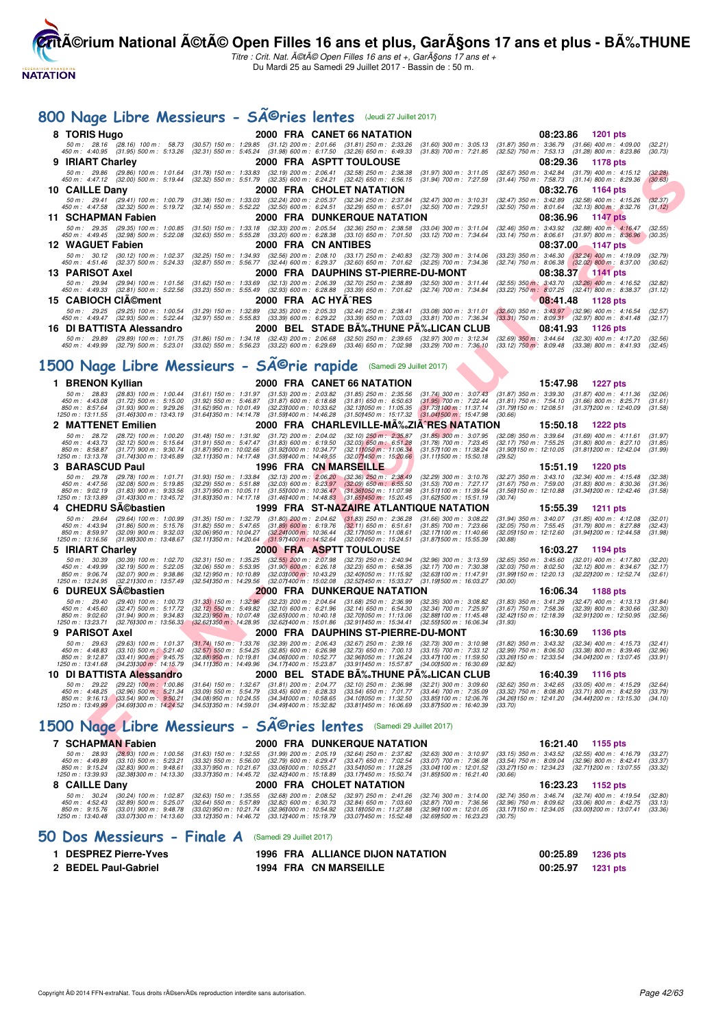

Titre : Crit. Nat. A©tA© Open Filles 16 ans et +, GarA§ons 17 ans et + Du Mardi 25 au Samedi 29 Juillet 2017 - Bassin de : 50 m.

# 800 Nage Libre Messieurs - SÃ<sup>©</sup>ries lentes (Jeudi 27 Juillet 2017)

|    | $000$ ruge con                                                                |                                                        | <b>URSSICHE</b>                                                                                                                                                                                                            |                                                        |                                                                                                            |                                                                                                                                                                                                                                                                                                                                                         |                                                          |          |                                                                                                                                                                                                                                     |                    |
|----|-------------------------------------------------------------------------------|--------------------------------------------------------|----------------------------------------------------------------------------------------------------------------------------------------------------------------------------------------------------------------------------|--------------------------------------------------------|------------------------------------------------------------------------------------------------------------|---------------------------------------------------------------------------------------------------------------------------------------------------------------------------------------------------------------------------------------------------------------------------------------------------------------------------------------------------------|----------------------------------------------------------|----------|-------------------------------------------------------------------------------------------------------------------------------------------------------------------------------------------------------------------------------------|--------------------|
|    | 8 TORIS Hugo                                                                  |                                                        |                                                                                                                                                                                                                            |                                                        | 2000 FRA CANET 66 NATATION                                                                                 |                                                                                                                                                                                                                                                                                                                                                         |                                                          | 08:23.86 | 1201 pts                                                                                                                                                                                                                            |                    |
|    | 50 m: 28.16 (28.16) 100 m: 58.73<br>450 m : 4:40.95 (31.95) 500 m : 5:13.26   |                                                        | (32.31) 550 m: 5:45.24 (31.98) 600 m: 6:17.50 (32.26) 650 m: 6:49.33                                                                                                                                                       |                                                        |                                                                                                            | $(30.57)$ 150 m : 1:29.85 $(31.12)$ 200 m : 2:01.66 $(31.81)$ 250 m : 2:33.26 $(31.60)$ 300 m : 3:05.13<br>$(31.83)$ 700 m : 7:21.85                                                                                                                                                                                                                    | $(31.87)$ 350 m : 3:36.79                                |          | $(31.66)$ 400 m : 4:09.00<br>(32.52) 750 m : 7:53.13 (31.28) 800 m : 8:23.86                                                                                                                                                        | (32.21)<br>(30.73) |
| g  | <b>IRIART Charley</b>                                                         |                                                        |                                                                                                                                                                                                                            |                                                        | 2000 FRA ASPTT TOULOUSE                                                                                    |                                                                                                                                                                                                                                                                                                                                                         |                                                          | 08:29.36 | 1178 pts                                                                                                                                                                                                                            |                    |
|    | 50 m: 29.86 (29.86) 100 m: 1:01.64                                            |                                                        |                                                                                                                                                                                                                            |                                                        |                                                                                                            | $\begin{array}{cccc} (31.78) \ 150 \ m \colon \ 1.33.83 \quad \  \  (32.19) \ 200 \ m \colon \ 2.06.41 \quad \  \  (32.58) \ 250 \ m \colon \ 2.38.38 \quad \  \  (31.97) \ 300 \ m \colon \ 3.11.05 \\ (32.32) \ 550 \ m \colon \ 5.51.79 \quad \  \  (32.35) \ 600 \ m \colon \ 6.24.21 \quad \  \  (32.42) \ 650 \ m \colon \ 6.56.15 \quad \  \  ($ |                                                          |          | (32.67) 350 m: 3:42.84 (31.79) 400 m: 4:15.12                                                                                                                                                                                       | (32.28)            |
|    | $450 \text{ m}$ : $4.47.12$ (32.00) 500 m : 5:19.44<br>10 CAILLE Dany         |                                                        |                                                                                                                                                                                                                            |                                                        | 2000 FRA CHOLET NATATION                                                                                   |                                                                                                                                                                                                                                                                                                                                                         |                                                          | 08:32.76 | $(31.44)$ 750 m : 7:58.73 $(31.14)$ 800 m : 8:29.36<br>1164 pts                                                                                                                                                                     | (30.63)            |
|    | 50 m: 29.41 (29.41) 100 m: 1:00.79                                            |                                                        |                                                                                                                                                                                                                            |                                                        |                                                                                                            | $(32.47)$ 300 m : 3:10.31                                                                                                                                                                                                                                                                                                                               | $(32.47)$ 350 m : 3:42.89                                |          | $(32.58)$ 400 m : 4:15.26                                                                                                                                                                                                           | (32.37)            |
|    | 450 m :   4:47.58     (32.32)  500 m :   5:19.72                              |                                                        | $(31.38)$ 150 m : 1:33.03 $(32.24)$ 200 m : 2:05.37 $(32.34)$ 250 m : 2:37.84<br>$(32.14)$ 550 m : 5:52.22 $(32.50)$ 600 m : 6:24.51 $(32.29)$ 650 m : 6:57.01                                                             |                                                        |                                                                                                            | (32.50) 700 m : 7:29.51                                                                                                                                                                                                                                                                                                                                 |                                                          |          | $(32.50)$ 750 m : 8:01.64 $(32.13)$ 800 m : 8:32.76                                                                                                                                                                                 | (31.12)            |
|    | 11 SCHAPMAN Fabien                                                            |                                                        |                                                                                                                                                                                                                            |                                                        | <b>2000 FRA DUNKERQUE NATATION</b>                                                                         |                                                                                                                                                                                                                                                                                                                                                         |                                                          | 08:36.96 | <b>1147 pts</b>                                                                                                                                                                                                                     |                    |
|    | 50 m: 29.35 (29.35) 100 m: 1:00.85<br>450 m: 4:49.45 (32.98) 500 m: 5:22.08   |                                                        | $(31.50)$ 150 m : 1:33.18<br>$(32.63)$ 550 m : 5:55.28                                                                                                                                                                     |                                                        | (32.33) 200 m : 2:05.54 (32.36) 250 m : 2:38.58<br>$(33.20)$ 600 m : 6:28.38 $(33.10)$ 650 m : 7:01.50     | $(33.04)$ 300 m : 3:11.04<br>$(33.12)$ 700 m : 7:34.64                                                                                                                                                                                                                                                                                                  | $(32.46)$ 350 m : 3:43.92<br>$(33.14)$ 750 m : $8.06.61$ |          | $(32.88)$ 400 m : 4:16.47<br>$(31.97)$ 800 m : 8:36.96                                                                                                                                                                              | (32.55)<br>(30.35) |
|    | 12 WAGUET Fabien                                                              |                                                        |                                                                                                                                                                                                                            | 2000 FRA CN ANTIBES                                    |                                                                                                            |                                                                                                                                                                                                                                                                                                                                                         |                                                          | 08:37.00 | 1147 pts                                                                                                                                                                                                                            |                    |
|    | 50 m: 30.12 (30.12) 100 m: 1:02.37                                            |                                                        | $\begin{array}{cccc} (32.25) & 150\; m: & 1:34.93 & (32.56) & 200\; m: & 2:08.10 & (33.17) & 250\; m: & 2:40.83 \\ (32.87) & 550\; m: & 5:56.77 & (32.44) & 600\; m: & 6:29.37 & (32.60) & 650\; m: & 7:01.62 \end{array}$ |                                                        |                                                                                                            | $(32.73)$ 300 m : 3:14.06                                                                                                                                                                                                                                                                                                                               |                                                          |          | $\begin{array}{rrrr} (33.23) & 350\ m: & 3.46.30 & (32.24) & 400\ m: & 4.19.09 \\ (32.74) & 750\ m: & 8.06.38 & (32.02) & 800\ m: & 8.37.00 \end{array}$                                                                            | (32.79)            |
|    | 450 m :   4:51.46     (32.37)  500 m :   5:24.33<br>13 PARISOT Axel           |                                                        |                                                                                                                                                                                                                            |                                                        |                                                                                                            | (32.25) 700 m : 7:34.36<br>2000 FRA DAUPHINS ST-PIERRE-DU-MONT                                                                                                                                                                                                                                                                                          |                                                          | 08:38.37 | 1141 pts                                                                                                                                                                                                                            | (30.62)            |
|    | 50 m: 29.94 (29.94) 100 m: 1:01.56                                            |                                                        | $(31.62)$ 150 m : 1:33.69                                                                                                                                                                                                  |                                                        | $(32.13)$ 200 m : 2:06.39 $(32.70)$ 250 m : 2:38.89<br>$(32.93)$ 600 m : 6:28.88 $(33.39)$ 650 m : 7:01.62 | $(32.50)$ 300 m : 3:11.44                                                                                                                                                                                                                                                                                                                               |                                                          |          | (32.55) 350 m: 3:43.70 (32.26) 400 m: 4:16.52                                                                                                                                                                                       | (32.82)            |
|    | 450 m : 4:49.33 (32.81) 500 m : 5:22.56                                       |                                                        | $(33.23)$ 550 m : 5:55.49                                                                                                                                                                                                  |                                                        |                                                                                                            | (32.74) 700 m : 7:34.84                                                                                                                                                                                                                                                                                                                                 |                                                          |          | (33.22) 750 m: 8:07.25 (32.41) 800 m: 8:38.37                                                                                                                                                                                       | (31.12)            |
|    | 15 CABIOCH CIA©ment                                                           |                                                        |                                                                                                                                                                                                                            | 2000 FRA AC HYA^RES                                    |                                                                                                            |                                                                                                                                                                                                                                                                                                                                                         |                                                          | 08:41.48 | 1128 pts                                                                                                                                                                                                                            |                    |
|    | 50 m: 29.25 (29.25) 100 m: 1:00.54<br>450 m : 4:49.47 (32.93) 500 m : 5:22.44 |                                                        | $(31.29)$ 150 m : 1:32.89<br>(32.97) 550 m : 5:55.83                                                                                                                                                                       |                                                        | (32.35) 200 m : 2:05.33 (32.44) 250 m : 2:38.41<br>(33.39) 600 m : 6:29.22 (33.39) 650 m : 7:03.03         | $(33.08)$ 300 m : 3:11.01<br>(33.81) 700 m : 7:36.34                                                                                                                                                                                                                                                                                                    |                                                          |          | $\begin{array}{l} (32.60) \ 350 \ m \ \vdots \ \ 3:43.97 \qquad \quad \  \  (32.96) \ 400 \ m \ \vdots \ \ 4:16.54 \\ (33.31) \ 750 \ m \ \vdots \ \ 8:09.31 \qquad \quad \  \  (32.97) \ 800 \ m \ \vdots \ \ 8:41.48 \end{array}$ | (32.57)<br>(32.17) |
|    | 16 DI BATTISTA Alessandro                                                     |                                                        |                                                                                                                                                                                                                            |                                                        |                                                                                                            | 2000 BEL STADE BA‰THUNE PA‰LICAN CLUB                                                                                                                                                                                                                                                                                                                   |                                                          | 08:41.93 | <b>1126 pts</b>                                                                                                                                                                                                                     |                    |
|    | 50 m: 29.89 (29.89) 100 m: 1:01.75<br>450 m : 4:49.99                         | $(32.79)$ 500 m : 5:23.01                              |                                                                                                                                                                                                                            |                                                        |                                                                                                            | $\begin{array}{cccccc} (31.86) & 150\ m: & 1.34.18 & (32.43) & 200\ m: & 2.06.68 & (32.50) & 250\ m: & 2.39.65 & (32.97) & 300\ m: & 5.12.34 \\ (33.02) & 550\ m: & 5.56.23 & (33.22) & 600\ m: & 6.29.69 & (33.46) & 650\ m: & 7.02.98 & (33.29) & 700\ m: & 7.36.10 \end{array}$                                                                      |                                                          |          | (32.69) 350 m: 3:44.64 (32.30) 400 m: 4:17.20<br>(33.12) 750 m : 8:09.48 (33.38) 800 m : 8:41.93                                                                                                                                    | (32.56)<br>(32.45) |
|    |                                                                               |                                                        |                                                                                                                                                                                                                            |                                                        |                                                                                                            |                                                                                                                                                                                                                                                                                                                                                         |                                                          |          |                                                                                                                                                                                                                                     |                    |
|    |                                                                               |                                                        | 1500 Nage Libre Messieurs - SÄ <sup>©</sup> rie rapide (Samedi 29 Juillet 2017)                                                                                                                                            |                                                        |                                                                                                            |                                                                                                                                                                                                                                                                                                                                                         |                                                          |          |                                                                                                                                                                                                                                     |                    |
|    | 1 BRENON Kyllian                                                              |                                                        |                                                                                                                                                                                                                            |                                                        | 2000 FRA CANET 66 NATATION                                                                                 |                                                                                                                                                                                                                                                                                                                                                         |                                                          | 15:47.98 | <b>1227 pts</b>                                                                                                                                                                                                                     |                    |
|    | $50 \text{ m}$ : 28.83                                                        | $(28.83)$ 100 m : 1:00.44                              | $(31.61)$ 150 m : 1:31.97 $(31.53)$ 200 m : 2:03.82 $(31.85)$ 250 m : 2:35.56                                                                                                                                              |                                                        |                                                                                                            |                                                                                                                                                                                                                                                                                                                                                         |                                                          |          |                                                                                                                                                                                                                                     | (32.06)            |
|    | 450 m : 4:43.08<br>850 m : 8:57.64                                            | $(31.72)$ 500 m : 5:15.00<br>$(31.93)$ 900 m : 9:29.26 | $(31.92)$ 550 m : 5:46.87<br>$(31.62)$ 950 m : 10:01.49                                                                                                                                                                    | $(31.87)$ 600 m : 6:18.68<br>(32.23) 000 m : 10:33.62  | $(31.81)$ 650 m : 6:50.63<br>(32.13) 050 m: 11:05.35                                                       | (31.73) 100 m : 11:37.14                                                                                                                                                                                                                                                                                                                                | (31.79) 150 m : 12:08.51                                 |          | $(31.74)$ 300 m : $3:07.43$ $(31.87)$ 350 m : $3:39.30$ $(31.87)$ 400 m : $4:11.36$<br>$(31.95)$ 700 m : $7:22.44$ $(31.81)$ 750 m : $7:54.10$ $(31.66)$ 800 m : $8:25.71$<br>$(31.66)$ 800 m : 8:25.71<br>(31.37) 200 m : 12:40.09 | (31.61)<br>(31.58) |
|    | 1250 m : 13:11.55                                                             | (31.46) 300 m : 13:43.19                               | (31.641350 m : 14:14.78                                                                                                                                                                                                    |                                                        | (31.59) 400 m : 14:46.28 (31.50) 450 m : 15:17.32                                                          | (31.041500 m: 15:47.98)                                                                                                                                                                                                                                                                                                                                 | (30.66)                                                  |          |                                                                                                                                                                                                                                     |                    |
| 2. | <b>MATTENET Emilien</b>                                                       |                                                        |                                                                                                                                                                                                                            |                                                        |                                                                                                            | 2000 FRA CHARLEVILLE-MA‰ZIA^RES NATATION                                                                                                                                                                                                                                                                                                                |                                                          | 15:50.18 | 1222 pts                                                                                                                                                                                                                            |                    |
|    | 50 m : 28.72<br>450 m : 4:43.73                                               | $(28.72)$ 100 m : 1:00.20<br>$(32.12)$ 500 m : 5:15.64 | $(31.48)$ 150 m : 1:31.92<br>$(31.91)$ 550 m : 5:47.47                                                                                                                                                                     | $(31.72)$ 200 m : 2:04.02<br>$(31.83)$ 600 m : 6:19.50 | $(32.10)$ $250$ m : $2:35.87$                                                                              | $(31.85)$ 300 m : 3:07.95<br>$(31.78)$ 700 m : 7:23.45                                                                                                                                                                                                                                                                                                  | (32.08) 350 m : 3:39.64<br>$(32.17)$ 750 m : 7:55.25     |          | $(31.69)$ 400 m : 4:11.61<br>$(31.80)$ 800 m : 8:27.10                                                                                                                                                                              | (31.97)<br>(31.85) |
|    | 850 m: 8:58.87<br>1250 m : 13:13.78                                           | $(31.77)$ 900 m : 9:30.74                              | $(31.87)$ 950 m : 10:02.66<br>(32.111350 m: 14:17.48                                                                                                                                                                       | (31.921000 m: 10:34.77<br>(31.59) 400 m : 14:49.55     | $(32.03)$ 650 m : 6:51.28<br>$(32.11)$ 050 m : 11:06.34<br>(32.07)450 m : 15.20.66                         | (31.571100 m: 11:38.24)<br>(31.11) 500 m: 15:50.18                                                                                                                                                                                                                                                                                                      | (31.90) 150 m : 12:10.05                                 |          | (31.81) 200 m : 12:42.04                                                                                                                                                                                                            | (31.99)            |
| З  | <b>BARASCUD Paul</b>                                                          | (31.74) 300 m : 13:45.89                               |                                                                                                                                                                                                                            |                                                        | 1996 FRA CN MARSEILLE                                                                                      |                                                                                                                                                                                                                                                                                                                                                         | (29.52)                                                  | 15:51.19 | 1220 pts                                                                                                                                                                                                                            |                    |
|    | 50 m: 29.78                                                                   | (29.78) 100 m : 1:01.71                                | $(31.93)$ 150 m : 1:33.84                                                                                                                                                                                                  |                                                        | (32.13) 200 m: 2:06.20 (32.36) 250 m: 2:38.49                                                              | (32.29) 300 m : 3:10.76                                                                                                                                                                                                                                                                                                                                 | (32.27) 350 m : 3:43.10                                  |          | $(32.34)$ 400 m : 4:15.48                                                                                                                                                                                                           | (32.38)            |
|    | 450 m : 4:47.56<br>850 m: 9:02.19                                             | $(32.08)$ 500 m : 5:19.85<br>$(31.83)$ 900 m : 9:33.56 | $(32.29)$ 550 m : 5:51.88<br>$(31.37)$ 950 m : 10:05.11                                                                                                                                                                    |                                                        | $(32.03)$ 600 m : 6:23.97 $(32.09)$ 650 m : 6:55.50<br>(31.55) 000 m: 10:36.47 (31.36) 050 m: 11:07.98     | $(31.53)$ 700 m : 7:27.17<br>(31.51) 100 m: 11:39.54                                                                                                                                                                                                                                                                                                    | $(31.67)$ 750 m : 7:59.00<br>(31.56)150 m : 12:10.88     |          | $(31.83)$ 800 m : 8:30.36<br>(31.34) 200 m : 12:42.46                                                                                                                                                                               | (31.36)<br>(31.58) |
|    | 1250 m: 13:13.89                                                              | (31.43) 300 m : 13:45.72                               | $(31.831350 \text{ m} : 14.17.18)$                                                                                                                                                                                         |                                                        | (31.46) 400 m : 14:48.83 (31.65) 450 m : 15:20.45                                                          | $(31.62)500 \text{ m}$ : 15:51.19                                                                                                                                                                                                                                                                                                                       | (30.74)                                                  |          |                                                                                                                                                                                                                                     |                    |
|    | <b>CHEDRU SA©bastien</b>                                                      |                                                        |                                                                                                                                                                                                                            |                                                        |                                                                                                            | 1999 FRA ST-NAZAIRE ATLANTIQUE NATATION                                                                                                                                                                                                                                                                                                                 |                                                          | 15:55.39 | 1211 pts                                                                                                                                                                                                                            |                    |
|    | 50 m: 29.64<br>450 m : 4:43.94                                                | (29.64) 100 m : 1:00.99<br>$(31.86)$ 500 m : 5:15.76   | $(31.35)$ 150 m : 1:32.79<br>$(31.82)$ 550 m : 5:47.65                                                                                                                                                                     | $(31.80)$ 200 m : 2:04.62<br>$(31.89)$ 600 m : 6:19.76 | $(31.83)$ 250 m : 2:36.28<br>$(32.11)$ 650 m : 6:51.61                                                     | $(31.66)$ 300 m : 3:08.22<br>$(31.85)$ 700 m : 7:23.66                                                                                                                                                                                                                                                                                                  | (31.94) 350 m : 3:40.07<br>$(32.05)$ 750 m : 7:55.45     |          | $(31.85)$ 400 m : 4:12.08<br>$(31.79)$ 800 m : 8:27.88                                                                                                                                                                              | (32.01)<br>(32.43) |
|    | 850 m: 8:59.97<br>1250 m: 13:16.56                                            | (32.09) 900 m : 9:32.03<br>(31.98) 300 m : 13:48.67    | (32.06) 950 m : 10:04.27<br>(32.111350 m: 14:20.64                                                                                                                                                                         | (32.241000 m: 10:36.44)<br>(31.97) 400 m : 14:52.64    | (32.171050 m: 11:08.61<br>(32.00) 450 m : 15:24.51                                                         | (32.17) 100 m: 11:40.66<br>(31.87) 500 m : 15:55.39                                                                                                                                                                                                                                                                                                     | (32.05) 150 m : 12:12.60<br>(30.88)                      |          | (31.94) 200 m : 12:44.58                                                                                                                                                                                                            | (31.98)            |
| 5  | <b>IRIART Charley</b>                                                         |                                                        |                                                                                                                                                                                                                            |                                                        | <b>2000 FRA ASPTT TOULOUSE</b>                                                                             |                                                                                                                                                                                                                                                                                                                                                         |                                                          |          | 16:03.27 1194 pts                                                                                                                                                                                                                   |                    |
|    | 50 m : 30.39                                                                  | $(30.39)$ 100 m : 1:02.70                              | $(32.31)$ 150 m : 1:35.25                                                                                                                                                                                                  | $(32.55)$ 200 m : 2:07.98                              | (32.73) 250 m : 2:40.94                                                                                    | $(32.96)$ 300 m : 3:13.59                                                                                                                                                                                                                                                                                                                               | $(32.65)$ 350 m : 3:45.60                                |          | $(32.01)$ 400 m : 4:17.80                                                                                                                                                                                                           | (32.20)            |
|    | 450 m : 4:49.99<br>850 m : 9:06.74                                            | $(32.19)$ 500 m : 5:22.05<br>$(32.07)$ 900 m : 9:38.86 | $(32.06)$ 550 m : 5:53.95<br>(32.12) 950 m : 10:10.89                                                                                                                                                                      | $(31.90)$ 600 m : 6:26.18<br>(32.03) 000 m: 10:43.29   | $(32.23)$ 650 m : 6:58.35<br>(32.40) 050 m: 11:15.92                                                       | $(32.17)$ 700 m : 7:30.38<br>(32.63) 100 m: 11:47.91                                                                                                                                                                                                                                                                                                    | (32.03) 750 m : 8:02.50<br>(31.99) 150 m : 12:20.13      |          | $(32.12)$ 800 m : 8:34.67<br>(32.22) 200 m : 12:52.74                                                                                                                                                                               | (32.17)<br>(32.61) |
|    | 1250 m : 13:24.95                                                             | (32.211300 m: 13:57.49)                                | (32.541350 m: 14:29.56                                                                                                                                                                                                     | (32.07) 400 m : 15:02.08                               | (32.52) 450 m : 15:33.27                                                                                   | (31.191500 m: 16:03.27                                                                                                                                                                                                                                                                                                                                  | (30.00)                                                  |          |                                                                                                                                                                                                                                     |                    |
| 6  | <b>DUREUX SA©bastien</b><br>50 m: 29.40                                       | (29.40) 100 m : 1:00.73                                | $(31.33)$ 150 m : 1:32.96                                                                                                                                                                                                  | $(32.23)$ 200 m : 2:04.64                              | <b>2000 FRA DUNKERQUE NATATION</b><br>$(31.68)$ 250 m : 2:36.99                                            | $(32.35)$ 300 m : 3:08.82                                                                                                                                                                                                                                                                                                                               | $(31.83)$ 350 m : 3:41.29                                | 16:06.34 | 1188 pts<br>$(32.47)$ 400 m : 4:13.13                                                                                                                                                                                               | (31.84)            |
|    | 450 m : 4:45.60                                                               | $(32.47)$ 500 m : 5:17.72                              | $(32.12)$ 550 m : 5:49.82                                                                                                                                                                                                  | $(32.10)$ 600 m : 6:21.96                              | $(32.14)$ 650 m : 6:54.30                                                                                  | $(32.34)$ 700 m : 7:25.97                                                                                                                                                                                                                                                                                                                               | $(31.67)$ 750 m : 7:58.36                                |          | $(32.39)$ 800 m : 8:30.66                                                                                                                                                                                                           | (32.30)            |
|    | 850 m : 9:02.60<br>1250 m : 13:23.71                                          | $(31.94)$ 900 m : 9:34.83<br>(32.76) 300 m : 13:56.33  | (32.23) 950 m : 10:07.48<br>$(32.62)350 \text{ m}$ : 14:28.95                                                                                                                                                              | (32.651000 m : 10:40.18<br>(32.62) 400 m : 15:01.86    | (32.70) 050 m: 11:13.06<br>(32.911450 m : 15:34.41                                                         | (32.88) 100 m : 11:45.48<br>(32.551500 m: 16:06.34                                                                                                                                                                                                                                                                                                      | (32.42) 150 m : 12:18.39<br>(31.93)                      |          | (32.91) 200 m : 12:50.95                                                                                                                                                                                                            | (32.56)            |
| 9  | <b>PARISOT Axel</b>                                                           |                                                        |                                                                                                                                                                                                                            |                                                        |                                                                                                            | 2000 FRA DAUPHINS ST-PIERRE-DU-MONT                                                                                                                                                                                                                                                                                                                     |                                                          | 16:30.69 | 1136 pts                                                                                                                                                                                                                            |                    |
|    | 50 m : 29.63<br>450 m : 4:48.83                                               | (29.63) 100 m: 1:01.37<br>$(33.10)$ 500 m : 5:21.40    | $(31.74)$ 150 m : 1:33.76<br>$(32.57)$ 550 m : 5:54.25                                                                                                                                                                     | (32.39) 200 m : 2:06.43<br>$(32.85)$ 600 m : 6:26.98   | $(32.67)$ 250 m : 2:39.16<br>$(32.73)$ 650 m : 7:00.13                                                     | (32.73) 300 m : 3:10.98<br>$(33.15)$ 700 m : 7:33.12                                                                                                                                                                                                                                                                                                    | $(31.82)$ 350 m : 3:43.32<br>$(32.99)$ 750 m : $8:06.50$ |          | $(32.34)$ 400 m : 4:15.73<br>$(33.38)$ 800 m : 8:39.46                                                                                                                                                                              | (32.41)<br>(32.96) |
|    | 850 m: 9:12.87                                                                | $(33.41)$ 900 m : 9:45.75                              | $(32.88)$ 950 m : 10:19.81                                                                                                                                                                                                 | (34.06) 000 m : 10:52.77                               | (32.96) 050 m: 11:26.24                                                                                    | (33.47) 100 m : 11:59.50                                                                                                                                                                                                                                                                                                                                | (33.26) 150 m : 12:33.54                                 |          | (34.04) 200 m : 13:07.45                                                                                                                                                                                                            | (33.91)            |
|    | 1250 m: 13:41.68                                                              | (34.23) 300 m : 14:15.79                               | (34.111350 m : 14:49.96                                                                                                                                                                                                    | (34.17) 400 m : 15:23.87                               | (33.911450 m: 15:57.87                                                                                     | (34.001500 m: 16:30.69)<br>2000 BEL STADE BA‰THUNE PA‰LICAN CLUB                                                                                                                                                                                                                                                                                        | (32.82)                                                  |          |                                                                                                                                                                                                                                     |                    |
|    | 10 DI BATTISTA Alessandro<br>50 m : 29.22                                     | $(29.22)$ 100 m : 1:00.86                              | $(31.64)$ 150 m : 1:32.67                                                                                                                                                                                                  | $(31.81)$ 200 m : 2:04.77                              | $(32.10)$ 250 m : 2:36.98                                                                                  | $(32.21)$ 300 m : 3:09.60                                                                                                                                                                                                                                                                                                                               | $(32.62)$ 350 m : 3:42.65                                | 16:40.39 | 1116 pts<br>$(33.05)$ 400 m : 4:15.29                                                                                                                                                                                               | (32.64)            |
|    | 450 m : 4:48.25                                                               | $(32.96)$ 500 m : 5:21.34                              | $(33.09)$ 550 m : 5:54.79                                                                                                                                                                                                  | $(33.45)$ 600 m : 6:28.33                              | $(33.54)$ 650 m : 7:01.77                                                                                  | (33.44) 700 m : 7:35.09                                                                                                                                                                                                                                                                                                                                 | $(33.32)$ 750 m : $8.08.80$                              |          | $(33.71)$ 800 m : 8:42.59                                                                                                                                                                                                           | (33.79)            |
|    | 850 m: 9:16.13<br>1250 m: 13:49.99                                            | $(33.54)$ 900 m : 9:50.21<br>(34.69) 300 m : 14:24.52  | (34.08) 950 m : 10:24.55<br>(34.53) 350 m : 14:59.01                                                                                                                                                                       | (34.34) 000 m: 10:58.65<br>(34.49) 400 m : 15:32.82    | $(34.10)050$ m : 11:32.50<br>(33.81) 450 m : 16:06.69                                                      | (33.85) 100 m : 12:06.76<br>(33.871500 m: 16:40.39                                                                                                                                                                                                                                                                                                      | (34.26) 150 m : 12:41.20<br>(33.70)                      |          | (34.44) 200 m: 13:15.30                                                                                                                                                                                                             | (34.10)            |
|    |                                                                               |                                                        |                                                                                                                                                                                                                            |                                                        |                                                                                                            |                                                                                                                                                                                                                                                                                                                                                         |                                                          |          |                                                                                                                                                                                                                                     |                    |
|    |                                                                               |                                                        | 1500 Nage Libre Messieurs - SÃ <sup>©</sup> ries lentes (Samedi 29 Juillet 2017)                                                                                                                                           |                                                        |                                                                                                            |                                                                                                                                                                                                                                                                                                                                                         |                                                          |          |                                                                                                                                                                                                                                     |                    |
|    | 7 SCHAPMAN Fabien                                                             |                                                        |                                                                                                                                                                                                                            |                                                        | 2000 FRA DUNKERQUE NATATION                                                                                |                                                                                                                                                                                                                                                                                                                                                         |                                                          |          | 16:21.40 1155 pts                                                                                                                                                                                                                   |                    |
|    |                                                                               |                                                        |                                                                                                                                                                                                                            |                                                        |                                                                                                            |                                                                                                                                                                                                                                                                                                                                                         |                                                          |          | 50 m; 28.93 (28.93) 100 m; 1:00.56 (31.63) 150 m; 1:32.55 (31.99) 200 m; 2:05.19 (32.64) 250 m; 2:37.82 (32.63) 300 m; 3:10.97 (33.15) 350 m; 3:43.52 (32.55) 400 m; 4:16.79 (33.27)                                                |                    |

#### **1500 Nage Libre Messieurs - Sĩries lentes** (Samedi 29 Juillet 2017)

|  |  | <b>7 SCHAPMAN Fabien</b> |
|--|--|--------------------------|
|--|--|--------------------------|

| 7 SCHAPMAN Fabien                                                       |                                                                               |                                                                                                                                                                                                                                                                        |                          | <b>2000 FRA DUNKERQUE NATATION</b>                      | 16:21.40                                                                                                                                                                                                                                                                                                                                               | 1155 pts |                               |
|-------------------------------------------------------------------------|-------------------------------------------------------------------------------|------------------------------------------------------------------------------------------------------------------------------------------------------------------------------------------------------------------------------------------------------------------------|--------------------------|---------------------------------------------------------|--------------------------------------------------------------------------------------------------------------------------------------------------------------------------------------------------------------------------------------------------------------------------------------------------------------------------------------------------------|----------|-------------------------------|
| 50 m : 28.93<br>450 m : 4:49.89<br>850 m : 9:15.24<br>1250 m : 13:39.93 | (33.10) 500 m : 5:23.21<br>(32.83) 900 m : 9:48.61<br>(32.381300 m : 14:13.30 | (28.93) 100 m : 1:00.56 (31.63) 150 m : 1:32.55<br>(33.37) 950 m : 10:21.67 (33.061000 m : 10:55.21 (33.541050 m : 11:28.25)<br>(33.371350 m : 14:45.72 (32.421400 m : 15:18.89 (33.171450 m : 15:50.74 (31.851500 m : 16:21.40 (30.66)                                |                          |                                                         | (31.99) 200 m : 2:05.19 (32.64) 250 m : 2:37.82 (32.63) 300 m : 3:10.97 (33.15) 350 m : 3:43.52 (32.55) 400 m : 4:16.79<br>(33.32) 550 m : 5:56.00 (32.79) 600 m : 6:29.47 (33.47) 650 m : 7:02.54 (33.07) 700 m : 7:36.08 (33.54) 750 m : 8:09.04 (32.96) 800 m : 8:42.41<br>(33.041100 m : 12:01.52 (33.271150 m : 12:34.23 (32.711200 m : 13:07.55) |          | (33.27)<br>(33.37)<br>(33.32) |
| 8 CAILLE Dany                                                           |                                                                               |                                                                                                                                                                                                                                                                        | 2000 FRA CHOLET NATATION |                                                         | 16:23.23                                                                                                                                                                                                                                                                                                                                               | 1152 pts |                               |
| 50 m : 30.24<br>450 m : 4:52.43<br>850 m : 9:15.76<br>1250 m : 13:40.48 | (30.24) 100 m : 1:02.87<br>(32.89) 500 m : 5:25.07<br>(33.01) 900 m : 9:48.78 | (32.63) 150 m : 1:35.55<br>(32.64) 550 m : 5:57.89<br>(33.02) 950 m : 10:21.74 (32.961000 m : 10:54.92 (33.181050 m : 11:27.88<br>(33.071300 m : 14:13.60     (33.121350 m : 14:46.72    (33.121400 m : 15:19.79    (33.071450 m : 15:52.48    (32.691500 m : 16:23.23 |                          | (32.82) 600 m :   6:30.73     (32.84) 650 m :   7:03.60 | (32.68) 200 m : 2:08.52 (32.97) 250 m : 2:41.26 (32.74) 300 m : 3:14.00 (32.74) 350 m : 3:46.74 (32.74) 400 m : 4:19.54<br>$(32.87)$ 700 m : 7:36.56 $(32.96)$ 750 m : 8:09.62 $(33.06)$ 800 m : 8:42.75<br>(32.961100 m : 12:01.05 (33.171150 m : 12:34.05 (33.001200 m : 13:07.41)<br>(30.75)                                                        |          | (32.80)<br>(33.13)<br>(33.36) |

#### **[50 Dos Messieurs - Finale A](http://www.ffnatation.fr/webffn/resultats.php?idact=nat&go=epr&idcpt=47487&idepr=61)** (Samedi 29 Juillet 2017)

| <b>DESPREZ Pierre-Yves</b> | 1996 FRA ALLIANCE DIJON NATATION | 00:25.89 1236 pts |  |
|----------------------------|----------------------------------|-------------------|--|
| 2 BEDEL Paul-Gabriel       | <b>1994 FRA CN MARSEILLE</b>     | 00:25.97 1231 pts |  |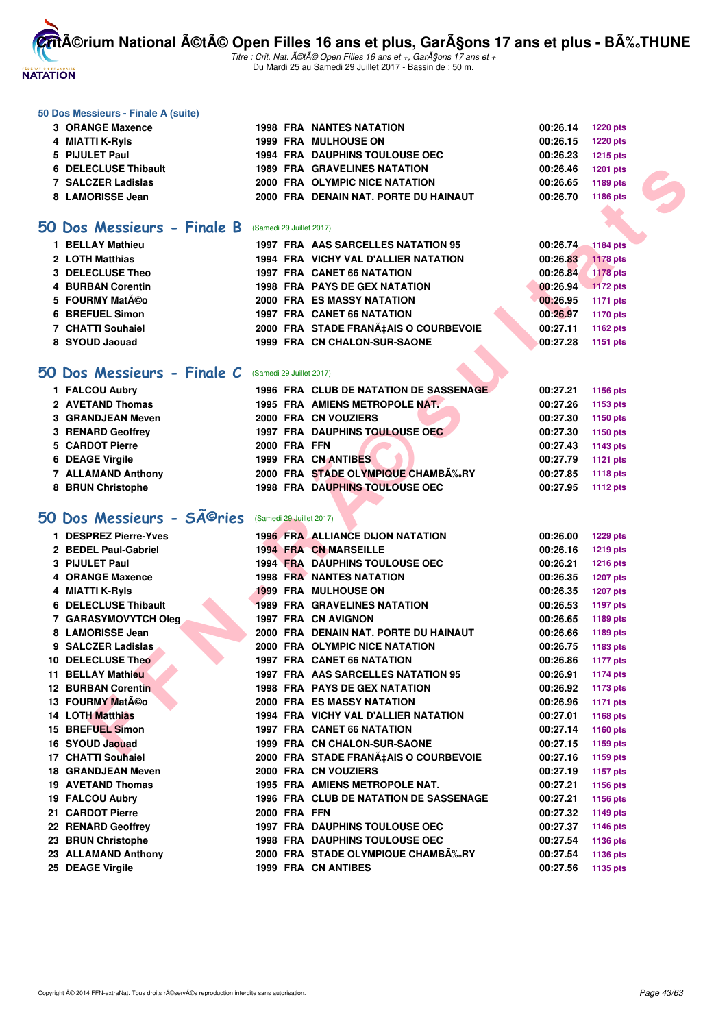

Titre : Crit. Nat. A©tA© Open Filles 16 ans et +, GarA§ons 17 ans et + Du Mardi 25 au Samedi 29 Juillet 2017 - Bassin de : 50 m.

#### **50 Dos Messieurs - Finale A (suite)**

| 3 ORANGE Maxence     |  | <b>1998 FRA NANTES NATATION</b>       | $00:26.14$ 1220 pts |                 |
|----------------------|--|---------------------------------------|---------------------|-----------------|
| 4 MIATTI K-RyIs      |  | <b>1999 FRA MULHOUSE ON</b>           | 00:26.15            | <b>1220 pts</b> |
| 5 PIJULET Paul       |  | <b>1994 FRA DAUPHINS TOULOUSE OEC</b> | 00:26.23            | 1215 pts        |
| 6 DELECLUSE Thibault |  | <b>1989 FRA GRAVELINES NATATION</b>   | 00:26.46            | 1201 pts        |
| 7 SALCZER Ladislas   |  | 2000 FRA OLYMPIC NICE NATATION        | 00:26.65            | 1189 pts        |
| 8 LAMORISSE Jean     |  | 2000 FRA DENAIN NAT. PORTE DU HAINAUT | 00:26.70            | 1186 pts        |

#### **[50 Dos Messieurs - Finale B](http://www.ffnatation.fr/webffn/resultats.php?idact=nat&go=epr&idcpt=47487&idepr=61)** (Samedi 29 Juillet 2017)

| <b>BELLAY Mathieu</b> |  | 1997 FRA AAS SARCELLES NATATION 95    | 00:26.74 | <b>1184 pts</b> |
|-----------------------|--|---------------------------------------|----------|-----------------|
| 2 LOTH Matthias       |  | 1994 FRA VICHY VAL D'ALLIER NATATION  | 00:26.83 | 1178 pts        |
| 3 DELECLUSE Theo      |  | <b>1997 FRA CANET 66 NATATION</b>     | 00:26.84 | <b>1178 pts</b> |
| 4 BURBAN Corentin     |  | <b>1998 FRA PAYS DE GEX NATATION</b>  | 00:26.94 | $1172$ pts      |
| 5 FOURMY Matéo        |  | <b>2000 FRA ES MASSY NATATION</b>     | 00:26.95 | 1171 pts        |
| 6 BREFUEL Simon       |  | <b>1997 FRA CANET 66 NATATION</b>     | 00:26.97 | 1170 pts        |
| 7 CHATTI Souhaiel     |  | 2000 FRA STADE FRANATAIS O COURBEVOIE | 00:27.11 | 1162 pts        |
| 8 SYOUD Jaouad        |  | 1999 FRA CN CHALON-SUR-SAONE          | 00:27.28 | 1151 pts        |
|                       |  |                                       |          |                 |

#### **[50 Dos Messieurs - Finale C](http://www.ffnatation.fr/webffn/resultats.php?idact=nat&go=epr&idcpt=47487&idepr=61)** (Samedi 29 Juillet 2017)

| 1 FALCOU Aubry     |                     | 1996 FRA CLUB DE NATATION DE SASSENAGE | 00:27.21 | 1156 pts |
|--------------------|---------------------|----------------------------------------|----------|----------|
| 2 AVETAND Thomas   |                     | 1995 FRA AMIENS METROPOLE NAT          | 00:27.26 | 1153 pts |
| 3 GRANDJEAN Meven  |                     | 2000 FRA CN VOUZIERS                   | 00:27.30 | 1150 pts |
| 3 RENARD Geoffrey  |                     | 1997 FRA DAUPHINS TOULOUSE OEC         | 00:27.30 | 1150 pts |
| 5 CARDOT Pierre    | <b>2000 FRA FFN</b> |                                        | 00:27.43 | 1143 pts |
| 6 DEAGE Virgile    |                     | 1999 FRA CN ANTIBES                    | 00:27.79 | 1121 pts |
| 7 ALLAMAND Anthony |                     | 2000 FRA STADE OLYMPIQUE CHAMBÉRY      | 00:27.85 | 1118 pts |
| 8 BRUN Christophe  |                     | <b>1998 FRA DAUPHINS TOULOUSE OEC</b>  | 00:27.95 | 1112 pts |
|                    |                     |                                        |          |          |

# 50 Dos Messieurs - SÃ<sup>©</sup>ries (Samedi 29 Juillet 2017)

| ı                | <b>DESPREZ PIETTE-YVES</b> | 1996     | FRA        |
|------------------|----------------------------|----------|------------|
| $\overline{2}$   | <b>BEDEL Paul-Gabriel</b>  | 1994 FRA |            |
| 3                | <b>PIJULET Paul</b>        | 1994     | <b>FRA</b> |
| 4                | <b>ORANGE Maxence</b>      | 1998     | <b>FRA</b> |
| 4                | <b>MIATTI K-RyIs</b>       | 1999     | <b>FRA</b> |
| 6                | <b>DELECLUSE Thibault</b>  | 1989     | <b>FRA</b> |
| 7                | <b>GARASYMOVYTCH Oleg</b>  | 1997     | <b>FRA</b> |
| 8                | <b>LAMORISSE Jean</b>      | 2000     | <b>FRA</b> |
|                  | 9 SALCZER Ladislas         | 2000     | <b>FRA</b> |
| 10               | <b>DELECLUSE Theo</b>      | 1997     | <b>FRA</b> |
| 11               | <b>BELLAY Mathieu</b>      | 1997     | <b>FRA</b> |
| 12 <sup>12</sup> | <b>BURBAN Corentin</b>     | 1998     | <b>FRA</b> |
|                  | 13 FOURMY Matéo            | 2000     | <b>FRA</b> |
| 14               | <b>LOTH Matthias</b>       | 1994     | <b>FRA</b> |
| 15               | <b>BREFUEL Simon</b>       | 1997     | <b>FRA</b> |
|                  | 16 SYOUD Jaouad            | 1999     | <b>FRA</b> |
| 17               | <b>CHATTI Souhaiel</b>     | 2000     | <b>FRA</b> |
| 18               | <b>GRANDJEAN Meven</b>     | 2000     | <b>FRA</b> |
|                  | <b>19 AVETAND Thomas</b>   | 1995     | <b>FRA</b> |
|                  | 19 FALCOU Aubry            | 1996     | <b>FRA</b> |
| 21               | <b>CARDOT Pierre</b>       | 2000     | <b>FRA</b> |
| 22               | <b>RENARD Geoffrey</b>     | 1997     | <b>FRA</b> |
| 23               | <b>BRUN Christophe</b>     | 1998     | <b>FRA</b> |
| 23               | <b>ALLAMAND Anthony</b>    | 2000     | <b>FRA</b> |
|                  |                            |          |            |

| 6 DELECLUSE Thibault                                            |                          | <b>1989 FRA GRAVELINES NATATION</b>     | 00:26.46 | <b>1201 pts</b> |  |
|-----------------------------------------------------------------|--------------------------|-----------------------------------------|----------|-----------------|--|
| 7 SALCZER Ladislas                                              |                          | 2000 FRA OLYMPIC NICE NATATION          | 00:26.65 | 1189 pts        |  |
| 8 LAMORISSE Jean                                                |                          | 2000 FRA DENAIN NAT. PORTE DU HAINAUT   | 00:26.70 | 1186 pts        |  |
|                                                                 |                          |                                         |          |                 |  |
| i0 Dos Messieurs - Finale B                                     | (Samedi 29 Juillet 2017) |                                         |          |                 |  |
| 1 BELLAY Mathieu                                                |                          | 1997 FRA AAS SARCELLES NATATION 95      | 00:26.74 | <b>1184 pts</b> |  |
| 2 LOTH Matthias                                                 |                          | 1994 FRA VICHY VAL D'ALLIER NATATION    | 00:26.83 | <b>1178 pts</b> |  |
| 3 DELECLUSE Theo                                                |                          | 1997 FRA CANET 66 NATATION              | 00:26.84 | <b>1178 pts</b> |  |
| <b>4 BURBAN Corentin</b>                                        |                          | <b>1998 FRA PAYS DE GEX NATATION</b>    | 00:26.94 | 1172 pts        |  |
| 5 FOURMY Matéo                                                  |                          | <b>2000 FRA ES MASSY NATATION</b>       | 00:26.95 | 1171 pts        |  |
| 6 BREFUEL Simon                                                 |                          | <b>1997 FRA CANET 66 NATATION</b>       | 00:26.97 | <b>1170 pts</b> |  |
| 7 CHATTI Souhaiel                                               |                          | 2000 FRA STADE FRANÇAIS O COURBEVOIE    | 00:27.11 | 1162 pts        |  |
| 8 SYOUD Jaouad                                                  |                          | 1999 FRA CN CHALON-SUR-SAONE            | 00:27.28 | 1151 pts        |  |
|                                                                 |                          |                                         |          |                 |  |
| i0 Dos Messieurs - Finale C                                     | (Samedi 29 Juillet 2017) |                                         |          |                 |  |
| 1 FALCOU Aubry                                                  |                          | 1996 FRA CLUB DE NATATION DE SASSENAGE  | 00:27.21 | 1156 pts        |  |
| 2 AVETAND Thomas                                                |                          | 1995 FRA AMIENS METROPOLE NAT.          | 00:27.26 | 1153 pts        |  |
| 3 GRANDJEAN Meven                                               |                          | 2000 FRA CN VOUZIERS                    | 00:27.30 | 1150 pts        |  |
| 3 RENARD Geoffrey                                               |                          | <b>1997 FRA DAUPHINS TOULOUSE OEC</b>   | 00:27.30 | 1150 pts        |  |
| 5 CARDOT Pierre                                                 | <b>2000 FRA FFN</b>      |                                         | 00:27.43 | 1143 pts        |  |
| 6 DEAGE Virgile                                                 |                          | 1999 FRA CN ANTIBES                     | 00:27.79 | 1121 pts        |  |
| 7 ALLAMAND Anthony                                              |                          | 2000 FRA STADE OLYMPIQUE CHAMB‰RY       | 00:27.85 | <b>1118 pts</b> |  |
| 8 BRUN Christophe                                               |                          | <b>1998 FRA DAUPHINS TOULOUSE OEC</b>   | 00:27.95 | <b>1112 pts</b> |  |
|                                                                 |                          |                                         |          |                 |  |
| $60$ Dos Messieurs - S $\widetilde{\mathsf{A}}^{\bigcirc}$ ries | (Samedi 29 Juillet 2017) |                                         |          |                 |  |
| 1 DESPREZ Pierre-Yves                                           |                          | <b>1996 FRA ALLIANCE DIJON NATATION</b> | 00:26.00 | <b>1229 pts</b> |  |
| 2 BEDEL Paul-Gabriel                                            |                          | <b>1994 FRA CN MARSEILLE</b>            | 00:26.16 | <b>1219 pts</b> |  |
| 3 PIJULET Paul                                                  |                          | <b>1994 FRA DAUPHINS TOULOUSE OEC</b>   | 00:26.21 | <b>1216 pts</b> |  |
| 4 ORANGE Maxence                                                |                          | <b>1998 FRA NANTES NATATION</b>         | 00:26.35 | <b>1207 pts</b> |  |
| 4 MIATTI K-Ryls                                                 |                          | <b>1999 FRA MULHOUSE ON</b>             | 00:26.35 | <b>1207 pts</b> |  |
| 6 DELECLUSE Thibault                                            |                          | <b>1989 FRA GRAVELINES NATATION</b>     | 00:26.53 | <b>1197 pts</b> |  |
| 7 GARASYMOVYTCH Oleg                                            |                          | 1997 FRA CN AVIGNON                     | 00:26.65 | 1189 pts        |  |
| 8 LAMORISSE Jean                                                |                          | 2000 FRA DENAIN NAT. PORTE DU HAINAUT   | 00:26.66 | 1189 pts        |  |
| 9 SALCZER Ladislas                                              |                          | 2000 FRA OLYMPIC NICE NATATION          | 00:26.75 | 1183 pts        |  |
| 10 DELECLUSE Theo                                               |                          | 1997 FRA CANET 66 NATATION              | 00:26.86 | <b>1177 pts</b> |  |
| 11 BELLAY Mathieu                                               |                          | 1997 FRA AAS SARCELLES NATATION 95      | 00:26.91 | <b>1174 pts</b> |  |
| <b>12 BURBAN Corentin</b>                                       |                          | <b>1998 FRA PAYS DE GEX NATATION</b>    | 00:26.92 | <b>1173 pts</b> |  |
| 13 FOURMY MatA©o                                                |                          | <b>2000 FRA ES MASSY NATATION</b>       | 00:26.96 | <b>1171 pts</b> |  |
| <b>14 LOTH Matthias</b>                                         |                          | 1994 FRA VICHY VAL D'ALLIER NATATION    | 00:27.01 | 1168 pts        |  |
| 15 BREFUEL Simon                                                |                          | 1997 FRA CANET 66 NATATION              | 00:27.14 | <b>1160 pts</b> |  |
| 16 SYOUD Jaouad                                                 |                          | 1999 FRA CN CHALON-SUR-SAONE            | 00:27.15 | 1159 pts        |  |
| 17 CHATTI Souhaiel                                              |                          | 2000 FRA STADE FRANA‡AIS O COURBEVOIE   | 00:27.16 | 1159 pts        |  |
| <b>18 GRANDJEAN Meven</b>                                       |                          | 2000 FRA CN VOUZIERS                    | 00:27.19 | <b>1157 pts</b> |  |
| 19 AVETAND Thomas                                               |                          | 1995 FRA AMIENS METROPOLE NAT.          | 00:27.21 | <b>1156 pts</b> |  |
| 19 FALCOU Aubry                                                 |                          | 1996 FRA CLUB DE NATATION DE SASSENAGE  | 00:27.21 | 1156 pts        |  |
| 21 CARDOT Pierre                                                | <b>2000 FRA FFN</b>      |                                         | 00:27.32 |                 |  |
| 22 RENARD Geoffrey                                              |                          | <b>1997 FRA DAUPHINS TOULOUSE OEC</b>   |          | <b>1149 pts</b> |  |
|                                                                 |                          | <b>1998 FRA DAUPHINS TOULOUSE OEC</b>   | 00:27.37 | <b>1146 pts</b> |  |
| 23 BRUN Christophe                                              |                          | 2000 FRA STADE OLYMPIQUE CHAMBĉRY       | 00:27.54 | <b>1136 pts</b> |  |
| 23 ALLAMAND Anthony                                             |                          |                                         | 00:27.54 | <b>1136 pts</b> |  |
| 25 DEAGE Virgile                                                |                          | <b>1999 FRA CN ANTIBES</b>              | 00:27.56 | 1135 pts        |  |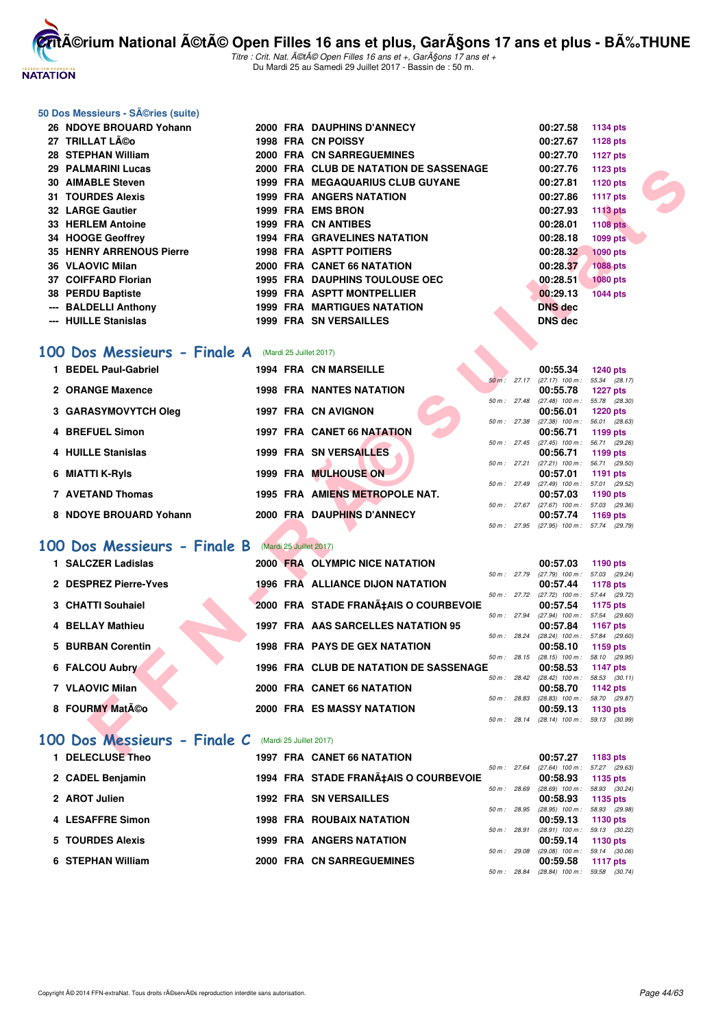

Titre : Crit. Nat. A©tA© Open Filles 16 ans et +, GarA§ons 17 ans et + Du Mardi 25 au Samedi 29 Juillet 2017 - Bassin de : 50 m.

#### **50 Dos Messieurs - Séries (suite)**

| 26 NDOYE BROUARD Yohann                                    |  | 2000 FRA DAUPHINS D'ANNECY             |             | 00:27.58                                             | 1134 pts                   |  |
|------------------------------------------------------------|--|----------------------------------------|-------------|------------------------------------------------------|----------------------------|--|
| 27 TRILLAT Léo                                             |  | 1998 FRA CN POISSY                     |             | 00:27.67                                             | <b>1128 pts</b>            |  |
| 28 STEPHAN William                                         |  | 2000 FRA CN SARREGUEMINES              |             | 00:27.70                                             | <b>1127 pts</b>            |  |
| 29 PALMARINI Lucas                                         |  | 2000 FRA CLUB DE NATATION DE SASSENAGE |             | 00:27.76                                             | 1123 pts                   |  |
| <b>30 AIMABLE Steven</b>                                   |  | 1999 FRA MEGAQUARIUS CLUB GUYANE       |             | 00:27.81                                             | 1120 pts                   |  |
| <b>31 TOURDES Alexis</b>                                   |  | <b>1999 FRA ANGERS NATATION</b>        |             | 00:27.86                                             | <b>1117 pts</b>            |  |
| <b>32 LARGE Gautier</b>                                    |  | 1999 FRA EMS BRON                      |             | 00:27.93                                             | <b>1113 pts</b>            |  |
| 33 HERLEM Antoine                                          |  | <b>1999 FRA CN ANTIBES</b>             |             | 00:28.01                                             | <b>1108 pts</b>            |  |
| 34 HOOGE Geoffrey                                          |  | <b>1994 FRA GRAVELINES NATATION</b>    |             | 00:28.18                                             | 1099 pts                   |  |
| <b>35 HENRY ARRENOUS Pierre</b>                            |  | <b>1998 FRA ASPTT POITIERS</b>         |             | 00:28.32                                             | <b>1090 pts</b>            |  |
| 36 VLAOVIC Milan                                           |  | 2000 FRA CANET 66 NATATION             |             | 00:28.37                                             | 1088 pts                   |  |
| 37 COIFFARD Florian                                        |  | <b>1995 FRA DAUPHINS TOULOUSE OEC</b>  |             | 00:28.51                                             | <b>1080 pts</b>            |  |
| 38 PERDU Baptiste                                          |  | 1999 FRA ASPTT MONTPELLIER             |             | 00:29.13                                             | <b>1044 pts</b>            |  |
| --- BALDELLI Anthony                                       |  | <b>1999 FRA MARTIGUES NATATION</b>     |             | <b>DNS</b> dec                                       |                            |  |
| --- HUILLE Stanislas                                       |  | <b>1999 FRA SN VERSAILLES</b>          |             | <b>DNS</b> dec                                       |                            |  |
|                                                            |  |                                        |             |                                                      |                            |  |
| <b>00 Dos Messieurs - Finale A</b> (Mardi 25 Juillet 2017) |  |                                        |             |                                                      |                            |  |
|                                                            |  |                                        |             |                                                      |                            |  |
| 1 BEDEL Paul-Gabriel                                       |  | <b>1994 FRA CN MARSEILLE</b>           |             | 00:55.34<br>50 m: 27.17 (27.17) 100 m: 55.34 (28.17) | <b>1240 pts</b>            |  |
| 2 ORANGE Maxence                                           |  | <b>1998 FRA NANTES NATATION</b>        |             | 00:55.78                                             | <b>1227 pts</b>            |  |
|                                                            |  |                                        | 50 m: 27.48 | $(27.48)$ 100 m : 55.78 $(28.30)$                    |                            |  |
| 3 GARASYMOVYTCH Oleg                                       |  | 1997 FRA CN AVIGNON                    |             | 00:56.01<br>50 m : 27.38 (27.38) 100 m : 56.01       | <b>1220 pts</b><br>(28.63) |  |
| 4 BREFUEL Simon                                            |  | 1997 FRA CANET 66 NATATION             |             | 00:56.71                                             | 1199 pts                   |  |
|                                                            |  |                                        | 50 m: 27.45 | (27.45) 100 m: 56.71 (29.26)                         |                            |  |
| 4 HUILLE Stanislas                                         |  | <b>1999 FRA SN VERSAILLES</b>          |             | 00:56.71<br>50 m: 27.21 (27.21) 100 m: 56.71 (29.50) | 1199 pts                   |  |
| 6 MIATTI K-Ryls                                            |  | <b>1999 FRA MULHOUSE ON</b>            |             | 00:57.01                                             | 1191 pts                   |  |
|                                                            |  |                                        |             | 50 m: 27.49 (27.49) 100 m: 57.01 (29.52)             |                            |  |
| 7 AVETAND Thomas                                           |  | 1995 FRA AMIENS METROPOLE NAT.         |             | 00:57.03<br>50 m: 27.67 (27.67) 100 m: 57.03 (29.36) | 1190 pts                   |  |
| 8 NDOYE BROUARD Yohann                                     |  | 2000 FRA DAUPHINS D'ANNECY             |             | 00:57.74                                             | 1169 pts                   |  |
|                                                            |  |                                        |             | 50 m: 27.95 (27.95) 100 m: 57.74 (29.79)             |                            |  |
| 00 Dos Messieurs - Finale B (Mardi 25 Juillet 2017)        |  |                                        |             |                                                      |                            |  |
|                                                            |  |                                        |             |                                                      |                            |  |
| 1 SALCZER Ladislas                                         |  | 2000 FRA OLYMPIC NICE NATATION         |             | 00:57.03<br>50 m: 27.79 (27.79) 100 m: 57.03 (29.24) | 1190 pts                   |  |
| 2 DESPREZ Pierre-Yves                                      |  | 1996 FRA ALLIANCE DIJON NATATION       |             | 00:57.44                                             | 1178 pts                   |  |
|                                                            |  |                                        | 50 m: 27.72 | (27.72) 100 m: 57.44 (29.72)                         |                            |  |
| 3 CHATTI Souhaiel                                          |  | 2000 FRA STADE FRANA‡AIS O COURBEVOIE  |             | 00:57.54<br>50 m: 27.94 (27.94) 100 m: 57.54 (29.60) | 1175 pts                   |  |
| <b>4 BELLAY Mathieu</b>                                    |  | 1997 FRA AAS SARCELLES NATATION 95     |             | 00:57.84                                             | <b>1167 pts</b>            |  |
|                                                            |  |                                        | 50 m: 28.24 | (28.24) 100 m: 57.84 (29.60)                         |                            |  |
| 5 BURBAN Corentin                                          |  | <b>1998 FRA PAYS DE GEX NATATION</b>   | 50 m: 28.15 | 00:58.10<br>(28.15) 100 m : 58.10 (29.95)            | 1159 pts                   |  |
| 6 FALCOU Aubry                                             |  | 1996 FRA CLUB DE NATATION DE SASSENAGE |             | 00:58.53                                             | 1147 pts                   |  |
|                                                            |  |                                        |             | 50 m: 28.42 (28.42) 100 m: 58.53 (30.11)             |                            |  |
| 7 VLAOVIC Milan                                            |  | 2000 FRA CANET 66 NATATION             |             | 00:58.70<br>50 m: 28.83 (28.83) 100 m: 58.70 (29.87) | 1142 pts                   |  |
| 8 FOURMY Matéo                                             |  | <b>2000 FRA ES MASSY NATATION</b>      |             | 00:59.13                                             | 1130 pts                   |  |
|                                                            |  |                                        |             | 50 m: 28.14 (28.14) 100 m: 59.13 (30.99)             |                            |  |
| <b>00 Dos Messieurs - Finale C</b> (Mardi 25 Juillet 2017) |  |                                        |             |                                                      |                            |  |
|                                                            |  |                                        |             |                                                      |                            |  |
| $\blacksquare$ DELEALUAR TESS                              |  | <b>1007 FBALOANET CONATATION</b>       |             | 00.5707                                              | $-4.00 - 1.$               |  |

#### [100 Dos Messieurs - Finale A](http://www.ffnatation.fr/webffn/resultats.php?idact=nat&go=epr&idcpt=47487&idepr=62) (Mardi 25 Juillet 2017)

| 1 BEDEL Paul-Gabriel   |  | <b>1994 FRA CN MARSEILLE</b>    |                        | 00:55.34                      | <b>1240 pts</b>                  |  |
|------------------------|--|---------------------------------|------------------------|-------------------------------|----------------------------------|--|
| 2 ORANGE Maxence       |  | <b>1998 FRA NANTES NATATION</b> | 50 m: 27.17            | $(27.17)$ 100 m :<br>00:55.78 | 55.34 (28.17)<br>1227 $p$ ts     |  |
| 3 GARASYMOVYTCH Oleg   |  | 1997 FRA CN AVIGNON             | $50 \text{ m}$ : 27.48 | $(27.48)$ 100 m :<br>00:56.01 | 55.78 (28.30)<br><b>1220 pts</b> |  |
| 4 BREFUEL Simon        |  | 1997 FRA CANET 66 NATATION      | 50 m: 27.38            | $(27.38)$ 100 m :<br>00:56.71 | 56.01 (28.63)<br>1199 $pts$      |  |
| 4 HUILLE Stanislas     |  | <b>1999 FRA SN VERSAILLES</b>   | $50 m$ : 27.45         | $(27.45)$ 100 m :<br>00:56.71 | 56.71 (29.26)<br>1199 $pts$      |  |
| 6 MIATTI K-Ryls        |  | 1999 FRA MULHOUSE ON            | 50 m: 27.21            | $(27.21)$ 100 m :<br>00:57.01 | 56.71 (29.50)<br>1191 $pts$      |  |
| 7 AVETAND Thomas       |  | 1995 FRA AMIENS METROPOLE NAT.  | $50 \text{ m}$ : 27.49 | $(27.49)$ 100 m :<br>00:57.03 | 57.01 (29.52)<br>1190 $pts$      |  |
| 8 NDOYE BROUARD Yohann |  | 2000 FRA DAUPHINS D'ANNECY      | $50 m$ : 27.67         | $(27.67)$ 100 m :<br>00:57.74 | 57.03 (29.36)<br>1169 $pts$      |  |
|                        |  |                                 | 50 m: 27.95            | (27.95) 100 m : 57.74 (29.79) |                                  |  |

### **[100 Dos Messieurs - Finale B](http://www.ffnatation.fr/webffn/resultats.php?idact=nat&go=epr&idcpt=47487&idepr=62)** (Mardi 25 Juillet 2017)

| 1 SALCZER Ladislas    |  | 2000 FRA OLYMPIC NICE NATATION                |                        | 00:57.03                                      | 1190 $pts$                       |  |
|-----------------------|--|-----------------------------------------------|------------------------|-----------------------------------------------|----------------------------------|--|
| 2 DESPREZ Pierre-Yves |  | 1996 FRA ALLIANCE DIJON NATATION              | 50 m: 27.79            | $(27.79)$ 100 m :<br>00:57.44                 | 57.03 (29.24)<br>1178 pts        |  |
|                       |  |                                               | $50 \text{ m}$ : 27.72 | $(27.72)$ 100 m :                             | 57.44 (29.72)                    |  |
| 3 CHATTI Souhaiel     |  | 2000 FRA STADE FRANA‡AIS O COURBEVOIE         | 50 m: 27.94            | 00:57.54<br>$(27.94)$ 100 m :                 | 1175 pts<br>57.54 (29.60)        |  |
| 4 BELLAY Mathieu      |  | 1997 FRA AAS SARCELLES NATATION 95            |                        | 00:57.84                                      | 1167 pts                         |  |
| 5 BURBAN Corentin     |  | <b>1998 FRA PAYS DE GEX NATATION</b>          | 50 m: 28.24            | $(28.24)$ 100 m : 57.84 $(29.60)$<br>00:58.10 | 1159 $pts$                       |  |
| 6 FALCOU Aubry        |  | <b>1996 FRA CLUB DE NATATION DE SASSENAGE</b> | $50 m$ : 28.15         | $(28.15)$ 100 m :<br>00:58.53                 | 58.10 (29.95)<br><b>1147 pts</b> |  |
| 7 VLAOVIC Milan       |  | 2000 FRA CANET 66 NATATION                    | $50 \text{ m}$ : 28.42 | $(28.42)$ 100 m :<br>00:58.70                 | 58.53 (30.11)<br><b>1142 pts</b> |  |
| 8 FOURMY Matéo        |  | <b>2000 FRA ES MASSY NATATION</b>             | 50 m: 28.83            | $(28.83)$ 100 m :<br>00:59.13                 | 58.70 (29.87)<br>1130 pts        |  |
|                       |  |                                               | 50 m: 28.14            | $(28.14)$ 100 m :                             | 59.13 (30.99)                    |  |

# 100 Dos Messieurs - Finale <sup>(</sup>

|                          | (Mardi 25 Juillet 2017) |
|--------------------------|-------------------------|
| $\overline{\phantom{a}}$ |                         |

| <b>DELECLUSE Theo</b> | <b>1997 FRA CANET 66 NATATION</b>     |                | 00:57.27                          | 1183 pts      |
|-----------------------|---------------------------------------|----------------|-----------------------------------|---------------|
|                       |                                       | $50 m$ : 27.64 | (27.64) 100 m : 57.27 (29.63      |               |
| 2 CADEL Benjamin      | 1994 FRA STADE FRANA‡AIS O COURBEVOIE |                | 00:58.93                          | 1135 pts      |
|                       |                                       | 50 m: 28.69    | $(28.69)$ 100 m :                 | 58.93 (30.24) |
| 2 AROT Julien         | <b>1992 FRA SN VERSAILLES</b>         |                | 00:58.93                          | $1135$ pts    |
|                       |                                       | $50 m$ : 28.95 | (28.95) 100 m : 58.93 (29.98      |               |
| 4 LESAFFRE Simon      | <b>1998 FRA ROUBAIX NATATION</b>      |                | 00:59.13                          | 1130 $pts$    |
|                       |                                       | $50 m$ : 28.91 | $(28.91)$ 100 m : 59.13 $(30.22)$ |               |
| 5 TOURDES Alexis      | <b>1999 FRA ANGERS NATATION</b>       |                | 00:59.14                          | 1130 $pts$    |
|                       |                                       | 50 m: 29.08    | $(29.08)$ 100 m :                 | 59.14 (30.06  |
| 6 STEPHAN William     | 2000 FRA CN SARREGUEMINES             |                | 00:59.58                          | 1117 $pts$    |
|                       |                                       | 50 m: 28.84    | (28.84) 100 m : 59.58 (30.74      |               |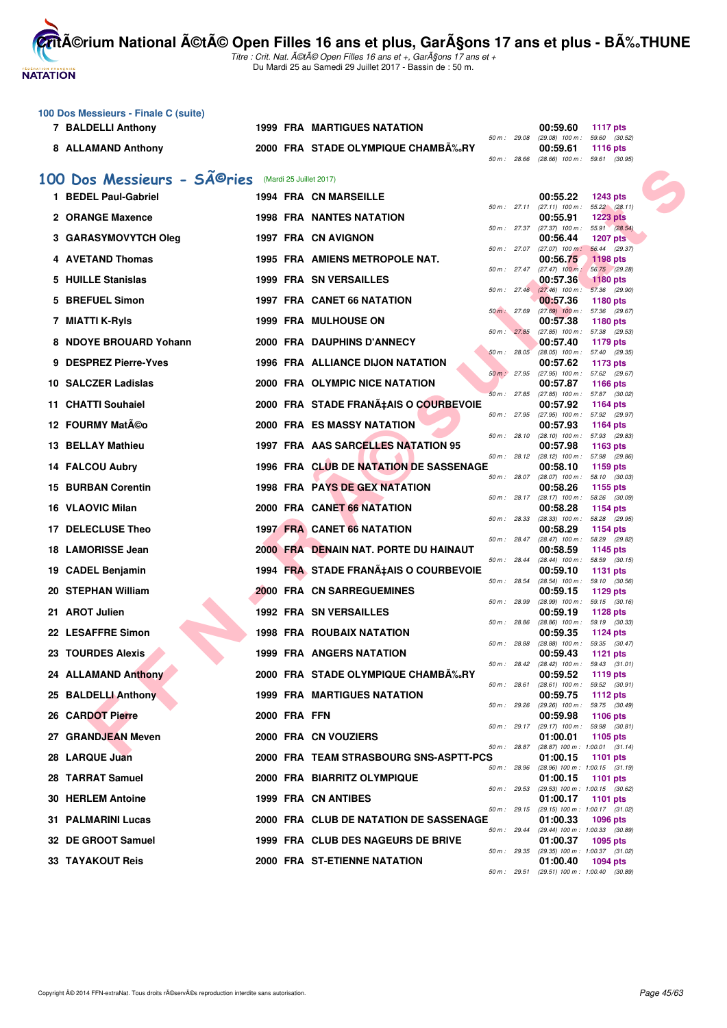**NATATION FRANÇAISE** 

**CritA©rium National A©tA© Open Filles 16 ans et plus, GarA§ons 17 ans et plus - BA%.THUNE** 

|    | 100 Dos Messieurs - Finale C (suite)     |              |                                              |             |              |                                                        |                                  |  |
|----|------------------------------------------|--------------|----------------------------------------------|-------------|--------------|--------------------------------------------------------|----------------------------------|--|
|    | 7 BALDELLI Anthony                       |              | <b>1999 FRA MARTIGUES NATATION</b>           |             |              | 00:59.60                                               | <b>1117 pts</b>                  |  |
|    | 8 ALLAMAND Anthony                       |              | 2000 FRA STADE OLYMPIQUE CHAMBA‰RY           |             | 50 m : 29.08 | $(29.08)$ 100 m : 59.60 $(30.52)$<br>00:59.61          | <b>1116 pts</b>                  |  |
|    |                                          |              |                                              |             | 50 m: 28.66  | $(28.66)$ 100 m : 59.61 $(30.95)$                      |                                  |  |
|    | 100 Dos Messieurs - SÃ <sup>©</sup> ries |              | (Mardi 25 Juillet 2017)                      |             |              |                                                        |                                  |  |
|    | 1 BEDEL Paul-Gabriel                     |              | <b>1994 FRA CN MARSEILLE</b>                 |             |              | 00:55.22                                               | <b>1243 pts</b>                  |  |
|    | 2 ORANGE Maxence                         |              | <b>1998 FRA NANTES NATATION</b>              |             | 50 m : 27.11 | $(27.11)$ 100 m :<br>00:55.91                          | 55.22 (28.11)<br><b>1223 pts</b> |  |
|    |                                          |              |                                              |             | 50 m : 27.37 | $(27.37)$ 100 m :                                      | 55.91 (28.54)                    |  |
|    | 3 GARASYMOVYTCH Oleg                     |              | 1997 FRA CN AVIGNON                          |             |              | 00:56.44<br>50 m: 27.07 (27.07) 100 m: 56.44 (29.37)   | <b>1207 pts</b>                  |  |
|    | <b>4 AVETAND Thomas</b>                  |              | 1995 FRA AMIENS METROPOLE NAT.               |             |              | 00:56.75<br>50 m: 27.47 (27.47) 100 m: 56.75 (29.28)   | <b>1198 pts</b>                  |  |
|    | 5 HUILLE Stanislas                       |              | <b>1999 FRA SN VERSAILLES</b>                |             |              | 00:57.36                                               | <b>1180 pts</b>                  |  |
|    | 5 BREFUEL Simon                          |              | 1997 FRA CANET 66 NATATION                   |             |              | 50 m : 27.46 (27.46) 100 m :<br>00:57.36               | 57.36 (29.90)<br>1180 pts        |  |
|    | 7 MIATTI K-Ryls                          |              | <b>1999 FRA MULHOUSE ON</b>                  |             | 50 m: 27.69  | $(27.69)$ 100 m :<br>00:57.38                          | 57.36 (29.67)<br>1180 pts        |  |
|    | 8 NDOYE BROUARD Yohann                   |              | 2000 FRA DAUPHINS D'ANNECY                   |             | 50 m : 27.85 | (27.85) 100 m: 57.38 (29.53)<br>00:57.40               | 1179 pts                         |  |
|    |                                          |              |                                              |             | 50 m: 28.05  | (28.05) 100 m: 57.40 (29.35)                           |                                  |  |
|    | 9 DESPREZ Pierre-Yves                    |              | <b>1996 FRA ALLIANCE DIJON NATATION</b>      |             | 50 m: 27.95  | 00:57.62<br>(27.95) 100 m: 57.62 (29.67)               | 1173 pts                         |  |
| 10 | <b>SALCZER Ladislas</b>                  |              | 2000 FRA OLYMPIC NICE NATATION               |             | 50 m: 27.85  | 00:57.87<br>$(27.85)$ 100 m : 57.87 $(30.02)$          | <b>1166 pts</b>                  |  |
|    | 11 CHATTI Souhaiel                       |              | 2000 FRA STADE FRANA‡AIS O COURBEVOIE        |             |              | 00:57.92                                               | 1164 pts                         |  |
|    | 12 FOURMY MatA©o                         |              | <b>2000 FRA ES MASSY NATATION</b>            |             | 50 m : 27.95 | (27.95) 100 m : 57.92 (29.97)<br>00:57.93              | 1164 pts                         |  |
|    | <b>13 BELLAY Mathieu</b>                 |              | 1997 FRA AAS SARCELLES NATATION 95           |             | 50 m : 28.10 | (28.10) 100 m: 57.93 (29.83)<br>00:57.98               | 1163 pts                         |  |
|    |                                          |              |                                              |             | 50 m: 28.12  | $(28.12)$ 100 m :                                      | 57.98 (29.86)                    |  |
|    | 14 FALCOU Aubry                          |              | 1996 FRA CLUB DE NATATION DE SASSENAGE       |             | 50 m: 28.07  | 00:58.10<br>$(28.07)$ 100 m : 58.10 $(30.03)$          | 1159 pts                         |  |
| 15 | <b>BURBAN Corentin</b>                   |              | <b>1998 FRA PAYS DE GEX NATATION</b>         |             | 50 m : 28.17 | 00:58.26<br>$(28.17)$ 100 m : 58.26 $(30.09)$          | 1155 pts                         |  |
|    | 16 VLAOVIC Milan                         |              | 2000 FRA CANET 66 NATATION                   |             |              | 00:58.28                                               | 1154 pts                         |  |
| 17 | <b>DELECLUSE Theo</b>                    |              | <b>1997 FRA CANET 66 NATATION</b>            |             | 50 m : 28.33 | $(28.33)$ 100 m : 58.28 $(29.95)$<br>00:58.29          | 1154 pts                         |  |
| 18 | <b>LAMORISSE Jean</b>                    |              | <b>2000 FRA DENAIN NAT. PORTE DU HAINAUT</b> |             | 50 m : 28.47 | (28.47) 100 m: 58.29 (29.82)<br>00:58.59               | 1145 pts                         |  |
|    | 19 CADEL Benjamin                        |              | 1994 FRA STADE FRANA‡AIS O COURBEVOIE        | 50 m: 28.44 |              | $(28.44)$ 100 m :<br>00:59.10                          | 58.59 (30.15)<br>1131 pts        |  |
|    |                                          |              | 2000 FRA CN SARREGUEMINES                    | 50 m: 28.54 |              | $(28.54)$ 100 m :                                      | 59.10 (30.56)                    |  |
| 20 | <b>STEPHAN William</b>                   |              |                                              |             | 50 m : 28.99 | 00:59.15<br>$(28.99)$ 100 m :                          | 1129 pts<br>59.15 (30.16)        |  |
|    | 21 AROT Julien                           |              | <b>1992 FRA SN VERSAILLES</b>                |             | 50 m : 28.86 | 00:59.19<br>(28.86) 100 m: 59.19 (30.33)               | <b>1128 pts</b>                  |  |
|    | 22 LESAFFRE Simon                        |              | <b>1998 FRA ROUBAIX NATATION</b>             |             |              | 00:59.35                                               | 1124 pts                         |  |
|    | 23 TOURDES Alexis                        |              | 1999 FRA ANGERS NATATION                     |             | 50 m : 28.88 | $(28.88)$ 100 m : 59.35 $(30.47)$<br>00:59.43          | 1121 pts                         |  |
|    | 24 ALLAMAND Anthony                      |              | 2000 FRA STADE OLYMPIQUE CHAMBA‰RY           |             |              | 50 m: 28.42 (28.42) 100 m: 59.43 (31.01)<br>00:59.52   | 1119 pts                         |  |
|    | 25 BALDELLI Anthony                      |              | <b>1999 FRA MARTIGUES NATATION</b>           |             | 50 m : 28.61 | $(28.61)$ 100 m : 59.52 $(30.91)$<br>00:59.75          | <b>1112 pts</b>                  |  |
|    |                                          |              |                                              |             | 50 m : 29.26 | (29.26) 100 m: 59.75 (30.49)                           |                                  |  |
|    | 26 CARDOT Pierre                         | 2000 FRA FFN |                                              |             | 50 m : 29.17 | 00:59.98<br>$(29.17)$ 100 m : 59.98 $(30.81)$          | 1106 pts                         |  |
|    | 27 GRANDJEAN Meven                       |              | 2000 FRA CN VOUZIERS                         |             | 50 m : 28.87 | 01:00.01<br>$(28.87)$ 100 m : 1:00.01 $(31.14)$        | 1105 pts                         |  |
|    | 28 LARQUE Juan                           |              | 2000 FRA TEAM STRASBOURG SNS-ASPTT-PCS       |             |              | 01:00.15                                               | <b>1101 pts</b>                  |  |
|    | 28 TARRAT Samuel                         |              | 2000 FRA BIARRITZ OLYMPIQUE                  |             | 50 m : 28.96 | (28.96) 100 m: 1:00.15 (31.19)<br>01:00.15             | 1101 pts                         |  |
|    | <b>30 HERLEM Antoine</b>                 |              | 1999 FRA CN ANTIBES                          |             | 50 m : 29.53 | (29.53) 100 m: 1:00.15 (30.62)<br>01:00.17             | <b>1101 pts</b>                  |  |
|    | 31 PALMARINI Lucas                       |              | 2000 FRA CLUB DE NATATION DE SASSENAGE       |             | 50 m: 29.15  | $(29.15)$ 100 m : 1:00.17 $(31.02)$<br>01:00.33        | 1096 pts                         |  |
|    |                                          |              |                                              |             | 50 m: 29.44  | (29.44) 100 m: 1:00.33 (30.89)                         |                                  |  |
|    | 32 DE GROOT Samuel                       |              | 1999 FRA CLUB DES NAGEURS DE BRIVE           |             | 50 m : 29.35 | 01:00.37<br>(29.35) 100 m: 1:00.37 (31.02)             | 1095 pts                         |  |
|    | 33 TAYAKOUT Reis                         |              | 2000 FRA ST-ETIENNE NATATION                 |             |              | 01:00.40<br>50 m: 29.51 (29.51) 100 m: 1:00.40 (30.89) | <b>1094 pts</b>                  |  |
|    |                                          |              |                                              |             |              |                                                        |                                  |  |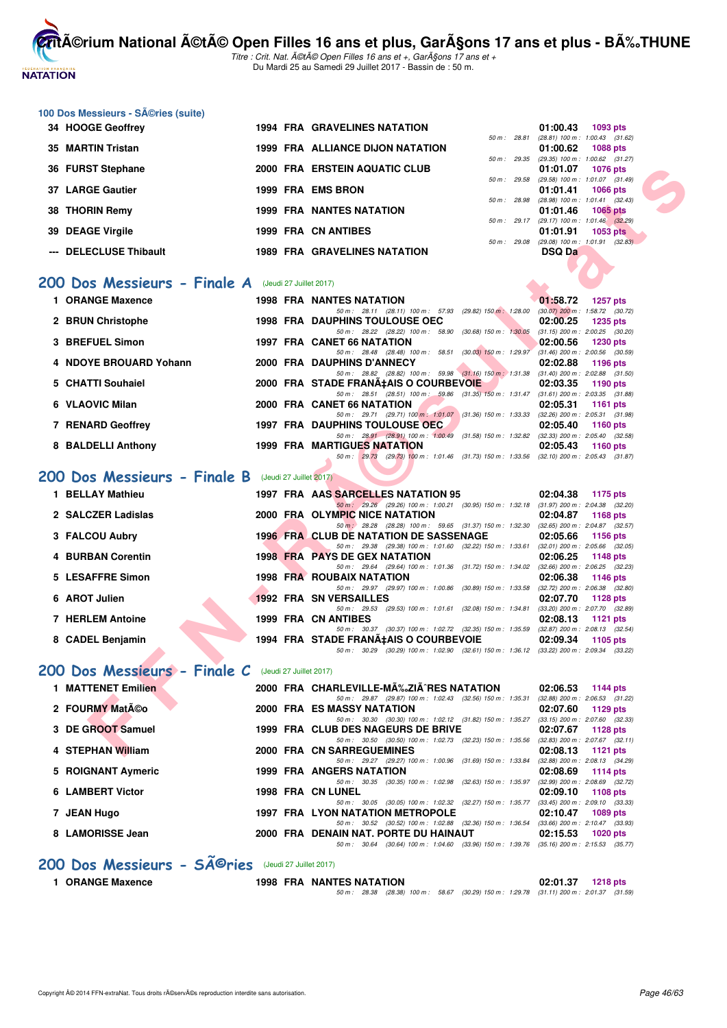

Titre : Crit. Nat. A©tA© Open Filles 16 ans et +, GarA§ons 17 ans et + Du Mardi 25 au Samedi 29 Juillet 2017 - Bassin de : 50 m.

| 100 Dos Messieurs - Séries (suite)                   |  |                                                                                                                                             |                                                                           |
|------------------------------------------------------|--|---------------------------------------------------------------------------------------------------------------------------------------------|---------------------------------------------------------------------------|
| 34 HOOGE Geoffrey                                    |  | <b>1994 FRA GRAVELINES NATATION</b><br>50 m : 28.81                                                                                         | 01:00.43<br>1093 pts<br>$(28.81)$ 100 m : 1:00.43 $(31.62)$               |
| 35 MARTIN Tristan                                    |  | <b>1999 FRA ALLIANCE DIJON NATATION</b>                                                                                                     | 01:00.62<br><b>1088 pts</b><br>50 m: 29.35 (29.35) 100 m: 1:00.62 (31.27) |
| 36 FURST Stephane                                    |  | 2000 FRA ERSTEIN AQUATIC CLUB<br>50 m: 29.58                                                                                                | 01:01.07<br><b>1076 pts</b><br>(29.58) 100 m: 1:01.07 (31.49)             |
| 37 LARGE Gautier                                     |  | 1999 FRA EMS BRON                                                                                                                           | 01:01.41<br><b>1066 pts</b>                                               |
| <b>THORIN Remy</b><br>38                             |  | 50 m: 28.98<br><b>1999 FRA NANTES NATATION</b>                                                                                              | $(28.98)$ 100 m : 1:01.41 $(32.43)$<br>1065 pts<br>01:01.46               |
| 39 DEAGE Virgile                                     |  | 1999 FRA CN ANTIBES                                                                                                                         | 50 m: 29.17 (29.17) 100 m: 1:01.46 (32.29)<br>01:01.91<br><b>1053 pts</b> |
| --- DELECLUSE Thibault                               |  | <b>1989 FRA GRAVELINES NATATION</b>                                                                                                         | 50 m : 29.08 (29.08) 100 m : 1:01.91 (32.83)<br><b>DSQ Da</b>             |
|                                                      |  |                                                                                                                                             |                                                                           |
| 200 Dos Messieurs - Finale A (Jeudi 27 Juillet 2017) |  |                                                                                                                                             |                                                                           |
| 1 ORANGE Maxence                                     |  | <b>1998 FRA NANTES NATATION</b><br>50 m: 28.11 (28.11) 100 m: 57.93 (29.82) 150 m: 1:28.00 (30.07) 200 m: 1:58.72 (30.72)                   | 01:58.72<br><b>1257 pts</b>                                               |
| 2 BRUN Christophe                                    |  | <b>1998 FRA DAUPHINS TOULOUSE OEC</b><br>50 m: 28.22 (28.22) 100 m: 58.90 (30.68) 150 m: 1:30.05 (31.15) 200 m: 2:00.25 (30.20)             | 02:00.25<br><b>1235 pts</b>                                               |
| 3 BREFUEL Simon                                      |  | 1997 FRA CANET 66 NATATION<br>50 m: 28.48 (28.48) 100 m: 58.51 (30.03) 150 m: 1:29.97 (31.46) 200 m: 2:00.56 (30.59)                        | 02:00.56<br><b>1230 pts</b>                                               |
| 4 NDOYE BROUARD Yohann                               |  | 2000 FRA DAUPHINS D'ANNECY                                                                                                                  | 02:02.88<br>1196 pts                                                      |
| 5 CHATTI Souhaiel                                    |  | 50 m: 28.82 (28.82) 100 m: 59.98 (31.16) 150 m: 1:31.38 (31.40) 200 m: 2:02.88 (31.50)<br>2000 FRA STADE FRANA‡AIS O COURBEVOIE             | 02:03.35<br>1190 pts                                                      |
| 6 VLAOVIC Milan                                      |  | 50 m: 28.51 (28.51) 100 m: 59.86 (31.35) 150 m: 1:31.47 (31.61) 200 m: 2:03.35 (31.88)<br>2000 FRA CANET 66 NATATION                        | 02:05.31<br>1161 pts                                                      |
| 7 RENARD Geoffrey                                    |  | 50 m: 29.71 (29.71) 100 m: 1:01.07 (31.36) 150 m: 1:33.33 (32.26) 200 m: 2:05.31 (31.98)<br>1997 FRA DAUPHINS TOULOUSE OEC                  | 02:05.40<br><b>1160 pts</b>                                               |
| 8 BALDELLI Anthony                                   |  | 50 m: 28.91 (28.91) 100 m: 1:00.49 (31.58) 150 m: 1:32.82 (32.33) 200 m: 2:05.40 (32.58)<br><b>1999 FRA MARTIGUES NATATION</b>              | 02:05.43<br><b>1160 pts</b>                                               |
|                                                      |  | 50 m: 29.73 (29.73) 100 m: 1:01.46 (31.73) 150 m: 1:33.56 (32.10) 200 m: 2:05.43 (31.87)                                                    |                                                                           |
| 200 Dos Messieurs - Finale B (Jeudi 27 Juillet 2017) |  |                                                                                                                                             |                                                                           |
| 1 BELLAY Mathieu                                     |  | 1997 FRA AAS SARCELLES NATATION 95                                                                                                          | 02:04.38<br>1175 pts                                                      |
| 2 SALCZER Ladislas                                   |  | 50 m: 29.26 (29.26) 100 m: 1:00.21 (30.95) 150 m: 1:32.18 (31.97) 200 m: 2:04.38 (32.20)<br>2000 FRA OLYMPIC NICE NATATION                  | 02:04.87<br><b>1168 pts</b>                                               |
| 3 FALCOU Aubry                                       |  | 50 m : 28.28 (28.28) 100 m : 59.65 (31.37) 150 m : 1:32.30 (32.65) 200 m : 2:04.87 (32.57)<br><b>1996 FRA CLUB DE NATATION DE SASSENAGE</b> | 02:05.66<br><b>1156 pts</b>                                               |
| 4 BURBAN Corentin                                    |  | 50 m: 29.38 (29.38) 100 m: 1:01.60 (32.22) 150 m: 1:33.61 (32.01) 200 m: 2:05.66 (32.05)<br><b>1998 FRA PAYS DE GEX NATATION</b>            | 02:06.25<br>1148 pts                                                      |
| 5 LESAFFRE Simon                                     |  | 50 m: 29.64 (29.64) 100 m: 1:01.36 (31.72) 150 m: 1:34.02 (32.66) 200 m: 2:06.25 (32.23)<br><b>1998 FRA ROUBAIX NATATION</b>                | 02:06.38<br><b>1146 pts</b>                                               |
| 6 AROT Julien                                        |  | 50 m: 29.97 (29.97) 100 m: 1:00.86 (30.89) 150 m: 1:33.58<br><b>1992 FRA SN VERSAILLES</b>                                                  | $(32.72)$ 200 m : $2.06.38$ $(32.80)$<br>02:07.70<br>1128 pts             |
|                                                      |  | 50 m: 29.53 (29.53) 100 m: 1:01.61 (32.08) 150 m: 1:34.81                                                                                   | (33.20) 200 m : 2:07.70 (32.89)                                           |
| <b>7 HERLEM Antoine</b>                              |  | 1999 FRA CN ANTIBES<br>50 m: 30.37 (30.37) 100 m: 1:02.72 (32.35) 150 m: 1:35.59 (32.87) 200 m: 2:08.13 (32.54)                             | 02:08.13<br>1121 pts                                                      |
| 8 CADEL Benjamin                                     |  | 1994 FRA STADE FRANA‡AIS O COURBEVOIE<br>50 m: 30.29 (30.29) 100 m: 1:02.90 (32.61) 150 m: 1:36.12 (33.22) 200 m: 2:09.34 (33.22)           | 02:09.34<br>1105 pts                                                      |
| 200 Dos Messieurs - Finale C (Jeudi 27 Juillet 2017) |  |                                                                                                                                             |                                                                           |
| 1 MATTENET Emilien                                   |  | 2000 FRA CHARLEVILLE-MA‰ZIA^RES NATATION                                                                                                    | 02:06.53<br>1144 pts                                                      |
| 2 FOURMY Matéo                                       |  | 50 m: 29.87 (29.87) 100 m: 1:02.43 (32.56) 150 m: 1:35.31 (32.88) 200 m: 2:06.53 (31.22)<br>2000 FRA ES MASSY NATATION                      | 02:07.60<br>1129 pts                                                      |
| 3 DE GROOT Samuel                                    |  | 50 m: 30.30 (30.30) 100 m: 1:02.12 (31.82) 150 m: 1:35.27 (33.15) 200 m: 2:07.60 (32.33)<br>1999 FRA CLUB DES NAGEURS DE BRIVE              | 02:07.67<br>1128 pts                                                      |
| 4 STEPHAN William                                    |  | 50 m: 30.50 (30.50) 100 m: 1:02.73 (32.23) 150 m: 1:35.56 (32.83) 200 m: 2:07.67 (32.11)<br>2000 FRA CN SARREGUEMINES                       | 02:08.13<br>1121 pts                                                      |
| 5 ROIGNANT Aymeric                                   |  | 50 m: 29.27 (29.27) 100 m: 1:00.96 (31.69) 150 m: 1:33.84 (32.88) 200 m: 2:08.13 (34.29)<br>1999 FRA ANGERS NATATION                        | 02:08.69<br><b>1114 pts</b>                                               |
|                                                      |  | 50 m: 30.35 (30.35) 100 m: 1:02.98 (32.63) 150 m: 1:35.97 (32.99) 200 m: 2:08.69 (32.72)                                                    |                                                                           |
| <b>6 LAMBERT Victor</b>                              |  | 1998 FRA CN LUNEL<br>50 m : 30.05 (30.05) 100 m : 1:02.32 (32.27) 150 m : 1:35.77 (33.45) 200 m : 2:09.10 (33.33)                           | 02:09.10<br><b>1108 pts</b>                                               |
| 7 JEAN Hugo                                          |  | 1997 FRA LYON NATATION METROPOLE<br>50 m: 30.52 (30.52) 100 m: 1:02.88 (32.36) 150 m: 1:36.54 (33.66) 200 m: 2:10.47 (33.93)                | 02:10.47<br>1089 pts                                                      |
| 8 LAMORISSE Jean                                     |  | 2000 FRA DENAIN NAT. PORTE DU HAINAUT<br>50 m: 30.64 (30.64) 100 m: 1:04.60 (33.96) 150 m: 1:39.76 (35.16) 200 m: 2:15.53 (35.77)           | 02:15.53<br><b>1020 pts</b>                                               |
| 200 Dos Messieurs - SÃ <sup>©</sup> ries             |  | (Jeudi 27 Juillet 2017)                                                                                                                     |                                                                           |
| 1 ORANGE Maxence                                     |  | <b>1998 FRA NANTES NATATION</b>                                                                                                             | 02:01.37 1218 pts                                                         |

50 m : 28.38 (28.38) 100 m : 58.67 (30.29) 150 m : 1:29.78 (31.11) 200 m : 2:01.37 (31.59)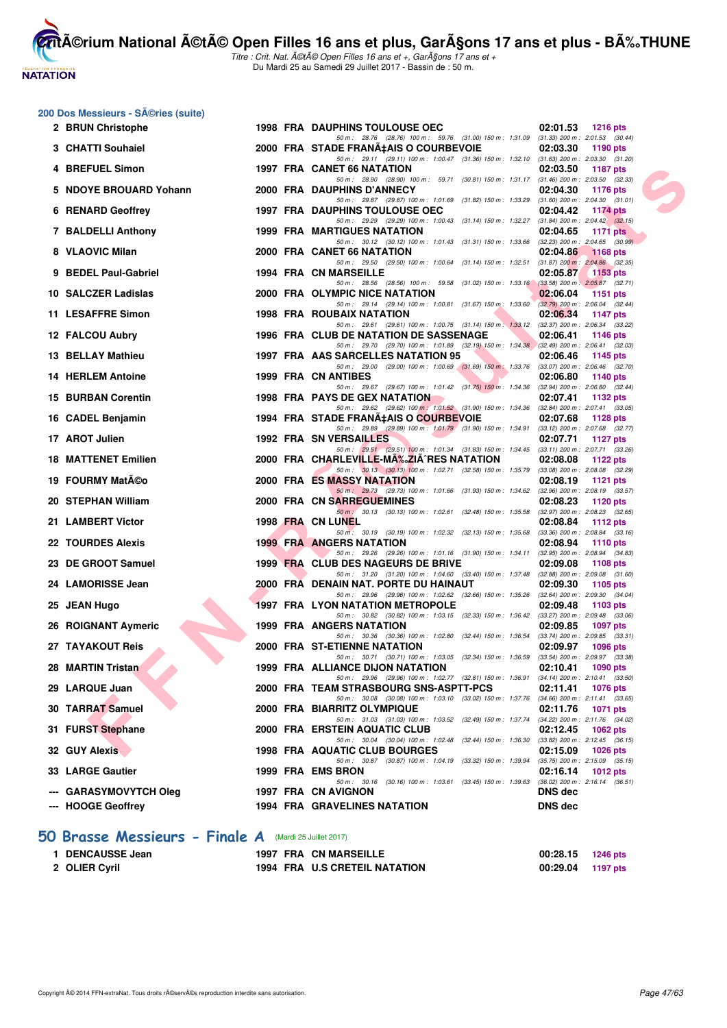# **NATATION**

**CritA©rium National A©tA© Open Filles 16 ans et plus, GarA§ons 17 ans et plus - BA%.THUNE** Titre : Crit. Nat. A©tA© Open Filles 16 ans et +, GarA§ons 17 ans et +

Du Mardi 25 au Samedi 29 Juillet 2017 - Bassin de : 50 m.

|     | 200 Dos Messieurs - SA©ries (suite)                    |  |                                                                                                                                        |                                                                    |
|-----|--------------------------------------------------------|--|----------------------------------------------------------------------------------------------------------------------------------------|--------------------------------------------------------------------|
|     | 2 BRUN Christophe                                      |  | 1998 FRA DAUPHINS TOULOUSE OEC<br>50 m: 28.76 (28.76) 100 m: 59.76 (31.00) 150 m: 1:31.09 (31.33) 200 m: 2:01.53 (30.44)               | 02:01.53<br>1216 pts                                               |
|     | 3 CHATTI Souhaiel                                      |  | 2000 FRA STADE FRANA‡AIS O COURBEVOIE                                                                                                  | 02:03.30<br>1190 pts                                               |
|     | 4 BREFUEL Simon                                        |  | 50 m: 29.11 (29.11) 100 m: 1:00.47 (31.36) 150 m: 1:32.10 (31.63) 200 m: 2:03.30 (31.20)<br>1997 FRA CANET 66 NATATION                 | 02:03.50<br><b>1187 pts</b>                                        |
|     | 5 NDOYE BROUARD Yohann                                 |  | 50 m: 28.90 (28.90) 100 m: 59.71 (30.81) 150 m: 1.31.17 (31.46) 200 m: 2.03.50 (32.33)<br>2000 FRA DAUPHINS D'ANNECY                   | 02:04.30<br>1176 pts                                               |
|     | <b>6 RENARD Geoffrey</b>                               |  | 50 m: 29.87 (29.87) 100 m: 1:01.69 (31.82) 150 m: 1:33.29 (31.60) 200 m: 2:04.30 (31.01)<br><b>1997 FRA DAUPHINS TOULOUSE OEC</b>      | 02:04.42<br><b>1174 pts</b>                                        |
|     | 7 BALDELLI Anthony                                     |  | 50 m: 29.29 (29.29) 100 m: 1:00.43 (31.14) 150 m: 1:32.27 (31.84) 200 m: 2:04.42 (32.15)<br><b>1999 FRA MARTIGUES NATATION</b>         | 02:04.65<br><b>1171 pts</b>                                        |
|     | 8 VLAOVIC Milan                                        |  | 50 m: 30.12 (30.12) 100 m: 1:01.43 (31.31) 150 m: 1:33.66 (32.23) 200 m: 2:04.65 (30.99)<br>2000 FRA CANET 66 NATATION                 | 02:04.86<br><b>1168 pts</b>                                        |
|     |                                                        |  | 50 m: 29.50 (29.50) 100 m: 1:00.64 (31.14) 150 m: 1:32.51                                                                              | $(31.87)$ 200 m : 2:04.86 $(32.35)$<br>02:05.87                    |
|     | 9 BEDEL Paul-Gabriel                                   |  | 1994 FRA CN MARSEILLE<br>50 m: 28.56 (28.56) 100 m: 59.58 (31.02) 150 m: 1:33.16 (33.58) 200 m: 2:05.87 (32.71)                        | 1153 $pts$                                                         |
|     | 10 SALCZER Ladislas                                    |  | 2000 FRA OLYMPIC NICE NATATION<br>50 m: 29.14 (29.14) 100 m: 1:00.81 (31.67) 150 m: 1:33.60 (32.79) 200 m: 2:06.04 (32.44)             | 02:06.04<br>1151 pts                                               |
|     | 11 LESAFFRE Simon                                      |  | <b>1998 FRA ROUBAIX NATATION</b><br>50 m: 29.61 (29.61) 100 m: 1:00.75 (31.14) 150 m: 1:33.12 (32.37) 200 m: 2:06.34 (33.22)           | 02:06.34<br><b>1147 pts</b>                                        |
|     | 12 FALCOU Aubry                                        |  | 1996 FRA CLUB DE NATATION DE SASSENAGE<br>50 m: 29.70 (29.70) 100 m: 1:01.89 (32.19) 150 m: 1:34.38 (32.49) 200 m: 2:06.41 (32.03)     | 02:06.41<br>1146 pts                                               |
|     | 13 BELLAY Mathieu                                      |  | 1997 FRA AAS SARCELLES NATATION 95<br>50 m : 29.00 (29.00) 100 m : 1:00.69 (31.69) 150 m : 1:33.76 (33.07) 200 m : 2:06.46 (32.70)     | 02:06.46<br>1145 pts                                               |
|     | <b>14 HERLEM Antoine</b>                               |  | 1999 FRA CN ANTIBES                                                                                                                    | 02:06.80<br>1140 pts                                               |
| 15. | <b>BURBAN Corentin</b>                                 |  | 50 m : 29.67 (29.67) 100 m : 1:01.42 (31.75) 150 m : 1:34.36 (32.94) 200 m : 2:06.80 (32.44)<br><b>1998 FRA PAYS DE GEX NATATION</b>   | 02:07.41<br>1132 pts                                               |
|     | 16 CADEL Benjamin                                      |  | 50 m: 29.62 (29.62) 100 m: 1:01.52 (31.90) 150 m: 1:34.36 (32.84) 200 m: 2:07.41 (33.05)<br>1994 FRA STADE FRANA‡AIS O COURBEVOIE      | 02:07.68<br>1128 pts                                               |
|     | 17 AROT Julien                                         |  | 50 m: 29.89 (29.89) 100 m: 1:01.79 (31.90) 150 m: 1:34.91 (33.12) 200 m: 2:07.68 (32.77)<br><b>1992 FRA SN VERSAILLES</b>              | 02:07.71<br><b>1127 pts</b>                                        |
|     | <b>18 MATTENET Emilien</b>                             |  | 50 m: 29.51 (29.51) 100 m: 1:01.34 (31.83) 150 m: 1:34.45 (33.11) 200 m: 2:07.71 (33.26)<br>2000 FRA CHARLEVILLE-MA‰ZIA^RES NATATION   | 02:08.08<br>1122 pts                                               |
|     | 19 FOURMY MatA©o                                       |  | 50 m: 30.13 (30.13) 100 m: 1:02.71 (32.58) 150 m: 1:35.79 (33.08) 200 m: 2:08.08 (32.29)<br><b>2000 FRA ES MASSY NATATION</b>          | 02:08.19<br><b>1121 pts</b>                                        |
|     | 20 STEPHAN William                                     |  | 50 m: 29.73 (29.73) 100 m: 1:01.66 (31.93) 150 m: 1:34.62 (32.96) 200 m: 2:08.19 (33.57)<br>2000 FRA CN SARREGUEMINES                  | 02:08.23<br>1120 pts                                               |
|     | 21 LAMBERT Victor                                      |  | 50 m : 30.13 (30.13) 100 m : 1:02.61 (32.48) 150 m : 1:35.58<br>1998 FRA CN LUNEL                                                      | $(32.97)$ 200 m : 2:08.23 $(32.65)$<br>02:08.84<br>1112 pts        |
|     |                                                        |  | 50 m: 30.19 (30.19) 100 m: 1:02.32 (32.13) 150 m: 1:35.68                                                                              | $(33.36)$ 200 m : 2:08.84 $(33.16)$                                |
|     | 22 TOURDES Alexis                                      |  | <b>1999 FRA ANGERS NATATION</b><br>50 m: 29.26 (29.26) 100 m: 1:01.16 (31.90) 150 m: 1:34.11 (32.95) 200 m: 2:08.94 (34.83)            | 02:08.94<br>1110 pts                                               |
|     | 23 DE GROOT Samuel                                     |  | 1999 FRA CLUB DES NAGEURS DE BRIVE<br>50 m: 31.20 (31.20) 100 m: 1:04.60 (33.40) 150 m: 1:37.48 (32.88) 200 m: 2:09.08 (31.60)         | 02:09.08<br>1108 pts                                               |
|     | 24 LAMORISSE Jean                                      |  | 2000 FRA DENAIN NAT. PORTE DU HAINAUT<br>50 m : 29.96 (29.96) 100 m : 1:02.62 (32.66) 150 m : 1:35.26 (32.64) 200 m : 2:09.30 (34.04)  | 02:09.30<br>1105 pts                                               |
|     | 25 JEAN Hugo                                           |  | <b>1997 FRA LYON NATATION METROPOLE</b><br>50 m: 30.82 (30.82) 100 m: 1:03.15 (32.33) 150 m: 1:36.42 (33.27) 200 m: 2:09.48 (33.06)    | 02:09.48<br>1103 pts                                               |
|     | 26 ROIGNANT Aymeric                                    |  | 1999 FRA ANGERS NATATION<br>50 m : 30.36 (30.36) 100 m : 1:02.80 (32.44) 150 m : 1:36.54                                               | 02:09.85<br>1097 pts<br>$(33.74)$ 200 m : 2:09.85 $(33.31)$        |
|     | 27 TAYAKOUT Reis                                       |  | 2000 FRA ST-ETIENNE NATATION<br>50 m: 30.71 (30.71) 100 m: 1:03.05 (32.34) 150 m: 1:36.59                                              | 02:09.97<br><b>1096 pts</b><br>(33.54) 200 m : 2:09.97 (33.38)     |
|     | 28 MARTIN Tristan                                      |  | 1999 FRA ALLIANCE DIJON NATATION                                                                                                       | 02:10.41<br>1090 pts                                               |
|     | 29 LARQUE Juan                                         |  | 50 m : 29.96 (29.96) 100 m : 1:02.77 (32.81) 150 m : 1:36.91 (34.14) 200 m : 2:10.41 (33.50)<br>2000 FRA TEAM STRASBOURG SNS-ASPTT-PCS | 02:11.41<br>1076 pts                                               |
|     | 30 TARRAT Samuel                                       |  | 50 m : 30.08 (30.08) 100 m : 1:03.10 (33.02) 150 m : 1:37.76 (34.66) 200 m : 2:11.41 (33.65)<br>2000 FRA BIARRITZ OLYMPIQUE            | 02:11.76<br>1071 pts                                               |
|     | 31 FURST Stephane                                      |  | 50 m: 31.03 (31.03) 100 m: 1:03.52 (32.49) 150 m: 1:37.74<br>2000 FRA ERSTEIN AQUATIC CLUB                                             | $(34.22)$ 200 m : 2:11.76 $(34.02)$<br>02:12.45<br>1062 pts        |
|     | 32 GUY Alexis                                          |  | 50 m: 30.04 (30.04) 100 m: 1:02.48 (32.44) 150 m: 1:36.30<br>1998 FRA AQUATIC CLUB BOURGES                                             | $(33.82)$ 200 m : 2:12.45 $(36.15)$<br>02:15.09<br><b>1026 pts</b> |
|     | 33 LARGE Gautier                                       |  | 50 m: 30.87 (30.87) 100 m: 1:04.19 (33.32) 150 m: 1:39.94<br>1999 FRA EMS BRON                                                         | $(35.75)$ 200 m : 2:15.09 $(35.15)$<br>02:16.14<br><b>1012 pts</b> |
|     | <b>GARASYMOVYTCH Oleg</b>                              |  | $50 m$ : $30.16$ (30.16) $100 m$ : $1.03.61$ (33.45) $150 m$ : $1.39.63$<br>1997 FRA CN AVIGNON                                        | $(36.02)$ 200 m : 2:16.14 $(36.51)$<br><b>DNS</b> dec              |
|     | --- HOOGE Geoffrey                                     |  | <b>1994 FRA GRAVELINES NATATION</b>                                                                                                    | <b>DNS dec</b>                                                     |
|     | 50 Brasse Messieurs - Finale A (Mardi 25 Juillet 2017) |  |                                                                                                                                        |                                                                    |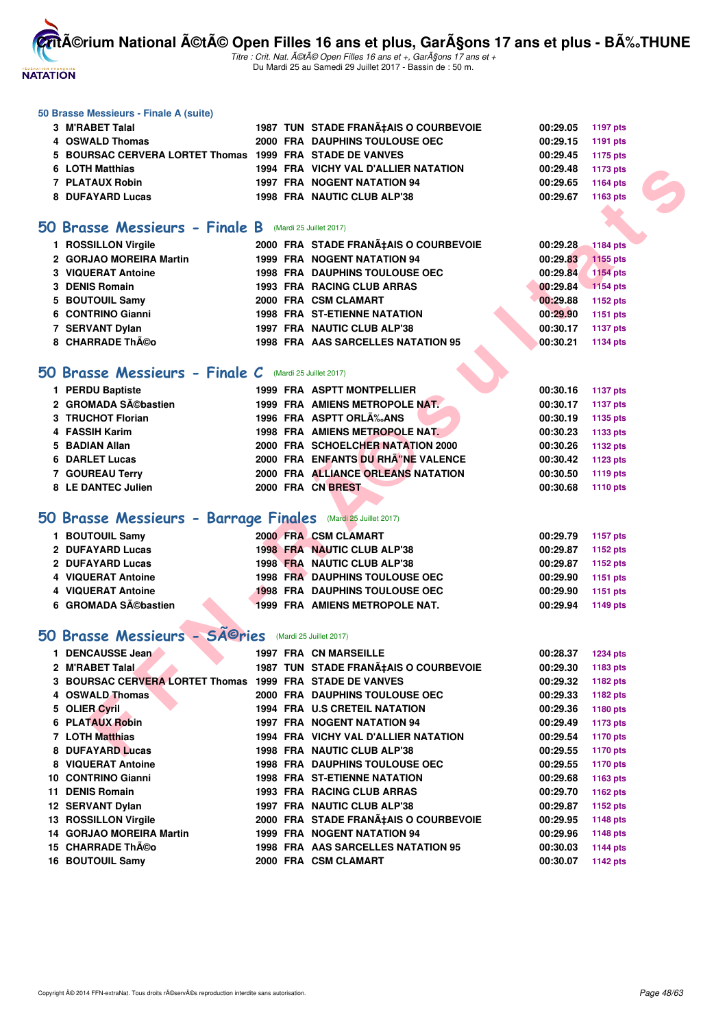

Titre : Crit. Nat. A©tA© Open Filles 16 ans et +, GarA§ons 17 ans et + Du Mardi 25 au Samedi 29 Juillet 2017 - Bassin de : 50 m.

#### **50 Brasse Messieurs - Finale A (suite)**

| 3 M'RABET Talal                                          |  | 1987 TUN STADE FRANA‡AIS O COURBEVOIE | 00:29.05 1197 pts   |          |
|----------------------------------------------------------|--|---------------------------------------|---------------------|----------|
| 4 OSWALD Thomas                                          |  | 2000 FRA DAUPHINS TOULOUSE OEC        | $00:29.15$ 1191 pts |          |
| 5 BOURSAC CERVERA LORTET Thomas 1999 FRA STADE DE VANVES |  |                                       | 00:29.45 1175 pts   |          |
| 6 LOTH Matthias                                          |  | 1994 FRA VICHY VAL D'ALLIER NATATION  | 00:29.48            | 1173 pts |
| 7 PLATAUX Robin                                          |  | <b>1997 FRA NOGENT NATATION 94</b>    | 00:29.65            | 1164 pts |
| 8 DUFAYARD Lucas                                         |  | 1998 FRA NAUTIC CLUB ALP'38           | 00:29.67            | 1163 pts |

#### **50 Brasse Messieurs - Finale B** (Mardi 25 Juillet 2017)

| 1 ROSSILLON Virgile     |  | 2000 FRA STADE FRANA‡AIS O COURBEVOIE | 00:29.28 1184 pts |                 |
|-------------------------|--|---------------------------------------|-------------------|-----------------|
| 2 GORJAO MOREIRA Martin |  | <b>1999 FRA NOGENT NATATION 94</b>    | 00:29.83          | 1155 pts        |
| 3 VIQUERAT Antoine      |  | <b>1998 FRA DAUPHINS TOULOUSE OEC</b> | 00:29.84          | <b>1154 pts</b> |
| 3 DENIS Romain          |  | 1993 FRA RACING CLUB ARRAS            | 00:29.84          | $1154$ pts      |
| 5 BOUTOUIL Samy         |  | 2000 FRA CSM CLAMART                  | 00:29.88          | 1152 pts        |
| 6 CONTRINO Gianni       |  | <b>1998 FRA ST-ETIENNE NATATION</b>   | 00:29.90          | 1151 pts        |
| 7 SERVANT Dylan         |  | 1997 FRA NAUTIC CLUB ALP'38           | 00:30.17          | <b>1137 pts</b> |
| 8 CHARRADE Théo         |  | 1998 FRA AAS SARCELLES NATATION 95    | 00:30.21          | 1134 pts        |

#### **50 Brasse Messieurs - Finale C** (Mardi 25 Juillet 2017)

| 1 PERDU Baptiste    | 1999 FRA ASPTT MONTPELLIER         | 00:30.16<br>1137 pts |
|---------------------|------------------------------------|----------------------|
| 2 GROMADA Sébastien | 1999 FRA AMIENS METROPOLE NAT      | 00:30.17<br>1137 pts |
| 3 TRUCHOT Florian   | 1996 FRA ASPTT ORLÉANS             | 00:30.19<br>1135 pts |
| 4 FASSIH Karim      | 1998 FRA AMIENS METROPOLE NAT.     | 00:30.23<br>1133 pts |
| 5 BADIAN Allan      | 2000 FRA SCHOELCHER NATATION 2000  | 00:30.26<br>1132 pts |
| 6 DARLET Lucas      | 2000 FRA ENFANTS DU RHÂ"NE VALENCE | 00:30.42<br>1123 pts |
| 7 GOUREAU Terry     | 2000 FRA ALLIANCE ORLEANS NATATION | 00:30.50<br>1119 pts |
| 8 LE DANTEC Julien  | 2000 FRA CN BREST                  | 00:30.68<br>1110 pts |

# **[50 Brasse Messieurs - Barrage Finales](http://www.ffnatation.fr/webffn/resultats.php?idact=nat&go=epr&idcpt=47487&idepr=71)** (Mardi 25 Juillet 2017)

|                     | 00:29.87                                                                                                                                                                                               | 1152 pts          |
|---------------------|--------------------------------------------------------------------------------------------------------------------------------------------------------------------------------------------------------|-------------------|
|                     | 00:29.87                                                                                                                                                                                               | 1152 pts          |
|                     | 00:29.90                                                                                                                                                                                               | 1151 pts          |
|                     | 00:29.90                                                                                                                                                                                               | 1151 pts          |
|                     | 00:29.94                                                                                                                                                                                               | 1149 pts          |
| 6 GROMADA Sébastien | 2000 FRA CSM CLAMART<br>1998 FRA NAUTIC CLUB ALP'38<br>1998 FRA NAUTIC CLUB ALP'38<br><b>1998 FRA DAUPHINS TOULOUSE OEC</b><br><b>1998 FRA DAUPHINS TOULOUSE OEC</b><br>1999 FRA AMIENS METROPOLE NAT. | 00:29.79 1157 pts |

## 50 Brasse Messieurs - SÃ<sup>@</sup>ries (Mardi 25 Juillet 2017)

| 6 LOTH Matthias                                              |  | 1994 FRA VICHY VAL D'ALLIER NATATION  | 00:29.48 | 1173 pts        |  |
|--------------------------------------------------------------|--|---------------------------------------|----------|-----------------|--|
| 7 PLATAUX Robin                                              |  | 1997 FRA NOGENT NATATION 94           | 00:29.65 | 1164 pts        |  |
| 8 DUFAYARD Lucas                                             |  | 1998 FRA NAUTIC CLUB ALP'38           | 00:29.67 | 1163 pts        |  |
|                                                              |  |                                       |          |                 |  |
| O Brasse Messieurs - Finale B (Mardi 25 Juillet 2017)        |  |                                       |          |                 |  |
|                                                              |  |                                       |          |                 |  |
| 1 ROSSILLON Virgile                                          |  | 2000 FRA STADE FRANA‡AIS O COURBEVOIE | 00:29.28 | <b>1184 pts</b> |  |
| 2 GORJAO MOREIRA Martin                                      |  | 1999 FRA NOGENT NATATION 94           | 00:29.83 | 1155 pts        |  |
| 3 VIQUERAT Antoine                                           |  | <b>1998 FRA DAUPHINS TOULOUSE OEC</b> | 00:29.84 | <b>1154 pts</b> |  |
| 3 DENIS Romain                                               |  | 1993 FRA RACING CLUB ARRAS            | 00:29.84 | 1154 pts        |  |
| 5 BOUTOUIL Samy                                              |  | 2000 FRA CSM CLAMART                  | 00:29.88 | 1152 pts        |  |
| 6 CONTRINO Gianni                                            |  | <b>1998 FRA ST-ETIENNE NATATION</b>   | 00:29.90 | 1151 pts        |  |
| 7 SERVANT Dylan                                              |  | 1997 FRA NAUTIC CLUB ALP'38           | 00:30.17 | 1137 pts        |  |
| 8 CHARRADE Théo                                              |  | 1998 FRA AAS SARCELLES NATATION 95    | 00:30.21 | 1134 pts        |  |
|                                                              |  |                                       |          |                 |  |
| O Brasse Messieurs - Finale C (Mardi 25 Juillet 2017)        |  |                                       |          |                 |  |
| 1 PERDU Baptiste                                             |  | <b>1999 FRA ASPTT MONTPELLIER</b>     | 00:30.16 | <b>1137 pts</b> |  |
| 2 GROMADA Sébastien                                          |  | 1999 FRA AMIENS METROPOLE NAT         | 00:30.17 | <b>1137 pts</b> |  |
| 3 TRUCHOT Florian                                            |  | 1996 FRA ASPTT ORLA‰ANS               | 00:30.19 | 1135 pts        |  |
| 4 FASSIH Karim                                               |  | 1998 FRA AMIENS METROPOLE NAT.        | 00:30.23 | 1133 pts        |  |
| 5 BADIAN Allan                                               |  | 2000 FRA SCHOELCHER NATATION 2000     | 00:30.26 | 1132 pts        |  |
| <b>6 DARLET Lucas</b>                                        |  | 2000 FRA ENFANTS DU RHÂ"NE VALENCE    | 00:30.42 | 1123 pts        |  |
| 7 GOUREAU Terry                                              |  | 2000 FRA ALLIANCE ORLEANS NATATION    | 00:30.50 | 1119 pts        |  |
| 8 LE DANTEC Julien                                           |  | 2000 FRA CN BREST                     | 00:30.68 | 1110 pts        |  |
|                                                              |  |                                       |          |                 |  |
| O Brasse Messieurs - Barrage Finales (Mardi 25 Juillet 2017) |  |                                       |          |                 |  |
| 1 BOUTOUIL Samy                                              |  | 2000 FRA CSM CLAMART                  | 00:29.79 | 1157 pts        |  |
| 2 DUFAYARD Lucas                                             |  | 1998 FRA NAUTIC CLUB ALP'38           | 00:29.87 | 1152 pts        |  |
| 2 DUFAYARD Lucas                                             |  | 1998 FRA NAUTIC CLUB ALP'38           | 00:29.87 | 1152 pts        |  |
| 4 VIQUERAT Antoine                                           |  | <b>1998 FRA DAUPHINS TOULOUSE OEC</b> | 00:29.90 | 1151 pts        |  |
| 4 VIQUERAT Antoine                                           |  | <b>1998 FRA DAUPHINS TOULOUSE OEC</b> | 00:29.90 | 1151 pts        |  |
| 6 GROMADA Sébastien                                          |  | 1999 FRA AMIENS METROPOLE NAT.        | 00:29.94 | 1149 pts        |  |
|                                                              |  |                                       |          |                 |  |
| <b>0 Brasse Messieurs - SA©ries</b>                          |  | (Mardi 25 Juillet 2017)               |          |                 |  |
| 1 DENCAUSSE Jean                                             |  | <b>1997 FRA CN MARSEILLE</b>          | 00:28.37 | <b>1234 pts</b> |  |
| 2 M'RABET Talal                                              |  | 1987 TUN STADE FRANA‡AIS O COURBEVOIE | 00:29.30 |                 |  |
| <b>3 BOURSAC CERVERA LORTET Thomas</b>                       |  | 1999 FRA STADE DE VANVES              |          | 1183 pts        |  |
|                                                              |  |                                       | 00:29.32 | 1182 pts        |  |
| 4 OSWALD Thomas                                              |  | 2000 FRA DAUPHINS TOULOUSE OEC        | 00:29.33 | 1182 pts        |  |
| 5 OLIER Cyril                                                |  | 1994 FRA U.S CRETEIL NATATION         | 00:29.36 | 1180 pts        |  |
| 6 PLATAUX Robin                                              |  | <b>1997 FRA NOGENT NATATION 94</b>    | 00:29.49 | 1173 pts        |  |
| 7 LOTH Matthias                                              |  | 1994 FRA VICHY VAL D'ALLIER NATATION  | 00:29.54 | <b>1170 pts</b> |  |
| 8 DUFAYARD Lucas                                             |  | 1998 FRA NAUTIC CLUB ALP'38           | 00:29.55 | <b>1170 pts</b> |  |
| 8 VIQUERAT Antoine                                           |  | 1998 FRA DAUPHINS TOULOUSE OEC        | 00:29.55 | <b>1170 pts</b> |  |
| 10 CONTRINO Gianni                                           |  | <b>1998 FRA ST-ETIENNE NATATION</b>   | 00:29.68 | 1163 pts        |  |
| 11 DENIS Romain                                              |  | 1993 FRA RACING CLUB ARRAS            | 00:29.70 | 1162 pts        |  |
| 12 SERVANT Dylan                                             |  | 1997 FRA NAUTIC CLUB ALP'38           | 00:29.87 | 1152 pts        |  |
| 13 ROSSILLON Virgile                                         |  | 2000 FRA STADE FRANA‡AIS O COURBEVOIE | 00:29.95 | 1148 pts        |  |
| 14 GORJAO MOREIRA Martin                                     |  | 1999 FRA NOGENT NATATION 94           | 00:29.96 | 1148 pts        |  |
| 15 CHARRADE Théo                                             |  | 1998 FRA AAS SARCELLES NATATION 95    | 00:30.03 | <b>1144 pts</b> |  |
| 16 BOUTOUIL Samy                                             |  | 2000 FRA CSM CLAMART                  | 00:30.07 | <b>1142 pts</b> |  |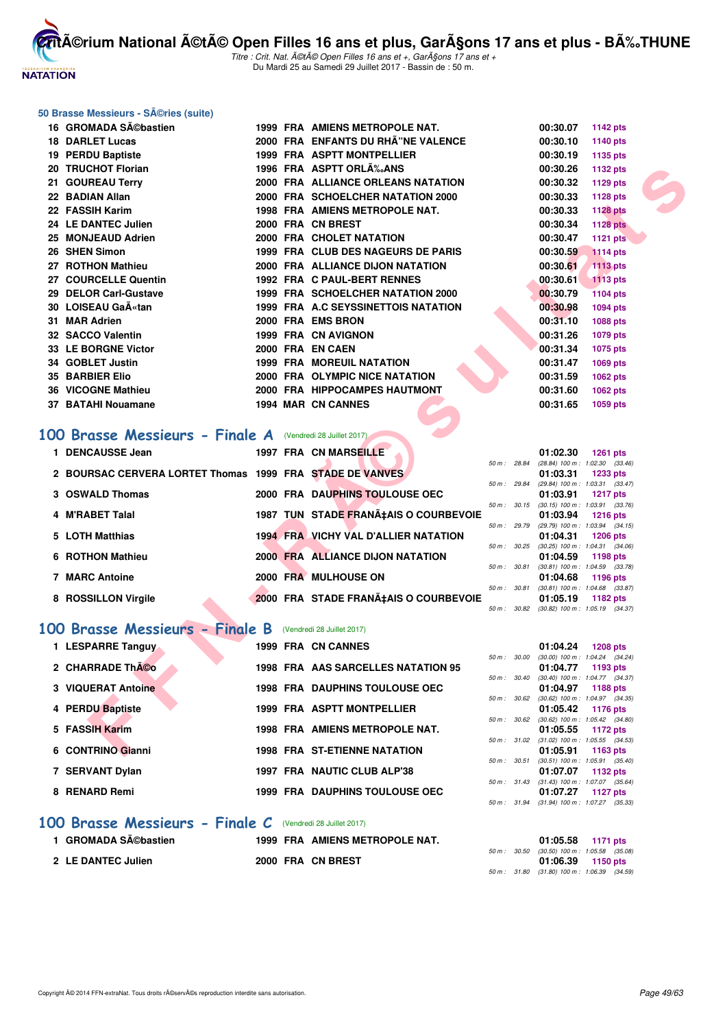

Titre : Crit. Nat. A©tA© Open Filles 16 ans et +, GarA§ons 17 ans et + Du Mardi 25 au Samedi 29 Juillet 2017 - Bassin de : 50 m.

#### **50 Brasse Messieurs - Séries (suite)**

|           | 16 GROMADA SA©bastien                                         |  | 1999 FRA AMIENS METROPOLE NAT.          |              | 00:30.07                                                 | 1142 pts                                               |  |
|-----------|---------------------------------------------------------------|--|-----------------------------------------|--------------|----------------------------------------------------------|--------------------------------------------------------|--|
|           | <b>18 DARLET Lucas</b>                                        |  | 2000 FRA ENFANTS DU RHÂ"NE VALENCE      |              | 00:30.10                                                 | 1140 pts                                               |  |
|           | 19 PERDU Baptiste                                             |  | 1999 FRA ASPTT MONTPELLIER              |              | 00:30.19                                                 | 1135 pts                                               |  |
|           | 20 TRUCHOT Florian                                            |  | 1996 FRA ASPTT ORLA% ANS                |              | 00:30.26                                                 | 1132 pts                                               |  |
|           | 21 GOUREAU Terry                                              |  | 2000 FRA ALLIANCE ORLEANS NATATION      |              | 00:30.32                                                 | 1129 pts                                               |  |
|           | 22 BADIAN Allan                                               |  | 2000 FRA SCHOELCHER NATATION 2000       |              | 00:30.33                                                 | 1128 pts                                               |  |
|           | 22 FASSIH Karim                                               |  | 1998 FRA AMIENS METROPOLE NAT.          |              | 00:30.33                                                 | <b>1128 pts</b>                                        |  |
|           | 24 LE DANTEC Julien                                           |  | 2000 FRA CN BREST                       |              | 00:30.34                                                 | <b>1128 pts</b>                                        |  |
|           | 25 MONJEAUD Adrien                                            |  | 2000 FRA CHOLET NATATION                |              | 00:30.47                                                 | <b>1121 pts</b>                                        |  |
|           | 26 SHEN Simon                                                 |  | 1999 FRA CLUB DES NAGEURS DE PARIS      |              | 00:30.59                                                 | <b>1114 pts</b>                                        |  |
|           | 27 ROTHON Mathieu                                             |  | 2000 FRA ALLIANCE DIJON NATATION        |              | 00:30.61                                                 | 1113 pts                                               |  |
|           | 27 COURCELLE Quentin                                          |  | 1992 FRA C PAUL-BERT RENNES             |              | 00:30.61                                                 | <b>1113 pts</b>                                        |  |
|           | 29 DELOR Carl-Gustave                                         |  | 1999 FRA SCHOELCHER NATATION 2000       |              | 00:30.79                                                 | 1104 pts                                               |  |
|           | 30 LOISEAU GaA«tan                                            |  | 1999 FRA A.C SEYSSINETTOIS NATATION     |              | 00:30.98                                                 | <b>1094 pts</b>                                        |  |
|           | 31 MAR Adrien                                                 |  | 2000 FRA EMS BRON                       |              | 00:31.10                                                 | 1088 pts                                               |  |
|           | 32 SACCO Valentin                                             |  | 1999 FRA CN AVIGNON                     |              | 00:31.26                                                 | 1079 pts                                               |  |
|           | 33 LE BORGNE Victor                                           |  | 2000 FRA EN CAEN                        |              | 00:31.34                                                 | 1075 pts                                               |  |
|           | 34 GOBLET Justin                                              |  | 1999 FRA MOREUIL NATATION               |              | 00:31.47                                                 | 1069 pts                                               |  |
|           | <b>35 BARBIER Elio</b>                                        |  | 2000 FRA OLYMPIC NICE NATATION          |              | 00:31.59                                                 | 1062 pts                                               |  |
|           | 36 VICOGNE Mathieu                                            |  | 2000 FRA HIPPOCAMPES HAUTMONT           |              | 00:31.60                                                 | 1062 pts                                               |  |
|           | 37 BATAHI Nouamane                                            |  | 1994 MAR CN CANNES                      |              | 00:31.65                                                 | 1059 pts                                               |  |
| <b>OO</b> | <b>Brasse Messieurs - Finale A</b> (Vendredi 28 Juillet 2017) |  |                                         |              |                                                          |                                                        |  |
|           | 1 DENCAUSSE Jean                                              |  | <b>1997 FRA CN MARSEILLE</b>            | 50 m : 28.84 | 01:02.30                                                 | <b>1261 pts</b><br>$(28.84)$ 100 m : 1:02.30 $(33.46)$ |  |
|           | 2 BOURSAC CERVERA LORTET Thomas 1999 FRA STADE DE VANVES      |  |                                         |              | 01:03.31                                                 | <b>1233 pts</b>                                        |  |
|           |                                                               |  |                                         | 50 m : 29.84 |                                                          | (29.84) 100 m: 1:03.31 (33.47)                         |  |
|           | 3 OSWALD Thomas                                               |  | 2000 FRA DAUPHINS TOULOUSE OEC          |              | 01:03.91<br>50 m : 30.15 (30.15) 100 m : 1:03.91 (33.76) | 1217 pts                                               |  |
|           | 4 M'RABET Talal                                               |  | 1987 TUN STADE FRANA‡AIS O COURBEVOIE   |              | 01:03.94                                                 | <b>1216 pts</b>                                        |  |
|           |                                                               |  | 1994 FRA VICHY VAL D'ALLIER NATATION    | 50 m : 29.79 |                                                          | (29.79) 100 m: 1:03.94 (34.15)                         |  |
|           | 5 LOTH Matthias                                               |  |                                         | 50 m : 30.25 | 01:04.31                                                 | <b>1206 pts</b><br>$(30.25)$ 100 m : 1:04.31 $(34.06)$ |  |
|           | 6 ROTHON Mathieu                                              |  | <b>2000 FRA ALLIANCE DIJON NATATION</b> |              | 01:04.59                                                 | 1198 pts                                               |  |
|           | <b>7 MARC Antoine</b>                                         |  | 2000 FRA MULHOUSE ON                    | 50 m : 30.81 | 01:04.68                                                 | $(30.81)$ 100 m : 1:04.59 $(33.78)$<br>1196 pts        |  |
|           |                                                               |  |                                         | 50 m: 30.81  |                                                          | $(30.81)$ 100 m : 1:04.68 $(33.87)$                    |  |
|           | 8 ROSSILLON Virgile                                           |  | 2000 FRA STADE FRANA‡AIS O COURBEVOIE   |              | 01:05.19                                                 | 1182 pts                                               |  |
|           |                                                               |  |                                         |              | 50 m: 30.82 (30.82) 100 m: 1:05.19 (34.37)               |                                                        |  |
|           | 00 Brasse Messieurs - Finale B                                |  | (Vendredi 28 Juillet 2017)              |              |                                                          |                                                        |  |
|           | 1 LESPARRE Tanguy                                             |  | 1999 FRA CN CANNES                      |              | 01:04.24                                                 | <b>1208 pts</b>                                        |  |
|           |                                                               |  |                                         | 50 m : 30.00 |                                                          | $(30.00)$ 100 m : 1:04.24 $(34.24)$                    |  |
|           | 2 CHARRADE ThÃCo                                              |  | 1998 FRA AAS SARCELLES NATATION 95      | 50 m : 30.40 | 01:04.77                                                 | 1193 pts<br>(30.40) 100 m: 1:04.77 (34.37)             |  |
|           | 3 VIQUERAT Antoine                                            |  | <b>1998 FRA DAUPHINS TOULOUSE OEC</b>   |              | 01:04.97                                                 | 1188 pts                                               |  |
|           |                                                               |  |                                         |              | 50 m : 30.62 (30.62) 100 m : 1:04.97 (34.35)             |                                                        |  |
|           | 4 PERDU Baptiste                                              |  | 1999 FRA ASPTT MONTPELLIER              |              | 01:05.42<br>50 m: 30.62 (30.62) 100 m: 1:05.42 (34.80)   | 1176 pts                                               |  |
|           | 5 FASSIH Karim                                                |  | <b>1998 FRA AMIENS METROPOLE NAT.</b>   |              | 01:05.55                                                 | 1172 pts                                               |  |
|           |                                                               |  |                                         |              | 50 m : 31.02 (31.02) 100 m : 1:05.55 (34.53)             |                                                        |  |
|           | 6 CONTRINO Gianni                                             |  | <b>1998 FRA ST-ETIENNE NATATION</b>     |              | 01:05.91                                                 | 1163 pts                                               |  |

#### [100 Brasse Messieurs - Finale A](http://www.ffnatation.fr/webffn/resultats.php?idact=nat&go=epr&idcpt=47487&idepr=72) (Vendredi 28 Juillet 2017)

| 1 DENCAUSSE Jean                                         |  | <b>1997 FRA CN MARSEILLE</b>                |                  | 01:02.30                            | $1261$ pts      |  |
|----------------------------------------------------------|--|---------------------------------------------|------------------|-------------------------------------|-----------------|--|
|                                                          |  |                                             | 50 m: 28.84      | $(28.84)$ 100 m : 1:02.30 $(33.46)$ |                 |  |
| 2 BOURSAC CERVERA LORTET Thomas 1999 FRA STADE DE VANVES |  |                                             |                  | 01:03.31                            | $1233$ pts      |  |
|                                                          |  |                                             | 50 m: 29.84      | (29.84) 100 m: 1:03.31 (33.47)      |                 |  |
| 3 OSWALD Thomas                                          |  | 2000 FRA DAUPHINS TOULOUSE OEC              |                  | 01:03.91                            | <b>1217 pts</b> |  |
|                                                          |  |                                             | $50 m$ : $30.15$ | $(30.15)$ 100 m : 1:03.91 $(33.76)$ |                 |  |
| 4 M'RABET Talal                                          |  | 1987 TUN STADE FRANA‡AIS O COURBEVOIE       |                  | 01:03.94                            | $1216$ pts      |  |
|                                                          |  |                                             | 50 m: 29.79      | (29.79) 100 m : 1:03.94 (34.15)     |                 |  |
| 5 LOTH Matthias                                          |  | <b>1994 FRA VICHY VAL D'ALLIER NATATION</b> |                  | 01:04.31                            | $1206$ pts      |  |
|                                                          |  |                                             | 50 m: 30.25      | $(30.25)$ 100 m : 1:04.31 $(34.06)$ |                 |  |
| 6 ROTHON Mathieu                                         |  | <b>2000 FRA ALLIANCE DIJON NATATION</b>     |                  | 01:04.59                            | 1198 pts        |  |
|                                                          |  |                                             | 50 m: 30.81      | $(30.81)$ 100 m : 1:04.59 $(33.78)$ |                 |  |
| 7 MARC Antoine                                           |  | 2000 FRA MULHOUSE ON                        |                  | 01:04.68                            | 1196 pts        |  |
|                                                          |  |                                             | 50 m: 30.81      | $(30.81)$ 100 m : 1:04.68 $(33.87)$ |                 |  |
| 8 ROSSILLON Virgile                                      |  | 2000 FRA STADE FRANA‡AIS O COURBEVOIE       |                  | 01:05.19                            | 1182 pts        |  |
|                                                          |  |                                             | 50 m: 30.82      | $(30.82)$ 100 m : 1:05.19 $(34.37)$ |                 |  |

#### **[100 Brasse Messieurs - Finale B](http://www.ffnatation.fr/webffn/resultats.php?idact=nat&go=epr&idcpt=47487&idepr=72)** (Vendredi 28 Juillet 2017)

| 1 LESPARRE Tanguy  |  | 1999 FRA CN CANNES                    |
|--------------------|--|---------------------------------------|
| 2 CHARRADE ThÃOO   |  | 1998 FRA AAS SARCELLES NATATION 95    |
| 3 VIQUERAT Antoine |  | <b>1998 FRA DAUPHINS TOULOUSE OEC</b> |
| 4 PERDU Baptiste   |  | 1999 FRA ASPTT MONTPELLIER            |
| 5 FASSIH Karim     |  | <b>1998 FRA AMIENS METROPOLE NAT.</b> |
| 6 CONTRINO Gianni  |  | <b>1998 FRA ST-ETIENNE NATATION</b>   |
| 7 SERVANT Dylan    |  | 1997 FRA NAUTIC CLUB ALP'38           |
| 8 RENARD Remi      |  | <b>1999 FRA DAUPHINS TOULOUSE OEC</b> |
|                    |  |                                       |

#### **[100 Brasse Messieurs - Finale C](http://www.ffnatation.fr/webffn/resultats.php?idact=nat&go=epr&idcpt=47487&idepr=72)** (Vendredi 28 Juillet 2017)

| 1 GROMADA Sébastien | 1999 FRA AMIENS METROPOLE NAT. | 01:05.58 1171 pts                                               |
|---------------------|--------------------------------|-----------------------------------------------------------------|
| 2 LE DANTEC Julien  | 2000 FRA CN BREST              | 50 m: 30.50 (30.50) 100 m: 1:05.58 (35.08)<br>01:06.39 1150 pts |
|                     |                                | 50 m : 31.80 (31.80) 100 m : 1:06.39 (34.59)                    |

50 m : 30.40 (30.40) 100 m : 1:04.77 (34.37) **3 VIQUERAT Antoine 1998 FRA DAUPHINS TOULOUSE OEC 01:04.97 1188 pts** 50 m : 30.62 (30.62) 100 m : 1:04.97 (34.35) **01:05.42 1176 pts** 50 m : 30.62 (30.62) 100 m : 1:05.42 (34.80) **5 FASSIH Karim 1998 FRA AMIENS METROPOLE NAT. 01:05.55 1172 pts** 50 m : 31.02 (31.02) 100 m : 1:05.55 (34.53) **6 CONTRINO GIAN SURFIDUM:** 50 m: 30.51 (30.51) 100 m: 1:05.91 (35.4)

 $(30.51)$  100 m : 1:05.91  $(35.40)$ **7 SERVANT Dylan 1997 FRA NAUTIC CLUB ALP'38 01:07.07 1132 pts**

**8 RENARD Remi 1999 FRA DAUPHINS TOULOUSE OEC 01:07.27 1127 pts**

50 m : 31.43 (31.43) 100 m : 1:07.07 (35.64)

50 m : 31.94 (31.94) 100 m : 1:07.27 (35.33)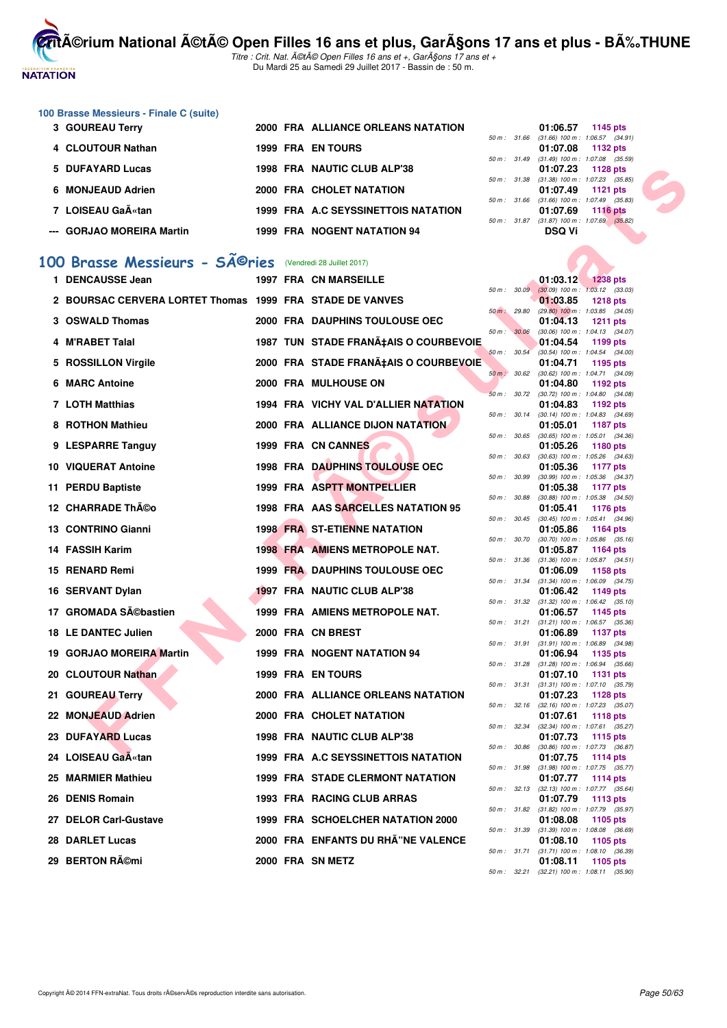

Titre : Crit. Nat. A©tA© Open Filles 16 ans et +, GarA§ons 17 ans et + Du Mardi 25 au Samedi 29 Juillet 2017 - Bassin de : 50 m.

#### **100 Brasse Messieurs - Finale C (suite)**

| 3 GOUREAU Terry           | 2000 FRA ALLIANCE ORLEANS NATATION  | 01:06.57<br>1145 pts                                            |  |
|---------------------------|-------------------------------------|-----------------------------------------------------------------|--|
|                           |                                     | $(31.66)$ 100 m : 1:06.57 $(34.91)$<br>$50 \text{ m}$ : 31.66   |  |
| 4 CLOUTOUR Nathan         | <b>1999 FRA EN TOURS</b>            | 01:07.08<br>1132 pts                                            |  |
|                           |                                     | $(31.49)$ 100 m : 1:07.08 $(35.59)$<br>$50 \text{ m}$ : $31.49$ |  |
| 5 DUFAYARD Lucas          | 1998 FRA NAUTIC CLUB ALP'38         | 01:07.23<br>1128 pts                                            |  |
|                           |                                     | $(31.38)$ 100 m : 1:07.23 $(35.85)$<br>50 m: 31.38              |  |
| 6 MONJEAUD Adrien         | 2000 FRA CHOLET NATATION            | 01:07.49 1121 pts                                               |  |
|                           |                                     | $(31.66)$ 100 m : 1:07.49 $(35.83)$<br>$50 m$ : $31.66$         |  |
| 7 LOISEAU Ga«tan          | 1999 FRA A.C SEYSSINETTOIS NATATION | 01:07.69<br>1116 pts                                            |  |
|                           |                                     | $(31.87)$ 100 m : 1:07.69 $(35.82)$<br>$50 m$ : 31.87           |  |
| --- GORJAO MOREIRA Martin | <b>1999 FRA NOGENT NATATION 94</b>  | DSQ Vi                                                          |  |
|                           |                                     |                                                                 |  |

# 100 Brasse Messieurs - SÃ<sup>©</sup>ries (Vendredi 28 Juillet 2017)

| 5 DUFAYARD Lucas                                                      |  | 1998 FRA NAUTIC CLUB ALP'38             |              | 01:07.23                                               | <b>1128 pts</b> |  |
|-----------------------------------------------------------------------|--|-----------------------------------------|--------------|--------------------------------------------------------|-----------------|--|
| 6 MONJEAUD Adrien                                                     |  | 2000 FRA CHOLET NATATION                | 50 m: 31.38  | $(31.38)$ 100 m : 1:07.23 $(35.85)$<br>01:07.49        | 1121 $pts$      |  |
| 7 LOISEAU Gaëtan                                                      |  | 1999 FRA A.C SEYSSINETTOIS NATATION     | 50 m: 31.66  | $(31.66)$ 100 m : 1:07.49 $(35.83)$<br>01:07.69        | <b>1116 pts</b> |  |
| <b>GORJAO MOREIRA Martin</b>                                          |  | <b>1999 FRA NOGENT NATATION 94</b>      |              | 50 m: 31.87 (31.87) 100 m: 1:07.69 (35.82)<br>DSQ Vi   |                 |  |
|                                                                       |  |                                         |              |                                                        |                 |  |
| 00 Brasse Messieurs - SÃ <sup>©</sup> ries (Vendredi 28 Juillet 2017) |  |                                         |              |                                                        |                 |  |
| 1 DENCAUSSE Jean                                                      |  | <b>1997 FRA CN MARSEILLE</b>            |              | 01:03.12 1238 pts                                      |                 |  |
| 2 BOURSAC CERVERA LORTET Thomas 1999 FRA STADE DE VANVES              |  |                                         |              | 50 m: 30.09 (30.09) 100 m: 1:03.12 (33.03)<br>01:03.85 | <b>1218 pts</b> |  |
| 3 OSWALD Thomas                                                       |  | 2000 FRA DAUPHINS TOULOUSE OEC          | 50 m: 29.80  | $(29.80)$ 100 m : 1:03.85 $(34.05)$<br>01:04.13        | <b>1211 pts</b> |  |
| 4 M'RABET Talal                                                       |  | 1987 TUN STADE FRANA‡AIS O COURBEVOIE   | 50 m : 30.06 | $(30.06)$ 100 m : 1:04.13 $(34.07)$<br>01:04.54        | 1199 pts        |  |
| 5 ROSSILLON Virgile                                                   |  | 2000 FRA STADE FRANA‡AIS O COURBEVOIE   | 50 m: 30.54  | (30.54) 100 m: 1:04.54 (34.00)<br>01:04.71             | 1195 pts        |  |
| 6 MARC Antoine                                                        |  | 2000 FRA MULHOUSE ON                    | 50 m : 30.62 | $(30.62)$ 100 m : 1:04.71 $(34.09)$<br>01:04.80        | 1192 pts        |  |
|                                                                       |  |                                         | 50 m: 30.72  | $(30.72)$ 100 m : 1:04.80 $(34.08)$                    |                 |  |
| 7 LOTH Matthias                                                       |  | 1994 FRA VICHY VAL D'ALLIER NATATION    |              | 01:04.83<br>50 m: 30.14 (30.14) 100 m: 1:04.83 (34.69) | 1192 pts        |  |
| 8 ROTHON Mathieu                                                      |  | <b>2000 FRA ALLIANCE DIJON NATATION</b> | 50 m: 30.65  | 01:05.01<br>$(30.65)$ 100 m : 1:05.01 $(34.36)$        | <b>1187 pts</b> |  |
| 9 LESPARRE Tanguy                                                     |  | 1999 FRA CN CANNES                      |              | 01:05.26                                               | 1180 pts        |  |
| 10 VIQUERAT Antoine                                                   |  | 1998 FRA DAUPHINS TOULOUSE OEC          | 50 m: 30.63  | $(30.63)$ 100 m : 1:05.26 $(34.63)$<br>01:05.36        | 1177 pts        |  |
| 11 PERDU Baptiste                                                     |  | 1999 FRA ASPTT MONTPELLIER              | 50 m : 30.99 | $(30.99)$ 100 m : 1:05.36 $(34.37)$<br>01:05.38        |                 |  |
|                                                                       |  |                                         | 50 m : 30.88 | $(30.88)$ 100 m : 1:05.38 $(34.50)$                    | 1177 pts        |  |
| 12 CHARRADE Th©o                                                      |  | 1998 FRA AAS SARCELLES NATATION 95      |              | 01:05.41<br>50 m: 30.45 (30.45) 100 m: 1:05.41 (34.96) | 1176 pts        |  |
| 13 CONTRINO Gianni                                                    |  | <b>1998 FRA ST-ETIENNE NATATION</b>     |              | 01:05.86                                               | 1164 pts        |  |
| 14 FASSIH Karim                                                       |  | 1998 FRA AMIENS METROPOLE NAT.          | 50 m : 30.70 | $(30.70)$ 100 m : 1:05.86 $(35.16)$<br>01:05.87        | 1164 pts        |  |
| 15 RENARD Remi                                                        |  | 1999 FRA DAUPHINS TOULOUSE OEC          | 50 m: 31.36  | $(31.36)$ 100 m : 1:05.87 $(34.51)$<br>01:06.09        | 1158 pts        |  |
| 16 SERVANT Dylan                                                      |  | 1997 FRA NAUTIC CLUB ALP'38             | 50 m: 31.34  | $(31.34)$ 100 m : 1:06.09 $(34.75)$<br>01:06.42        | 1149 pts        |  |
| 17 GROMADA Sĩbastien                                                  |  |                                         | 50 m: 31.32  | $(31.32)$ 100 m : 1:06.42 $(35.10)$                    |                 |  |
|                                                                       |  | 1999 FRA AMIENS METROPOLE NAT.          |              | 01:06.57<br>50 m: 31.21 (31.21) 100 m: 1:06.57 (35.36) | 1145 pts        |  |
| <b>18 LE DANTEC Julien</b>                                            |  | 2000 FRA CN BREST                       | 50 m : 31.91 | 01:06.89<br>$(31.91)$ 100 m : 1:06.89 $(34.98)$        | <b>1137 pts</b> |  |
| 19 GORJAO MOREIRA Martin                                              |  | 1999 FRA NOGENT NATATION 94             |              | 01:06.94                                               | 1135 pts        |  |
| 20 CLOUTOUR Nathan                                                    |  | <b>1999 FRA EN TOURS</b>                |              | 50 m: 31.28 (31.28) 100 m: 1:06.94 (35.66)<br>01:07.10 | <b>1131 pts</b> |  |
|                                                                       |  | 2000 FRA ALLIANCE ORLEANS NATATION      | 50 m : 31.31 | $(31.31)$ 100 m : 1:07.10 $(35.79)$                    |                 |  |
| 21 GOUREAU Terry                                                      |  |                                         |              | 01:07.23<br>50 m: 32.16 (32.16) 100 m: 1:07.23 (35.07) | <b>1128 pts</b> |  |
| 22 MONJEAUD Adrien                                                    |  | 2000 FRA CHOLET NATATION                | 50 m: 32.34  | 01:07.61<br>(32.34) 100 m: 1:07.61 (35.27)             | <b>1118 pts</b> |  |
| 23 DUFAYARD Lucas                                                     |  | 1998 FRA NAUTIC CLUB ALP'38             |              | 01:07.73                                               | 1115 pts        |  |
| 24 LOISEAU GaA«tan                                                    |  | 1999 FRA A.C SEYSSINETTOIS NATATION     | 50 m : 30.86 | (30.86) 100 m : 1:07.73 (36.87)<br>01:07.75            | 1114 pts        |  |
| 25 MARMIER Mathieu                                                    |  | <b>1999 FRA STADE CLERMONT NATATION</b> | 50 m : 31.98 | $(31.98)$ 100 m : 1:07.75 $(35.77)$<br>01:07.77        | 1114 pts        |  |
| 26 DENIS Romain                                                       |  | 1993 FRA RACING CLUB ARRAS              |              | 50 m: 32.13 (32.13) 100 m: 1:07.77 (35.64)<br>01:07.79 | 1113 pts        |  |
| 27 DELOR Carl-Gustave                                                 |  | 1999 FRA SCHOELCHER NATATION 2000       | 50 m : 31.82 | $(31.82)$ 100 m : 1:07.79 $(35.97)$<br>01:08.08        | 1105 pts        |  |
|                                                                       |  |                                         | 50 m: 31.39  | $(31.39)$ 100 m : 1:08.08 $(36.69)$                    |                 |  |
| 28 DARLET Lucas                                                       |  | 2000 FRA ENFANTS DU RHÂ"NE VALENCE      |              | 01:08.10<br>50 m: 31.71 (31.71) 100 m: 1:08.10 (36.39) | 1105 pts        |  |
| 29 BERTON Rémi                                                        |  | 2000 FRA SN METZ                        |              | 01:08.11                                               | 1105 pts        |  |

| $50 m$ : | 30.09 | 01:03.12<br>$(30.09)$ 100 m : | <b>1238 pts</b>                       |
|----------|-------|-------------------------------|---------------------------------------|
|          |       | 01:03.85                      | 1:03.12<br>(33.03)<br><b>1218 pts</b> |
| $50 m$ : | 29.80 | $(29.80)$ 100 m :             | 1:03.85<br>(34.05)                    |
|          |       | 01:04.13                      | 1211 pts                              |
| $50 m$ : | 30.06 | $(30.06)$ 100 m :             | 1:04.13<br>(34.07)                    |
|          |       | 01:04.54                      | 1199 pts                              |
| $50 m$ : | 30.54 | $(30.54) 100 m$ :             | 1:04.54<br>(34.00)                    |
| $50 m$ : | 30.62 | 01:04.71<br>$(30.62)$ 100 m : | 1195 pts<br>1:04.71<br>(34.09)        |
|          |       | 01:04.80                      | 1192 pts                              |
| $50 m$ : | 30.72 | (30.72) 100 m :               | 1:04.80<br>(34.08)                    |
|          |       | 01:04.83                      | 1192 pts                              |
| $50 m$ : | 30.14 | $(30.14) 100 m$ :             | 1:04.83<br>(34.69)                    |
|          |       | 01:05.01                      | <b>1187 pts</b>                       |
| $50 m$ : | 30.65 | $(30.65)$ 100 m :             | 1:05.01<br>(34.36)                    |
| $50 m$ : | 30.63 | 01:05.26<br>$(30.63)$ 100 m : | 1180 pts<br>1:05.26<br>(34.63)        |
|          |       | 01:05.36                      | <b>1177 pts</b>                       |
| $50 m$ : | 30.99 | (30.99) 100 m :               | 1:05.36<br>(34.37)                    |
|          |       | 01:05.38                      | <b>1177 pts</b>                       |
| $50 m$ : | 30.88 | $(30.88) 100 m$ :             | 1:05.38<br>(34.50)                    |
|          |       | 01:05.41                      | 1176 pts                              |
| $50 m$ : | 30.45 | $(30.45)$ 100 m :             | 1:05.41<br>(34.96)                    |
| $50 m$ : | 30.70 | 01:05.86                      | 1164 pts                              |
|          |       | $(30.70)$ 100 m :<br>01:05.87 | 1:05.86<br>(35.16)<br>1164 pts        |
| $50 m$ : | 31.36 | $(31.36) 100 m$ :             | 1:05.87<br>(34.51)                    |
|          |       | 01:06.09                      | 1158 pts                              |
| $50 m$ : | 31.34 | $(31.34) 100 m$ :             | 1:06.09<br>(34.75)                    |
|          |       | 01:06.42                      | 1149 pts                              |
| $50 m$ : | 31.32 | $(31.32) 100 m$ :             | 1:06.42<br>(35.10)                    |
| $50 m$ : | 31.21 | 01:06.57<br>$(31.21)$ 100 m : | 1145 pts                              |
|          |       | 01:06.89                      | 1:06.57<br>(35.36)<br>1137 pts        |
| $50 m$ : | 31.91 | $(31.91) 100 m$ :             | 1:06.89<br>(34.98)                    |
|          |       | 01:06.94                      | 1135 pts                              |
| $50 m$ : | 31.28 | $(31.28) 100 m$ :             | 1:06.94<br>(35.66)                    |
|          |       | 01:07.10                      | 1131 pts                              |
| $50 m$ : | 31.31 | $(31.31) 100 m$ :             | 1:07.10<br>(35.79)                    |
| 50 m :   | 32.16 | 01:07.23<br>$(32.16) 100 m$ : | 1128 pts<br>1:07.23                   |
|          |       | 01:07.61                      | (35.07)<br>1118 pts                   |
| $50 m$ : | 32.34 | $(32.34) 100 m$ :             | 1:07.61<br>(35.27)                    |
|          |       | 01:07.73                      | 1115 pts                              |
| $50 m$ : | 30.86 | (30.86) 100 m :               | 1:07.73<br>(36.87)                    |
|          |       | 01:07.75                      | 1114 pts                              |
| $50 m$ : | 31.98 | $(31.98) 100 m$ :             | 1:07.75<br>(35.77)                    |
| $50 m$ : | 32.13 | 01:07.77<br>$(32.13) 100 m$ : | 1114 pts<br>1:07.77<br>(35.64)        |
|          |       | 01:07.79                      | 1113 pts                              |
| $50 m$ : | 31.82 | $(31.82) 100 m$ :             | 1:07.79<br>(35.97)                    |
|          |       | 01:08.08                      | 1105 pts                              |
| $50 m$ : | 31.39 | $(31.39) 100 m$ :             | 1:08.08<br>(36.69)                    |
|          |       | 01:08.10                      | 1105 pts                              |
| $50 m$ : | 31.71 | $(31.71)$ 100 m :<br>01:08.11 | 1:08.10<br>(36.39)                    |
| $50 m$ : | 32.21 | $(32.21)$ 100 m :             | 1105 pts<br>1:08.11<br>(35.90)        |
|          |       |                               |                                       |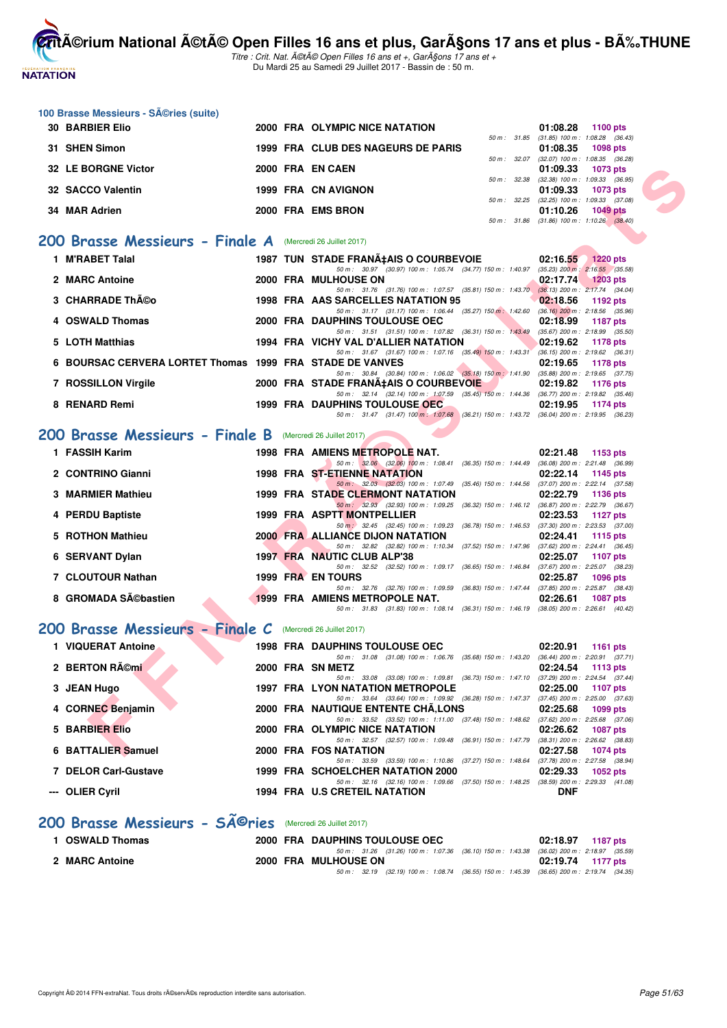

**100 Brasse Messieurs - Séries (suite)** 

**CritA©rium National A©tA© Open Filles 16 ans et plus, GarA§ons 17 ans et plus - BA%.THUNE** 

Titre : Crit. Nat. A©tA© Open Filles 16 ans et +, GarA§ons 17 ans et + Du Mardi 25 au Samedi 29 Juillet 2017 - Bassin de : 50 m.

**30 BARBIER Elio 2000 FRA OLYMPIC NICE NATATION 01:08.28 1100 pts**

|                                                                        |  |                                                                                                                                          | 50 m: 31.85 (31.85) 100 m: 1:08.28 (36.43)                                  |
|------------------------------------------------------------------------|--|------------------------------------------------------------------------------------------------------------------------------------------|-----------------------------------------------------------------------------|
| 31 SHEN Simon                                                          |  | 1999 FRA CLUB DES NAGEURS DE PARIS                                                                                                       | 01:08.35<br>1098 pts                                                        |
| 32 LE BORGNE Victor                                                    |  | 2000 FRA EN CAEN                                                                                                                         | 50 m: 32.07 (32.07) 100 m: 1:08.35 (36.28)<br>01:09.33<br>1073 pts          |
| 32 SACCO Valentin                                                      |  | 1999 FRA CN AVIGNON                                                                                                                      | 50 m : 32.38 (32.38) 100 m : 1:09.33 (36.95)<br>01:09.33<br><b>1073 pts</b> |
|                                                                        |  |                                                                                                                                          | 50 m: 32.25 (32.25) 100 m: 1:09.33 (37.08)                                  |
| 34 MAR Adrien                                                          |  | 2000 FRA EMS BRON                                                                                                                        | 01:10.26<br>1049 pts<br>50 m : 31.86 (31.86) 100 m : 1:10.26 (38.40)        |
|                                                                        |  |                                                                                                                                          |                                                                             |
| 200 Brasse Messieurs - Finale A (Mercredi 26 Juillet 2017)             |  |                                                                                                                                          |                                                                             |
| 1 M'RABET Talal                                                        |  | <b>1987 TUN STADE FRANA‡AIS O COURBEVOIE</b><br>50 m: 30.97 (30.97) 100 m: 1.05.74 (34.77) 150 m: 1.40.97 (35.23) 200 m: 2.16.55 (35.58) | 02:16.55<br><b>1220 pts</b>                                                 |
| 2 MARC Antoine                                                         |  | 2000 FRA MULHOUSE ON                                                                                                                     | 02:17.74<br>$1203$ pts                                                      |
| 3 CHARRADE Théo                                                        |  | 50 m: 31.76 (31.76) 100 m: 1:07.57 (35.81) 150 m: 1:43.70 (36.13) 200 m: 2:17.74 (34.04)<br>1998 FRA AAS SARCELLES NATATION 95           | 02:18.56<br>1192 pts                                                        |
| 4 OSWALD Thomas                                                        |  | 50 m: 31.17 (31.17) 100 m: 1:06.44 (35.27) 150 m: 1:42.60 (36.16) 200 m: 2:18.56 (35.96)<br>2000 FRA DAUPHINS TOULOUSE OEC               | 02:18.99<br>1187 pts                                                        |
|                                                                        |  | 50 m: 31.51 (31.51) 100 m: 1:07.82 (36.31) 150 m: 1:43.49 (35.67) 200 m: 2:18.99 (35.50)                                                 |                                                                             |
| 5 LOTH Matthias                                                        |  | 1994 FRA VICHY VAL D'ALLIER NATATION<br>50 m: 31.67 (31.67) 100 m: 1:07.16 (35.49) 150 m: 1:43.31 (36.15) 200 m: 2:19.62 (36.31)         | 02:19.62<br>1178 pts                                                        |
| 6 BOURSAC CERVERA LORTET Thomas 1999 FRA STADE DE VANVES               |  |                                                                                                                                          | 02:19.65 1178 pts                                                           |
| 7 ROSSILLON Virgile                                                    |  | 50 m: 30.84 (30.84) 100 m: 1:06.02 (35.18) 150 m: 1:41.90 (35.88) 200 m: 2:19.65 (37.75)<br>2000 FRA STADE FRANA‡AIS O COURBEVOIE        | 02:19.82<br>1176 pts                                                        |
| 8 RENARD Remi                                                          |  | 50 m: 32.14 (32.14) 100 m: 1:07.59 (35.45) 150 m: 1:44.36 (36.77) 200 m: 2:19.82 (35.46)<br>1999 FRA DAUPHINS TOULOUSE OEC               | 02:19.95                                                                    |
|                                                                        |  | 50 m: 31.47 (31.47) 100 m: 1.07.68 (36.21) 150 m: 1.43.72 (36.04) 200 m: 2.19.95 (36.23)                                                 | 1174 pts                                                                    |
| 200 Brasse Messieurs - Finale B (Mercredi 26 Juillet 2017)             |  |                                                                                                                                          |                                                                             |
| 1 FASSIH Karim                                                         |  | 1998 FRA AMIENS METROPOLE NAT.                                                                                                           | 02:21.48 1153 pts                                                           |
|                                                                        |  | 50 m: 32.06 (32.06) 100 m: 1:08.41 (36.35) 150 m: 1:44.49 (36.08) 200 m: 2:21.48 (36.99)                                                 |                                                                             |
| 2 CONTRINO Gianni                                                      |  | 1998 FRA ST-ETIENNE NATATION<br>50 m : 32.03 (32.03) 100 m : 1:07.49 (35.46) 150 m : 1:44.56 (37.07) 200 m : 2:22.14 (37.58)             | 02:22.14<br>1145 pts                                                        |
| 3 MARMIER Mathieu                                                      |  | <b>1999 FRA STADE CLERMONT NATATION</b><br>50 m: 32.93 (32.93) 100 m: 1:09.25 (36.32) 150 m: 1:46.12 (36.87) 200 m: 2:22.79 (36.67)      | 02:22.79<br>1136 pts                                                        |
| 4 PERDU Baptiste                                                       |  | 1999 FRA ASPTT MONTPELLIER                                                                                                               | 02:23.53<br>1127 pts                                                        |
| 5 ROTHON Mathieu                                                       |  | 50 m : 32.45 (32.45) 100 m : 1:09.23 (36.78) 150 m : 1:46.53 (37.30) 200 m : 2:23.53 (37.00)<br><b>2000 FRA ALLIANCE DIJON NATATION</b>  | 02:24.41<br>1115 pts                                                        |
|                                                                        |  | 50 m: 32.82 (32.82) 100 m: 1:10.34 (37.52) 150 m: 1:47.96 (37.62) 200 m: 2:24.41 (36.45)                                                 |                                                                             |
| 6 SERVANT Dylan                                                        |  | 1997 FRA NAUTIC CLUB ALP'38<br>50 m: 32.52 (32.52) 100 m: 1:09.17 (36.65) 150 m: 1:46.84 (37.67) 200 m: 2:25.07 (38.23)                  | 02:25.07<br>1107 pts                                                        |
| 7 CLOUTOUR Nathan                                                      |  | 1999 FRA EN TOURS<br>50 m: 32.76 (32.76) 100 m: 1:09.59 (36.83) 150 m: 1:47.44 (37.85) 200 m: 2:25.87 (38.43)                            | 02:25.87<br><b>1096 pts</b>                                                 |
| 8 GROMADA Sébastien                                                    |  | <b>1999 FRA AMIENS METROPOLE NAT.</b>                                                                                                    | 02:26.61<br>1087 pts                                                        |
|                                                                        |  | 50 m: 31.83 (31.83) 100 m: 1:08.14 (36.31) 150 m: 1:46.19 (38.05) 200 m: 2:26.61 (40.42)                                                 |                                                                             |
| 200 Brasse Messieurs - Finale C (Mercredi 26 Juillet 2017)             |  |                                                                                                                                          |                                                                             |
| 1 VIQUERAT Antoine                                                     |  | <b>1998 FRA DAUPHINS TOULOUSE OEC</b><br>50 m: 31.08 (31.08) 100 m: 1:06.76 (35.68) 150 m: 1:43.20 (36.44) 200 m: 2:20.91 (37.71)        | 02:20.91 1161 pts                                                           |
| 2 BERTON Rémi                                                          |  | 2000 FRA SN METZ                                                                                                                         | 02:24.54 1113 pts                                                           |
| 3 JEAN Hugo                                                            |  | 50 m: 33.08 (33.08) 100 m: 1:09.81 (36.73) 150 m: 1:47.10 (37.29) 200 m: 2:24.54 (37.44)<br><b>1997 FRA LYON NATATION METROPOLE</b>      | 02:25.00<br>1107 pts                                                        |
|                                                                        |  | 50 m: 33.64 (33.64) 100 m: 1:09.92 (36.28) 150 m: 1:47.37 (37.45) 200 m: 2:25.00 (37.63)                                                 |                                                                             |
| 4 CORNEC Benjamin                                                      |  | 2000 FRA NAUTIQUE ENTENTE CHA.LONS<br>50 m: 33.52 (33.52) 100 m: 1:11.00 (37.48) 150 m: 1:48.62 (37.62) 200 m: 2:25.68 (37.06)           | 02:25.68<br>1099 pts                                                        |
| 5 BARBIER Elio                                                         |  | 2000 FRA OLYMPIC NICE NATATION<br>50 m: 32.57 (32.57) 100 m: 1:09.48 (36.91) 150 m: 1:47.79 (38.31) 200 m: 2:26.62 (38.83)               | 02:26.62<br>1087 pts                                                        |
| 6 BATTALIER Samuel                                                     |  | 2000 FRA FOS NATATION                                                                                                                    | 02:27.58<br>1074 pts                                                        |
| 7 DELOR Carl-Gustave                                                   |  | 50 m: 33.59 (33.59) 100 m: 1:10.86 (37.27) 150 m: 1:48.64 (37.78) 200 m: 2:27.58 (38.94)<br>1999 FRA SCHOELCHER NATATION 2000            | 02:29.33<br>1052 pts                                                        |
| --- OLIER Cyril                                                        |  | 50 m: 32.16 (32.16) 100 m: 1:09.66 (37.50) 150 m: 1:48.25 (38.59) 200 m: 2:29.33 (41.08)<br>1994 FRA U.S CRETEIL NATATION                | <b>DNF</b>                                                                  |
|                                                                        |  |                                                                                                                                          |                                                                             |
| 200 Brasse Messieurs - SÃ <sup>@</sup> ries (Mercredi 26 Juillet 2017) |  |                                                                                                                                          |                                                                             |
| 1 OSWALD Thomas                                                        |  | 2000 FRA DAUPHINS TOULOUSE OEC                                                                                                           | 02:18.97 1187 pts                                                           |
|                                                                        |  | 50 m: 31.26 (31.26) 100 m: 1:07.36 (36.10) 150 m: 1:43.38 (36.02) 200 m: 2:18.97 (35.59)                                                 |                                                                             |
| 2 MARC Antoine                                                         |  | 2000 FRA MULHOUSE ON<br>50 m: 32.19 (32.19) 100 m: 1:08.74 (36.55) 150 m: 1:45.39 (36.65) 200 m: 2:19.74 (34.35)                         | 02:19.74 1177 pts                                                           |
|                                                                        |  |                                                                                                                                          |                                                                             |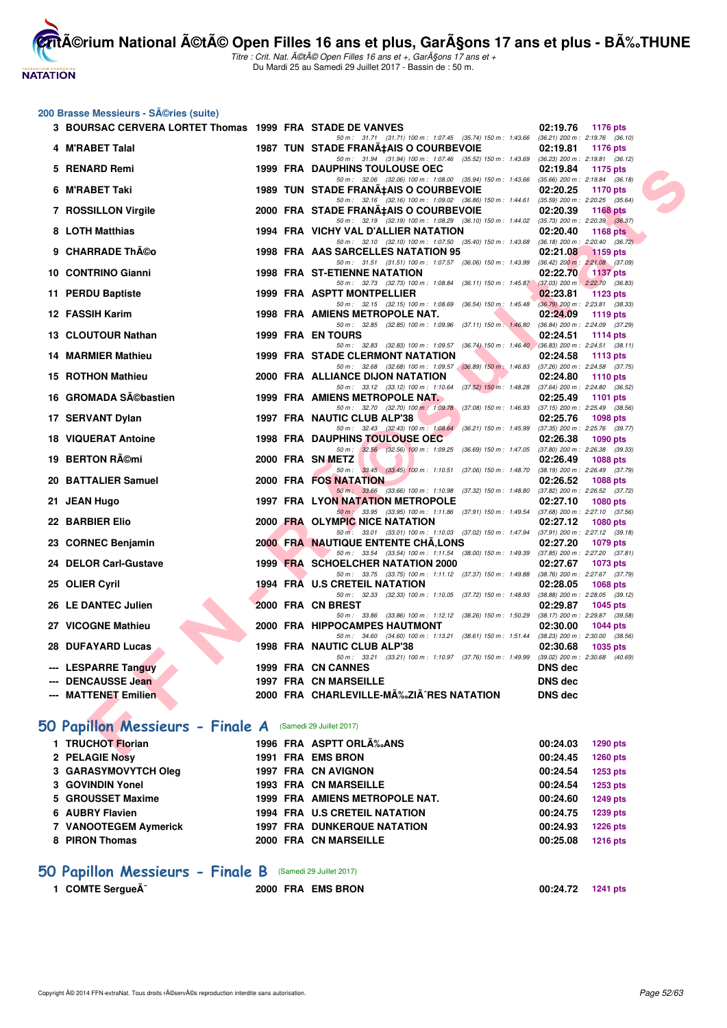**NATATION** 

**CritA©rium National A©tA© Open Filles 16 ans et plus, GarA§ons 17 ans et plus - BA%.THUNE** Titre : Crit. Nat. A©tA© Open Filles 16 ans et +, GarA§ons 17 ans et +

Du Mardi 25 au Samedi 29 Juillet 2017 - Bassin de : 50 m.

#### **200 Brasse Messieurs - Séries (suite)**

| 3 BOURSAC CERVERA LORTET Thomas 1999 FRA STADE DE VANVES  |  |                                                                                                                                            |                      | 02:19.76 1176 pts                                      |
|-----------------------------------------------------------|--|--------------------------------------------------------------------------------------------------------------------------------------------|----------------------|--------------------------------------------------------|
| 4 M'RABET Talal                                           |  | 50 m: 31.71 (31.71) 100 m: 1:07.45 (35.74) 150 m: 1:43.66 (36.21) 200 m: 2:19.76 (36.10)<br>1987 TUN STADE FRANA‡AIS O COURBEVOIE          | 02:19.81             | <b>1176 pts</b>                                        |
| 5 RENARD Remi                                             |  | 50 m: 31.94 (31.94) 100 m: 1:07.46 (35.52) 150 m: 1:43.69 (36.23) 200 m: 2:19.81 (36.12)<br><b>1999 FRA DAUPHINS TOULOUSE OEC</b>          | 02:19.84             | 1175 pts                                               |
|                                                           |  | 50 m : 32.06 (32.06) 100 m : 1:08.00 (35.94) 150 m : 1:43.66 (35.66) 200 m : 2:19.84 (36.18)                                               |                      |                                                        |
| 6 M'RABET Taki                                            |  | 1989 TUN STADE FRANA‡AIS O COURBEVOIE                                                                                                      | 02:20.25             | <b>1170 pts</b>                                        |
| 7 ROSSILLON Virgile                                       |  | 50 m: 32.16 (32.16) 100 m: 1:09.02 (36.86) 150 m: 1:44.61 (35.59) 200 m: 2:20.25 (35.64)<br>2000 FRA STADE FRANA‡AIS O COURBEVOIE          | 02:20.39             | 1168 pts                                               |
|                                                           |  | 50 m: 32.19 (32.19) 100 m: 1:08.29 (36.10) 150 m: 1:44.02 (35.73) 200 m: 2:20.39 (36.37)                                                   |                      |                                                        |
| 8 LOTH Matthias                                           |  | 1994 FRA VICHY VAL D'ALLIER NATATION<br>50 m: 32.10 (32.10) 100 m: 1:07.50 (35.40) 150 m: 1:43.68 (36.18) 200 m: 2:20.40 (36.72)           | 02:20.40             | 1168 pts                                               |
| 9 CHARRADE Théo                                           |  | 1998 FRA AAS SARCELLES NATATION 95                                                                                                         | 02:21.08             | <b>1159 pts</b>                                        |
| 10 CONTRINO Gianni                                        |  | 50 m: 31.51 (31.51) 100 m: 1:07.57 (36.06) 150 m: 1:43.99 (36.42) 200 m: 2:21.08 (37.09)<br>1998 FRA ST-ETIENNE NATATION                   | 02:22.70             | <b>1137 pts</b>                                        |
|                                                           |  | 50 m: 32.73 (32.73) 100 m: 1:08.84 (36.11) 150 m: 1:45.87 (37.03) 200 m: 2:22.70 (36.83)                                                   |                      |                                                        |
| 11 PERDU Baptiste                                         |  | 1999 FRA ASPTT MONTPELLIER<br>50 m: 32.15 (32.15) 100 m: 1:08.69 (36.54) 150 m: 1:45.48 (36.79) 200 m: 2:23.81 (38.33)                     | 02:23.81             | 1123 pts                                               |
| 12 FASSIH Karim                                           |  | 1998 FRA AMIENS METROPOLE NAT.                                                                                                             | 02:24.09             | 1119 pts                                               |
|                                                           |  | 50 m: 32.85 (32.85) 100 m: 1:09.96 (37.11) 150 m: 1:46.80                                                                                  |                      | $(36.84)$ 200 m : 2:24.09 $(37.29)$                    |
| 13 CLOUTOUR Nathan                                        |  | 1999 FRA EN TOURS<br>50 m : 32.83 (32.83) 100 m : 1:09.57 (36.74) 150 m : 1:46.40 (36.83) 200 m : 2:24.51 (38.11)                          | 02:24.51             | <b>1114 pts</b>                                        |
| 14 MARMIER Mathieu                                        |  | <b>1999 FRA STADE CLERMONT NATATION</b>                                                                                                    | 02:24.58             | 1113 pts                                               |
|                                                           |  | 50 m: 32.68 (32.68) 100 m: 1:09.57 (36.89) 150 m: 1:46.83                                                                                  |                      | $(37.26)$ 200 m : 2:24.58 $(37.75)$                    |
| <b>15 ROTHON Mathieu</b>                                  |  | 2000 FRA ALLIANCE DIJON NATATION<br>50 m: 33.12 (33.12) 100 m: 1:10.64 (37.52) 150 m: 1:48.28 (37.64) 200 m: 2:24.80 (36.52)               | 02:24.80             | <b>1110 pts</b>                                        |
| 16 GROMADA Sébastien                                      |  | <b>1999 FRA AMIENS METROPOLE NAT.</b>                                                                                                      | 02:25.49             | 1101 $pts$                                             |
|                                                           |  | 50 m: 32.70 (32.70) 100 m: 1:09.78 (37.08) 150 m: 1:46.93 (37.15) 200 m: 2:25.49 (38.56)                                                   |                      |                                                        |
| 17 SERVANT Dylan                                          |  | 1997 FRA NAUTIC CLUB ALP'38<br>50 m: 32.43 (32.43) 100 m: 1:08.64 (36.21) 150 m: 1:45.99 (37.35) 200 m: 2:25.76 (39.77)                    | 02:25.76             | 1098 pts                                               |
| <b>18 VIQUERAT Antoine</b>                                |  | <b>1998 FRA DAUPHINS TOULOUSE OEC</b>                                                                                                      | 02:26.38             | 1090 $pts$                                             |
|                                                           |  | 50 m: 32.56 (32.56) 100 m: 1:09.25 (36.69) 150 m: 1:47.05 (37.80) 200 m: 2:26.38 (39.33)                                                   |                      |                                                        |
| 19 BERTON Rémi                                            |  | 2000 FRA SN METZ<br>50 m: 33.45 (33.45) 100 m: 1:10.51 (37.06) 150 m: 1:48.70                                                              | 02:26.49             | <b>1088 pts</b><br>$(38.19)$ 200 m : 2:26.49 $(37.79)$ |
| 20 BATTALIER Samuel                                       |  | 2000 FRA FOS NATATION                                                                                                                      | 02:26.52             | <b>1088 pts</b>                                        |
| 21 JEAN Hugo                                              |  | 50 m: 33.66 (33.66) 100 m: 1:10.98 (37.32) 150 m: 1:48.80 (37.82) 200 m: 2:26.52 (37.72)<br><b>1997 FRA LYON NATATION METROPOLE</b>        | 02:27.10             | <b>1080 pts</b>                                        |
|                                                           |  | 50 m: 33.95 (33.95) 100 m: 1:11.86 (37.91) 150 m: 1:49.54 (37.68) 200 m: 2:27.10 (37.56)                                                   |                      |                                                        |
| 22 BARBIER Elio                                           |  | 2000 FRA OLYMPIC NICE NATATION                                                                                                             | 02:27.12             | <b>1080 pts</b>                                        |
| 23 CORNEC Benjamin                                        |  | 50 m : 33.01 (33.01) 100 m : 1:10.03 (37.02) 150 m : 1:47.94 (37.91) 200 m : 2:27.12 (39.18)<br><b>2000 FRA NAUTIQUE ENTENTE CHA, LONS</b> | 02:27.20             | 1079 pts                                               |
|                                                           |  | 50 m: 33.54 (33.54) 100 m: 1:11.54 (38.00) 150 m: 1:49.39                                                                                  |                      | $(37.85)$ 200 m : 2:27.20 $(37.81)$                    |
| 24 DELOR Carl-Gustave                                     |  | 1999 FRA SCHOELCHER NATATION 2000                                                                                                          | 02:27.67             | 1073 pts                                               |
| 25 OLIER Cyril                                            |  | 50 m: 33.75 (33.75) 100 m: 1:11.12 (37.37) 150 m: 1:49.88 (38.76) 200 m: 2:27.67 (37.79)<br>1994 FRA U.S CRETEIL NATATION                  | 02:28.05             | <b>1068 pts</b>                                        |
|                                                           |  | 50 m: 32.33 (32.33) 100 m: 1:10.05 (37.72) 150 m: 1:48.93                                                                                  |                      | $(38.88)$ 200 m : 2:28.05 $(39.12)$                    |
| 26 LE DANTEC Julien                                       |  | 2000 FRA CN BREST                                                                                                                          | 02:29.87             | 1045 pts                                               |
| 27 VICOGNE Mathieu                                        |  | 50 m: 33.86 (33.86) 100 m: 1:12.12 (38.26) 150 m: 1:50.29<br>2000 FRA HIPPOCAMPES HAUTMONT                                                 | 02:30.00             | $(38.17)$ 200 m : 2:29.87 $(39.58)$<br>$1044$ pts      |
|                                                           |  | 50 m: 34.60 (34.60) 100 m: 1:13.21 (38.61) 150 m: 1:51.44 (38.23) 200 m: 2:30.00 (38.56)                                                   |                      |                                                        |
| 28 DUFAYARD Lucas                                         |  | 1998 FRA NAUTIC CLUB ALP'38                                                                                                                | 02:30.68             | 1035 pts                                               |
| <b>LESPARRE Tanguy</b>                                    |  | 50 m: 33.21 (33.21) 100 m: 1:10.97 (37.76) 150 m: 1:49.99 (39.02) 200 m: 2:30.68 (40.69)<br>1999 FRA CN CANNES                             | <b>DNS</b> dec       |                                                        |
| <b>DENCAUSSE Jean</b>                                     |  | 1997 FRA CN MARSEILLE                                                                                                                      | DNS dec              |                                                        |
| --- MATTENET Emilien                                      |  | 2000 FRA CHARLEVILLE-MĉZIÄ^RES NATATION                                                                                                    | <b>DNS dec</b>       |                                                        |
|                                                           |  |                                                                                                                                            |                      |                                                        |
| iO Papillon Messieurs - Finale A (Samedi 29 Juillet 2017) |  |                                                                                                                                            |                      |                                                        |
|                                                           |  |                                                                                                                                            |                      |                                                        |
| 1 TRUCHOT Florian<br><b>C. BELACIE MARIE</b>              |  | 1996 FRA ASPTT ORLA‰ANS<br>4004 FBA FMC BBOM                                                                                               | 00:24.03<br>00.04.45 | 1290 pts<br>$3000 - 1$                                 |

## **[50 Papillon Messieurs - Finale A](http://www.ffnatation.fr/webffn/resultats.php?idact=nat&go=epr&idcpt=47487&idepr=81)** (Samedi 29 Juillet 2017)

| 1 TRUCHOT Florian     |  | 1996 FRA ASPTT ORLA <sub>%</sub> ANS | 00:24.03 | 1290 pts        |
|-----------------------|--|--------------------------------------|----------|-----------------|
| 2 PELAGIE Nosy        |  | 1991 FRA EMS BRON                    | 00:24.45 | 1260 pts        |
| 3 GARASYMOVYTCH Oleg  |  | 1997 FRA CN AVIGNON                  | 00:24.54 | 1253 pts        |
| 3 GOVINDIN Yonel      |  | <b>1993 FRA CN MARSEILLE</b>         | 00:24.54 | 1253 pts        |
| 5 GROUSSET Maxime     |  | 1999 FRA AMIENS METROPOLE NAT.       | 00:24.60 | <b>1249 pts</b> |
| 6 AUBRY Flavien       |  | <b>1994 FRA U.S CRETEIL NATATION</b> | 00:24.75 | <b>1239 pts</b> |
| 7 VANOOTEGEM Aymerick |  | <b>1997 FRA DUNKERQUE NATATION</b>   | 00:24.93 | <b>1226 pts</b> |
| 8 PIRON Thomas        |  | 2000 FRA CN MARSEILLE                | 00:25.08 | <b>1216 pts</b> |
|                       |  |                                      |          |                 |

## **[50 Papillon Messieurs - Finale B](http://www.ffnatation.fr/webffn/resultats.php?idact=nat&go=epr&idcpt=47487&idepr=81)** (Samedi 29 Juillet 2017)

| 1 COMTE SergueÃ <sup>-</sup> | 2000 FRA EMS BRON | 00:24.72 1241 pts |  |
|------------------------------|-------------------|-------------------|--|
|                              |                   |                   |  |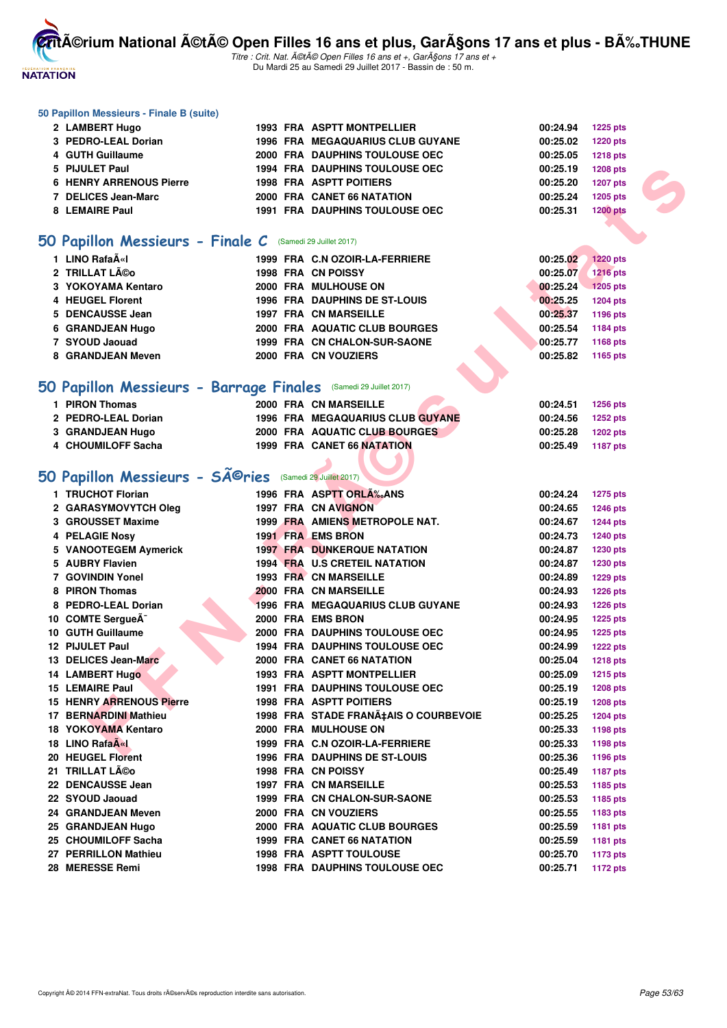

Titre : Crit. Nat. A©tA© Open Filles 16 ans et +, GarA§ons 17 ans et + Du Mardi 25 au Samedi 29 Juillet 2017 - Bassin de : 50 m.

#### **50 Papillon Messieurs - Finale B (suite)**

| 2 LAMBERT Hugo                 |  | 1993 FRA ASPTT MONTPELLIER              | 00:24.94 | 1225 pts        |
|--------------------------------|--|-----------------------------------------|----------|-----------------|
| 3 PEDRO-LEAL Dorian            |  | <b>1996 FRA MEGAQUARIUS CLUB GUYANE</b> | 00:25.02 | <b>1220 pts</b> |
| 4 GUTH Guillaume               |  | 2000 FRA DAUPHINS TOULOUSE OEC          | 00:25.05 | <b>1218 pts</b> |
| 5 PIJULET Paul                 |  | <b>1994 FRA DAUPHINS TOULOUSE OEC</b>   | 00:25.19 | <b>1208 pts</b> |
| <b>6 HENRY ARRENOUS Pierre</b> |  | <b>1998 FRA ASPTT POITIERS</b>          | 00:25.20 | <b>1207 pts</b> |
| 7 DELICES Jean-Marc            |  | 2000 FRA CANET 66 NATATION              | 00:25.24 | <b>1205 pts</b> |
| 8 LEMAIRE Paul                 |  | <b>1991 FRA DAUPHINS TOULOUSE OEC</b>   | 00:25.31 | <b>1200 pts</b> |

## **[50 Papillon Messieurs - Finale C](http://www.ffnatation.fr/webffn/resultats.php?idact=nat&go=epr&idcpt=47487&idepr=81)** (Samedi 29 Juillet 2017)

| 1 LINO RafaëI           |  | 1999 FRA C.N OZOIR-LA-FERRIERE       | 00:25.02 | <b>1220 pts</b> |
|-------------------------|--|--------------------------------------|----------|-----------------|
| 2 TRILLAT Léo           |  | <b>1998 FRA CN POISSY</b>            | 00:25.07 | <b>1216 pts</b> |
| 3 YOKOYAMA Kentaro      |  | 2000 FRA MULHOUSE ON                 | 00:25.24 | $1205$ pts      |
| 4 HEUGEL Florent        |  | <b>1996 FRA DAUPHINS DE ST-LOUIS</b> | 00:25.25 | <b>1204 pts</b> |
| 5 DENCAUSSE Jean        |  | <b>1997 FRA CN MARSEILLE</b>         | 00:25.37 | 1196 pts        |
| <b>6 GRANDJEAN Hugo</b> |  | 2000 FRA AQUATIC CLUB BOURGES        | 00:25.54 | 1184 pts        |
| 7 SYOUD Jaouad          |  | 1999 FRA CN CHALON-SUR-SAONE         | 00:25.77 | 1168 pts        |
| 8 GRANDJEAN Meven       |  | 2000 FRA CN VOUZIERS                 | 00:25.82 | 1165 pts        |

#### **[50 Papillon Messieurs - Barrage Finales](http://www.ffnatation.fr/webffn/resultats.php?idact=nat&go=epr&idcpt=47487&idepr=81)** (Samedi 29 Juillet 2017)

| <b>PIRON Thomas</b> | 2000 FRA CN MARSEILLE                   | 00:24.51<br><b>1256 pts</b> |
|---------------------|-----------------------------------------|-----------------------------|
| 2 PEDRO-LEAL Dorian | <b>1996 FRA MEGAQUARIUS CLUB GUYANE</b> | 00:24.56<br><b>1252 pts</b> |
| 3 GRANDJEAN Hugo    | <b>2000 FRA AQUATIC CLUB BOURGES</b>    | 00:25.28<br><b>1202 pts</b> |
| 4 CHOUMILOFF Sacha  | <b>1999 FRA CANET 66 NATATION</b>       | 00:25.49<br>1187 pts        |
|                     |                                         |                             |

# 50 Papillon Messieurs - SÃ<sup>©</sup>ries (Samedi 29 Juillet 2017)

| 5 PIJULET Paul                                                   |  | <b>1994 FRA DAUPHINS TOULOUSE OEC</b>                       | 00:25.19 | <b>1208 pts</b> |
|------------------------------------------------------------------|--|-------------------------------------------------------------|----------|-----------------|
| <b>6 HENRY ARRENOUS Pierre</b>                                   |  | <b>1998 FRA ASPTT POITIERS</b>                              | 00:25.20 | 1207 pts        |
| 7 DELICES Jean-Marc                                              |  | 2000 FRA CANET 66 NATATION                                  | 00:25.24 | 1205 pts        |
| 8 LEMAIRE Paul                                                   |  | <b>1991 FRA DAUPHINS TOULOUSE OEC</b>                       | 00:25.31 | <b>1200 pts</b> |
|                                                                  |  |                                                             |          |                 |
| 50 Papillon Messieurs - Finale C (Samedi 29 Juillet 2017)        |  |                                                             |          |                 |
| 1 LINO RafaëI                                                    |  | 1999 FRA C.N OZOIR-LA-FERRIERE                              | 00:25.02 | 1220 pts        |
| 2 TRILLAT Léo                                                    |  | 1998 FRA CN POISSY                                          | 00:25.07 | <b>1216 pts</b> |
| 3 YOKOYAMA Kentaro                                               |  | 2000 FRA MULHOUSE ON                                        | 00:25.24 | 1205 pts        |
| 4 HEUGEL Florent                                                 |  | <b>1996 FRA DAUPHINS DE ST-LOUIS</b>                        | 00:25.25 | 1204 pts        |
| 5 DENCAUSSE Jean                                                 |  | <b>1997 FRA CN MARSEILLE</b>                                | 00:25.37 | 1196 pts        |
| 6 GRANDJEAN Hugo                                                 |  | 2000 FRA AQUATIC CLUB BOURGES                               | 00:25.54 | 1184 pts        |
| 7 SYOUD Jaouad                                                   |  | 1999 FRA CN CHALON-SUR-SAONE                                | 00:25.77 | 1168 pts        |
| 8 GRANDJEAN Meven                                                |  | 2000 FRA CN VOUZIERS                                        | 00:25.82 | 1165 pts        |
| 50 Papillon Messieurs - Barrage Finales (Samedi 29 Juillet 2017) |  |                                                             |          |                 |
| 1 PIRON Thomas                                                   |  | 2000 FRA CN MARSEILLE                                       | 00:24.51 |                 |
| 2 PEDRO-LEAL Dorian                                              |  | <b>1996 FRA MEGAQUARIUS CLUB GUYANE</b>                     |          | <b>1256 pts</b> |
|                                                                  |  |                                                             | 00:24.56 | <b>1252 pts</b> |
| 3 GRANDJEAN Hugo<br>4 CHOUMILOFF Sacha                           |  | 2000 FRA AQUATIC CLUB BOURGES<br>1999 FRA CANET 66 NATATION | 00:25.28 | <b>1202 pts</b> |
|                                                                  |  |                                                             | 00:25.49 | <b>1187 pts</b> |
| 50 Papillon Messieurs - Séries                                   |  | (Samedi 29 Juillet 2017)                                    |          |                 |
| 1 TRUCHOT Florian                                                |  | 1996 FRA ASPTT ORLA <sub>s</sub> ANS                        | 00:24.24 | 1275 pts        |
| 2 GARASYMOVYTCH Oleg                                             |  | <b>1997 FRA CN AVIGNON</b>                                  | 00:24.65 | <b>1246 pts</b> |
| 3 GROUSSET Maxime                                                |  | 1999 FRA AMIENS METROPOLE NAT.                              | 00:24.67 | <b>1244 pts</b> |
| 4 PELAGIE Nosy                                                   |  | 1991 FRA EMS BRON                                           | 00:24.73 | <b>1240 pts</b> |
| 5 VANOOTEGEM Aymerick                                            |  | <b>1997 FRA DUNKERQUE NATATION</b>                          | 00:24.87 | <b>1230 pts</b> |
| 5 AUBRY Flavien                                                  |  | 1994 FRA U.S CRETEIL NATATION                               | 00:24.87 | 1230 pts        |
| 7 GOVINDIN Yonel                                                 |  | 1993 FRA CN MARSEILLE                                       | 00:24.89 | <b>1229 pts</b> |
| 8 PIRON Thomas                                                   |  | 2000 FRA CN MARSEILLE                                       | 00:24.93 | <b>1226 pts</b> |
| 8 PEDRO-LEAL Dorian                                              |  | 1996 FRA MEGAQUARIUS CLUB GUYANE                            | 00:24.93 | <b>1226 pts</b> |
| 10 COMTE SergueA <sup>-</sup>                                    |  | 2000 FRA EMS BRON                                           | 00:24.95 | <b>1225 pts</b> |
| 10 GUTH Guillaume                                                |  | <b>2000 FRA DAUPHINS TOULOUSE OEC</b>                       | 00:24.95 | <b>1225 pts</b> |
| 12 PIJULET Paul                                                  |  | <b>1994 FRA DAUPHINS TOULOUSE OEC</b>                       | 00:24.99 | <b>1222 pts</b> |
| 13 DELICES Jean-Marc                                             |  | 2000 FRA CANET 66 NATATION                                  | 00:25.04 | <b>1218 pts</b> |
| 14 LAMBERT Hugo                                                  |  | <b>1993 FRA ASPTT MONTPELLIER</b>                           | 00:25.09 | <b>1215 pts</b> |
| <b>15 LEMAIRE Paul</b>                                           |  | <b>1991 FRA DAUPHINS TOULOUSE OEC</b>                       | 00:25.19 | <b>1208 pts</b> |
| <b>15 HENRY ARRENOUS Pierre</b>                                  |  | <b>1998 FRA ASPTT POITIERS</b>                              | 00:25.19 | <b>1208 pts</b> |
| 17 BERNARDINI Mathieu                                            |  | 1998 FRA STADE FRANÇAIS O COURBEVOIE                        | 00:25.25 | <b>1204 pts</b> |
| 18 YOKOYAMA Kentaro                                              |  | 2000 FRA MULHOUSE ON                                        | 00:25.33 | 1198 pts        |
| 18 LINO RafaA«I                                                  |  | 1999 FRA C.N OZOIR-LA-FERRIERE                              | 00:25.33 | 1198 pts        |
| 20 HEUGEL Florent                                                |  | 1996 FRA DAUPHINS DE ST-LOUIS                               | 00:25.36 | 1196 pts        |
| 21 TRILLAT Léo                                                   |  | 1998 FRA CN POISSY                                          | 00:25.49 | <b>1187 pts</b> |
| 22 DENCAUSSE Jean                                                |  | 1997 FRA CN MARSEILLE                                       | 00:25.53 | 1185 pts        |
| 22 SYOUD Jaouad                                                  |  | 1999 FRA CN CHALON-SUR-SAONE                                | 00:25.53 | 1185 pts        |
| 24 GRANDJEAN Meven                                               |  | 2000 FRA CN VOUZIERS                                        | 00:25.55 | 1183 pts        |
| 25 GRANDJEAN Hugo                                                |  | 2000 FRA AQUATIC CLUB BOURGES                               | 00:25.59 | <b>1181 pts</b> |
| 25 CHOUMILOFF Sacha                                              |  | 1999 FRA CANET 66 NATATION                                  | 00:25.59 | <b>1181 pts</b> |
| 27 PERRILLON Mathieu                                             |  | 1998 FRA ASPTT TOULOUSE                                     | 00:25.70 | 1173 pts        |
| 28 MERESSE Remi                                                  |  | 1998 FRA DAUPHINS TOULOUSE OEC                              | 00:25.71 | <b>1172 pts</b> |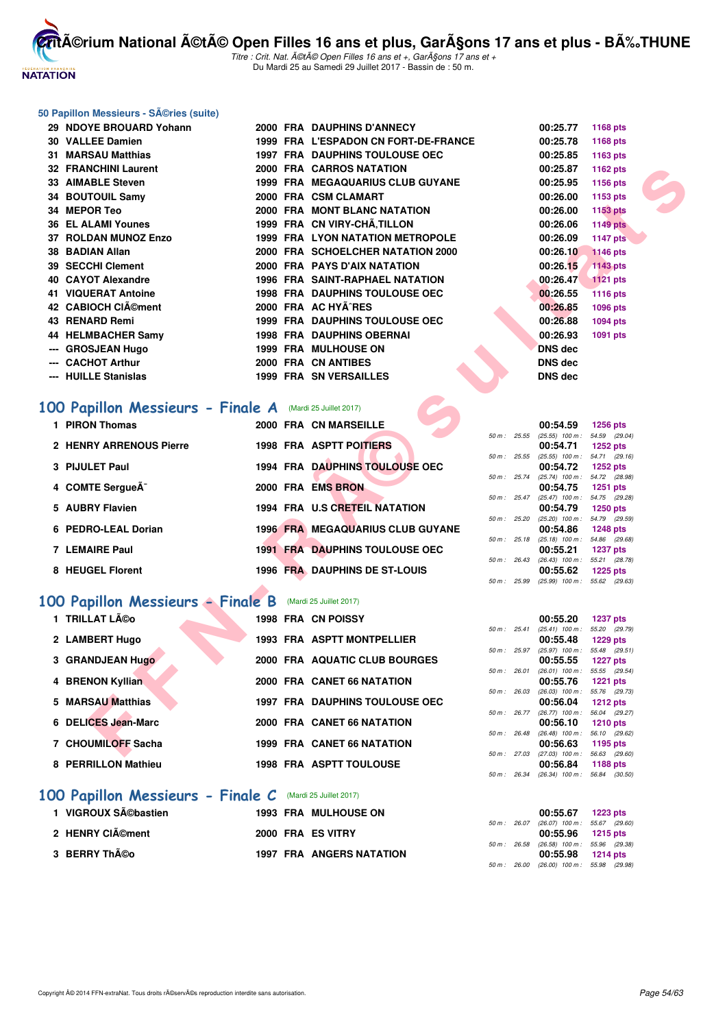

Titre : Crit. Nat. A©tA© Open Filles 16 ans et +, GarA§ons 17 ans et + Du Mardi 25 au Samedi 29 Juillet 2017 - Bassin de : 50 m.

#### **50 Papillon Messieurs - Séries (suite)**

| 29 NDOYE BROUARD Yohann                                                           |  | 2000 FRA DAUPHINS D'ANNECY             |                | 00:25.77                                             | 1168 pts                         |  |
|-----------------------------------------------------------------------------------|--|----------------------------------------|----------------|------------------------------------------------------|----------------------------------|--|
| 30 VALLEE Damien                                                                  |  | 1999 FRA L'ESPADON CN FORT-DE-FRANCE   |                | 00:25.78                                             | 1168 pts                         |  |
| 31 MARSAU Matthias                                                                |  | <b>1997 FRA DAUPHINS TOULOUSE OEC</b>  |                | 00:25.85                                             | 1163 pts                         |  |
| <b>32 FRANCHINI Laurent</b>                                                       |  | 2000 FRA CARROS NATATION               |                | 00:25.87                                             | 1162 pts                         |  |
| 33 AIMABLE Steven                                                                 |  | 1999 FRA MEGAQUARIUS CLUB GUYANE       |                | 00:25.95                                             | 1156 pts                         |  |
| 34 BOUTOUIL Samy                                                                  |  | 2000 FRA CSM CLAMART                   |                | 00:26.00                                             | 1153 pts                         |  |
| 34 MEPOR Teo                                                                      |  | 2000 FRA MONT BLANC NATATION           |                | 00:26.00                                             | 1153 pts                         |  |
| <b>36 EL ALAMI Younes</b>                                                         |  | 1999 FRA CN VIRY-CHA, TILLON           |                | 00:26.06                                             | <b>1149 pts</b>                  |  |
| 37 ROLDAN MUNOZ Enzo                                                              |  | 1999 FRA LYON NATATION METROPOLE       |                | 00:26.09                                             | <b>1147 pts</b>                  |  |
| 38 BADIAN Allan                                                                   |  | 2000 FRA SCHOELCHER NATATION 2000      |                | 00:26.10                                             | <b>1146 pts</b>                  |  |
| 39 SECCHI Clement                                                                 |  | 2000 FRA PAYS D'AIX NATATION           |                | 00:26.15                                             | <b>1143 pts</b>                  |  |
| 40 CAYOT Alexandre                                                                |  | <b>1996 FRA SAINT-RAPHAEL NATATION</b> |                | 00:26.47                                             | <b>1121 pts</b>                  |  |
| 41 VIQUERAT Antoine                                                               |  | <b>1998 FRA DAUPHINS TOULOUSE OEC</b>  |                | 00:26.55                                             | <b>1116 pts</b>                  |  |
| 42 CABIOCH CIAO ment                                                              |  | 2000 FRA AC HYA RES                    |                | 00:26.85                                             | <b>1096 pts</b>                  |  |
| 43 RENARD Remi                                                                    |  | <b>1999 FRA DAUPHINS TOULOUSE OEC</b>  |                | 00:26.88                                             | 1094 pts                         |  |
| 44 HELMBACHER Samy                                                                |  | <b>1998 FRA DAUPHINS OBERNAI</b>       |                | 00:26.93                                             | 1091 pts                         |  |
| --- GROSJEAN Hugo                                                                 |  | 1999 FRA MULHOUSE ON                   |                | <b>DNS dec</b>                                       |                                  |  |
| --- CACHOT Arthur                                                                 |  | 2000 FRA CN ANTIBES                    |                | <b>DNS dec</b>                                       |                                  |  |
| --- HUILLE Stanislas                                                              |  | <b>1999 FRA SN VERSAILLES</b>          |                | <b>DNS dec</b>                                       |                                  |  |
| <b>00 Papillon Messieurs - Finale A</b> (Mardi 25 Juillet 2017)<br>1 PIRON Thomas |  | 2000 FRA CN MARSEILLE                  |                | 00:54.59                                             | <b>1256 pts</b>                  |  |
|                                                                                   |  |                                        | 50 m: 25.55    | $(25.55)$ 100 m : 54.59 (29.04)                      |                                  |  |
| 2 HENRY ARRENOUS Pierre                                                           |  | 1998 FRA ASPTT POITIERS                | 50 m: 25.55    | 00:54.71<br>$(25.55)$ 100 m : 54.71 $(29.16)$        | <b>1252 pts</b>                  |  |
| 3 PIJULET Paul                                                                    |  | 1994 FRA DAUPHINS TOULOUSE OEC         |                | 00:54.72                                             | <b>1252 pts</b>                  |  |
|                                                                                   |  |                                        | 50 m : 25.74   | (25.74) 100 m: 54.72 (28.98)                         |                                  |  |
| 4 COMTE SergueA <sup>-</sup>                                                      |  | 2000 FRA EMS BRON                      |                | 00:54.75<br>50 m: 25.47 (25.47) 100 m: 54.75 (29.28) | <b>1251 pts</b>                  |  |
| 5 AUBRY Flavien                                                                   |  | 1994 FRA U.S CRETEIL NATATION          |                | 00:54.79                                             | <b>1250 pts</b>                  |  |
| 6 PEDRO-LEAL Dorian                                                               |  | 1996 FRA MEGAQUARIUS CLUB GUYANE       | $50 m$ : 25.20 | $(25.20)$ 100 m : 54.79 $(29.59)$<br>00:54.86        | <b>1248 pts</b>                  |  |
|                                                                                   |  |                                        |                | 50 m : 25.18 (25.18) 100 m : 54.86 (29.68)           |                                  |  |
| <b>7 LEMAIRE Paul</b>                                                             |  | <b>1991 FRA DAUPHINS TOULOUSE OEC</b>  |                | 00:55.21                                             | <b>1237 pts</b>                  |  |
| 8 HEUGEL Florent                                                                  |  | 1996 FRA DAUPHINS DE ST-LOUIS          | 50 m : 26.43   | $(26.43)$ 100 m :<br>00:55.62                        | 55.21 (28.78)<br><b>1225 pts</b> |  |
|                                                                                   |  |                                        | 50 m : 25.99   | $(25.99)$ 100 m : 55.62 $(29.63)$                    |                                  |  |
| 00 Papillon Messieurs - Finale B                                                  |  | (Mardi 25 Juillet 2017)                |                |                                                      |                                  |  |
| 1 TRILLAT Léo                                                                     |  | <b>1998 FRA CN POISSY</b>              |                | 00:55.20                                             | <b>1237 pts</b>                  |  |
| 2 LAMBERT Hugo                                                                    |  | <b>1993 FRA ASPTT MONTPELLIER</b>      | 50 m: 25.41    | $(25.41)$ 100 m :<br>00:55.48                        | 55.20 (29.79)                    |  |
|                                                                                   |  |                                        | 50 m : 25.97   | $(25.97)$ 100 m :                                    | 1229 pts<br>55.48 (29.51)        |  |
| 3 GRANDJEAN Hugo                                                                  |  | 2000 FRA AQUATIC CLUB BOURGES          |                | 00:55.55                                             | <b>1227 pts</b>                  |  |
| 4 BRENON Kyllian                                                                  |  | 2000 FRA CANET 66 NATATION             | 50 m: 26.01    | $(26.01)$ 100 m :<br>00:55.76                        | 55.55 (29.54)<br><b>1221 pts</b> |  |
|                                                                                   |  |                                        | 50 m: 26.03    | $(26.03)$ 100 m :                                    | 55.76 (29.73)                    |  |
| 5 MARSAU Matthias                                                                 |  | <b>1997 FRA DAUPHINS TOULOUSE OEC</b>  |                | 00:56.04                                             | <b>1212 pts</b>                  |  |
| 6 DELICES Jean-Marc                                                               |  | 2000 FRA CANET 66 NATATION             | 50 m: 26.77    | $(26.77)$ 100 m :<br>00:56.10                        | 56.04 (29.27)<br><b>1210 pts</b> |  |
|                                                                                   |  |                                        |                | 50 m: 26.48 (26.48) 100 m: 56.10 (29.62)             |                                  |  |
| 7 CHOUMILOFF Sacha                                                                |  | <b>1999 FRA CANET 66 NATATION</b>      |                | 00:56.63                                             | 1195 pts                         |  |
|                                                                                   |  |                                        |                | 50 m; 27.03 (27.03) 100 m; 56.63 (29.60)             |                                  |  |

# **100 Papillon Messieurs - Finale A** (Mardi 25 Juillet 2017)<br>1 PIRON Thomas 2000 FRA CN MARSE

| 1 PIRON Thomas               |  | 2000 FRA CN MARSEILLE                 |                        |                  | 00:54.59                                             | 1256 pts        |
|------------------------------|--|---------------------------------------|------------------------|------------------|------------------------------------------------------|-----------------|
|                              |  |                                       |                        | $50 m$ : 25.55   | $(25.55)$ 100 m :                                    | 54.59 (29.      |
| 2 HENRY ARRENOUS Pierre      |  | 1998 FRA ASPTT POITIERS               |                        |                  | 00:54.71                                             | <b>1252 pts</b> |
|                              |  |                                       |                        | $50 m$ : 25.55   | $(25.55)$ 100 m :                                    | 54.71 (29.      |
| 3 PIJULET Paul               |  | <b>1994 FRA DAUPHINS TOULOUSE OEC</b> |                        |                  | 00:54.72                                             | 1252 pts        |
|                              |  |                                       |                        | $50 m$ : 25.74   | $(25.74)$ 100 m :                                    | 54.72 (28.      |
| 4 COMTE SergueA <sup>-</sup> |  | 2000 FRA EMS BRON                     |                        |                  | 00:54.75                                             | <b>1251 pts</b> |
|                              |  |                                       |                        | $50 m$ : $25.47$ | $(25.47)$ 100 m : 54.75 (29.                         |                 |
| 5 AUBRY Flavien              |  | 1994 FRA U.S CRETEIL NATATION         |                        |                  | 00:54.79                                             | 1250 pts        |
|                              |  |                                       |                        | 50 m: 25.20      | $(25.20)$ 100 m :                                    | 54.79 (29.      |
| 6 PEDRO-LEAL Dorian          |  | 1996 FRA MEGAQUARIUS CLUB GUYANE      |                        |                  | 00:54.86                                             | 1248 pts        |
|                              |  |                                       |                        | 50 m: 25.18      | $(25.18)$ 100 m :                                    | 54.86 (29.      |
| 7 LEMAIRE Paul               |  | <b>1991 FRA DAUPHINS TOULOUSE OEC</b> |                        |                  | 00:55.21                                             | <b>1237 pts</b> |
|                              |  |                                       | $50 \text{ m}$ : 26.43 |                  | $(26.43)$ 100 m :                                    | 55.21 (28.      |
| 8 HEUGEL Florent             |  | <b>1996 FRA DAUPHINS DE ST-LOUIS</b>  |                        |                  | 00:55.62                                             | <b>1225 pts</b> |
|                              |  |                                       |                        |                  | $F0 - 0.500$ ( $0.5001$ $100 - 0.55$ $0.5500$ $0.00$ |                 |

# **[100 Papillon Messieurs - Finale B](http://www.ffnatation.fr/webffn/resultats.php?idact=nat&go=epr&idcpt=47487&idepr=82)** (Mardi 25 Juillet 2017)

| 1 TRILLAT Lĩo       | <b>1998 FRA CN POISSY</b>             |                        | 00:55.20                                                                        | 1237 pts                      |
|---------------------|---------------------------------------|------------------------|---------------------------------------------------------------------------------|-------------------------------|
| 2 LAMBERT Hugo      | <b>1993 FRA ASPTT MONTPELLIER</b>     | $50 \text{ m}$ : 25.41 | $(25.41)$ 100 m :<br>00:55.48                                                   | 55.20 (29.<br>1229 pts        |
| 3 GRANDJEAN Hugo    | 2000 FRA AQUATIC CLUB BOURGES         | 25.97<br>50 m :        | $(25.97)$ 100 m :<br>00:55.55                                                   | 55.48 (29.<br>1227 pts        |
| 4 BRENON Kyllian    | 2000 FRA CANET 66 NATATION            | 26.01<br>50 m :        | $(26.01)$ 100 m :<br>00:55.76                                                   | 55.55 (29.<br>1221 pts        |
| 5 MARSAU Matthias   | <b>1997 FRA DAUPHINS TOULOUSE OEC</b> | $50 \text{ m}$ : 26.03 | $(26.03)$ 100 m :<br>00:56.04                                                   | 55.76 (29.<br><b>1212 pts</b> |
| 6 DELICES Jean-Marc | 2000 FRA CANET 66 NATATION            | 50 m : 26.77           | (26.77) 100 m : 56.04 (29.<br>00:56.10                                          | <b>1210 pts</b>               |
| 7 CHOUMILOFF Sacha  | <b>1999 FRA CANET 66 NATATION</b>     | 26.48<br>$50 m$ :      | $(26.48)$ 100 m :<br>00:56.63                                                   | 56.10 (29.<br>1195 pts        |
|                     |                                       | 50 m :<br>27.03        | $(27.03)$ 100 m :                                                               | 56.63 (29.                    |
| 8 PERRILLON Mathieu | <b>1998 FRA ASPTT TOULOUSE</b>        |                        | 00:56.84<br>$50 \text{ m}$ : $26.34$ $(26.34)$ $100 \text{ m}$ : $56.84$ $(30.$ | 1188 pts                      |

# **[100 Papillon Messieurs - Finale C](http://www.ffnatation.fr/webffn/resultats.php?idact=nat&go=epr&idcpt=47487&idepr=82)** (Mardi 25 Juillet 2017)

| 1 VIGROUX Sébastien |  | <b>1993 FRA MULHOUSE ON</b>     |  | 00:55.67                                                   | 1223 pts |  |
|---------------------|--|---------------------------------|--|------------------------------------------------------------|----------|--|
| 2 HENRY CIément     |  | 2000 FRA ES VITRY               |  | 50 m: 26.07 (26.07) 100 m: 55.67 (29.<br>00:55.96 1215 pts |          |  |
| 3 BERRY Théo        |  | <b>1997 FRA ANGERS NATATION</b> |  | 50 m : 26.58 (26.58) 100 m : 55.96 (29.<br>00:55.98        | 1214 pts |  |
|                     |  |                                 |  |                                                            |          |  |

|                  | 00:54.59 |                   | 1256 pts        |               |
|------------------|----------|-------------------|-----------------|---------------|
| $50 m$ : $25.55$ |          | $(25.55)$ 100 m : |                 | 54.59 (29.04) |
|                  | 00:54.71 |                   | $1252$ pts      |               |
| $50 m$ : 25.55   |          | $(25.55)$ 100 m : |                 | 54.71 (29.16) |
|                  |          | 00:54.72          | <b>1252 pts</b> |               |
| 50 m: 25.74      |          | $(25.74)$ 100 m : |                 | 54.72 (28.98) |
|                  |          | 00:54.75          | $1251$ pts      |               |
| $50 m$ : $25.47$ |          | $(25.47)$ 100 m : |                 | 54.75 (29.28) |
|                  |          | 00:54.79          | <b>1250 pts</b> |               |
| $50 m$ : 25.20   |          | $(25.20)$ 100 m : |                 | 54.79 (29.59) |
|                  |          |                   |                 |               |
|                  |          | 00:54.86          | <b>1248 pts</b> |               |
| $50 m$ : 25.18   |          | $(25.18)$ 100 m : |                 | 54.86 (29.68) |
|                  | 00:55.21 |                   | <b>1237 pts</b> |               |
| $50 m$ : 26.43   |          | $(26.43)$ 100 m : |                 | 55.21 (28.78) |
|                  |          | 00:55.62          | $1225$ pts      |               |

|                |       | 00:55.20          | <b>1237 pts</b> |
|----------------|-------|-------------------|-----------------|
| $50 m$ : 25.41 |       | $(25.41)$ 100 m : | 55.20 (29.79)   |
|                |       | 00:55.48          | <b>1229 pts</b> |
| $50 m$ : 25.97 |       | $(25.97)$ 100 m : | 55.48 (29.51)   |
|                |       | 00:55.55          | <b>1227 pts</b> |
| 50 m : 26.01   |       | $(26.01)$ 100 m : | 55.55 (29.54)   |
|                |       | 00:55.76          | $1221$ pts      |
| 50 m : 26.03   |       | $(26.03)$ 100 m : | 55.76 (29.73)   |
|                |       |                   |                 |
|                |       | 00:56.04          | 1212 $pts$      |
| $50 m$ : 26.77 |       | $(26.77)$ 100 m : | 56.04 (29.27)   |
|                |       | 00:56.10          | $1210$ pts      |
| 50 m: 26.48    |       | $(26.48)$ 100 m : | 56.10 (29.62)   |
|                |       | 00:56.63          | 1195 pts        |
| 50 m: 27.03    |       | $(27.03)$ 100 m : | 56.63 (29.60)   |
|                |       | 00:56.84          | 1188 pts        |
| 50 m:          | 26.34 | $(26.34)$ 100 m : | 56.84 (30.50)   |

|  |                            | 00:55.67 1223 pts                        |
|--|----------------------------|------------------------------------------|
|  | 50 m: 26.07 (26.07) 100 m: | 55.67 (29.60)                            |
|  |                            | 00:55.96 1215 pts                        |
|  |                            | 50 m: 26.58 (26.58) 100 m: 55.96 (29.38) |
|  |                            | 00:55.98 1214 pts                        |
|  |                            | 50 m: 26.00 (26.00) 100 m: 55.98 (29.98) |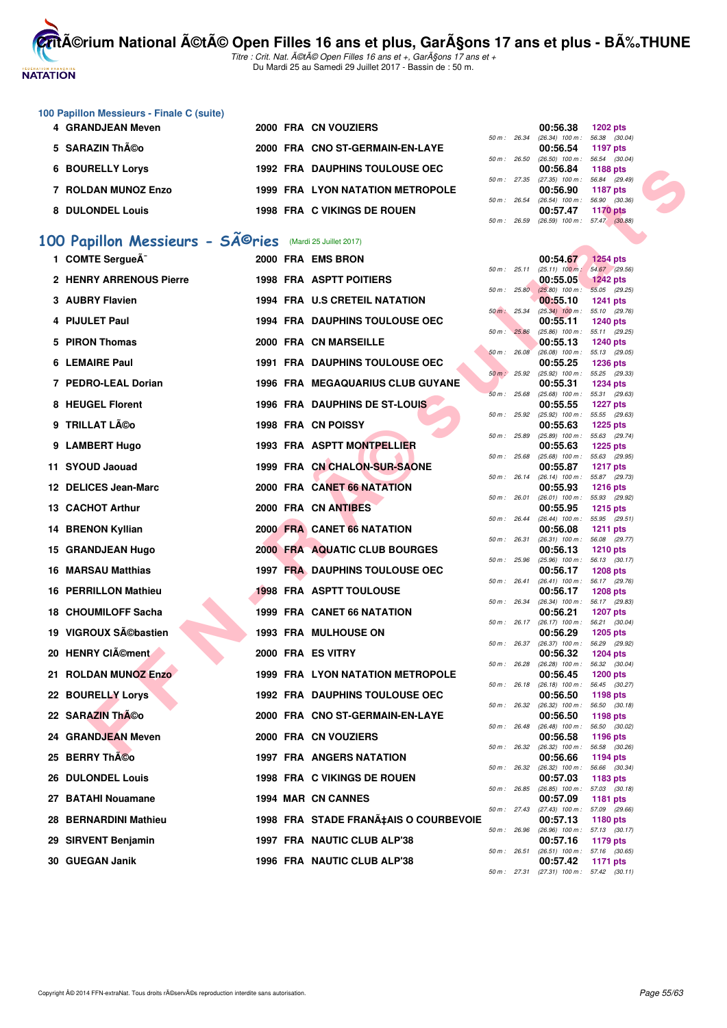# **NATATION**

**CritA©rium National A©tA© Open Filles 16 ans et plus, GarA§ons 17 ans et plus - BA%.THUNE** 

Titre : Crit. Nat. A©tA© Open Filles 16 ans et +, GarA§ons 17 ans et + Du Mardi 25 au Samedi 29 Juillet 2017 - Bassin de : 50 m.

# **100 Papillon Messieurs - Finale C (suite)**

| 4 GRANDJEAN Meven       |  | 2000 FRA CN VOUZIERS               |  | 00:56.38                                                     | 1202 pts |  |
|-------------------------|--|------------------------------------|--|--------------------------------------------------------------|----------|--|
| 5 SARAZIN Théo          |  | 2000 FRA CNO ST-GERMAIN-EN-LAYE    |  | 50 m : 26.34 (26.34) 100 m : 56.38 (30.<br>00:56.54 1197 pts |          |  |
| <b>6 BOURELLY Lorys</b> |  | 1992 FRA DAUPHINS TOULOUSE OEC     |  | 50 m: 26.50 (26.50) 100 m: 56.54 (30.<br>00:56.84 1188 pts   |          |  |
| 7 ROLDAN MUNOZ Enzo     |  | 1999 FRA LYON NATATION METROPOLE   |  | 50 m: 27.35 (27.35) 100 m: 56.84 (29.<br>00:56.90 1187 pts   |          |  |
| 8 DULONDEL Louis        |  | <b>1998 FRA C VIKINGS DE ROUEN</b> |  | 50 m : 26.54 (26.54) 100 m : 56.90 (30.<br>00:57.47          | 1170 pts |  |

# 100 Papillon Messieurs - SÃ<sup>@</sup>ries (Mardi 25 Juillet 2017)

| 6 BOURELLY Lorys               |  | <b>1992 FRA DAUPHINS TOULOUSE OEC</b>   |              | 00:56.84                                               | <b>1188 pts</b>                  |  |
|--------------------------------|--|-----------------------------------------|--------------|--------------------------------------------------------|----------------------------------|--|
| 7 ROLDAN MUNOZ Enzo            |  | <b>1999 FRA LYON NATATION METROPOLE</b> | 50 m: 27.35  | $(27.35)$ 100 m : 56.84 $(29.49)$<br>00:56.90          | <b>1187 pts</b>                  |  |
| 8 DULONDEL Louis               |  | <b>1998 FRA C VIKINGS DE ROUEN</b>      | 50 m: 26.54  | $(26.54)$ 100 m : 56.90 $(30.36)$<br>00:57.47          | <b>1170 pts</b>                  |  |
|                                |  |                                         | 50 m: 26.59  | $(26.59)$ 100 m : 57.47 $(30.88)$                      |                                  |  |
| 00 Papillon Messieurs - Séries |  | (Mardi 25 Juillet 2017)                 |              |                                                        |                                  |  |
| 1 COMTE SergueÃ <sup>-</sup>   |  | 2000 FRA EMS BRON                       |              | 00:54.67                                               | <b>1254 pts</b>                  |  |
|                                |  |                                         |              | 50 m : 25.11 (25.11) 100 m : 54.67 (29.56)             |                                  |  |
| 2 HENRY ARRENOUS Pierre        |  | <b>1998 FRA ASPTT POITIERS</b>          |              | 00:55.05<br>50 m : 25.80 (25.80) 100 m :               | <b>1242 pts</b><br>55.05 (29.25) |  |
| 3 AUBRY Flavien                |  | 1994 FRA U.S CRETEIL NATATION           |              | 00:55.10                                               | <b>1241 pts</b>                  |  |
| 4 PIJULET Paul                 |  | <b>1994 FRA DAUPHINS TOULOUSE OEC</b>   | 50 m: 25.34  | $(25.34)$ 100 m : 55.10 $(29.76)$<br>00:55.11          | <b>1240 pts</b>                  |  |
| 5 PIRON Thomas                 |  | 2000 FRA CN MARSEILLE                   | 50 m : 25.86 | $(25.86)$ 100 m : 55.11 $(29.25)$<br>00:55.13          | <b>1240 pts</b>                  |  |
| 6 LEMAIRE Paul                 |  | <b>1991 FRA DAUPHINS TOULOUSE OEC</b>   | 50 m: 26.08  | $(26.08)$ 100 m : 55.13 $(29.05)$<br>00:55.25          | <b>1236 pts</b>                  |  |
| 7 PEDRO-LEAL Dorian            |  | <b>1996 FRA MEGAQUARIUS CLUB GUYANE</b> | 50 m : 25.92 | $(25.92)$ 100 m : 55.25 $(29.33)$<br>00:55.31          | 1234 pts                         |  |
|                                |  |                                         | 50 m: 25.68  | $(25.68)$ 100 m : 55.31 $(29.63)$                      |                                  |  |
| 8 HEUGEL Florent               |  | <b>1996 FRA DAUPHINS DE ST-LOUIS</b>    | 50 m: 25.92  | 00:55.55<br>(25.92) 100 m : 55.55 (29.63)              | <b>1227 pts</b>                  |  |
| 9 TRILLAT Léo                  |  | 1998 FRA CN POISSY                      |              | 00:55.63                                               | <b>1225 pts</b>                  |  |
| 9 LAMBERT Hugo                 |  | 1993 FRA ASPTT MONTPELLIER              | 50 m : 25.89 | $(25.89)$ 100 m : 55.63 $(29.74)$<br>00:55.63          | 1225 pts                         |  |
| 11 SYOUD Jaouad                |  | 1999 FRA CN CHALON-SUR-SAONE            | 50 m: 25.68  | (25.68) 100 m: 55.63 (29.95)<br>00:55.87               |                                  |  |
|                                |  |                                         | 50 m: 26.14  | (26.14) 100 m: 55.87 (29.73)                           | <b>1217 pts</b>                  |  |
| 12 DELICES Jean-Marc           |  | 2000 FRA CANET 66 NATATION              | 50 m : 26.01 | 00:55.93<br>(26.01) 100 m: 55.93 (29.92)               | <b>1216 pts</b>                  |  |
| 13 CACHOT Arthur               |  | 2000 FRA CN ANTIBES                     |              | 00:55.95                                               | <b>1215 pts</b>                  |  |
| 14 BRENON Kyllian              |  | 2000 FRA CANET 66 NATATION              | 50 m : 26.44 | $(26.44)$ 100 m : 55.95 $(29.51)$<br>00:56.08          | <b>1211 pts</b>                  |  |
| 15 GRANDJEAN Hugo              |  | 2000 FRA AQUATIC CLUB BOURGES           | 50 m : 26.31 | $(26.31)$ 100 m : 56.08 $(29.77)$<br>00:56.13          | <b>1210 pts</b>                  |  |
| 16 MARSAU Matthias             |  | <b>1997 FRA DAUPHINS TOULOUSE OEC</b>   | 50 m : 25.96 | $(25.96)$ 100 m : 56.13 $(30.17)$<br>00:56.17          | 1208 pts                         |  |
| <b>16 PERRILLON Mathieu</b>    |  | <b>1998 FRA ASPTT TOULOUSE</b>          | 50 m: 26.41  | $(26.41)$ 100 m : 56.17 $(29.76)$<br>00:56.17          | <b>1208 pts</b>                  |  |
|                                |  |                                         | 50 m: 26.34  | (26.34) 100 m: 56.17 (29.83)                           |                                  |  |
| <b>18 CHOUMILOFF Sacha</b>     |  | 1999 FRA CANET 66 NATATION              |              | 00:56.21<br>50 m: 26.17 (26.17) 100 m: 56.21 (30.04)   | <b>1207 pts</b>                  |  |
| 19 VIGROUX Sĩbastien           |  | <b>1993 FRA MULHOUSE ON</b>             |              | 00:56.29                                               | <b>1205 pts</b>                  |  |
| 20 HENRY CIément               |  | 2000 FRA ES VITRY                       |              | 50 m: 26.37 (26.37) 100 m: 56.29 (29.92)<br>00:56.32   | <b>1204 pts</b>                  |  |
| 21 ROLDAN MUNOZ Enzo           |  | <b>1999 FRA LYON NATATION METROPOLE</b> | 50 m: 26.28  | $(26.28)$ 100 m : 56.32 $(30.04)$<br>00:56.45          | <b>1200 pts</b>                  |  |
|                                |  |                                         |              | 50 m: 26.18 (26.18) 100 m: 56.45 (30.27)               |                                  |  |
| 22 BOURELLY Lorys              |  | <b>1992 FRA DAUPHINS TOULOUSE OEC</b>   |              | 00:56.50<br>50 m: 26.32 (26.32) 100 m: 56.50 (30.18)   | 1198 pts                         |  |
| 22 SARAZIN Théo                |  | 2000 FRA CNO ST-GERMAIN-EN-LAYE         | 50 m: 26.48  | 00:56.50<br>$(26.48)$ 100 m : 56.50 $(30.02)$          | 1198 pts                         |  |
| 24 GRANDJEAN Meven             |  | 2000 FRA CN VOUZIERS                    |              | 00:56.58                                               | 1196 pts                         |  |
| 25 BERRY ThÃCo                 |  | <b>1997 FRA ANGERS NATATION</b>         |              | 50 m : 26.32 (26.32) 100 m : 56.58 (30.26)<br>00:56.66 | 1194 pts                         |  |
| <b>26 DULONDEL Louis</b>       |  | <b>1998 FRA C VIKINGS DE ROUEN</b>      | 50 m : 26.32 | $(26.32)$ 100 m : 56.66 $(30.34)$<br>00:57.03          | 1183 pts                         |  |
| 27 BATAHI Nouamane             |  | 1994 MAR CN CANNES                      | 50 m : 26.85 | $(26.85)$ 100 m : 57.03 $(30.18)$<br>00:57.09          | 1181 pts                         |  |
| 28 BERNARDINI Mathieu          |  | 1998 FRA STADE FRANA‡AIS O COURBEVOIE   | 50 m : 27.43 | $(27.43)$ 100 m : 57.09 $(29.66)$<br>00:57.13          | 1180 pts                         |  |
| 29 SIRVENT Benjamin            |  | 1997 FRA NAUTIC CLUB ALP'38             | 50 m : 26.96 | $(26.96)$ 100 m : 57.13 $(30.17)$<br>00:57.16          | 1179 pts                         |  |
|                                |  |                                         | 50 m: 26.51  | $(26.51)$ 100 m : 57.16 $(30.65)$                      |                                  |  |
| 30 GUEGAN Janik                |  | 1996 FRA NAUTIC CLUB ALP'38             |              | 00:57.42                                               | <b>1171 pts</b>                  |  |

|          |       | 00:56.38          | <b>1202 pts</b> |
|----------|-------|-------------------|-----------------|
| $50 m$ : | 26.34 | $(26.34)$ 100 m : | 56.38 (30.04)   |
|          |       | 00:56.54          | <b>1197 pts</b> |
| $50 m$ : | 26.50 | $(26.50)$ 100 m : | 56.54 (30.04)   |
|          |       | 00:56.84          | 1188 pts        |
| $50 m$ : | 27.35 | $(27.35)$ 100 m : | 56.84 (29.49)   |
|          |       | 00:56.90          | <b>1187 pts</b> |
| $50 m$ : | 26.54 | $(26.54)$ 100 m : | 56.90 (30.36)   |
|          |       | 00:57.47          | <b>1170 pts</b> |
| $50 m$ : | 26.59 | $(26.59)$ 100 m : | 57.47 (30.88)   |
|          |       |                   |                 |

|          |       | 00:54.67                      | <b>1254 pts</b>              |
|----------|-------|-------------------------------|------------------------------|
| $50 m$ : | 25.11 | $(25.11)$ 100 m :             | 54.67<br>(29.56)             |
|          |       | 00:55.05                      | <b>1242 pts</b>              |
| $50 m$ : | 25.80 | $(25.80)$ 100 m :             | 55.05<br>(29.25)             |
|          |       | 00:55.10                      | 1241<br>pts                  |
| $50 m$ : | 25.34 | $(25.34)$ 100 m :             | 55.10<br>(29.76)             |
|          |       | 00:55.11                      | 1240 pts                     |
| $50 m$ : | 25.86 | $(25.86)$ 100 m :             | 55.11<br>(29.25)             |
|          |       | 00:55.13                      | 1240 pts                     |
| $50 m$ : | 26.08 | $(26.08)$ 100 m :             | 55.13<br>(29.05)             |
| $50 m$ : | 25.92 | 00:55.25<br>$(25.92)$ 100 m : | 1236 pts                     |
|          |       | 00:55.31                      | 55.25<br>(29.33)<br>1234 pts |
| $50 m$ : | 25.68 | $(25.68)$ 100 m :             | (29.63)<br>55.31             |
|          |       | 00:55.55                      | 1227 pts                     |
| $50 m$ : | 25.92 | $(25.92)$ 100 m :             | 55.55<br>(29.63)             |
|          |       | 00:55.63                      | 1225 pts                     |
| $50 m$ : | 25.89 | $(25.89)$ 100 m :             | 55.63<br>(29.74)             |
|          |       | 00:55.63                      | 1225 pts                     |
| $50 m$ : | 25.68 | $(25.68)$ 100 m :             | 55.63<br>(29.95)             |
|          |       | 00:55.87                      | 1217 pts                     |
| $50 m$ : | 26.14 | $(26.14)$ 100 m :             | 55.87<br>(29.73)             |
|          |       | 00:55.93                      | 1216 pts                     |
| $50 m$ : | 26.01 | $(26.01)$ 100 m :             | 55.93<br>(29.92)             |
|          |       | 00:55.95                      | 1215 pts                     |
| $50 m$ : | 26.44 | $(26.44)$ 100 m :             | (29.51)<br>55.95             |
|          |       | 00:56.08                      | 1211<br>pts                  |
| $50 m$ : | 26.31 | $(26.31)$ 100 m :             | 56.08<br>(29.77)             |
| $50 m$ : | 25.96 | 00:56.13<br>$(25.96)$ 100 m : | 1210 pts<br>(30.17)          |
|          |       | 00:56.17                      | 56.13<br>1208 pts            |
| $50 m$ : | 26.41 | $(26.41)$ 100 m :             | 56.17<br>(29.76)             |
|          |       | 00:56.17                      | 1208 pts                     |
| $50 m$ : | 26.34 | $(26.34)$ 100 m :             | 56.17<br>(29.83)             |
|          |       | 00:56.21                      | 1207 pts                     |
| $50 m$ : | 26.17 | $(26.17)$ 100 m :             | (30.04)<br>56.21             |
|          |       | 00:56.29                      | 1205 pts                     |
| $50 m$ : | 26.37 | $(26.37)$ 100 m :             | 56.29<br>(29.92)             |
|          |       | 00:56.32                      | 1204 pts                     |
| $50 m$ : | 26.28 | $(26.28)$ 100 m :             | 56.32<br>(30.04)             |
|          |       | 00:56.45                      | 1200 pts                     |
| $50 m$ : | 26.18 | $(26.18)$ 100 m :             | 56.45<br>(30.27)             |
|          |       | 00:56.50                      | 1198 pts                     |
| $50 m$ : | 26.32 | $(26.32)$ 100 m :             | 56.50<br>(30.18)             |
| $50 m$ : | 26.48 | 00:56.50                      | 1198 pts                     |
|          |       | $(26.48)$ 100 m :<br>00:56.58 | 56.50<br>(30.02)             |
| $50 m$ : | 26.32 | $(26.32)$ 100 m :             | 1196 pts<br>56.58<br>(30.26) |
|          |       | 00:56.66                      | 1194 pts                     |
| $50 m$ : | 26.32 | $(26.32)$ 100 m :             | 56.66<br>(30.34)             |
|          |       | 00:57.03                      | 1183 pts                     |
| $50 m$ : | 26.85 | $(26.85)$ 100 m :             | (30.18)<br>57.03             |
|          |       | 00:57.09                      | 1181<br>pts                  |
| $50 m$ : | 27.43 | $(27.43)$ 100 m :             | 57.09<br>(29.66)             |
|          |       | 00:57.13                      | 1180 pts                     |
| $50 m$ : | 26.96 | $(26.96)$ 100 m :             | 57.13<br>(30.17)             |
|          |       | 00:57.16                      | 1179 pts                     |
| $50 m$ : | 26.51 | $(26.51)$ 100 m :             | (30.65)<br>57.16             |
|          |       | 00:57.42                      | 1171<br>pts                  |
| 50 m:    | 27.31 | $(27.31)$ 100 m :             | 57.42 (30.11)                |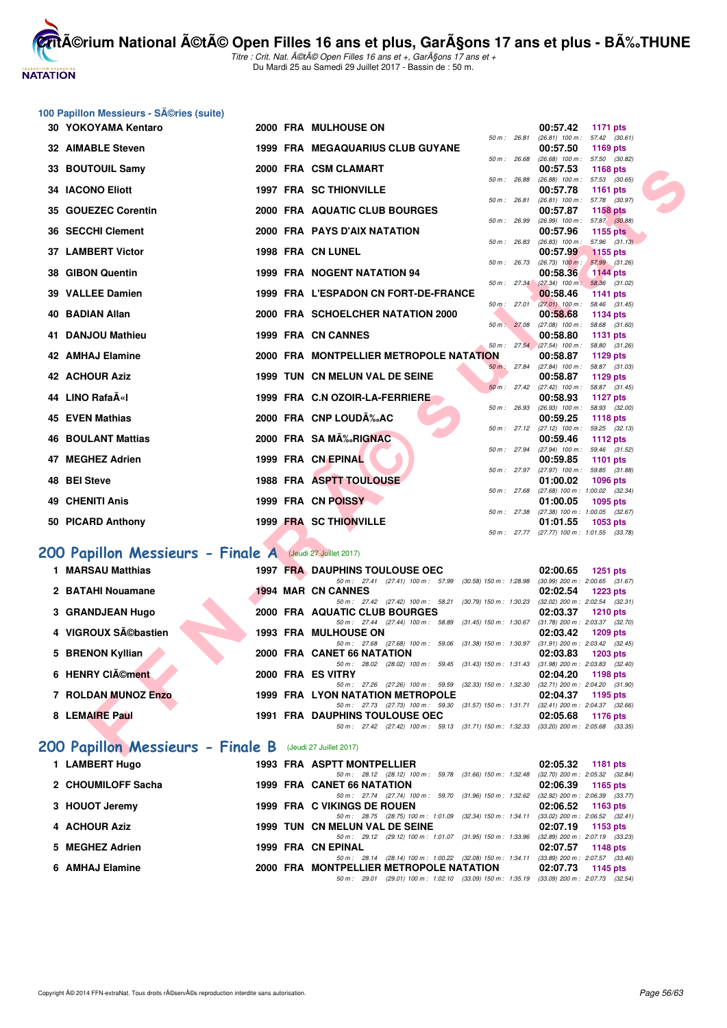

Titre : Crit. Nat. A©tA© Open Filles 16 ans et +, GarA§ons 17 ans et + Du Mardi 25 au Samedi 29 Juillet 2017 - Bassin de : 50 m.

|    | 100 Papillon Messieurs - Séries (suite)                   |  |                                                                                                                                 |                                                                    |
|----|-----------------------------------------------------------|--|---------------------------------------------------------------------------------------------------------------------------------|--------------------------------------------------------------------|
|    | 30 YOKOYAMA Kentaro                                       |  | 2000 FRA MULHOUSE ON                                                                                                            | 00:57.42<br>1171 pts                                               |
|    |                                                           |  | 50 m : 26.81                                                                                                                    | $(26.81)$ 100 m : 57.42 $(30.61)$                                  |
|    | <b>32 AIMABLE Steven</b>                                  |  | 1999 FRA MEGAQUARIUS CLUB GUYANE<br>50 m : 26.68                                                                                | 00:57.50<br><b>1169 pts</b><br>$(26.68)$ 100 m : 57.50 $(30.82)$   |
|    | 33 BOUTOUIL Samy                                          |  | 2000 FRA CSM CLAMART                                                                                                            | 00:57.53<br><b>1168 pts</b>                                        |
|    |                                                           |  | 50 m : 26.88                                                                                                                    | (26.88) 100 m: 57.53 (30.65)                                       |
| 34 | <b>IACONO Eliott</b>                                      |  | <b>1997 FRA SC THIONVILLE</b><br>50 m : 26.81                                                                                   | 00:57.78<br>1161 $pts$<br>57.78 (30.97)<br>$(26.81)$ 100 m :       |
| 35 | <b>GOUEZEC Corentin</b>                                   |  | 2000 FRA AQUATIC CLUB BOURGES                                                                                                   | 00:57.87<br><b>1158 pts</b>                                        |
| 36 | <b>SECCHI Clement</b>                                     |  | 50 m : 26.99<br>2000 FRA PAYS D'AIX NATATION                                                                                    | $(26.99)$ 100 m : 57.87 $(30.88)$<br>00:57.96<br><b>1155 pts</b>   |
|    |                                                           |  | 50 m : 26.83                                                                                                                    | 57.96 (31.13)<br>$(26.83)$ 100 m :                                 |
|    | 37 LAMBERT Victor                                         |  | 1998 FRA CN LUNEL<br>50 m : 26.73                                                                                               | 00:57.99<br><b>1155 pts</b><br>$(26.73)$ 100 m :<br>57.99 (31.26)  |
| 38 | <b>GIBON Quentin</b>                                      |  | 1999 FRA NOGENT NATATION 94                                                                                                     | 00:58.36<br><b>1144 pts</b>                                        |
| 39 | <b>VALLEE Damien</b>                                      |  | 1999 FRA L'ESPADON CN FORT-DE-FRANCE                                                                                            | 50 m : 27.34 (27.34) 100 m : 58.36 (31.02)<br>00:58.46<br>1141 pts |
|    |                                                           |  | 50 m: 27.01                                                                                                                     | $(27.01)$ 100 m : 58.46 $(31.45)$                                  |
| 40 | <b>BADIAN Allan</b>                                       |  | 2000 FRA SCHOELCHER NATATION 2000<br>50 m: 27.08                                                                                | 00:58.68<br>1134 pts                                               |
| 41 | <b>DANJOU Mathieu</b>                                     |  | 1999 FRA CN CANNES                                                                                                              | $(27.08)$ 100 m :<br>58.68 (31.60)<br>00:58.80<br><b>1131 pts</b>  |
|    |                                                           |  |                                                                                                                                 | 50 m : 27.54 (27.54) 100 m : 58.80 (31.26)                         |
|    | 42 AMHAJ Elamine                                          |  | <b>2000 FRA MONTPELLIER METROPOLE NATATION</b>                                                                                  | 00:58.87<br>1129 pts                                               |
|    | <b>42 ACHOUR Aziz</b>                                     |  | 50 m: 27.84<br>1999 TUN CN MELUN VAL DE SEINE                                                                                   | $(27.84)$ 100 m :<br>58.87 (31.03)<br>00:58.87<br>1129 pts         |
|    |                                                           |  | 50 m: 27.42                                                                                                                     | $(27.42)$ 100 m :<br>58.87 (31.45)                                 |
|    | 44 LINO RafaīI                                            |  | 1999 FRA C.N OZOIR-LA-FERRIERE                                                                                                  | 00:58.93<br>1127 pts                                               |
|    | <b>45 EVEN Mathias</b>                                    |  | 50 m : 26.93<br>2000 FRA CNP LOUDÉAC                                                                                            | $(26.93)$ 100 m : 58.93 $(32.00)$<br>00:59.25<br><b>1118 pts</b>   |
|    |                                                           |  | 50 m : 27.12                                                                                                                    | $(27.12)$ 100 m : 59.25 $(32.13)$                                  |
| 46 | <b>BOULANT Mattias</b>                                    |  | 2000 FRA SA MÉRIGNAC<br>50 m : 27.94                                                                                            | 00:59.46<br><b>1112 pts</b><br>$(27.94)$ 100 m : 59.46 $(31.52)$   |
|    | 47 MEGHEZ Adrien                                          |  | 1999 FRA CN EPINAL                                                                                                              | 00:59.85<br>1101 pts                                               |
| 48 | <b>BEI Steve</b>                                          |  | 50 m : 27.97<br>1988 FRA ASPTT TOULOUSE                                                                                         | $(27.97)$ 100 m : 59.85 $(31.88)$<br>01:00.02<br><b>1096 pts</b>   |
|    |                                                           |  | 50 m: 27.68                                                                                                                     | $(27.68)$ 100 m : 1:00.02 $(32.34)$                                |
| 49 | <b>CHENITI Anis</b>                                       |  | 1999 FRA CN POISSY<br>50 m: 27.38                                                                                               | 01:00.05<br>1095 pts<br>(27.38) 100 m : 1:00.05 (32.67)            |
|    | 50 PICARD Anthony                                         |  | 1999 FRA SC THIONVILLE                                                                                                          | 01:01.55<br>1053 pts                                               |
|    |                                                           |  |                                                                                                                                 | 50 m: 27.77 (27.77) 100 m: 1:01.55 (33.78)                         |
|    | 200 Papillon Messieurs - Finale A (Jeudi 27 Juillet 2017) |  |                                                                                                                                 |                                                                    |
|    | 1 MARSAU Matthias                                         |  | <b>1997 FRA DAUPHINS TOULOUSE OEC</b>                                                                                           | 02:00.65<br>1251 pts                                               |
|    |                                                           |  | 50 m: 27.41 (27.41) 100 m: 57.99 (30.58) 150 m: 1:28.98 (30.99) 200 m: 2:00.65 (31.67)                                          |                                                                    |
|    | 2 BATAHI Nouamane                                         |  | <b>1994 MAR CN CANNES</b><br>50 m: 27.42 (27.42) 100 m: 58.21 (30.79) 150 m: 1:30.23                                            | 02:02.54<br><b>1223 pts</b><br>$(32.02)$ 200 m : 2:02.54 $(32.31)$ |
|    | 3 GRANDJEAN Hugo                                          |  | 2000 FRA AQUATIC CLUB BOURGES                                                                                                   | 02:03.37<br><b>1210 pts</b>                                        |
|    |                                                           |  | 50 m: 27.44 (27.44) 100 m: 58.89 (31.45) 150 m: 1:30.67                                                                         | $(31.78)$ 200 m : 2:03.37 $(32.70)$                                |
|    | 4 VIGROUX Sébastien                                       |  | <b>1993 FRA MULHOUSE ON</b><br>50 m: 27.68 (27.68) 100 m: 59.06 (31.38) 150 m: 1:30.97 (31.91) 200 m: 2:03.42 (32.45)           | 02:03.42<br>1209 pts                                               |
|    | <b>BRENON Kyllian</b>                                     |  | 2000 FRA CANET 66 NATATION                                                                                                      | 02:03.83<br>1203 pts                                               |
|    | 6 HENRY CIément                                           |  | 50 m: 28.02 (28.02) 100 m: 59.45 (31.43) 150 m: 1:31.43 (31.98) 200 m: 2:03.83 (32.40)<br>2000 FRA ES VITRY                     | 02:04.20<br>1198 pts                                               |
|    |                                                           |  | 50 m: 27.26 (27.26) 100 m: 59.59 (32.33) 150 m: 1:32.30 (32.71) 200 m: 2:04.20 (31.90)                                          |                                                                    |
|    | 7 ROLDAN MUNOZ Enzo                                       |  | 1999 FRA LYON NATATION METROPOLE                                                                                                | 02:04.37<br>1195 pts                                               |
|    | 8 LEMAIRE Paul                                            |  | 50 m: 27.73 (27.73) 100 m: 59.30 (31.57) 150 m: 1:31.71 (32.41) 200 m: 2:04.37 (32.66)<br><b>1991 FRA DAUPHINS TOULOUSE OEC</b> | 02:05.68                                                           |
|    |                                                           |  | 50 m: 27.42 (27.42) 100 m: 59.13 (31.71) 150 m: 1:32.33 (33.20) 200 m: 2:05.68 (33.35)                                          | <b>1176 pts</b>                                                    |
|    | 200 Papillon Messieurs - Finale B (Jeudi 27 Juillet 2017) |  |                                                                                                                                 |                                                                    |

## **[200 Papillon Messieurs - Finale A](http://www.ffnatation.fr/webffn/resultats.php?idact=nat&go=epr&idcpt=47487&idepr=83)** (Jeudi 27 Juillet 2017)

| 1 MARSAU Matthias   |  | <b>1997 FRA DAUPHINS TOULOUSE OEC</b>                                                                                           | 02:00.65 | 1251 $pts$                                        |
|---------------------|--|---------------------------------------------------------------------------------------------------------------------------------|----------|---------------------------------------------------|
| 2 BATAHI Nouamane   |  | 50 m: 27.41 (27.41) 100 m: 57.99 (30.58) 150 m: 1:28.98<br><b>1994 MAR CN CANNES</b>                                            | 02:02.54 | $(30.99)$ 200 m : 2:00.65 $(31.67)$<br>$1223$ pts |
| 3 GRANDJEAN Hugo    |  | 50 m: 27.42 (27.42) 100 m: 58.21 (30.79) 150 m: 1:30.23<br>2000 FRA AQUATIC CLUB BOURGES                                        | 02:03.37 | $(32.02)$ 200 m : 2:02.54 $(32.31)$<br>1210 pts   |
| 4 VIGROUX Sébastien |  | 50 m: 27.44 (27.44) 100 m: 58.89 (31.45) 150 m: 1:30.67 (31.78) 200 m: 2:03.37 (32.70)<br><b>1993 FRA MULHOUSE ON</b>           | 02:03.42 | 1209 pts                                          |
| 5 BRENON Kyllian    |  | 50 m: 27.68 (27.68) 100 m: 59.06 (31.38) 150 m: 1:30.97<br>2000 FRA CANET 66 NATATION                                           | 02:03.83 | $(31.91)$ 200 m : 2:03.42 $(32.45)$<br>1203 pts   |
| 6 HENRY CIÃOment    |  | 50 m : 28.02 (28.02) 100 m : 59.45 (31.43) 150 m : 1:31.43<br>2000 FRA ES VITRY                                                 | 02:04.20 | $(31.98)$ 200 m : 2:03.83 $(32.40)$<br>1198 pts   |
| 7 ROLDAN MUNOZ Enzo |  | 50 m : 27.26 (27.26) 100 m : 59.59 (32.33) 150 m : 1:32.30<br>1999 FRA LYON NATATION METROPOLE                                  | 02:04.37 | $(32.71)$ 200 m : 2:04.20 $(31.90)$<br>1195 pts   |
| 8 LEMAIRE Paul      |  | 50 m: 27.73 (27.73) 100 m: 59.30 (31.57) 150 m: 1:31.71 (32.41) 200 m: 2:04.37 (32.66)<br><b>1991 FRA DAUPHINS TOULOUSE OEC</b> | 02:05.68 | 1176 pts                                          |
|                     |  | 50 m: 27.42 (27.42) 100 m: 59.13 (31.71) 150 m: 1:32.33 (33.20) 200 m: 2:05.68 (33.35)                                          |          |                                                   |

## **[200 Papillon Messieurs - Finale B](http://www.ffnatation.fr/webffn/resultats.php?idact=nat&go=epr&idcpt=47487&idepr=83)** (Jeudi 27 Juillet 2017)

| 1 LAMBERT Hugo     |  | <b>1993 FRA ASPTT MONTPELLIER</b>                                                           |                                     | 02:05.32 1181 pts |
|--------------------|--|---------------------------------------------------------------------------------------------|-------------------------------------|-------------------|
|                    |  | 50 m: 28.12 (28.12) 100 m: 59.78 (31.66) 150 m: 1:32.48                                     | (32.70) 200 m : 2:05.32 (32.84      |                   |
| 2 CHOUMILOFF Sacha |  | 1999 FRA CANET 66 NATATION                                                                  | $02:06.39$ 1165 pts                 |                   |
|                    |  | 50 m: 27.74 (27.74) 100 m: 59.70 (31.96) 150 m: 1:32.62                                     | (32.92) 200 m : 2:06.39 (33.77      |                   |
| 3 HOUOT Jeremy     |  | 1999 FRA C VIKINGS DE ROUEN                                                                 | $02:06.52$ 1163 pts                 |                   |
|                    |  | 50 m: 28.75 (28.75) 100 m: 1:01.09 (32.34) 150 m: 1:34.11                                   | $(33.02)$ 200 m : 2:06.52 $(32.41)$ |                   |
| 4 ACHOUR Aziz      |  | 1999 TUN CN MELUN VAL DE SEINE                                                              | 02:07.19 1153 pts                   |                   |
|                    |  | 50 m: 29.12 (29.12) 100 m: 1:01.07 (31.95) 150 m: 1:33.96                                   | (32.89) 200 m : 2:07.19 (33.23)     |                   |
| 5 MEGHEZ Adrien    |  | 1999 FRA CN EPINAL                                                                          | 02:07.57 1148 pts                   |                   |
|                    |  | 50 m: 28.14 (28.14) 100 m: 1:00.22 (32.08) 150 m: 1:34.11                                   | $(33.89)$ 200 m : 2:07.57 $(33.46)$ |                   |
| 6 AMHAJ Elamine    |  | 2000 FRA MONTPELLIER METROPOLE NATATION                                                     | 02:07.73 1145 pts                   |                   |
|                    |  | 50 m : 29.01 (29.01) 100 m : 1:02.10 (33.09) 150 m : 1:35.19 (33.09) 200 m : 2:07.73 (32.54 |                                     |                   |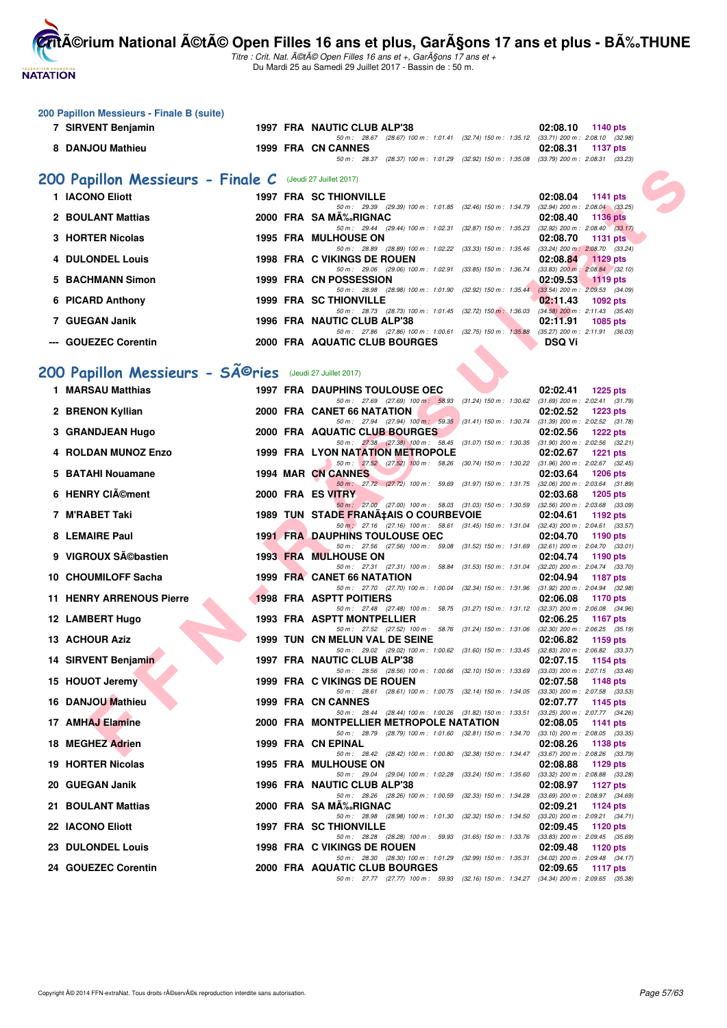**NATATION** 

**200 Papillon Messieurs - Finale B (suite)**

**CritA©rium National A©tA© Open Filles 16 ans et plus, GarA§ons 17 ans et plus - BA%.THUNE** 

Titre : Crit. Nat. A©tA© Open Filles 16 ans et +, GarA§ons 17 ans et + Du Mardi 25 au Samedi 29 Juillet 2017 - Bassin de : 50 m.

|    | 7 SIRVENT Benjamin                                        |  | 1997 FRA NAUTIC CLUB ALP'38                                                                                                         | 02:08.10<br>1140 pts                                        |
|----|-----------------------------------------------------------|--|-------------------------------------------------------------------------------------------------------------------------------------|-------------------------------------------------------------|
|    | 8 DANJOU Mathieu                                          |  | 50 m: 28.67 (28.67) 100 m: 1:01.41 (32.74) 150 m: 1:35.12 (33.71) 200 m: 2:08.10 (32.98)<br>1999 FRA CN CANNES                      | 02:08.31<br>1137 pts                                        |
|    |                                                           |  | 50 m: 28.37 (28.37) 100 m: 1:01.29 (32.92) 150 m: 1:35.08 (33.79) 200 m: 2:08.31 (33.23)                                            |                                                             |
|    | 200 Papillon Messieurs - Finale C (Jeudi 27 Juillet 2017) |  |                                                                                                                                     |                                                             |
|    | 1 IACONO Eliott                                           |  | <b>1997 FRA SC THIONVILLE</b>                                                                                                       | 02:08.04<br>1141 pts                                        |
| 2  | <b>BOULANT Mattias</b>                                    |  | 50 m: 29.39 (29.39) 100 m: 1:01.85 (32.46) 150 m: 1:34.79 (32.94) 200 m: 2:08.04 (33.25)<br>2000 FRA SAMA‰RIGNAC                    | 02:08.40<br><b>1136 pts</b>                                 |
|    | <b>HORTER Nicolas</b>                                     |  | 50 m : 29.44 (29.44) 100 m : 1:02.31 (32.87) 150 m : 1:35.23 (32.92) 200 m : 2:08.40 (33.17)<br><b>1995 FRA MULHOUSE ON</b>         | 02:08.70<br>1131 pts                                        |
|    | <b>DULONDEL Louis</b>                                     |  | 50 m: 28.89 (28.89) 100 m: 1:02.22 (33.33) 150 m: 1:35.46 (33.24) 200 m: 2:08.70 (33.24)<br><b>1998 FRA C VIKINGS DE ROUEN</b>      | 02:08.84<br><b>1129 pts</b>                                 |
|    | <b>BACHMANN Simon</b>                                     |  | 50 m : 29.06 (29.06) 100 m : 1:02.91 (33.85) 150 m : 1:36.74 (33.83) 200 m : 2:08.84 (32.10)<br>1999 FRA CN POSSESSION              | 02:09.53<br>$1119$ pts                                      |
|    | 6 PICARD Anthony                                          |  | 50 m: 28.98 (28.98) 100 m: 1:01.90 (32.92) 150 m: 1:35.44 (33.54) 200 m: 2:09.53 (34.09)<br>1999 FRA SC THIONVILLE                  | 02:11.43<br>1092 pts                                        |
|    |                                                           |  | 50 m: 28.73 (28.73) 100 m: 1:01.45 (32.72) 150 m: 1:36.03 (34.58) 200 m: 2:11.43 (35.40)                                            |                                                             |
|    | 7 GUEGAN Janik                                            |  | 1996 FRA NAUTIC CLUB ALP'38<br>50 m: 27.86 (27.86) 100 m: 1:00.61 (32.75) 150 m: 1:35.88 (35.27) 200 m: 2:11.91 (36.03)             | 02:11.91<br>1085 pts                                        |
|    | <b>GOUEZEC Corentin</b>                                   |  | 2000 FRA AQUATIC CLUB BOURGES                                                                                                       | <b>DSQ Vi</b>                                               |
|    | 200 Papillon Messieurs - Sîries (Jeudi 27 Juillet 2017)   |  |                                                                                                                                     |                                                             |
|    | 1 MARSAU Matthias                                         |  | <b>1997 FRA DAUPHINS TOULOUSE OEC</b>                                                                                               | 02:02.41<br>1225 pts                                        |
|    | 2 BRENON Kyllian                                          |  | 50 m : 27.69 (27.69) 100 m : 58.93 (31.24) 150 m : 1:30.62 (31.69) 200 m : 2:02.41 (31.79)<br>2000 FRA CANET 66 NATATION            | 02:02.52<br><b>1223 pts</b>                                 |
| 3. | <b>GRANDJEAN Hugo</b>                                     |  | 50 m: 27.94 (27.94) 100 m: 59.35 (31.41) 150 m: 1:30.74 (31.39) 200 m: 2:02.52 (31.78)<br>2000 FRA AQUATIC CLUB BOURGES             | 02:02.56<br>1222 pts                                        |
|    | <b>ROLDAN MUNOZ Enzo</b>                                  |  | 50 m: 27.38 (27.38) 100 m: 58.45 (31.07) 150 m: 1:30.35 (31.90) 200 m: 2:02.56 (32.21)<br><b>1999 FRA LYON NATATION METROPOLE</b>   | 02:02.67<br>1221 pts                                        |
|    |                                                           |  | 50 m: 27.52 (27.52) 100 m: 58.26 (30.74) 150 m: 1:30.22 (31.96) 200 m: 2:02.67 (32.45)                                              |                                                             |
| 5. | <b>BATAHI Nouamane</b>                                    |  | 1994 MAR CN CANNES<br>50 m: 27.72 (27.72) 100 m: 59.69 (31.97) 150 m: 1:31.75 (32.06) 200 m: 2:03.64 (31.89)                        | 02:03.64<br>1206 pts                                        |
|    | 6 HENRY CIément                                           |  | 2000 FRA ES VITRY<br>50 m: 27.00 (27.00) 100 m: 58.03 (31.03) 150 m: 1:30.59 (32.56) 200 m: 2:03.68 (33.09)                         | 02:03.68<br>1205 pts                                        |
|    | 7 M'RABET Taki                                            |  | 1989 TUN STADE FRANA‡AIS O COURBEVOIE<br>50 m : 27.16 (27.16) 100 m : 58.61 (31.45) 150 m : 1:31.04 (32.43) 200 m : 2:04.61 (33.57) | 02:04.61<br>1192 $pts$                                      |
| 8  | <b>LEMAIRE Paul</b>                                       |  | <b>1991 FRA DAUPHINS TOULOUSE OEC</b><br>50 m: 27.56 (27.56) 100 m: 59.08 (31.52) 150 m: 1.31.69 (32.61) 200 m: 2.04.70 (33.01)     | 02:04.70<br>1190 pts                                        |
|    | 9 VIGROUX Sébastien                                       |  | <b>1993 FRA MULHOUSE ON</b>                                                                                                         | 02:04.74<br>1190 pts                                        |
|    | 10 CHOUMILOFF Sacha                                       |  | 50 m: 27.31 (27.31) 100 m: 58.84 (31.53) 150 m: 1:31.04 (32.20) 200 m: 2:04.74 (33.70)<br>1999 FRA CANET 66 NATATION                | 02:04.94<br><b>1187 pts</b>                                 |
|    | <b>11 HENRY ARRENOUS Pierre</b>                           |  | 50 m: 27.70 (27.70) 100 m: 1:00.04 (32.34) 150 m: 1:31.96 (31.92) 200 m: 2:04.94 (32.98)<br><b>1998 FRA ASPTT POITIERS</b>          | 02:06.08<br>1170 pts                                        |
|    | 12 LAMBERT Hugo                                           |  | 50 m: 27.48 (27.48) 100 m: 58.75 (31.27) 150 m: 1:31.12 (32.37) 200 m: 2:06.08 (34.96)<br>1993 FRA ASPTT MONTPELLIER                | 02:06.25<br>1167 pts                                        |
|    | <b>13 ACHOUR Aziz</b>                                     |  | 50 m: 27.52 (27.52) 100 m: 58.76 (31.24) 150 m: 1:31.06 (32.30) 200 m: 2:06.25 (35.19)<br>1999 TUN CN MELUN VAL DE SEINE            | 02:06.82<br>1159 pts                                        |
|    | 14 SIRVENT Benjamin                                       |  | 50 m: 29.02 (29.02) 100 m: 1:00.62 (31.60) 150 m: 1:33.45 (32.83) 200 m: 2:06.82 (33.37)                                            | 02:07.15                                                    |
|    |                                                           |  | 1997 FRA NAUTIC CLUB ALP'38<br>50 m : 28.56 (28.56) 100 m : 1:00.66 (32.10) 150 m : 1:33.69                                         | 1154 pts<br>$(33.03)$ 200 m : 2:07.15 $(33.46)$             |
|    | 15 HOUOT Jeremy                                           |  | 1999 FRA C VIKINGS DE ROUEN<br>50 m : 28.61 (28.61) 100 m : 1:00.75 (32.14) 150 m : 1:34.05                                         | 02:07.58<br>1148 pts<br>$(33.30)$ 200 m : 2:07.58 $(33.53)$ |
|    | 16 DANJOU Mathieu                                         |  | 1999 FRA CN CANNES<br>50 m : 28.44 (28.44) 100 m : 1:00.26 (31.82) 150 m : 1:33.51                                                  | 02:07.77<br>1145 pts<br>(33.25) 200 m : 2:07.77 (34.26)     |
|    | 17 AMHAJ Elamine                                          |  | 2000 FRA MONTPELLIER METROPOLE NATATION<br>50 m : 28.79 (28.79) 100 m : 1:01.60 (32.81) 150 m : 1:34.70                             | 02:08.05<br>1141 pts<br>$(33.10)$ 200 m : 2:08.05 $(33.35)$ |
|    | 18 MEGHEZ Adrien                                          |  | 1999 FRA CN EPINAL<br>50 m: 28.42 (28.42) 100 m: 1:00.80 (32.38) 150 m: 1:34.47                                                     | 02:08.26<br>1138 pts<br>$(33.67)$ 200 m : 2:08.26 $(33.79)$ |
|    | 19 HORTER Nicolas                                         |  | <b>1995 FRA MULHOUSE ON</b>                                                                                                         | 02:08.88<br>1129 pts                                        |
|    | 20 GUEGAN Janik                                           |  | 50 m : 29.04 (29.04) 100 m : 1:02.28 (33.24) 150 m : 1:35.60<br>1996 FRA NAUTIC CLUB ALP'38                                         | $(33.32)$ 200 m : 2:08.88 $(33.28)$<br>02:08.97<br>1127 pts |
|    | 21 BOULANT Mattias                                        |  | 50 m : 28.26 (28.26) 100 m : 1:00.59 (32.33) 150 m : 1:34.28<br>2000 FRA SA MA‰RIGNAC                                               | $(33.69)$ 200 m : 2:08.97 $(34.69)$<br>02:09.21<br>1124 pts |
|    | 22 IACONO Eliott                                          |  | 50 m : 28.98 (28.98) 100 m : 1:01.30 (32.32) 150 m : 1:34.50<br>1997 FRA SC THIONVILLE                                              | $(33.20)$ 200 m : 2:09.21 $(34.71)$<br>02:09.45<br>1120 pts |
|    | 23 DULONDEL Louis                                         |  | 50 m : 28.28 (28.28) 100 m : 59.93 (31.65) 150 m : 1:33.76 (33.83) 200 m : 2:09.45 (35.69)<br>1998 FRA C VIKINGS DE ROUEN           | 02:09.48<br>1120 pts                                        |
|    | 24 GOUEZEC Corentin                                       |  | 50 m : 28.30 (28.30) 100 m : 1:01.29 (32.99) 150 m : 1:35.31 (34.02) 200 m : 2:09.48 (34.17)                                        |                                                             |
|    |                                                           |  | 2000 FRA AQUATIC CLUB BOURGES                                                                                                       | 02:09.65<br>1117 pts                                        |

50 m : 27.77 (27.77) 100 m : 59.93 (32.16) 150 m : 1:34.27 (34.34) 200 m : 2:09.65 (35.38)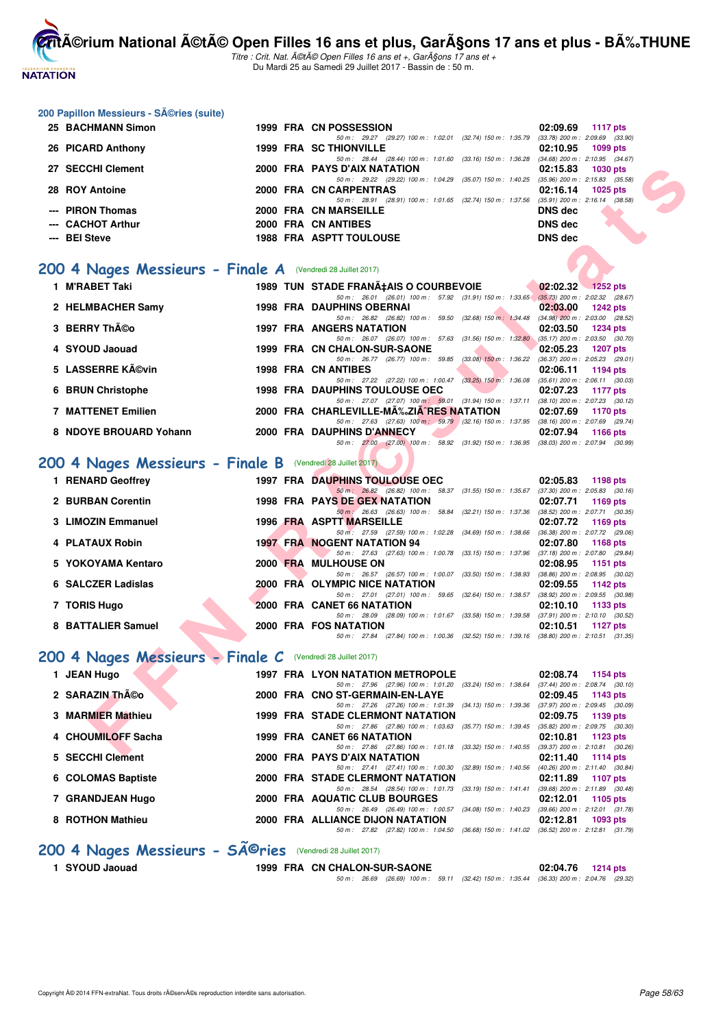

Titre : Crit. Nat. A©tA© Open Filles 16 ans et +, GarA§ons 17 ans et + Du Mardi 25 au Samedi 29 Juillet 2017 - Bassin de : 50 m.

#### **200 Papillon Messieurs - Séries (suite)**

| 25 BACHMANN Simon |  | 1999 FRA CN POSSESSION                                                                       |         | 02:09.69 1117 pts   |
|-------------------|--|----------------------------------------------------------------------------------------------|---------|---------------------|
|                   |  | 50 m : 29.27 (29.27) 100 m : 1:02.01 (32.74) 150 m : 1:35.79 (33.78) 200 m : 2:09.69 (33.90) |         |                     |
| 26 PICARD Anthony |  | <b>1999 FRA SC THIONVILLE</b>                                                                |         | 02:10.95 1099 pts   |
|                   |  | 50 m: 28.44 (28.44) 100 m: 1:01.60 (33.16) 150 m: 1:36.28 (34.68) 200 m: 2:10.95 (34.67)     |         |                     |
| 27 SECCHI Clement |  | 2000 FRA PAYS D'AIX NATATION                                                                 |         | $02:15.83$ 1030 pts |
|                   |  | 50 m : 29.22 (29.22) 100 m : 1:04.29 (35.07) 150 m : 1:40.25 (35.96) 200 m : 2:15.83 (35.58) |         |                     |
| 28 ROY Antoine    |  | 2000 FRA CN CARPENTRAS                                                                       |         | $02:16.14$ 1025 pts |
|                   |  | 50 m : 28.91 (28.91) 100 m : 1:01.65 (32.74) 150 m : 1:37.56 (35.91) 200 m : 2:16.14 (38.58) |         |                     |
| --- PIRON Thomas  |  | 2000 FRA CN MARSEILLE                                                                        | DNS dec |                     |
| --- CACHOT Arthur |  | 2000 FRA CN ANTIBES                                                                          | DNS dec |                     |
| --- BEI Steve     |  | <b>1988 FRA ASPTT TOULOUSE</b>                                                               | DNS dec |                     |
|                   |  |                                                                                              |         |                     |

#### [200 4 Nages Messieurs - Finale A](http://www.ffnatation.fr/webffn/resultats.php?idact=nat&go=epr&idcpt=47487&idepr=91) (Vendredi 28 Juillet 2017)

| 27 SECCHI Clement                                          |  | 2000 FRA PAYS D'AIX NATATION                                                                                               | 02:15.83       | 1030 pts                                        |
|------------------------------------------------------------|--|----------------------------------------------------------------------------------------------------------------------------|----------------|-------------------------------------------------|
| 28 ROY Antoine                                             |  | 50 m: 29.22 (29.22) 100 m: 1:04.29 (35.07) 150 m: 1:40.25<br>2000 FRA CN CARPENTRAS                                        | 02:16.14       | $(35.96)$ 200 m : 2:15.83 $(35.58)$<br>1025 pts |
| --- PIRON Thomas                                           |  | 50 m: 28.91 (28.91) 100 m: 1:01.65 (32.74) 150 m: 1:37.56 (35.91) 200 m: 2:16.14 (38.58)<br>2000 FRA CN MARSEILLE          | <b>DNS dec</b> |                                                 |
|                                                            |  |                                                                                                                            |                |                                                 |
| --- CACHOT Arthur                                          |  | 2000 FRA CN ANTIBES                                                                                                        | <b>DNS dec</b> |                                                 |
| --- BEI Steve                                              |  | <b>1988 FRA ASPTT TOULOUSE</b>                                                                                             | <b>DNS dec</b> |                                                 |
|                                                            |  |                                                                                                                            |                |                                                 |
| 00 4 Nages Messieurs - Finale A (Vendredi 28 Juillet 2017) |  |                                                                                                                            |                |                                                 |
| 1 M'RABET Taki                                             |  | 1989 TUN STADE FRANA‡AIS O COURBEVOIE                                                                                      |                | 02:02.32 1252 pts                               |
|                                                            |  | 50 m: 26.01 (26.01) 100 m: 57.92 (31.91) 150 m: 1:33.65 (35.73) 200 m: 2:02.32 (28.67)                                     |                |                                                 |
| 2 HELMBACHER Samy                                          |  | <b>1998 FRA DAUPHINS OBERNAI</b><br>50 m: 26.82 (26.82) 100 m: 59.50 (32.68) 150 m: 1:34.48 (34.98) 200 m: 2:03.00 (28.52) | 02:03.00       | 1242 pts                                        |
| 3 BERRY Théo                                               |  | 1997 FRA ANGERS NATATION                                                                                                   | 02:03.50       | <b>1234 pts</b>                                 |
|                                                            |  | 50 m: 26.07 (26.07) 100 m: 57.63 (31.56) 150 m: 1:32.80 (35.17) 200 m: 2:03.50 (30.70)                                     |                |                                                 |
| 4 SYOUD Jaouad                                             |  | 1999 FRA CN CHALON-SUR-SAONE                                                                                               | 02:05.23       | <b>1207 pts</b>                                 |
|                                                            |  | 50 m: 26.77 (26.77) 100 m: 59.85 (33.08) 150 m: 1:36.22                                                                    |                | $(36.37)$ 200 m : 2:05.23 $(29.01)$             |
| 5 LASSERRE Kévin                                           |  | <b>1998 FRA CN ANTIBES</b><br>50 m: 27.22 (27.22) 100 m: 1:00.47 (33.25) 150 m: 1:36.08 (35.61) 200 m: 2:06.11 (30.03)     | 02:06.11       | 1194 pts                                        |
| 6 BRUN Christophe                                          |  | <b>1998 FRA DAUPHINS TOULOUSE OEC</b><br><b>Service</b>                                                                    | 02:07.23       | 1177 pts                                        |
|                                                            |  | 50 m: 27.07 (27.07) 100 m: 59.01 (31.94) 150 m: 1:37.11 (38.10) 200 m: 2:07.23 (30.12)                                     |                |                                                 |
| 7 MATTENET Emilien                                         |  | 2000 FRA CHARLEVILLE-MA‰ZIA^RES NATATION                                                                                   | 02:07.69       | <b>1170 pts</b>                                 |
|                                                            |  | 50 m: 27.63 (27.63) 100 m: 59.79 (32.16) 150 m: 1:37.95 (38.16) 200 m: 2:07.69 (29.74)                                     |                |                                                 |
| 8 NDOYE BROUARD Yohann                                     |  | 2000 FRA DAUPHINS D'ANNECY<br>50 m: 27.00 (27.00) 100 m: 58.92 (31.92) 150 m: 1:36.95 (38.03) 200 m: 2:07.94 (30.99)       | 02:07.94       | 1166 pts                                        |
|                                                            |  |                                                                                                                            |                |                                                 |
| 00 4 Nages Messieurs - Finale B (Vendredi 28 Juillet 2017) |  |                                                                                                                            |                |                                                 |
| 1 RENARD Geoffrey                                          |  | 1997 FRA DAUPHINS TOULOUSE OEC                                                                                             | 02:05.83       | 1198 pts                                        |
|                                                            |  | 50 m: 26.82 (26.82) 100 m: 58.37 (31.55) 150 m: 1.35.67 (37.30) 200 m: 2.05.83 (30.16)                                     |                |                                                 |
| 2 BURBAN Corentin                                          |  | 1998 FRA PAYS DE GEX NATATION                                                                                              | 02:07.71       | 1169 pts                                        |
| 3 LIMOZIN Emmanuel                                         |  | 50 m: 26.63 (26.63) 100 m: 58.84 (32.21) 150 m: 1:37.36 (38.52) 200 m: 2:07.71 (30.35)<br>1996 FRA ASPTT MARSEILLE         | 02:07.72       | 1169 pts                                        |
|                                                            |  | 50 m: 27.59 (27.59) 100 m: 1:02.28 (34.69) 150 m: 1:38.66 (36.38) 200 m: 2:07.72 (29.06)                                   |                |                                                 |
| 4 PLATAUX Robin                                            |  | <b>1997 FRA NOGENT NATATION 94</b>                                                                                         | 02:07.80       | 1168 pts                                        |
|                                                            |  | 50 m: 27.63 (27.63) 100 m: 1:00.78 (33.15) 150 m: 1:37.96 (37.18) 200 m: 2:07.80 (29.84)                                   |                |                                                 |
| 5 YOKOYAMA Kentaro                                         |  | 2000 FRA MULHOUSE ON                                                                                                       | 02:08.95       | 1151 pts                                        |
| 6 SALCZER Ladislas                                         |  | 50 m: 26.57 (26.57) 100 m: 1:00.07 (33.50) 150 m: 1:38.93 (38.86) 200 m: 2:08.95 (30.02)<br>2000 FRA OLYMPIC NICE NATATION | 02:09.55       | 1142 pts                                        |
|                                                            |  | 50 m: 27.01 (27.01) 100 m: 59.65 (32.64) 150 m: 1:38.57 (38.92) 200 m: 2:09.55 (30.98)                                     |                |                                                 |
| 7 TORIS Hugo                                               |  | 2000 FRA CANET 66 NATATION                                                                                                 | 02:10.10       | 1133 pts                                        |
|                                                            |  | 50 m: 28.09 (28.09) 100 m: 1:01.67 (33.58) 150 m: 1:39.58 (37.91) 200 m: 2:10.10 (30.52)                                   |                |                                                 |
| 8 BATTALIER Samuel                                         |  | 2000 FRA FOS NATATION                                                                                                      | 02:10.51       | 1127 $pts$                                      |
|                                                            |  | 50 m: 27.84 (27.84) 100 m: 1:00.36 (32.52) 150 m: 1:39.16 (38.80) 200 m: 2:10.51 (31.35)                                   |                |                                                 |
| 00 4 Nages Messieurs - Finale C (Vendredi 28 Juillet 2017) |  |                                                                                                                            |                |                                                 |
| 1 JEAN Hugo                                                |  | <b>1997 FRA LYON NATATION METROPOLE</b>                                                                                    |                | 02:08.74 1154 pts                               |
|                                                            |  | 50 m: 27.96 (27.96) 100 m: 1:01.20 (33.24) 150 m: 1:38.64 (37.44) 200 m: 2:08.74 (30.10)                                   |                |                                                 |
| 2 SARAZIN Théo                                             |  | 2000 FRA CNO ST-GERMAIN-EN-LAYE                                                                                            | 02:09.45       | 1143 pts                                        |
|                                                            |  | 50 m: 27.26 (27.26) 100 m: 1:01.39 (34.13) 150 m: 1:39.36 (37.97) 200 m: 2:09.45 (30.09)                                   |                |                                                 |
| 3 MARMIER Mathieu                                          |  | 1999 FRA STADE CLERMONT NATATION                                                                                           | 02:09.75       | 1139 pts                                        |
| 4 CHOUMILOFF Sacha                                         |  | 50 m: 27.86 (27.86) 100 m: 1:03.63 (35.77) 150 m: 1:39.45 (35.82) 200 m: 2:09.75 (30.30)<br>1999 FRA CANET 66 NATATION     | 02:10.81       | 1123 pts                                        |
|                                                            |  | 50 m: 27.86 (27.86) 100 m: 1:01.18 (33.32) 150 m: 1:40.55 (39.37) 200 m: 2:10.81 (30.26)                                   |                |                                                 |
| $E = 0.000111014 \text{ m}^{-1}$                           |  | <b>COO FRA BAVC BIAIV MATATION</b>                                                                                         | 00.44.40       |                                                 |

## [200 4 Nages Messieurs - Finale B](http://www.ffnatation.fr/webffn/resultats.php?idact=nat&go=epr&idcpt=47487&idepr=91) (Vendredi 28 Juillet 2017)

| 1 RENARD Geoffrey  |          | <b>1997 FRA DAUPHINS TOULOUSE OEC</b>                                                                                                                              | 02:05.83 | 1198 $pts$                                                                     |
|--------------------|----------|--------------------------------------------------------------------------------------------------------------------------------------------------------------------|----------|--------------------------------------------------------------------------------|
| 2 BURBAN Corentin  |          | 50 m: 26.82 (26.82) 100 m: 58.37<br>$(31.55)$ 150 m : 1:35.67<br><b>1998 FRA PAYS DE GEX NATATION</b>                                                              | 02:07.71 | $(37.30)$ 200 m : 2:05.83 $(30.16)$<br>1169 pts                                |
| 3 LIMOZIN Emmanuel |          | $50 \text{ m}$ : 26.63 (26.63) 100 m :<br>(32.21) 150 m : 1:37.36<br>58.84<br>1996 FRA ASPTT MARSEILLE                                                             | 02:07.72 | (38.52) 200 m : 2:07.71 (30.35)<br>1169 pts                                    |
| 4 PLATAUX Robin    |          | 50 m: 27.59 (27.59) 100 m: 1:02.28<br>$(34.69)$ 150 m : 1:38.66<br><b>1997 FRA NOGENT NATATION 94</b><br>50 m: 27.63 (27.63) 100 m: 1:00.78 (33.15) 150 m: 1:37.96 | 02:07.80 | (36.38) 200 m : 2:07.72 (29.06)<br>1168 pts<br>(37.18) 200 m : 2:07.80 (29.84) |
| 5 YOKOYAMA Kentaro | 2000 FRA | <b>MULHOUSE ON</b><br>50 m: 26.57 (26.57) 100 m: 1:00.07 (33.50) 150 m: 1:38.93                                                                                    | 02:08.95 | 1151 pts<br>$(38.86)$ 200 m : 2:08.95 $(30.02)$                                |
| 6 SALCZER Ladislas |          | 2000 FRA OLYMPIC NICE NATATION                                                                                                                                     | 02:09.55 | 1142 pts                                                                       |
| 7 TORIS Hugo       |          | $(32.64)$ 150 m : 1:38.57<br>50 m: 27.01 (27.01) 100 m: 59.65<br>2000 FRA CANET 66 NATATION                                                                        | 02:10.10 | (38.92) 200 m : 2:09.55 (30.98)<br>1133 $pts$                                  |
| 8 BATTALIER Samuel |          | 50 m: 28.09 (28.09) 100 m: 1:01.67 (33.58) 150 m: 1:39.58<br>2000 FRA FOS NATATION                                                                                 | 02:10.51 | $(37.91)$ 200 m : 2:10.10 $(30.52)$<br>1127 $p$ ts                             |
|                    |          | 50 m : 27.84 (27.84) 100 m : 1:00.36 (32.52) 150 m : 1:39.16                                                                                                       |          | $(38.80)$ 200 m : 2:10.51 $(31.35)$                                            |

#### [200 4 Nages Messieurs - Finale C](http://www.ffnatation.fr/webffn/resultats.php?idact=nat&go=epr&idcpt=47487&idepr=91) (Vendredi 28 Juillet 2017)

| 1 JEAN Hugo        | <b>1997 FRA LYON NATATION METROPOLE</b>                                                                    | 02:08.74<br>1154 $pts$                                        |
|--------------------|------------------------------------------------------------------------------------------------------------|---------------------------------------------------------------|
| 2 SARAZIN Théo     | $(33.24)$ 150 m : 1:38.64<br>50 m : 27.96 (27.96) 100 m : 1:01.20<br>2000 FRA CNO ST-GERMAIN-EN-LAYE       | $(37.44)$ 200 m : 2:08.74 $(30.10)$<br>02:09.45<br>$1143$ pts |
| 3 MARMIER Mathieu  | $(34.13)$ 150 m : 1:39.36<br>50 m: 27.26 (27.26) 100 m: 1:01.39<br><b>1999 FRA STADE CLERMONT NATATION</b> | $(37.97)$ 200 m : 2:09.45 $(30.09)$<br>02:09.75<br>1139 $pts$ |
| 4 CHOUMILOFF Sacha | $(35.77)$ 150 m : 1:39.45<br>50 m : 27.86 (27.86) 100 m : 1:03.63<br>1999 FRA CANET 66 NATATION            | $(35.82)$ 200 m : 2:09.75 $(30.30)$<br>02:10.81<br>1123 $pts$ |
| 5 SECCHI Clement   | 50 m: 27.86 (27.86) 100 m: 1:01.18<br>$(33.32)$ 150 m : 1:40.55<br>2000 FRA PAYS D'AIX NATATION            | $(39.37)$ 200 m : 2:10.81 $(30.26)$<br>02:11.40<br>1114 $pts$ |
| 6 COLOMAS Baptiste | $(32.89)$ 150 m : 1:40.56<br>50 m: 27.41 (27.41) 100 m: 1:00.30<br>2000 FRA STADE CLERMONT NATATION        | $(40.26)$ 200 m : 2:11.40 $(30.84)$<br>02:11.89<br>1107 pts   |
| 7 GRANDJEAN Hugo   | $(33.19)$ 150 m : 1:41.41<br>50 m : 28.54 (28.54) 100 m : 1:01.73<br>2000 FRA AQUATIC CLUB BOURGES         | $(39.68)$ 200 m : 2:11.89 $(30.48)$<br>02:12.01<br>1105 $pts$ |
| 8 ROTHON Mathieu   | 50 m: 26.49 (26.49) 100 m: 1:00.57<br>$(34.08)$ 150 m : 1:40.23<br>2000 FRA ALLIANCE DIJON NATATION        | $(39.66)$ 200 m : 2:12.01 $(31.78)$<br>02:12.81<br>$1093$ pts |
|                    | (36.68) 150 m : 1:41.02<br>50 m : 27.82 (27.82) 100 m : 1:04.50                                            | $(36.52)$ 200 m : 2:12.81 $(31.79)$                           |

# 200 4 Nages Messieurs - SÃ<sup>@</sup>ries (Vendredi 28 Juillet 2017)

**1 SYOUD Jaouad 1999 FRA CN CHALON-SUR-SAONE 02:04.76 1214 pts**

50 m : 26.69 (26.69) 100 m : 59.11 (32.42) 150 m : 1:35.44 (36.33) 200 m : 2:04.76 (29.32)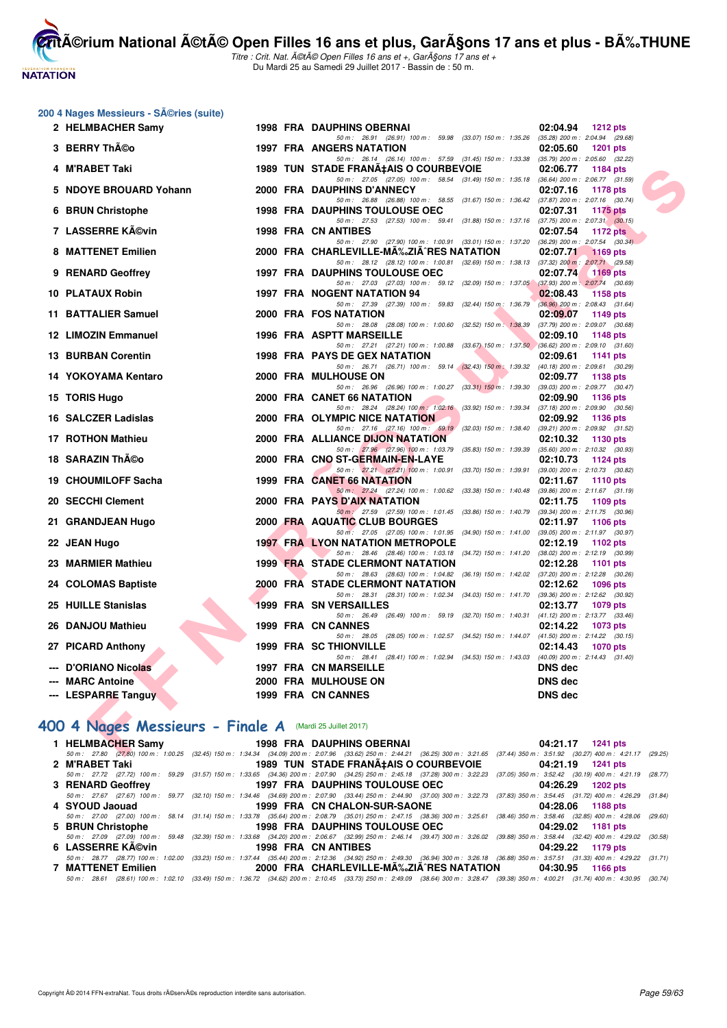**NATATION FRANÇAISE** 

**CritA©rium National A©tA© Open Filles 16 ans et plus, GarA§ons 17 ans et plus - BA%.THUNE** 

Titre : Crit. Nat. A©tA© Open Filles 16 ans et +, GarA§ons 17 ans et + Du Mardi 25 au Samedi 29 Juillet 2017 - Bassin de : 50 m.

| 200 4 Nages Messieurs - SA©ries (suite) |  |  |  |
|-----------------------------------------|--|--|--|
|-----------------------------------------|--|--|--|

| 2 HELMBACHER Samy                                              |  | <b>1998 FRA DAUPHINS OBERNAI</b>                                                                                                                                                     | 02:04.94<br>1212 pts                                               |  |
|----------------------------------------------------------------|--|--------------------------------------------------------------------------------------------------------------------------------------------------------------------------------------|--------------------------------------------------------------------|--|
| 3 BERRY Théo                                                   |  | 50 m: 26.91 (26.91) 100 m: 59.98 (33.07) 150 m: 1:35.26<br><b>1997 FRA ANGERS NATATION</b>                                                                                           | $(35.28)$ 200 m : 2:04.94 $(29.68)$<br>02:05.60<br><b>1201 pts</b> |  |
|                                                                |  | 50 m: 26.14 (26.14) 100 m: 57.59 (31.45) 150 m: 1:33.38 (35.79) 200 m: 2:05.60 (32.22)                                                                                               |                                                                    |  |
| 4 M'RABET Taki                                                 |  | 1989 TUN STADE FRANA‡AIS O COURBEVOIE                                                                                                                                                | 02:06.77<br>1184 pts                                               |  |
| 5 NDOYE BROUARD Yohann                                         |  | 50 m: 27.05 (27.05) 100 m: 58.54 (31.49) 150 m: 1:35.18 (36.64) 200 m: 2:06.77 (31.59)<br>2000 FRA DAUPHINS D'ANNECY                                                                 | 02:07.16<br>1178 pts                                               |  |
|                                                                |  | 50 m: 26.88 (26.88) 100 m: 58.55 (31.67) 150 m: 1:36.42 (37.87) 200 m: 2:07.16 (30.74)                                                                                               |                                                                    |  |
| 6 BRUN Christophe                                              |  | <b>1998 FRA DAUPHINS TOULOUSE OEC</b>                                                                                                                                                | 02:07.31<br>1175 $pts$                                             |  |
|                                                                |  | 50 m: 27.53 (27.53) 100 m: 59.41 (31.88) 150 m: 1:37.16 (37.75) 200 m: 2:07.31 (30.15)                                                                                               |                                                                    |  |
| 7 LASSERRE Kévin                                               |  | <b>1998 FRA CN ANTIBES</b>                                                                                                                                                           | 1172 $pts$<br>02:07.54                                             |  |
| 8 MATTENET Emilien                                             |  | 50 m: 27.90 (27.90) 100 m: 1:00.91 (33.01) 150 m: 1:37.20 (36.29) 200 m: 2:07.54 (30.34)                                                                                             |                                                                    |  |
|                                                                |  | 2000 FRA CHARLEVILLE-MA‰ZIA^RES NATATION<br>50 m: 28.12 (28.12) 100 m: 1:00.81 (32.69) 150 m: 1:38.13 (37.32) 200 m: 2:07.71 (29.58)                                                 | 02:07.71<br><b>1169 pts</b>                                        |  |
| 9 RENARD Geoffrey                                              |  | <b>1997 FRA DAUPHINS TOULOUSE OEC</b>                                                                                                                                                | 02:07.74<br>1169 $pts$                                             |  |
|                                                                |  | 50 m: 27.03 (27.03) 100 m: 59.12 (32.09) 150 m: 1:37.05 (37.93) 200 m: 2:07.74 (30.69)                                                                                               |                                                                    |  |
| 10 PLATAUX Robin                                               |  | 1997 FRA NOGENT NATATION 94                                                                                                                                                          | 02:08.43<br>1158 pts                                               |  |
|                                                                |  | 50 m: 27.39 (27.39) 100 m: 59.83 (32.44) 150 m: 1:36.79 (36.96) 200 m: 2:08.43 (31.64)                                                                                               |                                                                    |  |
| 11 BATTALIER Samuel                                            |  | 2000 FRA FOS NATATION                                                                                                                                                                | 02:09.07<br>1149 pts                                               |  |
| <b>12 LIMOZIN Emmanuel</b>                                     |  | 50 m: 28.08 (28.08) 100 m: 1:00.60 (32.52) 150 m: 1:38.39<br><b>1996 FRA ASPTT MARSEILLE</b>                                                                                         | (37.79) 200 m : 2:09.07 (30.68)<br>02:09.10<br>1148 pts            |  |
|                                                                |  | 50 m: 27.21 (27.21) 100 m: 1:00.88 (33.67) 150 m: 1:37.50 (36.62) 200 m: 2:09.10 (31.60)                                                                                             |                                                                    |  |
| <b>13 BURBAN Corentin</b>                                      |  | <b>1998 FRA PAYS DE GEX NATATION</b>                                                                                                                                                 | 02:09.61<br>1141 $pts$                                             |  |
|                                                                |  | 50 m: 26.71 (26.71) 100 m: 59.14 (32.43) 150 m: 1:39.32                                                                                                                              | $(40.18)$ 200 m : 2:09.61 $(30.29)$                                |  |
| 14 YOKOYAMA Kentaro                                            |  | 2000 FRA MULHOUSE ON                                                                                                                                                                 | 02:09.77<br><b>1138 pts</b>                                        |  |
|                                                                |  | 50 m : 26.96 (26.96) 100 m : 1:00.27 (33.31) 150 m : 1:39.30                                                                                                                         | $(39.03)$ 200 m : 2:09.77 $(30.47)$                                |  |
| 15 TORIS Hugo                                                  |  | 2000 FRA CANET 66 NATATION<br>50 m: 28.24 (28.24) 100 m: 1:02.16 (33.92) 150 m: 1:39.34 (37.18) 200 m: 2:09.90 (30.56)                                                               | 02:09.90<br>1136 pts                                               |  |
| 16 SALCZER Ladislas                                            |  | 2000 FRA OLYMPIC NICE NATATION                                                                                                                                                       | 02:09.92<br>1136 pts                                               |  |
|                                                                |  | 50 m: 27.16 (27.16) 100 m: 59.19 (32.03) 150 m: 1.38.40 (39.21) 200 m: 2.09.92 (31.52)                                                                                               |                                                                    |  |
| 17 ROTHON Mathieu                                              |  | 2000 FRA ALLIANCE DIJON NATATION                                                                                                                                                     | 02:10.32<br>1130 pts                                               |  |
|                                                                |  | 50 m: 27.96 (27.96) 100 m: 1:03.79 (35.83) 150 m: 1:39.39 (35.60) 200 m: 2:10.32 (30.93)                                                                                             |                                                                    |  |
| 18 SARAZIN Théo                                                |  | 2000 FRA CNO ST-GERMAIN-EN-LAYE<br>50 m: 27.21 (27.21) 100 m: 1:00.91 (33.70) 150 m: 1:39.91                                                                                         | 02:10.73<br>1124 pts<br>$(39.00)$ 200 m : 2:10.73 $(30.82)$        |  |
| 19 CHOUMILOFF Sacha                                            |  | 1999 FRA CANET 66 NATATION                                                                                                                                                           | 02:11.67<br>1110 $pts$                                             |  |
|                                                                |  | 50 m: 27.24 (27.24) 100 m: 1:00.62 (33.38) 150 m: 1:40.48 (39.86) 200 m: 2:11.67 (31.19)                                                                                             |                                                                    |  |
| 20 SECCHI Clement                                              |  | 2000 FRA PAYS D'AIX NATATION                                                                                                                                                         | 02:11.75<br>1109 pts                                               |  |
|                                                                |  | 50 m : 27.59 (27.59) 100 m : 1:01.45 (33.86) 150 m : 1:40.79 (39.34) 200 m : 2:11.75 (30.96)                                                                                         |                                                                    |  |
| 21 GRANDJEAN Hugo                                              |  | 2000 FRA AQUATIC CLUB BOURGES                                                                                                                                                        | 02:11.97<br>1106 pts                                               |  |
|                                                                |  | 50 m: 27.05 (27.05) 100 m: 1:01.95 (34.90) 150 m: 1:41.00 (39.05) 200 m: 2:11.97 (30.97)                                                                                             |                                                                    |  |
| 22 JEAN Hugo                                                   |  | <b>1997 FRA LYON NATATION METROPOLE</b><br>50 m: 28.46 (28.46) 100 m: 1:03.18 (34.72) 150 m: 1:41.20                                                                                 | 02:12.19<br>1102 $pts$<br>$(38.02)$ 200 m : 2:12.19 $(30.99)$      |  |
| 23 MARMIER Mathieu                                             |  | <b>1999 FRA STADE CLERMONT NATATION</b>                                                                                                                                              | 02:12.28<br><b>1101 pts</b>                                        |  |
|                                                                |  | 50 m: 28.63 (28.63) 100 m: 1:04.82 (36.19) 150 m: 1:42.02 (37.20) 200 m: 2:12.28 (30.26)                                                                                             |                                                                    |  |
| 24 COLOMAS Baptiste                                            |  | <b>2000 FRA STADE CLERMONT NATATION</b>                                                                                                                                              | 02:12.62<br><b>1096 pts</b>                                        |  |
|                                                                |  | 50 m: 28.31 (28.31) 100 m: 1:02.34 (34.03) 150 m: 1:41.70                                                                                                                            | $(39.36)$ 200 m : 2:12.62 $(30.92)$                                |  |
| 25 HUILLE Stanislas                                            |  | <b>1999 FRA SN VERSAILLES</b><br>50 m: 26.49 (26.49) 100 m: 59.19 (32.70) 150 m: 1.40.31 (41.12) 200 m: 2.13.77 (33.46)                                                              | 02:13.77<br>1079 pts                                               |  |
| 26 DANJOU Mathieu                                              |  | 1999 FRA CN CANNES                                                                                                                                                                   | 02:14.22<br><b>1073 pts</b>                                        |  |
|                                                                |  | 50 m: 28.05 (28.05) 100 m: 1:02.57 (34.52) 150 m: 1:44.07 (41.50) 200 m: 2:14.22 (30.15)                                                                                             |                                                                    |  |
| 27 PICARD Anthony                                              |  | <b>1999 FRA SC THIONVILLE</b>                                                                                                                                                        | 02:14.43<br>1070 pts                                               |  |
|                                                                |  | 50 m: 28.41 (28.41) 100 m: 1:02.94 (34.53) 150 m: 1:43.03 (40.09) 200 m: 2:14.43 (31.40)                                                                                             |                                                                    |  |
| <b>D'ORIANO Nicolas</b>                                        |  | 1997 FRA CN MARSEILLE                                                                                                                                                                | <b>DNS dec</b>                                                     |  |
| <b>MARC Antoine</b>                                            |  | 2000 FRA MULHOUSE ON                                                                                                                                                                 | <b>DNS dec</b>                                                     |  |
| --- LESPARRE Tanguy                                            |  | 1999 FRA CN CANNES                                                                                                                                                                   | <b>DNS dec</b>                                                     |  |
|                                                                |  |                                                                                                                                                                                      |                                                                    |  |
|                                                                |  |                                                                                                                                                                                      |                                                                    |  |
| <b>00 4 Nages Messieurs - Finale A</b> (Mardi 25 Juillet 2017) |  |                                                                                                                                                                                      |                                                                    |  |
| 1 HELMBACHER Samy                                              |  | <b>1998 FRA DAUPHINS OBERNAI</b>                                                                                                                                                     | 04:21.17 1241 pts                                                  |  |
|                                                                |  | 50 m; 27.80 (27.80) 100 m; 1:00.25 (32.45) 150 m; 1:34.34 (34.09) 200 m; 2:07.96 (33.62) 250 m; 2:44.21 (36.25) 300 m; 3:21.65 (37.44) 350 m; 3:51.92 (30.27) 400 m; 4:21.17 (29.25) |                                                                    |  |

# **[400 4 Nages Messieurs - Finale A](http://www.ffnatation.fr/webffn/resultats.php?idact=nat&go=epr&idcpt=47487&idepr=92)** (Mardi 25 Juillet 2017)

|                    |                                                                                                                                                                                              | 04:21.17 1241 pts |
|--------------------|----------------------------------------------------------------------------------------------------------------------------------------------------------------------------------------------|-------------------|
|                    | 50 m: 27.80 (27.80) 100 m: 1:00.25 (32.45) 150 m: 1:34.34 (34.09) 200 m: 2:07.96 (33.62) 250 m: 2:44.21 (36.25) 300 m: 3:21.65 (37.44) 350 m: 3:51.92 (30.27) 400 m: 4:21.17 (29.25)         |                   |
| 2 M'RABET Taki     | 1989 TUN STADE FRANA‡AIS O COURBEVOIE 04:21.19 1241 pts                                                                                                                                      |                   |
|                    | 50 m : 27.72 (27.72) 100 m : 59.29 (31.57) 150 m : 1:33.65 (34.36) 200 m : 2:07.90 (34.25) 250 m : 2:45.18 (37.28) 300 m : 3:22.23 (37.05) 350 m : 3:52.42 (30.19) 400 m : 4:21.19 (28.77)   |                   |
|                    | 3 RENARD Geoffrey 1997 FRA DAUPHINS TOULOUSE OEC 0 1202 pts                                                                                                                                  |                   |
|                    | 50 m: 27.67 (27.67) 100 m: 59.77 (32.10) 150 m: 1:34.46 (34.69) 200 m: 2:07.90 (33.44) 250 m: 2:44.90 (37.00) 300 m: 3:22.73 (37.83) 350 m: 3:54.45 (31.72) 400 m: 4:26.29 (31.84)           |                   |
| 4 SYOUD Jaouad     | 1999 FRA CN CHALON-SUR-SAONE 1999 FRA CN CHALON-SUR-SAONE 1999 14:28.06 1188 pts                                                                                                             |                   |
|                    | 50 m: 27.00 (27.00) 100 m: 58.14 (31.14) 150 m: 1:33.78 (35.64) 200 m: 2:08.79 (35.01) 250 m: 2:47.15 (38.36) 300 m: 3:25.61 (38.46) 350 m: 3:58.46 (32.85) 400 m: 4:28.06 (29.60)           |                   |
| 5 BRUN Christophe  | 1998 FRA DAUPHINS TOULOUSE OEC 04:29.02 1181 pts                                                                                                                                             |                   |
|                    | 50 m : 27.09 (27.09) 100 m : 59.48 (32.39) 150 m : 1:33.68 (34.20) 200 m : 2:06.67 (32.99) 250 m : 2:46.14 (39.47) 300 m : 3:26.02 (39.88) 350 m : 3:58.44 (32.42) 400 m : 4:29.02 (30.58)   |                   |
| 6 LASSERRE Kĩvin   | 1998 FRA CN ANTIBES                                                                                                                                                                          | 04:29.22 1179 pts |
|                    | 50 m : 28.77 (28.77) 100 m : 1:02.00 (33.23) 150 m : 1:37.44 (35.44) 200 m : 2:12.36 (34.92) 250 m : 2:49.30 (36.94) 300 m : 3:26.18 (36.88) 350 m : 3:57.51 (31.33) 400 m : 4:29.22 (31.71) |                   |
| 7 MATTENET Emilien | 2000 FRA CHARLEVILLE-MA‰ZIA RES NATATION 04:30.95 1166 pts                                                                                                                                   |                   |
|                    | 50 m: 28.61 (28.61) 100 m: 1:02.10 (33.49) 150 m: 1:36.72 (34.62) 200 m: 2:10.45 (33.73) 250 m: 2:49.09 (38.64) 300 m: 3:28.47 (39.38) 350 m: 4:00.21 (31.74) 400 m: 4:30.95 (30.74)         |                   |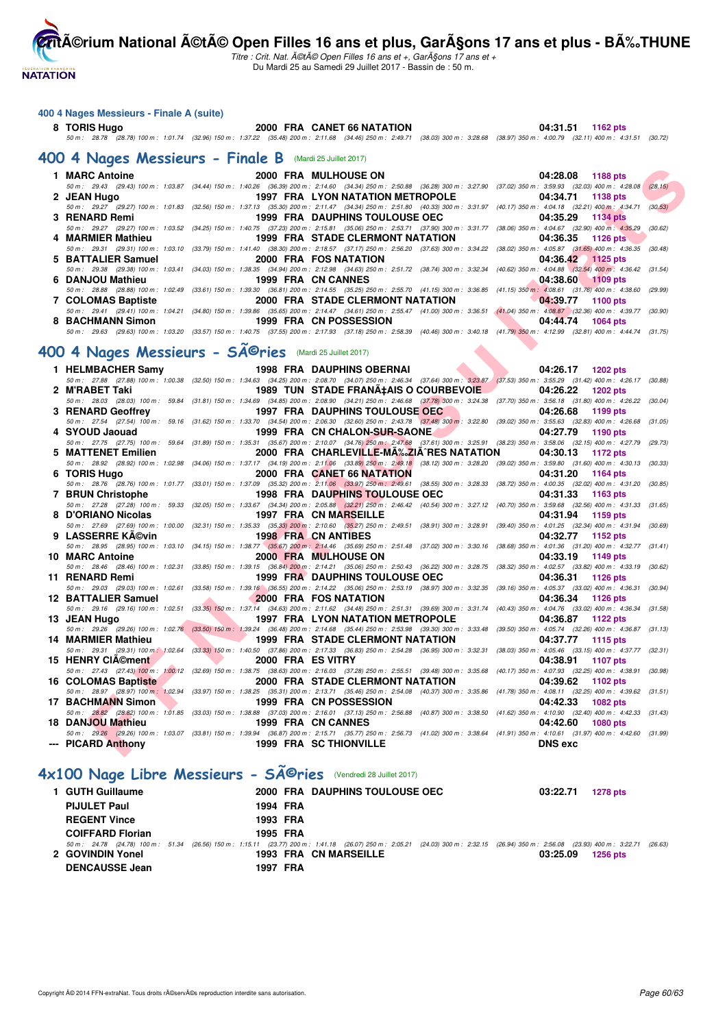**NATATION** 

**CritA©rium National A©tA© Open Filles 16 ans et plus, GarA§ons 17 ans et plus - BA%.THUNE** 

Titre : Crit. Nat. A©tA© Open Filles 16 ans et +, GarA§ons 17 ans et + Du Mardi 25 au Samedi 29 Juillet 2017 - Bassin de : 50 m.

#### **400 4 Nages Messieurs - Finale A (suite)**

**8 TORIS Hugo 2000 FRA CANET 66 NATATION 04:31.51 1162 pts** 50 m : 28.78 (28.78) 100 m : 1:01.74 (32.96) 150 m : 1:37.22 (35.48) 200 m : 2:11.68 (34.46) 250 m : 2:49.71 (38.03) 300 m : 3:28.68 (38.97) 350 m : 4:00.79 (32.11) 400 m : 4:31.51 (30.72)

**[400 4 Nages Messieurs - Finale B](http://www.ffnatation.fr/webffn/resultats.php?idact=nat&go=epr&idcpt=47487&idepr=92)** (Mardi 25 Juillet 2017)

| 1 MARC Antoine     | <b>2000 FRA MULHOUSE ON</b>                                                                                                                                                                  | 04:28.08 1188 pts                  |
|--------------------|----------------------------------------------------------------------------------------------------------------------------------------------------------------------------------------------|------------------------------------|
|                    | 50 m : 29.43 (29.43) 100 m : 1:03.87 (34.44) 150 m : 1:40.26 (36.39) 200 m : 2:14.60 (34.34) 250 m : 2:50.88 (36.28) 300 m : 3:27.90 (37.02) 350 m : 3:59.93 (32.03) 400 m : 4:28.08 (28.15) |                                    |
| 2 JEAN Hugo        | 1997 FRA LYON NATATION METROPOLE                                                                                                                                                             | 04:34.71 1138 pts                  |
|                    | 50 m: 29.27 (29.27) 100 m: 1:01.83 (32.56) 150 m: 1:37.13 (35.30) 200 m: 2:11.47 (34.34) 250 m: 2:51.80 (40.33) 300 m: 3:31.97 (40.17) 350 m: 4:04.18 (32.21) 400 m: 4:34.71 (30.53)         |                                    |
| 3 RENARD Remi      | 1999 FRA DAUPHINS TOULOUSE OEC                                                                                                                                                               | 04:35.29 1134 pts                  |
|                    | 50 m: 29.27 (29.27) 100 m: 1:03.52 (34.25) 150 m: 1:40.75 (37.23) 200 m: 2:15.81 (35.06) 250 m: 2:53.71 (37.90) 300 m: 3:31.77 (38.06) 350 m: 4:04.67 (32.90) 400 m: 4:35.29 (30.62)         |                                    |
| 4 MARMIER Mathieu  | 1999 FRA STADE CLERMONT NATATION                                                                                                                                                             | 04:36.35 1126 pts                  |
|                    | 50 m: 29.31 (29.31) 100 m: 1:03.10 (33.79) 150 m: 1:41.40 (38.30) 200 m: 2:18.57 (37.17) 250 m: 2:56.20 (37.63) 300 m: 3:34.22 (38.02) 350 m: 4:05.87 (31.65) 400 m: 4:36.35 (30.48)         |                                    |
| 5 BATTALIER Samuel | 2000 FRA FOS NATATION                                                                                                                                                                        | 04:36.42 1125 pts                  |
|                    | 50 m : 29.38 (29.38) 100 m : 1:03.41 (34.03) 150 m : 1:38.35 (34.94) 200 m : 2:12.98 (34.63) 250 m : 2:51.72 (38.74) 300 m : 3:32.34 (40.62) 350 m : 4:04.88 (32.54) 400 m : 4:36.42 (31.54) |                                    |
| 6 DANJOU Mathieu   | 1999 FRA CN CANNES                                                                                                                                                                           | 04:38.60 1109 pts                  |
|                    | 50 m: 28.88 (28.88) 100 m: 1:02.49 (33.61) 150 m: 1:39.30 (36.81) 200 m: 2:14.55 (35.25) 250 m: 2:55.70 (41.15) 300 m: 3:36.85 (41.15) 350 m: 4:08.61 (31.76) 400 m: 4:38.60 (29.99)         |                                    |
| 7 COLOMAS Baptiste | 2000 FRA STADE CLERMONT NATATION                                                                                                                                                             | 04:39.77<br>1100 pts               |
|                    | 50 m: 29.41 (29.41) 100 m: 1:04.21 (34.80) 150 m: 1:39.86 (35.65) 200 m: 2:14.47 (34.61) 250 m: 2:55.47 (41.00) 300 m: 3:36.51 (41.04) 350 m: 4:08.87 (32.36) 400 m: 4:39.77 (30.90)         |                                    |
| 8 BACHMANN Simon   | 1999 FRA CN POSSESSION                                                                                                                                                                       | 04:44.74<br>1064 pts               |
|                    | 50 m : 29.63 (29.63) 100 m : 1:03.20 (33.57) 150 m : 1:40.75 (37.55) 200 m : 2:17.93 (37.18) 250 m : 2:58.39 (40.46) 300 m : 3:40.18 (41.79) 350 m : 4:12.99                                 | (32.81) 400 m : 4:44.74<br>(31.75) |

# 400 4 Nages Messieurs - SÃ<sup>©</sup>ries (Mardi 25 Juillet 2017)

| 1 MARC Antoine      | 2000 FRA MULHOUSE ON                                                                                                                                                                                                     |                                          | 04:28.08          | 1188 pts        |         |
|---------------------|--------------------------------------------------------------------------------------------------------------------------------------------------------------------------------------------------------------------------|------------------------------------------|-------------------|-----------------|---------|
|                     | 50 m : 29.43 (29.43) 100 m : 1:03.87 (34.44) 150 m : 1:40.26 (36.39) 200 m : 2:14.60 (34.34) 250 m : 2:50.88 (36.28) 300 m : 3:27.90 (37.02) 350 m : 3:59.93 (32.03) 400 m : 4:28.08                                     |                                          |                   |                 | (28.15) |
| 2 JEAN Hugo         | <b>1997 FRA LYON NATATION METROPOLE</b>                                                                                                                                                                                  |                                          | 04:34.71          | 1138 pts        |         |
|                     | 50 m: 29.27 (29.27) 100 m: 1:01.83 (32.56) 150 m: 1:37.13 (35.30) 200 m: 2:11.47 (34.34) 250 m: 2:51.80 (40.33) 300 m: 3:31.97 (40.17) 350 m: 4:04.18 (32.21) 400 m: 4:34.71                                             |                                          |                   |                 | (30.53) |
| 3 RENARD Remi       | 1999 FRA DAUPHINS TOULOUSE OEC                                                                                                                                                                                           |                                          | 04:35.29          | 1134 pts        |         |
|                     | 50 m: 29.27 (29.27) 100 m: 1:03.52 (34.25) 150 m: 1:40.75 (37.23) 200 m: 2:15.81 (35.06) 250 m: 2:53.71 (37.90) 300 m: 3:31.77 (38.06) 350 m: 4:04.67 (32.90) 400 m: 4:35.29                                             |                                          |                   |                 | (30.62) |
| 4 MARMIER Mathieu   | 1999 FRA STADE CLERMONT NATATION                                                                                                                                                                                         |                                          | 04:36.35          | 1126 pts        |         |
| 5 BATTALIER Samuel  | 50 m: 29.31 (29.31) 100 m: 1:03.10 (33.79) 150 m: 1:41.40 (38.30) 200 m: 2:18.57 (37.17) 250 m: 2:56.20 (37.63) 300 m: 3:34.22 (38.02) 350 m: 4:05.87 (31.65) 400 m: 4:36.35 (30.48)<br>2000 FRA FOS NATATION            |                                          | 04:36.42 1125 pts |                 |         |
|                     | 50 m: 29.38 (29.38) 100 m: 1:03.41 (34.03) 150 m: 1:38.35 (34.94) 200 m: 2:12.98 (34.63) 250 m: 2:51.72 (38.74) 300 m: 3:32.34 (40.62) 350 m: 4:04.88 (32.54) 400 m: 4:36.42 (31.54)                                     |                                          |                   |                 |         |
| 6 DANJOU Mathieu    | 1999 FRA CN CANNES                                                                                                                                                                                                       |                                          | 04:38.60          | $1109$ pts      |         |
|                     | 50 m: 28.88 (28.88) 100 m: 1:02.49 (33.61) 150 m: 1:39.30 (36.81) 200 m: 2:14.55 (35.25) 250 m: 2:55.70 (41.15) 300 m: 3:36.85 (41.15) 350 m: 4:08.61 (31.76) 400 m: 4:38.60                                             |                                          |                   |                 | (29.99) |
| 7 COLOMAS Baptiste  | 2000 FRA STADE CLERMONT NATATION                                                                                                                                                                                         |                                          | 04:39.77          | <b>1100 pts</b> |         |
|                     | 50 m: 29.41 (29.41) 100 m: 1:04.21 (34.80) 150 m: 1:39.86 (35.65) 200 m: 2:14.47 (34.61) 250 m: 2:55.47 (41.00) 300 m: 3:36.51 (41.04) 350 m: 4:08.87 (32.36) 400 m: 4:39.77 (30.90)                                     |                                          |                   |                 |         |
| 8 BACHMANN Simon    | 1999 FRA CN POSSESSION                                                                                                                                                                                                   |                                          | 04:44.74          | 1064 pts        |         |
|                     | 50 m: 29.63 (29.63) 100 m: 1:03.20 (33.57) 150 m: 1:40.75 (37.55) 200 m: 2:17.93 (37.18) 250 m: 2:58.39 (40.46) 300 m: 3:40.18 (41.79) 350 m: 4:12.99 (32.81) 400 m: 4:44.74 (31.75)                                     |                                          |                   |                 |         |
|                     |                                                                                                                                                                                                                          |                                          |                   |                 |         |
|                     | 00 4 Nages Messieurs - SÄ <sup>©</sup> ries (Mardi 25 Juillet 2017)                                                                                                                                                      |                                          |                   |                 |         |
| 1 HELMBACHER Samy   | <b>1998 FRA DAUPHINS OBERNAI</b>                                                                                                                                                                                         |                                          | 04:26.17          | 1202 pts        |         |
|                     | 50 m : 27.88 (27.88) 100 m : 1:00.38 (32.50) 150 m : 1:34.63 (34.25) 200 m : 2:08.70 (34.07) 250 m : 2:46.34 (37.64) 300 m : 3:23.87 (37.53) 350 m : 3:55.29 (31.42) 400 m : 4:26.17 (30.88)                             |                                          |                   |                 |         |
| 2 M'RABET Taki      | 1989 TUN STADE FRANA‡AIS O COURBEVOIE                                                                                                                                                                                    |                                          | 04:26.22          | <b>1202 pts</b> |         |
|                     | 50 m: 28.03 (28.03) 100 m: 59.84 (31.81) 150 m: 1:34.69 (34.85) 200 m: 2:08.90 (34.21) 250 m: 2:46.68 (37.78) 300 m: 3:24.38 (37.70) 350 m: 3:56.18 (31.80) 400 m: 4:26.22 (30.04)                                       |                                          |                   |                 |         |
| 3 RENARD Geoffrey   | <b>1997 FRA DAUPHINS TOULOUSE OEC</b>                                                                                                                                                                                    |                                          | 04:26.68          | 1199 pts        |         |
|                     | 50 m: 27.54 (27.54) 100 m: 59.16 (31.62) 150 m: 1:33.70 (34.54) 200 m: 2:06.30 (32.60) 250 m: 2:43.78 (37.48) 300 m: 3:22.80 (39.02) 350 m: 3:55.63 (32.83) 400 m: 4:26.68 (31.05)                                       |                                          |                   |                 |         |
| 4 SYOUD Jaouad      | 1999 FRA CN CHALON-SUR-SAONE                                                                                                                                                                                             |                                          | 04:27.79          | 1190 pts        |         |
|                     | 50 m: 27.75 (27.75) 100 m: 59.64 (31.89) 150 m: 1:35.31 (35.67) 200 m: 2:10.07 (34.76) 250 m: 2:47.68 (37.61) 300 m: 3:25.91 (38.23) 350 m: 3:58.06 (32.15) 400 m: 4:27.79 (29.73)                                       |                                          |                   |                 |         |
| 5 MATTENET Emilien  |                                                                                                                                                                                                                          | 2000 FRA CHARLEVILLE-MA‰ZIA^RES NATATION | 04:30.13          | 1172 pts        |         |
|                     | 50 m : 28.92 (28.92) 100 m : 1:02.98 (34.06) 150 m : 1:37.17 (34.19) 200 m : 2:11.06 (33.89) 250 m : 2:49.18 (38.12) 300 m : 3:28.20 (39.02) 350 m : 3:59.80 (31.60) 400 m : 4:30.13 (30.33)                             |                                          |                   |                 |         |
| 6 TORIS Hugo        | 2000 FRA CANET 66 NATATION                                                                                                                                                                                               |                                          | 04:31.20          | <b>1164 pts</b> |         |
|                     | 50 m : 28.76 (28.76) 100 m : 1:01.77 (33.01) 150 m : 1:37.09 (35.32) 200 m : 2:11.06 (33.97) 250 m : 2:49.61 (38.55) 300 m : 3:28.33 (38.72) 350 m : 4:00.35 (32.02) 400 m : 4:31.20                                     |                                          |                   |                 | (30.85) |
| 7 BRUN Christophe   | <b>1998 FRA DAUPHINS TOULOUSE OEC</b>                                                                                                                                                                                    |                                          | 04:31.33          | 1163 pts        |         |
|                     | 50 m: 27.28 (27.28) 100 m: 59.33 (32.05) 150 m: 1:33.67 (34.34) 200 m: 2:05.88 (32.21) 250 m: 2:46.42 (40.54) 300 m: 3:27.12 (40.70) 350 m: 3:59.68 (32.56) 400 m: 4:31.33 (31.65)                                       |                                          |                   |                 |         |
| 8 D'ORIANO Nicolas  | 1997 FRA CN MARSEILLE<br>50 m: 27.69 (27.69) 100 m: 1:00.00 (32.31) 150 m: 1:35.33 (35.33) 200 m: 2:10.60 (35.27) 250 m: 2:49.51 (38.91) 300 m: 3:28.91 (39.40) 350 m: 4:01.25 (32.34) 400 m: 4:31.94 (30.69)            |                                          | 04:31.94          | 1159 pts        |         |
| 9 LASSERRE KA©vin   | <b>1998 FRA CN ANTIBES</b>                                                                                                                                                                                               |                                          | 04:32.77          | 1152 pts        |         |
|                     | 50 m: 28.95 (28.95) 100 m: 1:03.10 (34.15) 150 m: 1:38.77 (35.67) 200 m: 2:14.46 (35.69) 250 m: 2:51.48 (37.02) 300 m: 3:30.16 (38.68) 350 m: 4:01.36 (31.20) 400 m: 4:32.77 (31.41)                                     |                                          |                   |                 |         |
| 10 MARC Antoine     | 2000 FRA MULHOUSE ON                                                                                                                                                                                                     |                                          | 04:33.19          | 1149 pts        |         |
|                     | 50 m: 28.46 (28.46) 100 m: 1:02.31 (33.85) 150 m: 1:39.15 (36.84) 200 m: 2:14.21 (35.06) 250 m: 2:50.43 (36.22) 300 m: 3:28.75 (38.32) 350 m: 4:02.57 (33.82) 400 m: 4:33.19 (30.62)                                     |                                          |                   |                 |         |
| 11 RENARD Remi      | 1999 FRA DAUPHINS TOULOUSE OEC                                                                                                                                                                                           |                                          | 04:36.31          | 1126 pts        |         |
|                     | 50 m: 29.03 (29.03) 100 m: 1:02.61 (33.58) 150 m: 1:39.16 (36.55) 200 m: 2:14.22 (35.06) 250 m: 2:53.19 (38.97) 300 m: 3:32.35 (39.16) 350 m: 4:05.37 (33.02) 400 m: 4:36.31 (30.94)                                     |                                          |                   |                 |         |
| 12 BATTALIER Samuel | 2000 FRA FOS NATATION                                                                                                                                                                                                    |                                          | 04:36.34          | 1126 pts        |         |
|                     | 50 m: 29.16 (29.16) 100 m: 1:02.51 (33.35) 150 m: 1:37.14 (34.63) 200 m: 2:11.62 (34.48) 250 m: 2:51.31 (39.69) 300 m: 3:31.74 (40.43) 350 m: 4:04.76 (33.02) 400 m: 4:36.34                                             |                                          |                   |                 | (31.58) |
| 13 JEAN Hugo        | 1997 FRA LYON NATATION METROPOLE                                                                                                                                                                                         |                                          | 04:36.87          | <b>1122 pts</b> |         |
|                     | 50 m: 29.26 (29.26) 100 m: 1:02.76 (33.50) 150 m: 1:39.24 (36.48) 200 m: 2:14.68 (35.44) 250 m: 2:53.98 (39.30) 300 m: 3:33.48 (39.50) 350 m: 4:05.74 (32.26) 400 m: 4:36.87 (31.13)                                     |                                          |                   |                 |         |
| 14 MARMIER Mathieu  | <b>1999 FRA STADE CLERMONT NATATION</b>                                                                                                                                                                                  |                                          | 04:37.77          | 1115 pts        |         |
|                     | 50 m: 29.31 (29.31) 100 m: 1:02.64 (33.33) 150 m: 1:40.50 (37.86) 200 m: 2:17.33 (36.83) 250 m: 2:54.28 (36.95) 300 m: 3:32.31 (38.03) 350 m: 4:05.46 (33.15) 400 m: 4:37.77 (32.31)                                     |                                          |                   |                 |         |
| 15 HENRY CIA©ment   | 2000 FRA ES VITRY                                                                                                                                                                                                        |                                          | 04:38.91          | <b>1107 pts</b> |         |
|                     | 50 m: 27.43 (27.43) 100 m: 1:00.12 (32.69) 150 m: 1:38.75 (38.63) 200 m: 2:16.03 (37.28) 250 m: 2:55.51 (39.48) 300 m: 3:35.68 (40.17) 350 m: 4:07.93 (32.25) 400 m: 4:38.91 (30.98)                                     |                                          |                   |                 |         |
| 16 COLOMAS Baptiste | 2000 FRA STADE CLERMONT NATATION<br>50 m: 28.97 (28.97) 100 m: 1:02.94 (33.97) 150 m: 1:38.25 (35.31) 200 m: 2:13.71 (35.46) 250 m: 2:54.08 (40.37) 300 m: 3:35.86 (41.78) 350 m: 4:08.11 (32.25) 400 m: 4:39.62 (31.51) |                                          | 04:39.62          | 1102 pts        |         |
|                     | 1999 FRA CN POSSESSION                                                                                                                                                                                                   |                                          | 04:42.33          |                 |         |
|                     |                                                                                                                                                                                                                          |                                          |                   | 1082 pts        |         |
| 17 BACHMANN Simon   |                                                                                                                                                                                                                          |                                          |                   |                 |         |
|                     | 50 m: 28.82 (28.82) 100 m: 1:01.85 (33.03) 150 m: 1:38.88 (37.03) 200 m: 2:16.01 (37.13) 250 m: 2:56.88 (40.87) 300 m: 3:38.50 (41.62) 350 m: 4:10.90 (32.40) 400 m: 4:42.33 (31.43)                                     |                                          |                   |                 |         |
| 18 DANJOU Mathieu   | 1999 FRA CN CANNES<br>50 m: 29.26 (29.26) 100 m: 1:03.07 (33.81) 150 m: 1:39.94 (36.87) 200 m: 2:15.71 (35.77) 250 m: 2:56.73 (41.02) 300 m: 3:38.64 (41.91) 350 m: 4:10.61 (31.97) 400 m: 4:42.60 (31.99)               |                                          | 04:42.60          | <b>1080 pts</b> |         |

# **[4x100 Nage Libre Messieurs - Séries](http://www.ffnatation.fr/webffn/resultats.php?idact=nat&go=epr&idcpt=47487&idepr=93)** (Vendredi 28 Juillet 2017)

| 1 GUTH Guillaume        |          | 2000 FRA DAUPHINS TOULOUSE OEC                                                                                                                                                     | 03:22.71<br>1278 pts        |
|-------------------------|----------|------------------------------------------------------------------------------------------------------------------------------------------------------------------------------------|-----------------------------|
| <b>PIJULET Paul</b>     | 1994 FRA |                                                                                                                                                                                    |                             |
| <b>REGENT Vince</b>     | 1993 FRA |                                                                                                                                                                                    |                             |
| <b>COIFFARD Florian</b> | 1995 FRA |                                                                                                                                                                                    |                             |
|                         |          | 50 m : 24.78 (24.78) 100 m : 51.34 (26.56) 150 m : 1:15.11 (23.77) 200 m : 1:41.18 (26.07) 250 m : 2:05.21 (24.03) 300 m : 2:32.15 (26.94) 350 m : 2:56.08 (23.93) 400 m : 3:22.71 | (26.63                      |
| 2 GOVINDIN Yonel        |          | 1993 FRA CN MARSEILLE                                                                                                                                                              | 03:25.09<br><b>1256 pts</b> |
| <b>DENCAUSSE Jean</b>   | 1997 FRA |                                                                                                                                                                                    |                             |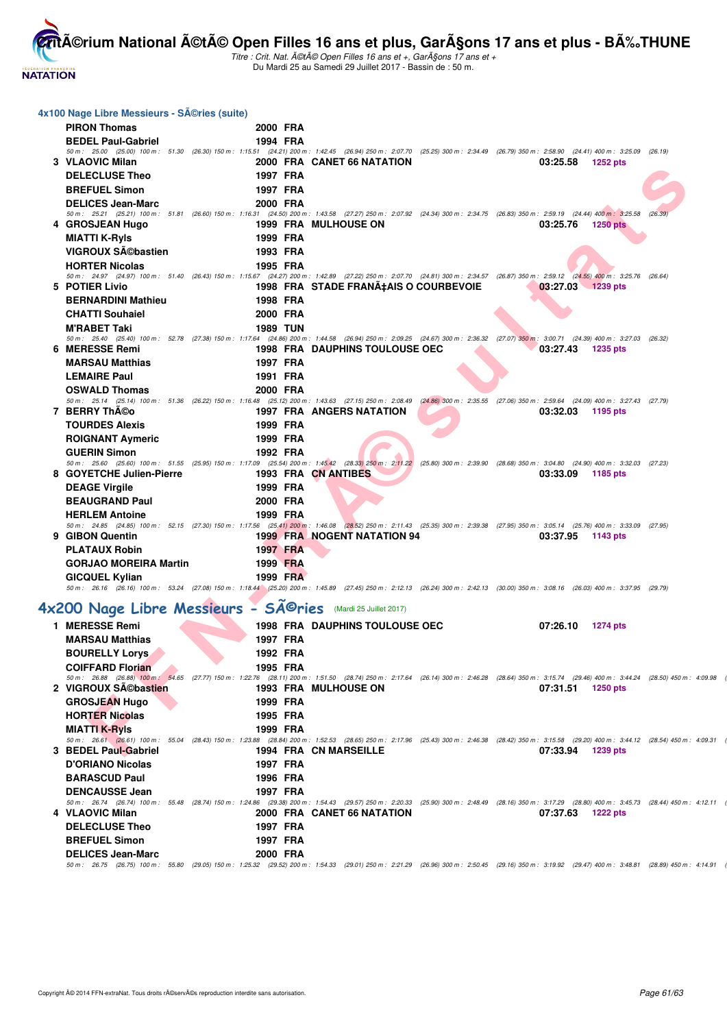

| 4x100 Nage Libre Messieurs - Séries (suite)                 |                      |                                       |                                                                                                                                                                                                                           |         |
|-------------------------------------------------------------|----------------------|---------------------------------------|---------------------------------------------------------------------------------------------------------------------------------------------------------------------------------------------------------------------------|---------|
| <b>PIRON Thomas</b>                                         | 2000 FRA             |                                       |                                                                                                                                                                                                                           |         |
| <b>BEDEL Paul-Gabriel</b>                                   | 1994 FRA             |                                       |                                                                                                                                                                                                                           |         |
| 3 VLAOVIC Milan                                             |                      | 2000 FRA CANET 66 NATATION            | 50 m: 25.00 (25.00) 100 m: 51.30 (26.30) 150 m: 1:15.51 (24.21) 200 m: 1:42.45 (26.94) 250 m: 2:07.70 (25.25) 300 m: 2:34.49 (26.79) 350 m: 2:58.90 (24.41) 400 m: 3:25.09<br>03:25.58<br><b>1252 pts</b>                 | (26.19) |
| <b>DELECLUSE Theo</b>                                       | 1997 FRA             |                                       |                                                                                                                                                                                                                           |         |
| <b>BREFUEL Simon</b>                                        | 1997 FRA             |                                       |                                                                                                                                                                                                                           |         |
| <b>DELICES Jean-Marc</b>                                    | 2000 FRA             |                                       |                                                                                                                                                                                                                           |         |
|                                                             |                      |                                       | 50 m: 25.21 (25.21) 100 m: 51.81 (26.60) 150 m: 1:16.31 (24.50) 200 m: 1:43.58 (27.27) 250 m: 2:07.92 (24.34) 300 m: 2:34.75 (26.83) 350 m: 2:59.19 (24.44) 400 m: 3:25.58 (26.39)                                        |         |
| 4 GROSJEAN Hugo                                             |                      | <b>1999 FRA MULHOUSE ON</b>           | 03:25.76<br><b>1250 pts</b>                                                                                                                                                                                               |         |
| <b>MIATTI K-Ryls</b>                                        | 1999 FRA             |                                       |                                                                                                                                                                                                                           |         |
| VIGROUX Sébastien                                           | 1993 FRA             |                                       |                                                                                                                                                                                                                           |         |
| <b>HORTER Nicolas</b>                                       | 1995 FRA             |                                       |                                                                                                                                                                                                                           |         |
| 5 POTIER Livio                                              |                      | 1998 FRA STADE FRANÇAIS O COURBEVOIE  | 50 m: 24.97 (24.97) 100 m: 51.40 (26.43) 150 m: 1:15.67 (24.27) 200 m: 1:42.89 (27.22) 250 m: 2:07.70 (24.81) 300 m: 2:34.57 (26.87) 350 m: 2:59.12 (24.55) 400 m: 3:25.76 (26.64)<br>03:27.03 1239 pts                   |         |
| <b>BERNARDINI Mathieu</b>                                   | 1998 FRA             |                                       |                                                                                                                                                                                                                           |         |
| <b>CHATTI Souhaiel</b>                                      | 2000 FRA             |                                       |                                                                                                                                                                                                                           |         |
| <b>M'RABET Taki</b>                                         | <b>1989 TUN</b>      |                                       |                                                                                                                                                                                                                           |         |
|                                                             |                      |                                       | 50 m: 25.40 (25.40) 100 m: 52.78 (27.38) 150 m: 1:17.64 (24.86) 200 m: 1:44.58 (26.94) 250 m: 2:09.25 (24.67) 300 m: 2:36.32 (27.07) 350 m: 3:00.71 (24.39) 400 m: 3:27.03 (26.32)                                        |         |
| 6 MERESSE Remi                                              |                      | <b>1998 FRA DAUPHINS TOULOUSE OEC</b> | 03:27.43<br>1235 pts                                                                                                                                                                                                      |         |
| <b>MARSAU Matthias</b>                                      | 1997 FRA             |                                       |                                                                                                                                                                                                                           |         |
| <b>LEMAIRE Paul</b>                                         | 1991 FRA             |                                       |                                                                                                                                                                                                                           |         |
| <b>OSWALD Thomas</b>                                        | 2000 FRA             |                                       | 50 m: 25.14 (25.14) 100 m: 51.36 (26.22) 150 m: 1:16.48 (25.12) 200 m: 1:43.63 (27.15) 250 m: 2:08.49 (24.86) 300 m: 2:35.55 (27.06) 350 m: 2:59.64 (24.09) 400 m: 3:27.43 (27.79)                                        |         |
| 7 BERRY ThA©o                                               |                      | <b>1997 FRA ANGERS NATATION</b>       | 03:32.03<br>1195 pts                                                                                                                                                                                                      |         |
| <b>TOURDES Alexis</b>                                       | 1999 FRA             |                                       |                                                                                                                                                                                                                           |         |
| <b>ROIGNANT Aymeric</b>                                     | 1999 FRA             |                                       |                                                                                                                                                                                                                           |         |
| <b>GUERIN Simon</b>                                         | 1992 FRA             |                                       |                                                                                                                                                                                                                           |         |
|                                                             |                      |                                       | 50 m: 25.60 (25.60) 100 m: 51.55 (25.95) 150 m: 1:17.09 (25.54) 200 m: 1:45.42 (28.33) 250 m: 2:11.22 (25.80) 300 m: 2:39.90 (28.68) 350 m: 3:04.80 (24.90) 400 m: 3:32.03 (27.23)                                        |         |
| 8 GOYETCHE Julien-Pierre                                    |                      | 1993 FRA CN ANTIBES                   | 03:33.09<br>1185 pts                                                                                                                                                                                                      |         |
| <b>DEAGE Virgile</b>                                        | 1999 FRA             |                                       |                                                                                                                                                                                                                           |         |
| <b>BEAUGRAND Paul</b>                                       | 2000 FRA             |                                       |                                                                                                                                                                                                                           |         |
| <b>HERLEM Antoine</b>                                       | 1999 FRA             |                                       | 50 m: 24.85 (24.85) 100 m: 52.15 (27.30) 150 m: 1:17.56 (25.41) 200 m: 1:46.08 (28.52) 250 m: 2:11.43 (25.35) 300 m: 2:39.38 (27.95) 350 m: 3:05.14 (25.76) 400 m: 3:33.09 (27.95)                                        |         |
| 9 GIBON Quentin                                             |                      | <b>1999 FRA NOGENT NATATION 94</b>    | 03:37.95<br>1143 pts                                                                                                                                                                                                      |         |
| <b>PLATAUX Robin</b>                                        | 1997 FRA             |                                       |                                                                                                                                                                                                                           |         |
| <b>GORJAO MOREIRA Martin</b>                                | 1999 FRA             |                                       |                                                                                                                                                                                                                           |         |
| <b>GICQUEL Kylian</b>                                       | 1999 FRA             |                                       |                                                                                                                                                                                                                           |         |
|                                                             |                      |                                       | 50 m: 26.16 (26.16) 100 m: 53.24 (27.08) 150 m: 1:18.44 (25.20) 200 m: 1:45.89 (27.45) 250 m: 2:12.13 (26.24) 300 m: 2:42.13 (30.00) 350 m: 3:08.16 (26.03) 400 m: 3:37.95 (29.79)                                        |         |
| 4x200 Nage Libre Messieurs - Sîries (Mardi 25 Juillet 2017) |                      |                                       |                                                                                                                                                                                                                           |         |
|                                                             |                      |                                       |                                                                                                                                                                                                                           |         |
| 1 MERESSE Remi<br><b>MARSAU Matthias</b>                    | 1997 FRA             | <b>1998 FRA DAUPHINS TOULOUSE OEC</b> | 07:26.10<br><b>1274 pts</b>                                                                                                                                                                                               |         |
|                                                             |                      |                                       |                                                                                                                                                                                                                           |         |
| <b>BOURELLY Lorys</b><br><b>COIFFARD Florian</b>            | 1992 FRA<br>1995 FRA |                                       |                                                                                                                                                                                                                           |         |
|                                                             |                      |                                       | 50 m: 26.88 (26.88) 100 m: 54.65 (27.77) 150 m: 1:22.76 (28.11) 200 m: 1:51.50 (28.74) 250 m: 2:17.64 (26.14) 300 m: 2:46.28 (28.64) 350 m: 3:15.74 (29.46) 400 m: 3:44.24 (28.50) 450 m: 4:09.98                         |         |
| 2 VIGROUX SA©bastien                                        |                      | <b>1993 FRA MULHOUSE ON</b>           | 07:31.51<br>1250 pts                                                                                                                                                                                                      |         |
| <b>GROSJEAN Hugo</b>                                        | 1999 FRA             |                                       |                                                                                                                                                                                                                           |         |
| <b>HORTER Nicolas</b>                                       | 1995 FRA             |                                       |                                                                                                                                                                                                                           |         |
| <b>MIATTI K-Ryls</b>                                        | 1999 FRA             |                                       |                                                                                                                                                                                                                           |         |
| 3 BEDEL Paul-Gabriel                                        |                      | 1994 FRA CN MARSEILLE                 | 50 m: 26.61 (26.61) 100 m: 55.04 (28.43) 150 m: 1:23.88 (28.84) 200 m: 1:52.53 (28.65) 250 m: 2:17.96 (25.43) 300 m: 2:46.38 (28.42) 350 m: 3:15.58 (29.20) 400 m: 3:44.12 (28.54) 450 m: 4:09.31<br>07:33.94<br>1239 pts |         |
| <b>D'ORIANO Nicolas</b>                                     | 1997 FRA             |                                       |                                                                                                                                                                                                                           |         |
| <b>BARASCUD Paul</b>                                        | 1996 FRA             |                                       |                                                                                                                                                                                                                           |         |
| <b>DENCAUSSE Jean</b>                                       | 1997 FRA             |                                       |                                                                                                                                                                                                                           |         |
|                                                             |                      |                                       | 50 m: 26.74 (26.74) 100 m: 55.48 (28.74) 150 m: 1:24.86 (29.38) 200 m: 1:54.43 (29.57) 250 m: 2:20.33 (25.90) 300 m: 2:48.49 (28.16) 350 m: 3:17.29 (28.80) 400 m: 3:45.73 (28.44) 450 m: 4:12.11                         |         |
| 4 VLAOVIC Milan                                             |                      | 2000 FRA CANET 66 NATATION            | 07:37.63<br><b>1222 pts</b>                                                                                                                                                                                               |         |
| <b>DELECLUSE Theo</b>                                       | 1997 FRA             |                                       |                                                                                                                                                                                                                           |         |
| <b>BREFUEL Simon</b>                                        | 1997 FRA             |                                       |                                                                                                                                                                                                                           |         |
| <b>DELICES Jean-Marc</b>                                    | 2000 FRA             |                                       |                                                                                                                                                                                                                           |         |
|                                                             |                      |                                       | 50 m: 26.75 (26.75) 100 m: 55.80 (29.05) 150 m: 1:25.32 (29.52) 200 m: 1:54.33 (29.01) 250 m: 2:21.29 (26.96) 300 m: 2:50.45 (29.16) 350 m: 3:19.92 (29.47) 400 m: 3:48.81 (28.89) 450 m: 4:14.91                         |         |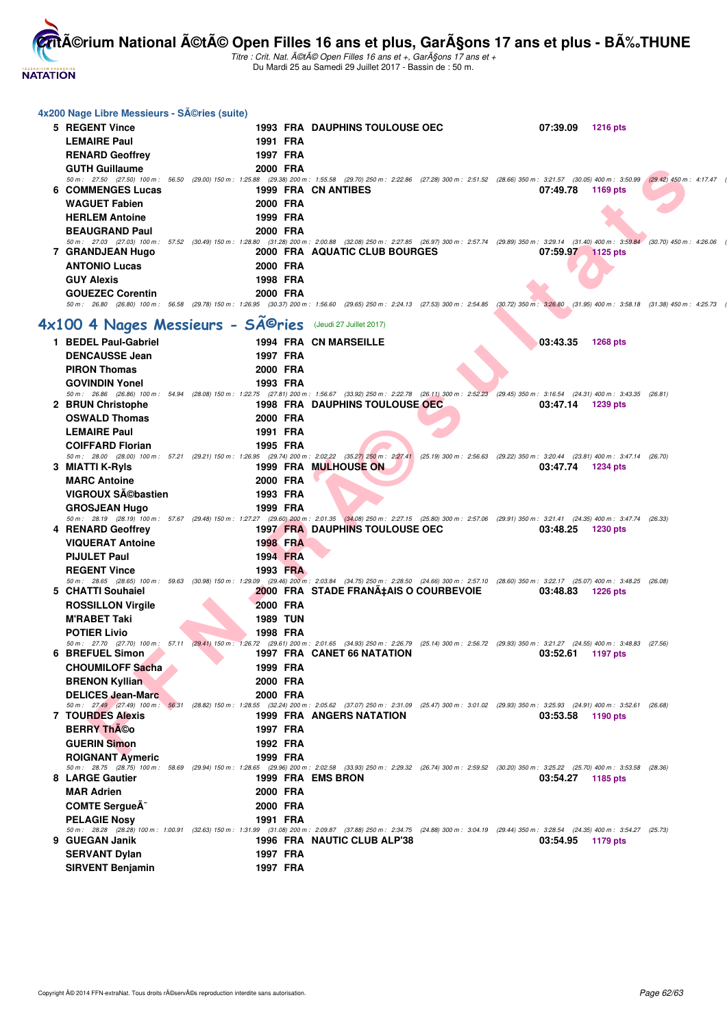

| 4x200 Nage Libre Messieurs - SA©ries (suite)             |  |                 |                                                                                                                                                                                                                             |  |                   |                 |  |
|----------------------------------------------------------|--|-----------------|-----------------------------------------------------------------------------------------------------------------------------------------------------------------------------------------------------------------------------|--|-------------------|-----------------|--|
| 5 REGENT Vince                                           |  |                 | <b>1993 FRA DAUPHINS TOULOUSE OEC</b>                                                                                                                                                                                       |  | 07:39.09          | <b>1216 pts</b> |  |
| <b>LEMAIRE Paul</b>                                      |  | 1991 FRA        |                                                                                                                                                                                                                             |  |                   |                 |  |
| <b>RENARD Geoffrey</b>                                   |  | 1997 FRA        |                                                                                                                                                                                                                             |  |                   |                 |  |
| <b>GUTH Guillaume</b>                                    |  | 2000 FRA        |                                                                                                                                                                                                                             |  |                   |                 |  |
|                                                          |  |                 | 50 m: 27.50 (27.50) 100 m: 56.50 (29.00) 150 m: 1:25.88 (29.38) 200 m: 1:55.58 (29.70) 250 m: 2:22.86 (27.28) 300 m: 2:51.52 (28.66) 350 m: 3:21.57 (30.05) 400 m: 3:50.99 (29.42) 450 m: 4:17.47                           |  |                   |                 |  |
| <b>6 COMMENGES Lucas</b>                                 |  |                 | 1999 FRA CN ANTIBES                                                                                                                                                                                                         |  | 07:49.78          | 1169 pts        |  |
| <b>WAGUET Fabien</b>                                     |  | 2000 FRA        |                                                                                                                                                                                                                             |  |                   |                 |  |
| <b>HERLEM Antoine</b>                                    |  | 1999 FRA        |                                                                                                                                                                                                                             |  |                   |                 |  |
| <b>BEAUGRAND Paul</b>                                    |  | 2000 FRA        |                                                                                                                                                                                                                             |  |                   |                 |  |
|                                                          |  |                 | 50 m: 27.03 (27.03) 100 m: 57.52 (30.49) 150 m: 1:28.80 (31.28) 200 m: 2:00.88 (32.08) 250 m: 2:27.85 (26.97) 300 m: 2:57.74 (29.89) 350 m: 3:29.14 (31.40) 400 m: 3:59.84 (30.70) 450 m: 4:26.06                           |  |                   |                 |  |
| 7 GRANDJEAN Hugo                                         |  |                 | 2000 FRA AQUATIC CLUB BOURGES                                                                                                                                                                                               |  | 07:59.97 1125 pts |                 |  |
| <b>ANTONIO Lucas</b>                                     |  | 2000 FRA        |                                                                                                                                                                                                                             |  |                   |                 |  |
| <b>GUY Alexis</b>                                        |  | 1998 FRA        |                                                                                                                                                                                                                             |  |                   |                 |  |
| <b>GOUEZEC Corentin</b>                                  |  | 2000 FRA        |                                                                                                                                                                                                                             |  |                   |                 |  |
|                                                          |  |                 | 50 m: 26.80 (26.80) 100 m: 56.58 (29.78) 150 m: 1:26.95 (30.37) 200 m: 1:56.60 (29.65) 250 m: 2:24.13 (27.53) 300 m: 2:54.85 (30.72) 350 m: 3:26.80 (31.95) 400 m: 3:58.18 (31.38) 450 m: 4:25.73                           |  |                   |                 |  |
| 4x100 4 Nages Messieurs - Séries (Jeudi 27 Juillet 2017) |  |                 |                                                                                                                                                                                                                             |  |                   |                 |  |
| 1 BEDEL Paul-Gabriel                                     |  |                 | <b>1994 FRA CN MARSEILLE</b>                                                                                                                                                                                                |  | 03:43.35          | <b>1268 pts</b> |  |
| <b>DENCAUSSE Jean</b>                                    |  | 1997 FRA        |                                                                                                                                                                                                                             |  |                   |                 |  |
| <b>PIRON Thomas</b>                                      |  | 2000 FRA        |                                                                                                                                                                                                                             |  |                   |                 |  |
|                                                          |  |                 |                                                                                                                                                                                                                             |  |                   |                 |  |
| <b>GOVINDIN Yonel</b>                                    |  | 1993 FRA        | 50 m: 26.86 (26.86) 100 m: 54.94 (28.08) 150 m: 1:22.75 (27.81) 200 m: 1:56.67 (33.92) 250 m: 2:22.78 (26.11) 300 m: 2:52.23 (29.45) 350 m: 3:16.54 (24.31) 400 m: 3:43.35 (26.81)                                          |  |                   |                 |  |
| 2 BRUN Christophe                                        |  |                 | <b>1998 FRA DAUPHINS TOULOUSE OEC</b>                                                                                                                                                                                       |  | 03:47.14          | 1239 pts        |  |
| <b>OSWALD Thomas</b>                                     |  | 2000 FRA        |                                                                                                                                                                                                                             |  |                   |                 |  |
| <b>LEMAIRE Paul</b>                                      |  | 1991 FRA        |                                                                                                                                                                                                                             |  |                   |                 |  |
| <b>COIFFARD Florian</b>                                  |  | 1995 FRA        |                                                                                                                                                                                                                             |  |                   |                 |  |
|                                                          |  |                 | 50 m : 28.00 (28.00) 100 m : 57.21 (29.21) 150 m : 1:26.95 (29.74) 200 m : 2:02,22 (35.27) 250 m : 2:27.41 (25.19) 300 m : 2:56.63 (29.22) 350 m : 3:20.44 (23.81) 400 m : 3:47.14 (26.70)                                  |  |                   |                 |  |
| 3 MIATTI K-Ryls                                          |  |                 | 1999 FRA MULHOUSE ON                                                                                                                                                                                                        |  | 03:47.74          | 1234 pts        |  |
| <b>MARC Antoine</b>                                      |  | 2000 FRA        |                                                                                                                                                                                                                             |  |                   |                 |  |
| VIGROUX Sĩbastien                                        |  | 1993 FRA        |                                                                                                                                                                                                                             |  |                   |                 |  |
| <b>GROSJEAN Hugo</b>                                     |  | 1999 FRA        |                                                                                                                                                                                                                             |  |                   |                 |  |
| 4 RENARD Geoffrey                                        |  |                 | 50 m: 28.19 (28.19) 100 m: 57.67 (29.48) 150 m: 1:27.27 (29.60) 200 m: 2:01.35 (34.08) 250 m: 2:27.15 (25.80) 300 m: 2:57.06 (29.91) 350 m: 3:21.41 (24.35) 400 m: 3:47.74 (26.33)<br><b>1997 FRA DAUPHINS TOULOUSE OEC</b> |  | 03:48.25          | 1230 pts        |  |
| <b>VIQUERAT Antoine</b>                                  |  | 1998 FRA        |                                                                                                                                                                                                                             |  |                   |                 |  |
| <b>PIJULET Paul</b>                                      |  | 1994 FRA        |                                                                                                                                                                                                                             |  |                   |                 |  |
| <b>REGENT Vince</b>                                      |  | 1993 FRA        |                                                                                                                                                                                                                             |  |                   |                 |  |
|                                                          |  |                 | 50 m: 28.65 (28.65) 100 m: 59.63 (30.98) 150 m: 1:29.09 (29.46) 200 m: 2:03.84 (34.75) 250 m: 2:28.50 (24.66) 300 m: 2:57.10 (28.60) 350 m: 3:22.17 (25.07) 400 m: 3:48.25 (26.08)                                          |  |                   |                 |  |
| 5 CHATTI Souhaiel                                        |  |                 | 2000 FRA STADE FRANA‡AIS O COURBEVOIE                                                                                                                                                                                       |  | 03:48.83          | 1226 pts        |  |
| <b>ROSSILLON Virgile</b>                                 |  | <b>2000 FRA</b> |                                                                                                                                                                                                                             |  |                   |                 |  |
| M'RABET Taki                                             |  | <b>1989 TUN</b> |                                                                                                                                                                                                                             |  |                   |                 |  |
| <b>POTIER Livio</b>                                      |  | 1998 FRA        |                                                                                                                                                                                                                             |  |                   |                 |  |
|                                                          |  |                 | 50 m: 27.70 (27.70) 100 m: 57.11 (29.41) 150 m: 1:26.72 (29.61) 200 m: 2:01.65 (34.93) 250 m: 2:26.79 (25.14) 300 m: 2:56.72 (29.93) 350 m: 3:21.27 (24.55) 400 m: 3:48.83 (27.56)                                          |  |                   |                 |  |
| 6 BREFUEL Simon                                          |  |                 | 1997 FRA CANET 66 NATATION                                                                                                                                                                                                  |  | 03:52.61          | 1197 pts        |  |
| <b>CHOUMILOFF Sacha</b>                                  |  | 1999 FRA        |                                                                                                                                                                                                                             |  |                   |                 |  |
| <b>BRENON Kyllian</b>                                    |  | 2000 FRA        |                                                                                                                                                                                                                             |  |                   |                 |  |
| <b>DELICES Jean-Marc</b>                                 |  | 2000 FRA        |                                                                                                                                                                                                                             |  |                   |                 |  |
| 7 TOURDES Alexis                                         |  |                 | 50 m: 27.49 (27.49) 100 m: 56.31 (28.82) 150 m: 1:28.55 (32.24) 200 m: 2:05.62 (37.07) 250 m: 2:31.09 (25.47) 300 m: 3:01.02 (29.93) 350 m: 3:25.93 (24.91) 400 m: 3:52.61 (26.68)<br>1999 FRA ANGERS NATATION              |  | 03:53.58          | 1190 pts        |  |
| <b>BERRY Théo</b>                                        |  | 1997 FRA        |                                                                                                                                                                                                                             |  |                   |                 |  |
| <b>GUERIN Simon</b>                                      |  | 1992 FRA        |                                                                                                                                                                                                                             |  |                   |                 |  |
| <b>ROIGNANT Avmeric</b>                                  |  | 1999 FRA        |                                                                                                                                                                                                                             |  |                   |                 |  |
|                                                          |  |                 | 50 m: 28.75 (28.75) 100 m: 58.69 (29.94) 150 m: 1:28.65 (29.96) 200 m: 2:02.58 (33.93) 250 m: 2:29.32 (26.74) 300 m: 2:59.52 (30.20) 350 m: 3:25.22 (25.70) 400 m: 3:53.58 (28.36)                                          |  |                   |                 |  |
| 8 LARGE Gautier                                          |  |                 | 1999 FRA EMS BRON                                                                                                                                                                                                           |  | 03:54.27          | 1185 pts        |  |
| <b>MAR Adrien</b>                                        |  | 2000 FRA        |                                                                                                                                                                                                                             |  |                   |                 |  |
| <b>COMTE SergueA</b>                                     |  | 2000 FRA        |                                                                                                                                                                                                                             |  |                   |                 |  |
| <b>PELAGIE Nosy</b>                                      |  | 1991 FRA        |                                                                                                                                                                                                                             |  |                   |                 |  |
|                                                          |  |                 | 50 m: 28.28 (28.28) 100 m: 1:00.91 (32.63) 150 m: 1:31.99 (31.08) 200 m: 2:09.87 (37.88) 250 m: 2:34.75 (24.88) 300 m: 3:04.19 (29.44) 350 m: 3:28.54 (24.35) 400 m: 3:54.27 (25.73)                                        |  |                   |                 |  |
| 9 GUEGAN Janik                                           |  |                 | 1996 FRA NAUTIC CLUB ALP'38                                                                                                                                                                                                 |  | 03:54.95          | 1179 pts        |  |
| <b>SERVANT Dylan</b>                                     |  | 1997 FRA        |                                                                                                                                                                                                                             |  |                   |                 |  |
| <b>SIRVENT Benjamin</b>                                  |  | 1997 FRA        |                                                                                                                                                                                                                             |  |                   |                 |  |